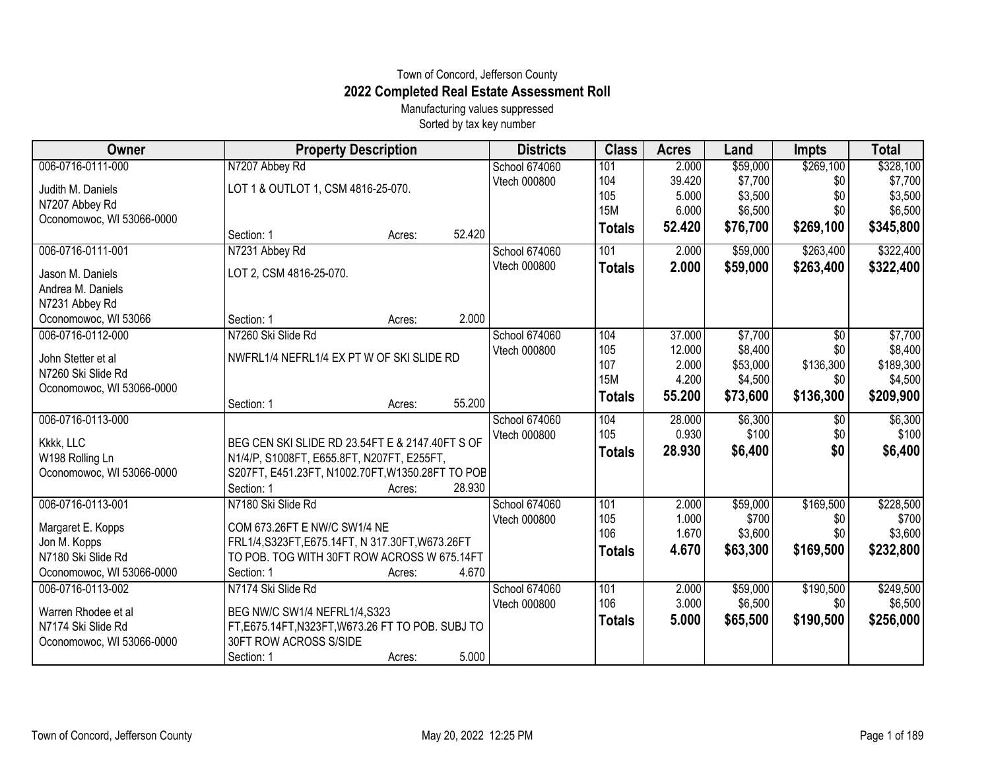## Town of Concord, Jefferson County **2022 Completed Real Estate Assessment Roll**

Manufacturing values suppressed Sorted by tax key number

| Owner                     | <b>Property Description</b>                       | <b>Districts</b> | <b>Class</b>  | <b>Acres</b> | Land     | <b>Impts</b>    | <b>Total</b> |
|---------------------------|---------------------------------------------------|------------------|---------------|--------------|----------|-----------------|--------------|
| 006-0716-0111-000         | N7207 Abbey Rd                                    | School 674060    | 101           | 2.000        | \$59,000 | \$269,100       | \$328,100    |
| Judith M. Daniels         | LOT 1 & OUTLOT 1, CSM 4816-25-070.                | Vtech 000800     | 104           | 39.420       | \$7,700  | \$0             | \$7,700      |
| N7207 Abbey Rd            |                                                   |                  | 105           | 5.000        | \$3,500  | \$0             | \$3,500      |
| Oconomowoc, WI 53066-0000 |                                                   |                  | <b>15M</b>    | 6.000        | \$6,500  | \$0             | \$6,500      |
|                           | 52.420<br>Section: 1<br>Acres:                    |                  | <b>Totals</b> | 52.420       | \$76,700 | \$269,100       | \$345,800    |
| 006-0716-0111-001         | N7231 Abbey Rd                                    | School 674060    | 101           | 2.000        | \$59,000 | \$263,400       | \$322,400    |
| Jason M. Daniels          | LOT 2, CSM 4816-25-070.                           | Vtech 000800     | <b>Totals</b> | 2.000        | \$59,000 | \$263,400       | \$322,400    |
| Andrea M. Daniels         |                                                   |                  |               |              |          |                 |              |
| N7231 Abbey Rd            |                                                   |                  |               |              |          |                 |              |
| Oconomowoc, WI 53066      | 2.000<br>Section: 1<br>Acres:                     |                  |               |              |          |                 |              |
| 006-0716-0112-000         | N7260 Ski Slide Rd                                | School 674060    | 104           | 37.000       | \$7,700  | $\overline{50}$ | \$7,700      |
| John Stetter et al        | NWFRL1/4 NEFRL1/4 EX PT W OF SKI SLIDE RD         | Vtech 000800     | 105           | 12.000       | \$8,400  | \$0             | \$8,400      |
| N7260 Ski Slide Rd        |                                                   |                  | 107           | 2.000        | \$53,000 | \$136,300       | \$189,300    |
| Oconomowoc, WI 53066-0000 |                                                   |                  | <b>15M</b>    | 4.200        | \$4,500  | \$0             | \$4,500      |
|                           | 55.200<br>Section: 1<br>Acres:                    |                  | <b>Totals</b> | 55.200       | \$73,600 | \$136,300       | \$209,900    |
| 006-0716-0113-000         |                                                   | School 674060    | 104           | 28.000       | \$6,300  | $\sqrt{$0}$     | \$6,300      |
|                           |                                                   | Vtech 000800     | 105           | 0.930        | \$100    | \$0             | \$100        |
| Kkkk, LLC                 | BEG CEN SKI SLIDE RD 23.54FT E & 2147.40FT S OF   |                  | <b>Totals</b> | 28.930       | \$6,400  | \$0             | \$6,400      |
| W198 Rolling Ln           | N1/4/P, S1008FT, E655.8FT, N207FT, E255FT,        |                  |               |              |          |                 |              |
| Oconomowoc, WI 53066-0000 | S207FT, E451.23FT, N1002.70FT, W1350.28FT TO POB  |                  |               |              |          |                 |              |
|                           | Section: 1<br>28.930<br>Acres:                    |                  |               |              |          |                 |              |
| 006-0716-0113-001         | N7180 Ski Slide Rd                                | School 674060    | 101           | 2.000        | \$59,000 | \$169,500       | \$228,500    |
| Margaret E. Kopps         | COM 673.26FT E NW/C SW1/4 NE                      | Vtech 000800     | 105           | 1.000        | \$700    | \$0             | \$700        |
| Jon M. Kopps              | FRL1/4, S323FT, E675.14FT, N 317.30FT, W673.26FT  |                  | 106           | 1.670        | \$3,600  | \$0             | \$3,600      |
| N7180 Ski Slide Rd        | TO POB. TOG WITH 30FT ROW ACROSS W 675.14FT       |                  | <b>Totals</b> | 4.670        | \$63,300 | \$169,500       | \$232,800    |
| Oconomowoc, WI 53066-0000 | 4.670<br>Section: 1<br>Acres:                     |                  |               |              |          |                 |              |
| 006-0716-0113-002         | N7174 Ski Slide Rd                                | School 674060    | 101           | 2.000        | \$59,000 | \$190,500       | \$249,500    |
| Warren Rhodee et al       | BEG NW/C SW1/4 NEFRL1/4,S323                      | Vtech 000800     | 106           | 3.000        | \$6,500  | \$0             | \$6,500      |
| N7174 Ski Slide Rd        | FT, E675.14FT, N323FT, W673.26 FT TO POB. SUBJ TO |                  | <b>Totals</b> | 5.000        | \$65,500 | \$190,500       | \$256,000    |
| Oconomowoc, WI 53066-0000 | 30FT ROW ACROSS S/SIDE                            |                  |               |              |          |                 |              |
|                           | 5.000<br>Section: 1<br>Acres:                     |                  |               |              |          |                 |              |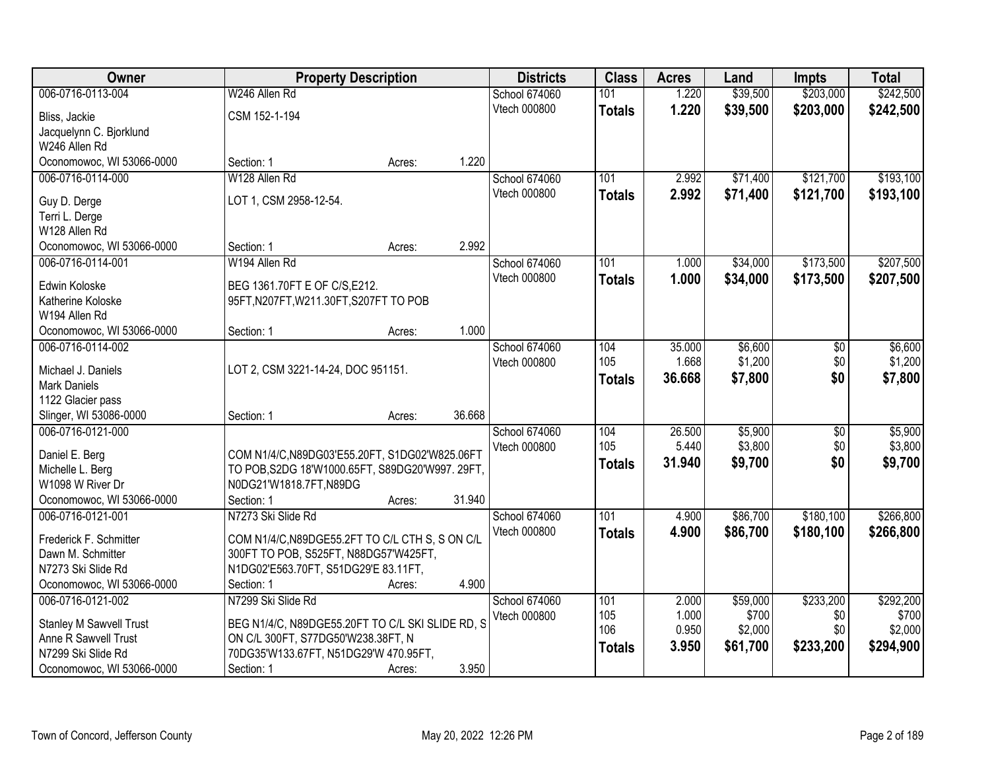| <b>Owner</b>                       | <b>Property Description</b>                      |        |        | <b>Districts</b>     | <b>Class</b>  | <b>Acres</b>    | Land               | <b>Impts</b>           | <b>Total</b>       |
|------------------------------------|--------------------------------------------------|--------|--------|----------------------|---------------|-----------------|--------------------|------------------------|--------------------|
| 006-0716-0113-004                  | W246 Allen Rd                                    |        |        | School 674060        | 101           | 1.220           | \$39,500           | \$203,000              | \$242,500          |
| Bliss, Jackie                      | CSM 152-1-194                                    |        |        | Vtech 000800         | <b>Totals</b> | 1.220           | \$39,500           | \$203,000              | \$242,500          |
| Jacquelynn C. Bjorklund            |                                                  |        |        |                      |               |                 |                    |                        |                    |
| W246 Allen Rd                      |                                                  |        |        |                      |               |                 |                    |                        |                    |
| Oconomowoc, WI 53066-0000          | Section: 1                                       | Acres: | 1.220  |                      |               |                 |                    |                        |                    |
| 006-0716-0114-000                  | W128 Allen Rd                                    |        |        | School 674060        | 101           | 2.992           | \$71,400           | \$121,700              | \$193,100          |
|                                    | LOT 1, CSM 2958-12-54.                           |        |        | <b>Vtech 000800</b>  | <b>Totals</b> | 2.992           | \$71,400           | \$121,700              | \$193,100          |
| Guy D. Derge<br>Terri L. Derge     |                                                  |        |        |                      |               |                 |                    |                        |                    |
| W128 Allen Rd                      |                                                  |        |        |                      |               |                 |                    |                        |                    |
| Oconomowoc, WI 53066-0000          | Section: 1                                       | Acres: | 2.992  |                      |               |                 |                    |                        |                    |
| 006-0716-0114-001                  | W194 Allen Rd                                    |        |        | School 674060        | 101           | 1.000           | \$34,000           | \$173,500              | \$207,500          |
|                                    |                                                  |        |        | Vtech 000800         | <b>Totals</b> | 1.000           | \$34,000           | \$173,500              | \$207,500          |
| Edwin Koloske                      | BEG 1361.70FT E OF C/S, E212.                    |        |        |                      |               |                 |                    |                        |                    |
| Katherine Koloske<br>W194 Allen Rd | 95FT, N207FT, W211.30FT, S207FT TO POB           |        |        |                      |               |                 |                    |                        |                    |
| Oconomowoc, WI 53066-0000          | Section: 1                                       | Acres: | 1.000  |                      |               |                 |                    |                        |                    |
| 006-0716-0114-002                  |                                                  |        |        | <b>School 674060</b> | 104           | 35.000          | \$6,600            | \$0                    | \$6,600            |
|                                    |                                                  |        |        | Vtech 000800         | 105           | 1.668           | \$1,200            | \$0                    | \$1,200            |
| Michael J. Daniels                 | LOT 2, CSM 3221-14-24, DOC 951151.               |        |        |                      | <b>Totals</b> | 36.668          | \$7,800            | \$0                    | \$7,800            |
| Mark Daniels                       |                                                  |        |        |                      |               |                 |                    |                        |                    |
| 1122 Glacier pass                  |                                                  |        |        |                      |               |                 |                    |                        |                    |
| Slinger, WI 53086-0000             | Section: 1                                       | Acres: | 36.668 |                      |               |                 |                    |                        |                    |
| 006-0716-0121-000                  |                                                  |        |        | School 674060        | 104<br>105    | 26.500<br>5.440 | \$5,900<br>\$3,800 | $\overline{50}$<br>\$0 | \$5,900<br>\$3,800 |
| Daniel E. Berg                     | COM N1/4/C, N89DG03'E55.20FT, S1DG02'W825.06FT   |        |        | Vtech 000800         |               | 31.940          |                    | \$0                    |                    |
| Michelle L. Berg                   | TO POB, S2DG 18'W1000.65FT, S89DG20'W997. 29FT,  |        |        |                      | <b>Totals</b> |                 | \$9,700            |                        | \$9,700            |
| W1098 W River Dr                   | N0DG21'W1818.7FT,N89DG                           |        |        |                      |               |                 |                    |                        |                    |
| Oconomowoc, WI 53066-0000          | Section: 1                                       | Acres: | 31.940 |                      |               |                 |                    |                        |                    |
| 006-0716-0121-001                  | N7273 Ski Slide Rd                               |        |        | School 674060        | 101           | 4.900           | \$86,700           | \$180,100              | \$266,800          |
| Frederick F. Schmitter             | COM N1/4/C, N89DGE55.2FT TO C/L CTH S, S ON C/L  |        |        | Vtech 000800         | <b>Totals</b> | 4.900           | \$86,700           | \$180,100              | \$266,800          |
| Dawn M. Schmitter                  | 300FT TO POB, S525FT, N88DG57'W425FT,            |        |        |                      |               |                 |                    |                        |                    |
| N7273 Ski Slide Rd                 | N1DG02'E563.70FT, S51DG29'E 83.11FT,             |        |        |                      |               |                 |                    |                        |                    |
| Oconomowoc, WI 53066-0000          | Section: 1                                       | Acres: | 4.900  |                      |               |                 |                    |                        |                    |
| 006-0716-0121-002                  | N7299 Ski Slide Rd                               |        |        | School 674060        | 101           | 2.000           | \$59,000           | \$233,200              | \$292,200          |
| <b>Stanley M Sawvell Trust</b>     | BEG N1/4/C, N89DGE55.20FT TO C/L SKI SLIDE RD, S |        |        | Vtech 000800         | 105           | 1.000           | \$700              | \$0                    | \$700              |
| Anne R Sawvell Trust               | ON C/L 300FT, S77DG50'W238.38FT, N               |        |        |                      | 106           | 0.950           | \$2,000            | \$0                    | \$2,000            |
| N7299 Ski Slide Rd                 | 70DG35'W133.67FT, N51DG29'W 470.95FT,            |        |        |                      | <b>Totals</b> | 3.950           | \$61,700           | \$233,200              | \$294,900          |
| Oconomowoc, WI 53066-0000          | Section: 1                                       | Acres: | 3.950  |                      |               |                 |                    |                        |                    |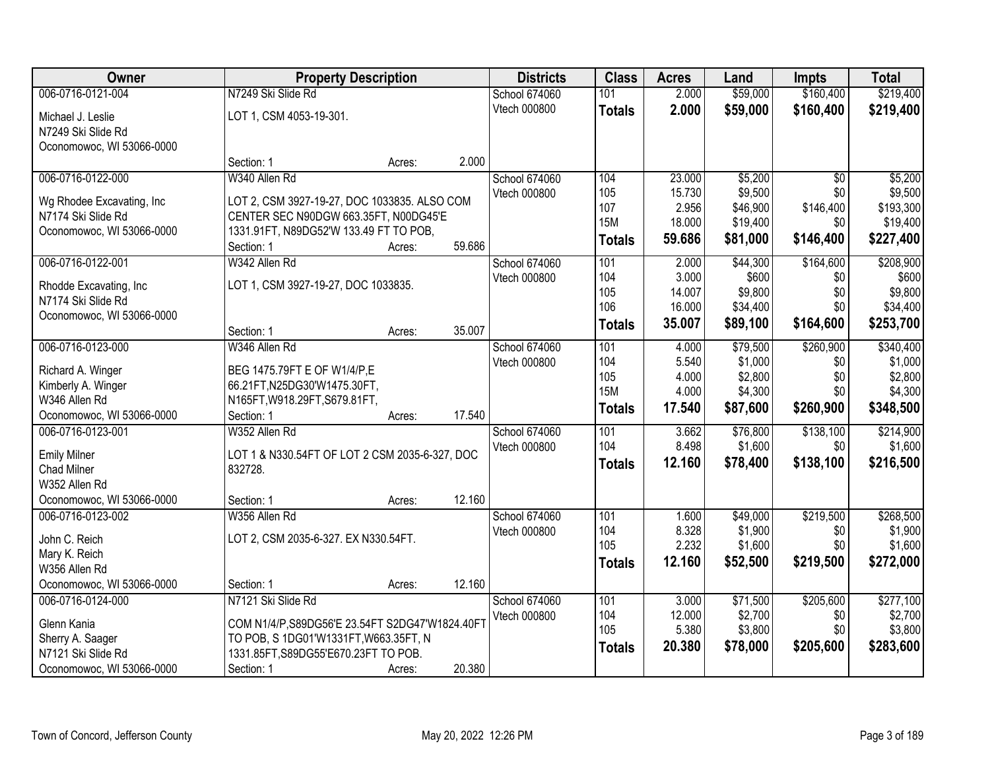| <b>Owner</b>                                  |                                                             | <b>Property Description</b> |        | <b>Districts</b>     | <b>Class</b>  | <b>Acres</b> | Land     | <b>Impts</b> | <b>Total</b> |
|-----------------------------------------------|-------------------------------------------------------------|-----------------------------|--------|----------------------|---------------|--------------|----------|--------------|--------------|
| 006-0716-0121-004                             | N7249 Ski Slide Rd                                          |                             |        | School 674060        | 101           | 2.000        | \$59,000 | \$160,400    | \$219,400    |
| Michael J. Leslie                             | LOT 1, CSM 4053-19-301.                                     |                             |        | Vtech 000800         | <b>Totals</b> | 2.000        | \$59,000 | \$160,400    | \$219,400    |
| N7249 Ski Slide Rd                            |                                                             |                             |        |                      |               |              |          |              |              |
| Oconomowoc, WI 53066-0000                     |                                                             |                             |        |                      |               |              |          |              |              |
|                                               | Section: 1                                                  | Acres:                      | 2.000  |                      |               |              |          |              |              |
| 006-0716-0122-000                             | W340 Allen Rd                                               |                             |        | <b>School 674060</b> | 104           | 23.000       | \$5,200  | \$0          | \$5,200      |
| Wg Rhodee Excavating, Inc                     | LOT 2, CSM 3927-19-27, DOC 1033835. ALSO COM                |                             |        | Vtech 000800         | 105           | 15.730       | \$9,500  | \$0          | \$9,500      |
| N7174 Ski Slide Rd                            | CENTER SEC N90DGW 663.35FT, N00DG45'E                       |                             |        |                      | 107           | 2.956        | \$46,900 | \$146,400    | \$193,300    |
| Oconomowoc, WI 53066-0000                     | 1331.91FT, N89DG52'W 133.49 FT TO POB,                      |                             |        |                      | <b>15M</b>    | 18.000       | \$19,400 | \$0          | \$19,400     |
|                                               | Section: 1                                                  | Acres:                      | 59.686 |                      | <b>Totals</b> | 59.686       | \$81,000 | \$146,400    | \$227,400    |
| 006-0716-0122-001                             | W342 Allen Rd                                               |                             |        | School 674060        | 101           | 2.000        | \$44,300 | \$164,600    | \$208,900    |
|                                               | LOT 1, CSM 3927-19-27, DOC 1033835.                         |                             |        | Vtech 000800         | 104           | 3.000        | \$600    | \$0          | \$600        |
| Rhodde Excavating, Inc.<br>N7174 Ski Slide Rd |                                                             |                             |        |                      | 105           | 14.007       | \$9,800  | \$0          | \$9,800      |
| Oconomowoc, WI 53066-0000                     |                                                             |                             |        |                      | 106           | 16.000       | \$34,400 | \$0          | \$34,400     |
|                                               | Section: 1                                                  | Acres:                      | 35.007 |                      | <b>Totals</b> | 35.007       | \$89,100 | \$164,600    | \$253,700    |
| 006-0716-0123-000                             | W346 Allen Rd                                               |                             |        | School 674060        | 101           | 4.000        | \$79,500 | \$260,900    | \$340,400    |
|                                               |                                                             |                             |        | Vtech 000800         | 104           | 5.540        | \$1,000  | \$0          | \$1,000      |
| Richard A. Winger<br>Kimberly A. Winger       | BEG 1475.79FT E OF W1/4/P,E<br>66.21FT, N25DG30'W1475.30FT, |                             |        |                      | 105           | 4.000        | \$2,800  | \$0          | \$2,800      |
| W346 Allen Rd                                 | N165FT, W918.29FT, S679.81FT,                               |                             |        |                      | <b>15M</b>    | 4.000        | \$4,300  | \$0          | \$4,300      |
| Oconomowoc, WI 53066-0000                     | Section: 1                                                  | Acres:                      | 17.540 |                      | <b>Totals</b> | 17.540       | \$87,600 | \$260,900    | \$348,500    |
| 006-0716-0123-001                             | W352 Allen Rd                                               |                             |        | <b>School 674060</b> | 101           | 3.662        | \$76,800 | \$138,100    | \$214,900    |
|                                               |                                                             |                             |        | Vtech 000800         | 104           | 8.498        | \$1,600  | \$0          | \$1,600      |
| <b>Emily Milner</b>                           | LOT 1 & N330.54FT OF LOT 2 CSM 2035-6-327, DOC              |                             |        |                      | <b>Totals</b> | 12.160       | \$78,400 | \$138,100    | \$216,500    |
| <b>Chad Milner</b>                            | 832728.                                                     |                             |        |                      |               |              |          |              |              |
| W352 Allen Rd                                 |                                                             |                             |        |                      |               |              |          |              |              |
| Oconomowoc, WI 53066-0000                     | Section: 1                                                  | Acres:                      | 12.160 |                      |               |              |          |              |              |
| 006-0716-0123-002                             | W356 Allen Rd                                               |                             |        | School 674060        | 101           | 1.600        | \$49,000 | \$219,500    | \$268,500    |
| John C. Reich                                 | LOT 2, CSM 2035-6-327. EX N330.54FT.                        |                             |        | Vtech 000800         | 104<br>105    | 8.328        | \$1,900  | \$0          | \$1,900      |
| Mary K. Reich                                 |                                                             |                             |        |                      |               | 2.232        | \$1,600  | \$0          | \$1,600      |
| W356 Allen Rd                                 |                                                             |                             |        |                      | <b>Totals</b> | 12.160       | \$52,500 | \$219,500    | \$272,000    |
| Oconomowoc, WI 53066-0000                     | Section: 1                                                  | Acres:                      | 12.160 |                      |               |              |          |              |              |
| 006-0716-0124-000                             | N7121 Ski Slide Rd                                          |                             |        | School 674060        | 101           | 3.000        | \$71,500 | \$205,600    | \$277,100    |
| Glenn Kania                                   | COM N1/4/P, S89DG56'E 23.54FT S2DG47'W1824.40FT             |                             |        | Vtech 000800         | 104           | 12.000       | \$2,700  | \$0          | \$2,700      |
| Sherry A. Saager                              | TO POB, S 1DG01'W1331FT, W663.35FT, N                       |                             |        |                      | 105           | 5.380        | \$3,800  | \$0          | \$3,800      |
| N7121 Ski Slide Rd                            | 1331.85FT, S89DG55'E670.23FT TO POB.                        |                             |        |                      | <b>Totals</b> | 20.380       | \$78,000 | \$205,600    | \$283,600    |
| Oconomowoc, WI 53066-0000                     | Section: 1                                                  | Acres:                      | 20.380 |                      |               |              |          |              |              |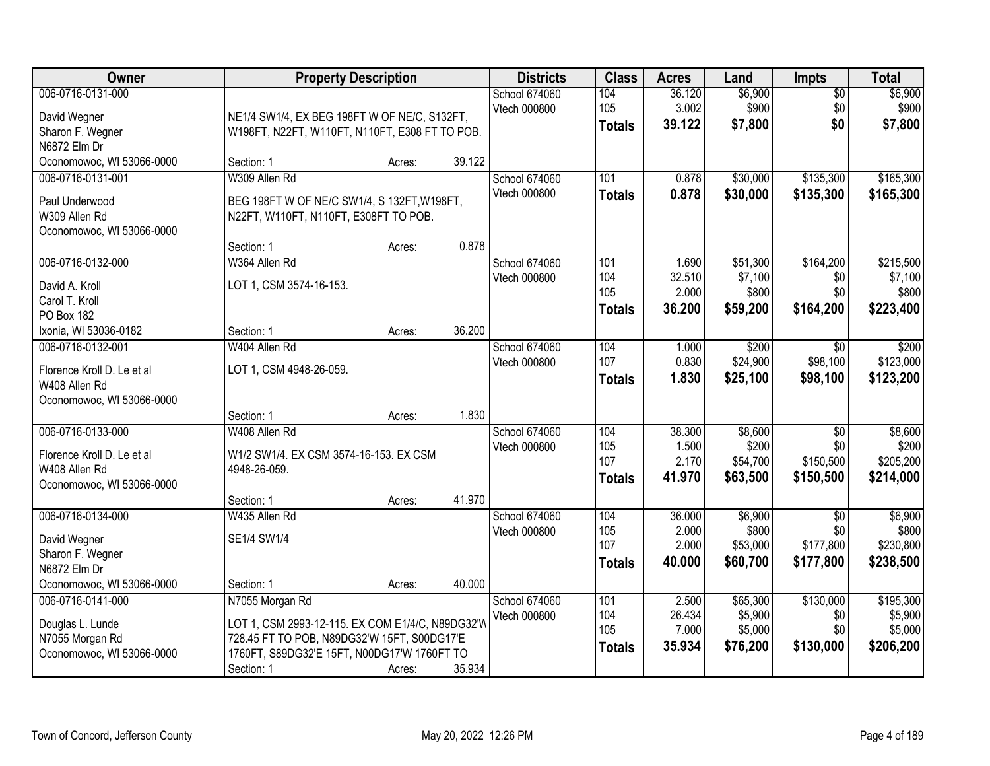| Owner                      |                                                  | <b>Property Description</b> |        | <b>Districts</b> | <b>Class</b>  | <b>Acres</b> | Land     | <b>Impts</b>    | <b>Total</b> |
|----------------------------|--------------------------------------------------|-----------------------------|--------|------------------|---------------|--------------|----------|-----------------|--------------|
| 006-0716-0131-000          |                                                  |                             |        | School 674060    | 104           | 36.120       | \$6,900  | $\overline{50}$ | \$6,900      |
| David Wegner               | NE1/4 SW1/4, EX BEG 198FT W OF NE/C, S132FT,     |                             |        | Vtech 000800     | 105           | 3.002        | \$900    | \$0             | \$900        |
| Sharon F. Wegner           | W198FT, N22FT, W110FT, N110FT, E308 FT TO POB.   |                             |        |                  | <b>Totals</b> | 39.122       | \$7,800  | \$0             | \$7,800      |
| N6872 Elm Dr               |                                                  |                             |        |                  |               |              |          |                 |              |
| Oconomowoc, WI 53066-0000  | Section: 1                                       | Acres:                      | 39.122 |                  |               |              |          |                 |              |
| 006-0716-0131-001          | W309 Allen Rd                                    |                             |        | School 674060    | 101           | 0.878        | \$30,000 | \$135,300       | \$165,300    |
| Paul Underwood             | BEG 198FT W OF NE/C SW1/4, S 132FT, W198FT,      |                             |        | Vtech 000800     | <b>Totals</b> | 0.878        | \$30,000 | \$135,300       | \$165,300    |
| W309 Allen Rd              | N22FT, W110FT, N110FT, E308FT TO POB.            |                             |        |                  |               |              |          |                 |              |
| Oconomowoc, WI 53066-0000  |                                                  |                             |        |                  |               |              |          |                 |              |
|                            | Section: 1                                       | Acres:                      | 0.878  |                  |               |              |          |                 |              |
| 006-0716-0132-000          | W364 Allen Rd                                    |                             |        | School 674060    | 101           | 1.690        | \$51,300 | \$164,200       | \$215,500    |
| David A. Kroll             | LOT 1, CSM 3574-16-153.                          |                             |        | Vtech 000800     | 104           | 32.510       | \$7,100  | \$0             | \$7,100      |
| Carol T. Kroll             |                                                  |                             |        |                  | 105           | 2.000        | \$800    | \$0             | \$800        |
| PO Box 182                 |                                                  |                             |        |                  | <b>Totals</b> | 36.200       | \$59,200 | \$164,200       | \$223,400    |
| Ixonia, WI 53036-0182      | Section: 1                                       | Acres:                      | 36.200 |                  |               |              |          |                 |              |
| 006-0716-0132-001          | W404 Allen Rd                                    |                             |        | School 674060    | 104           | 1.000        | \$200    | $\sqrt{6}$      | \$200        |
| Florence Kroll D. Le et al | LOT 1, CSM 4948-26-059.                          |                             |        | Vtech 000800     | 107           | 0.830        | \$24,900 | \$98,100        | \$123,000    |
| W408 Allen Rd              |                                                  |                             |        |                  | <b>Totals</b> | 1.830        | \$25,100 | \$98,100        | \$123,200    |
| Oconomowoc, WI 53066-0000  |                                                  |                             |        |                  |               |              |          |                 |              |
|                            | Section: 1                                       | Acres:                      | 1.830  |                  |               |              |          |                 |              |
| 006-0716-0133-000          | W408 Allen Rd                                    |                             |        | School 674060    | 104           | 38.300       | \$8,600  | $\overline{50}$ | \$8,600      |
| Florence Kroll D. Le et al | W1/2 SW1/4. EX CSM 3574-16-153. EX CSM           |                             |        | Vtech 000800     | 105           | 1.500        | \$200    | \$0             | \$200        |
| W408 Allen Rd              | 4948-26-059.                                     |                             |        |                  | 107           | 2.170        | \$54,700 | \$150,500       | \$205,200    |
| Oconomowoc, WI 53066-0000  |                                                  |                             |        |                  | <b>Totals</b> | 41.970       | \$63,500 | \$150,500       | \$214,000    |
|                            | Section: 1                                       | Acres:                      | 41.970 |                  |               |              |          |                 |              |
| 006-0716-0134-000          | W435 Allen Rd                                    |                             |        | School 674060    | 104           | 36.000       | \$6,900  | $\overline{30}$ | \$6,900      |
| David Wegner               | SE1/4 SW1/4                                      |                             |        | Vtech 000800     | 105           | 2.000        | \$800    | \$0             | \$800        |
| Sharon F. Wegner           |                                                  |                             |        |                  | 107           | 2.000        | \$53,000 | \$177,800       | \$230,800    |
| N6872 Elm Dr               |                                                  |                             |        |                  | <b>Totals</b> | 40.000       | \$60,700 | \$177,800       | \$238,500    |
| Oconomowoc, WI 53066-0000  | Section: 1                                       | Acres:                      | 40.000 |                  |               |              |          |                 |              |
| 006-0716-0141-000          | N7055 Morgan Rd                                  |                             |        | School 674060    | 101           | 2.500        | \$65,300 | \$130,000       | \$195,300    |
| Douglas L. Lunde           | LOT 1, CSM 2993-12-115. EX COM E1/4/C, N89DG32'W |                             |        | Vtech 000800     | 104           | 26.434       | \$5,900  | \$0             | \$5,900      |
| N7055 Morgan Rd            | 728.45 FT TO POB, N89DG32'W 15FT, S00DG17'E      |                             |        |                  | 105           | 7.000        | \$5,000  | \$0             | \$5,000      |
| Oconomowoc, WI 53066-0000  | 1760FT, S89DG32'E 15FT, N00DG17'W 1760FT TO      |                             |        |                  | <b>Totals</b> | 35.934       | \$76,200 | \$130,000       | \$206,200    |
|                            | Section: 1                                       | Acres:                      | 35.934 |                  |               |              |          |                 |              |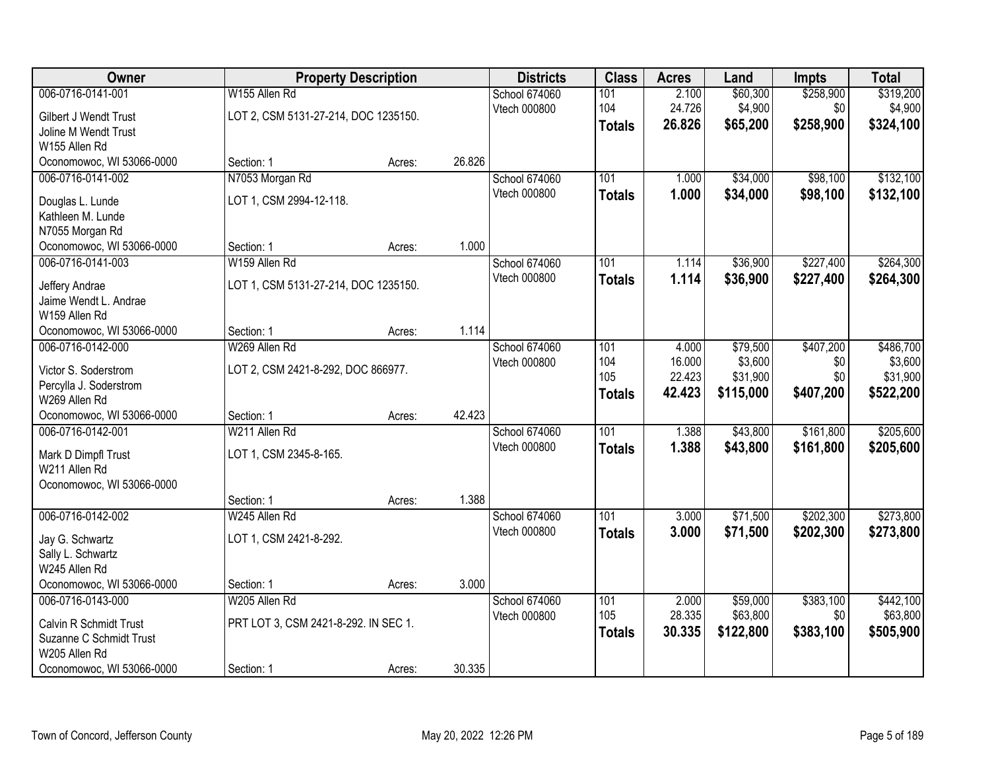| <b>Owner</b>              | <b>Property Description</b>          |        |        | <b>Districts</b>              | <b>Class</b>  | <b>Acres</b>    | Land                 | <b>Impts</b>     | <b>Total</b>          |
|---------------------------|--------------------------------------|--------|--------|-------------------------------|---------------|-----------------|----------------------|------------------|-----------------------|
| 006-0716-0141-001         | W155 Allen Rd                        |        |        | School 674060                 | 101           | 2.100           | \$60,300             | \$258,900        | \$319,200             |
| Gilbert J Wendt Trust     | LOT 2, CSM 5131-27-214, DOC 1235150. |        |        | Vtech 000800                  | 104           | 24.726          | \$4,900              | \$0              | \$4,900               |
| Joline M Wendt Trust      |                                      |        |        |                               | <b>Totals</b> | 26.826          | \$65,200             | \$258,900        | \$324,100             |
| W155 Allen Rd             |                                      |        |        |                               |               |                 |                      |                  |                       |
| Oconomowoc, WI 53066-0000 | Section: 1                           | Acres: | 26.826 |                               |               |                 |                      |                  |                       |
| 006-0716-0141-002         | N7053 Morgan Rd                      |        |        | School 674060                 | 101           | 1.000           | \$34,000             | \$98,100         | \$132,100             |
| Douglas L. Lunde          | LOT 1, CSM 2994-12-118.              |        |        | Vtech 000800                  | <b>Totals</b> | 1.000           | \$34,000             | \$98,100         | \$132,100             |
| Kathleen M. Lunde         |                                      |        |        |                               |               |                 |                      |                  |                       |
| N7055 Morgan Rd           |                                      |        |        |                               |               |                 |                      |                  |                       |
| Oconomowoc, WI 53066-0000 | Section: 1                           | Acres: | 1.000  |                               |               |                 |                      |                  |                       |
| 006-0716-0141-003         | W159 Allen Rd                        |        |        | School 674060                 | 101           | 1.114           | \$36,900             | \$227,400        | \$264,300             |
| Jeffery Andrae            | LOT 1, CSM 5131-27-214, DOC 1235150. |        |        | Vtech 000800                  | <b>Totals</b> | 1.114           | \$36,900             | \$227,400        | \$264,300             |
| Jaime Wendt L. Andrae     |                                      |        |        |                               |               |                 |                      |                  |                       |
| W159 Allen Rd             |                                      |        |        |                               |               |                 |                      |                  |                       |
| Oconomowoc, WI 53066-0000 | Section: 1                           | Acres: | 1.114  |                               |               |                 |                      |                  |                       |
| 006-0716-0142-000         | W269 Allen Rd                        |        |        | School 674060                 | 101           | 4.000<br>16.000 | \$79,500             | \$407,200        | \$486,700             |
| Victor S. Soderstrom      | LOT 2, CSM 2421-8-292, DOC 866977.   |        |        | Vtech 000800                  | 104<br>105    | 22.423          | \$3,600<br>\$31,900  | \$0<br>\$0       | \$3,600<br>\$31,900   |
| Percylla J. Soderstrom    |                                      |        |        |                               | <b>Totals</b> | 42.423          | \$115,000            | \$407,200        | \$522,200             |
| W269 Allen Rd             |                                      |        |        |                               |               |                 |                      |                  |                       |
| Oconomowoc, WI 53066-0000 | Section: 1                           | Acres: | 42.423 |                               |               |                 |                      |                  |                       |
| 006-0716-0142-001         | W211 Allen Rd                        |        |        | School 674060                 | 101           | 1.388           | \$43,800             | \$161,800        | \$205,600             |
| Mark D Dimpfl Trust       | LOT 1, CSM 2345-8-165.               |        |        | Vtech 000800                  | <b>Totals</b> | 1.388           | \$43,800             | \$161,800        | \$205,600             |
| W211 Allen Rd             |                                      |        |        |                               |               |                 |                      |                  |                       |
| Oconomowoc, WI 53066-0000 |                                      |        |        |                               |               |                 |                      |                  |                       |
|                           | Section: 1                           | Acres: | 1.388  |                               |               |                 |                      |                  |                       |
| 006-0716-0142-002         | W245 Allen Rd                        |        |        | School 674060<br>Vtech 000800 | 101           | 3.000           | \$71,500             | \$202,300        | \$273,800             |
| Jay G. Schwartz           | LOT 1, CSM 2421-8-292.               |        |        |                               | <b>Totals</b> | 3.000           | \$71,500             | \$202,300        | \$273,800             |
| Sally L. Schwartz         |                                      |        |        |                               |               |                 |                      |                  |                       |
| W245 Allen Rd             |                                      |        |        |                               |               |                 |                      |                  |                       |
| Oconomowoc, WI 53066-0000 | Section: 1                           | Acres: | 3.000  |                               |               |                 |                      |                  |                       |
| 006-0716-0143-000         | W205 Allen Rd                        |        |        | School 674060<br>Vtech 000800 | 101<br>105    | 2.000<br>28.335 | \$59,000<br>\$63,800 | \$383,100<br>\$0 | \$442,100<br>\$63,800 |
| Calvin R Schmidt Trust    | PRT LOT 3, CSM 2421-8-292. IN SEC 1. |        |        |                               | <b>Totals</b> | 30.335          | \$122,800            | \$383,100        | \$505,900             |
| Suzanne C Schmidt Trust   |                                      |        |        |                               |               |                 |                      |                  |                       |
| W205 Allen Rd             |                                      |        |        |                               |               |                 |                      |                  |                       |
| Oconomowoc, WI 53066-0000 | Section: 1                           | Acres: | 30.335 |                               |               |                 |                      |                  |                       |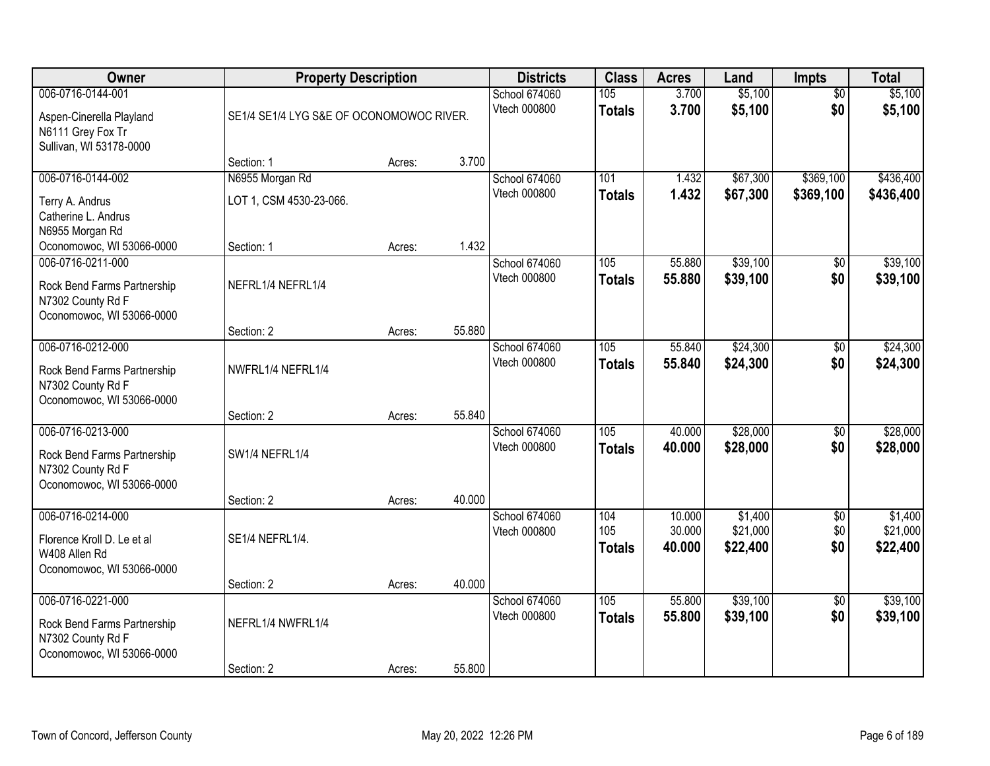| Owner                                                                                              | <b>Property Description</b>                |                                          |        | <b>Districts</b>              | <b>Class</b>         | <b>Acres</b>     | Land                 | <b>Impts</b>           | <b>Total</b>           |
|----------------------------------------------------------------------------------------------------|--------------------------------------------|------------------------------------------|--------|-------------------------------|----------------------|------------------|----------------------|------------------------|------------------------|
| 006-0716-0144-001<br>Aspen-Cinerella Playland<br>N6111 Grey Fox Tr<br>Sullivan, WI 53178-0000      |                                            | SE1/4 SE1/4 LYG S&E OF OCONOMOWOC RIVER. |        | School 674060<br>Vtech 000800 | 105<br><b>Totals</b> | 3.700<br>3.700   | \$5,100<br>\$5,100   | $\overline{50}$<br>\$0 | \$5,100<br>\$5,100     |
|                                                                                                    | Section: 1                                 | Acres:                                   | 3.700  |                               |                      |                  |                      |                        |                        |
| 006-0716-0144-002<br>Terry A. Andrus<br>Catherine L. Andrus<br>N6955 Morgan Rd                     | N6955 Morgan Rd<br>LOT 1, CSM 4530-23-066. |                                          |        | School 674060<br>Vtech 000800 | 101<br><b>Totals</b> | 1.432<br>1.432   | \$67,300<br>\$67,300 | \$369,100<br>\$369,100 | \$436,400<br>\$436,400 |
| Oconomowoc, WI 53066-0000                                                                          | Section: 1                                 | Acres:                                   | 1.432  |                               |                      |                  |                      |                        |                        |
| 006-0716-0211-000<br>Rock Bend Farms Partnership<br>N7302 County Rd F<br>Oconomowoc, WI 53066-0000 | NEFRL1/4 NEFRL1/4                          |                                          |        | School 674060<br>Vtech 000800 | 105<br><b>Totals</b> | 55.880<br>55.880 | \$39,100<br>\$39,100 | \$0<br>\$0             | \$39,100<br>\$39,100   |
|                                                                                                    | Section: 2                                 | Acres:                                   | 55.880 |                               |                      |                  |                      |                        |                        |
| 006-0716-0212-000<br>Rock Bend Farms Partnership<br>N7302 County Rd F<br>Oconomowoc, WI 53066-0000 | NWFRL1/4 NEFRL1/4                          |                                          |        | School 674060<br>Vtech 000800 | 105<br><b>Totals</b> | 55.840<br>55.840 | \$24,300<br>\$24,300 | $\overline{50}$<br>\$0 | \$24,300<br>\$24,300   |
|                                                                                                    | Section: 2                                 | Acres:                                   | 55.840 |                               |                      |                  |                      |                        |                        |
| 006-0716-0213-000<br>Rock Bend Farms Partnership<br>N7302 County Rd F<br>Oconomowoc, WI 53066-0000 | SW1/4 NEFRL1/4                             |                                          | 40.000 | School 674060<br>Vtech 000800 | 105<br><b>Totals</b> | 40.000<br>40.000 | \$28,000<br>\$28,000 | $\overline{50}$<br>\$0 | \$28,000<br>\$28,000   |
| 006-0716-0214-000                                                                                  | Section: 2                                 | Acres:                                   |        | School 674060                 | 104                  | 10.000           | \$1,400              | $\overline{50}$        | \$1,400                |
| Florence Kroll D. Le et al<br>W408 Allen Rd<br>Oconomowoc, WI 53066-0000                           | SE1/4 NEFRL1/4.                            |                                          |        | Vtech 000800                  | 105<br><b>Totals</b> | 30.000<br>40.000 | \$21,000<br>\$22,400 | \$0<br>\$0             | \$21,000<br>\$22,400   |
|                                                                                                    | Section: 2                                 | Acres:                                   | 40.000 |                               |                      |                  |                      |                        |                        |
| 006-0716-0221-000<br>Rock Bend Farms Partnership<br>N7302 County Rd F<br>Oconomowoc, WI 53066-0000 | NEFRL1/4 NWFRL1/4                          |                                          |        | School 674060<br>Vtech 000800 | 105<br><b>Totals</b> | 55.800<br>55.800 | \$39,100<br>\$39,100 | $\overline{50}$<br>\$0 | \$39,100<br>\$39,100   |
|                                                                                                    | Section: 2                                 | Acres:                                   | 55.800 |                               |                      |                  |                      |                        |                        |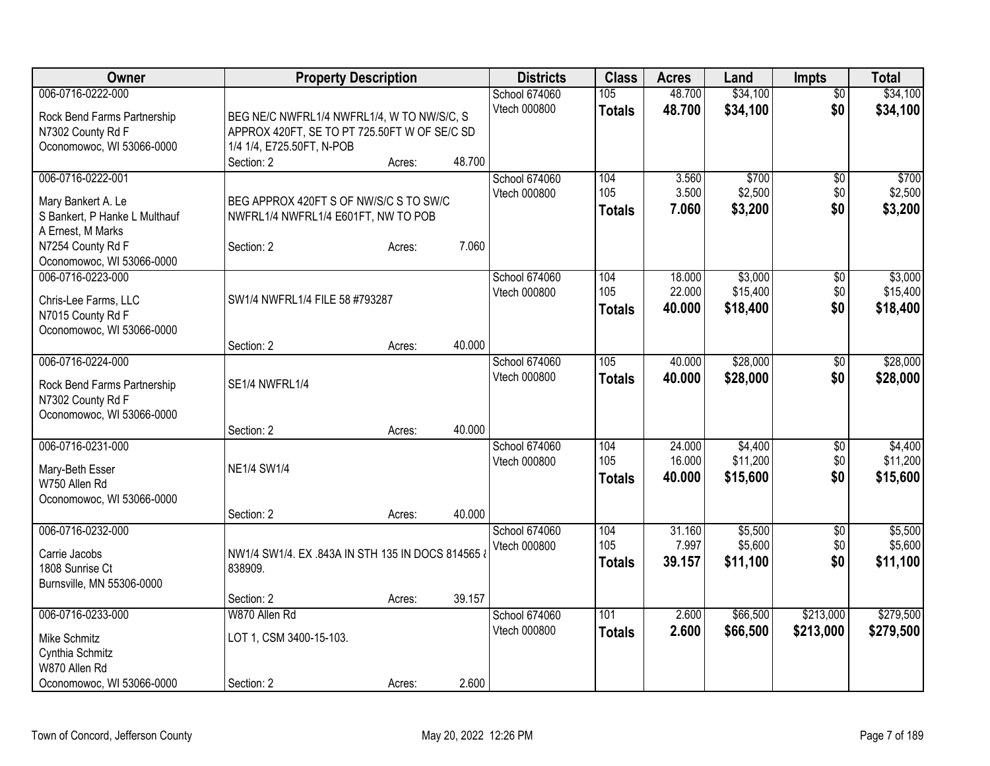| <b>Owner</b>                                                                                                                                    | <b>Property Description</b>                                                                                                           |                  |                  | <b>Districts</b>              | <b>Class</b>                | <b>Acres</b>               | Land                            | <b>Impts</b>             | <b>Total</b>                    |
|-------------------------------------------------------------------------------------------------------------------------------------------------|---------------------------------------------------------------------------------------------------------------------------------------|------------------|------------------|-------------------------------|-----------------------------|----------------------------|---------------------------------|--------------------------|---------------------------------|
| 006-0716-0222-000<br>Rock Bend Farms Partnership<br>N7302 County Rd F<br>Oconomowoc, WI 53066-0000                                              | BEG NE/C NWFRL1/4 NWFRL1/4, W TO NW/S/C, S<br>APPROX 420FT, SE TO PT 725.50FT W OF SE/C SD<br>1/4 1/4, E725.50FT, N-POB<br>Section: 2 | Acres:           | 48.700           | School 674060<br>Vtech 000800 | 105<br><b>Totals</b>        | 48.700<br>48.700           | \$34,100<br>\$34,100            | $\overline{50}$<br>\$0   | \$34,100<br>\$34,100            |
| 006-0716-0222-001<br>Mary Bankert A. Le<br>S Bankert, P Hanke L Multhauf<br>A Ernest, M Marks<br>N7254 County Rd F<br>Oconomowoc, WI 53066-0000 | BEG APPROX 420FT S OF NW/S/C S TO SW/C<br>NWFRL1/4 NWFRL1/4 E601FT, NW TO POB<br>Section: 2                                           | Acres:           | 7.060            | School 674060<br>Vtech 000800 | 104<br>105<br><b>Totals</b> | 3.560<br>3.500<br>7.060    | \$700<br>\$2,500<br>\$3,200     | $\sqrt{6}$<br>\$0<br>\$0 | \$700<br>\$2,500<br>\$3,200     |
| 006-0716-0223-000<br>Chris-Lee Farms, LLC<br>N7015 County Rd F<br>Oconomowoc, WI 53066-0000                                                     | SW1/4 NWFRL1/4 FILE 58 #793287                                                                                                        |                  |                  | School 674060<br>Vtech 000800 | 104<br>105<br><b>Totals</b> | 18.000<br>22.000<br>40.000 | \$3,000<br>\$15,400<br>\$18,400 | \$0<br>\$0<br>\$0        | \$3,000<br>\$15,400<br>\$18,400 |
| 006-0716-0224-000<br>Rock Bend Farms Partnership<br>N7302 County Rd F<br>Oconomowoc, WI 53066-0000                                              | Section: 2<br>SE1/4 NWFRL1/4                                                                                                          | Acres:           | 40.000           | School 674060<br>Vtech 000800 | 105<br><b>Totals</b>        | 40.000<br>40.000           | \$28,000<br>\$28,000            | \$0<br>\$0               | \$28,000<br>\$28,000            |
| 006-0716-0231-000<br>Mary-Beth Esser<br>W750 Allen Rd<br>Oconomowoc, WI 53066-0000                                                              | Section: 2<br><b>NE1/4 SW1/4</b>                                                                                                      | Acres:           | 40.000           | School 674060<br>Vtech 000800 | 104<br>105<br><b>Totals</b> | 24.000<br>16.000<br>40.000 | \$4,400<br>\$11,200<br>\$15,600 | \$0<br>\$0<br>\$0        | \$4,400<br>\$11,200<br>\$15,600 |
| 006-0716-0232-000<br>Carrie Jacobs<br>1808 Sunrise Ct<br>Burnsville, MN 55306-0000                                                              | Section: 2<br>NW1/4 SW1/4. EX .843A IN STH 135 IN DOCS 814565 &<br>838909.<br>Section: 2                                              | Acres:<br>Acres: | 40.000<br>39.157 | School 674060<br>Vtech 000800 | 104<br>105<br><b>Totals</b> | 31.160<br>7.997<br>39.157  | \$5,500<br>\$5,600<br>\$11,100  | $\sqrt{6}$<br>\$0<br>\$0 | \$5,500<br>\$5,600<br>\$11,100  |
| 006-0716-0233-000<br>Mike Schmitz<br>Cynthia Schmitz<br>W870 Allen Rd<br>Oconomowoc, WI 53066-0000                                              | W870 Allen Rd<br>LOT 1, CSM 3400-15-103.<br>Section: 2                                                                                | Acres:           | 2.600            | School 674060<br>Vtech 000800 | 101<br><b>Totals</b>        | 2.600<br>2.600             | \$66,500<br>\$66,500            | \$213,000<br>\$213,000   | \$279,500<br>\$279,500          |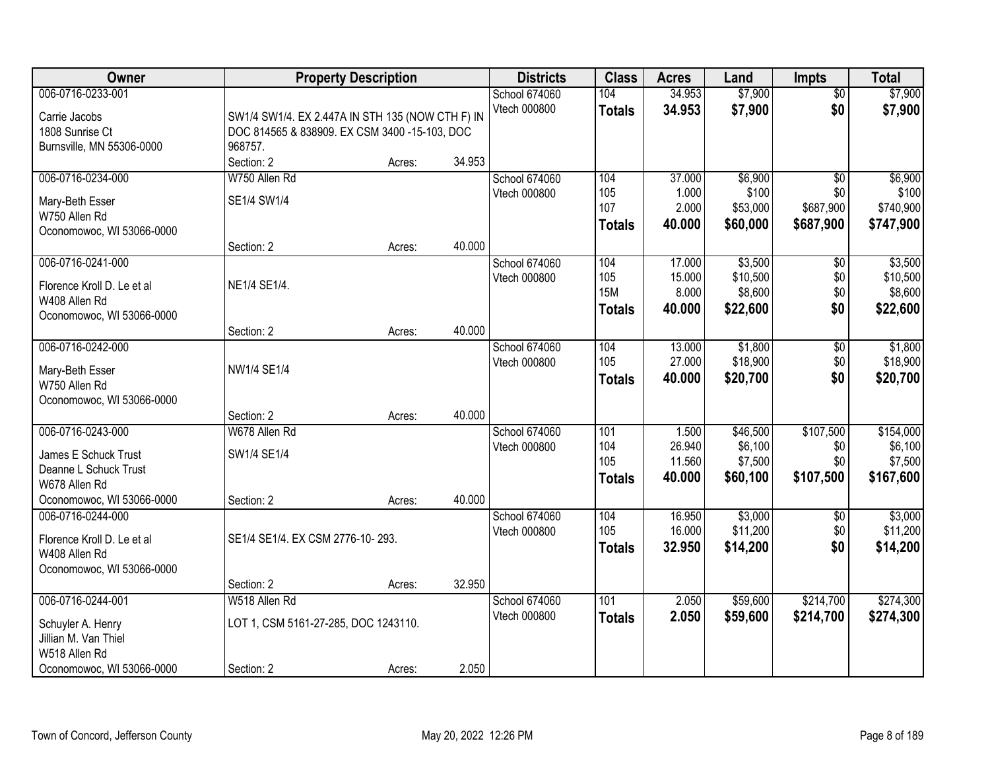| Owner                                                                                                            |                                                                                                   | <b>Property Description</b> |                  | <b>Districts</b>              | <b>Class</b>                              | <b>Acres</b>                        | Land                                       | <b>Impts</b>                                     | <b>Total</b>                                 |
|------------------------------------------------------------------------------------------------------------------|---------------------------------------------------------------------------------------------------|-----------------------------|------------------|-------------------------------|-------------------------------------------|-------------------------------------|--------------------------------------------|--------------------------------------------------|----------------------------------------------|
| 006-0716-0233-001<br>Carrie Jacobs<br>1808 Sunrise Ct                                                            | SW1/4 SW1/4. EX 2.447A IN STH 135 (NOW CTH F) IN<br>DOC 814565 & 838909. EX CSM 3400 -15-103, DOC |                             |                  | School 674060<br>Vtech 000800 | 104<br><b>Totals</b>                      | 34.953<br>34.953                    | \$7,900<br>\$7,900                         | $\overline{50}$<br>\$0                           | \$7,900<br>\$7,900                           |
| Burnsville, MN 55306-0000                                                                                        | 968757.<br>Section: 2                                                                             | Acres:                      | 34.953           |                               |                                           |                                     |                                            |                                                  |                                              |
| 006-0716-0234-000<br>Mary-Beth Esser<br>W750 Allen Rd<br>Oconomowoc, WI 53066-0000                               | W750 Allen Rd<br>SE1/4 SW1/4                                                                      |                             |                  | School 674060<br>Vtech 000800 | 104<br>105<br>107<br><b>Totals</b>        | 37.000<br>1.000<br>2.000<br>40.000  | \$6,900<br>\$100<br>\$53,000<br>\$60,000   | $\overline{50}$<br>\$0<br>\$687,900<br>\$687,900 | \$6,900<br>\$100<br>\$740,900<br>\$747,900   |
| 006-0716-0241-000<br>Florence Kroll D. Le et al<br>W408 Allen Rd<br>Oconomowoc, WI 53066-0000                    | Section: 2<br>NE1/4 SE1/4.                                                                        | Acres:                      | 40.000           | School 674060<br>Vtech 000800 | 104<br>105<br><b>15M</b><br><b>Totals</b> | 17.000<br>15.000<br>8.000<br>40.000 | \$3,500<br>\$10,500<br>\$8,600<br>\$22,600 | \$0<br>\$0<br>\$0<br>\$0                         | \$3,500<br>\$10,500<br>\$8,600<br>\$22,600   |
| 006-0716-0242-000<br>Mary-Beth Esser<br>W750 Allen Rd<br>Oconomowoc, WI 53066-0000                               | Section: 2<br>NW1/4 SE1/4                                                                         | Acres:                      | 40.000           | School 674060<br>Vtech 000800 | 104<br>105<br><b>Totals</b>               | 13.000<br>27.000<br>40.000          | \$1,800<br>\$18,900<br>\$20,700            | $\sqrt[6]{3}$<br>\$0<br>\$0                      | \$1,800<br>\$18,900<br>\$20,700              |
| 006-0716-0243-000<br>James E Schuck Trust<br>Deanne L Schuck Trust<br>W678 Allen Rd<br>Oconomowoc, WI 53066-0000 | Section: 2<br>W678 Allen Rd<br>SW1/4 SE1/4<br>Section: 2                                          | Acres:<br>Acres:            | 40.000<br>40.000 | School 674060<br>Vtech 000800 | 101<br>104<br>105<br><b>Totals</b>        | 1.500<br>26.940<br>11.560<br>40.000 | \$46,500<br>\$6,100<br>\$7,500<br>\$60,100 | \$107,500<br>\$0<br>\$0<br>\$107,500             | \$154,000<br>\$6,100<br>\$7,500<br>\$167,600 |
| 006-0716-0244-000<br>Florence Kroll D. Le et al<br>W408 Allen Rd<br>Oconomowoc, WI 53066-0000                    | SE1/4 SE1/4. EX CSM 2776-10-293.<br>Section: 2                                                    | Acres:                      | 32.950           | School 674060<br>Vtech 000800 | 104<br>105<br><b>Totals</b>               | 16.950<br>16.000<br>32.950          | \$3,000<br>\$11,200<br>\$14,200            | \$0<br>\$0<br>\$0                                | \$3,000<br>\$11,200<br>\$14,200              |
| 006-0716-0244-001<br>Schuyler A. Henry<br>Jillian M. Van Thiel<br>W518 Allen Rd<br>Oconomowoc, WI 53066-0000     | W518 Allen Rd<br>LOT 1, CSM 5161-27-285, DOC 1243110.<br>Section: 2                               | Acres:                      | 2.050            | School 674060<br>Vtech 000800 | 101<br><b>Totals</b>                      | 2.050<br>2.050                      | \$59,600<br>\$59,600                       | \$214,700<br>\$214,700                           | \$274,300<br>\$274,300                       |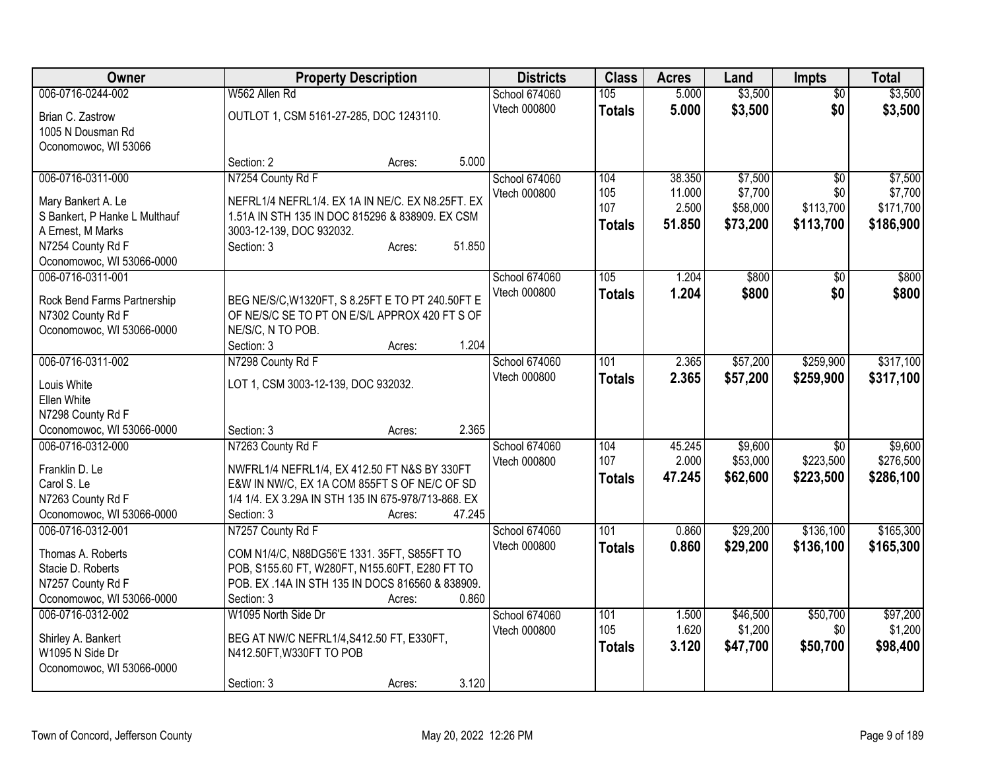| Owner                                          | <b>Property Description</b>                                           | <b>Districts</b> | <b>Class</b>  | <b>Acres</b> | Land     | <b>Impts</b>    | <b>Total</b> |
|------------------------------------------------|-----------------------------------------------------------------------|------------------|---------------|--------------|----------|-----------------|--------------|
| 006-0716-0244-002                              | W562 Allen Rd                                                         | School 674060    | 105           | 5.000        | \$3,500  | $\overline{50}$ | \$3,500      |
| Brian C. Zastrow                               | OUTLOT 1, CSM 5161-27-285, DOC 1243110.                               | Vtech 000800     | <b>Totals</b> | 5.000        | \$3,500  | \$0             | \$3,500      |
| 1005 N Dousman Rd                              |                                                                       |                  |               |              |          |                 |              |
| Oconomowoc, WI 53066                           |                                                                       |                  |               |              |          |                 |              |
|                                                | 5.000<br>Section: 2<br>Acres:                                         |                  |               |              |          |                 |              |
| 006-0716-0311-000                              | N7254 County Rd F                                                     | School 674060    | 104           | 38.350       | \$7,500  | $\overline{50}$ | \$7,500      |
| Mary Bankert A. Le                             | NEFRL1/4 NEFRL1/4. EX 1A IN NE/C. EX N8.25FT. EX                      | Vtech 000800     | 105           | 11.000       | \$7,700  | \$0             | \$7,700      |
| S Bankert, P Hanke L Multhauf                  | 1.51A IN STH 135 IN DOC 815296 & 838909. EX CSM                       |                  | 107           | 2.500        | \$58,000 | \$113,700       | \$171,700    |
| A Ernest, M Marks                              | 3003-12-139, DOC 932032.                                              |                  | <b>Totals</b> | 51,850       | \$73,200 | \$113,700       | \$186,900    |
| N7254 County Rd F                              | 51.850<br>Section: 3<br>Acres:                                        |                  |               |              |          |                 |              |
| Oconomowoc, WI 53066-0000                      |                                                                       |                  |               |              |          |                 |              |
| 006-0716-0311-001                              |                                                                       | School 674060    | 105           | 1.204        | \$800    | $\sqrt{50}$     | \$800        |
|                                                |                                                                       | Vtech 000800     | <b>Totals</b> | 1.204        | \$800    | \$0             | \$800        |
| Rock Bend Farms Partnership                    | BEG NE/S/C, W1320FT, S 8.25FT E TO PT 240.50FT E                      |                  |               |              |          |                 |              |
| N7302 County Rd F<br>Oconomowoc, WI 53066-0000 | OF NE/S/C SE TO PT ON E/S/L APPROX 420 FT S OF<br>NE/S/C, N TO POB.   |                  |               |              |          |                 |              |
|                                                | 1.204<br>Section: 3<br>Acres:                                         |                  |               |              |          |                 |              |
| 006-0716-0311-002                              | N7298 County Rd F                                                     | School 674060    | 101           | 2.365        | \$57,200 | \$259,900       | \$317,100    |
|                                                |                                                                       | Vtech 000800     | <b>Totals</b> | 2.365        | \$57,200 | \$259,900       | \$317,100    |
| Louis White                                    | LOT 1, CSM 3003-12-139, DOC 932032.                                   |                  |               |              |          |                 |              |
| Ellen White                                    |                                                                       |                  |               |              |          |                 |              |
| N7298 County Rd F                              |                                                                       |                  |               |              |          |                 |              |
| Oconomowoc, WI 53066-0000                      | 2.365<br>Section: 3<br>Acres:                                         |                  |               |              |          |                 |              |
| 006-0716-0312-000                              | N7263 County Rd F                                                     | School 674060    | 104           | 45.245       | \$9,600  | $\overline{30}$ | \$9,600      |
| Franklin D. Le                                 | NWFRL1/4 NEFRL1/4, EX 412.50 FT N&S BY 330FT                          | Vtech 000800     | 107           | 2.000        | \$53,000 | \$223,500       | \$276,500    |
| Carol S. Le                                    | E&W IN NW/C, EX 1A COM 855FT S OF NE/C OF SD                          |                  | <b>Totals</b> | 47.245       | \$62,600 | \$223,500       | \$286,100    |
| N7263 County Rd F                              | 1/4 1/4. EX 3.29A IN STH 135 IN 675-978/713-868. EX                   |                  |               |              |          |                 |              |
| Oconomowoc, WI 53066-0000                      | 47.245<br>Section: 3<br>Acres:                                        |                  |               |              |          |                 |              |
| 006-0716-0312-001                              | N7257 County Rd F                                                     | School 674060    | 101           | 0.860        | \$29,200 | \$136,100       | \$165,300    |
| Thomas A. Roberts                              | COM N1/4/C, N88DG56'E 1331. 35FT, S855FT TO                           | Vtech 000800     | <b>Totals</b> | 0.860        | \$29,200 | \$136,100       | \$165,300    |
| Stacie D. Roberts                              | POB, S155.60 FT, W280FT, N155.60FT, E280 FT TO                        |                  |               |              |          |                 |              |
| N7257 County Rd F                              | POB. EX .14A IN STH 135 IN DOCS 816560 & 838909.                      |                  |               |              |          |                 |              |
| Oconomowoc, WI 53066-0000                      | 0.860<br>Section: 3<br>Acres:                                         |                  |               |              |          |                 |              |
| 006-0716-0312-002                              | W1095 North Side Dr                                                   | School 674060    | 101           | 1.500        | \$46,500 | \$50,700        | \$97,200     |
|                                                |                                                                       | Vtech 000800     | 105           | 1.620        | \$1,200  | \$0             | \$1,200      |
| Shirley A. Bankert<br>W1095 N Side Dr          | BEG AT NW/C NEFRL1/4, S412.50 FT, E330FT,<br>N412.50FT, W330FT TO POB |                  | <b>Totals</b> | 3.120        | \$47,700 | \$50,700        | \$98,400     |
| Oconomowoc, WI 53066-0000                      |                                                                       |                  |               |              |          |                 |              |
|                                                | 3.120<br>Section: 3<br>Acres:                                         |                  |               |              |          |                 |              |
|                                                |                                                                       |                  |               |              |          |                 |              |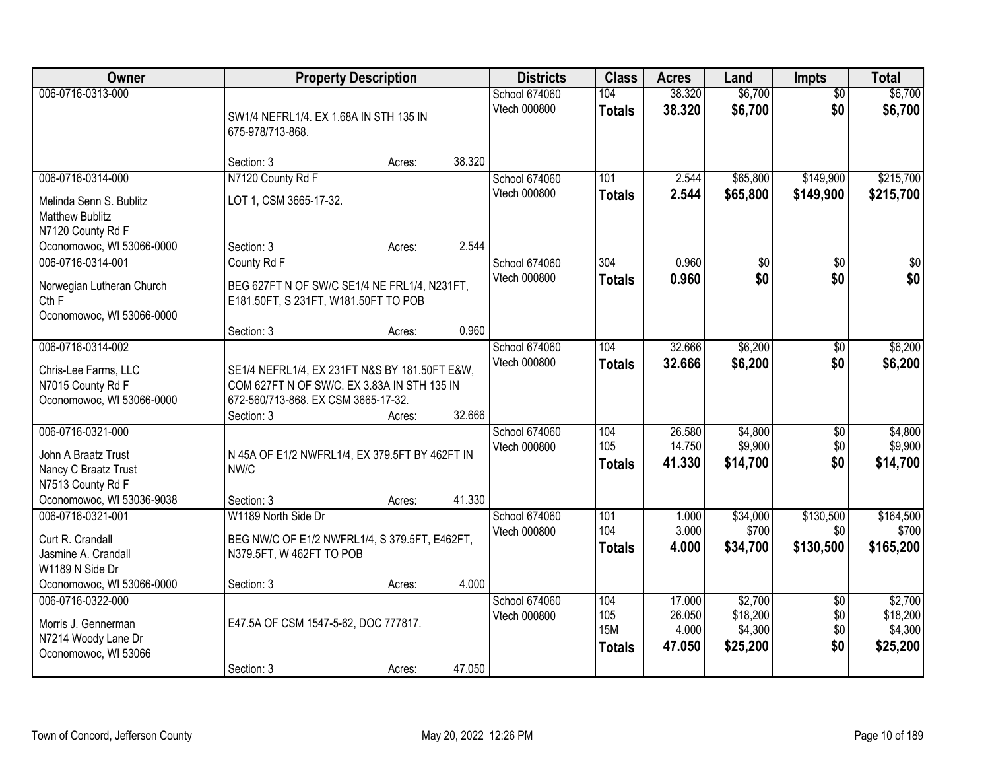| Owner                                                                                                              | <b>Property Description</b>                                                                                                                       |        |        | <b>Districts</b>              | <b>Class</b>                              | <b>Acres</b>                        | Land                                       | <b>Impts</b>                         | <b>Total</b>                               |
|--------------------------------------------------------------------------------------------------------------------|---------------------------------------------------------------------------------------------------------------------------------------------------|--------|--------|-------------------------------|-------------------------------------------|-------------------------------------|--------------------------------------------|--------------------------------------|--------------------------------------------|
| 006-0716-0313-000                                                                                                  | SW1/4 NEFRL1/4. EX 1.68A IN STH 135 IN<br>675-978/713-868.                                                                                        |        |        | School 674060<br>Vtech 000800 | 104<br><b>Totals</b>                      | 38.320<br>38.320                    | \$6,700<br>\$6,700                         | $\overline{50}$<br>\$0               | \$6,700<br>\$6,700                         |
|                                                                                                                    | Section: 3                                                                                                                                        | Acres: | 38.320 |                               |                                           |                                     |                                            |                                      |                                            |
| 006-0716-0314-000<br>Melinda Senn S. Bublitz<br><b>Matthew Bublitz</b><br>N7120 County Rd F                        | N7120 County Rd F<br>LOT 1, CSM 3665-17-32.                                                                                                       |        |        | School 674060<br>Vtech 000800 | 101<br><b>Totals</b>                      | 2.544<br>2.544                      | \$65,800<br>\$65,800                       | \$149,900<br>\$149,900               | \$215,700<br>\$215,700                     |
| Oconomowoc, WI 53066-0000<br>006-0716-0314-001                                                                     | Section: 3<br>County Rd F                                                                                                                         | Acres: | 2.544  | School 674060                 | 304                                       | 0.960                               | \$0                                        | \$0                                  | $\overline{30}$                            |
| Norwegian Lutheran Church<br>Cth F<br>Oconomowoc, WI 53066-0000                                                    | BEG 627FT N OF SW/C SE1/4 NE FRL1/4, N231FT,<br>E181.50FT, S 231FT, W181.50FT TO POB                                                              |        |        | Vtech 000800                  | <b>Totals</b>                             | 0.960                               | \$0                                        | \$0                                  | \$0                                        |
|                                                                                                                    | Section: 3                                                                                                                                        | Acres: | 0.960  |                               |                                           |                                     |                                            |                                      |                                            |
| 006-0716-0314-002<br>Chris-Lee Farms, LLC<br>N7015 County Rd F<br>Oconomowoc, WI 53066-0000                        | SE1/4 NEFRL1/4, EX 231FT N&S BY 181.50FT E&W,<br>COM 627FT N OF SW/C. EX 3.83A IN STH 135 IN<br>672-560/713-868. EX CSM 3665-17-32.<br>Section: 3 | Acres: | 32.666 | School 674060<br>Vtech 000800 | 104<br><b>Totals</b>                      | 32.666<br>32.666                    | \$6,200<br>\$6,200                         | $\sqrt[6]{3}$<br>\$0                 | \$6,200<br>\$6,200                         |
| 006-0716-0321-000<br>John A Braatz Trust<br>Nancy C Braatz Trust<br>N7513 County Rd F<br>Oconomowoc, WI 53036-9038 | N 45A OF E1/2 NWFRL1/4, EX 379.5FT BY 462FT IN<br>NW/C<br>Section: 3                                                                              | Acres: | 41.330 | School 674060<br>Vtech 000800 | 104<br>105<br><b>Totals</b>               | 26.580<br>14.750<br>41.330          | \$4,800<br>\$9,900<br>\$14,700             | $\overline{50}$<br>\$0<br>\$0        | \$4,800<br>\$9,900<br>\$14,700             |
| 006-0716-0321-001<br>Curt R. Crandall<br>Jasmine A. Crandall<br>W1189 N Side Dr<br>Oconomowoc, WI 53066-0000       | W1189 North Side Dr<br>BEG NW/C OF E1/2 NWFRL1/4, S 379.5FT, E462FT,<br>N379.5FT, W 462FT TO POB<br>Section: 3                                    | Acres: | 4.000  | School 674060<br>Vtech 000800 | 101<br>104<br><b>Totals</b>               | 1.000<br>3.000<br>4.000             | \$34,000<br>\$700<br>\$34,700              | \$130,500<br>\$0<br>\$130,500        | \$164,500<br>\$700<br>\$165,200            |
| 006-0716-0322-000<br>Morris J. Gennerman<br>N7214 Woody Lane Dr<br>Oconomowoc, WI 53066                            | E47.5A OF CSM 1547-5-62, DOC 777817.<br>Section: 3                                                                                                | Acres: | 47.050 | School 674060<br>Vtech 000800 | 104<br>105<br><b>15M</b><br><b>Totals</b> | 17.000<br>26.050<br>4.000<br>47.050 | \$2,700<br>\$18,200<br>\$4,300<br>\$25,200 | $\overline{50}$<br>\$0<br>\$0<br>\$0 | \$2,700<br>\$18,200<br>\$4,300<br>\$25,200 |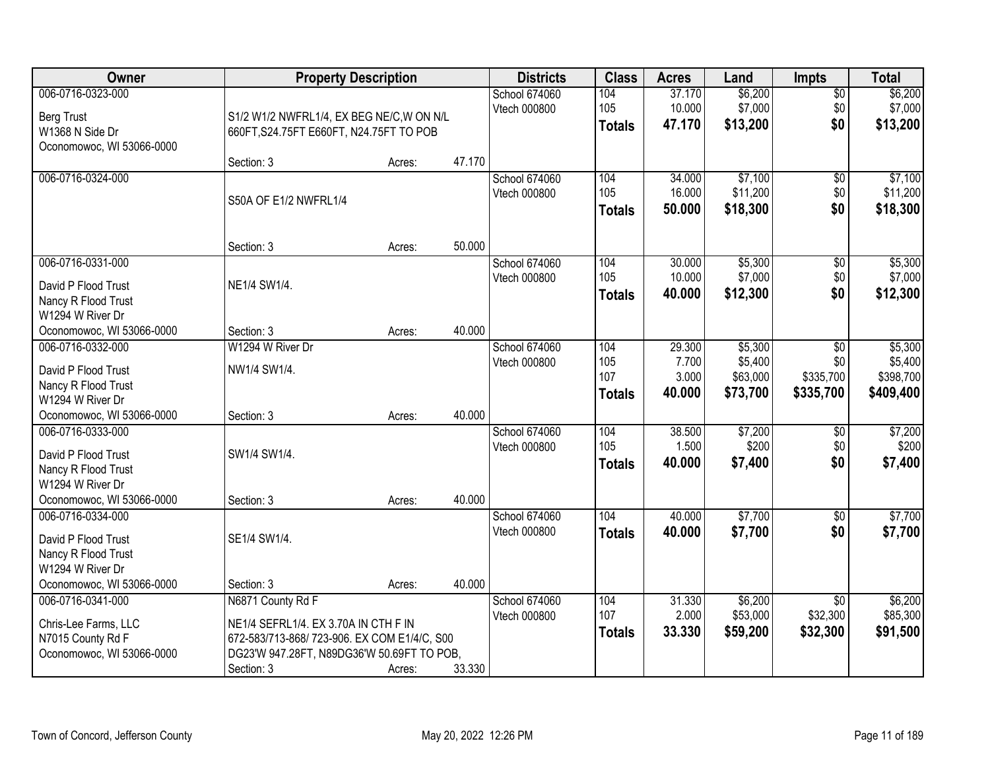| Owner                                                                                                            | <b>Property Description</b>                                                                                                                                          |        |        | <b>Districts</b>                     | <b>Class</b>                       | <b>Acres</b>                       | Land                                       | <b>Impts</b>                            | <b>Total</b>                                 |
|------------------------------------------------------------------------------------------------------------------|----------------------------------------------------------------------------------------------------------------------------------------------------------------------|--------|--------|--------------------------------------|------------------------------------|------------------------------------|--------------------------------------------|-----------------------------------------|----------------------------------------------|
| 006-0716-0323-000<br><b>Berg Trust</b><br>W1368 N Side Dr<br>Oconomowoc, WI 53066-0000                           | S1/2 W1/2 NWFRL1/4, EX BEG NE/C, W ON N/L<br>660FT, S24.75FT E660FT, N24.75FT TO POB                                                                                 |        |        | School 674060<br>Vtech 000800        | 104<br>105<br><b>Totals</b>        | 37.170<br>10.000<br>47.170         | \$6,200<br>\$7,000<br>\$13,200             | $\sqrt{$0}$<br>\$0<br>\$0               | \$6,200<br>\$7,000<br>\$13,200               |
|                                                                                                                  | Section: 3                                                                                                                                                           | Acres: | 47.170 |                                      |                                    |                                    |                                            |                                         |                                              |
| 006-0716-0324-000                                                                                                | S50A OF E1/2 NWFRL1/4                                                                                                                                                |        |        | <b>School 674060</b><br>Vtech 000800 | 104<br>105<br><b>Totals</b>        | 34.000<br>16.000<br>50.000         | \$7,100<br>\$11,200<br>\$18,300            | \$0<br>\$0<br>\$0                       | \$7,100<br>\$11,200<br>\$18,300              |
|                                                                                                                  | Section: 3                                                                                                                                                           | Acres: | 50.000 |                                      |                                    |                                    |                                            |                                         |                                              |
| 006-0716-0331-000<br>David P Flood Trust<br>Nancy R Flood Trust<br>W1294 W River Dr                              | NE1/4 SW1/4.                                                                                                                                                         |        |        | <b>School 674060</b><br>Vtech 000800 | 104<br>105<br><b>Totals</b>        | 30.000<br>10.000<br>40.000         | \$5,300<br>\$7,000<br>\$12,300             | $\overline{50}$<br>\$0<br>\$0           | \$5,300<br>\$7,000<br>\$12,300               |
| Oconomowoc, WI 53066-0000                                                                                        | Section: 3                                                                                                                                                           | Acres: | 40.000 |                                      |                                    |                                    |                                            |                                         |                                              |
| 006-0716-0332-000<br>David P Flood Trust<br>Nancy R Flood Trust<br>W1294 W River Dr                              | W1294 W River Dr<br>NW1/4 SW1/4.                                                                                                                                     |        |        | School 674060<br>Vtech 000800        | 104<br>105<br>107<br><b>Totals</b> | 29.300<br>7.700<br>3.000<br>40.000 | \$5,300<br>\$5,400<br>\$63,000<br>\$73,700 | \$0<br>\$0<br>\$335,700<br>\$335,700    | \$5,300<br>\$5,400<br>\$398,700<br>\$409,400 |
| Oconomowoc, WI 53066-0000                                                                                        | Section: 3                                                                                                                                                           | Acres: | 40.000 |                                      |                                    |                                    |                                            |                                         |                                              |
| 006-0716-0333-000<br>David P Flood Trust<br>Nancy R Flood Trust<br>W1294 W River Dr<br>Oconomowoc, WI 53066-0000 | SW1/4 SW1/4.<br>Section: 3                                                                                                                                           | Acres: | 40.000 | School 674060<br>Vtech 000800        | 104<br>105<br><b>Totals</b>        | 38.500<br>1.500<br>40.000          | \$7,200<br>\$200<br>\$7,400                | \$0<br>\$0<br>\$0                       | \$7,200<br>\$200<br>\$7,400                  |
| 006-0716-0334-000<br>David P Flood Trust<br>Nancy R Flood Trust<br>W1294 W River Dr                              | SE1/4 SW1/4.                                                                                                                                                         |        |        | School 674060<br>Vtech 000800        | 104<br><b>Totals</b>               | 40.000<br>40.000                   | \$7,700<br>\$7,700                         | $\overline{50}$<br>\$0                  | \$7,700<br>\$7,700                           |
| Oconomowoc, WI 53066-0000                                                                                        | Section: 3                                                                                                                                                           | Acres: | 40.000 |                                      |                                    |                                    |                                            |                                         |                                              |
| 006-0716-0341-000<br>Chris-Lee Farms, LLC<br>N7015 County Rd F<br>Oconomowoc, WI 53066-0000                      | N6871 County Rd F<br>NE1/4 SEFRL1/4. EX 3.70A IN CTH F IN<br>672-583/713-868/723-906. EX COM E1/4/C, S00<br>DG23'W 947.28FT, N89DG36'W 50.69FT TO POB,<br>Section: 3 | Acres: | 33.330 | School 674060<br>Vtech 000800        | 104<br>107<br><b>Totals</b>        | 31.330<br>2.000<br>33.330          | \$6,200<br>\$53,000<br>\$59,200            | $\overline{30}$<br>\$32,300<br>\$32,300 | \$6,200<br>\$85,300<br>\$91,500              |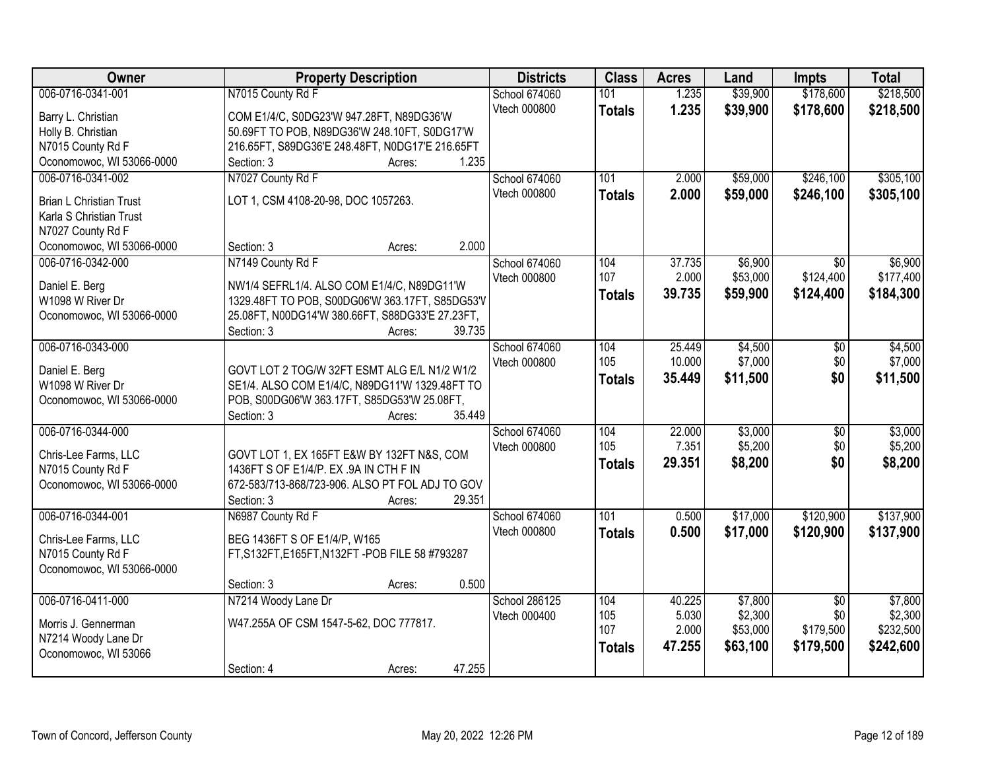| Owner                                          | <b>Property Description</b>                                             | <b>Districts</b>              | <b>Class</b>     | <b>Acres</b>    | Land                | Impts            | <b>Total</b>         |
|------------------------------------------------|-------------------------------------------------------------------------|-------------------------------|------------------|-----------------|---------------------|------------------|----------------------|
| 006-0716-0341-001                              | N7015 County Rd F                                                       | <b>School 674060</b>          | 101              | 1.235           | \$39,900            | \$178,600        | \$218,500            |
| Barry L. Christian                             | COM E1/4/C, S0DG23'W 947.28FT, N89DG36'W                                | Vtech 000800                  | <b>Totals</b>    | 1.235           | \$39,900            | \$178,600        | \$218,500            |
| Holly B. Christian                             | 50.69FT TO POB, N89DG36'W 248.10FT, S0DG17'W                            |                               |                  |                 |                     |                  |                      |
| N7015 County Rd F                              | 216.65FT, S89DG36'E 248.48FT, N0DG17'E 216.65FT                         |                               |                  |                 |                     |                  |                      |
| Oconomowoc, WI 53066-0000                      | 1.235<br>Section: 3<br>Acres:                                           |                               |                  |                 |                     |                  |                      |
| 006-0716-0341-002                              | N7027 County Rd F                                                       | School 674060                 | 101              | 2.000           | \$59,000            | \$246,100        | \$305,100            |
|                                                |                                                                         | Vtech 000800                  | <b>Totals</b>    | 2.000           | \$59,000            | \$246,100        | \$305,100            |
| <b>Brian L Christian Trust</b>                 | LOT 1, CSM 4108-20-98, DOC 1057263.                                     |                               |                  |                 |                     |                  |                      |
| Karla S Christian Trust                        |                                                                         |                               |                  |                 |                     |                  |                      |
| N7027 County Rd F                              | 2.000<br>Section: 3                                                     |                               |                  |                 |                     |                  |                      |
| Oconomowoc, WI 53066-0000<br>006-0716-0342-000 | Acres:                                                                  |                               | 104              |                 |                     |                  |                      |
|                                                | N7149 County Rd F                                                       | School 674060<br>Vtech 000800 | 107              | 37.735<br>2.000 | \$6,900<br>\$53,000 | \$0<br>\$124,400 | \$6,900<br>\$177,400 |
| Daniel E. Berg                                 | NW1/4 SEFRL1/4. ALSO COM E1/4/C, N89DG11'W                              |                               |                  | 39.735          | \$59,900            | \$124,400        |                      |
| W1098 W River Dr                               | 1329.48FT TO POB, S00DG06'W 363.17FT, S85DG53'V                         |                               | <b>Totals</b>    |                 |                     |                  | \$184,300            |
| Oconomowoc, WI 53066-0000                      | 25.08FT, N00DG14'W 380.66FT, S88DG33'E 27.23FT,                         |                               |                  |                 |                     |                  |                      |
|                                                | Section: 3<br>39.735<br>Acres:                                          |                               |                  |                 |                     |                  |                      |
| 006-0716-0343-000                              |                                                                         | School 674060                 | 104              | 25.449          | \$4,500             | \$0              | \$4,500              |
| Daniel E. Berg                                 | GOVT LOT 2 TOG/W 32FT ESMT ALG E/L N1/2 W1/2                            | Vtech 000800                  | 105              | 10.000          | \$7,000             | \$0              | \$7,000              |
| W1098 W River Dr                               | SE1/4. ALSO COM E1/4/C, N89DG11'W 1329.48FT TO                          |                               | <b>Totals</b>    | 35.449          | \$11,500            | \$0              | \$11,500             |
| Oconomowoc, WI 53066-0000                      | POB, S00DG06'W 363.17FT, S85DG53'W 25.08FT,                             |                               |                  |                 |                     |                  |                      |
|                                                | 35.449<br>Section: 3<br>Acres:                                          |                               |                  |                 |                     |                  |                      |
| 006-0716-0344-000                              |                                                                         | School 674060                 | 104              | 22.000          | \$3,000             | $\overline{50}$  | \$3,000              |
|                                                |                                                                         | Vtech 000800                  | 105              | 7.351           | \$5,200             | \$0              | \$5,200              |
| Chris-Lee Farms, LLC                           | GOVT LOT 1, EX 165FT E&W BY 132FT N&S, COM                              |                               | <b>Totals</b>    | 29.351          | \$8,200             | \$0              | \$8,200              |
| N7015 County Rd F                              | 1436FT S OF E1/4/P. EX .9A IN CTH F IN                                  |                               |                  |                 |                     |                  |                      |
| Oconomowoc, WI 53066-0000                      | 672-583/713-868/723-906. ALSO PT FOL ADJ TO GOV<br>29.351<br>Section: 3 |                               |                  |                 |                     |                  |                      |
| 006-0716-0344-001                              | Acres:<br>N6987 County Rd F                                             | School 674060                 | $\overline{101}$ | 0.500           | \$17,000            | \$120,900        | \$137,900            |
|                                                |                                                                         | Vtech 000800                  |                  | 0.500           |                     |                  |                      |
| Chris-Lee Farms, LLC                           | BEG 1436FT S OF E1/4/P, W165                                            |                               | <b>Totals</b>    |                 | \$17,000            | \$120,900        | \$137,900            |
| N7015 County Rd F                              | FT, S132FT, E165FT, N132FT - POB FILE 58 #793287                        |                               |                  |                 |                     |                  |                      |
| Oconomowoc, WI 53066-0000                      |                                                                         |                               |                  |                 |                     |                  |                      |
|                                                | 0.500<br>Section: 3<br>Acres:                                           |                               |                  |                 |                     |                  |                      |
| 006-0716-0411-000                              | N7214 Woody Lane Dr                                                     | School 286125                 | 104              | 40.225          | \$7,800             | $\overline{50}$  | \$7,800              |
| Morris J. Gennerman                            | W47.255A OF CSM 1547-5-62, DOC 777817.                                  | Vtech 000400                  | 105              | 5.030           | \$2,300             | \$0              | \$2,300              |
| N7214 Woody Lane Dr                            |                                                                         |                               | 107              | 2.000           | \$53,000            | \$179,500        | \$232,500            |
| Oconomowoc, WI 53066                           |                                                                         |                               | <b>Totals</b>    | 47.255          | \$63,100            | \$179,500        | \$242,600            |
|                                                | 47.255<br>Section: 4<br>Acres:                                          |                               |                  |                 |                     |                  |                      |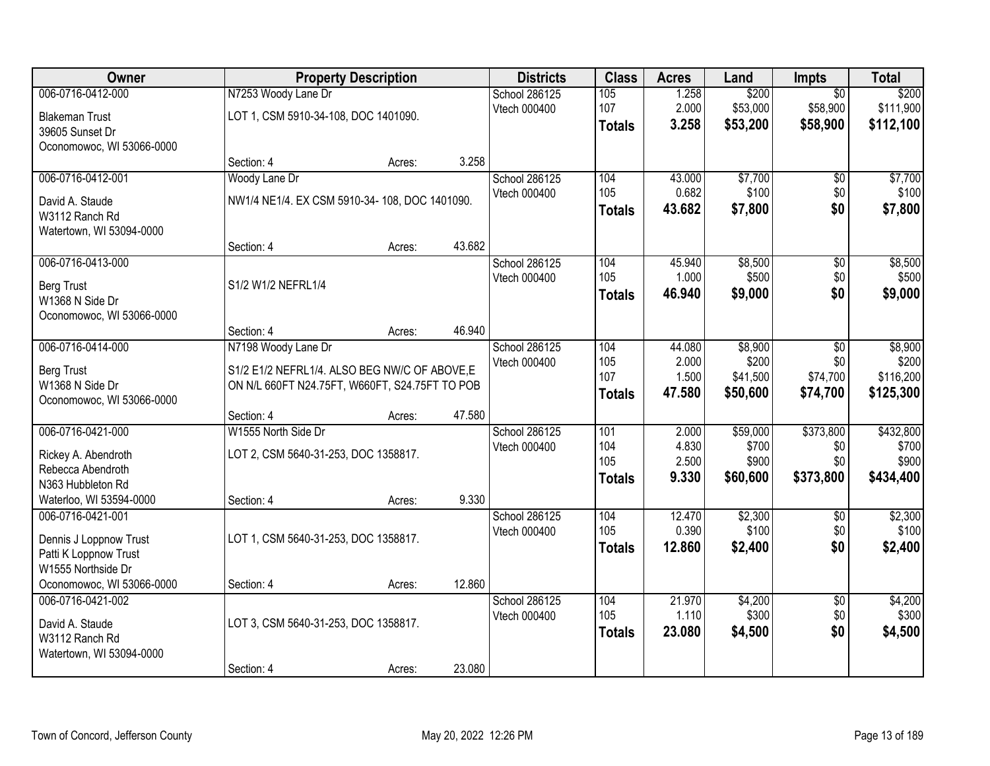| Owner                     |                                                | <b>Property Description</b> |        | <b>Districts</b>              | <b>Class</b>  | <b>Acres</b>    | Land              | <b>Impts</b>           | <b>Total</b>       |
|---------------------------|------------------------------------------------|-----------------------------|--------|-------------------------------|---------------|-----------------|-------------------|------------------------|--------------------|
| 006-0716-0412-000         | N7253 Woody Lane Dr                            |                             |        | <b>School 286125</b>          | 105           | 1.258           | \$200             | $\overline{50}$        | \$200              |
| <b>Blakeman Trust</b>     | LOT 1, CSM 5910-34-108, DOC 1401090.           |                             |        | Vtech 000400                  | 107           | 2.000           | \$53,000          | \$58,900               | \$111,900          |
| 39605 Sunset Dr           |                                                |                             |        |                               | <b>Totals</b> | 3.258           | \$53,200          | \$58,900               | \$112,100          |
| Oconomowoc, WI 53066-0000 |                                                |                             |        |                               |               |                 |                   |                        |                    |
|                           | Section: 4                                     | Acres:                      | 3.258  |                               |               |                 |                   |                        |                    |
| 006-0716-0412-001         | Woody Lane Dr                                  |                             |        | School 286125                 | 104           | 43.000          | \$7,700           | \$0                    | \$7,700            |
| David A. Staude           | NW1/4 NE1/4. EX CSM 5910-34-108, DOC 1401090.  |                             |        | Vtech 000400                  | 105           | 0.682           | \$100             | \$0                    | \$100              |
| W3112 Ranch Rd            |                                                |                             |        |                               | <b>Totals</b> | 43.682          | \$7,800           | \$0                    | \$7,800            |
| Watertown, WI 53094-0000  |                                                |                             |        |                               |               |                 |                   |                        |                    |
|                           | Section: 4                                     | Acres:                      | 43.682 |                               |               |                 |                   |                        |                    |
| 006-0716-0413-000         |                                                |                             |        | School 286125                 | 104           | 45.940          | \$8,500           | $\overline{50}$        | \$8,500            |
| <b>Berg Trust</b>         | S1/2 W1/2 NEFRL1/4                             |                             |        | Vtech 000400                  | 105           | 1.000           | \$500             | \$0                    | \$500              |
| W1368 N Side Dr           |                                                |                             |        |                               | <b>Totals</b> | 46.940          | \$9,000           | \$0                    | \$9,000            |
| Oconomowoc, WI 53066-0000 |                                                |                             |        |                               |               |                 |                   |                        |                    |
|                           | Section: 4                                     | Acres:                      | 46.940 |                               |               |                 |                   |                        |                    |
| 006-0716-0414-000         | N7198 Woody Lane Dr                            |                             |        | School 286125                 | 104           | 44.080          | \$8,900           | \$0                    | \$8,900            |
| <b>Berg Trust</b>         | S1/2 E1/2 NEFRL1/4. ALSO BEG NW/C OF ABOVE,E   |                             |        | Vtech 000400                  | 105<br>107    | 2.000<br>1.500  | \$200<br>\$41,500 | \$0<br>\$74,700        | \$200<br>\$116,200 |
| W1368 N Side Dr           | ON N/L 660FT N24.75FT, W660FT, S24.75FT TO POB |                             |        |                               | <b>Totals</b> | 47.580          | \$50,600          | \$74,700               | \$125,300          |
| Oconomowoc, WI 53066-0000 |                                                |                             |        |                               |               |                 |                   |                        |                    |
|                           | Section: 4                                     | Acres:                      | 47.580 |                               |               |                 |                   |                        |                    |
| 006-0716-0421-000         | W1555 North Side Dr                            |                             |        | School 286125                 | 101<br>104    | 2.000<br>4.830  | \$59,000<br>\$700 | \$373,800<br>\$0       | \$432,800<br>\$700 |
| Rickey A. Abendroth       | LOT 2, CSM 5640-31-253, DOC 1358817.           |                             |        | Vtech 000400                  | 105           | 2.500           | \$900             | \$0                    | \$900              |
| Rebecca Abendroth         |                                                |                             |        |                               | <b>Totals</b> | 9.330           | \$60,600          | \$373,800              | \$434,400          |
| N363 Hubbleton Rd         |                                                |                             |        |                               |               |                 |                   |                        |                    |
| Waterloo, WI 53594-0000   | Section: 4                                     | Acres:                      | 9.330  |                               |               |                 |                   |                        |                    |
| 006-0716-0421-001         |                                                |                             |        | School 286125<br>Vtech 000400 | 104<br>105    | 12.470<br>0.390 | \$2,300<br>\$100  | $\sqrt{6}$<br>\$0      | \$2,300<br>\$100   |
| Dennis J Loppnow Trust    | LOT 1, CSM 5640-31-253, DOC 1358817.           |                             |        |                               | <b>Totals</b> | 12.860          | \$2,400           | \$0                    | \$2,400            |
| Patti K Loppnow Trust     |                                                |                             |        |                               |               |                 |                   |                        |                    |
| W1555 Northside Dr        |                                                |                             |        |                               |               |                 |                   |                        |                    |
| Oconomowoc, WI 53066-0000 | Section: 4                                     | Acres:                      | 12.860 |                               |               |                 |                   |                        |                    |
| 006-0716-0421-002         |                                                |                             |        | School 286125<br>Vtech 000400 | 104<br>105    | 21.970<br>1.110 | \$4,200<br>\$300  | $\overline{30}$<br>\$0 | \$4,200<br>\$300   |
| David A. Staude           | LOT 3, CSM 5640-31-253, DOC 1358817.           |                             |        |                               | <b>Totals</b> | 23.080          | \$4,500           | \$0                    | \$4,500            |
| W3112 Ranch Rd            |                                                |                             |        |                               |               |                 |                   |                        |                    |
| Watertown, WI 53094-0000  |                                                |                             |        |                               |               |                 |                   |                        |                    |
|                           | Section: 4                                     | Acres:                      | 23.080 |                               |               |                 |                   |                        |                    |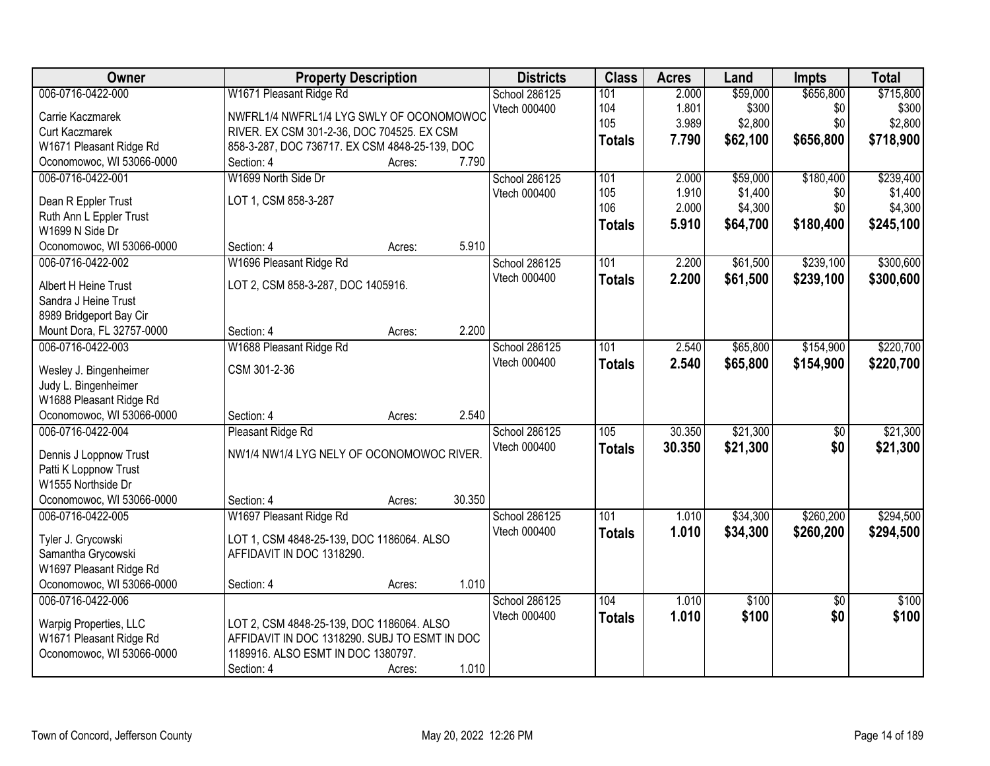| Owner                                          | <b>Property Description</b>                    |        |        | <b>Districts</b>     | <b>Class</b>     | <b>Acres</b> | Land     | <b>Impts</b>    | <b>Total</b> |
|------------------------------------------------|------------------------------------------------|--------|--------|----------------------|------------------|--------------|----------|-----------------|--------------|
| 006-0716-0422-000                              | W1671 Pleasant Ridge Rd                        |        |        | School 286125        | 101              | 2.000        | \$59,000 | \$656,800       | \$715,800    |
| Carrie Kaczmarek                               | NWFRL1/4 NWFRL1/4 LYG SWLY OF OCONOMOWOC       |        |        | Vtech 000400         | 104              | 1.801        | \$300    | \$0             | \$300        |
| <b>Curt Kaczmarek</b>                          | RIVER. EX CSM 301-2-36, DOC 704525. EX CSM     |        |        |                      | 105              | 3.989        | \$2,800  | \$0             | \$2,800      |
| W1671 Pleasant Ridge Rd                        | 858-3-287, DOC 736717. EX CSM 4848-25-139, DOC |        |        |                      | <b>Totals</b>    | 7.790        | \$62,100 | \$656,800       | \$718,900    |
| Oconomowoc, WI 53066-0000                      | Section: 4                                     | Acres: | 7.790  |                      |                  |              |          |                 |              |
| 006-0716-0422-001                              | W1699 North Side Dr                            |        |        | <b>School 286125</b> | 101              | 2.000        | \$59,000 | \$180,400       | \$239,400    |
|                                                |                                                |        |        | Vtech 000400         | 105              | 1.910        | \$1,400  | \$0             | \$1,400      |
| Dean R Eppler Trust                            | LOT 1, CSM 858-3-287                           |        |        |                      | 106              | 2.000        | \$4,300  | \$0             | \$4,300      |
| Ruth Ann L Eppler Trust                        |                                                |        |        |                      | <b>Totals</b>    | 5.910        | \$64,700 | \$180,400       | \$245,100    |
| W1699 N Side Dr                                |                                                |        | 5.910  |                      |                  |              |          |                 |              |
| Oconomowoc, WI 53066-0000                      | Section: 4                                     | Acres: |        |                      |                  |              |          |                 |              |
| 006-0716-0422-002                              | W1696 Pleasant Ridge Rd                        |        |        | School 286125        | 101              | 2.200        | \$61,500 | \$239,100       | \$300,600    |
| Albert H Heine Trust                           | LOT 2, CSM 858-3-287, DOC 1405916.             |        |        | Vtech 000400         | <b>Totals</b>    | 2.200        | \$61,500 | \$239,100       | \$300,600    |
| Sandra J Heine Trust                           |                                                |        |        |                      |                  |              |          |                 |              |
| 8989 Bridgeport Bay Cir                        |                                                |        |        |                      |                  |              |          |                 |              |
| Mount Dora, FL 32757-0000                      | Section: 4                                     | Acres: | 2.200  |                      |                  |              |          |                 |              |
| 006-0716-0422-003                              | W1688 Pleasant Ridge Rd                        |        |        | School 286125        | 101              | 2.540        | \$65,800 | \$154,900       | \$220,700    |
|                                                | CSM 301-2-36                                   |        |        | Vtech 000400         | <b>Totals</b>    | 2.540        | \$65,800 | \$154,900       | \$220,700    |
| Wesley J. Bingenheimer<br>Judy L. Bingenheimer |                                                |        |        |                      |                  |              |          |                 |              |
| W1688 Pleasant Ridge Rd                        |                                                |        |        |                      |                  |              |          |                 |              |
| Oconomowoc, WI 53066-0000                      | Section: 4                                     | Acres: | 2.540  |                      |                  |              |          |                 |              |
| 006-0716-0422-004                              | Pleasant Ridge Rd                              |        |        | School 286125        | 105              | 30.350       | \$21,300 | $\overline{50}$ | \$21,300     |
|                                                |                                                |        |        | Vtech 000400         | <b>Totals</b>    | 30.350       | \$21,300 | \$0             | \$21,300     |
| Dennis J Loppnow Trust                         | NW1/4 NW1/4 LYG NELY OF OCONOMOWOC RIVER.      |        |        |                      |                  |              |          |                 |              |
| Patti K Loppnow Trust                          |                                                |        |        |                      |                  |              |          |                 |              |
| W1555 Northside Dr                             |                                                |        |        |                      |                  |              |          |                 |              |
| Oconomowoc, WI 53066-0000                      | Section: 4                                     | Acres: | 30.350 |                      |                  |              |          |                 |              |
| 006-0716-0422-005                              | W1697 Pleasant Ridge Rd                        |        |        | School 286125        | $\overline{101}$ | 1.010        | \$34,300 | \$260,200       | \$294,500    |
| Tyler J. Grycowski                             | LOT 1, CSM 4848-25-139, DOC 1186064. ALSO      |        |        | Vtech 000400         | <b>Totals</b>    | 1.010        | \$34,300 | \$260,200       | \$294,500    |
| Samantha Grycowski                             | AFFIDAVIT IN DOC 1318290.                      |        |        |                      |                  |              |          |                 |              |
| W1697 Pleasant Ridge Rd                        |                                                |        |        |                      |                  |              |          |                 |              |
| Oconomowoc, WI 53066-0000                      | Section: 4                                     | Acres: | 1.010  |                      |                  |              |          |                 |              |
| 006-0716-0422-006                              |                                                |        |        | School 286125        | 104              | 1.010        | \$100    | $\overline{50}$ | \$100        |
|                                                |                                                |        |        | Vtech 000400         | <b>Totals</b>    | 1.010        | \$100    | \$0             | \$100        |
| Warpig Properties, LLC                         | LOT 2, CSM 4848-25-139, DOC 1186064. ALSO      |        |        |                      |                  |              |          |                 |              |
| W1671 Pleasant Ridge Rd                        | AFFIDAVIT IN DOC 1318290. SUBJ TO ESMT IN DOC  |        |        |                      |                  |              |          |                 |              |
| Oconomowoc, WI 53066-0000                      | 1189916. ALSO ESMT IN DOC 1380797.             |        |        |                      |                  |              |          |                 |              |
|                                                | Section: 4                                     | Acres: | 1.010  |                      |                  |              |          |                 |              |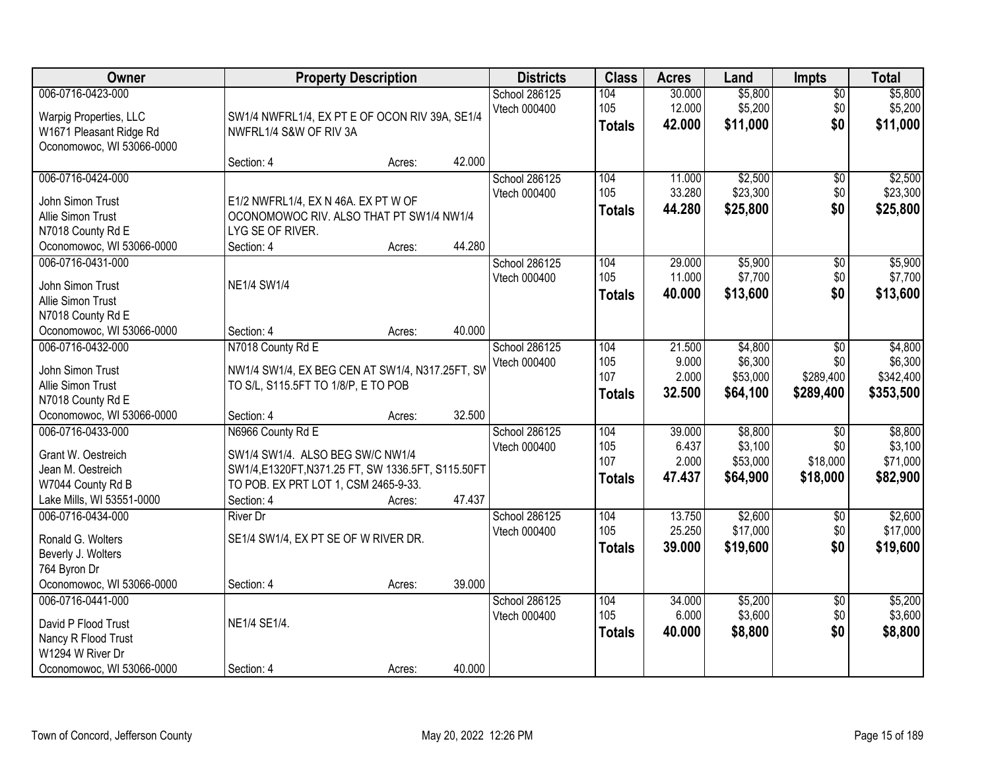| Owner                                             |                                                                          | <b>Property Description</b> |        | <b>Districts</b>              | <b>Class</b>  | <b>Acres</b>     | Land               | <b>Impts</b>       | <b>Total</b>       |
|---------------------------------------------------|--------------------------------------------------------------------------|-----------------------------|--------|-------------------------------|---------------|------------------|--------------------|--------------------|--------------------|
| 006-0716-0423-000                                 |                                                                          |                             |        | School 286125<br>Vtech 000400 | 104<br>105    | 30.000<br>12.000 | \$5,800<br>\$5,200 | $\sqrt{$0}$<br>\$0 | \$5,800<br>\$5,200 |
| Warpig Properties, LLC<br>W1671 Pleasant Ridge Rd | SW1/4 NWFRL1/4, EX PT E OF OCON RIV 39A, SE1/4<br>NWFRL1/4 S&W OF RIV 3A |                             |        |                               | <b>Totals</b> | 42.000           | \$11,000           | \$0                | \$11,000           |
| Oconomowoc, WI 53066-0000                         |                                                                          |                             |        |                               |               |                  |                    |                    |                    |
|                                                   | Section: 4                                                               | Acres:                      | 42.000 |                               |               |                  |                    |                    |                    |
| 006-0716-0424-000                                 |                                                                          |                             |        | School 286125                 | 104           | 11.000           | \$2,500            | $\overline{50}$    | \$2,500            |
| John Simon Trust                                  | E1/2 NWFRL1/4, EX N 46A. EX PT W OF                                      |                             |        | Vtech 000400                  | 105           | 33.280           | \$23,300           | \$0                | \$23,300           |
| Allie Simon Trust                                 | OCONOMOWOC RIV. ALSO THAT PT SW1/4 NW1/4                                 |                             |        |                               | <b>Totals</b> | 44.280           | \$25,800           | \$0                | \$25,800           |
| N7018 County Rd E                                 | LYG SE OF RIVER.                                                         |                             |        |                               |               |                  |                    |                    |                    |
| Oconomowoc, WI 53066-0000                         | Section: 4                                                               | Acres:                      | 44.280 |                               |               |                  |                    |                    |                    |
| 006-0716-0431-000                                 |                                                                          |                             |        | School 286125                 | 104           | 29.000           | \$5,900            | \$0                | \$5,900            |
| John Simon Trust                                  | <b>NE1/4 SW1/4</b>                                                       |                             |        | Vtech 000400                  | 105           | 11.000           | \$7,700            | \$0                | \$7,700            |
| Allie Simon Trust                                 |                                                                          |                             |        |                               | <b>Totals</b> | 40.000           | \$13,600           | \$0                | \$13,600           |
| N7018 County Rd E                                 |                                                                          |                             |        |                               |               |                  |                    |                    |                    |
| Oconomowoc, WI 53066-0000                         | Section: 4                                                               | Acres:                      | 40.000 |                               |               |                  |                    |                    |                    |
| 006-0716-0432-000                                 | N7018 County Rd E                                                        |                             |        | School 286125                 | 104           | 21.500           | \$4,800            | \$0                | \$4,800            |
| John Simon Trust                                  | NW1/4 SW1/4, EX BEG CEN AT SW1/4, N317.25FT, SW                          |                             |        | Vtech 000400                  | 105           | 9.000            | \$6,300            | \$0                | \$6,300            |
| Allie Simon Trust                                 | TO S/L, S115.5FT TO 1/8/P, E TO POB                                      |                             |        |                               | 107           | 2.000            | \$53,000           | \$289,400          | \$342,400          |
| N7018 County Rd E                                 |                                                                          |                             |        |                               | <b>Totals</b> | 32.500           | \$64,100           | \$289,400          | \$353,500          |
| Oconomowoc, WI 53066-0000                         | Section: 4                                                               | Acres:                      | 32.500 |                               |               |                  |                    |                    |                    |
| 006-0716-0433-000                                 | N6966 County Rd E                                                        |                             |        | School 286125                 | 104           | 39.000           | \$8,800            | $\overline{50}$    | \$8,800            |
| Grant W. Oestreich                                | SW1/4 SW1/4. ALSO BEG SW/C NW1/4                                         |                             |        | Vtech 000400                  | 105           | 6.437            | \$3,100            | \$0                | \$3,100            |
| Jean M. Oestreich                                 | SW1/4,E1320FT,N371.25 FT, SW 1336.5FT, S115.50FT                         |                             |        |                               | 107           | 2.000            | \$53,000           | \$18,000           | \$71,000           |
| W7044 County Rd B                                 | TO POB. EX PRT LOT 1, CSM 2465-9-33.                                     |                             |        |                               | <b>Totals</b> | 47.437           | \$64,900           | \$18,000           | \$82,900           |
| Lake Mills, WI 53551-0000                         | Section: 4                                                               | Acres:                      | 47.437 |                               |               |                  |                    |                    |                    |
| 006-0716-0434-000                                 | <b>River Dr</b>                                                          |                             |        | School 286125                 | 104           | 13.750           | \$2,600            | $\sqrt{$0}$        | \$2,600            |
|                                                   |                                                                          |                             |        | Vtech 000400                  | 105           | 25.250           | \$17,000           | \$0                | \$17,000           |
| Ronald G. Wolters<br>Beverly J. Wolters           | SE1/4 SW1/4, EX PT SE OF W RIVER DR.                                     |                             |        |                               | <b>Totals</b> | 39.000           | \$19,600           | \$0                | \$19,600           |
| 764 Byron Dr                                      |                                                                          |                             |        |                               |               |                  |                    |                    |                    |
| Oconomowoc, WI 53066-0000                         | Section: 4                                                               | Acres:                      | 39.000 |                               |               |                  |                    |                    |                    |
| 006-0716-0441-000                                 |                                                                          |                             |        | School 286125                 | 104           | 34.000           | \$5,200            | $\overline{50}$    | \$5,200            |
|                                                   |                                                                          |                             |        | Vtech 000400                  | 105           | 6.000            | \$3,600            | \$0                | \$3,600            |
| David P Flood Trust                               | NE1/4 SE1/4.                                                             |                             |        |                               | <b>Totals</b> | 40.000           | \$8,800            | \$0                | \$8,800            |
| Nancy R Flood Trust<br>W1294 W River Dr           |                                                                          |                             |        |                               |               |                  |                    |                    |                    |
| Oconomowoc, WI 53066-0000                         | Section: 4                                                               | Acres:                      | 40.000 |                               |               |                  |                    |                    |                    |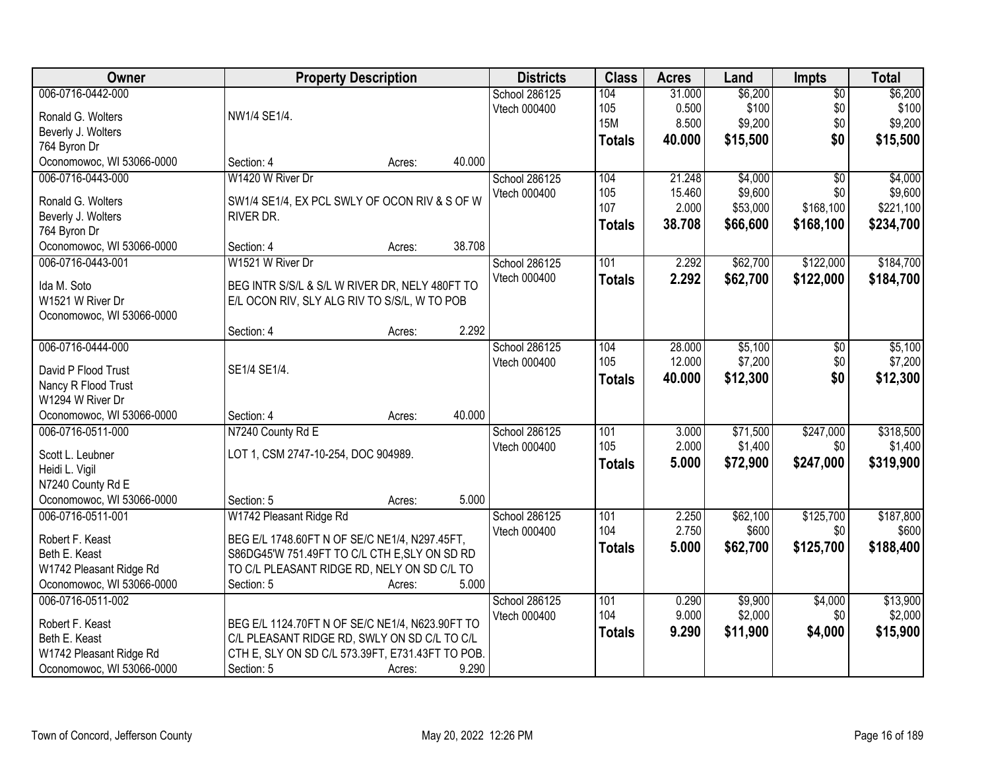| Owner                              | <b>Property Description</b>                      |        |        | <b>Districts</b> | <b>Class</b>  | <b>Acres</b> | Land     | <b>Impts</b>    | <b>Total</b> |
|------------------------------------|--------------------------------------------------|--------|--------|------------------|---------------|--------------|----------|-----------------|--------------|
| 006-0716-0442-000                  |                                                  |        |        | School 286125    | 104           | 31.000       | \$6,200  | $\overline{50}$ | \$6,200      |
| Ronald G. Wolters                  | NW1/4 SE1/4.                                     |        |        | Vtech 000400     | 105           | 0.500        | \$100    | \$0             | \$100        |
| Beverly J. Wolters                 |                                                  |        |        |                  | <b>15M</b>    | 8.500        | \$9,200  | \$0             | \$9,200      |
| 764 Byron Dr                       |                                                  |        |        |                  | <b>Totals</b> | 40.000       | \$15,500 | \$0             | \$15,500     |
| Oconomowoc, WI 53066-0000          | Section: 4                                       | Acres: | 40.000 |                  |               |              |          |                 |              |
| 006-0716-0443-000                  | W1420 W River Dr                                 |        |        | School 286125    | 104           | 21.248       | \$4,000  | $\overline{30}$ | \$4,000      |
|                                    |                                                  |        |        | Vtech 000400     | 105           | 15.460       | \$9,600  | \$0             | \$9,600      |
| Ronald G. Wolters                  | SW1/4 SE1/4, EX PCL SWLY OF OCON RIV & S OF W    |        |        |                  | 107           | 2.000        | \$53,000 | \$168,100       | \$221,100    |
| Beverly J. Wolters<br>764 Byron Dr | RIVER DR.                                        |        |        |                  | <b>Totals</b> | 38.708       | \$66,600 | \$168,100       | \$234,700    |
| Oconomowoc, WI 53066-0000          | Section: 4                                       | Acres: | 38.708 |                  |               |              |          |                 |              |
| 006-0716-0443-001                  | W1521 W River Dr                                 |        |        | School 286125    | 101           | 2.292        | \$62,700 | \$122,000       | \$184,700    |
|                                    |                                                  |        |        | Vtech 000400     |               | 2.292        | \$62,700 |                 | \$184,700    |
| Ida M. Soto                        | BEG INTR S/S/L & S/L W RIVER DR, NELY 480FT TO   |        |        |                  | <b>Totals</b> |              |          | \$122,000       |              |
| W1521 W River Dr                   | E/L OCON RIV, SLY ALG RIV TO S/S/L, W TO POB     |        |        |                  |               |              |          |                 |              |
| Oconomowoc, WI 53066-0000          |                                                  |        |        |                  |               |              |          |                 |              |
|                                    | Section: 4                                       | Acres: | 2.292  |                  |               |              |          |                 |              |
| 006-0716-0444-000                  |                                                  |        |        | School 286125    | 104           | 28.000       | \$5,100  | \$0             | \$5,100      |
| David P Flood Trust                | SE1/4 SE1/4.                                     |        |        | Vtech 000400     | 105           | 12.000       | \$7,200  | \$0             | \$7,200      |
| Nancy R Flood Trust                |                                                  |        |        |                  | <b>Totals</b> | 40.000       | \$12,300 | \$0             | \$12,300     |
| W1294 W River Dr                   |                                                  |        |        |                  |               |              |          |                 |              |
| Oconomowoc, WI 53066-0000          | Section: 4                                       | Acres: | 40.000 |                  |               |              |          |                 |              |
| 006-0716-0511-000                  | N7240 County Rd E                                |        |        | School 286125    | 101           | 3.000        | \$71,500 | \$247,000       | \$318,500    |
|                                    |                                                  |        |        | Vtech 000400     | 105           | 2.000        | \$1,400  | \$0             | \$1,400      |
| Scott L. Leubner<br>Heidi L. Vigil | LOT 1, CSM 2747-10-254, DOC 904989.              |        |        |                  | <b>Totals</b> | 5.000        | \$72,900 | \$247,000       | \$319,900    |
| N7240 County Rd E                  |                                                  |        |        |                  |               |              |          |                 |              |
| Oconomowoc, WI 53066-0000          | Section: 5                                       | Acres: | 5.000  |                  |               |              |          |                 |              |
| 006-0716-0511-001                  | W1742 Pleasant Ridge Rd                          |        |        | School 286125    | 101           | 2.250        | \$62,100 | \$125,700       | \$187,800    |
|                                    |                                                  |        |        | Vtech 000400     | 104           | 2.750        | \$600    | \$0             | \$600        |
| Robert F. Keast                    | BEG E/L 1748.60FT N OF SE/C NE1/4, N297.45FT,    |        |        |                  | <b>Totals</b> | 5.000        | \$62,700 | \$125,700       | \$188,400    |
| Beth E. Keast                      | S86DG45'W 751.49FT TO C/L CTH E, SLY ON SD RD    |        |        |                  |               |              |          |                 |              |
| W1742 Pleasant Ridge Rd            | TO C/L PLEASANT RIDGE RD, NELY ON SD C/L TO      |        |        |                  |               |              |          |                 |              |
| Oconomowoc, WI 53066-0000          | Section: 5                                       | Acres: | 5.000  |                  |               |              |          |                 |              |
| 006-0716-0511-002                  |                                                  |        |        | School 286125    | 101           | 0.290        | \$9,900  | \$4,000         | \$13,900     |
| Robert F. Keast                    | BEG E/L 1124.70FT N OF SE/C NE1/4, N623.90FT TO  |        |        | Vtech 000400     | 104           | 9.000        | \$2,000  | \$0             | \$2,000      |
| Beth E. Keast                      | C/L PLEASANT RIDGE RD, SWLY ON SD C/L TO C/L     |        |        |                  | <b>Totals</b> | 9.290        | \$11,900 | \$4,000         | \$15,900     |
| W1742 Pleasant Ridge Rd            | CTH E, SLY ON SD C/L 573.39FT, E731.43FT TO POB. |        |        |                  |               |              |          |                 |              |
| Oconomowoc, WI 53066-0000          | Section: 5                                       | Acres: | 9.290  |                  |               |              |          |                 |              |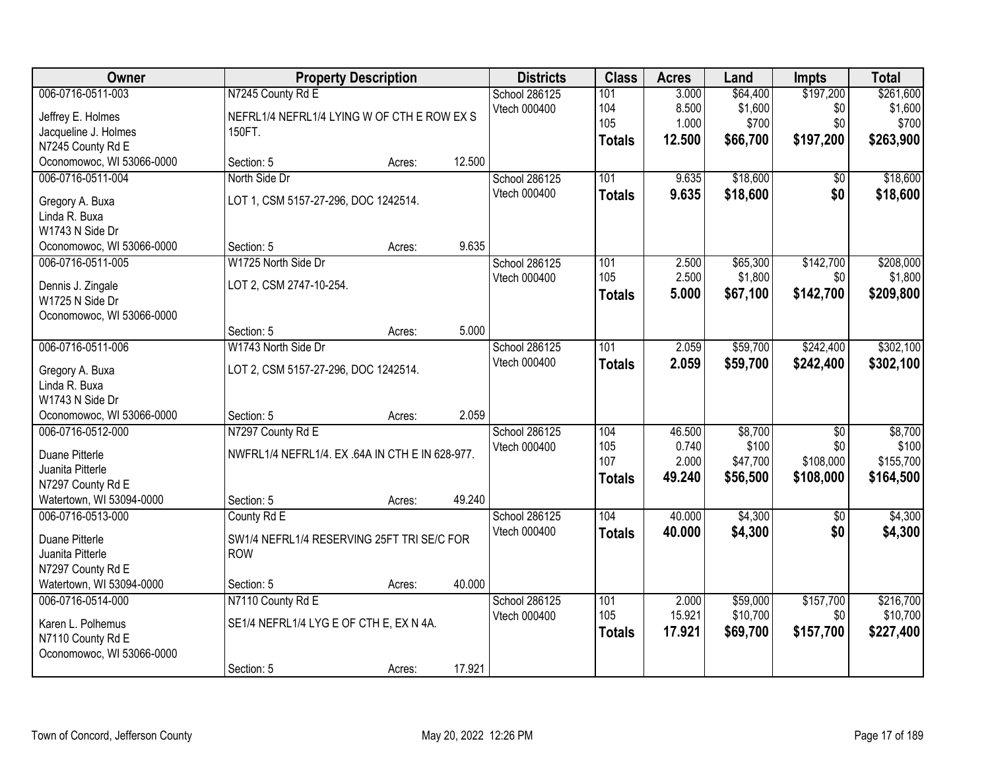| Owner                     |                                                 | <b>Property Description</b> |        | <b>Districts</b> | <b>Class</b>  | <b>Acres</b> | Land     | <b>Impts</b>    | <b>Total</b> |
|---------------------------|-------------------------------------------------|-----------------------------|--------|------------------|---------------|--------------|----------|-----------------|--------------|
| 006-0716-0511-003         | N7245 County Rd E                               |                             |        | School 286125    | 101           | 3.000        | \$64,400 | \$197,200       | \$261,600    |
| Jeffrey E. Holmes         | NEFRL1/4 NEFRL1/4 LYING W OF CTH E ROW EX S     |                             |        | Vtech 000400     | 104           | 8.500        | \$1,600  | \$0             | \$1,600      |
| Jacqueline J. Holmes      | 150FT.                                          |                             |        |                  | 105           | 1.000        | \$700    | \$0             | \$700        |
| N7245 County Rd E         |                                                 |                             |        |                  | <b>Totals</b> | 12.500       | \$66,700 | \$197,200       | \$263,900    |
| Oconomowoc, WI 53066-0000 | Section: 5                                      | Acres:                      | 12.500 |                  |               |              |          |                 |              |
| 006-0716-0511-004         | North Side Dr                                   |                             |        | School 286125    | 101           | 9.635        | \$18,600 | $\overline{50}$ | \$18,600     |
| Gregory A. Buxa           | LOT 1, CSM 5157-27-296, DOC 1242514.            |                             |        | Vtech 000400     | <b>Totals</b> | 9.635        | \$18,600 | \$0             | \$18,600     |
| Linda R. Buxa             |                                                 |                             |        |                  |               |              |          |                 |              |
| W1743 N Side Dr           |                                                 |                             |        |                  |               |              |          |                 |              |
| Oconomowoc, WI 53066-0000 | Section: 5                                      | Acres:                      | 9.635  |                  |               |              |          |                 |              |
| 006-0716-0511-005         | W1725 North Side Dr                             |                             |        | School 286125    | 101           | 2.500        | \$65,300 | \$142,700       | \$208,000    |
| Dennis J. Zingale         | LOT 2, CSM 2747-10-254.                         |                             |        | Vtech 000400     | 105           | 2.500        | \$1,800  | \$0             | \$1,800      |
| W1725 N Side Dr           |                                                 |                             |        |                  | <b>Totals</b> | 5.000        | \$67,100 | \$142,700       | \$209,800    |
| Oconomowoc, WI 53066-0000 |                                                 |                             |        |                  |               |              |          |                 |              |
|                           | Section: 5                                      | Acres:                      | 5.000  |                  |               |              |          |                 |              |
| 006-0716-0511-006         | W1743 North Side Dr                             |                             |        | School 286125    | 101           | 2.059        | \$59,700 | \$242,400       | \$302,100    |
| Gregory A. Buxa           | LOT 2, CSM 5157-27-296, DOC 1242514.            |                             |        | Vtech 000400     | <b>Totals</b> | 2.059        | \$59,700 | \$242,400       | \$302,100    |
| Linda R. Buxa             |                                                 |                             |        |                  |               |              |          |                 |              |
| W1743 N Side Dr           |                                                 |                             |        |                  |               |              |          |                 |              |
| Oconomowoc, WI 53066-0000 | Section: 5                                      | Acres:                      | 2.059  |                  |               |              |          |                 |              |
| 006-0716-0512-000         | N7297 County Rd E                               |                             |        | School 286125    | 104           | 46.500       | \$8,700  | $\overline{60}$ | \$8,700      |
| Duane Pitterle            | NWFRL1/4 NEFRL1/4, EX .64A IN CTH E IN 628-977. |                             |        | Vtech 000400     | 105           | 0.740        | \$100    | \$0             | \$100        |
| Juanita Pitterle          |                                                 |                             |        |                  | 107           | 2.000        | \$47,700 | \$108,000       | \$155,700    |
| N7297 County Rd E         |                                                 |                             |        |                  | <b>Totals</b> | 49.240       | \$56,500 | \$108,000       | \$164,500    |
| Watertown, WI 53094-0000  | Section: 5                                      | Acres:                      | 49.240 |                  |               |              |          |                 |              |
| 006-0716-0513-000         | County Rd E                                     |                             |        | School 286125    | 104           | 40.000       | \$4,300  | $\overline{50}$ | \$4,300      |
| Duane Pitterle            | SW1/4 NEFRL1/4 RESERVING 25FT TRI SE/C FOR      |                             |        | Vtech 000400     | <b>Totals</b> | 40.000       | \$4,300  | \$0             | \$4,300      |
| Juanita Pitterle          | <b>ROW</b>                                      |                             |        |                  |               |              |          |                 |              |
| N7297 County Rd E         |                                                 |                             |        |                  |               |              |          |                 |              |
| Watertown, WI 53094-0000  | Section: 5                                      | Acres:                      | 40.000 |                  |               |              |          |                 |              |
| 006-0716-0514-000         | N7110 County Rd E                               |                             |        | School 286125    | 101           | 2.000        | \$59,000 | \$157,700       | \$216,700    |
| Karen L. Polhemus         | SE1/4 NEFRL1/4 LYG E OF CTH E, EX N 4A.         |                             |        | Vtech 000400     | 105           | 15.921       | \$10,700 | \$0             | \$10,700     |
| N7110 County Rd E         |                                                 |                             |        |                  | <b>Totals</b> | 17.921       | \$69,700 | \$157,700       | \$227,400    |
| Oconomowoc, WI 53066-0000 |                                                 |                             |        |                  |               |              |          |                 |              |
|                           | Section: 5                                      | Acres:                      | 17.921 |                  |               |              |          |                 |              |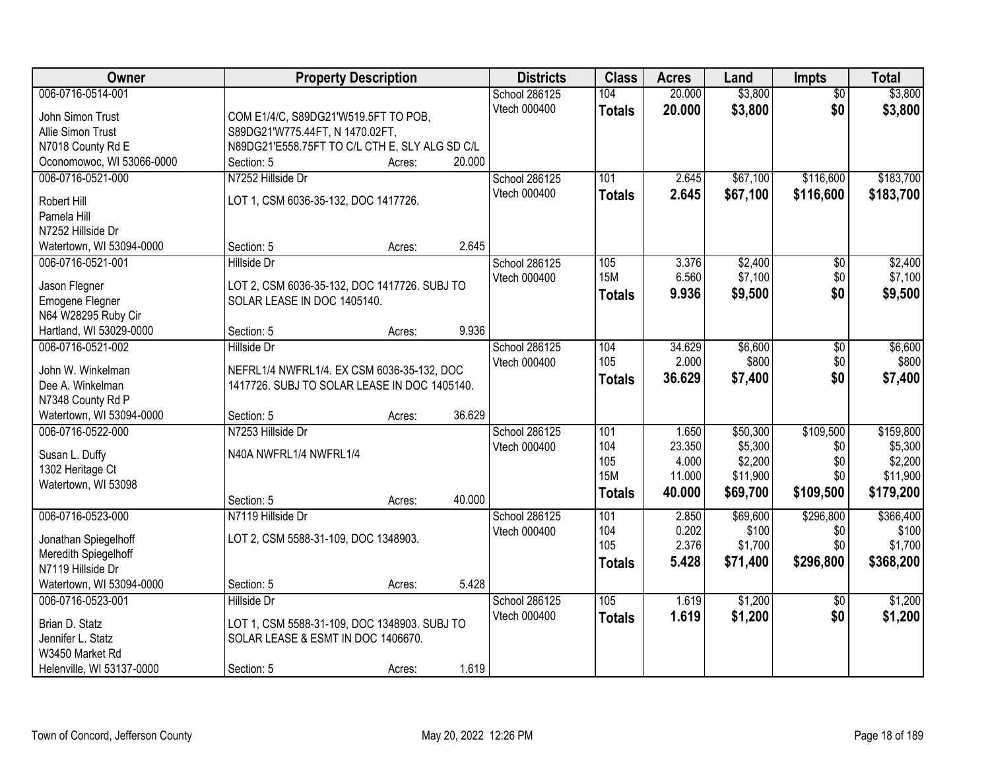| Owner                                 | <b>Property Description</b>                                                 |        |        | <b>Districts</b>              | <b>Class</b>  | <b>Acres</b>   | Land              | <b>Impts</b>     | <b>Total</b>       |
|---------------------------------------|-----------------------------------------------------------------------------|--------|--------|-------------------------------|---------------|----------------|-------------------|------------------|--------------------|
| 006-0716-0514-001                     |                                                                             |        |        | School 286125                 | 104           | 20.000         | \$3,800           | $\overline{50}$  | \$3,800            |
| John Simon Trust                      | COM E1/4/C, S89DG21'W519.5FT TO POB,                                        |        |        | Vtech 000400                  | <b>Totals</b> | 20.000         | \$3,800           | \$0              | \$3,800            |
| Allie Simon Trust                     | S89DG21'W775.44FT, N 1470.02FT,                                             |        |        |                               |               |                |                   |                  |                    |
| N7018 County Rd E                     | N89DG21'E558.75FT TO C/L CTH E, SLY ALG SD C/L                              |        |        |                               |               |                |                   |                  |                    |
| Oconomowoc, WI 53066-0000             | Section: 5                                                                  | Acres: | 20.000 |                               |               |                |                   |                  |                    |
| 006-0716-0521-000                     | N7252 Hillside Dr                                                           |        |        | School 286125                 | 101           | 2.645          | \$67,100          | \$116,600        | \$183,700          |
| Robert Hill                           | LOT 1, CSM 6036-35-132, DOC 1417726.                                        |        |        | Vtech 000400                  | <b>Totals</b> | 2.645          | \$67,100          | \$116,600        | \$183,700          |
| Pamela Hill                           |                                                                             |        |        |                               |               |                |                   |                  |                    |
| N7252 Hillside Dr                     |                                                                             |        |        |                               |               |                |                   |                  |                    |
| Watertown, WI 53094-0000              | Section: 5                                                                  | Acres: | 2.645  |                               |               |                |                   |                  |                    |
| 006-0716-0521-001                     | <b>Hillside Dr</b>                                                          |        |        | School 286125                 | 105           | 3.376          | \$2,400           | $\overline{50}$  | \$2,400            |
|                                       |                                                                             |        |        | Vtech 000400                  | <b>15M</b>    | 6.560          | \$7,100           | \$0              | \$7,100            |
| Jason Flegner<br>Emogene Flegner      | LOT 2, CSM 6036-35-132, DOC 1417726. SUBJ TO<br>SOLAR LEASE IN DOC 1405140. |        |        |                               | <b>Totals</b> | 9.936          | \$9,500           | \$0              | \$9,500            |
| N64 W28295 Ruby Cir                   |                                                                             |        |        |                               |               |                |                   |                  |                    |
| Hartland, WI 53029-0000               | Section: 5                                                                  | Acres: | 9.936  |                               |               |                |                   |                  |                    |
| 006-0716-0521-002                     | <b>Hillside Dr</b>                                                          |        |        | School 286125                 | 104           | 34.629         | \$6,600           | \$0              | \$6,600            |
|                                       |                                                                             |        |        | Vtech 000400                  | 105           | 2.000          | \$800             | \$0              | \$800              |
| John W. Winkelman                     | NEFRL1/4 NWFRL1/4. EX CSM 6036-35-132, DOC                                  |        |        |                               | <b>Totals</b> | 36.629         | \$7,400           | \$0              | \$7,400            |
| Dee A. Winkelman<br>N7348 County Rd P | 1417726. SUBJ TO SOLAR LEASE IN DOC 1405140.                                |        |        |                               |               |                |                   |                  |                    |
| Watertown, WI 53094-0000              | Section: 5                                                                  | Acres: | 36.629 |                               |               |                |                   |                  |                    |
| 006-0716-0522-000                     | N7253 Hillside Dr                                                           |        |        | School 286125                 | 101           | 1.650          | \$50,300          | \$109,500        | \$159,800          |
|                                       |                                                                             |        |        | Vtech 000400                  | 104           | 23.350         | \$5,300           | \$0              | \$5,300            |
| Susan L. Duffy                        | N40A NWFRL1/4 NWFRL1/4                                                      |        |        |                               | 105           | 4.000          | \$2,200           | \$0              | \$2,200            |
| 1302 Heritage Ct                      |                                                                             |        |        |                               | <b>15M</b>    | 11.000         | \$11,900          | \$0              | \$11,900           |
| Watertown, WI 53098                   |                                                                             |        |        |                               | <b>Totals</b> | 40.000         | \$69,700          | \$109,500        | \$179,200          |
|                                       | Section: 5                                                                  | Acres: | 40.000 |                               |               |                |                   |                  |                    |
| 006-0716-0523-000                     | N7119 Hillside Dr                                                           |        |        | School 286125<br>Vtech 000400 | 101<br>104    | 2.850<br>0.202 | \$69,600<br>\$100 | \$296,800<br>\$0 | \$366,400<br>\$100 |
| Jonathan Spiegelhoff                  | LOT 2, CSM 5588-31-109, DOC 1348903.                                        |        |        |                               | 105           | 2.376          | \$1,700           | \$0              | \$1,700            |
| Meredith Spiegelhoff                  |                                                                             |        |        |                               | <b>Totals</b> | 5.428          | \$71,400          | \$296,800        | \$368,200          |
| N7119 Hillside Dr                     |                                                                             |        |        |                               |               |                |                   |                  |                    |
| Watertown, WI 53094-0000              | Section: 5                                                                  | Acres: | 5.428  |                               |               |                |                   |                  |                    |
| 006-0716-0523-001                     | <b>Hillside Dr</b>                                                          |        |        | School 286125                 | 105           | 1.619          | \$1,200           | $\overline{30}$  | \$1,200            |
| Brian D. Statz                        | LOT 1, CSM 5588-31-109, DOC 1348903. SUBJ TO                                |        |        | Vtech 000400                  | <b>Totals</b> | 1.619          | \$1,200           | \$0              | \$1,200            |
| Jennifer L. Statz                     | SOLAR LEASE & ESMT IN DOC 1406670.                                          |        |        |                               |               |                |                   |                  |                    |
| W3450 Market Rd                       |                                                                             |        |        |                               |               |                |                   |                  |                    |
| Helenville, WI 53137-0000             | Section: 5                                                                  | Acres: | 1.619  |                               |               |                |                   |                  |                    |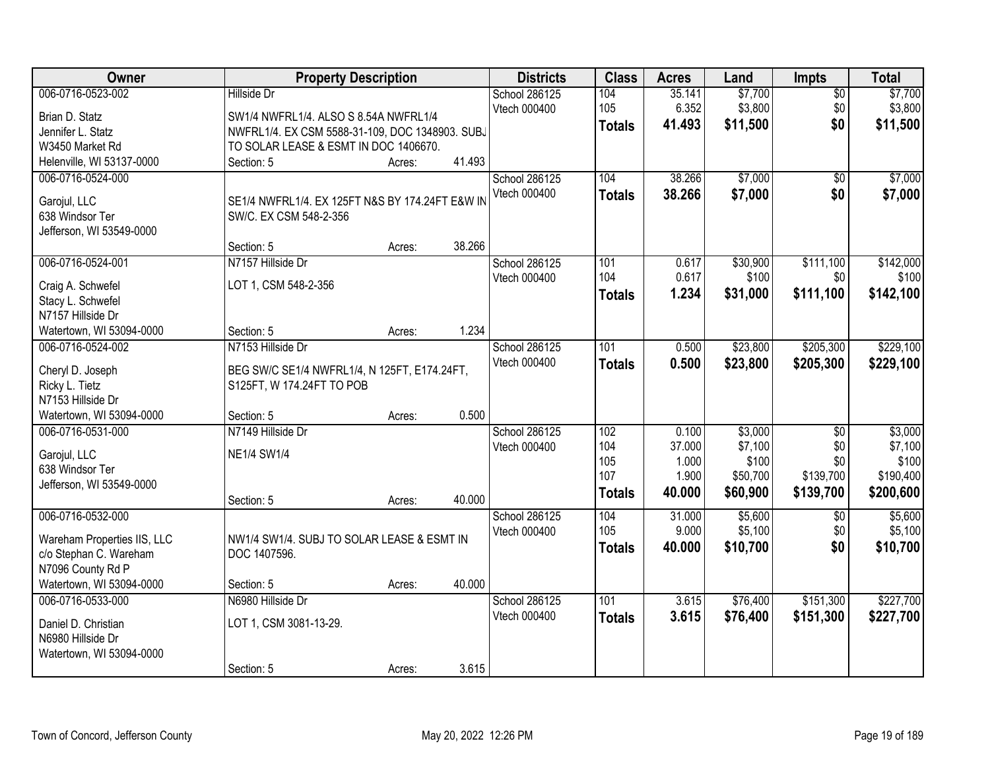| Owner                                       | <b>Property Description</b>                     |        |        | <b>Districts</b> | <b>Class</b>  | <b>Acres</b> | Land     | <b>Impts</b>    | <b>Total</b> |
|---------------------------------------------|-------------------------------------------------|--------|--------|------------------|---------------|--------------|----------|-----------------|--------------|
| 006-0716-0523-002                           | <b>Hillside Dr</b>                              |        |        | School 286125    | 104           | 35.141       | \$7,700  | $\overline{50}$ | \$7,700      |
| Brian D. Statz                              | SW1/4 NWFRL1/4. ALSO S 8.54A NWFRL1/4           |        |        | Vtech 000400     | 105           | 6.352        | \$3,800  | \$0             | \$3,800      |
| Jennifer L. Statz                           | NWFRL1/4. EX CSM 5588-31-109, DOC 1348903. SUBJ |        |        |                  | <b>Totals</b> | 41.493       | \$11,500 | \$0             | \$11,500     |
| W3450 Market Rd                             | TO SOLAR LEASE & ESMT IN DOC 1406670.           |        |        |                  |               |              |          |                 |              |
| Helenville, WI 53137-0000                   | Section: 5                                      | Acres: | 41.493 |                  |               |              |          |                 |              |
| 006-0716-0524-000                           |                                                 |        |        | School 286125    | 104           | 38.266       | \$7,000  | $\overline{50}$ | \$7,000      |
|                                             | SE1/4 NWFRL1/4. EX 125FT N&S BY 174.24FT E&W IN |        |        | Vtech 000400     | <b>Totals</b> | 38.266       | \$7,000  | \$0             | \$7,000      |
| Garojul, LLC<br>638 Windsor Ter             | SW/C. EX CSM 548-2-356                          |        |        |                  |               |              |          |                 |              |
| Jefferson, WI 53549-0000                    |                                                 |        |        |                  |               |              |          |                 |              |
|                                             | Section: 5                                      | Acres: | 38.266 |                  |               |              |          |                 |              |
| 006-0716-0524-001                           | N7157 Hillside Dr                               |        |        | School 286125    | 101           | 0.617        | \$30,900 | \$111,100       | \$142,000    |
|                                             |                                                 |        |        | Vtech 000400     | 104           | 0.617        | \$100    | \$0             | \$100        |
| Craig A. Schwefel                           | LOT 1, CSM 548-2-356                            |        |        |                  | <b>Totals</b> | 1.234        | \$31,000 | \$111,100       | \$142,100    |
| Stacy L. Schwefel                           |                                                 |        |        |                  |               |              |          |                 |              |
| N7157 Hillside Dr                           |                                                 |        |        |                  |               |              |          |                 |              |
| Watertown, WI 53094-0000                    | Section: 5                                      | Acres: | 1.234  |                  |               |              |          |                 |              |
| 006-0716-0524-002                           | N7153 Hillside Dr                               |        |        | School 286125    | 101           | 0.500        | \$23,800 | \$205,300       | \$229,100    |
| Cheryl D. Joseph                            | BEG SW/C SE1/4 NWFRL1/4, N 125FT, E174.24FT,    |        |        | Vtech 000400     | <b>Totals</b> | 0.500        | \$23,800 | \$205,300       | \$229,100    |
| Ricky L. Tietz                              | S125FT, W 174.24FT TO POB                       |        |        |                  |               |              |          |                 |              |
| N7153 Hillside Dr                           |                                                 |        |        |                  |               |              |          |                 |              |
| Watertown, WI 53094-0000                    | Section: 5                                      | Acres: | 0.500  |                  |               |              |          |                 |              |
| 006-0716-0531-000                           | N7149 Hillside Dr                               |        |        | School 286125    | 102           | 0.100        | \$3,000  | $\overline{30}$ | \$3,000      |
| Garojul, LLC                                | <b>NE1/4 SW1/4</b>                              |        |        | Vtech 000400     | 104           | 37.000       | \$7,100  | \$0             | \$7,100      |
| 638 Windsor Ter                             |                                                 |        |        |                  | 105           | 1.000        | \$100    | \$0             | \$100        |
| Jefferson, WI 53549-0000                    |                                                 |        |        |                  | 107           | 1.900        | \$50,700 | \$139,700       | \$190,400    |
|                                             | Section: 5                                      | Acres: | 40.000 |                  | <b>Totals</b> | 40.000       | \$60,900 | \$139,700       | \$200,600    |
| 006-0716-0532-000                           |                                                 |        |        | School 286125    | 104           | 31.000       | \$5,600  | $\overline{50}$ | \$5,600      |
|                                             |                                                 |        |        | Vtech 000400     | 105           | 9.000        | \$5,100  | \$0             | \$5,100      |
| Wareham Properties IIS, LLC                 | NW1/4 SW1/4. SUBJ TO SOLAR LEASE & ESMT IN      |        |        |                  | <b>Totals</b> | 40.000       | \$10,700 | \$0             | \$10,700     |
| c/o Stephan C. Wareham<br>N7096 County Rd P | DOC 1407596.                                    |        |        |                  |               |              |          |                 |              |
| Watertown, WI 53094-0000                    | Section: 5                                      | Acres: | 40.000 |                  |               |              |          |                 |              |
| 006-0716-0533-000                           | N6980 Hillside Dr                               |        |        | School 286125    | 101           | 3.615        | \$76,400 | \$151,300       | \$227,700    |
|                                             |                                                 |        |        | Vtech 000400     |               |              |          |                 |              |
| Daniel D. Christian                         | LOT 1, CSM 3081-13-29.                          |        |        |                  | <b>Totals</b> | 3.615        | \$76,400 | \$151,300       | \$227,700    |
| N6980 Hillside Dr                           |                                                 |        |        |                  |               |              |          |                 |              |
| Watertown, WI 53094-0000                    |                                                 |        |        |                  |               |              |          |                 |              |
|                                             | Section: 5                                      | Acres: | 3.615  |                  |               |              |          |                 |              |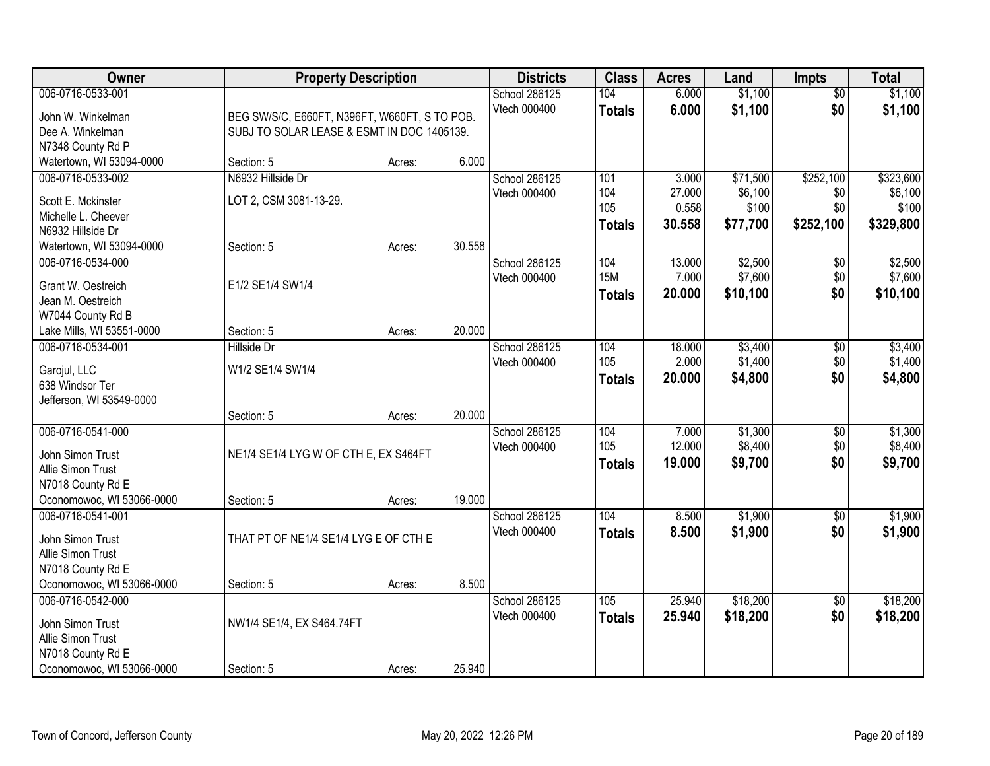| Owner                                   | <b>Property Description</b>                   |        |        | <b>Districts</b> | <b>Class</b>  | <b>Acres</b> | Land     | <b>Impts</b>    | <b>Total</b> |
|-----------------------------------------|-----------------------------------------------|--------|--------|------------------|---------------|--------------|----------|-----------------|--------------|
| 006-0716-0533-001                       |                                               |        |        | School 286125    | 104           | 6.000        | \$1,100  | \$0             | \$1,100      |
| John W. Winkelman                       | BEG SW/S/C, E660FT, N396FT, W660FT, S TO POB. |        |        | Vtech 000400     | <b>Totals</b> | 6.000        | \$1,100  | \$0             | \$1,100      |
| Dee A. Winkelman                        | SUBJ TO SOLAR LEASE & ESMT IN DOC 1405139.    |        |        |                  |               |              |          |                 |              |
| N7348 County Rd P                       |                                               |        |        |                  |               |              |          |                 |              |
| Watertown, WI 53094-0000                | Section: 5                                    | Acres: | 6.000  |                  |               |              |          |                 |              |
| 006-0716-0533-002                       | N6932 Hillside Dr                             |        |        | School 286125    | 101           | 3.000        | \$71,500 | \$252,100       | \$323,600    |
| Scott E. Mckinster                      | LOT 2, CSM 3081-13-29.                        |        |        | Vtech 000400     | 104           | 27.000       | \$6,100  | \$0             | \$6,100      |
| Michelle L. Cheever                     |                                               |        |        |                  | 105           | 0.558        | \$100    | \$0             | \$100        |
| N6932 Hillside Dr                       |                                               |        |        |                  | <b>Totals</b> | 30.558       | \$77,700 | \$252,100       | \$329,800    |
| Watertown, WI 53094-0000                | Section: 5                                    | Acres: | 30.558 |                  |               |              |          |                 |              |
| 006-0716-0534-000                       |                                               |        |        | School 286125    | 104           | 13.000       | \$2,500  | \$0             | \$2,500      |
|                                         |                                               |        |        | Vtech 000400     | <b>15M</b>    | 7.000        | \$7,600  | \$0             | \$7,600      |
| Grant W. Oestreich<br>Jean M. Oestreich | E1/2 SE1/4 SW1/4                              |        |        |                  | <b>Totals</b> | 20.000       | \$10,100 | \$0             | \$10,100     |
| W7044 County Rd B                       |                                               |        |        |                  |               |              |          |                 |              |
| Lake Mills, WI 53551-0000               | Section: 5                                    | Acres: | 20.000 |                  |               |              |          |                 |              |
| 006-0716-0534-001                       | Hillside Dr                                   |        |        | School 286125    | 104           | 18.000       | \$3,400  | $\sqrt[6]{3}$   | \$3,400      |
|                                         |                                               |        |        | Vtech 000400     | 105           | 2.000        | \$1,400  | \$0             | \$1,400      |
| Garojul, LLC                            | W1/2 SE1/4 SW1/4                              |        |        |                  | <b>Totals</b> | 20.000       | \$4,800  | \$0             | \$4,800      |
| 638 Windsor Ter                         |                                               |        |        |                  |               |              |          |                 |              |
| Jefferson, WI 53549-0000                | Section: 5                                    | Acres: | 20.000 |                  |               |              |          |                 |              |
| 006-0716-0541-000                       |                                               |        |        | School 286125    | 104           | 7.000        | \$1,300  | $\overline{50}$ | \$1,300      |
|                                         |                                               |        |        | Vtech 000400     | 105           | 12.000       | \$8,400  | \$0             | \$8,400      |
| John Simon Trust                        | NE1/4 SE1/4 LYG W OF CTH E, EX S464FT         |        |        |                  | <b>Totals</b> | 19.000       | \$9,700  | \$0             | \$9,700      |
| Allie Simon Trust                       |                                               |        |        |                  |               |              |          |                 |              |
| N7018 County Rd E                       |                                               |        |        |                  |               |              |          |                 |              |
| Oconomowoc, WI 53066-0000               | Section: 5                                    | Acres: | 19.000 |                  |               |              |          |                 |              |
| 006-0716-0541-001                       |                                               |        |        | School 286125    | 104           | 8.500        | \$1,900  | $\overline{50}$ | \$1,900      |
| John Simon Trust                        | THAT PT OF NE1/4 SE1/4 LYG E OF CTH E         |        |        | Vtech 000400     | <b>Totals</b> | 8.500        | \$1,900  | \$0             | \$1,900      |
| Allie Simon Trust                       |                                               |        |        |                  |               |              |          |                 |              |
| N7018 County Rd E                       |                                               |        |        |                  |               |              |          |                 |              |
| Oconomowoc, WI 53066-0000               | Section: 5                                    | Acres: | 8.500  |                  |               |              |          |                 |              |
| 006-0716-0542-000                       |                                               |        |        | School 286125    | 105           | 25.940       | \$18,200 | $\overline{60}$ | \$18,200     |
| John Simon Trust                        | NW1/4 SE1/4, EX S464.74FT                     |        |        | Vtech 000400     | <b>Totals</b> | 25.940       | \$18,200 | \$0             | \$18,200     |
| Allie Simon Trust                       |                                               |        |        |                  |               |              |          |                 |              |
| N7018 County Rd E                       |                                               |        |        |                  |               |              |          |                 |              |
| Oconomowoc, WI 53066-0000               | Section: 5                                    | Acres: | 25.940 |                  |               |              |          |                 |              |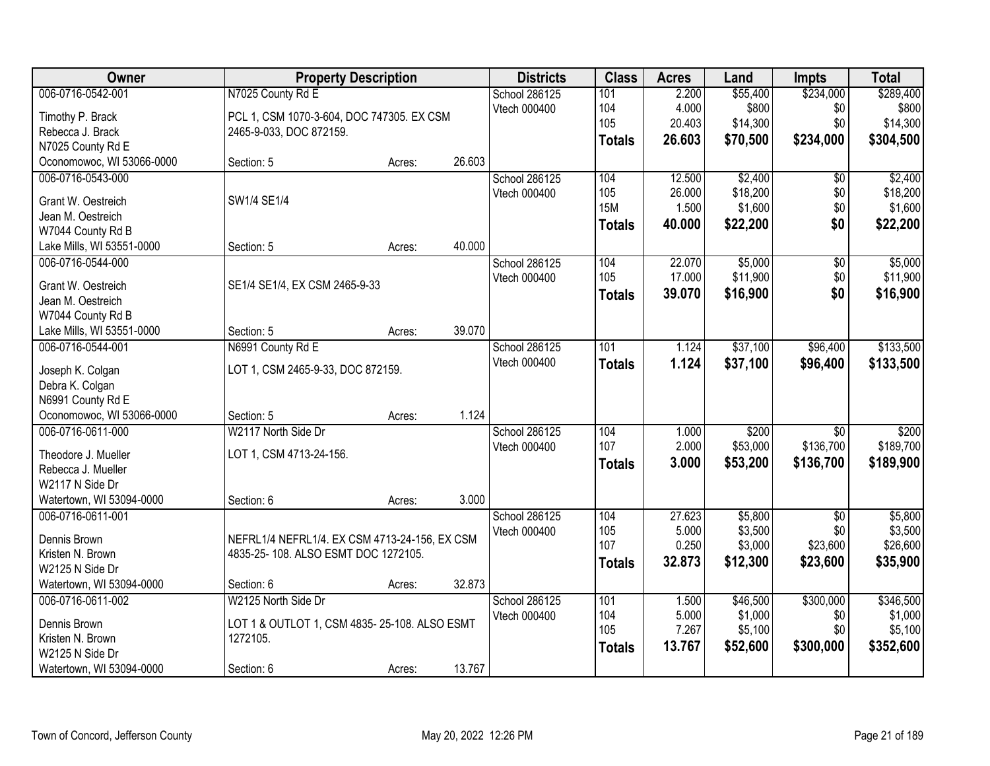| Owner                     | <b>Property Description</b>                   |        |        | <b>Districts</b> | <b>Class</b>  | <b>Acres</b> | Land     | Impts           | <b>Total</b> |
|---------------------------|-----------------------------------------------|--------|--------|------------------|---------------|--------------|----------|-----------------|--------------|
| 006-0716-0542-001         | N7025 County Rd E                             |        |        | School 286125    | 101           | 2.200        | \$55,400 | \$234,000       | \$289,400    |
| Timothy P. Brack          | PCL 1, CSM 1070-3-604, DOC 747305. EX CSM     |        |        | Vtech 000400     | 104           | 4.000        | \$800    | \$0             | \$800        |
| Rebecca J. Brack          | 2465-9-033, DOC 872159.                       |        |        |                  | 105           | 20.403       | \$14,300 | \$0             | \$14,300     |
| N7025 County Rd E         |                                               |        |        |                  | <b>Totals</b> | 26.603       | \$70,500 | \$234,000       | \$304,500    |
| Oconomowoc, WI 53066-0000 | Section: 5                                    | Acres: | 26.603 |                  |               |              |          |                 |              |
| 006-0716-0543-000         |                                               |        |        | School 286125    | 104           | 12.500       | \$2,400  | $\overline{50}$ | \$2,400      |
|                           |                                               |        |        | Vtech 000400     | 105           | 26.000       | \$18,200 | \$0             | \$18,200     |
| Grant W. Oestreich        | SW1/4 SE1/4                                   |        |        |                  | <b>15M</b>    | 1.500        | \$1,600  | \$0             | \$1,600      |
| Jean M. Oestreich         |                                               |        |        |                  | <b>Totals</b> | 40.000       | \$22,200 | \$0             | \$22,200     |
| W7044 County Rd B         |                                               |        |        |                  |               |              |          |                 |              |
| Lake Mills, WI 53551-0000 | Section: 5                                    | Acres: | 40.000 |                  |               |              |          |                 |              |
| 006-0716-0544-000         |                                               |        |        | School 286125    | 104           | 22.070       | \$5,000  | $\overline{50}$ | \$5,000      |
| Grant W. Oestreich        | SE1/4 SE1/4, EX CSM 2465-9-33                 |        |        | Vtech 000400     | 105           | 17.000       | \$11,900 | \$0             | \$11,900     |
| Jean M. Oestreich         |                                               |        |        |                  | Totals        | 39.070       | \$16,900 | \$0             | \$16,900     |
| W7044 County Rd B         |                                               |        |        |                  |               |              |          |                 |              |
| Lake Mills, WI 53551-0000 | Section: 5                                    | Acres: | 39.070 |                  |               |              |          |                 |              |
| 006-0716-0544-001         | N6991 County Rd E                             |        |        | School 286125    | 101           | 1.124        | \$37,100 | \$96,400        | \$133,500    |
|                           |                                               |        |        | Vtech 000400     | <b>Totals</b> | 1.124        | \$37,100 | \$96,400        | \$133,500    |
| Joseph K. Colgan          | LOT 1, CSM 2465-9-33, DOC 872159.             |        |        |                  |               |              |          |                 |              |
| Debra K. Colgan           |                                               |        |        |                  |               |              |          |                 |              |
| N6991 County Rd E         |                                               |        |        |                  |               |              |          |                 |              |
| Oconomowoc, WI 53066-0000 | Section: 5                                    | Acres: | 1.124  |                  |               |              |          |                 |              |
| 006-0716-0611-000         | W2117 North Side Dr                           |        |        | School 286125    | 104           | 1.000        | \$200    | $\overline{50}$ | \$200        |
| Theodore J. Mueller       | LOT 1, CSM 4713-24-156.                       |        |        | Vtech 000400     | 107           | 2.000        | \$53,000 | \$136,700       | \$189,700    |
| Rebecca J. Mueller        |                                               |        |        |                  | <b>Totals</b> | 3.000        | \$53,200 | \$136,700       | \$189,900    |
| W2117 N Side Dr           |                                               |        |        |                  |               |              |          |                 |              |
| Watertown, WI 53094-0000  | Section: 6                                    | Acres: | 3.000  |                  |               |              |          |                 |              |
| 006-0716-0611-001         |                                               |        |        | School 286125    | 104           | 27.623       | \$5,800  | $\overline{50}$ | \$5,800      |
|                           |                                               |        |        | Vtech 000400     | 105           | 5.000        | \$3,500  | \$0             | \$3,500      |
| Dennis Brown              | NEFRL1/4 NEFRL1/4. EX CSM 4713-24-156, EX CSM |        |        |                  | 107           | 0.250        | \$3,000  | \$23,600        | \$26,600     |
| Kristen N. Brown          | 4835-25-108. ALSO ESMT DOC 1272105.           |        |        |                  | <b>Totals</b> | 32.873       | \$12,300 | \$23,600        | \$35,900     |
| W2125 N Side Dr           |                                               |        |        |                  |               |              |          |                 |              |
| Watertown, WI 53094-0000  | Section: 6                                    | Acres: | 32.873 |                  |               |              |          |                 |              |
| 006-0716-0611-002         | W2125 North Side Dr                           |        |        | School 286125    | 101           | 1.500        | \$46,500 | \$300,000       | \$346,500    |
| Dennis Brown              | LOT 1 & OUTLOT 1, CSM 4835-25-108. ALSO ESMT  |        |        | Vtech 000400     | 104           | 5.000        | \$1,000  | \$0             | \$1,000      |
| Kristen N. Brown          | 1272105.                                      |        |        |                  | 105           | 7.267        | \$5,100  | \$0             | \$5,100      |
| W2125 N Side Dr           |                                               |        |        |                  | <b>Totals</b> | 13.767       | \$52,600 | \$300,000       | \$352,600    |
| Watertown, WI 53094-0000  | Section: 6                                    | Acres: | 13.767 |                  |               |              |          |                 |              |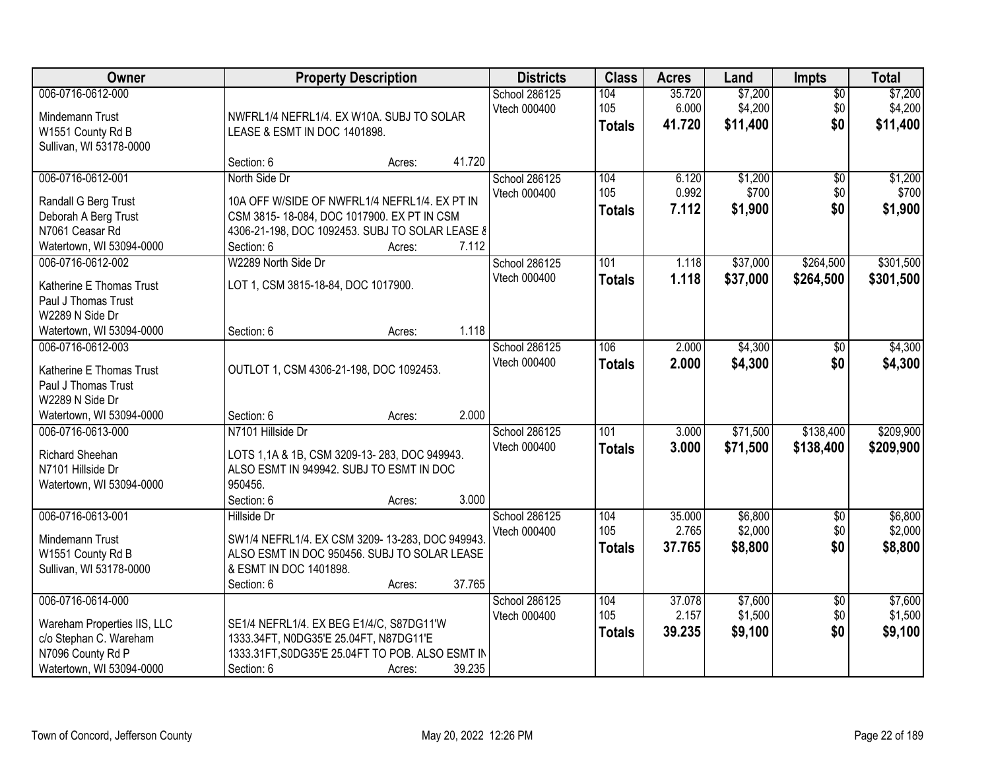| Owner                                                                                                                       | <b>Property Description</b>                                                                                                                                                                      | <b>Districts</b>              | <b>Class</b>                | <b>Acres</b>              | Land                           | <b>Impts</b>                  | <b>Total</b>                   |
|-----------------------------------------------------------------------------------------------------------------------------|--------------------------------------------------------------------------------------------------------------------------------------------------------------------------------------------------|-------------------------------|-----------------------------|---------------------------|--------------------------------|-------------------------------|--------------------------------|
| 006-0716-0612-000<br>Mindemann Trust<br>W1551 County Rd B<br>Sullivan, WI 53178-0000                                        | NWFRL1/4 NEFRL1/4. EX W10A. SUBJ TO SOLAR<br>LEASE & ESMT IN DOC 1401898.                                                                                                                        | School 286125<br>Vtech 000400 | 104<br>105<br><b>Totals</b> | 35.720<br>6.000<br>41.720 | \$7,200<br>\$4,200<br>\$11,400 | $\overline{50}$<br>\$0<br>\$0 | \$7,200<br>\$4,200<br>\$11,400 |
|                                                                                                                             | 41.720<br>Section: 6<br>Acres:                                                                                                                                                                   |                               |                             |                           |                                |                               |                                |
| 006-0716-0612-001<br>Randall G Berg Trust<br>Deborah A Berg Trust<br>N7061 Ceasar Rd<br>Watertown, WI 53094-0000            | North Side Dr<br>10A OFF W/SIDE OF NWFRL1/4 NEFRL1/4, EX PT IN<br>CSM 3815-18-084, DOC 1017900. EX PT IN CSM<br>4306-21-198, DOC 1092453. SUBJ TO SOLAR LEASE &<br>7.112<br>Section: 6<br>Acres: | School 286125<br>Vtech 000400 | 104<br>105<br><b>Totals</b> | 6.120<br>0.992<br>7.112   | \$1,200<br>\$700<br>\$1,900    | $\overline{50}$<br>\$0<br>\$0 | \$1,200<br>\$700<br>\$1,900    |
| 006-0716-0612-002<br>Katherine E Thomas Trust<br>Paul J Thomas Trust<br>W2289 N Side Dr<br>Watertown, WI 53094-0000         | W2289 North Side Dr<br>LOT 1, CSM 3815-18-84, DOC 1017900.<br>1.118<br>Section: 6<br>Acres:                                                                                                      | School 286125<br>Vtech 000400 | 101<br><b>Totals</b>        | 1.118<br>1.118            | \$37,000<br>\$37,000           | \$264,500<br>\$264,500        | \$301,500<br>\$301,500         |
| 006-0716-0612-003<br>Katherine E Thomas Trust<br>Paul J Thomas Trust<br>W2289 N Side Dr<br>Watertown, WI 53094-0000         | OUTLOT 1, CSM 4306-21-198, DOC 1092453.<br>2.000<br>Section: 6<br>Acres:                                                                                                                         | School 286125<br>Vtech 000400 | 106<br><b>Totals</b>        | 2.000<br>2.000            | \$4,300<br>\$4,300             | $\sqrt[6]{}$<br>\$0           | \$4,300<br>\$4,300             |
| 006-0716-0613-000<br>Richard Sheehan<br>N7101 Hillside Dr<br>Watertown, WI 53094-0000                                       | N7101 Hillside Dr<br>LOTS 1,1A & 1B, CSM 3209-13-283, DOC 949943.<br>ALSO ESMT IN 949942. SUBJ TO ESMT IN DOC<br>950456.<br>3.000<br>Section: 6<br>Acres:                                        | School 286125<br>Vtech 000400 | 101<br><b>Totals</b>        | 3.000<br>3.000            | \$71,500<br>\$71,500           | \$138,400<br>\$138,400        | \$209,900<br>\$209,900         |
| 006-0716-0613-001<br>Mindemann Trust<br>W1551 County Rd B<br>Sullivan, WI 53178-0000                                        | Hillside Dr<br>SW1/4 NEFRL1/4. EX CSM 3209-13-283, DOC 949943.<br>ALSO ESMT IN DOC 950456. SUBJ TO SOLAR LEASE<br>& ESMT IN DOC 1401898.<br>37.765<br>Section: 6<br>Acres:                       | School 286125<br>Vtech 000400 | 104<br>105<br><b>Totals</b> | 35.000<br>2.765<br>37.765 | \$6,800<br>\$2,000<br>\$8,800  | $\sqrt{$0}$<br>\$0<br>\$0     | \$6,800<br>\$2,000<br>\$8,800  |
| 006-0716-0614-000<br>Wareham Properties IIS, LLC<br>c/o Stephan C. Wareham<br>N7096 County Rd P<br>Watertown, WI 53094-0000 | SE1/4 NEFRL1/4. EX BEG E1/4/C, S87DG11'W<br>1333.34FT, N0DG35'E 25.04FT, N87DG11'E<br>1333.31FT, S0DG35'E 25.04FT TO POB. ALSO ESMT IN<br>39.235<br>Section: 6<br>Acres:                         | School 286125<br>Vtech 000400 | 104<br>105<br><b>Totals</b> | 37.078<br>2.157<br>39.235 | \$7,600<br>\$1,500<br>\$9,100  | $\overline{50}$<br>\$0<br>\$0 | \$7,600<br>\$1,500<br>\$9,100  |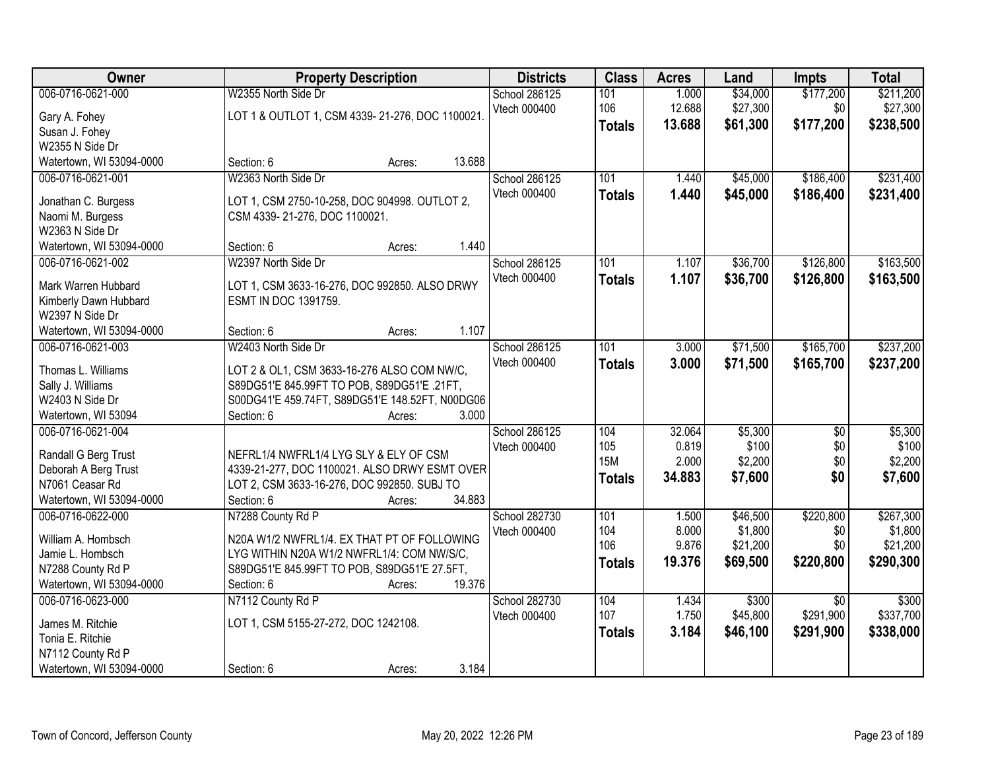| Owner                                                                                                            | <b>Property Description</b>                                                                                                                                                                           | <b>Districts</b>              | <b>Class</b>                              | <b>Acres</b>                       | Land                                        | <b>Impts</b>                              | <b>Total</b>                                  |
|------------------------------------------------------------------------------------------------------------------|-------------------------------------------------------------------------------------------------------------------------------------------------------------------------------------------------------|-------------------------------|-------------------------------------------|------------------------------------|---------------------------------------------|-------------------------------------------|-----------------------------------------------|
| 006-0716-0621-000<br>Gary A. Fohey<br>Susan J. Fohey<br>W2355 N Side Dr                                          | W2355 North Side Dr<br>LOT 1 & OUTLOT 1, CSM 4339-21-276, DOC 1100021.                                                                                                                                | School 286125<br>Vtech 000400 | 101<br>106<br><b>Totals</b>               | 1.000<br>12.688<br>13.688          | \$34,000<br>\$27,300<br>\$61,300            | \$177,200<br>\$0<br>\$177,200             | \$211,200<br>\$27,300<br>\$238,500            |
| Watertown, WI 53094-0000                                                                                         | Section: 6<br>13.688<br>Acres:                                                                                                                                                                        |                               |                                           |                                    |                                             |                                           |                                               |
| 006-0716-0621-001<br>Jonathan C. Burgess<br>Naomi M. Burgess<br>W2363 N Side Dr<br>Watertown, WI 53094-0000      | W2363 North Side Dr<br>LOT 1, CSM 2750-10-258, DOC 904998. OUTLOT 2,<br>CSM 4339-21-276, DOC 1100021.<br>1.440<br>Section: 6<br>Acres:                                                                | School 286125<br>Vtech 000400 | 101<br><b>Totals</b>                      | 1.440<br>1.440                     | \$45,000<br>\$45,000                        | \$186,400<br>\$186,400                    | \$231,400<br>\$231,400                        |
| 006-0716-0621-002<br>Mark Warren Hubbard<br>Kimberly Dawn Hubbard<br>W2397 N Side Dr<br>Watertown, WI 53094-0000 | W2397 North Side Dr<br>LOT 1, CSM 3633-16-276, DOC 992850. ALSO DRWY<br>ESMT IN DOC 1391759.<br>1.107<br>Section: 6<br>Acres:                                                                         | School 286125<br>Vtech 000400 | 101<br><b>Totals</b>                      | 1.107<br>1.107                     | \$36,700<br>\$36,700                        | \$126,800<br>\$126,800                    | \$163,500<br>\$163,500                        |
| 006-0716-0621-003<br>Thomas L. Williams<br>Sally J. Williams<br>W2403 N Side Dr<br>Watertown, WI 53094           | W2403 North Side Dr<br>LOT 2 & OL1, CSM 3633-16-276 ALSO COM NW/C,<br>S89DG51'E 845.99FT TO POB, S89DG51'E .21FT,<br>S00DG41'E 459.74FT, S89DG51'E 148.52FT, N00DG06<br>Section: 6<br>3.000<br>Acres: | School 286125<br>Vtech 000400 | 101<br><b>Totals</b>                      | 3.000<br>3.000                     | \$71,500<br>\$71,500                        | \$165,700<br>\$165,700                    | \$237,200<br>\$237,200                        |
| 006-0716-0621-004<br>Randall G Berg Trust<br>Deborah A Berg Trust<br>N7061 Ceasar Rd<br>Watertown, WI 53094-0000 | NEFRL1/4 NWFRL1/4 LYG SLY & ELY OF CSM<br>4339-21-277, DOC 1100021. ALSO DRWY ESMT OVER<br>LOT 2, CSM 3633-16-276, DOC 992850. SUBJ TO<br>Section: 6<br>34.883<br>Acres:                              | School 286125<br>Vtech 000400 | 104<br>105<br><b>15M</b><br><b>Totals</b> | 32.064<br>0.819<br>2.000<br>34.883 | \$5,300<br>\$100<br>\$2,200<br>\$7,600      | $\overline{50}$<br>\$0<br>\$0<br>\$0      | \$5,300<br>\$100<br>\$2,200<br>\$7,600        |
| 006-0716-0622-000<br>William A. Hombsch<br>Jamie L. Hombsch<br>N7288 County Rd P<br>Watertown, WI 53094-0000     | N7288 County Rd P<br>N20A W1/2 NWFRL1/4. EX THAT PT OF FOLLOWING<br>LYG WITHIN N20A W1/2 NWFRL1/4: COM NW/S/C,<br>S89DG51'E 845.99FT TO POB, S89DG51'E 27.5FT,<br>19.376<br>Section: 6<br>Acres:      | School 282730<br>Vtech 000400 | 101<br>104<br>106<br><b>Totals</b>        | 1.500<br>8.000<br>9.876<br>19.376  | \$46,500<br>\$1,800<br>\$21,200<br>\$69,500 | \$220,800<br>\$0<br>\$0<br>\$220,800      | \$267,300<br>\$1,800<br>\$21,200<br>\$290,300 |
| 006-0716-0623-000<br>James M. Ritchie<br>Tonia E. Ritchie<br>N7112 County Rd P<br>Watertown, WI 53094-0000       | N7112 County Rd P<br>LOT 1, CSM 5155-27-272, DOC 1242108.<br>3.184<br>Section: 6<br>Acres:                                                                                                            | School 282730<br>Vtech 000400 | 104<br>107<br><b>Totals</b>               | 1.434<br>1.750<br>3.184            | \$300<br>\$45,800<br>\$46,100               | $\overline{30}$<br>\$291,900<br>\$291,900 | \$300<br>\$337,700<br>\$338,000               |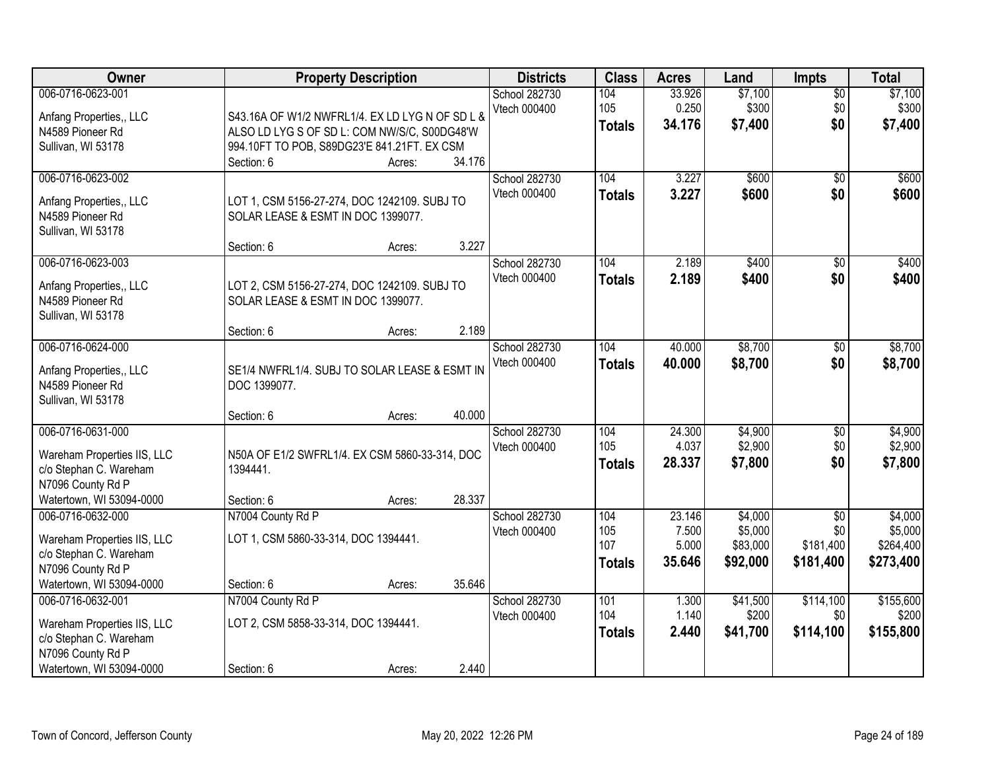| <b>Owner</b>                                                                                                                | <b>Property Description</b>                                                                                                                                                      | <b>Districts</b>              | <b>Class</b>                       | <b>Acres</b>                       | Land                                       | <b>Impts</b>                                 | <b>Total</b>                                 |
|-----------------------------------------------------------------------------------------------------------------------------|----------------------------------------------------------------------------------------------------------------------------------------------------------------------------------|-------------------------------|------------------------------------|------------------------------------|--------------------------------------------|----------------------------------------------|----------------------------------------------|
| 006-0716-0623-001<br>Anfang Properties,, LLC<br>N4589 Pioneer Rd<br>Sullivan, WI 53178                                      | S43.16A OF W1/2 NWFRL1/4. EX LD LYG N OF SD L &<br>ALSO LD LYG S OF SD L: COM NW/S/C, S00DG48'W<br>994.10FT TO POB, S89DG23'E 841.21FT. EX CSM<br>34.176<br>Section: 6<br>Acres: | School 282730<br>Vtech 000400 | 104<br>105<br><b>Totals</b>        | 33.926<br>0.250<br>34.176          | \$7,100<br>\$300<br>\$7,400                | \$0<br>\$0<br>\$0                            | \$7,100<br>\$300<br>\$7,400                  |
| 006-0716-0623-002<br>Anfang Properties,, LLC<br>N4589 Pioneer Rd<br>Sullivan, WI 53178                                      | LOT 1, CSM 5156-27-274, DOC 1242109. SUBJ TO<br>SOLAR LEASE & ESMT IN DOC 1399077.<br>3.227<br>Section: 6<br>Acres:                                                              | School 282730<br>Vtech 000400 | 104<br><b>Totals</b>               | 3.227<br>3.227                     | \$600<br>\$600                             | \$0<br>\$0                                   | \$600<br>\$600                               |
| 006-0716-0623-003<br>Anfang Properties,, LLC<br>N4589 Pioneer Rd<br>Sullivan, WI 53178                                      | LOT 2, CSM 5156-27-274, DOC 1242109. SUBJ TO<br>SOLAR LEASE & ESMT IN DOC 1399077.<br>2.189<br>Section: 6<br>Acres:                                                              | School 282730<br>Vtech 000400 | 104<br><b>Totals</b>               | 2.189<br>2.189                     | \$400<br>\$400                             | \$0<br>\$0                                   | \$400<br>\$400                               |
| 006-0716-0624-000<br>Anfang Properties,, LLC<br>N4589 Pioneer Rd<br>Sullivan, WI 53178                                      | SE1/4 NWFRL1/4. SUBJ TO SOLAR LEASE & ESMT IN<br>DOC 1399077.<br>40.000<br>Section: 6<br>Acres:                                                                                  | School 282730<br>Vtech 000400 | 104<br><b>Totals</b>               | 40.000<br>40.000                   | \$8,700<br>\$8,700                         | $\sqrt[6]{}$<br>\$0                          | \$8,700<br>\$8,700                           |
| 006-0716-0631-000<br>Wareham Properties IIS, LLC<br>c/o Stephan C. Wareham<br>N7096 County Rd P<br>Watertown, WI 53094-0000 | N50A OF E1/2 SWFRL1/4. EX CSM 5860-33-314, DOC<br>1394441.<br>28.337<br>Section: 6<br>Acres:                                                                                     | School 282730<br>Vtech 000400 | 104<br>105<br><b>Totals</b>        | 24.300<br>4.037<br>28.337          | \$4,900<br>\$2,900<br>\$7,800              | $\overline{50}$<br>\$0<br>\$0                | \$4,900<br>\$2,900<br>\$7,800                |
| 006-0716-0632-000<br>Wareham Properties IIS, LLC<br>c/o Stephan C. Wareham<br>N7096 County Rd P<br>Watertown, WI 53094-0000 | N7004 County Rd P<br>LOT 1, CSM 5860-33-314, DOC 1394441.<br>35.646<br>Section: 6<br>Acres:                                                                                      | School 282730<br>Vtech 000400 | 104<br>105<br>107<br><b>Totals</b> | 23.146<br>7.500<br>5.000<br>35.646 | \$4,000<br>\$5,000<br>\$83,000<br>\$92,000 | $\sqrt{$0}$<br>\$0<br>\$181,400<br>\$181,400 | \$4,000<br>\$5,000<br>\$264,400<br>\$273,400 |
| 006-0716-0632-001<br>Wareham Properties IIS, LLC<br>c/o Stephan C. Wareham<br>N7096 County Rd P<br>Watertown, WI 53094-0000 | N7004 County Rd P<br>LOT 2, CSM 5858-33-314, DOC 1394441.<br>2.440<br>Section: 6<br>Acres:                                                                                       | School 282730<br>Vtech 000400 | 101<br>104<br><b>Totals</b>        | 1.300<br>1.140<br>2.440            | \$41,500<br>\$200<br>\$41,700              | \$114,100<br>\$0<br>\$114,100                | \$155,600<br>\$200<br>\$155,800              |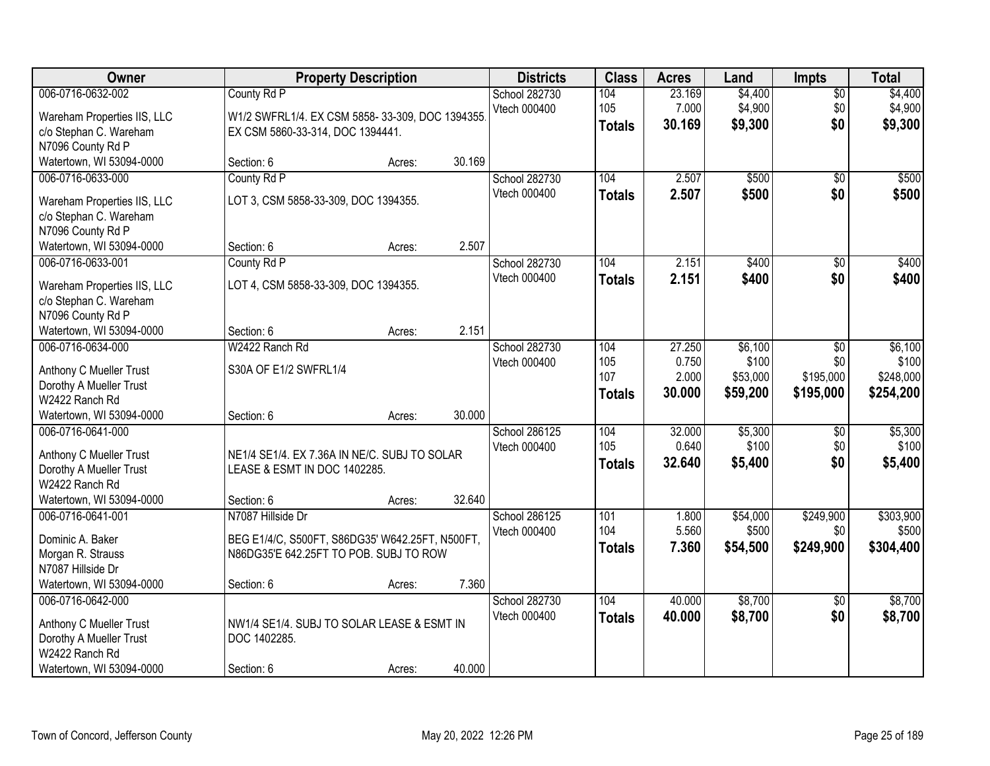| Owner                                                                      | <b>Property Description</b>                                    |                  | <b>Districts</b>              | <b>Class</b>         | <b>Acres</b>              | Land                          | <b>Impts</b>              | <b>Total</b>                  |
|----------------------------------------------------------------------------|----------------------------------------------------------------|------------------|-------------------------------|----------------------|---------------------------|-------------------------------|---------------------------|-------------------------------|
| 006-0716-0632-002<br>Wareham Properties IIS, LLC                           | County Rd P<br>W1/2 SWFRL1/4. EX CSM 5858-33-309, DOC 1394355. |                  | School 282730<br>Vtech 000400 | 104<br>105           | 23.169<br>7.000<br>30.169 | \$4,400<br>\$4,900<br>\$9,300 | $\sqrt{$0}$<br>\$0<br>\$0 | \$4,400<br>\$4,900<br>\$9,300 |
| c/o Stephan C. Wareham<br>N7096 County Rd P                                | EX CSM 5860-33-314, DOC 1394441.                               |                  |                               | <b>Totals</b>        |                           |                               |                           |                               |
| Watertown, WI 53094-0000                                                   | Section: 6                                                     | 30.169<br>Acres: |                               |                      |                           |                               |                           |                               |
| 006-0716-0633-000<br>Wareham Properties IIS, LLC                           | County Rd P<br>LOT 3, CSM 5858-33-309, DOC 1394355.            |                  | School 282730<br>Vtech 000400 | 104<br><b>Totals</b> | 2.507<br>2.507            | \$500<br>\$500                | \$0<br>\$0                | \$500<br>\$500                |
| c/o Stephan C. Wareham<br>N7096 County Rd P<br>Watertown, WI 53094-0000    | Section: 6                                                     | 2.507<br>Acres:  |                               |                      |                           |                               |                           |                               |
| 006-0716-0633-001                                                          | County Rd P                                                    |                  | School 282730                 | 104                  | 2.151                     | \$400                         | \$0                       | \$400                         |
| Wareham Properties IIS, LLC<br>c/o Stephan C. Wareham<br>N7096 County Rd P | LOT 4, CSM 5858-33-309, DOC 1394355.                           |                  | Vtech 000400                  | <b>Totals</b>        | 2.151                     | \$400                         | \$0                       | \$400                         |
| Watertown, WI 53094-0000                                                   | Section: 6                                                     | 2.151<br>Acres:  |                               |                      |                           |                               |                           |                               |
| 006-0716-0634-000                                                          | W2422 Ranch Rd                                                 |                  | School 282730                 | 104                  | 27.250                    | \$6,100                       | $\sqrt[6]{3}$             | \$6,100                       |
|                                                                            |                                                                |                  | Vtech 000400                  | 105                  | 0.750                     | \$100                         | \$0                       | \$100                         |
| Anthony C Mueller Trust                                                    | S30A OF E1/2 SWFRL1/4                                          |                  |                               | 107                  | 2.000                     | \$53,000                      | \$195,000                 | \$248,000                     |
| Dorothy A Mueller Trust<br>W2422 Ranch Rd                                  |                                                                |                  |                               | <b>Totals</b>        | 30.000                    | \$59,200                      | \$195,000                 | \$254,200                     |
| Watertown, WI 53094-0000                                                   | Section: 6                                                     | 30.000<br>Acres: |                               |                      |                           |                               |                           |                               |
| 006-0716-0641-000                                                          |                                                                |                  | School 286125                 | 104                  | 32.000                    | \$5,300                       | \$0                       | \$5,300                       |
| Anthony C Mueller Trust                                                    | NE1/4 SE1/4. EX 7.36A IN NE/C. SUBJ TO SOLAR                   |                  | Vtech 000400                  | 105                  | 0.640                     | \$100                         | \$0                       | \$100                         |
| Dorothy A Mueller Trust                                                    | LEASE & ESMT IN DOC 1402285.                                   |                  |                               | <b>Totals</b>        | 32.640                    | \$5,400                       | \$0                       | \$5,400                       |
| W2422 Ranch Rd                                                             |                                                                |                  |                               |                      |                           |                               |                           |                               |
| Watertown, WI 53094-0000                                                   | Section: 6                                                     | 32.640<br>Acres: |                               |                      |                           |                               |                           |                               |
| 006-0716-0641-001                                                          | N7087 Hillside Dr                                              |                  | School 286125                 | 101                  | 1.800                     | \$54,000                      | \$249,900                 | \$303,900                     |
| Dominic A. Baker                                                           | BEG E1/4/C, S500FT, S86DG35' W642.25FT, N500FT,                |                  | Vtech 000400                  | 104                  | 5.560                     | \$500                         | \$0                       | \$500                         |
| Morgan R. Strauss                                                          | N86DG35'E 642.25FT TO POB. SUBJ TO ROW                         |                  |                               | <b>Totals</b>        | 7.360                     | \$54,500                      | \$249,900                 | \$304,400                     |
| N7087 Hillside Dr                                                          |                                                                |                  |                               |                      |                           |                               |                           |                               |
| Watertown, WI 53094-0000                                                   | Section: 6                                                     | 7.360<br>Acres:  |                               |                      |                           |                               |                           |                               |
| 006-0716-0642-000                                                          |                                                                |                  | School 282730                 | 104                  | 40.000                    | \$8,700                       | $\overline{50}$           | \$8,700                       |
| Anthony C Mueller Trust                                                    | NW1/4 SE1/4. SUBJ TO SOLAR LEASE & ESMT IN                     |                  | Vtech 000400                  | <b>Totals</b>        | 40.000                    | \$8,700                       | \$0                       | \$8,700                       |
| Dorothy A Mueller Trust                                                    | DOC 1402285.                                                   |                  |                               |                      |                           |                               |                           |                               |
| W2422 Ranch Rd                                                             |                                                                |                  |                               |                      |                           |                               |                           |                               |
| Watertown, WI 53094-0000                                                   | Section: 6                                                     | 40.000<br>Acres: |                               |                      |                           |                               |                           |                               |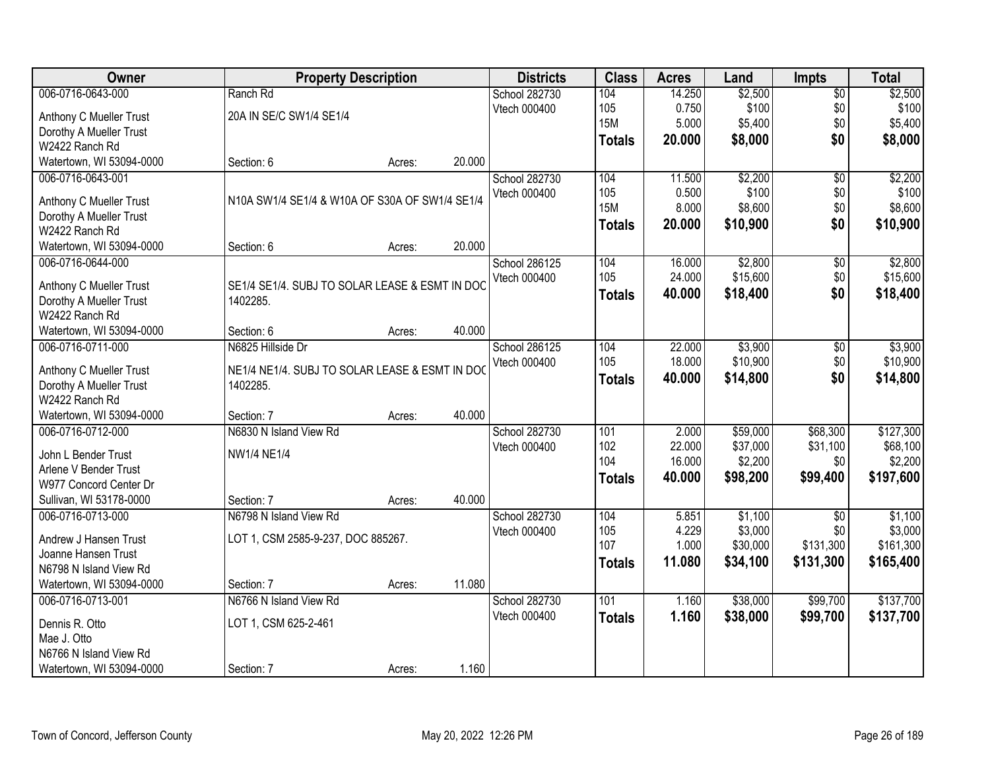| Owner                                     |                                                            | <b>Property Description</b> |        | <b>Districts</b> | <b>Class</b>  | <b>Acres</b> | Land     | <b>Impts</b>    | <b>Total</b> |
|-------------------------------------------|------------------------------------------------------------|-----------------------------|--------|------------------|---------------|--------------|----------|-----------------|--------------|
| 006-0716-0643-000                         | Ranch Rd                                                   |                             |        | School 282730    | 104           | 14.250       | \$2,500  | $\sqrt{$0}$     | \$2,500      |
| Anthony C Mueller Trust                   | 20A IN SE/C SW1/4 SE1/4                                    |                             |        | Vtech 000400     | 105           | 0.750        | \$100    | \$0             | \$100        |
| Dorothy A Mueller Trust                   |                                                            |                             |        |                  | <b>15M</b>    | 5.000        | \$5,400  | \$0             | \$5,400      |
| W2422 Ranch Rd                            |                                                            |                             |        |                  | <b>Totals</b> | 20.000       | \$8,000  | \$0             | \$8,000      |
| Watertown, WI 53094-0000                  | Section: 6                                                 | Acres:                      | 20.000 |                  |               |              |          |                 |              |
| 006-0716-0643-001                         |                                                            |                             |        | School 282730    | 104           | 11.500       | \$2,200  | $\overline{50}$ | \$2,200      |
|                                           |                                                            |                             |        | Vtech 000400     | 105           | 0.500        | \$100    | \$0             | \$100        |
| Anthony C Mueller Trust                   | N10A SW1/4 SE1/4 & W10A OF S30A OF SW1/4 SE1/4             |                             |        |                  | <b>15M</b>    | 8.000        | \$8,600  | \$0             | \$8,600      |
| Dorothy A Mueller Trust                   |                                                            |                             |        |                  | <b>Totals</b> | 20.000       | \$10,900 | \$0             | \$10,900     |
| W2422 Ranch Rd                            |                                                            |                             |        |                  |               |              |          |                 |              |
| Watertown, WI 53094-0000                  | Section: 6                                                 | Acres:                      | 20.000 |                  |               |              |          |                 |              |
| 006-0716-0644-000                         |                                                            |                             |        | School 286125    | 104           | 16.000       | \$2,800  | \$0             | \$2,800      |
| Anthony C Mueller Trust                   | SE1/4 SE1/4. SUBJ TO SOLAR LEASE & ESMT IN DOC             |                             |        | Vtech 000400     | 105           | 24.000       | \$15,600 | \$0             | \$15,600     |
| Dorothy A Mueller Trust                   | 1402285.                                                   |                             |        |                  | <b>Totals</b> | 40.000       | \$18,400 | \$0             | \$18,400     |
| W2422 Ranch Rd                            |                                                            |                             |        |                  |               |              |          |                 |              |
| Watertown, WI 53094-0000                  | Section: 6                                                 | Acres:                      | 40.000 |                  |               |              |          |                 |              |
| 006-0716-0711-000                         | N6825 Hillside Dr                                          |                             |        | School 286125    | 104           | 22.000       | \$3,900  | \$0             | \$3,900      |
|                                           |                                                            |                             |        | Vtech 000400     | 105           | 18.000       | \$10,900 | \$0             | \$10,900     |
| Anthony C Mueller Trust                   | NE1/4 NE1/4. SUBJ TO SOLAR LEASE & ESMT IN DOC<br>1402285. |                             |        |                  | <b>Totals</b> | 40.000       | \$14,800 | \$0             | \$14,800     |
| Dorothy A Mueller Trust<br>W2422 Ranch Rd |                                                            |                             |        |                  |               |              |          |                 |              |
| Watertown, WI 53094-0000                  | Section: 7                                                 |                             | 40.000 |                  |               |              |          |                 |              |
| 006-0716-0712-000                         | N6830 N Island View Rd                                     | Acres:                      |        |                  | 101           | 2.000        | \$59,000 | \$68,300        | \$127,300    |
|                                           |                                                            |                             |        | School 282730    | 102           | 22.000       | \$37,000 | \$31,100        | \$68,100     |
| John L Bender Trust                       | NW1/4 NE1/4                                                |                             |        | Vtech 000400     | 104           | 16.000       | \$2,200  | \$0             | \$2,200      |
| Arlene V Bender Trust                     |                                                            |                             |        |                  |               | 40.000       | \$98,200 | \$99,400        |              |
| W977 Concord Center Dr                    |                                                            |                             |        |                  | <b>Totals</b> |              |          |                 | \$197,600    |
| Sullivan, WI 53178-0000                   | Section: 7                                                 | Acres:                      | 40.000 |                  |               |              |          |                 |              |
| 006-0716-0713-000                         | N6798 N Island View Rd                                     |                             |        | School 282730    | 104           | 5.851        | \$1,100  | $\overline{50}$ | \$1,100      |
| Andrew J Hansen Trust                     | LOT 1, CSM 2585-9-237, DOC 885267.                         |                             |        | Vtech 000400     | 105           | 4.229        | \$3,000  | \$0             | \$3,000      |
| Joanne Hansen Trust                       |                                                            |                             |        |                  | 107           | 1.000        | \$30,000 | \$131,300       | \$161,300    |
| N6798 N Island View Rd                    |                                                            |                             |        |                  | Totals        | 11.080       | \$34,100 | \$131,300       | \$165,400    |
| Watertown, WI 53094-0000                  | Section: 7                                                 | Acres:                      | 11.080 |                  |               |              |          |                 |              |
| 006-0716-0713-001                         | N6766 N Island View Rd                                     |                             |        | School 282730    | 101           | 1.160        | \$38,000 | \$99,700        | \$137,700    |
|                                           |                                                            |                             |        | Vtech 000400     | <b>Totals</b> | 1.160        | \$38,000 | \$99,700        | \$137,700    |
| Dennis R. Otto                            | LOT 1, CSM 625-2-461                                       |                             |        |                  |               |              |          |                 |              |
| Mae J. Otto                               |                                                            |                             |        |                  |               |              |          |                 |              |
| N6766 N Island View Rd                    |                                                            |                             |        |                  |               |              |          |                 |              |
| Watertown, WI 53094-0000                  | Section: 7                                                 | Acres:                      | 1.160  |                  |               |              |          |                 |              |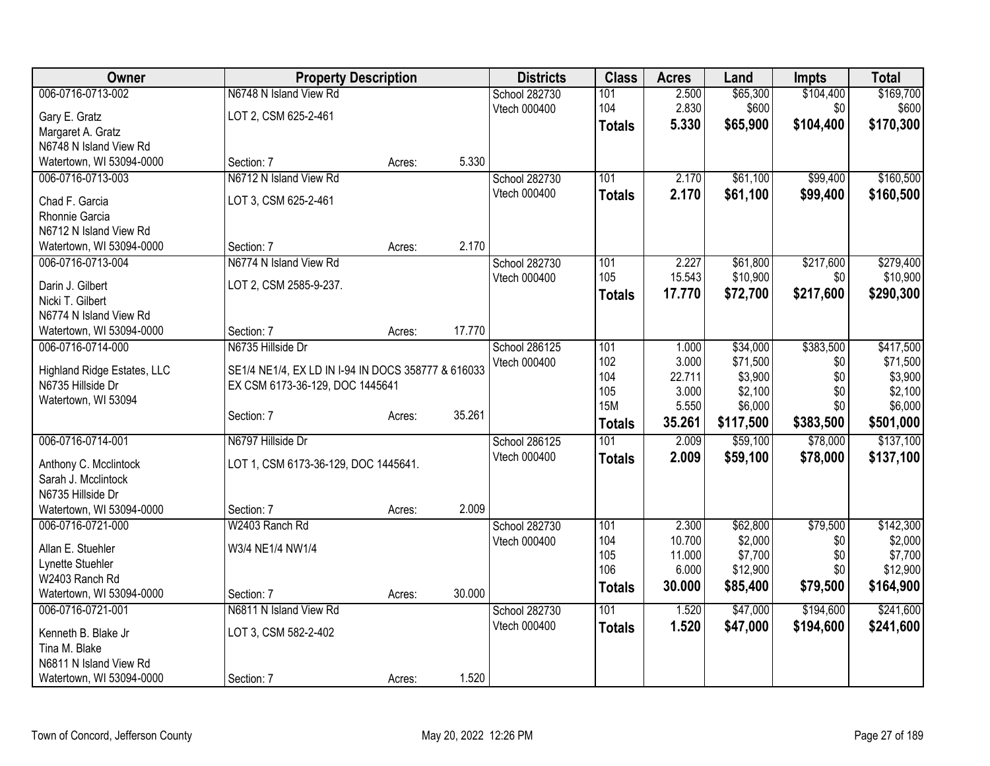| Owner                       | <b>Property Description</b>                        |        |        | <b>Districts</b> | <b>Class</b>  | <b>Acres</b>     | Land               | <b>Impts</b> | <b>Total</b>       |
|-----------------------------|----------------------------------------------------|--------|--------|------------------|---------------|------------------|--------------------|--------------|--------------------|
| 006-0716-0713-002           | N6748 N Island View Rd                             |        |        | School 282730    | 101           | 2.500            | \$65,300           | \$104,400    | \$169,700          |
| Gary E. Gratz               | LOT 2, CSM 625-2-461                               |        |        | Vtech 000400     | 104           | 2.830            | \$600              | \$0          | \$600              |
| Margaret A. Gratz           |                                                    |        |        |                  | <b>Totals</b> | 5.330            | \$65,900           | \$104,400    | \$170,300          |
| N6748 N Island View Rd      |                                                    |        |        |                  |               |                  |                    |              |                    |
| Watertown, WI 53094-0000    | Section: 7                                         | Acres: | 5.330  |                  |               |                  |                    |              |                    |
| 006-0716-0713-003           | N6712 N Island View Rd                             |        |        | School 282730    | 101           | 2.170            | \$61,100           | \$99,400     | \$160,500          |
| Chad F. Garcia              | LOT 3, CSM 625-2-461                               |        |        | Vtech 000400     | <b>Totals</b> | 2.170            | \$61,100           | \$99,400     | \$160,500          |
| Rhonnie Garcia              |                                                    |        |        |                  |               |                  |                    |              |                    |
| N6712 N Island View Rd      |                                                    |        |        |                  |               |                  |                    |              |                    |
| Watertown, WI 53094-0000    | Section: 7                                         | Acres: | 2.170  |                  |               |                  |                    |              |                    |
| 006-0716-0713-004           | N6774 N Island View Rd                             |        |        | School 282730    | 101           | 2.227            | \$61,800           | \$217,600    | \$279,400          |
| Darin J. Gilbert            | LOT 2, CSM 2585-9-237.                             |        |        | Vtech 000400     | 105           | 15.543           | \$10,900           | \$0          | \$10,900           |
| Nicki T. Gilbert            |                                                    |        |        |                  | <b>Totals</b> | 17.770           | \$72,700           | \$217,600    | \$290,300          |
| N6774 N Island View Rd      |                                                    |        |        |                  |               |                  |                    |              |                    |
| Watertown, WI 53094-0000    | Section: 7                                         | Acres: | 17.770 |                  |               |                  |                    |              |                    |
| 006-0716-0714-000           | N6735 Hillside Dr                                  |        |        | School 286125    | 101           | 1.000            | \$34,000           | \$383,500    | \$417,500          |
| Highland Ridge Estates, LLC | SE1/4 NE1/4, EX LD IN I-94 IN DOCS 358777 & 616033 |        |        | Vtech 000400     | 102           | 3.000            | \$71,500           | \$0          | \$71,500           |
| N6735 Hillside Dr           | EX CSM 6173-36-129, DOC 1445641                    |        |        |                  | 104           | 22.711           | \$3,900            | \$0          | \$3,900            |
| Watertown, WI 53094         |                                                    |        |        |                  | 105           | 3.000            | \$2,100            | \$0          | \$2,100            |
|                             | Section: 7                                         | Acres: | 35.261 |                  | <b>15M</b>    | 5.550            | \$6,000            | \$0          | \$6,000            |
|                             |                                                    |        |        |                  | <b>Totals</b> | 35.261           | \$117,500          | \$383,500    | \$501,000          |
| 006-0716-0714-001           | N6797 Hillside Dr                                  |        |        | School 286125    | 101           | 2.009            | \$59,100           | \$78,000     | \$137,100          |
| Anthony C. Mcclintock       | LOT 1, CSM 6173-36-129, DOC 1445641.               |        |        | Vtech 000400     | <b>Totals</b> | 2.009            | \$59,100           | \$78,000     | \$137,100          |
| Sarah J. Mcclintock         |                                                    |        |        |                  |               |                  |                    |              |                    |
| N6735 Hillside Dr           |                                                    |        |        |                  |               |                  |                    |              |                    |
| Watertown, WI 53094-0000    | Section: 7                                         | Acres: | 2.009  |                  |               |                  |                    |              |                    |
| 006-0716-0721-000           | W2403 Ranch Rd                                     |        |        | School 282730    | 101           | 2.300            | \$62,800           | \$79,500     | \$142,300          |
| Allan E. Stuehler           | W3/4 NE1/4 NW1/4                                   |        |        | Vtech 000400     | 104<br>105    | 10.700<br>11.000 | \$2,000<br>\$7,700 | \$0<br>\$0   | \$2,000<br>\$7,700 |
| Lynette Stuehler            |                                                    |        |        |                  | 106           | 6.000            | \$12,900           | \$0          | \$12,900           |
| W2403 Ranch Rd              |                                                    |        |        |                  | Totals        | 30.000           | \$85,400           | \$79,500     | \$164,900          |
| Watertown, WI 53094-0000    | Section: 7                                         | Acres: | 30.000 |                  |               |                  |                    |              |                    |
| 006-0716-0721-001           | N6811 N Island View Rd                             |        |        | School 282730    | 101           | 1.520            | \$47,000           | \$194,600    | \$241,600          |
| Kenneth B. Blake Jr         | LOT 3, CSM 582-2-402                               |        |        | Vtech 000400     | <b>Totals</b> | 1.520            | \$47,000           | \$194,600    | \$241,600          |
| Tina M. Blake               |                                                    |        |        |                  |               |                  |                    |              |                    |
| N6811 N Island View Rd      |                                                    |        |        |                  |               |                  |                    |              |                    |
| Watertown, WI 53094-0000    | Section: 7                                         | Acres: | 1.520  |                  |               |                  |                    |              |                    |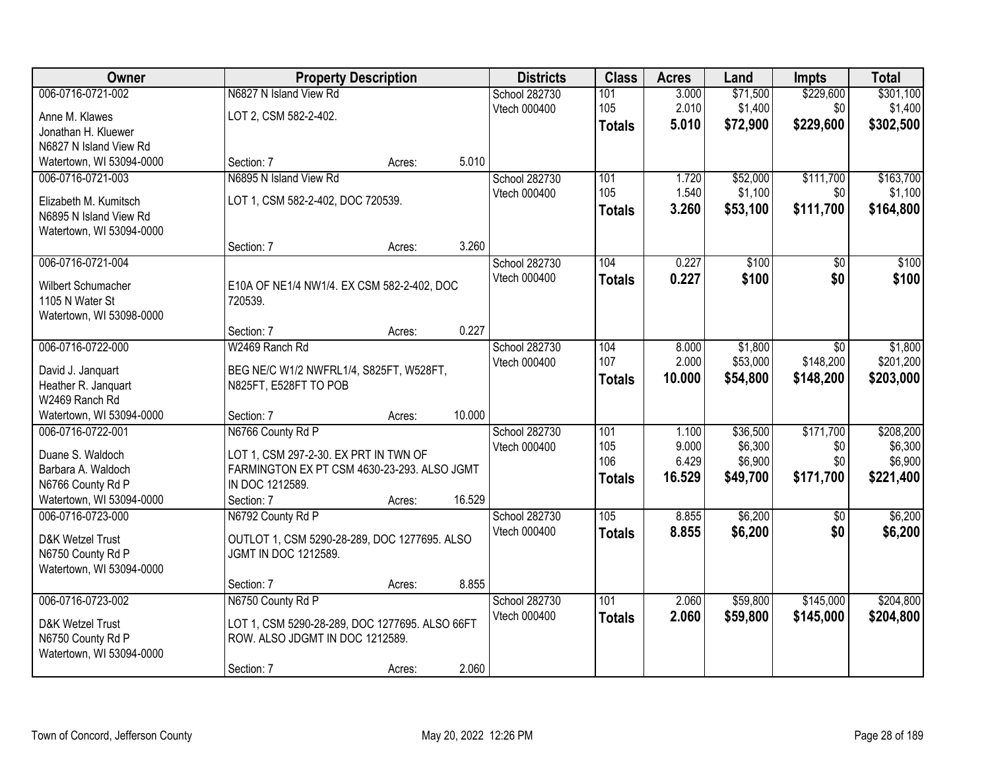| Owner                                 |                                                | <b>Property Description</b> |        | <b>Districts</b> | <b>Class</b>  | <b>Acres</b> | Land     | <b>Impts</b> | <b>Total</b> |
|---------------------------------------|------------------------------------------------|-----------------------------|--------|------------------|---------------|--------------|----------|--------------|--------------|
| 006-0716-0721-002                     | N6827 N Island View Rd                         |                             |        | School 282730    | 101           | 3.000        | \$71,500 | \$229,600    | \$301,100    |
| Anne M. Klawes                        | LOT 2, CSM 582-2-402.                          |                             |        | Vtech 000400     | 105           | 2.010        | \$1,400  | \$0          | \$1,400      |
| Jonathan H. Kluewer                   |                                                |                             |        |                  | <b>Totals</b> | 5.010        | \$72,900 | \$229,600    | \$302,500    |
| N6827 N Island View Rd                |                                                |                             |        |                  |               |              |          |              |              |
| Watertown, WI 53094-0000              | Section: 7                                     | Acres:                      | 5.010  |                  |               |              |          |              |              |
| 006-0716-0721-003                     | N6895 N Island View Rd                         |                             |        | School 282730    | 101           | 1.720        | \$52,000 | \$111,700    | \$163,700    |
| Elizabeth M. Kumitsch                 | LOT 1, CSM 582-2-402, DOC 720539.              |                             |        | Vtech 000400     | 105           | 1.540        | \$1,100  | \$0          | \$1,100      |
| N6895 N Island View Rd                |                                                |                             |        |                  | <b>Totals</b> | 3.260        | \$53,100 | \$111,700    | \$164,800    |
| Watertown, WI 53094-0000              |                                                |                             |        |                  |               |              |          |              |              |
|                                       | Section: 7                                     | Acres:                      | 3.260  |                  |               |              |          |              |              |
| 006-0716-0721-004                     |                                                |                             |        | School 282730    | 104           | 0.227        | \$100    | \$0          | \$100        |
| Wilbert Schumacher                    | E10A OF NE1/4 NW1/4. EX CSM 582-2-402, DOC     |                             |        | Vtech 000400     | <b>Totals</b> | 0.227        | \$100    | \$0          | \$100        |
| 1105 N Water St                       | 720539.                                        |                             |        |                  |               |              |          |              |              |
| Watertown, WI 53098-0000              |                                                |                             |        |                  |               |              |          |              |              |
|                                       | Section: 7                                     | Acres:                      | 0.227  |                  |               |              |          |              |              |
| 006-0716-0722-000                     | W2469 Ranch Rd                                 |                             |        | School 282730    | 104           | 8.000        | \$1,800  | $\sqrt{6}$   | \$1,800      |
| David J. Janquart                     | BEG NE/C W1/2 NWFRL1/4, S825FT, W528FT,        |                             |        | Vtech 000400     | 107           | 2.000        | \$53,000 | \$148,200    | \$201,200    |
| Heather R. Janquart                   | N825FT, E528FT TO POB                          |                             |        |                  | <b>Totals</b> | 10.000       | \$54,800 | \$148,200    | \$203,000    |
| W2469 Ranch Rd                        |                                                |                             |        |                  |               |              |          |              |              |
| Watertown, WI 53094-0000              | Section: 7                                     | Acres:                      | 10.000 |                  |               |              |          |              |              |
| 006-0716-0722-001                     | N6766 County Rd P                              |                             |        | School 282730    | 101           | 1.100        | \$36,500 | \$171,700    | \$208,200    |
| Duane S. Waldoch                      | LOT 1, CSM 297-2-30. EX PRT IN TWN OF          |                             |        | Vtech 000400     | 105           | 9.000        | \$6,300  | \$0          | \$6,300      |
| Barbara A. Waldoch                    | FARMINGTON EX PT CSM 4630-23-293. ALSO JGMT    |                             |        |                  | 106           | 6.429        | \$6,900  | \$0          | \$6,900      |
| N6766 County Rd P                     | IN DOC 1212589.                                |                             |        |                  | <b>Totals</b> | 16.529       | \$49,700 | \$171,700    | \$221,400    |
| Watertown, WI 53094-0000              | Section: 7                                     | Acres:                      | 16.529 |                  |               |              |          |              |              |
| 006-0716-0723-000                     | N6792 County Rd P                              |                             |        | School 282730    | 105           | 8.855        | \$6,200  | \$0          | \$6,200      |
| D&K Wetzel Trust                      | OUTLOT 1, CSM 5290-28-289, DOC 1277695. ALSO   |                             |        | Vtech 000400     | <b>Totals</b> | 8.855        | \$6,200  | \$0          | \$6,200      |
| N6750 County Rd P                     | JGMT IN DOC 1212589.                           |                             |        |                  |               |              |          |              |              |
| Watertown, WI 53094-0000              |                                                |                             |        |                  |               |              |          |              |              |
|                                       | Section: 7                                     | Acres:                      | 8.855  |                  |               |              |          |              |              |
| 006-0716-0723-002                     | N6750 County Rd P                              |                             |        | School 282730    | 101           | 2.060        | \$59,800 | \$145,000    | \$204,800    |
|                                       | LOT 1, CSM 5290-28-289, DOC 1277695. ALSO 66FT |                             |        | Vtech 000400     | <b>Totals</b> | 2.060        | \$59,800 | \$145,000    | \$204,800    |
| D&K Wetzel Trust<br>N6750 County Rd P | ROW. ALSO JDGMT IN DOC 1212589.                |                             |        |                  |               |              |          |              |              |
| Watertown, WI 53094-0000              |                                                |                             |        |                  |               |              |          |              |              |
|                                       | Section: 7                                     | Acres:                      | 2.060  |                  |               |              |          |              |              |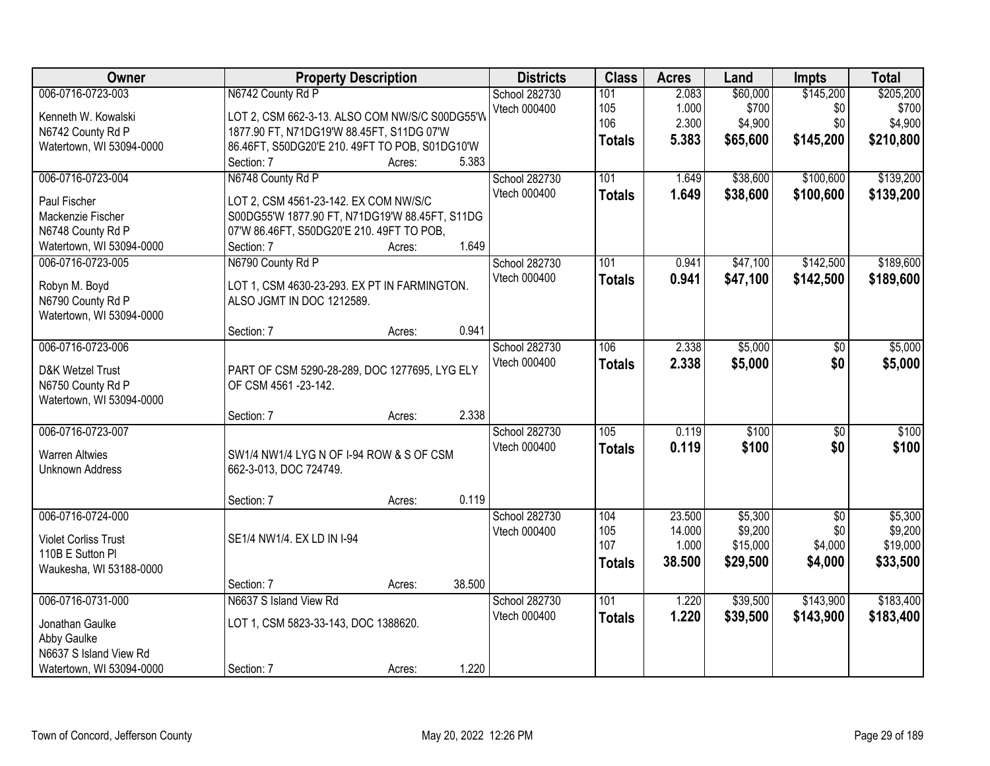| Owner                                                                                                     | <b>Property Description</b>                                                                                                                                                     |                  |        | <b>Districts</b>                     | <b>Class</b>                       | <b>Acres</b>                        | Land                                       | <b>Impts</b>                                 | <b>Total</b>                               |
|-----------------------------------------------------------------------------------------------------------|---------------------------------------------------------------------------------------------------------------------------------------------------------------------------------|------------------|--------|--------------------------------------|------------------------------------|-------------------------------------|--------------------------------------------|----------------------------------------------|--------------------------------------------|
| 006-0716-0723-003<br>Kenneth W. Kowalski<br>N6742 County Rd P<br>Watertown, WI 53094-0000                 | N6742 County Rd P<br>LOT 2, CSM 662-3-13. ALSO COM NW/S/C S00DG55'W<br>1877.90 FT, N71DG19'W 88.45FT, S11DG 07'W<br>86.46FT, S50DG20'E 210.49FT TO POB, S01DG10'W<br>Section: 7 | Acres:           | 5.383  | School 282730<br>Vtech 000400        | 101<br>105<br>106<br><b>Totals</b> | 2.083<br>1.000<br>2.300<br>5.383    | \$60,000<br>\$700<br>\$4,900<br>\$65,600   | \$145,200<br>\$0<br>\$0<br>\$145,200         | \$205,200<br>\$700<br>\$4,900<br>\$210,800 |
| 006-0716-0723-004<br>Paul Fischer<br>Mackenzie Fischer<br>N6748 County Rd P<br>Watertown, WI 53094-0000   | N6748 County Rd P<br>LOT 2, CSM 4561-23-142. EX COM NW/S/C<br>S00DG55'W 1877.90 FT, N71DG19'W 88.45FT, S11DG<br>07'W 86.46FT, S50DG20'E 210. 49FT TO POB,<br>Section: 7         | Acres:           | 1.649  | <b>School 282730</b><br>Vtech 000400 | 101<br><b>Totals</b>               | 1.649<br>1.649                      | \$38,600<br>\$38,600                       | \$100,600<br>\$100,600                       | \$139,200<br>\$139,200                     |
| 006-0716-0723-005<br>Robyn M. Boyd<br>N6790 County Rd P<br>Watertown, WI 53094-0000                       | N6790 County Rd P<br>LOT 1, CSM 4630-23-293. EX PT IN FARMINGTON.<br>ALSO JGMT IN DOC 1212589.<br>Section: 7                                                                    | Acres:           | 0.941  | School 282730<br>Vtech 000400        | 101<br><b>Totals</b>               | 0.941<br>0.941                      | \$47,100<br>\$47,100                       | \$142,500<br>\$142,500                       | \$189,600<br>\$189,600                     |
| 006-0716-0723-006<br>D&K Wetzel Trust<br>N6750 County Rd P<br>Watertown, WI 53094-0000                    | PART OF CSM 5290-28-289, DOC 1277695, LYG ELY<br>OF CSM 4561 -23-142.                                                                                                           |                  | 2.338  | School 282730<br>Vtech 000400        | 106<br><b>Totals</b>               | 2.338<br>2.338                      | \$5,000<br>\$5,000                         | \$0<br>\$0                                   | \$5,000<br>\$5,000                         |
| 006-0716-0723-007<br><b>Warren Altwies</b><br><b>Unknown Address</b>                                      | Section: 7<br>SW1/4 NW1/4 LYG N OF I-94 ROW & S OF CSM<br>662-3-013, DOC 724749.<br>Section: 7                                                                                  | Acres:<br>Acres: | 0.119  | School 282730<br>Vtech 000400        | $\overline{105}$<br><b>Totals</b>  | 0.119<br>0.119                      | \$100<br>\$100                             | $\overline{50}$<br>\$0                       | \$100<br>\$100                             |
| 006-0716-0724-000<br><b>Violet Corliss Trust</b><br>110B E Sutton Pl<br>Waukesha, WI 53188-0000           | SE1/4 NW1/4. EX LD IN I-94<br>Section: 7                                                                                                                                        | Acres:           | 38.500 | School 282730<br>Vtech 000400        | 104<br>105<br>107<br><b>Totals</b> | 23.500<br>14.000<br>1.000<br>38.500 | \$5,300<br>\$9,200<br>\$15,000<br>\$29,500 | $\overline{50}$<br>\$0<br>\$4,000<br>\$4,000 | \$5,300<br>\$9,200<br>\$19,000<br>\$33,500 |
| 006-0716-0731-000<br>Jonathan Gaulke<br>Abby Gaulke<br>N6637 S Island View Rd<br>Watertown, WI 53094-0000 | N6637 S Island View Rd<br>LOT 1, CSM 5823-33-143, DOC 1388620.<br>Section: 7                                                                                                    | Acres:           | 1.220  | School 282730<br>Vtech 000400        | 101<br><b>Totals</b>               | 1.220<br>1.220                      | \$39,500<br>\$39,500                       | \$143,900<br>\$143,900                       | \$183,400<br>\$183,400                     |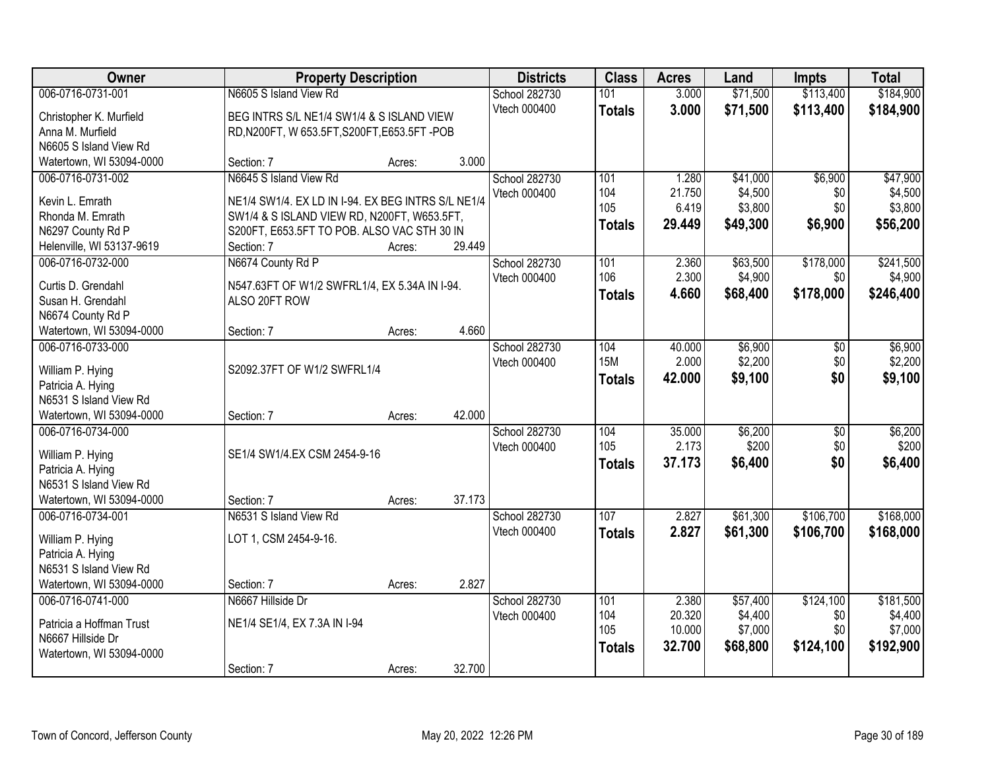| Owner                                              |                                                                | <b>Property Description</b> |        | <b>Districts</b> | <b>Class</b>  | <b>Acres</b> | Land     | <b>Impts</b>    | <b>Total</b> |
|----------------------------------------------------|----------------------------------------------------------------|-----------------------------|--------|------------------|---------------|--------------|----------|-----------------|--------------|
| 006-0716-0731-001                                  | N6605 S Island View Rd                                         |                             |        | School 282730    | 101           | 3.000        | \$71,500 | \$113,400       | \$184,900    |
| Christopher K. Murfield                            | BEG INTRS S/L NE1/4 SW1/4 & S ISLAND VIEW                      |                             |        | Vtech 000400     | <b>Totals</b> | 3.000        | \$71,500 | \$113,400       | \$184,900    |
| Anna M. Murfield                                   | RD, N200FT, W 653.5FT, S200FT, E653.5FT - POB                  |                             |        |                  |               |              |          |                 |              |
| N6605 S Island View Rd                             |                                                                |                             |        |                  |               |              |          |                 |              |
| Watertown, WI 53094-0000                           | Section: 7                                                     | Acres:                      | 3.000  |                  |               |              |          |                 |              |
| 006-0716-0731-002                                  | N6645 S Island View Rd                                         |                             |        | School 282730    | 101           | 1.280        | \$41,000 | \$6,900         | \$47,900     |
| Kevin L. Emrath                                    | NE1/4 SW1/4. EX LD IN I-94. EX BEG INTRS S/L NE1/4             |                             |        | Vtech 000400     | 104           | 21.750       | \$4,500  | \$0             | \$4,500      |
| Rhonda M. Emrath                                   | SW1/4 & S ISLAND VIEW RD, N200FT, W653.5FT,                    |                             |        |                  | 105           | 6.419        | \$3,800  | \$0             | \$3,800      |
| N6297 County Rd P                                  | S200FT, E653.5FT TO POB. ALSO VAC STH 30 IN                    |                             |        |                  | <b>Totals</b> | 29.449       | \$49,300 | \$6,900         | \$56,200     |
| Helenville, WI 53137-9619                          | Section: 7                                                     | Acres:                      | 29.449 |                  |               |              |          |                 |              |
| 006-0716-0732-000                                  | N6674 County Rd P                                              |                             |        | School 282730    | 101           | 2.360        | \$63,500 | \$178,000       | \$241,500    |
|                                                    |                                                                |                             |        | Vtech 000400     | 106           | 2.300        | \$4,900  | \$0             | \$4,900      |
| Curtis D. Grendahl<br>Susan H. Grendahl            | N547.63FT OF W1/2 SWFRL1/4, EX 5.34A IN I-94.<br>ALSO 20FT ROW |                             |        |                  | <b>Totals</b> | 4.660        | \$68,400 | \$178,000       | \$246,400    |
| N6674 County Rd P                                  |                                                                |                             |        |                  |               |              |          |                 |              |
| Watertown, WI 53094-0000                           | Section: 7                                                     | Acres:                      | 4.660  |                  |               |              |          |                 |              |
| 006-0716-0733-000                                  |                                                                |                             |        | School 282730    | 104           | 40.000       | \$6,900  | \$0             | \$6,900      |
|                                                    |                                                                |                             |        | Vtech 000400     | <b>15M</b>    | 2.000        | \$2,200  | \$0             | \$2,200      |
| William P. Hying                                   | S2092.37FT OF W1/2 SWFRL1/4                                    |                             |        |                  | <b>Totals</b> | 42.000       | \$9,100  | \$0             | \$9,100      |
| Patricia A. Hying                                  |                                                                |                             |        |                  |               |              |          |                 |              |
| N6531 S Island View Rd<br>Watertown, WI 53094-0000 |                                                                |                             | 42.000 |                  |               |              |          |                 |              |
| 006-0716-0734-000                                  | Section: 7                                                     | Acres:                      |        | School 282730    | 104           | 35.000       | \$6,200  | $\overline{30}$ | \$6,200      |
|                                                    |                                                                |                             |        | Vtech 000400     | 105           | 2.173        | \$200    | \$0             | \$200        |
| William P. Hying                                   | SE1/4 SW1/4.EX CSM 2454-9-16                                   |                             |        |                  | <b>Totals</b> | 37.173       | \$6,400  | \$0             | \$6,400      |
| Patricia A. Hying                                  |                                                                |                             |        |                  |               |              |          |                 |              |
| N6531 S Island View Rd                             |                                                                |                             |        |                  |               |              |          |                 |              |
| Watertown, WI 53094-0000                           | Section: 7                                                     | Acres:                      | 37.173 |                  |               |              |          |                 |              |
| 006-0716-0734-001                                  | N6531 S Island View Rd                                         |                             |        | School 282730    | 107           | 2.827        | \$61,300 | \$106,700       | \$168,000    |
| William P. Hying                                   | LOT 1, CSM 2454-9-16.                                          |                             |        | Vtech 000400     | <b>Totals</b> | 2.827        | \$61,300 | \$106,700       | \$168,000    |
| Patricia A. Hying                                  |                                                                |                             |        |                  |               |              |          |                 |              |
| N6531 S Island View Rd                             |                                                                |                             |        |                  |               |              |          |                 |              |
| Watertown, WI 53094-0000                           | Section: 7                                                     | Acres:                      | 2.827  |                  |               |              |          |                 |              |
| 006-0716-0741-000                                  | N6667 Hillside Dr                                              |                             |        | School 282730    | 101           | 2.380        | \$57,400 | \$124,100       | \$181,500    |
| Patricia a Hoffman Trust                           | NE1/4 SE1/4, EX 7.3A IN I-94                                   |                             |        | Vtech 000400     | 104           | 20.320       | \$4,400  | \$0             | \$4,400      |
| N6667 Hillside Dr                                  |                                                                |                             |        |                  | 105           | 10.000       | \$7,000  | \$0             | \$7,000      |
| Watertown, WI 53094-0000                           |                                                                |                             |        |                  | <b>Totals</b> | 32.700       | \$68,800 | \$124,100       | \$192,900    |
|                                                    | Section: 7                                                     | Acres:                      | 32.700 |                  |               |              |          |                 |              |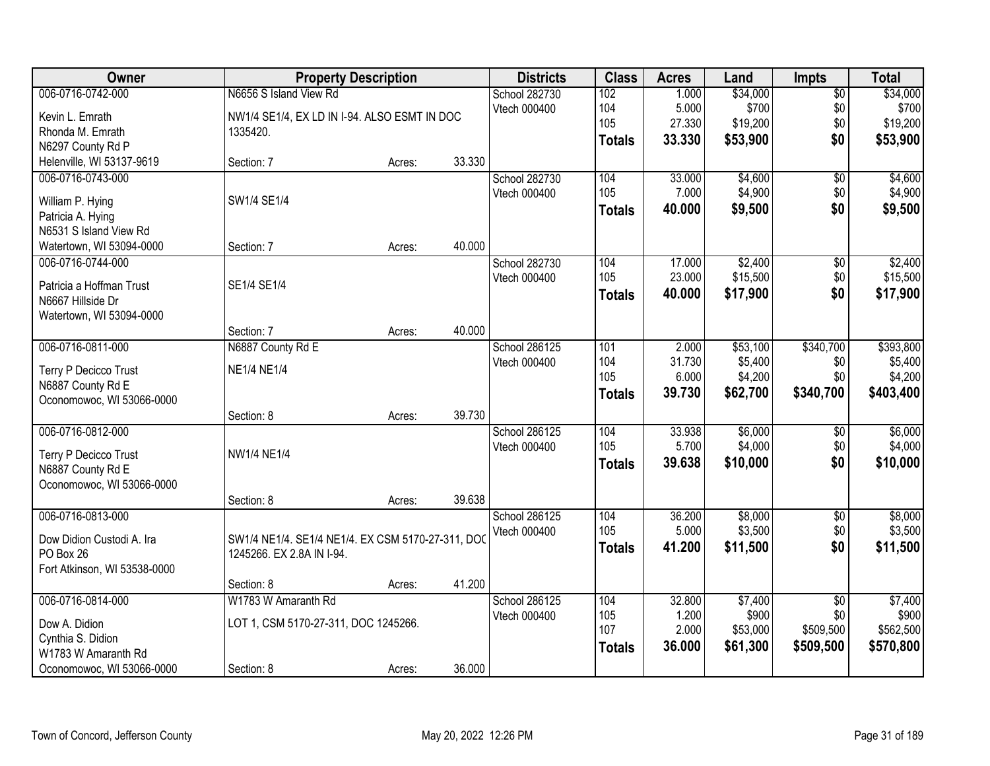| Owner                                       |                                                  | <b>Property Description</b> |        | <b>Districts</b>              | <b>Class</b>  | <b>Acres</b>    | Land                | <b>Impts</b>     | <b>Total</b>         |
|---------------------------------------------|--------------------------------------------------|-----------------------------|--------|-------------------------------|---------------|-----------------|---------------------|------------------|----------------------|
| 006-0716-0742-000                           | N6656 S Island View Rd                           |                             |        | School 282730                 | 102           | 1.000           | \$34,000            | $\overline{$0}$  | \$34,000             |
| Kevin L. Emrath                             | NW1/4 SE1/4, EX LD IN I-94. ALSO ESMT IN DOC     |                             |        | Vtech 000400                  | 104           | 5.000           | \$700               | \$0              | \$700                |
| Rhonda M. Emrath                            | 1335420.                                         |                             |        |                               | 105           | 27.330          | \$19,200            | \$0              | \$19,200             |
| N6297 County Rd P                           |                                                  |                             |        |                               | <b>Totals</b> | 33.330          | \$53,900            | \$0              | \$53,900             |
| Helenville, WI 53137-9619                   | Section: 7                                       | Acres:                      | 33.330 |                               |               |                 |                     |                  |                      |
| 006-0716-0743-000                           |                                                  |                             |        | School 282730                 | 104           | 33.000          | \$4,600             | \$0              | \$4,600              |
|                                             | SW1/4 SE1/4                                      |                             |        | Vtech 000400                  | 105           | 7.000           | \$4,900             | \$0              | \$4,900              |
| William P. Hying                            |                                                  |                             |        |                               | <b>Totals</b> | 40.000          | \$9,500             | \$0              | \$9,500              |
| Patricia A. Hying<br>N6531 S Island View Rd |                                                  |                             |        |                               |               |                 |                     |                  |                      |
| Watertown, WI 53094-0000                    | Section: 7                                       | Acres:                      | 40.000 |                               |               |                 |                     |                  |                      |
| 006-0716-0744-000                           |                                                  |                             |        | School 282730                 | 104           | 17.000          | \$2,400             | $\sqrt[6]{3}$    | \$2,400              |
|                                             |                                                  |                             |        | Vtech 000400                  | 105           | 23.000          | \$15,500            | \$0              | \$15,500             |
| Patricia a Hoffman Trust                    | SE1/4 SE1/4                                      |                             |        |                               | <b>Totals</b> | 40.000          | \$17,900            | \$0              | \$17,900             |
| N6667 Hillside Dr                           |                                                  |                             |        |                               |               |                 |                     |                  |                      |
| Watertown, WI 53094-0000                    |                                                  |                             |        |                               |               |                 |                     |                  |                      |
|                                             | Section: 7                                       | Acres:                      | 40.000 |                               |               |                 |                     |                  |                      |
| 006-0716-0811-000                           | N6887 County Rd E                                |                             |        | School 286125<br>Vtech 000400 | 101<br>104    | 2.000<br>31.730 | \$53,100<br>\$5,400 | \$340,700<br>\$0 | \$393,800<br>\$5,400 |
| Terry P Decicco Trust                       | <b>NE1/4 NE1/4</b>                               |                             |        |                               | 105           | 6.000           | \$4,200             | \$0              | \$4,200              |
| N6887 County Rd E                           |                                                  |                             |        |                               | <b>Totals</b> | 39.730          | \$62,700            | \$340,700        | \$403,400            |
| Oconomowoc, WI 53066-0000                   |                                                  |                             |        |                               |               |                 |                     |                  |                      |
|                                             | Section: 8                                       | Acres:                      | 39.730 |                               |               |                 |                     |                  |                      |
| 006-0716-0812-000                           |                                                  |                             |        | School 286125                 | 104           | 33.938          | \$6,000             | \$0              | \$6,000              |
| Terry P Decicco Trust                       | <b>NW1/4 NE1/4</b>                               |                             |        | Vtech 000400                  | 105           | 5.700           | \$4,000             | \$0              | \$4,000              |
| N6887 County Rd E                           |                                                  |                             |        |                               | <b>Totals</b> | 39.638          | \$10,000            | \$0              | \$10,000             |
| Oconomowoc, WI 53066-0000                   |                                                  |                             |        |                               |               |                 |                     |                  |                      |
|                                             | Section: 8                                       | Acres:                      | 39.638 |                               |               |                 |                     |                  |                      |
| 006-0716-0813-000                           |                                                  |                             |        | School 286125                 | 104           | 36.200          | \$8,000             | $\overline{$0}$  | \$8,000              |
| Dow Didion Custodi A. Ira                   | SW1/4 NE1/4. SE1/4 NE1/4. EX CSM 5170-27-311, DO |                             |        | Vtech 000400                  | 105           | 5.000           | \$3,500             | \$0              | \$3,500              |
| PO Box 26                                   | 1245266. EX 2.8A IN I-94.                        |                             |        |                               | <b>Totals</b> | 41.200          | \$11,500            | \$0              | \$11,500             |
| Fort Atkinson, WI 53538-0000                |                                                  |                             |        |                               |               |                 |                     |                  |                      |
|                                             | Section: 8                                       | Acres:                      | 41.200 |                               |               |                 |                     |                  |                      |
| 006-0716-0814-000                           | W1783 W Amaranth Rd                              |                             |        | School 286125                 | 104           | 32.800          | \$7,400             | $\overline{50}$  | \$7,400              |
| Dow A. Didion                               | LOT 1, CSM 5170-27-311, DOC 1245266.             |                             |        | Vtech 000400                  | 105           | 1.200           | \$900               | \$0              | \$900                |
| Cynthia S. Didion                           |                                                  |                             |        |                               | 107           | 2.000           | \$53,000            | \$509,500        | \$562,500            |
| W1783 W Amaranth Rd                         |                                                  |                             |        |                               | <b>Totals</b> | 36.000          | \$61,300            | \$509,500        | \$570,800            |
| Oconomowoc, WI 53066-0000                   | Section: 8                                       | Acres:                      | 36.000 |                               |               |                 |                     |                  |                      |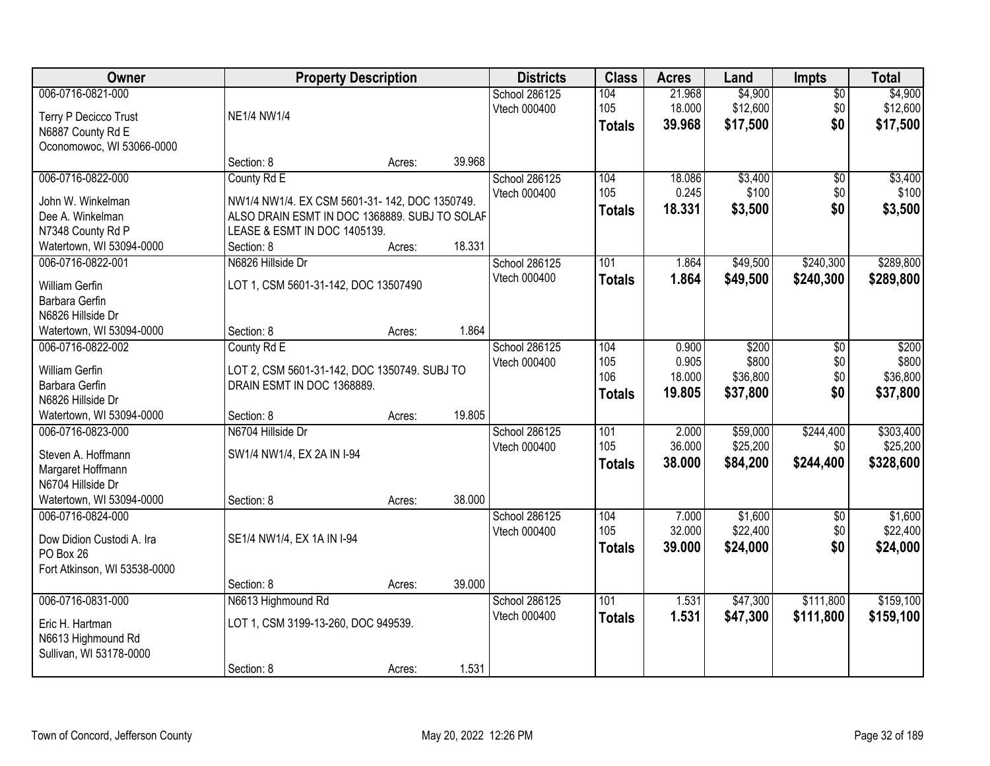| 006-0716-0821-000<br>\$4,900<br>School 286125<br>104<br>21.968<br>$\overline{50}$<br>\$12,600<br>105<br>18.000<br>\$0<br>\$12,600<br>Vtech 000400<br><b>NE1/4 NW1/4</b><br>Terry P Decicco Trust<br>\$0<br>39.968<br>\$17,500<br><b>Totals</b><br>N6887 County Rd E<br>Oconomowoc, WI 53066-0000<br>39.968<br>Section: 8<br>Acres:<br>006-0716-0822-000<br>\$3,400<br>County Rd E<br>School 286125<br>104<br>18.086<br>$\overline{50}$<br>105<br>0.245<br>\$100<br>\$0<br>Vtech 000400<br>NW1/4 NW1/4. EX CSM 5601-31-142, DOC 1350749.<br>John W. Winkelman<br>\$0<br>18.331<br>\$3,500<br><b>Totals</b><br>ALSO DRAIN ESMT IN DOC 1368889. SUBJ TO SOLAF<br>Dee A. Winkelman<br>N7348 County Rd P<br>LEASE & ESMT IN DOC 1405139.<br>18.331<br>Watertown, WI 53094-0000<br>Section: 8<br>Acres:<br>\$240,300<br>006-0716-0822-001<br>N6826 Hillside Dr<br>School 286125<br>101<br>1.864<br>\$49,500<br>Vtech 000400<br>\$49,500<br>\$240,300<br>1.864<br><b>Totals</b><br>LOT 1, CSM 5601-31-142, DOC 13507490<br><b>William Gerfin</b><br>Barbara Gerfin<br>N6826 Hillside Dr<br>1.864<br>Section: 8<br>Watertown, WI 53094-0000<br>Acres:<br>\$200<br>006-0716-0822-002<br>County Rd E<br>School 286125<br>104<br>0.900<br>\$200<br>\$0<br>0.905<br>\$800<br>\$0<br>\$800<br>Vtech 000400<br>105<br>William Gerfin<br>LOT 2, CSM 5601-31-142, DOC 1350749. SUBJ TO<br>106<br>\$0<br>18.000<br>\$36,800<br>Barbara Gerfin<br>DRAIN ESMT IN DOC 1368889.<br>\$0<br>19.805<br>\$37,800<br>\$37,800<br><b>Totals</b><br>N6826 Hillside Dr<br>19.805<br>Watertown, WI 53094-0000<br>Section: 8<br>Acres:<br>\$59,000<br>006-0716-0823-000<br>N6704 Hillside Dr<br>101<br>2.000<br>\$244,400<br>School 286125<br>105<br>36.000<br>\$25,200<br>\$0<br>Vtech 000400<br>SW1/4 NW1/4, EX 2A IN I-94<br>Steven A. Hoffmann<br>\$244,400<br>\$328,600<br>38.000<br>\$84,200<br><b>Totals</b><br>Margaret Hoffmann<br>N6704 Hillside Dr<br>Watertown, WI 53094-0000<br>38.000<br>Section: 8<br>Acres:<br>\$1,600<br>006-0716-0824-000<br>School 286125<br>104<br>7.000<br>$\overline{50}$<br>105<br>32.000<br>\$22,400<br>\$0<br>Vtech 000400<br>SE1/4 NW1/4, EX 1A IN I-94<br>Dow Didion Custodi A. Ira<br>\$0<br>39,000<br>\$24,000<br>\$24,000<br><b>Totals</b><br>PO Box 26<br>Fort Atkinson, WI 53538-0000<br>39.000<br>Section: 8<br>Acres:<br>006-0716-0831-000<br>101<br>\$47,300<br>\$111,800<br>N6613 Highmound Rd<br>School 286125<br>1.531<br>Vtech 000400<br>1.531<br>\$47,300<br>\$111,800<br>\$159,100<br><b>Totals</b><br>LOT 1, CSM 3199-13-260, DOC 949539.<br>Eric H. Hartman<br>N6613 Highmound Rd<br>Sullivan, WI 53178-0000 | Owner |            | <b>Property Description</b> |       | <b>Districts</b> | <b>Class</b> | <b>Acres</b> | Land | <b>Impts</b> | <b>Total</b> |
|------------------------------------------------------------------------------------------------------------------------------------------------------------------------------------------------------------------------------------------------------------------------------------------------------------------------------------------------------------------------------------------------------------------------------------------------------------------------------------------------------------------------------------------------------------------------------------------------------------------------------------------------------------------------------------------------------------------------------------------------------------------------------------------------------------------------------------------------------------------------------------------------------------------------------------------------------------------------------------------------------------------------------------------------------------------------------------------------------------------------------------------------------------------------------------------------------------------------------------------------------------------------------------------------------------------------------------------------------------------------------------------------------------------------------------------------------------------------------------------------------------------------------------------------------------------------------------------------------------------------------------------------------------------------------------------------------------------------------------------------------------------------------------------------------------------------------------------------------------------------------------------------------------------------------------------------------------------------------------------------------------------------------------------------------------------------------------------------------------------------------------------------------------------------------------------------------------------------------------------------------------------------------------------------------------------------------------------------------------------------------------------------------------------------------------------------------------------------------------------------------------------------------------------------------------------------------------------------------------------------------------------|-------|------------|-----------------------------|-------|------------------|--------------|--------------|------|--------------|--------------|
| \$17,500                                                                                                                                                                                                                                                                                                                                                                                                                                                                                                                                                                                                                                                                                                                                                                                                                                                                                                                                                                                                                                                                                                                                                                                                                                                                                                                                                                                                                                                                                                                                                                                                                                                                                                                                                                                                                                                                                                                                                                                                                                                                                                                                                                                                                                                                                                                                                                                                                                                                                                                                                                                                                                 |       |            |                             |       |                  |              |              |      |              | \$4,900      |
| \$100<br>\$3,500                                                                                                                                                                                                                                                                                                                                                                                                                                                                                                                                                                                                                                                                                                                                                                                                                                                                                                                                                                                                                                                                                                                                                                                                                                                                                                                                                                                                                                                                                                                                                                                                                                                                                                                                                                                                                                                                                                                                                                                                                                                                                                                                                                                                                                                                                                                                                                                                                                                                                                                                                                                                                         |       |            |                             |       |                  |              |              |      |              |              |
|                                                                                                                                                                                                                                                                                                                                                                                                                                                                                                                                                                                                                                                                                                                                                                                                                                                                                                                                                                                                                                                                                                                                                                                                                                                                                                                                                                                                                                                                                                                                                                                                                                                                                                                                                                                                                                                                                                                                                                                                                                                                                                                                                                                                                                                                                                                                                                                                                                                                                                                                                                                                                                          |       |            |                             |       |                  |              |              |      |              |              |
|                                                                                                                                                                                                                                                                                                                                                                                                                                                                                                                                                                                                                                                                                                                                                                                                                                                                                                                                                                                                                                                                                                                                                                                                                                                                                                                                                                                                                                                                                                                                                                                                                                                                                                                                                                                                                                                                                                                                                                                                                                                                                                                                                                                                                                                                                                                                                                                                                                                                                                                                                                                                                                          |       |            |                             |       |                  |              |              |      |              |              |
|                                                                                                                                                                                                                                                                                                                                                                                                                                                                                                                                                                                                                                                                                                                                                                                                                                                                                                                                                                                                                                                                                                                                                                                                                                                                                                                                                                                                                                                                                                                                                                                                                                                                                                                                                                                                                                                                                                                                                                                                                                                                                                                                                                                                                                                                                                                                                                                                                                                                                                                                                                                                                                          |       |            |                             |       |                  |              |              |      |              |              |
|                                                                                                                                                                                                                                                                                                                                                                                                                                                                                                                                                                                                                                                                                                                                                                                                                                                                                                                                                                                                                                                                                                                                                                                                                                                                                                                                                                                                                                                                                                                                                                                                                                                                                                                                                                                                                                                                                                                                                                                                                                                                                                                                                                                                                                                                                                                                                                                                                                                                                                                                                                                                                                          |       |            |                             |       |                  |              |              |      |              | \$3,400      |
|                                                                                                                                                                                                                                                                                                                                                                                                                                                                                                                                                                                                                                                                                                                                                                                                                                                                                                                                                                                                                                                                                                                                                                                                                                                                                                                                                                                                                                                                                                                                                                                                                                                                                                                                                                                                                                                                                                                                                                                                                                                                                                                                                                                                                                                                                                                                                                                                                                                                                                                                                                                                                                          |       |            |                             |       |                  |              |              |      |              |              |
|                                                                                                                                                                                                                                                                                                                                                                                                                                                                                                                                                                                                                                                                                                                                                                                                                                                                                                                                                                                                                                                                                                                                                                                                                                                                                                                                                                                                                                                                                                                                                                                                                                                                                                                                                                                                                                                                                                                                                                                                                                                                                                                                                                                                                                                                                                                                                                                                                                                                                                                                                                                                                                          |       |            |                             |       |                  |              |              |      |              |              |
|                                                                                                                                                                                                                                                                                                                                                                                                                                                                                                                                                                                                                                                                                                                                                                                                                                                                                                                                                                                                                                                                                                                                                                                                                                                                                                                                                                                                                                                                                                                                                                                                                                                                                                                                                                                                                                                                                                                                                                                                                                                                                                                                                                                                                                                                                                                                                                                                                                                                                                                                                                                                                                          |       |            |                             |       |                  |              |              |      |              |              |
|                                                                                                                                                                                                                                                                                                                                                                                                                                                                                                                                                                                                                                                                                                                                                                                                                                                                                                                                                                                                                                                                                                                                                                                                                                                                                                                                                                                                                                                                                                                                                                                                                                                                                                                                                                                                                                                                                                                                                                                                                                                                                                                                                                                                                                                                                                                                                                                                                                                                                                                                                                                                                                          |       |            |                             |       |                  |              |              |      |              |              |
| \$289,800<br>\$36,800<br>\$303,400<br>\$25,200<br>\$1,600<br>\$22,400<br>\$159,100                                                                                                                                                                                                                                                                                                                                                                                                                                                                                                                                                                                                                                                                                                                                                                                                                                                                                                                                                                                                                                                                                                                                                                                                                                                                                                                                                                                                                                                                                                                                                                                                                                                                                                                                                                                                                                                                                                                                                                                                                                                                                                                                                                                                                                                                                                                                                                                                                                                                                                                                                       |       |            |                             |       |                  |              |              |      |              | \$289,800    |
|                                                                                                                                                                                                                                                                                                                                                                                                                                                                                                                                                                                                                                                                                                                                                                                                                                                                                                                                                                                                                                                                                                                                                                                                                                                                                                                                                                                                                                                                                                                                                                                                                                                                                                                                                                                                                                                                                                                                                                                                                                                                                                                                                                                                                                                                                                                                                                                                                                                                                                                                                                                                                                          |       |            |                             |       |                  |              |              |      |              |              |
|                                                                                                                                                                                                                                                                                                                                                                                                                                                                                                                                                                                                                                                                                                                                                                                                                                                                                                                                                                                                                                                                                                                                                                                                                                                                                                                                                                                                                                                                                                                                                                                                                                                                                                                                                                                                                                                                                                                                                                                                                                                                                                                                                                                                                                                                                                                                                                                                                                                                                                                                                                                                                                          |       |            |                             |       |                  |              |              |      |              |              |
|                                                                                                                                                                                                                                                                                                                                                                                                                                                                                                                                                                                                                                                                                                                                                                                                                                                                                                                                                                                                                                                                                                                                                                                                                                                                                                                                                                                                                                                                                                                                                                                                                                                                                                                                                                                                                                                                                                                                                                                                                                                                                                                                                                                                                                                                                                                                                                                                                                                                                                                                                                                                                                          |       |            |                             |       |                  |              |              |      |              |              |
|                                                                                                                                                                                                                                                                                                                                                                                                                                                                                                                                                                                                                                                                                                                                                                                                                                                                                                                                                                                                                                                                                                                                                                                                                                                                                                                                                                                                                                                                                                                                                                                                                                                                                                                                                                                                                                                                                                                                                                                                                                                                                                                                                                                                                                                                                                                                                                                                                                                                                                                                                                                                                                          |       |            |                             |       |                  |              |              |      |              |              |
|                                                                                                                                                                                                                                                                                                                                                                                                                                                                                                                                                                                                                                                                                                                                                                                                                                                                                                                                                                                                                                                                                                                                                                                                                                                                                                                                                                                                                                                                                                                                                                                                                                                                                                                                                                                                                                                                                                                                                                                                                                                                                                                                                                                                                                                                                                                                                                                                                                                                                                                                                                                                                                          |       |            |                             |       |                  |              |              |      |              |              |
|                                                                                                                                                                                                                                                                                                                                                                                                                                                                                                                                                                                                                                                                                                                                                                                                                                                                                                                                                                                                                                                                                                                                                                                                                                                                                                                                                                                                                                                                                                                                                                                                                                                                                                                                                                                                                                                                                                                                                                                                                                                                                                                                                                                                                                                                                                                                                                                                                                                                                                                                                                                                                                          |       |            |                             |       |                  |              |              |      |              |              |
|                                                                                                                                                                                                                                                                                                                                                                                                                                                                                                                                                                                                                                                                                                                                                                                                                                                                                                                                                                                                                                                                                                                                                                                                                                                                                                                                                                                                                                                                                                                                                                                                                                                                                                                                                                                                                                                                                                                                                                                                                                                                                                                                                                                                                                                                                                                                                                                                                                                                                                                                                                                                                                          |       |            |                             |       |                  |              |              |      |              |              |
|                                                                                                                                                                                                                                                                                                                                                                                                                                                                                                                                                                                                                                                                                                                                                                                                                                                                                                                                                                                                                                                                                                                                                                                                                                                                                                                                                                                                                                                                                                                                                                                                                                                                                                                                                                                                                                                                                                                                                                                                                                                                                                                                                                                                                                                                                                                                                                                                                                                                                                                                                                                                                                          |       |            |                             |       |                  |              |              |      |              |              |
|                                                                                                                                                                                                                                                                                                                                                                                                                                                                                                                                                                                                                                                                                                                                                                                                                                                                                                                                                                                                                                                                                                                                                                                                                                                                                                                                                                                                                                                                                                                                                                                                                                                                                                                                                                                                                                                                                                                                                                                                                                                                                                                                                                                                                                                                                                                                                                                                                                                                                                                                                                                                                                          |       |            |                             |       |                  |              |              |      |              |              |
|                                                                                                                                                                                                                                                                                                                                                                                                                                                                                                                                                                                                                                                                                                                                                                                                                                                                                                                                                                                                                                                                                                                                                                                                                                                                                                                                                                                                                                                                                                                                                                                                                                                                                                                                                                                                                                                                                                                                                                                                                                                                                                                                                                                                                                                                                                                                                                                                                                                                                                                                                                                                                                          |       |            |                             |       |                  |              |              |      |              |              |
|                                                                                                                                                                                                                                                                                                                                                                                                                                                                                                                                                                                                                                                                                                                                                                                                                                                                                                                                                                                                                                                                                                                                                                                                                                                                                                                                                                                                                                                                                                                                                                                                                                                                                                                                                                                                                                                                                                                                                                                                                                                                                                                                                                                                                                                                                                                                                                                                                                                                                                                                                                                                                                          |       |            |                             |       |                  |              |              |      |              |              |
|                                                                                                                                                                                                                                                                                                                                                                                                                                                                                                                                                                                                                                                                                                                                                                                                                                                                                                                                                                                                                                                                                                                                                                                                                                                                                                                                                                                                                                                                                                                                                                                                                                                                                                                                                                                                                                                                                                                                                                                                                                                                                                                                                                                                                                                                                                                                                                                                                                                                                                                                                                                                                                          |       |            |                             |       |                  |              |              |      |              |              |
|                                                                                                                                                                                                                                                                                                                                                                                                                                                                                                                                                                                                                                                                                                                                                                                                                                                                                                                                                                                                                                                                                                                                                                                                                                                                                                                                                                                                                                                                                                                                                                                                                                                                                                                                                                                                                                                                                                                                                                                                                                                                                                                                                                                                                                                                                                                                                                                                                                                                                                                                                                                                                                          |       |            |                             |       |                  |              |              |      |              |              |
|                                                                                                                                                                                                                                                                                                                                                                                                                                                                                                                                                                                                                                                                                                                                                                                                                                                                                                                                                                                                                                                                                                                                                                                                                                                                                                                                                                                                                                                                                                                                                                                                                                                                                                                                                                                                                                                                                                                                                                                                                                                                                                                                                                                                                                                                                                                                                                                                                                                                                                                                                                                                                                          |       |            |                             |       |                  |              |              |      |              |              |
|                                                                                                                                                                                                                                                                                                                                                                                                                                                                                                                                                                                                                                                                                                                                                                                                                                                                                                                                                                                                                                                                                                                                                                                                                                                                                                                                                                                                                                                                                                                                                                                                                                                                                                                                                                                                                                                                                                                                                                                                                                                                                                                                                                                                                                                                                                                                                                                                                                                                                                                                                                                                                                          |       |            |                             |       |                  |              |              |      |              |              |
|                                                                                                                                                                                                                                                                                                                                                                                                                                                                                                                                                                                                                                                                                                                                                                                                                                                                                                                                                                                                                                                                                                                                                                                                                                                                                                                                                                                                                                                                                                                                                                                                                                                                                                                                                                                                                                                                                                                                                                                                                                                                                                                                                                                                                                                                                                                                                                                                                                                                                                                                                                                                                                          |       |            |                             |       |                  |              |              |      |              |              |
|                                                                                                                                                                                                                                                                                                                                                                                                                                                                                                                                                                                                                                                                                                                                                                                                                                                                                                                                                                                                                                                                                                                                                                                                                                                                                                                                                                                                                                                                                                                                                                                                                                                                                                                                                                                                                                                                                                                                                                                                                                                                                                                                                                                                                                                                                                                                                                                                                                                                                                                                                                                                                                          |       |            |                             |       |                  |              |              |      |              |              |
|                                                                                                                                                                                                                                                                                                                                                                                                                                                                                                                                                                                                                                                                                                                                                                                                                                                                                                                                                                                                                                                                                                                                                                                                                                                                                                                                                                                                                                                                                                                                                                                                                                                                                                                                                                                                                                                                                                                                                                                                                                                                                                                                                                                                                                                                                                                                                                                                                                                                                                                                                                                                                                          |       |            |                             |       |                  |              |              |      |              |              |
|                                                                                                                                                                                                                                                                                                                                                                                                                                                                                                                                                                                                                                                                                                                                                                                                                                                                                                                                                                                                                                                                                                                                                                                                                                                                                                                                                                                                                                                                                                                                                                                                                                                                                                                                                                                                                                                                                                                                                                                                                                                                                                                                                                                                                                                                                                                                                                                                                                                                                                                                                                                                                                          |       |            |                             |       |                  |              |              |      |              |              |
|                                                                                                                                                                                                                                                                                                                                                                                                                                                                                                                                                                                                                                                                                                                                                                                                                                                                                                                                                                                                                                                                                                                                                                                                                                                                                                                                                                                                                                                                                                                                                                                                                                                                                                                                                                                                                                                                                                                                                                                                                                                                                                                                                                                                                                                                                                                                                                                                                                                                                                                                                                                                                                          |       |            |                             |       |                  |              |              |      |              |              |
|                                                                                                                                                                                                                                                                                                                                                                                                                                                                                                                                                                                                                                                                                                                                                                                                                                                                                                                                                                                                                                                                                                                                                                                                                                                                                                                                                                                                                                                                                                                                                                                                                                                                                                                                                                                                                                                                                                                                                                                                                                                                                                                                                                                                                                                                                                                                                                                                                                                                                                                                                                                                                                          |       |            |                             |       |                  |              |              |      |              |              |
|                                                                                                                                                                                                                                                                                                                                                                                                                                                                                                                                                                                                                                                                                                                                                                                                                                                                                                                                                                                                                                                                                                                                                                                                                                                                                                                                                                                                                                                                                                                                                                                                                                                                                                                                                                                                                                                                                                                                                                                                                                                                                                                                                                                                                                                                                                                                                                                                                                                                                                                                                                                                                                          |       |            |                             |       |                  |              |              |      |              |              |
|                                                                                                                                                                                                                                                                                                                                                                                                                                                                                                                                                                                                                                                                                                                                                                                                                                                                                                                                                                                                                                                                                                                                                                                                                                                                                                                                                                                                                                                                                                                                                                                                                                                                                                                                                                                                                                                                                                                                                                                                                                                                                                                                                                                                                                                                                                                                                                                                                                                                                                                                                                                                                                          |       |            |                             |       |                  |              |              |      |              |              |
|                                                                                                                                                                                                                                                                                                                                                                                                                                                                                                                                                                                                                                                                                                                                                                                                                                                                                                                                                                                                                                                                                                                                                                                                                                                                                                                                                                                                                                                                                                                                                                                                                                                                                                                                                                                                                                                                                                                                                                                                                                                                                                                                                                                                                                                                                                                                                                                                                                                                                                                                                                                                                                          |       | Section: 8 | Acres:                      | 1.531 |                  |              |              |      |              |              |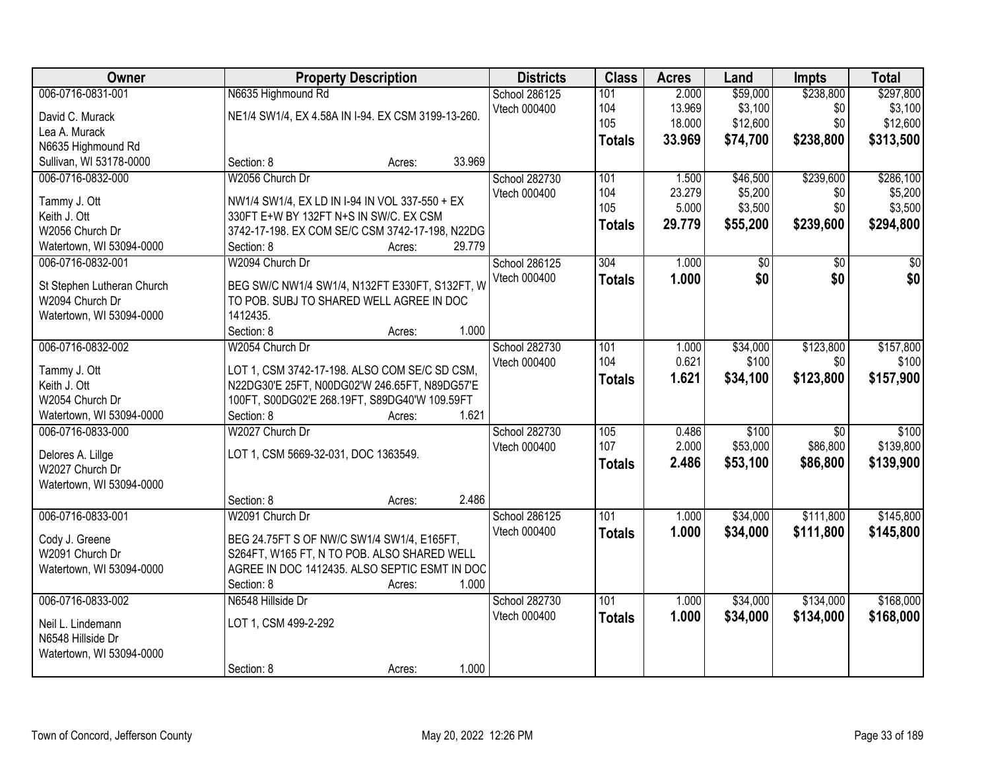| Owner                      |                                                    | <b>Property Description</b> |        | <b>Districts</b> | <b>Class</b>  | <b>Acres</b> | Land     | Impts           | <b>Total</b> |
|----------------------------|----------------------------------------------------|-----------------------------|--------|------------------|---------------|--------------|----------|-----------------|--------------|
| 006-0716-0831-001          | N6635 Highmound Rd                                 |                             |        | School 286125    | 101           | 2.000        | \$59,000 | \$238,800       | \$297,800    |
| David C. Murack            | NE1/4 SW1/4, EX 4.58A IN I-94. EX CSM 3199-13-260. |                             |        | Vtech 000400     | 104           | 13.969       | \$3,100  | \$0             | \$3,100      |
| Lea A. Murack              |                                                    |                             |        |                  | 105           | 18.000       | \$12,600 | \$0             | \$12,600     |
| N6635 Highmound Rd         |                                                    |                             |        |                  | <b>Totals</b> | 33.969       | \$74,700 | \$238,800       | \$313,500    |
| Sullivan, WI 53178-0000    | Section: 8                                         | Acres:                      | 33.969 |                  |               |              |          |                 |              |
| 006-0716-0832-000          | W2056 Church Dr                                    |                             |        | School 282730    | 101           | 1.500        | \$46,500 | \$239,600       | \$286,100    |
|                            |                                                    |                             |        | Vtech 000400     | 104           | 23.279       | \$5,200  | \$0             | \$5,200      |
| Tammy J. Ott               | NW1/4 SW1/4, EX LD IN I-94 IN VOL 337-550 + EX     |                             |        |                  | 105           | 5.000        | \$3,500  | \$0             | \$3,500      |
| Keith J. Ott               | 330FT E+W BY 132FT N+S IN SW/C. EX CSM             |                             |        |                  | <b>Totals</b> | 29.779       | \$55,200 | \$239,600       | \$294,800    |
| W2056 Church Dr            | 3742-17-198. EX COM SE/C CSM 3742-17-198, N22DG    |                             |        |                  |               |              |          |                 |              |
| Watertown, WI 53094-0000   | Section: 8                                         | Acres:                      | 29.779 |                  |               |              |          |                 |              |
| 006-0716-0832-001          | W2094 Church Dr                                    |                             |        | School 286125    | 304           | 1.000        | \$0      | $\overline{50}$ | \$0          |
| St Stephen Lutheran Church | BEG SW/C NW1/4 SW1/4, N132FT E330FT, S132FT, W     |                             |        | Vtech 000400     | <b>Totals</b> | 1.000        | \$0      | \$0             | \$0          |
| W2094 Church Dr            | TO POB. SUBJ TO SHARED WELL AGREE IN DOC           |                             |        |                  |               |              |          |                 |              |
| Watertown, WI 53094-0000   | 1412435.                                           |                             |        |                  |               |              |          |                 |              |
|                            | Section: 8                                         | Acres:                      | 1.000  |                  |               |              |          |                 |              |
| 006-0716-0832-002          | W2054 Church Dr                                    |                             |        | School 282730    | 101           | 1.000        | \$34,000 | \$123,800       | \$157,800    |
|                            |                                                    |                             |        | Vtech 000400     | 104           | 0.621        | \$100    | \$0             | \$100        |
| Tammy J. Ott               | LOT 1, CSM 3742-17-198. ALSO COM SE/C SD CSM,      |                             |        |                  | <b>Totals</b> | 1.621        | \$34,100 | \$123,800       | \$157,900    |
| Keith J. Ott               | N22DG30'E 25FT, N00DG02'W 246.65FT, N89DG57'E      |                             |        |                  |               |              |          |                 |              |
| W2054 Church Dr            | 100FT, S00DG02'E 268.19FT, S89DG40'W 109.59FT      |                             |        |                  |               |              |          |                 |              |
| Watertown, WI 53094-0000   | Section: 8                                         | Acres:                      | 1.621  |                  |               |              |          |                 |              |
| 006-0716-0833-000          | W2027 Church Dr                                    |                             |        | School 282730    | 105           | 0.486        | \$100    | $\overline{50}$ | \$100        |
| Delores A. Lillge          | LOT 1, CSM 5669-32-031, DOC 1363549.               |                             |        | Vtech 000400     | 107           | 2.000        | \$53,000 | \$86,800        | \$139,800    |
| W2027 Church Dr            |                                                    |                             |        |                  | <b>Totals</b> | 2.486        | \$53,100 | \$86,800        | \$139,900    |
| Watertown, WI 53094-0000   |                                                    |                             |        |                  |               |              |          |                 |              |
|                            | Section: 8                                         | Acres:                      | 2.486  |                  |               |              |          |                 |              |
| 006-0716-0833-001          | W2091 Church Dr                                    |                             |        | School 286125    | 101           | 1.000        | \$34,000 | \$111,800       | \$145,800    |
|                            |                                                    |                             |        | Vtech 000400     | <b>Totals</b> | 1.000        | \$34,000 | \$111,800       | \$145,800    |
| Cody J. Greene             | BEG 24.75FT S OF NW/C SW1/4 SW1/4, E165FT,         |                             |        |                  |               |              |          |                 |              |
| W2091 Church Dr            | S264FT, W165 FT, N TO POB. ALSO SHARED WELL        |                             |        |                  |               |              |          |                 |              |
| Watertown, WI 53094-0000   | AGREE IN DOC 1412435. ALSO SEPTIC ESMT IN DOC      |                             |        |                  |               |              |          |                 |              |
|                            | Section: 8                                         | Acres:                      | 1.000  |                  |               |              |          |                 |              |
| 006-0716-0833-002          | N6548 Hillside Dr                                  |                             |        | School 282730    | 101           | 1.000        | \$34,000 | \$134,000       | \$168,000    |
| Neil L. Lindemann          | LOT 1, CSM 499-2-292                               |                             |        | Vtech 000400     | <b>Totals</b> | 1.000        | \$34,000 | \$134,000       | \$168,000    |
| N6548 Hillside Dr          |                                                    |                             |        |                  |               |              |          |                 |              |
| Watertown, WI 53094-0000   |                                                    |                             |        |                  |               |              |          |                 |              |
|                            | Section: 8                                         | Acres:                      | 1.000  |                  |               |              |          |                 |              |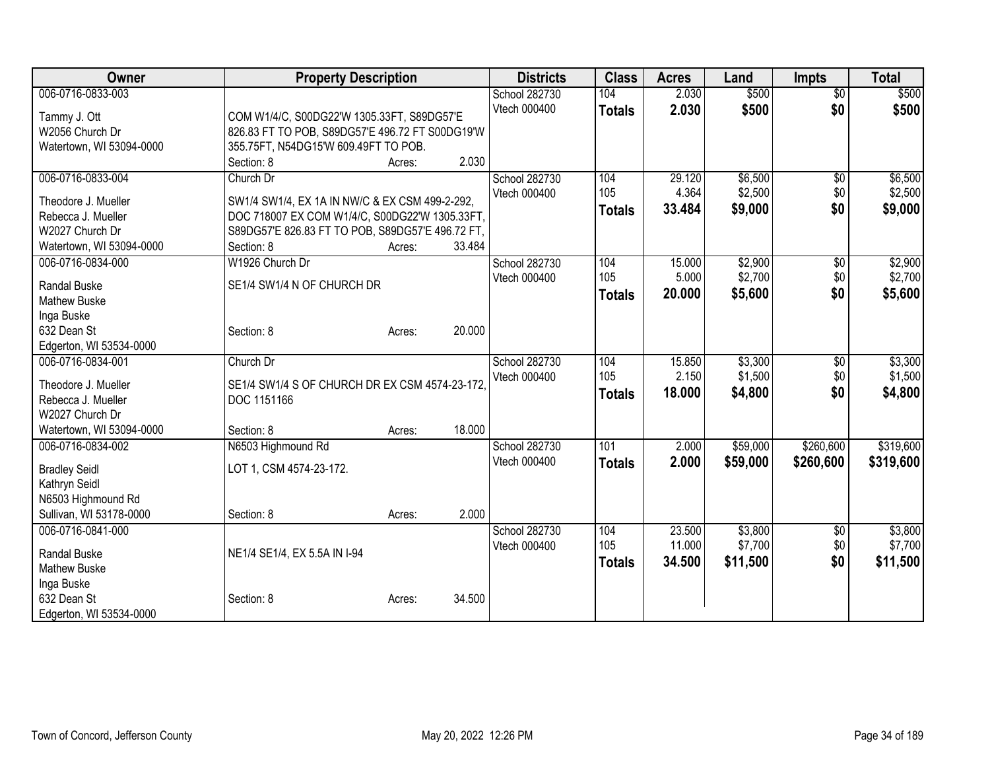| Owner                                         | <b>Property Description</b>                                    |        |        | <b>Districts</b> | <b>Class</b>  | <b>Acres</b>     | Land               | <b>Impts</b>      | <b>Total</b>       |
|-----------------------------------------------|----------------------------------------------------------------|--------|--------|------------------|---------------|------------------|--------------------|-------------------|--------------------|
| 006-0716-0833-003                             |                                                                |        |        | School 282730    | 104           | 2.030            | \$500              | $\overline{50}$   | \$500              |
| Tammy J. Ott                                  | COM W1/4/C, S00DG22'W 1305.33FT, S89DG57'E                     |        |        | Vtech 000400     | <b>Totals</b> | 2.030            | \$500              | \$0               | \$500              |
| W2056 Church Dr                               | 826.83 FT TO POB, S89DG57'E 496.72 FT S00DG19'W                |        |        |                  |               |                  |                    |                   |                    |
| Watertown, WI 53094-0000                      | 355.75FT, N54DG15'W 609.49FT TO POB.                           |        |        |                  |               |                  |                    |                   |                    |
|                                               | Section: 8                                                     | Acres: | 2.030  |                  |               |                  |                    |                   |                    |
| 006-0716-0833-004                             | Church Dr                                                      |        |        | School 282730    | 104           | 29.120           | \$6,500            | $\sqrt{6}$        | \$6,500            |
|                                               |                                                                |        |        | Vtech 000400     | 105           | 4.364            | \$2,500            | \$0               | \$2,500            |
| Theodore J. Mueller                           | SW1/4 SW1/4, EX 1A IN NW/C & EX CSM 499-2-292,                 |        |        |                  | <b>Totals</b> | 33.484           | \$9,000            | \$0               | \$9,000            |
| Rebecca J. Mueller                            | DOC 718007 EX COM W1/4/C, S00DG22'W 1305.33FT,                 |        |        |                  |               |                  |                    |                   |                    |
| W2027 Church Dr<br>Watertown, WI 53094-0000   | S89DG57'E 826.83 FT TO POB, S89DG57'E 496.72 FT,<br>Section: 8 |        | 33.484 |                  |               |                  |                    |                   |                    |
| 006-0716-0834-000                             | W1926 Church Dr                                                | Acres: |        | School 282730    | 104           | 15.000           | \$2,900            | \$0               | \$2,900            |
|                                               |                                                                |        |        | Vtech 000400     | 105           | 5.000            | \$2,700            | \$0               | \$2,700            |
| <b>Randal Buske</b>                           | SE1/4 SW1/4 N OF CHURCH DR                                     |        |        |                  |               | 20.000           | \$5,600            | \$0               | \$5,600            |
| <b>Mathew Buske</b>                           |                                                                |        |        |                  | <b>Totals</b> |                  |                    |                   |                    |
| Inga Buske                                    |                                                                |        |        |                  |               |                  |                    |                   |                    |
| 632 Dean St                                   | Section: 8                                                     | Acres: | 20.000 |                  |               |                  |                    |                   |                    |
| Edgerton, WI 53534-0000                       |                                                                |        |        |                  |               |                  |                    |                   |                    |
| 006-0716-0834-001                             | Church Dr                                                      |        |        | School 282730    | 104           | 15.850           | \$3,300            | \$0               | \$3,300            |
| Theodore J. Mueller                           | SE1/4 SW1/4 S OF CHURCH DR EX CSM 4574-23-172.                 |        |        | Vtech 000400     | 105           | 2.150            | \$1,500            | \$0               | \$1,500            |
| Rebecca J. Mueller                            | DOC 1151166                                                    |        |        |                  | <b>Totals</b> | 18.000           | \$4,800            | \$0               | \$4,800            |
| W2027 Church Dr                               |                                                                |        |        |                  |               |                  |                    |                   |                    |
| Watertown, WI 53094-0000                      | Section: 8                                                     | Acres: | 18.000 |                  |               |                  |                    |                   |                    |
| 006-0716-0834-002                             | N6503 Highmound Rd                                             |        |        | School 282730    | 101           | 2.000            | \$59,000           | \$260,600         | \$319,600          |
|                                               |                                                                |        |        | Vtech 000400     | <b>Totals</b> | 2.000            | \$59,000           | \$260,600         | \$319,600          |
| <b>Bradley Seidl</b>                          | LOT 1, CSM 4574-23-172.                                        |        |        |                  |               |                  |                    |                   |                    |
| Kathryn Seidl                                 |                                                                |        |        |                  |               |                  |                    |                   |                    |
| N6503 Highmound Rd<br>Sullivan, WI 53178-0000 | Section: 8                                                     |        | 2.000  |                  |               |                  |                    |                   |                    |
|                                               |                                                                | Acres: |        |                  |               |                  |                    |                   |                    |
| 006-0716-0841-000                             |                                                                |        |        | School 282730    | 104<br>105    | 23.500<br>11.000 | \$3,800<br>\$7,700 | $\sqrt{6}$<br>\$0 | \$3,800<br>\$7,700 |
| Randal Buske                                  | NE1/4 SE1/4, EX 5.5A IN I-94                                   |        |        | Vtech 000400     |               |                  |                    |                   |                    |
| <b>Mathew Buske</b>                           |                                                                |        |        |                  | <b>Totals</b> | 34.500           | \$11,500           | \$0               | \$11,500           |
| Inga Buske                                    |                                                                |        |        |                  |               |                  |                    |                   |                    |
| 632 Dean St                                   | Section: 8                                                     | Acres: | 34.500 |                  |               |                  |                    |                   |                    |
| Edgerton, WI 53534-0000                       |                                                                |        |        |                  |               |                  |                    |                   |                    |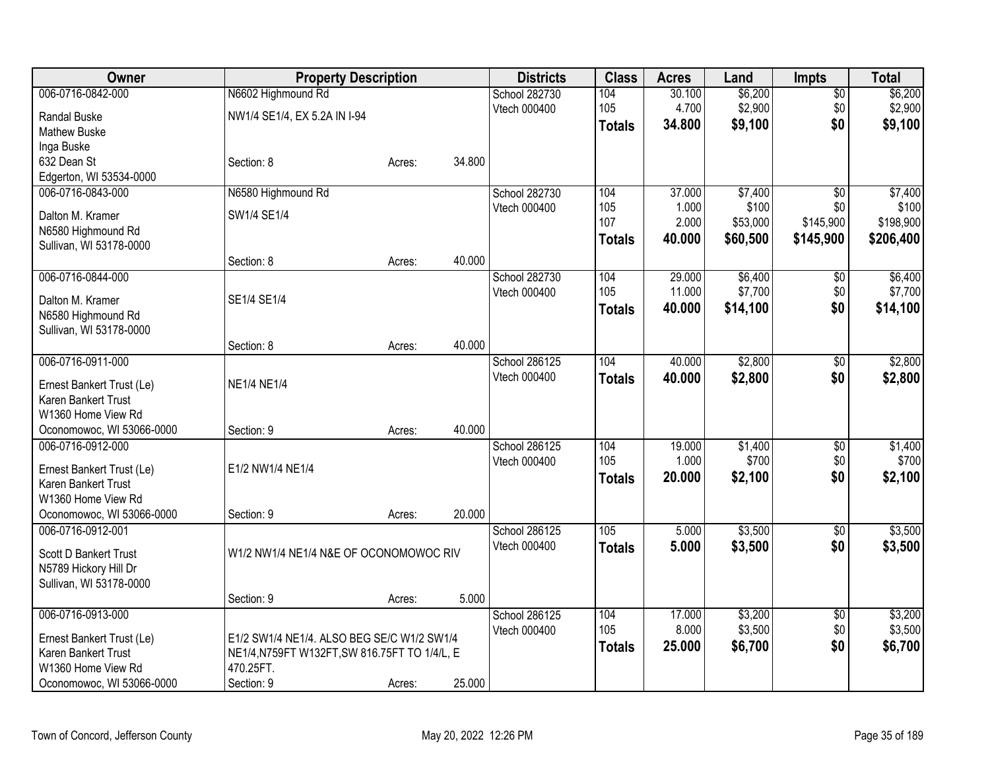| Owner                        | <b>Property Description</b>                   |        |        | <b>Districts</b> | <b>Class</b>  | <b>Acres</b> | Land     | <b>Impts</b>    | <b>Total</b> |
|------------------------------|-----------------------------------------------|--------|--------|------------------|---------------|--------------|----------|-----------------|--------------|
| 006-0716-0842-000            | N6602 Highmound Rd                            |        |        | School 282730    | 104           | 30.100       | \$6,200  | $\overline{60}$ | \$6,200      |
| <b>Randal Buske</b>          | NW1/4 SE1/4, EX 5.2A IN I-94                  |        |        | Vtech 000400     | 105           | 4.700        | \$2,900  | \$0             | \$2,900      |
| <b>Mathew Buske</b>          |                                               |        |        |                  | <b>Totals</b> | 34.800       | \$9,100  | \$0             | \$9,100      |
| Inga Buske                   |                                               |        |        |                  |               |              |          |                 |              |
| 632 Dean St                  | Section: 8                                    | Acres: | 34.800 |                  |               |              |          |                 |              |
| Edgerton, WI 53534-0000      |                                               |        |        |                  |               |              |          |                 |              |
| 006-0716-0843-000            | N6580 Highmound Rd                            |        |        | School 282730    | 104           | 37.000       | \$7,400  | \$0             | \$7,400      |
| Dalton M. Kramer             | SW1/4 SE1/4                                   |        |        | Vtech 000400     | 105           | 1.000        | \$100    | \$0             | \$100        |
| N6580 Highmound Rd           |                                               |        |        |                  | 107           | 2.000        | \$53,000 | \$145,900       | \$198,900    |
| Sullivan, WI 53178-0000      |                                               |        |        |                  | <b>Totals</b> | 40.000       | \$60,500 | \$145,900       | \$206,400    |
|                              | Section: 8                                    | Acres: | 40.000 |                  |               |              |          |                 |              |
| 006-0716-0844-000            |                                               |        |        | School 282730    | 104           | 29.000       | \$6,400  | \$0             | \$6,400      |
|                              |                                               |        |        | Vtech 000400     | 105           | 11.000       | \$7,700  | \$0             | \$7,700      |
| Dalton M. Kramer             | SE1/4 SE1/4                                   |        |        |                  | <b>Totals</b> | 40.000       | \$14,100 | \$0             | \$14,100     |
| N6580 Highmound Rd           |                                               |        |        |                  |               |              |          |                 |              |
| Sullivan, WI 53178-0000      | Section: 8                                    | Acres: | 40.000 |                  |               |              |          |                 |              |
| 006-0716-0911-000            |                                               |        |        | School 286125    | 104           | 40.000       | \$2,800  | $\sqrt[6]{30}$  | \$2,800      |
|                              |                                               |        |        | Vtech 000400     | <b>Totals</b> | 40.000       | \$2,800  | \$0             | \$2,800      |
| Ernest Bankert Trust (Le)    | <b>NE1/4 NE1/4</b>                            |        |        |                  |               |              |          |                 |              |
| Karen Bankert Trust          |                                               |        |        |                  |               |              |          |                 |              |
| W1360 Home View Rd           |                                               |        |        |                  |               |              |          |                 |              |
| Oconomowoc, WI 53066-0000    | Section: 9                                    | Acres: | 40.000 |                  |               |              |          |                 |              |
| 006-0716-0912-000            |                                               |        |        | School 286125    | 104           | 19.000       | \$1,400  | $\sqrt[6]{3}$   | \$1,400      |
| Ernest Bankert Trust (Le)    | E1/2 NW1/4 NE1/4                              |        |        | Vtech 000400     | 105           | 1.000        | \$700    | \$0             | \$700        |
| Karen Bankert Trust          |                                               |        |        |                  | <b>Totals</b> | 20.000       | \$2,100  | \$0             | \$2,100      |
| W1360 Home View Rd           |                                               |        |        |                  |               |              |          |                 |              |
| Oconomowoc, WI 53066-0000    | Section: 9                                    | Acres: | 20.000 |                  |               |              |          |                 |              |
| 006-0716-0912-001            |                                               |        |        | School 286125    | 105           | 5.000        | \$3,500  | \$0             | \$3,500      |
| <b>Scott D Bankert Trust</b> | W1/2 NW1/4 NE1/4 N&E OF OCONOMOWOC RIV        |        |        | Vtech 000400     | <b>Totals</b> | 5.000        | \$3,500  | \$0             | \$3,500      |
| N5789 Hickory Hill Dr        |                                               |        |        |                  |               |              |          |                 |              |
| Sullivan, WI 53178-0000      |                                               |        |        |                  |               |              |          |                 |              |
|                              | Section: 9                                    | Acres: | 5.000  |                  |               |              |          |                 |              |
| 006-0716-0913-000            |                                               |        |        | School 286125    | 104           | 17.000       | \$3,200  | $\overline{50}$ | \$3,200      |
|                              |                                               |        |        | Vtech 000400     | 105           | 8.000        | \$3,500  | \$0             | \$3,500      |
| Ernest Bankert Trust (Le)    | E1/2 SW1/4 NE1/4. ALSO BEG SE/C W1/2 SW1/4    |        |        |                  | <b>Totals</b> | 25.000       | \$6,700  | \$0             | \$6,700      |
| Karen Bankert Trust          | NE1/4, N759FT W132FT, SW 816.75FT TO 1/4/L, E |        |        |                  |               |              |          |                 |              |
| W1360 Home View Rd           | 470.25FT.                                     |        |        |                  |               |              |          |                 |              |
| Oconomowoc, WI 53066-0000    | Section: 9                                    | Acres: | 25.000 |                  |               |              |          |                 |              |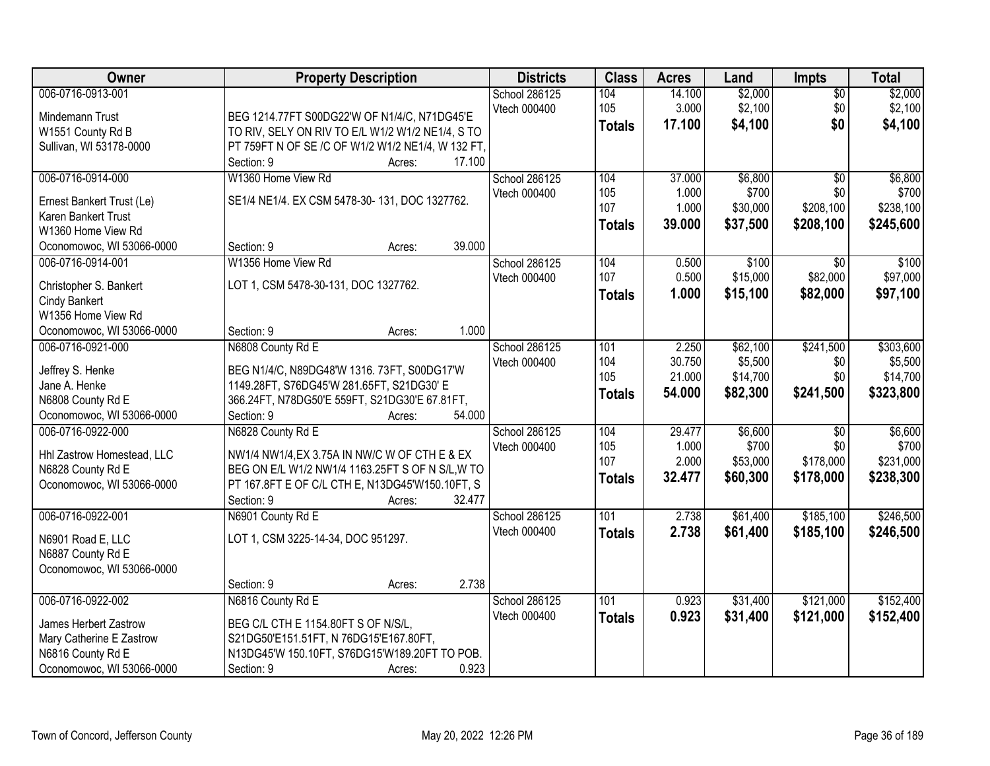| Owner                                            | <b>Property Description</b>                       | <b>Districts</b> | <b>Class</b>     | <b>Acres</b> | Land     | <b>Impts</b>    | <b>Total</b> |
|--------------------------------------------------|---------------------------------------------------|------------------|------------------|--------------|----------|-----------------|--------------|
| 006-0716-0913-001                                |                                                   | School 286125    | 104              | 14.100       | \$2,000  | $\overline{50}$ | \$2,000      |
| Mindemann Trust                                  | BEG 1214.77FT S00DG22'W OF N1/4/C, N71DG45'E      | Vtech 000400     | 105              | 3.000        | \$2,100  | \$0             | \$2,100      |
| W1551 County Rd B                                | TO RIV, SELY ON RIV TO E/L W1/2 W1/2 NE1/4, S TO  |                  | <b>Totals</b>    | 17.100       | \$4,100  | \$0             | \$4,100      |
| Sullivan, WI 53178-0000                          | PT 759FT N OF SE /C OF W1/2 W1/2 NE1/4, W 132 FT, |                  |                  |              |          |                 |              |
|                                                  | 17.100<br>Section: 9<br>Acres:                    |                  |                  |              |          |                 |              |
| 006-0716-0914-000                                | W1360 Home View Rd                                | School 286125    | 104              | 37.000       | \$6,800  | $\overline{30}$ | \$6,800      |
|                                                  |                                                   | Vtech 000400     | 105              | 1.000        | \$700    | \$0             | \$700        |
| Ernest Bankert Trust (Le)                        | SE1/4 NE1/4. EX CSM 5478-30-131, DOC 1327762.     |                  | 107              | 1.000        | \$30,000 | \$208,100       | \$238,100    |
| <b>Karen Bankert Trust</b><br>W1360 Home View Rd |                                                   |                  | <b>Totals</b>    | 39.000       | \$37,500 | \$208,100       | \$245,600    |
| Oconomowoc, WI 53066-0000                        | 39.000<br>Section: 9                              |                  |                  |              |          |                 |              |
| 006-0716-0914-001                                | Acres:<br>W1356 Home View Rd                      | School 286125    | 104              | 0.500        | \$100    | $\overline{30}$ | \$100        |
|                                                  |                                                   | Vtech 000400     | 107              | 0.500        | \$15,000 | \$82,000        | \$97,000     |
| Christopher S. Bankert                           | LOT 1, CSM 5478-30-131, DOC 1327762.              |                  |                  | 1.000        | \$15,100 | \$82,000        |              |
| <b>Cindy Bankert</b>                             |                                                   |                  | <b>Totals</b>    |              |          |                 | \$97,100     |
| W1356 Home View Rd                               |                                                   |                  |                  |              |          |                 |              |
| Oconomowoc, WI 53066-0000                        | 1.000<br>Section: 9<br>Acres:                     |                  |                  |              |          |                 |              |
| 006-0716-0921-000                                | N6808 County Rd E                                 | School 286125    | 101              | 2.250        | \$62,100 | \$241,500       | \$303,600    |
| Jeffrey S. Henke                                 | BEG N1/4/C, N89DG48'W 1316. 73FT, S00DG17'W       | Vtech 000400     | 104              | 30.750       | \$5,500  | \$0             | \$5,500      |
| Jane A. Henke                                    | 1149.28FT, S76DG45'W 281.65FT, S21DG30' E         |                  | 105              | 21.000       | \$14,700 | \$0             | \$14,700     |
| N6808 County Rd E                                | 366.24FT, N78DG50'E 559FT, S21DG30'E 67.81FT,     |                  | <b>Totals</b>    | 54.000       | \$82,300 | \$241,500       | \$323,800    |
| Oconomowoc, WI 53066-0000                        | Section: 9<br>54.000<br>Acres:                    |                  |                  |              |          |                 |              |
| 006-0716-0922-000                                | N6828 County Rd E                                 | School 286125    | 104              | 29.477       | \$6,600  | $\overline{50}$ | \$6,600      |
|                                                  |                                                   | Vtech 000400     | 105              | 1.000        | \$700    | \$0             | \$700        |
| Hhl Zastrow Homestead, LLC                       | NW1/4 NW1/4, EX 3.75A IN NW/C W OF CTH E & EX     |                  | 107              | 2.000        | \$53,000 | \$178,000       | \$231,000    |
| N6828 County Rd E                                | BEG ON E/L W1/2 NW1/4 1163.25FT S OF N S/L, W TO  |                  | <b>Totals</b>    | 32.477       | \$60,300 | \$178,000       | \$238,300    |
| Oconomowoc, WI 53066-0000                        | PT 167.8FT E OF C/L CTH E, N13DG45'W150.10FT, S   |                  |                  |              |          |                 |              |
|                                                  | 32.477<br>Section: 9<br>Acres:                    |                  |                  |              |          |                 |              |
| 006-0716-0922-001                                | N6901 County Rd E                                 | School 286125    | $\overline{101}$ | 2.738        | \$61,400 | \$185,100       | \$246,500    |
| N6901 Road E, LLC                                | LOT 1, CSM 3225-14-34, DOC 951297.                | Vtech 000400     | <b>Totals</b>    | 2.738        | \$61,400 | \$185,100       | \$246,500    |
| N6887 County Rd E                                |                                                   |                  |                  |              |          |                 |              |
| Oconomowoc, WI 53066-0000                        |                                                   |                  |                  |              |          |                 |              |
|                                                  | 2.738<br>Section: 9<br>Acres:                     |                  |                  |              |          |                 |              |
| 006-0716-0922-002                                | N6816 County Rd E                                 | School 286125    | 101              | 0.923        | \$31,400 | \$121,000       | \$152,400    |
|                                                  |                                                   | Vtech 000400     | <b>Totals</b>    | 0.923        | \$31,400 | \$121,000       | \$152,400    |
| James Herbert Zastrow                            | BEG C/L CTH E 1154.80FT S OF N/S/L,               |                  |                  |              |          |                 |              |
| Mary Catherine E Zastrow                         | S21DG50'E151.51FT, N 76DG15'E167.80FT,            |                  |                  |              |          |                 |              |
| N6816 County Rd E                                | N13DG45'W 150.10FT, S76DG15'W189.20FT TO POB.     |                  |                  |              |          |                 |              |
| Oconomowoc, WI 53066-0000                        | 0.923<br>Section: 9<br>Acres:                     |                  |                  |              |          |                 |              |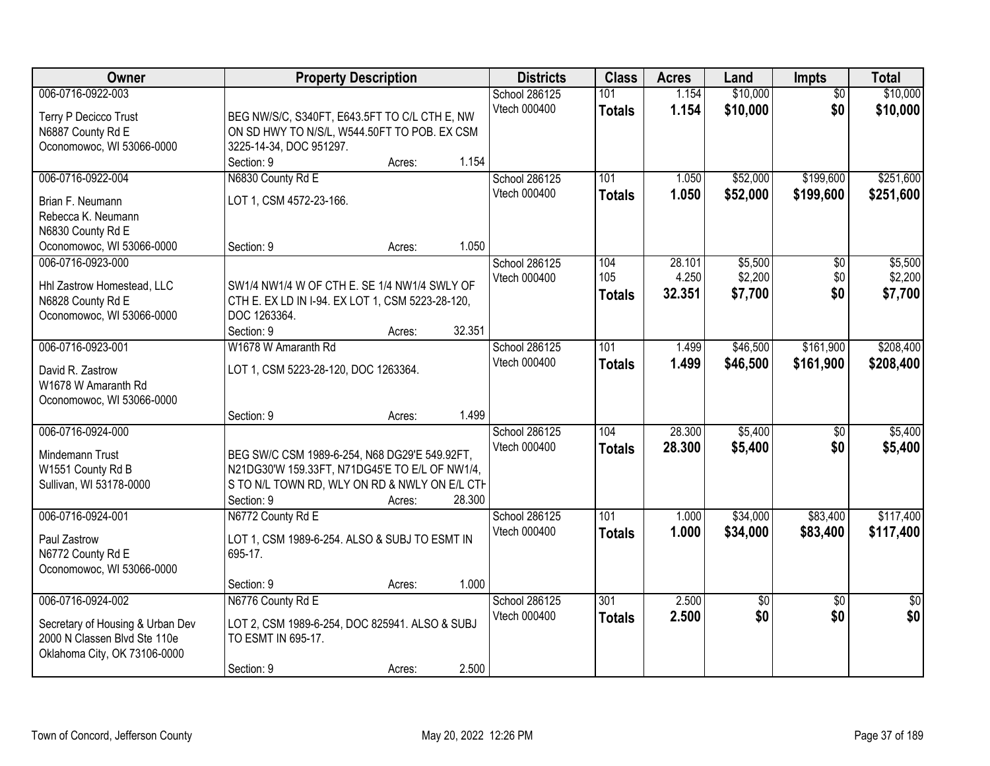| Owner                                                                                                                                                            | <b>Property Description</b>                                                                                                                                                         |                  |                | <b>Districts</b>                                               | <b>Class</b>                                        | <b>Acres</b>                                | Land                                                  | <b>Impts</b>                                            | <b>Total</b>                                            |
|------------------------------------------------------------------------------------------------------------------------------------------------------------------|-------------------------------------------------------------------------------------------------------------------------------------------------------------------------------------|------------------|----------------|----------------------------------------------------------------|-----------------------------------------------------|---------------------------------------------|-------------------------------------------------------|---------------------------------------------------------|---------------------------------------------------------|
| 006-0716-0922-003<br>Terry P Decicco Trust<br>N6887 County Rd E<br>Oconomowoc, WI 53066-0000                                                                     | BEG NW/S/C, S340FT, E643.5FT TO C/L CTH E, NW<br>ON SD HWY TO N/S/L, W544.50FT TO POB. EX CSM<br>3225-14-34, DOC 951297.                                                            |                  |                | School 286125<br>Vtech 000400                                  | 101<br><b>Totals</b>                                | 1.154<br>1.154                              | \$10,000<br>\$10,000                                  | $\overline{50}$<br>\$0                                  | \$10,000<br>\$10,000                                    |
| 006-0716-0922-004<br>Brian F. Neumann<br>Rebecca K. Neumann<br>N6830 County Rd E<br>Oconomowoc, WI 53066-0000<br>006-0716-0923-000<br>Hhl Zastrow Homestead, LLC | Section: 9<br>N6830 County Rd E<br>LOT 1, CSM 4572-23-166.<br>Section: 9<br>SW1/4 NW1/4 W OF CTH E. SE 1/4 NW1/4 SWLY OF                                                            | Acres:<br>Acres: | 1.154<br>1.050 | School 286125<br>Vtech 000400<br>School 286125<br>Vtech 000400 | 101<br><b>Totals</b><br>104<br>105<br><b>Totals</b> | 1.050<br>1.050<br>28.101<br>4.250<br>32.351 | \$52,000<br>\$52,000<br>\$5,500<br>\$2,200<br>\$7,700 | \$199,600<br>\$199,600<br>$\overline{50}$<br>\$0<br>\$0 | \$251,600<br>\$251,600<br>\$5,500<br>\$2,200<br>\$7,700 |
| N6828 County Rd E<br>Oconomowoc, WI 53066-0000<br>006-0716-0923-001<br>David R. Zastrow                                                                          | CTH E. EX LD IN I-94. EX LOT 1, CSM 5223-28-120,<br>DOC 1263364.<br>Section: 9<br>W1678 W Amaranth Rd<br>LOT 1, CSM 5223-28-120, DOC 1263364.                                       | Acres:           | 32.351         | School 286125<br>Vtech 000400                                  | 101<br><b>Totals</b>                                | 1.499<br>1.499                              | \$46,500<br>\$46,500                                  | \$161,900<br>\$161,900                                  | \$208,400<br>\$208,400                                  |
| W1678 W Amaranth Rd<br>Oconomowoc, WI 53066-0000<br>006-0716-0924-000                                                                                            | Section: 9                                                                                                                                                                          | Acres:           | 1.499          | School 286125<br>Vtech 000400                                  | 104<br><b>Totals</b>                                | 28.300<br>28,300                            | \$5,400<br>\$5,400                                    | \$0<br>\$0                                              | \$5,400<br>\$5,400                                      |
| Mindemann Trust<br>W1551 County Rd B<br>Sullivan, WI 53178-0000<br>006-0716-0924-001                                                                             | BEG SW/C CSM 1989-6-254, N68 DG29'E 549.92FT,<br>N21DG30'W 159.33FT, N71DG45'E TO E/L OF NW1/4,<br>S TO N/L TOWN RD, WLY ON RD & NWLY ON E/L CTH<br>Section: 9<br>N6772 County Rd E | Acres:           | 28.300         | School 286125                                                  | 101                                                 | 1.000                                       | \$34,000                                              | \$83,400                                                | \$117,400                                               |
| Paul Zastrow<br>N6772 County Rd E<br>Oconomowoc, WI 53066-0000                                                                                                   | LOT 1, CSM 1989-6-254. ALSO & SUBJ TO ESMT IN<br>695-17.<br>Section: 9                                                                                                              | Acres:           | 1.000          | Vtech 000400                                                   | <b>Totals</b>                                       | 1.000                                       | \$34,000                                              | \$83,400                                                | \$117,400                                               |
| 006-0716-0924-002<br>Secretary of Housing & Urban Dev<br>2000 N Classen Blvd Ste 110e<br>Oklahoma City, OK 73106-0000                                            | N6776 County Rd E<br>LOT 2, CSM 1989-6-254, DOC 825941. ALSO & SUBJ<br>TO ESMT IN 695-17.<br>Section: 9                                                                             | Acres:           | 2.500          | School 286125<br>Vtech 000400                                  | 301<br><b>Totals</b>                                | 2.500<br>2.500                              | $\overline{50}$<br>\$0                                | $\overline{30}$<br>\$0                                  | $\overline{50}$<br>\$0                                  |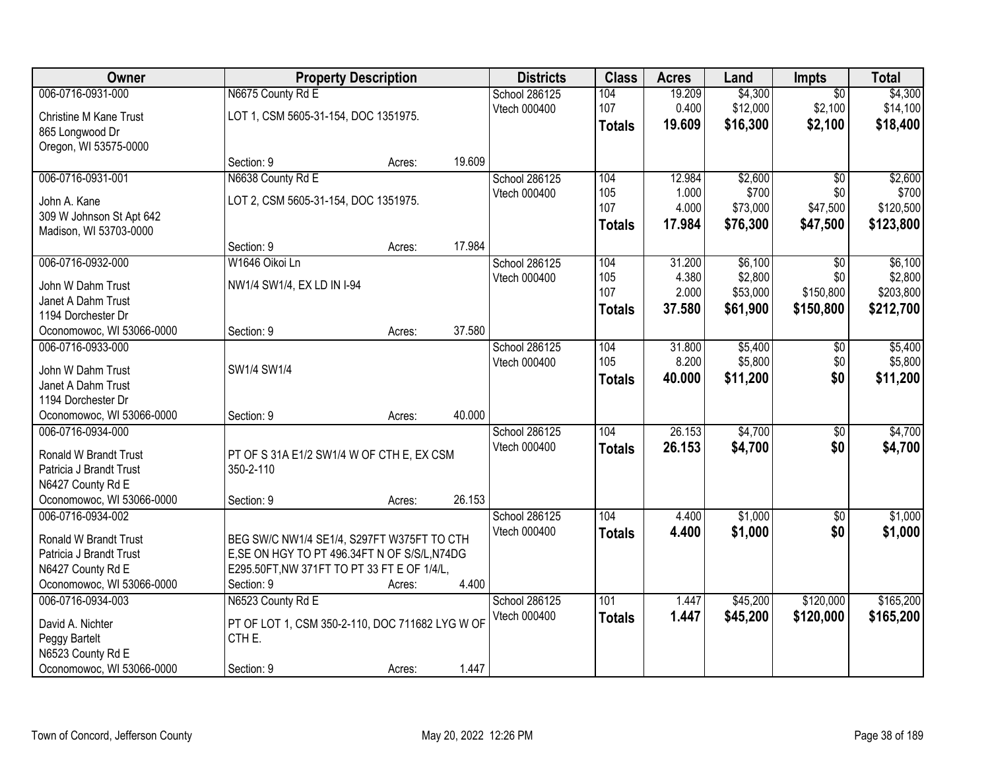| Owner                                          |                                                 | <b>Property Description</b> |        | <b>Districts</b> | <b>Class</b>  | <b>Acres</b> | Land     | <b>Impts</b>    | <b>Total</b> |
|------------------------------------------------|-------------------------------------------------|-----------------------------|--------|------------------|---------------|--------------|----------|-----------------|--------------|
| 006-0716-0931-000                              | N6675 County Rd E                               |                             |        | School 286125    | 104           | 19.209       | \$4,300  | $\overline{50}$ | \$4,300      |
| <b>Christine M Kane Trust</b>                  | LOT 1, CSM 5605-31-154, DOC 1351975.            |                             |        | Vtech 000400     | 107           | 0.400        | \$12,000 | \$2,100         | \$14,100     |
| 865 Longwood Dr                                |                                                 |                             |        |                  | <b>Totals</b> | 19.609       | \$16,300 | \$2,100         | \$18,400     |
| Oregon, WI 53575-0000                          |                                                 |                             |        |                  |               |              |          |                 |              |
|                                                | Section: 9                                      | Acres:                      | 19.609 |                  |               |              |          |                 |              |
| 006-0716-0931-001                              | N6638 County Rd E                               |                             |        | School 286125    | 104           | 12.984       | \$2,600  | $\overline{50}$ | \$2,600      |
| John A. Kane                                   | LOT 2, CSM 5605-31-154, DOC 1351975.            |                             |        | Vtech 000400     | 105           | 1.000        | \$700    | \$0             | \$700        |
| 309 W Johnson St Apt 642                       |                                                 |                             |        |                  | 107           | 4.000        | \$73,000 | \$47,500        | \$120,500    |
| Madison, WI 53703-0000                         |                                                 |                             |        |                  | <b>Totals</b> | 17.984       | \$76,300 | \$47,500        | \$123,800    |
|                                                | Section: 9                                      | Acres:                      | 17.984 |                  |               |              |          |                 |              |
| 006-0716-0932-000                              | W1646 Oikoi Ln                                  |                             |        | School 286125    | 104           | 31.200       | \$6,100  | \$0             | \$6,100      |
| John W Dahm Trust                              | NW1/4 SW1/4, EX LD IN I-94                      |                             |        | Vtech 000400     | 105           | 4.380        | \$2,800  | \$0             | \$2,800      |
| Janet A Dahm Trust                             |                                                 |                             |        |                  | 107           | 2.000        | \$53,000 | \$150,800       | \$203,800    |
| 1194 Dorchester Dr                             |                                                 |                             |        |                  | <b>Totals</b> | 37.580       | \$61,900 | \$150,800       | \$212,700    |
| Oconomowoc, WI 53066-0000                      | Section: 9                                      | Acres:                      | 37.580 |                  |               |              |          |                 |              |
| 006-0716-0933-000                              |                                                 |                             |        | School 286125    | 104           | 31.800       | \$5,400  | $\sqrt[6]{3}$   | \$5,400      |
| John W Dahm Trust                              | SW1/4 SW1/4                                     |                             |        | Vtech 000400     | 105           | 8.200        | \$5,800  | \$0             | \$5,800      |
| Janet A Dahm Trust                             |                                                 |                             |        |                  | <b>Totals</b> | 40.000       | \$11,200 | \$0             | \$11,200     |
| 1194 Dorchester Dr                             |                                                 |                             |        |                  |               |              |          |                 |              |
| Oconomowoc, WI 53066-0000                      | Section: 9                                      | Acres:                      | 40.000 |                  |               |              |          |                 |              |
| 006-0716-0934-000                              |                                                 |                             |        | School 286125    | 104           | 26.153       | \$4,700  | \$0             | \$4,700      |
|                                                |                                                 |                             |        | Vtech 000400     | <b>Totals</b> | 26.153       | \$4,700  | \$0             | \$4,700      |
| Ronald W Brandt Trust                          | PT OF S 31A E1/2 SW1/4 W OF CTH E, EX CSM       |                             |        |                  |               |              |          |                 |              |
| Patricia J Brandt Trust<br>N6427 County Rd E   | 350-2-110                                       |                             |        |                  |               |              |          |                 |              |
| Oconomowoc, WI 53066-0000                      | Section: 9                                      | Acres:                      | 26.153 |                  |               |              |          |                 |              |
| 006-0716-0934-002                              |                                                 |                             |        | School 286125    | 104           | 4.400        | \$1,000  | $\sqrt{6}$      | \$1,000      |
|                                                |                                                 |                             |        | Vtech 000400     | <b>Totals</b> | 4.400        | \$1,000  | \$0             | \$1,000      |
| Ronald W Brandt Trust                          | BEG SW/C NW1/4 SE1/4, S297FT W375FT TO CTH      |                             |        |                  |               |              |          |                 |              |
| Patricia J Brandt Trust                        | E, SE ON HGY TO PT 496.34FT N OF S/S/L, N74DG   |                             |        |                  |               |              |          |                 |              |
| N6427 County Rd E                              | E295.50FT, NW 371FT TO PT 33 FT E OF 1/4/L,     |                             |        |                  |               |              |          |                 |              |
| Oconomowoc, WI 53066-0000<br>006-0716-0934-003 | Section: 9                                      | Acres:                      | 4.400  | School 286125    | 101           |              | \$45,200 | \$120,000       | \$165,200    |
|                                                | N6523 County Rd E                               |                             |        | Vtech 000400     |               | 1.447        |          |                 |              |
| David A. Nichter                               | PT OF LOT 1, CSM 350-2-110, DOC 711682 LYG W OF |                             |        |                  | <b>Totals</b> | 1.447        | \$45,200 | \$120,000       | \$165,200    |
| Peggy Bartelt                                  | CTHE.                                           |                             |        |                  |               |              |          |                 |              |
| N6523 County Rd E                              |                                                 |                             |        |                  |               |              |          |                 |              |
| Oconomowoc, WI 53066-0000                      | Section: 9                                      | Acres:                      | 1.447  |                  |               |              |          |                 |              |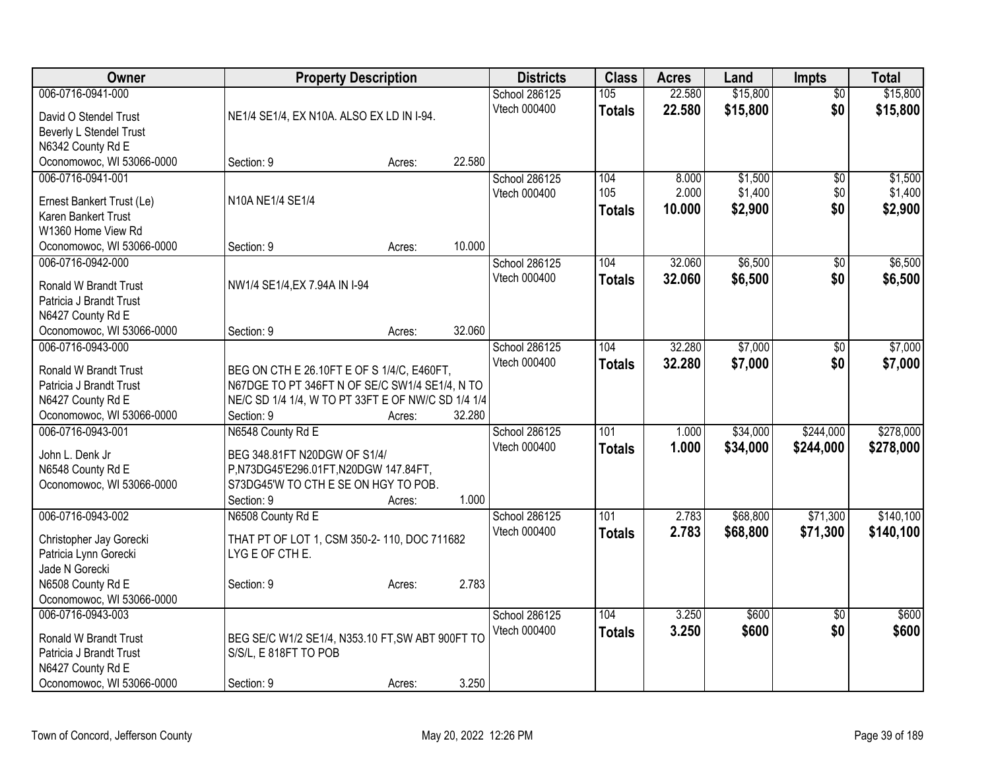| Owner                                        | <b>Property Description</b>                                                                  |        |        | <b>Districts</b>              | <b>Class</b>  | <b>Acres</b> | Land     | <b>Impts</b>    | <b>Total</b> |
|----------------------------------------------|----------------------------------------------------------------------------------------------|--------|--------|-------------------------------|---------------|--------------|----------|-----------------|--------------|
| 006-0716-0941-000                            |                                                                                              |        |        | School 286125                 | 105           | 22.580       | \$15,800 | $\overline{50}$ | \$15,800     |
| David O Stendel Trust                        | NE1/4 SE1/4, EX N10A. ALSO EX LD IN I-94.                                                    |        |        | Vtech 000400                  | <b>Totals</b> | 22.580       | \$15,800 | \$0             | \$15,800     |
| Beverly L Stendel Trust                      |                                                                                              |        |        |                               |               |              |          |                 |              |
| N6342 County Rd E                            |                                                                                              |        |        |                               |               |              |          |                 |              |
| Oconomowoc, WI 53066-0000                    | Section: 9                                                                                   | Acres: | 22.580 |                               |               |              |          |                 |              |
| 006-0716-0941-001                            |                                                                                              |        |        | School 286125                 | 104           | 8.000        | \$1,500  | \$0             | \$1,500      |
| Ernest Bankert Trust (Le)                    | N10A NE1/4 SE1/4                                                                             |        |        | Vtech 000400                  | 105           | 2.000        | \$1,400  | \$0             | \$1,400      |
| Karen Bankert Trust                          |                                                                                              |        |        |                               | <b>Totals</b> | 10.000       | \$2,900  | \$0             | \$2,900      |
| W1360 Home View Rd                           |                                                                                              |        |        |                               |               |              |          |                 |              |
| Oconomowoc, WI 53066-0000                    | Section: 9                                                                                   | Acres: | 10.000 |                               |               |              |          |                 |              |
| 006-0716-0942-000                            |                                                                                              |        |        | School 286125                 | 104           | 32.060       | \$6,500  | \$0             | \$6,500      |
| Ronald W Brandt Trust                        | NW1/4 SE1/4, EX 7.94A IN I-94                                                                |        |        | Vtech 000400                  | <b>Totals</b> | 32.060       | \$6,500  | \$0             | \$6,500      |
| Patricia J Brandt Trust                      |                                                                                              |        |        |                               |               |              |          |                 |              |
| N6427 County Rd E                            |                                                                                              |        |        |                               |               |              |          |                 |              |
| Oconomowoc, WI 53066-0000                    | Section: 9                                                                                   | Acres: | 32.060 |                               |               |              |          |                 |              |
| 006-0716-0943-000                            |                                                                                              |        |        | School 286125                 | 104           | 32.280       | \$7,000  | \$0             | \$7,000      |
|                                              |                                                                                              |        |        | Vtech 000400                  | <b>Totals</b> | 32.280       | \$7,000  | \$0             | \$7,000      |
| Ronald W Brandt Trust                        | BEG ON CTH E 26.10FT E OF S 1/4/C, E460FT,<br>N67DGE TO PT 346FT N OF SE/C SW1/4 SE1/4, N TO |        |        |                               |               |              |          |                 |              |
| Patricia J Brandt Trust<br>N6427 County Rd E | NE/C SD 1/4 1/4, W TO PT 33FT E OF NW/C SD 1/4 1/4                                           |        |        |                               |               |              |          |                 |              |
| Oconomowoc, WI 53066-0000                    | Section: 9                                                                                   | Acres: | 32.280 |                               |               |              |          |                 |              |
| 006-0716-0943-001                            | N6548 County Rd E                                                                            |        |        | School 286125                 | 101           | 1.000        | \$34,000 | \$244,000       | \$278,000    |
|                                              |                                                                                              |        |        | Vtech 000400                  | <b>Totals</b> | 1.000        | \$34,000 | \$244,000       | \$278,000    |
| John L. Denk Jr                              | BEG 348.81FT N20DGW OF S1/4/                                                                 |        |        |                               |               |              |          |                 |              |
| N6548 County Rd E                            | P,N73DG45'E296.01FT,N20DGW 147.84FT,                                                         |        |        |                               |               |              |          |                 |              |
| Oconomowoc, WI 53066-0000                    | S73DG45'W TO CTH E SE ON HGY TO POB.                                                         |        | 1.000  |                               |               |              |          |                 |              |
| 006-0716-0943-002                            | Section: 9<br>N6508 County Rd E                                                              | Acres: |        | School 286125                 | 101           | 2.783        | \$68,800 | \$71,300        | \$140,100    |
|                                              |                                                                                              |        |        | Vtech 000400                  | <b>Totals</b> | 2.783        | \$68,800 | \$71,300        | \$140,100    |
| Christopher Jay Gorecki                      | THAT PT OF LOT 1, CSM 350-2-110, DOC 711682                                                  |        |        |                               |               |              |          |                 |              |
| Patricia Lynn Gorecki                        | LYG E OF CTH E.                                                                              |        |        |                               |               |              |          |                 |              |
| Jade N Gorecki                               |                                                                                              |        |        |                               |               |              |          |                 |              |
| N6508 County Rd E                            | Section: 9                                                                                   | Acres: | 2.783  |                               |               |              |          |                 |              |
| Oconomowoc, WI 53066-0000                    |                                                                                              |        |        |                               | 104           |              |          |                 |              |
| 006-0716-0943-003                            |                                                                                              |        |        | School 286125<br>Vtech 000400 |               | 3.250        | \$600    | $\overline{50}$ | \$600        |
| Ronald W Brandt Trust                        | BEG SE/C W1/2 SE1/4, N353.10 FT, SW ABT 900FT TO                                             |        |        |                               | <b>Totals</b> | 3.250        | \$600    | \$0             | \$600        |
| Patricia J Brandt Trust                      | S/S/L, E 818FT TO POB                                                                        |        |        |                               |               |              |          |                 |              |
| N6427 County Rd E                            |                                                                                              |        |        |                               |               |              |          |                 |              |
| Oconomowoc, WI 53066-0000                    | Section: 9                                                                                   | Acres: | 3.250  |                               |               |              |          |                 |              |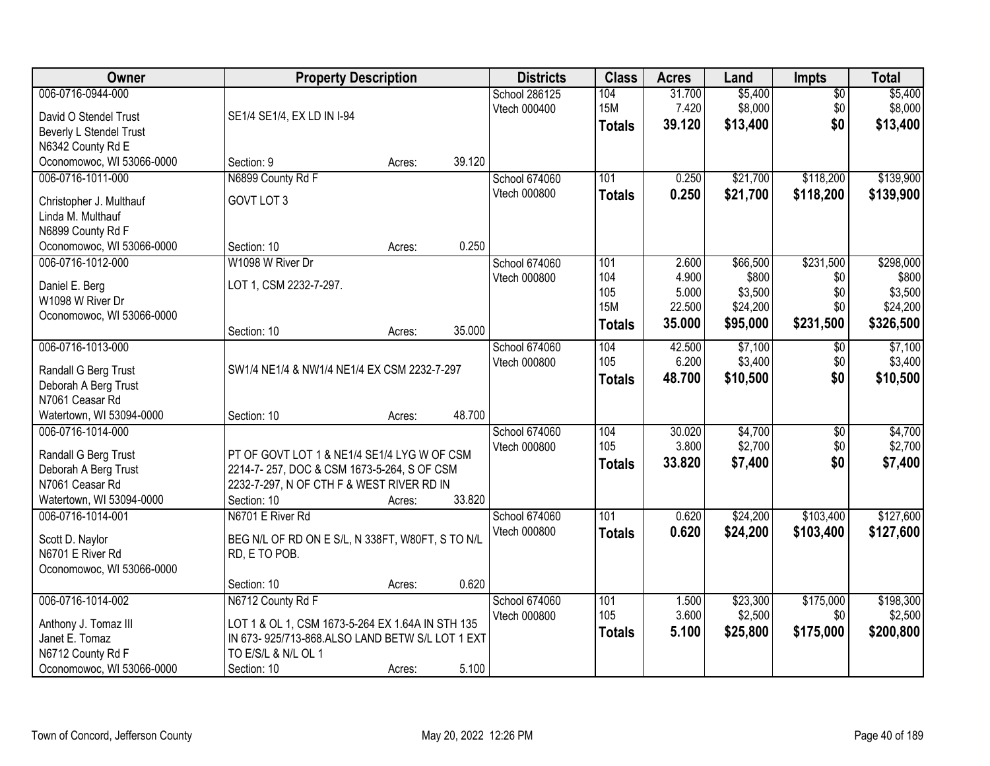| Owner                     | <b>Property Description</b>                      |        |        | <b>Districts</b> | <b>Class</b>      | <b>Acres</b>    | Land                | <b>Impts</b>    | <b>Total</b>        |
|---------------------------|--------------------------------------------------|--------|--------|------------------|-------------------|-----------------|---------------------|-----------------|---------------------|
| 006-0716-0944-000         |                                                  |        |        | School 286125    | 104               | 31.700          | \$5,400             | $\sqrt{$0}$     | \$5,400             |
| David O Stendel Trust     | SE1/4 SE1/4, EX LD IN I-94                       |        |        | Vtech 000400     | <b>15M</b>        | 7.420           | \$8,000             | \$0             | \$8,000             |
| Beverly L Stendel Trust   |                                                  |        |        |                  | <b>Totals</b>     | 39.120          | \$13,400            | \$0             | \$13,400            |
| N6342 County Rd E         |                                                  |        |        |                  |                   |                 |                     |                 |                     |
| Oconomowoc, WI 53066-0000 | Section: 9                                       | Acres: | 39.120 |                  |                   |                 |                     |                 |                     |
| 006-0716-1011-000         | N6899 County Rd F                                |        |        | School 674060    | 101               | 0.250           | \$21,700            | \$118,200       | \$139,900           |
| Christopher J. Multhauf   | GOVT LOT 3                                       |        |        | Vtech 000800     | <b>Totals</b>     | 0.250           | \$21,700            | \$118,200       | \$139,900           |
| Linda M. Multhauf         |                                                  |        |        |                  |                   |                 |                     |                 |                     |
| N6899 County Rd F         |                                                  |        |        |                  |                   |                 |                     |                 |                     |
| Oconomowoc, WI 53066-0000 | Section: 10                                      | Acres: | 0.250  |                  |                   |                 |                     |                 |                     |
| 006-0716-1012-000         | W1098 W River Dr                                 |        |        | School 674060    | 101               | 2.600           | \$66,500            | \$231,500       | \$298,000           |
| Daniel E. Berg            | LOT 1, CSM 2232-7-297.                           |        |        | Vtech 000800     | 104               | 4.900           | \$800               | \$0             | \$800               |
| W1098 W River Dr          |                                                  |        |        |                  | 105<br><b>15M</b> | 5.000<br>22.500 | \$3,500<br>\$24,200 | \$0<br>\$0      | \$3,500<br>\$24,200 |
| Oconomowoc, WI 53066-0000 |                                                  |        |        |                  |                   | 35.000          | \$95,000            | \$231,500       | \$326,500           |
|                           | Section: 10                                      | Acres: | 35.000 |                  | <b>Totals</b>     |                 |                     |                 |                     |
| 006-0716-1013-000         |                                                  |        |        | School 674060    | 104               | 42.500          | \$7,100             | $\sqrt[6]{3}$   | \$7,100             |
| Randall G Berg Trust      | SW1/4 NE1/4 & NW1/4 NE1/4 EX CSM 2232-7-297      |        |        | Vtech 000800     | 105               | 6.200           | \$3,400             | \$0             | \$3,400             |
| Deborah A Berg Trust      |                                                  |        |        |                  | <b>Totals</b>     | 48.700          | \$10,500            | \$0             | \$10,500            |
| N7061 Ceasar Rd           |                                                  |        |        |                  |                   |                 |                     |                 |                     |
| Watertown, WI 53094-0000  | Section: 10                                      | Acres: | 48.700 |                  |                   |                 |                     |                 |                     |
| 006-0716-1014-000         |                                                  |        |        | School 674060    | 104               | 30.020          | \$4,700             | $\overline{50}$ | \$4,700             |
| Randall G Berg Trust      | PT OF GOVT LOT 1 & NE1/4 SE1/4 LYG W OF CSM      |        |        | Vtech 000800     | 105               | 3.800           | \$2,700             | \$0             | \$2,700             |
| Deborah A Berg Trust      | 2214-7-257, DOC & CSM 1673-5-264, S OF CSM       |        |        |                  | <b>Totals</b>     | 33.820          | \$7,400             | \$0             | \$7,400             |
| N7061 Ceasar Rd           | 2232-7-297, N OF CTH F & WEST RIVER RD IN        |        |        |                  |                   |                 |                     |                 |                     |
| Watertown, WI 53094-0000  | Section: 10                                      | Acres: | 33.820 |                  |                   |                 |                     |                 |                     |
| 006-0716-1014-001         | N6701 E River Rd                                 |        |        | School 674060    | 101               | 0.620           | \$24,200            | \$103,400       | \$127,600           |
| Scott D. Naylor           | BEG N/L OF RD ON E S/L, N 338FT, W80FT, S TO N/L |        |        | Vtech 000800     | <b>Totals</b>     | 0.620           | \$24,200            | \$103,400       | \$127,600           |
| N6701 E River Rd          | RD, E TO POB.                                    |        |        |                  |                   |                 |                     |                 |                     |
| Oconomowoc, WI 53066-0000 |                                                  |        |        |                  |                   |                 |                     |                 |                     |
|                           | Section: 10                                      | Acres: | 0.620  |                  |                   |                 |                     |                 |                     |
| 006-0716-1014-002         | N6712 County Rd F                                |        |        | School 674060    | 101               | 1.500           | \$23,300            | \$175,000       | \$198,300           |
| Anthony J. Tomaz III      | LOT 1 & OL 1, CSM 1673-5-264 EX 1.64A IN STH 135 |        |        | Vtech 000800     | 105               | 3.600           | \$2,500             | \$0             | \$2,500             |
| Janet E. Tomaz            | IN 673-925/713-868.ALSO LAND BETW S/L LOT 1 EXT  |        |        |                  | <b>Totals</b>     | 5.100           | \$25,800            | \$175,000       | \$200,800           |
| N6712 County Rd F         | TO E/S/L & N/L OL 1                              |        |        |                  |                   |                 |                     |                 |                     |
| Oconomowoc, WI 53066-0000 | Section: 10                                      | Acres: | 5.100  |                  |                   |                 |                     |                 |                     |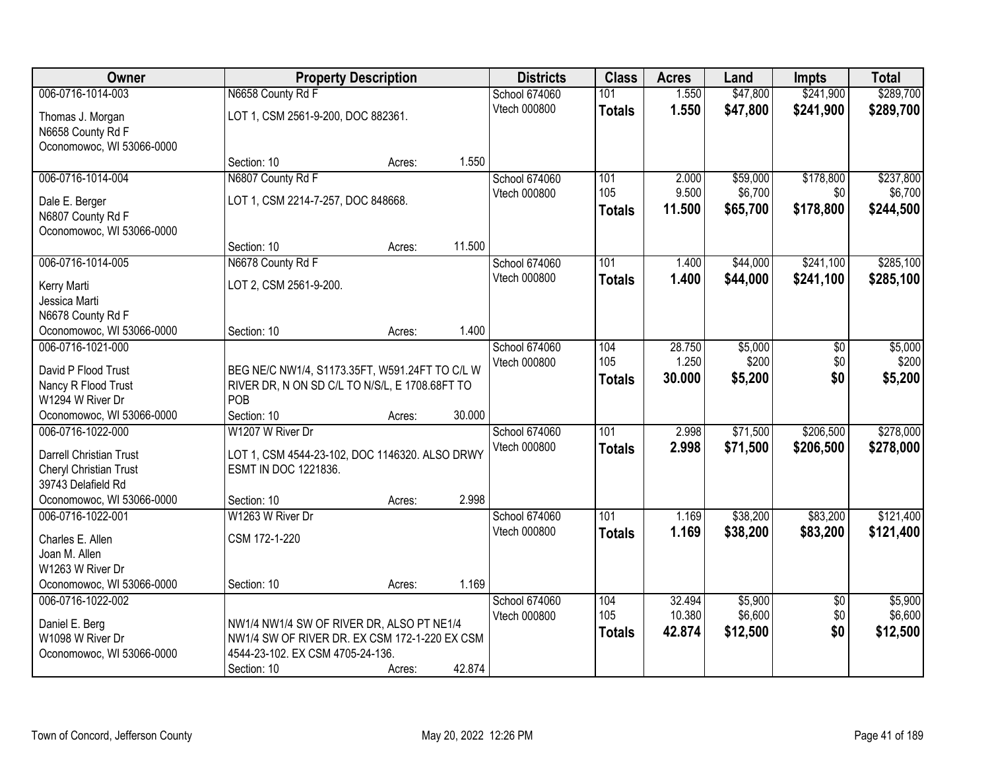| Owner                          |                                                | <b>Property Description</b> |        | <b>Districts</b> | <b>Class</b>  | <b>Acres</b> | Land     | <b>Impts</b>    | <b>Total</b> |
|--------------------------------|------------------------------------------------|-----------------------------|--------|------------------|---------------|--------------|----------|-----------------|--------------|
| 006-0716-1014-003              | N6658 County Rd F                              |                             |        | School 674060    | 101           | 1.550        | \$47,800 | \$241,900       | \$289,700    |
| Thomas J. Morgan               | LOT 1, CSM 2561-9-200, DOC 882361.             |                             |        | Vtech 000800     | <b>Totals</b> | 1.550        | \$47,800 | \$241,900       | \$289,700    |
| N6658 County Rd F              |                                                |                             |        |                  |               |              |          |                 |              |
| Oconomowoc, WI 53066-0000      |                                                |                             |        |                  |               |              |          |                 |              |
|                                | Section: 10                                    | Acres:                      | 1.550  |                  |               |              |          |                 |              |
| 006-0716-1014-004              | N6807 County Rd F                              |                             |        | School 674060    | 101           | 2.000        | \$59,000 | \$178,800       | \$237,800    |
| Dale E. Berger                 | LOT 1, CSM 2214-7-257, DOC 848668.             |                             |        | Vtech 000800     | 105           | 9.500        | \$6,700  | \$0             | \$6,700      |
| N6807 County Rd F              |                                                |                             |        |                  | <b>Totals</b> | 11.500       | \$65,700 | \$178,800       | \$244,500    |
| Oconomowoc, WI 53066-0000      |                                                |                             |        |                  |               |              |          |                 |              |
|                                | Section: 10                                    | Acres:                      | 11.500 |                  |               |              |          |                 |              |
| 006-0716-1014-005              | N6678 County Rd F                              |                             |        | School 674060    | 101           | 1.400        | \$44,000 | \$241,100       | \$285,100    |
| Kerry Marti                    | LOT 2, CSM 2561-9-200.                         |                             |        | Vtech 000800     | <b>Totals</b> | 1.400        | \$44,000 | \$241,100       | \$285,100    |
| Jessica Marti                  |                                                |                             |        |                  |               |              |          |                 |              |
| N6678 County Rd F              |                                                |                             |        |                  |               |              |          |                 |              |
| Oconomowoc, WI 53066-0000      | Section: 10                                    | Acres:                      | 1.400  |                  |               |              |          |                 |              |
| 006-0716-1021-000              |                                                |                             |        | School 674060    | 104           | 28.750       | \$5,000  | \$0             | \$5,000      |
| David P Flood Trust            | BEG NE/C NW1/4, S1173.35FT, W591.24FT TO C/L W |                             |        | Vtech 000800     | 105           | 1.250        | \$200    | \$0             | \$200        |
| Nancy R Flood Trust            | RIVER DR, N ON SD C/L TO N/S/L, E 1708.68FT TO |                             |        |                  | <b>Totals</b> | 30.000       | \$5,200  | \$0             | \$5,200      |
| W1294 W River Dr               | POB                                            |                             |        |                  |               |              |          |                 |              |
| Oconomowoc, WI 53066-0000      | Section: 10                                    | Acres:                      | 30.000 |                  |               |              |          |                 |              |
| 006-0716-1022-000              | W1207 W River Dr                               |                             |        | School 674060    | 101           | 2.998        | \$71,500 | \$206,500       | \$278,000    |
| <b>Darrell Christian Trust</b> | LOT 1, CSM 4544-23-102, DOC 1146320. ALSO DRWY |                             |        | Vtech 000800     | <b>Totals</b> | 2.998        | \$71,500 | \$206,500       | \$278,000    |
| Cheryl Christian Trust         | ESMT IN DOC 1221836.                           |                             |        |                  |               |              |          |                 |              |
| 39743 Delafield Rd             |                                                |                             |        |                  |               |              |          |                 |              |
| Oconomowoc, WI 53066-0000      | Section: 10                                    | Acres:                      | 2.998  |                  |               |              |          |                 |              |
| 006-0716-1022-001              | W1263 W River Dr                               |                             |        | School 674060    | 101           | 1.169        | \$38,200 | \$83,200        | \$121,400    |
| Charles E. Allen               | CSM 172-1-220                                  |                             |        | Vtech 000800     | <b>Totals</b> | 1.169        | \$38,200 | \$83,200        | \$121,400    |
| Joan M. Allen                  |                                                |                             |        |                  |               |              |          |                 |              |
| W1263 W River Dr               |                                                |                             |        |                  |               |              |          |                 |              |
| Oconomowoc, WI 53066-0000      | Section: 10                                    | Acres:                      | 1.169  |                  |               |              |          |                 |              |
| 006-0716-1022-002              |                                                |                             |        | School 674060    | 104           | 32.494       | \$5,900  | $\overline{50}$ | \$5,900      |
| Daniel E. Berg                 | NW1/4 NW1/4 SW OF RIVER DR, ALSO PT NE1/4      |                             |        | Vtech 000800     | 105           | 10.380       | \$6,600  | \$0             | \$6,600      |
| W1098 W River Dr               | NW1/4 SW OF RIVER DR. EX CSM 172-1-220 EX CSM  |                             |        |                  | <b>Totals</b> | 42.874       | \$12,500 | \$0             | \$12,500     |
| Oconomowoc, WI 53066-0000      | 4544-23-102. EX CSM 4705-24-136.               |                             |        |                  |               |              |          |                 |              |
|                                | Section: 10                                    | Acres:                      | 42.874 |                  |               |              |          |                 |              |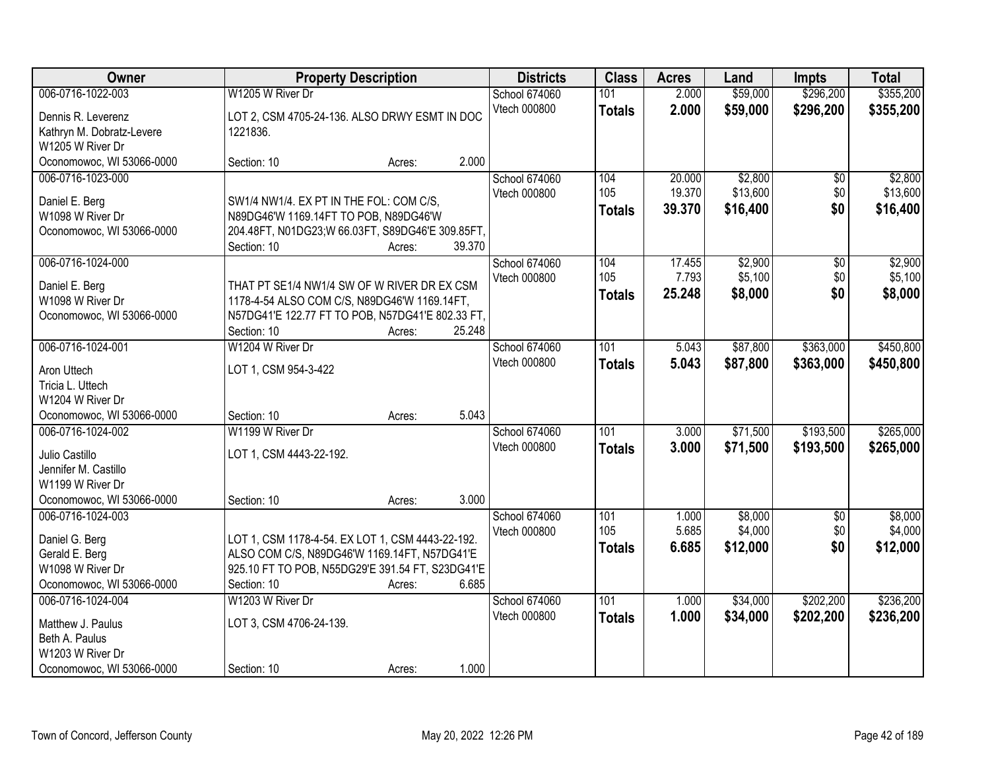| Owner                                                                                                                                     | <b>Property Description</b>                                                                                                                                         |                  | <b>Districts</b>                                | <b>Class</b>                | <b>Acres</b>               | Land                            | <b>Impts</b>                  | <b>Total</b>                    |
|-------------------------------------------------------------------------------------------------------------------------------------------|---------------------------------------------------------------------------------------------------------------------------------------------------------------------|------------------|-------------------------------------------------|-----------------------------|----------------------------|---------------------------------|-------------------------------|---------------------------------|
| 006-0716-1022-003                                                                                                                         | W1205 W River Dr                                                                                                                                                    |                  | School 674060<br>Vtech 000800                   | 101<br><b>Totals</b>        | 2.000<br>2.000             | \$59,000<br>\$59,000            | \$296,200<br>\$296,200        | \$355,200<br>\$355,200          |
| Dennis R. Leverenz<br>Kathryn M. Dobratz-Levere<br>W1205 W River Dr                                                                       | LOT 2, CSM 4705-24-136. ALSO DRWY ESMT IN DOC<br>1221836.                                                                                                           |                  |                                                 |                             |                            |                                 |                               |                                 |
| Oconomowoc, WI 53066-0000                                                                                                                 | Section: 10                                                                                                                                                         | Acres:           | 2.000                                           |                             |                            |                                 |                               |                                 |
| 006-0716-1023-000<br>Daniel E. Berg<br>W1098 W River Dr<br>Oconomowoc, WI 53066-0000                                                      | SW1/4 NW1/4. EX PT IN THE FOL: COM C/S,<br>N89DG46'W 1169.14FT TO POB, N89DG46'W<br>204.48FT, N01DG23;W 66.03FT, S89DG46'E 309.85FT,<br>Section: 10                 | Acres:           | School 674060<br>Vtech 000800<br>39.370         | 104<br>105<br>Totals        | 20.000<br>19.370<br>39.370 | \$2,800<br>\$13,600<br>\$16,400 | $\overline{50}$<br>\$0<br>\$0 | \$2,800<br>\$13,600<br>\$16,400 |
| 006-0716-1024-000<br>Daniel E. Berg<br>W1098 W River Dr<br>Oconomowoc, WI 53066-0000                                                      | THAT PT SE1/4 NW1/4 SW OF W RIVER DR EX CSM<br>1178-4-54 ALSO COM C/S, N89DG46'W 1169.14FT,<br>N57DG41'E 122.77 FT TO POB, N57DG41'E 802.33 FT,<br>Section: 10      | Acres:           | School 674060<br>Vtech 000800<br>25.248         | 104<br>105<br><b>Totals</b> | 17.455<br>7.793<br>25.248  | \$2,900<br>\$5,100<br>\$8,000   | \$0<br>\$0<br>\$0             | \$2,900<br>\$5,100<br>\$8,000   |
| 006-0716-1024-001<br>Aron Uttech<br>Tricia L. Uttech<br>W1204 W River Dr                                                                  | W1204 W River Dr<br>LOT 1, CSM 954-3-422                                                                                                                            |                  | School 674060<br>Vtech 000800                   | 101<br><b>Totals</b>        | 5.043<br>5.043             | \$87,800<br>\$87,800            | \$363,000<br>\$363,000        | \$450,800<br>\$450,800          |
| Oconomowoc, WI 53066-0000<br>006-0716-1024-002<br>Julio Castillo<br>Jennifer M. Castillo<br>W1199 W River Dr<br>Oconomowoc, WI 53066-0000 | Section: 10<br>W1199 W River Dr<br>LOT 1, CSM 4443-22-192.<br>Section: 10                                                                                           | Acres:<br>Acres: | 5.043<br>School 674060<br>Vtech 000800<br>3.000 | 101<br><b>Totals</b>        | 3.000<br>3.000             | \$71,500<br>\$71,500            | \$193,500<br>\$193,500        | \$265,000<br>\$265,000          |
| 006-0716-1024-003<br>Daniel G. Berg<br>Gerald E. Berg<br>W1098 W River Dr<br>Oconomowoc, WI 53066-0000                                    | LOT 1, CSM 1178-4-54. EX LOT 1, CSM 4443-22-192.<br>ALSO COM C/S, N89DG46'W 1169.14FT, N57DG41'E<br>925.10 FT TO POB, N55DG29'E 391.54 FT, S23DG41'E<br>Section: 10 | Acres:           | School 674060<br>Vtech 000800<br>6.685          | 101<br>105<br><b>Totals</b> | 1.000<br>5.685<br>6.685    | \$8,000<br>\$4,000<br>\$12,000  | $\sqrt{6}$<br>\$0<br>\$0      | \$8,000<br>\$4,000<br>\$12,000  |
| 006-0716-1024-004<br>Matthew J. Paulus<br>Beth A. Paulus<br>W1203 W River Dr<br>Oconomowoc, WI 53066-0000                                 | W1203 W River Dr<br>LOT 3, CSM 4706-24-139.<br>Section: 10                                                                                                          | Acres:           | School 674060<br>Vtech 000800<br>1.000          | 101<br><b>Totals</b>        | 1.000<br>1.000             | \$34,000<br>\$34,000            | \$202,200<br>\$202,200        | \$236,200<br>\$236,200          |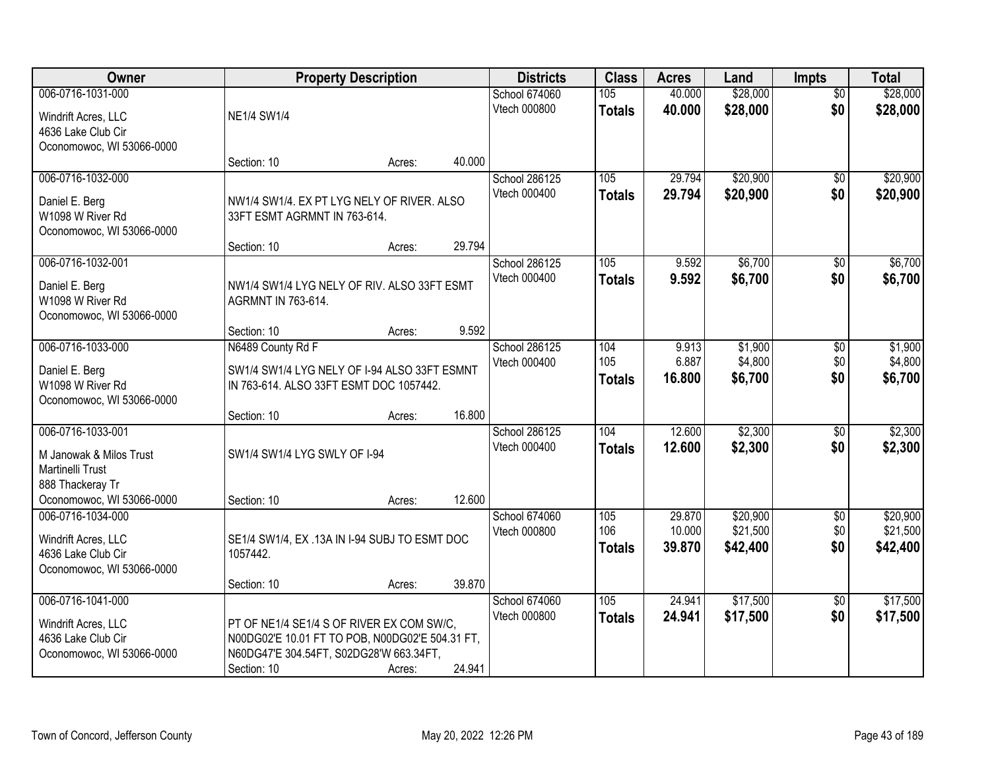| Owner                     |                                                 | <b>Property Description</b> |        | <b>Districts</b>     | <b>Class</b>  | <b>Acres</b> | Land     | <b>Impts</b>    | <b>Total</b> |
|---------------------------|-------------------------------------------------|-----------------------------|--------|----------------------|---------------|--------------|----------|-----------------|--------------|
| 006-0716-1031-000         |                                                 |                             |        | <b>School 674060</b> | 105           | 40.000       | \$28,000 | $\overline{50}$ | \$28,000     |
| Windrift Acres, LLC       | <b>NE1/4 SW1/4</b>                              |                             |        | Vtech 000800         | <b>Totals</b> | 40.000       | \$28,000 | \$0             | \$28,000     |
| 4636 Lake Club Cir        |                                                 |                             |        |                      |               |              |          |                 |              |
| Oconomowoc, WI 53066-0000 |                                                 |                             |        |                      |               |              |          |                 |              |
|                           | Section: 10                                     | Acres:                      | 40.000 |                      |               |              |          |                 |              |
| 006-0716-1032-000         |                                                 |                             |        | School 286125        | 105           | 29.794       | \$20,900 | \$0             | \$20,900     |
| Daniel E. Berg            | NW1/4 SW1/4. EX PT LYG NELY OF RIVER. ALSO      |                             |        | Vtech 000400         | <b>Totals</b> | 29.794       | \$20,900 | \$0             | \$20,900     |
| W1098 W River Rd          | 33FT ESMT AGRMNT IN 763-614.                    |                             |        |                      |               |              |          |                 |              |
| Oconomowoc, WI 53066-0000 |                                                 |                             |        |                      |               |              |          |                 |              |
|                           | Section: 10                                     | Acres:                      | 29.794 |                      |               |              |          |                 |              |
| 006-0716-1032-001         |                                                 |                             |        | School 286125        | 105           | 9.592        | \$6,700  | \$0             | \$6,700      |
| Daniel E. Berg            | NW1/4 SW1/4 LYG NELY OF RIV. ALSO 33FT ESMT     |                             |        | Vtech 000400         | <b>Totals</b> | 9.592        | \$6,700  | \$0             | \$6,700      |
| W1098 W River Rd          | AGRMNT IN 763-614.                              |                             |        |                      |               |              |          |                 |              |
| Oconomowoc, WI 53066-0000 |                                                 |                             |        |                      |               |              |          |                 |              |
|                           | Section: 10                                     | Acres:                      | 9.592  |                      |               |              |          |                 |              |
| 006-0716-1033-000         | N6489 County Rd F                               |                             |        | School 286125        | 104           | 9.913        | \$1,900  | \$0             | \$1,900      |
| Daniel E. Berg            | SW1/4 SW1/4 LYG NELY OF I-94 ALSO 33FT ESMNT    |                             |        | Vtech 000400         | 105           | 6.887        | \$4,800  | \$0             | \$4,800      |
| W1098 W River Rd          | IN 763-614. ALSO 33FT ESMT DOC 1057442.         |                             |        |                      | <b>Totals</b> | 16.800       | \$6,700  | \$0             | \$6,700      |
| Oconomowoc, WI 53066-0000 |                                                 |                             |        |                      |               |              |          |                 |              |
|                           | Section: 10                                     | Acres:                      | 16.800 |                      |               |              |          |                 |              |
| 006-0716-1033-001         |                                                 |                             |        | School 286125        | 104           | 12.600       | \$2,300  | \$0             | \$2,300      |
| M Janowak & Milos Trust   | SW1/4 SW1/4 LYG SWLY OF I-94                    |                             |        | Vtech 000400         | <b>Totals</b> | 12.600       | \$2,300  | \$0             | \$2,300      |
| Martinelli Trust          |                                                 |                             |        |                      |               |              |          |                 |              |
| 888 Thackeray Tr          |                                                 |                             |        |                      |               |              |          |                 |              |
| Oconomowoc, WI 53066-0000 | Section: 10                                     | Acres:                      | 12.600 |                      |               |              |          |                 |              |
| 006-0716-1034-000         |                                                 |                             |        | School 674060        | 105           | 29.870       | \$20,900 | \$0             | \$20,900     |
| Windrift Acres, LLC       | SE1/4 SW1/4, EX .13A IN I-94 SUBJ TO ESMT DOC   |                             |        | Vtech 000800         | 106           | 10.000       | \$21,500 | \$0             | \$21,500     |
| 4636 Lake Club Cir        | 1057442.                                        |                             |        |                      | <b>Totals</b> | 39.870       | \$42,400 | \$0             | \$42,400     |
| Oconomowoc, WI 53066-0000 |                                                 |                             |        |                      |               |              |          |                 |              |
|                           | Section: 10                                     | Acres:                      | 39.870 |                      |               |              |          |                 |              |
| 006-0716-1041-000         |                                                 |                             |        | School 674060        | 105           | 24.941       | \$17,500 | $\overline{30}$ | \$17,500     |
| Windrift Acres, LLC       | PT OF NE1/4 SE1/4 S OF RIVER EX COM SW/C,       |                             |        | Vtech 000800         | <b>Totals</b> | 24.941       | \$17,500 | \$0             | \$17,500     |
| 4636 Lake Club Cir        | N00DG02'E 10.01 FT TO POB, N00DG02'E 504.31 FT, |                             |        |                      |               |              |          |                 |              |
| Oconomowoc, WI 53066-0000 | N60DG47'E 304.54FT, S02DG28'W 663.34FT,         |                             |        |                      |               |              |          |                 |              |
|                           | Section: 10                                     | Acres:                      | 24.941 |                      |               |              |          |                 |              |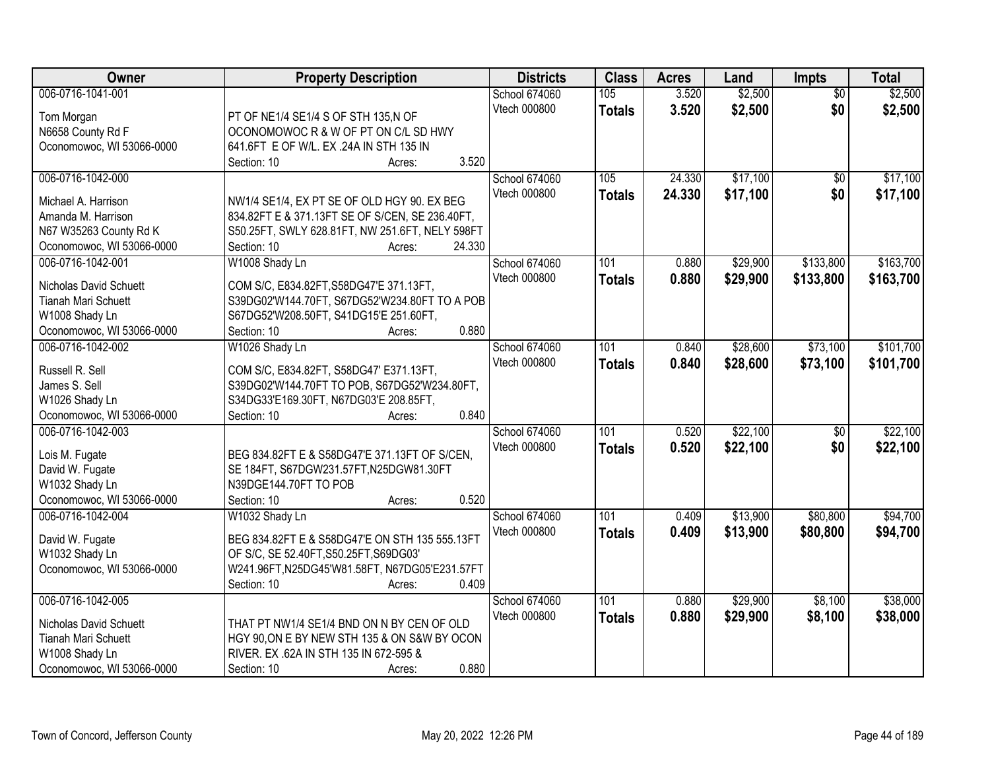| Owner                                          | <b>Property Description</b>                               | <b>Districts</b> | <b>Class</b>  | <b>Acres</b> | Land     | <b>Impts</b>    | <b>Total</b> |
|------------------------------------------------|-----------------------------------------------------------|------------------|---------------|--------------|----------|-----------------|--------------|
| 006-0716-1041-001                              |                                                           | School 674060    | 105           | 3.520        | \$2,500  | $\overline{50}$ | \$2,500      |
| Tom Morgan                                     | PT OF NE1/4 SE1/4 S OF STH 135,N OF                       | Vtech 000800     | <b>Totals</b> | 3.520        | \$2,500  | \$0             | \$2,500      |
| N6658 County Rd F                              | OCONOMOWOC R & W OF PT ON C/L SD HWY                      |                  |               |              |          |                 |              |
| Oconomowoc, WI 53066-0000                      | 641.6FT E OF W/L. EX .24A IN STH 135 IN                   |                  |               |              |          |                 |              |
|                                                | 3.520<br>Section: 10<br>Acres:                            |                  |               |              |          |                 |              |
| 006-0716-1042-000                              |                                                           | School 674060    | 105           | 24.330       | \$17,100 | \$0             | \$17,100     |
|                                                |                                                           | Vtech 000800     | <b>Totals</b> | 24.330       | \$17,100 | \$0             | \$17,100     |
| Michael A. Harrison                            | NW1/4 SE1/4, EX PT SE OF OLD HGY 90. EX BEG               |                  |               |              |          |                 |              |
| Amanda M. Harrison                             | 834.82FT E & 371.13FT SE OF S/CEN, SE 236.40FT,           |                  |               |              |          |                 |              |
| N67 W35263 County Rd K                         | S50.25FT, SWLY 628.81FT, NW 251.6FT, NELY 598FT<br>24.330 |                  |               |              |          |                 |              |
| Oconomowoc, WI 53066-0000                      | Section: 10<br>Acres:                                     |                  |               |              |          |                 |              |
| 006-0716-1042-001                              | W1008 Shady Ln                                            | School 674060    | 101           | 0.880        | \$29,900 | \$133,800       | \$163,700    |
| Nicholas David Schuett                         | COM S/C, E834.82FT, S58DG47'E 371.13FT,                   | Vtech 000800     | <b>Totals</b> | 0.880        | \$29,900 | \$133,800       | \$163,700    |
| <b>Tianah Mari Schuett</b>                     | S39DG02'W144.70FT, S67DG52'W234.80FT TO A POB             |                  |               |              |          |                 |              |
| W1008 Shady Ln                                 | S67DG52'W208.50FT, S41DG15'E 251.60FT,                    |                  |               |              |          |                 |              |
| Oconomowoc, WI 53066-0000                      | 0.880<br>Section: 10<br>Acres:                            |                  |               |              |          |                 |              |
| 006-0716-1042-002                              | W1026 Shady Ln                                            | School 674060    | 101           | 0.840        | \$28,600 | \$73,100        | \$101,700    |
|                                                |                                                           | Vtech 000800     | <b>Totals</b> | 0.840        | \$28,600 | \$73,100        | \$101,700    |
| Russell R. Sell                                | COM S/C, E834.82FT, S58DG47' E371.13FT,                   |                  |               |              |          |                 |              |
| James S. Sell                                  | S39DG02'W144.70FT TO POB, S67DG52'W234.80FT,              |                  |               |              |          |                 |              |
| W1026 Shady Ln                                 | S34DG33'E169.30FT, N67DG03'E 208.85FT,<br>0.840           |                  |               |              |          |                 |              |
| Oconomowoc, WI 53066-0000<br>006-0716-1042-003 | Section: 10<br>Acres:                                     |                  | 101           | 0.520        | \$22,100 |                 | \$22,100     |
|                                                |                                                           | School 674060    |               |              |          | $\overline{50}$ |              |
| Lois M. Fugate                                 | BEG 834.82FT E & S58DG47'E 371.13FT OF S/CEN,             | Vtech 000800     | <b>Totals</b> | 0.520        | \$22,100 | \$0             | \$22,100     |
| David W. Fugate                                | SE 184FT, S67DGW231.57FT, N25DGW81.30FT                   |                  |               |              |          |                 |              |
| W1032 Shady Ln                                 | N39DGE144.70FT TO POB                                     |                  |               |              |          |                 |              |
| Oconomowoc, WI 53066-0000                      | 0.520<br>Section: 10<br>Acres:                            |                  |               |              |          |                 |              |
| 006-0716-1042-004                              | W1032 Shady Ln                                            | School 674060    | 101           | 0.409        | \$13,900 | \$80,800        | \$94,700     |
| David W. Fugate                                | BEG 834.82FT E & S58DG47'E ON STH 135 555.13FT            | Vtech 000800     | <b>Totals</b> | 0.409        | \$13,900 | \$80,800        | \$94,700     |
| W1032 Shady Ln                                 | OF S/C, SE 52.40FT, S50.25FT, S69DG03'                    |                  |               |              |          |                 |              |
| Oconomowoc, WI 53066-0000                      | W241.96FT, N25DG45'W81.58FT, N67DG05'E231.57FT            |                  |               |              |          |                 |              |
|                                                | Section: 10<br>0.409<br>Acres:                            |                  |               |              |          |                 |              |
| 006-0716-1042-005                              |                                                           | School 674060    | 101           | 0.880        | \$29,900 | \$8,100         | \$38,000     |
|                                                |                                                           | Vtech 000800     |               | 0.880        |          |                 |              |
| Nicholas David Schuett                         | THAT PT NW1/4 SE1/4 BND ON N BY CEN OF OLD                |                  | <b>Totals</b> |              | \$29,900 | \$8,100         | \$38,000     |
| <b>Tianah Mari Schuett</b>                     | HGY 90, ON E BY NEW STH 135 & ON S&W BY OCON              |                  |               |              |          |                 |              |
| W1008 Shady Ln                                 | RIVER. EX .62A IN STH 135 IN 672-595 &                    |                  |               |              |          |                 |              |
| Oconomowoc, WI 53066-0000                      | 0.880<br>Section: 10<br>Acres:                            |                  |               |              |          |                 |              |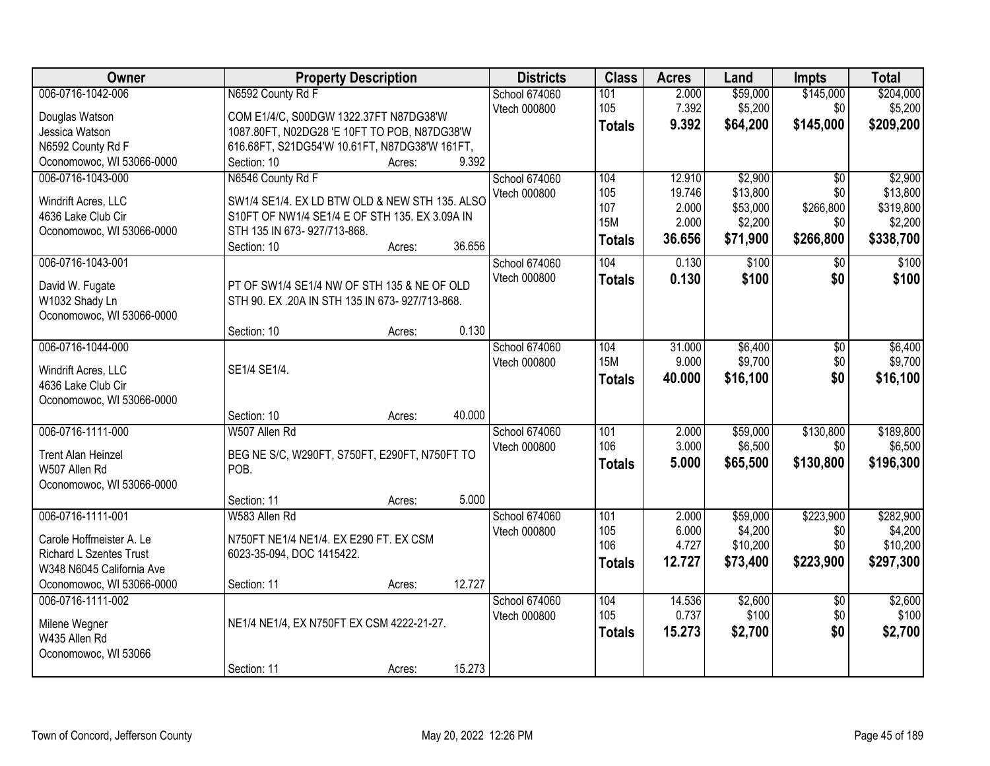| Owner                                     | <b>Property Description</b>                                                                   | <b>Districts</b> | <b>Class</b>  | <b>Acres</b> | Land     | Impts            | <b>Total</b> |
|-------------------------------------------|-----------------------------------------------------------------------------------------------|------------------|---------------|--------------|----------|------------------|--------------|
| 006-0716-1042-006                         | N6592 County Rd F                                                                             | School 674060    | 101           | 2.000        | \$59,000 | \$145,000        | \$204,000    |
| Douglas Watson                            | COM E1/4/C, S00DGW 1322.37FT N87DG38'W                                                        | Vtech 000800     | 105           | 7.392        | \$5,200  | \$0              | \$5,200      |
| Jessica Watson                            | 1087.80FT, N02DG28 'E 10FT TO POB, N87DG38'W                                                  |                  | <b>Totals</b> | 9.392        | \$64,200 | \$145,000        | \$209,200    |
| N6592 County Rd F                         | 616.68FT, S21DG54'W 10.61FT, N87DG38'W 161FT,                                                 |                  |               |              |          |                  |              |
| Oconomowoc, WI 53066-0000                 | 9.392<br>Section: 10<br>Acres:                                                                |                  |               |              |          |                  |              |
| 006-0716-1043-000                         | N6546 County Rd F                                                                             | School 674060    | 104           | 12.910       | \$2,900  | $\overline{30}$  | \$2,900      |
|                                           | SW1/4 SE1/4. EX LD BTW OLD & NEW STH 135. ALSO                                                | Vtech 000800     | 105           | 19.746       | \$13,800 | \$0              | \$13,800     |
| Windrift Acres, LLC<br>4636 Lake Club Cir | S10FT OF NW1/4 SE1/4 E OF STH 135. EX 3.09A IN                                                |                  | 107           | 2.000        | \$53,000 | \$266,800        | \$319,800    |
| Oconomowoc, WI 53066-0000                 | STH 135 IN 673-927/713-868.                                                                   |                  | <b>15M</b>    | 2.000        | \$2,200  | \$0              | \$2,200      |
|                                           | 36.656<br>Section: 10<br>Acres:                                                               |                  | <b>Totals</b> | 36.656       | \$71,900 | \$266,800        | \$338,700    |
| 006-0716-1043-001                         |                                                                                               | School 674060    | 104           | 0.130        | \$100    | $\overline{50}$  | \$100        |
|                                           |                                                                                               | Vtech 000800     | <b>Totals</b> | 0.130        | \$100    | \$0              | \$100        |
| David W. Fugate<br>W1032 Shady Ln         | PT OF SW1/4 SE1/4 NW OF STH 135 & NE OF OLD<br>STH 90. EX .20A IN STH 135 IN 673-927/713-868. |                  |               |              |          |                  |              |
| Oconomowoc, WI 53066-0000                 |                                                                                               |                  |               |              |          |                  |              |
|                                           | 0.130<br>Section: 10<br>Acres:                                                                |                  |               |              |          |                  |              |
| 006-0716-1044-000                         |                                                                                               | School 674060    | 104           | 31.000       | \$6,400  | \$0              | \$6,400      |
|                                           |                                                                                               | Vtech 000800     | <b>15M</b>    | 9.000        | \$9,700  | \$0              | \$9,700      |
| Windrift Acres, LLC                       | SE1/4 SE1/4.                                                                                  |                  | <b>Totals</b> | 40.000       | \$16,100 | \$0              | \$16,100     |
| 4636 Lake Club Cir                        |                                                                                               |                  |               |              |          |                  |              |
| Oconomowoc, WI 53066-0000                 | 40.000                                                                                        |                  |               |              |          |                  |              |
| 006-0716-1111-000                         | Section: 10<br>Acres:<br>W507 Allen Rd                                                        |                  | 101           | 2.000        | \$59,000 |                  | \$189,800    |
|                                           |                                                                                               | School 674060    | 106           | 3.000        | \$6,500  | \$130,800<br>\$0 | \$6,500      |
| <b>Trent Alan Heinzel</b>                 | BEG NE S/C, W290FT, S750FT, E290FT, N750FT TO                                                 | Vtech 000800     |               | 5.000        | \$65,500 | \$130,800        | \$196,300    |
| W507 Allen Rd                             | POB.                                                                                          |                  | <b>Totals</b> |              |          |                  |              |
| Oconomowoc, WI 53066-0000                 |                                                                                               |                  |               |              |          |                  |              |
|                                           | 5.000<br>Section: 11<br>Acres:                                                                |                  |               |              |          |                  |              |
| 006-0716-1111-001                         | W583 Allen Rd                                                                                 | School 674060    | 101           | 2.000        | \$59,000 | \$223,900        | \$282,900    |
| Carole Hoffmeister A. Le                  | N750FT NE1/4 NE1/4. EX E290 FT. EX CSM                                                        | Vtech 000800     | 105           | 6.000        | \$4,200  | \$0              | \$4,200      |
| <b>Richard L Szentes Trust</b>            | 6023-35-094, DOC 1415422.                                                                     |                  | 106           | 4.727        | \$10,200 | \$0              | \$10,200     |
| W348 N6045 California Ave                 |                                                                                               |                  | <b>Totals</b> | 12.727       | \$73,400 | \$223,900        | \$297,300    |
| Oconomowoc, WI 53066-0000                 | 12.727<br>Section: 11<br>Acres:                                                               |                  |               |              |          |                  |              |
| 006-0716-1111-002                         |                                                                                               | School 674060    | 104           | 14.536       | \$2,600  | $\overline{50}$  | \$2,600      |
| Milene Wegner                             | NE1/4 NE1/4, EX N750FT EX CSM 4222-21-27.                                                     | Vtech 000800     | 105           | 0.737        | \$100    | \$0              | \$100        |
| W435 Allen Rd                             |                                                                                               |                  | <b>Totals</b> | 15.273       | \$2,700  | \$0              | \$2,700      |
| Oconomowoc, WI 53066                      |                                                                                               |                  |               |              |          |                  |              |
|                                           | 15.273<br>Section: 11<br>Acres:                                                               |                  |               |              |          |                  |              |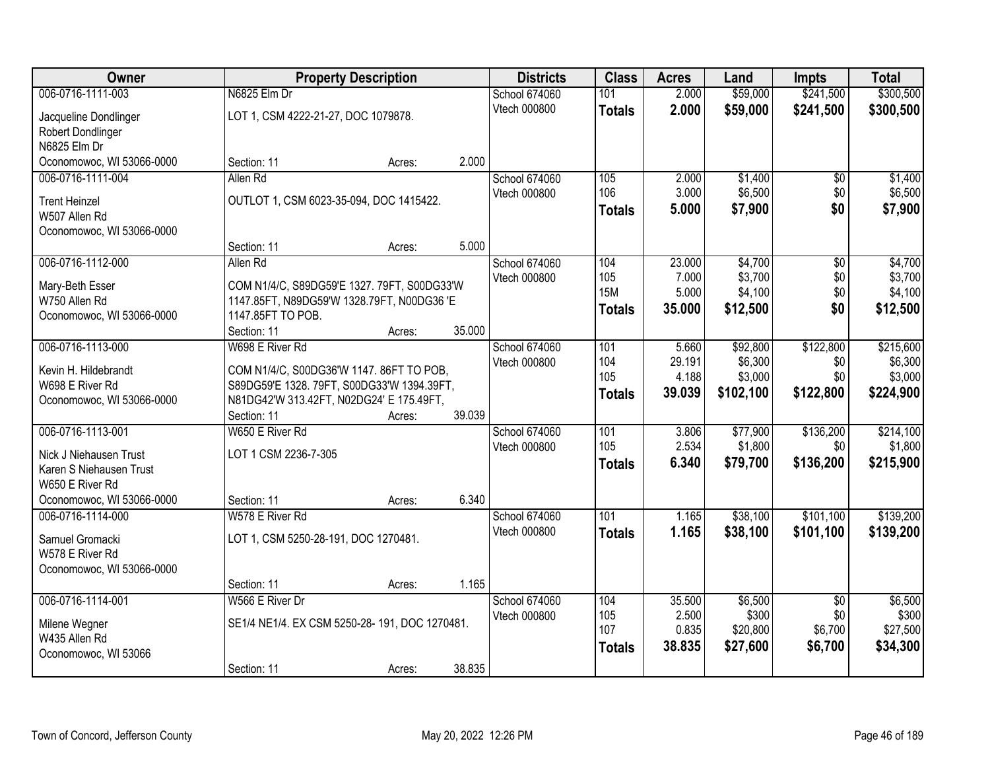| Owner                                      |                                               | <b>Property Description</b> |        | <b>Districts</b>     | <b>Class</b>     | <b>Acres</b> | Land      | <b>Impts</b>    | <b>Total</b> |
|--------------------------------------------|-----------------------------------------------|-----------------------------|--------|----------------------|------------------|--------------|-----------|-----------------|--------------|
| 006-0716-1111-003                          | N6825 Elm Dr                                  |                             |        | <b>School 674060</b> | 101              | 2.000        | \$59,000  | \$241,500       | \$300,500    |
| Jacqueline Dondlinger                      | LOT 1, CSM 4222-21-27, DOC 1079878.           |                             |        | Vtech 000800         | <b>Totals</b>    | 2.000        | \$59,000  | \$241,500       | \$300,500    |
| Robert Dondlinger                          |                                               |                             |        |                      |                  |              |           |                 |              |
| N6825 Elm Dr                               |                                               |                             |        |                      |                  |              |           |                 |              |
| Oconomowoc, WI 53066-0000                  | Section: 11                                   | Acres:                      | 2.000  |                      |                  |              |           |                 |              |
| 006-0716-1111-004                          | Allen Rd                                      |                             |        | School 674060        | 105              | 2.000        | \$1,400   | \$0             | \$1,400      |
|                                            |                                               |                             |        | Vtech 000800         | 106              | 3.000        | \$6,500   | \$0             | \$6,500      |
| <b>Trent Heinzel</b>                       | OUTLOT 1, CSM 6023-35-094, DOC 1415422.       |                             |        |                      | <b>Totals</b>    | 5.000        | \$7,900   | \$0             | \$7,900      |
| W507 Allen Rd<br>Oconomowoc, WI 53066-0000 |                                               |                             |        |                      |                  |              |           |                 |              |
|                                            | Section: 11                                   | Acres:                      | 5.000  |                      |                  |              |           |                 |              |
| 006-0716-1112-000                          | Allen Rd                                      |                             |        | School 674060        | 104              | 23.000       | \$4,700   | \$0             | \$4,700      |
|                                            |                                               |                             |        | Vtech 000800         | 105              | 7.000        | \$3,700   | \$0             | \$3,700      |
| Mary-Beth Esser                            | COM N1/4/C, S89DG59'E 1327. 79FT, S00DG33'W   |                             |        |                      | <b>15M</b>       | 5.000        | \$4,100   | \$0             | \$4,100      |
| W750 Allen Rd                              | 1147.85FT, N89DG59'W 1328.79FT, N00DG36 'E    |                             |        |                      | <b>Totals</b>    | 35.000       | \$12,500  | \$0             | \$12,500     |
| Oconomowoc, WI 53066-0000                  | 1147.85FT TO POB.                             |                             |        |                      |                  |              |           |                 |              |
|                                            | Section: 11                                   | Acres:                      | 35.000 |                      |                  |              |           |                 |              |
| 006-0716-1113-000                          | W698 E River Rd                               |                             |        | School 674060        | 101              | 5.660        | \$92,800  | \$122,800       | \$215,600    |
| Kevin H. Hildebrandt                       | COM N1/4/C, S00DG36'W 1147. 86FT TO POB,      |                             |        | Vtech 000800         | 104              | 29.191       | \$6,300   | \$0             | \$6,300      |
| W698 E River Rd                            | S89DG59'E 1328. 79FT, S00DG33'W 1394.39FT,    |                             |        |                      | 105              | 4.188        | \$3,000   | \$0             | \$3,000      |
| Oconomowoc, WI 53066-0000                  | N81DG42'W 313.42FT, N02DG24' E 175.49FT,      |                             |        |                      | <b>Totals</b>    | 39.039       | \$102,100 | \$122,800       | \$224,900    |
|                                            | Section: 11                                   | Acres:                      | 39.039 |                      |                  |              |           |                 |              |
| 006-0716-1113-001                          | W650 E River Rd                               |                             |        | School 674060        | 101              | 3.806        | \$77,900  | \$136,200       | \$214,100    |
|                                            |                                               |                             |        | Vtech 000800         | 105              | 2.534        | \$1,800   | \$0             | \$1,800      |
| Nick J Niehausen Trust                     | LOT 1 CSM 2236-7-305                          |                             |        |                      | <b>Totals</b>    | 6.340        | \$79,700  | \$136,200       | \$215,900    |
| Karen S Niehausen Trust<br>W650 E River Rd |                                               |                             |        |                      |                  |              |           |                 |              |
| Oconomowoc, WI 53066-0000                  | Section: 11                                   | Acres:                      | 6.340  |                      |                  |              |           |                 |              |
| 006-0716-1114-000                          | W578 E River Rd                               |                             |        | School 674060        | $\overline{101}$ | 1.165        | \$38,100  | \$101,100       | \$139,200    |
|                                            |                                               |                             |        | Vtech 000800         | <b>Totals</b>    | 1.165        | \$38,100  | \$101,100       | \$139,200    |
| Samuel Gromacki                            | LOT 1, CSM 5250-28-191, DOC 1270481.          |                             |        |                      |                  |              |           |                 |              |
| W578 E River Rd                            |                                               |                             |        |                      |                  |              |           |                 |              |
| Oconomowoc, WI 53066-0000                  |                                               |                             |        |                      |                  |              |           |                 |              |
|                                            | Section: 11                                   | Acres:                      | 1.165  |                      |                  |              |           |                 |              |
| 006-0716-1114-001                          | W566 E River Dr                               |                             |        | School 674060        | 104              | 35.500       | \$6,500   | $\overline{50}$ | \$6,500      |
| Milene Wegner                              | SE1/4 NE1/4. EX CSM 5250-28-191, DOC 1270481. |                             |        | Vtech 000800         | 105              | 2.500        | \$300     | \$0             | \$300        |
| W435 Allen Rd                              |                                               |                             |        |                      | 107              | 0.835        | \$20,800  | \$6,700         | \$27,500     |
| Oconomowoc, WI 53066                       |                                               |                             |        |                      | <b>Totals</b>    | 38.835       | \$27,600  | \$6,700         | \$34,300     |
|                                            | Section: 11                                   | Acres:                      | 38.835 |                      |                  |              |           |                 |              |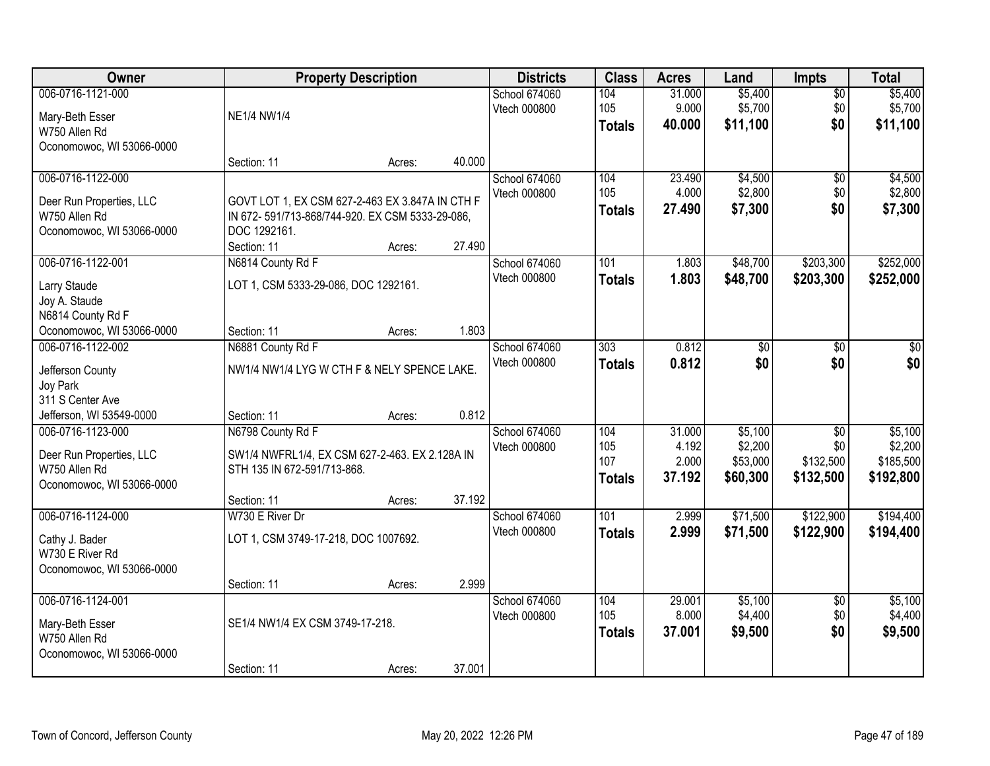| Owner                                        |                                                                               | <b>Property Description</b> |        | <b>Districts</b> | <b>Class</b>  | <b>Acres</b> | Land     | Impts           | <b>Total</b> |
|----------------------------------------------|-------------------------------------------------------------------------------|-----------------------------|--------|------------------|---------------|--------------|----------|-----------------|--------------|
| 006-0716-1121-000                            |                                                                               |                             |        | School 674060    | 104           | 31.000       | \$5,400  | $\overline{50}$ | \$5,400      |
| Mary-Beth Esser                              | <b>NE1/4 NW1/4</b>                                                            |                             |        | Vtech 000800     | 105           | 9.000        | \$5,700  | \$0             | \$5,700      |
| W750 Allen Rd                                |                                                                               |                             |        |                  | <b>Totals</b> | 40.000       | \$11,100 | \$0             | \$11,100     |
| Oconomowoc, WI 53066-0000                    |                                                                               |                             |        |                  |               |              |          |                 |              |
|                                              | Section: 11                                                                   | Acres:                      | 40.000 |                  |               |              |          |                 |              |
| 006-0716-1122-000                            |                                                                               |                             |        | School 674060    | 104           | 23.490       | \$4,500  | $\overline{50}$ | \$4,500      |
| Deer Run Properties, LLC                     | GOVT LOT 1, EX CSM 627-2-463 EX 3.847A IN CTH F                               |                             |        | Vtech 000800     | 105           | 4.000        | \$2,800  | \$0             | \$2,800      |
| W750 Allen Rd                                | IN 672-591/713-868/744-920. EX CSM 5333-29-086,                               |                             |        |                  | <b>Totals</b> | 27.490       | \$7,300  | \$0             | \$7,300      |
| Oconomowoc, WI 53066-0000                    | DOC 1292161.                                                                  |                             |        |                  |               |              |          |                 |              |
|                                              | Section: 11                                                                   | Acres:                      | 27.490 |                  |               |              |          |                 |              |
| 006-0716-1122-001                            | N6814 County Rd F                                                             |                             |        | School 674060    | 101           | 1.803        | \$48,700 | \$203,300       | \$252,000    |
| Larry Staude                                 | LOT 1, CSM 5333-29-086, DOC 1292161.                                          |                             |        | Vtech 000800     | <b>Totals</b> | 1.803        | \$48,700 | \$203,300       | \$252,000    |
| Joy A. Staude                                |                                                                               |                             |        |                  |               |              |          |                 |              |
| N6814 County Rd F                            |                                                                               |                             |        |                  |               |              |          |                 |              |
| Oconomowoc, WI 53066-0000                    | Section: 11                                                                   | Acres:                      | 1.803  |                  |               |              |          |                 |              |
| 006-0716-1122-002                            | N6881 County Rd F                                                             |                             |        | School 674060    | 303           | 0.812        | \$0      | \$0             | \$0          |
|                                              | NW1/4 NW1/4 LYG W CTH F & NELY SPENCE LAKE.                                   |                             |        | Vtech 000800     | <b>Totals</b> | 0.812        | \$0      | \$0             | \$0          |
| Jefferson County<br>Joy Park                 |                                                                               |                             |        |                  |               |              |          |                 |              |
| 311 S Center Ave                             |                                                                               |                             |        |                  |               |              |          |                 |              |
| Jefferson, WI 53549-0000                     | Section: 11                                                                   | Acres:                      | 0.812  |                  |               |              |          |                 |              |
| 006-0716-1123-000                            | N6798 County Rd F                                                             |                             |        | School 674060    | 104           | 31.000       | \$5,100  | $\overline{50}$ | \$5,100      |
|                                              |                                                                               |                             |        | Vtech 000800     | 105           | 4.192        | \$2,200  | \$0             | \$2,200      |
| Deer Run Properties, LLC<br>W750 Allen Rd    | SW1/4 NWFRL1/4, EX CSM 627-2-463. EX 2.128A IN<br>STH 135 IN 672-591/713-868. |                             |        |                  | 107           | 2.000        | \$53,000 | \$132,500       | \$185,500    |
| Oconomowoc, WI 53066-0000                    |                                                                               |                             |        |                  | <b>Totals</b> | 37.192       | \$60,300 | \$132,500       | \$192,800    |
|                                              | Section: 11                                                                   | Acres:                      | 37.192 |                  |               |              |          |                 |              |
| 006-0716-1124-000                            | W730 E River Dr                                                               |                             |        | School 674060    | 101           | 2.999        | \$71,500 | \$122,900       | \$194,400    |
|                                              |                                                                               |                             |        | Vtech 000800     | <b>Totals</b> | 2.999        | \$71,500 | \$122,900       | \$194,400    |
| Cathy J. Bader                               | LOT 1, CSM 3749-17-218, DOC 1007692.                                          |                             |        |                  |               |              |          |                 |              |
| W730 E River Rd<br>Oconomowoc, WI 53066-0000 |                                                                               |                             |        |                  |               |              |          |                 |              |
|                                              | Section: 11                                                                   | Acres:                      | 2.999  |                  |               |              |          |                 |              |
| 006-0716-1124-001                            |                                                                               |                             |        | School 674060    | 104           | 29.001       | \$5,100  | $\overline{50}$ | \$5,100      |
|                                              |                                                                               |                             |        | Vtech 000800     | 105           | 8.000        | \$4,400  | \$0             | \$4,400      |
| Mary-Beth Esser                              | SE1/4 NW1/4 EX CSM 3749-17-218.                                               |                             |        |                  | <b>Totals</b> | 37.001       | \$9,500  | \$0             | \$9,500      |
| W750 Allen Rd                                |                                                                               |                             |        |                  |               |              |          |                 |              |
| Oconomowoc, WI 53066-0000                    | Section: 11                                                                   | Acres:                      | 37.001 |                  |               |              |          |                 |              |
|                                              |                                                                               |                             |        |                  |               |              |          |                 |              |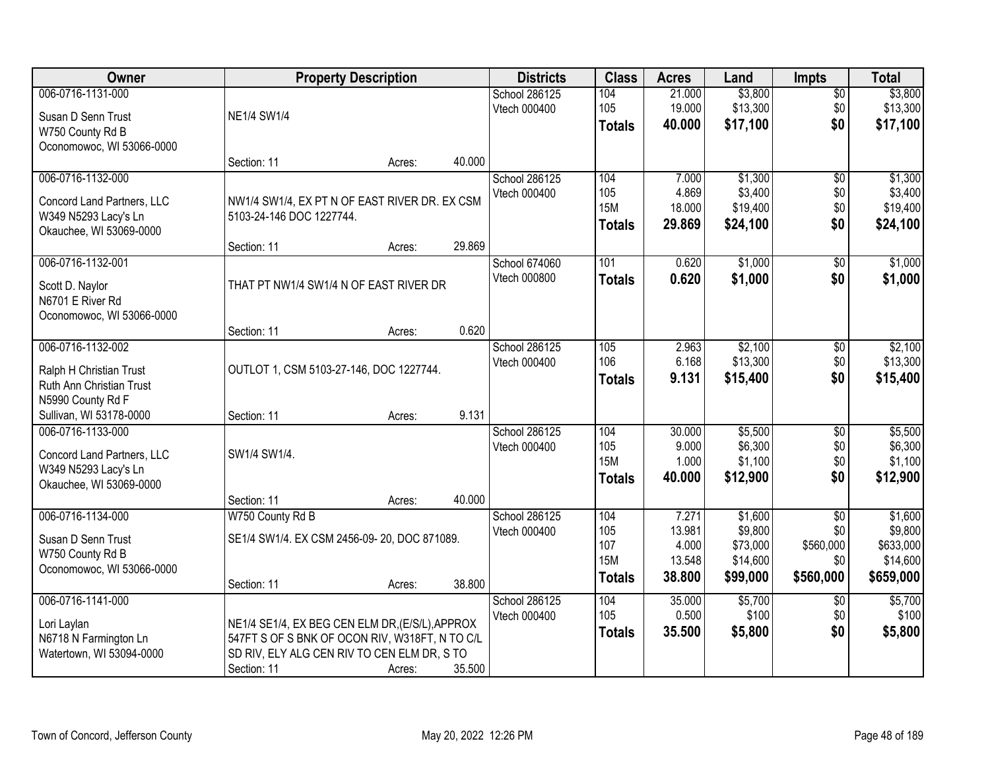| Owner                                                                                              | <b>Property Description</b>                                                                                                                                     |                  | <b>Districts</b>              | <b>Class</b>                              | <b>Acres</b>                        | Land                                        | <b>Impts</b>                         | <b>Total</b>                                  |
|----------------------------------------------------------------------------------------------------|-----------------------------------------------------------------------------------------------------------------------------------------------------------------|------------------|-------------------------------|-------------------------------------------|-------------------------------------|---------------------------------------------|--------------------------------------|-----------------------------------------------|
| 006-0716-1131-000<br>Susan D Senn Trust<br>W750 County Rd B<br>Oconomowoc, WI 53066-0000           | <b>NE1/4 SW1/4</b>                                                                                                                                              |                  | School 286125<br>Vtech 000400 | 104<br>105<br><b>Totals</b>               | 21.000<br>19.000<br>40,000          | \$3,800<br>\$13,300<br>\$17,100             | \$0<br>\$0<br>\$0                    | \$3,800<br>\$13,300<br>\$17,100               |
|                                                                                                    | Section: 11                                                                                                                                                     | 40.000<br>Acres: |                               |                                           |                                     |                                             |                                      |                                               |
| 006-0716-1132-000<br>Concord Land Partners, LLC<br>W349 N5293 Lacy's Ln<br>Okauchee, WI 53069-0000 | NW1/4 SW1/4, EX PT N OF EAST RIVER DR. EX CSM<br>5103-24-146 DOC 1227744.<br>Section: 11                                                                        | 29.869<br>Acres: | School 286125<br>Vtech 000400 | 104<br>105<br><b>15M</b><br><b>Totals</b> | 7.000<br>4.869<br>18.000<br>29.869  | \$1,300<br>\$3,400<br>\$19,400<br>\$24,100  | $\overline{50}$<br>\$0<br>\$0<br>\$0 | \$1,300<br>\$3,400<br>\$19,400<br>\$24,100    |
| 006-0716-1132-001                                                                                  |                                                                                                                                                                 |                  | School 674060                 | 101                                       | 0.620                               | \$1,000                                     | \$0                                  | \$1,000                                       |
| Scott D. Naylor<br>N6701 E River Rd<br>Oconomowoc, WI 53066-0000                                   | THAT PT NW1/4 SW1/4 N OF EAST RIVER DR                                                                                                                          |                  | Vtech 000800                  | <b>Totals</b>                             | 0.620                               | \$1,000                                     | \$0                                  | \$1,000                                       |
|                                                                                                    | Section: 11                                                                                                                                                     | 0.620<br>Acres:  |                               |                                           |                                     |                                             |                                      |                                               |
| 006-0716-1132-002<br>Ralph H Christian Trust<br>Ruth Ann Christian Trust<br>N5990 County Rd F      | OUTLOT 1, CSM 5103-27-146, DOC 1227744.                                                                                                                         |                  | School 286125<br>Vtech 000400 | 105<br>106<br><b>Totals</b>               | 2.963<br>6.168<br>9.131             | \$2,100<br>\$13,300<br>\$15,400             | $\sqrt[6]{3}$<br>\$0<br>\$0          | \$2,100<br>\$13,300<br>\$15,400               |
| Sullivan, WI 53178-0000                                                                            | Section: 11                                                                                                                                                     | 9.131<br>Acres:  |                               |                                           |                                     |                                             |                                      |                                               |
| 006-0716-1133-000<br>Concord Land Partners, LLC<br>W349 N5293 Lacy's Ln<br>Okauchee, WI 53069-0000 | SW1/4 SW1/4.                                                                                                                                                    | 40.000           | School 286125<br>Vtech 000400 | 104<br>105<br><b>15M</b><br><b>Totals</b> | 30.000<br>9.000<br>1.000<br>40.000  | \$5,500<br>\$6,300<br>\$1,100<br>\$12,900   | $\overline{50}$<br>\$0<br>\$0<br>\$0 | \$5,500<br>\$6,300<br>\$1,100<br>\$12,900     |
| 006-0716-1134-000                                                                                  | Section: 11<br>W750 County Rd B                                                                                                                                 | Acres:           | School 286125                 | 104                                       | 7.271                               | \$1,600                                     | $\overline{50}$                      | \$1,600                                       |
| Susan D Senn Trust<br>W750 County Rd B<br>Oconomowoc, WI 53066-0000                                | SE1/4 SW1/4. EX CSM 2456-09-20, DOC 871089.<br>Section: 11                                                                                                      | 38.800<br>Acres: | Vtech 000400                  | 105<br>107<br><b>15M</b><br><b>Totals</b> | 13.981<br>4.000<br>13.548<br>38.800 | \$9,800<br>\$73,000<br>\$14,600<br>\$99,000 | \$0<br>\$560,000<br>\$0<br>\$560,000 | \$9,800<br>\$633,000<br>\$14,600<br>\$659,000 |
| 006-0716-1141-000<br>Lori Laylan<br>N6718 N Farmington Ln<br>Watertown, WI 53094-0000              | NE1/4 SE1/4, EX BEG CEN ELM DR, (E/S/L), APPROX<br>547FT S OF S BNK OF OCON RIV, W318FT, N TO C/L<br>SD RIV, ELY ALG CEN RIV TO CEN ELM DR, S TO<br>Section: 11 | 35.500<br>Acres: | School 286125<br>Vtech 000400 | 104<br>105<br><b>Totals</b>               | 35.000<br>0.500<br>35.500           | \$5,700<br>\$100<br>\$5,800                 | $\overline{50}$<br>\$0<br>\$0        | \$5,700<br>\$100<br>\$5,800                   |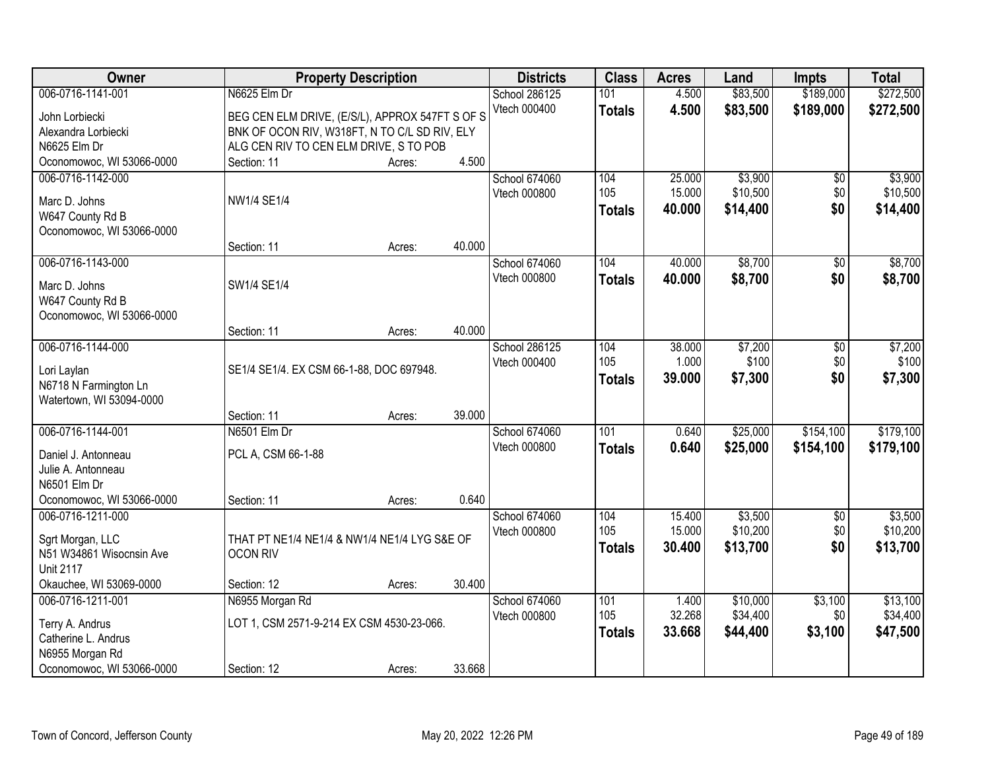| Owner                                        | <b>Property Description</b>                     |        |        | <b>Districts</b>     | <b>Class</b>  | <b>Acres</b> | Land     | <b>Impts</b> | <b>Total</b> |
|----------------------------------------------|-------------------------------------------------|--------|--------|----------------------|---------------|--------------|----------|--------------|--------------|
| 006-0716-1141-001                            | N6625 Elm Dr                                    |        |        | School 286125        | 101           | 4.500        | \$83,500 | \$189,000    | \$272,500    |
| John Lorbiecki                               | BEG CEN ELM DRIVE, (E/S/L), APPROX 547FT S OF S |        |        | Vtech 000400         | <b>Totals</b> | 4.500        | \$83,500 | \$189,000    | \$272,500    |
| Alexandra Lorbiecki                          | BNK OF OCON RIV, W318FT, N TO C/L SD RIV, ELY   |        |        |                      |               |              |          |              |              |
| N6625 Elm Dr                                 | ALG CEN RIV TO CEN ELM DRIVE, S TO POB          |        |        |                      |               |              |          |              |              |
| Oconomowoc, WI 53066-0000                    | Section: 11                                     | Acres: | 4.500  |                      |               |              |          |              |              |
| 006-0716-1142-000                            |                                                 |        |        | <b>School 674060</b> | 104           | 25.000       | \$3,900  | \$0          | \$3,900      |
| Marc D. Johns                                | NW1/4 SE1/4                                     |        |        | Vtech 000800         | 105           | 15.000       | \$10,500 | \$0          | \$10,500     |
| W647 County Rd B                             |                                                 |        |        |                      | <b>Totals</b> | 40.000       | \$14,400 | \$0          | \$14,400     |
| Oconomowoc, WI 53066-0000                    |                                                 |        |        |                      |               |              |          |              |              |
|                                              | Section: 11                                     | Acres: | 40.000 |                      |               |              |          |              |              |
| 006-0716-1143-000                            |                                                 |        |        | School 674060        | 104           | 40.000       | \$8,700  | \$0          | \$8,700      |
| Marc D. Johns                                | SW1/4 SE1/4                                     |        |        | Vtech 000800         | <b>Totals</b> | 40.000       | \$8,700  | \$0          | \$8,700      |
| W647 County Rd B                             |                                                 |        |        |                      |               |              |          |              |              |
| Oconomowoc, WI 53066-0000                    |                                                 |        |        |                      |               |              |          |              |              |
|                                              | Section: 11                                     | Acres: | 40.000 |                      |               |              |          |              |              |
| 006-0716-1144-000                            |                                                 |        |        | School 286125        | 104           | 38.000       | \$7,200  | \$0          | \$7,200      |
|                                              |                                                 |        |        | Vtech 000400         | 105           | 1.000        | \$100    | \$0          | \$100        |
| Lori Laylan<br>N6718 N Farmington Ln         | SE1/4 SE1/4. EX CSM 66-1-88, DOC 697948.        |        |        |                      | <b>Totals</b> | 39.000       | \$7,300  | \$0          | \$7,300      |
| Watertown, WI 53094-0000                     |                                                 |        |        |                      |               |              |          |              |              |
|                                              | Section: 11                                     | Acres: | 39.000 |                      |               |              |          |              |              |
| 006-0716-1144-001                            | N6501 Elm Dr                                    |        |        | School 674060        | 101           | 0.640        | \$25,000 | \$154,100    | \$179,100    |
|                                              |                                                 |        |        | Vtech 000800         | <b>Totals</b> | 0.640        | \$25,000 | \$154,100    | \$179,100    |
| Daniel J. Antonneau                          | PCL A, CSM 66-1-88                              |        |        |                      |               |              |          |              |              |
| Julie A. Antonneau<br>N6501 Elm Dr           |                                                 |        |        |                      |               |              |          |              |              |
| Oconomowoc, WI 53066-0000                    | Section: 11                                     | Acres: | 0.640  |                      |               |              |          |              |              |
| 006-0716-1211-000                            |                                                 |        |        | School 674060        | 104           | 15.400       | \$3,500  | $\sqrt{6}$   | \$3,500      |
|                                              |                                                 |        |        | Vtech 000800         | 105           | 15.000       | \$10,200 | \$0          | \$10,200     |
| Sgrt Morgan, LLC                             | THAT PT NE1/4 NE1/4 & NW1/4 NE1/4 LYG S&E OF    |        |        |                      | <b>Totals</b> | 30.400       | \$13,700 | \$0          | \$13,700     |
| N51 W34861 Wisocnsin Ave                     | <b>OCON RIV</b>                                 |        |        |                      |               |              |          |              |              |
| <b>Unit 2117</b>                             |                                                 |        | 30.400 |                      |               |              |          |              |              |
| Okauchee, WI 53069-0000<br>006-0716-1211-001 | Section: 12<br>N6955 Morgan Rd                  | Acres: |        | School 674060        | 101           | 1.400        | \$10,000 | \$3,100      | \$13,100     |
|                                              |                                                 |        |        | Vtech 000800         | 105           | 32.268       | \$34,400 | \$0          | \$34,400     |
| Terry A. Andrus                              | LOT 1, CSM 2571-9-214 EX CSM 4530-23-066.       |        |        |                      | <b>Totals</b> | 33.668       | \$44,400 | \$3,100      | \$47,500     |
| Catherine L. Andrus                          |                                                 |        |        |                      |               |              |          |              |              |
| N6955 Morgan Rd                              |                                                 |        |        |                      |               |              |          |              |              |
| Oconomowoc, WI 53066-0000                    | Section: 12                                     | Acres: | 33.668 |                      |               |              |          |              |              |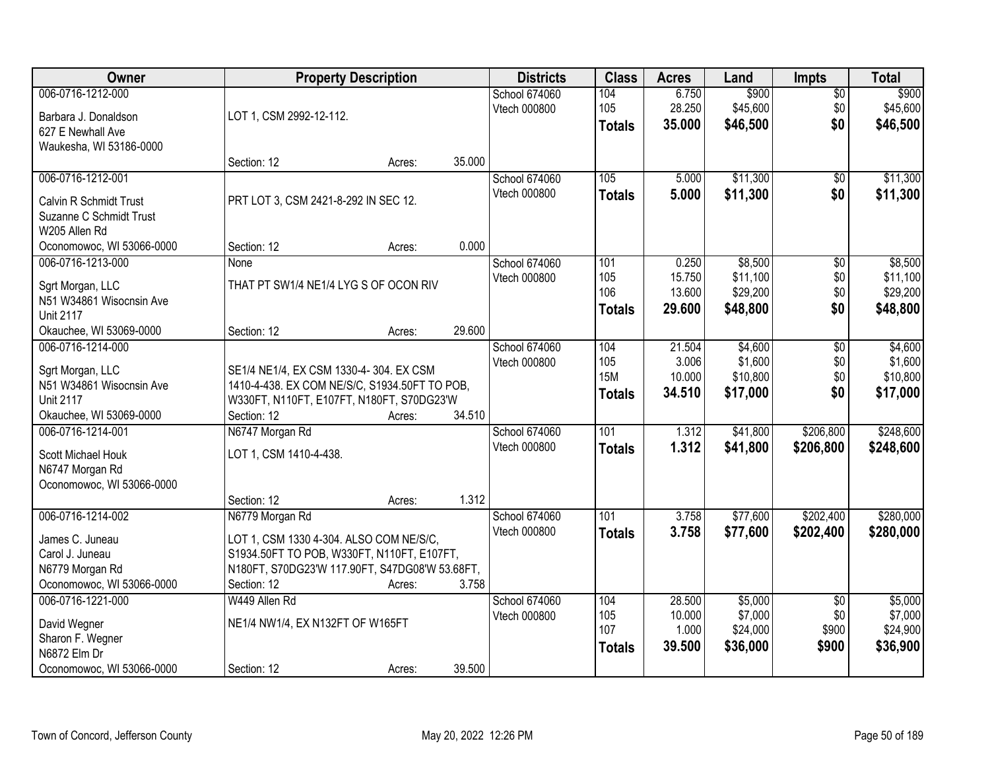| Owner                                          | <b>Property Description</b>                    |        |        | <b>Districts</b> | <b>Class</b>     | <b>Acres</b>     | Land               | <b>Impts</b>           | <b>Total</b>       |
|------------------------------------------------|------------------------------------------------|--------|--------|------------------|------------------|------------------|--------------------|------------------------|--------------------|
| 006-0716-1212-000                              |                                                |        |        | School 674060    | 104              | 6.750            | \$900              | $\overline{50}$        | \$900              |
| Barbara J. Donaldson                           | LOT 1, CSM 2992-12-112.                        |        |        | Vtech 000800     | 105              | 28.250           | \$45,600           | \$0                    | \$45,600           |
| 627 E Newhall Ave                              |                                                |        |        |                  | <b>Totals</b>    | 35.000           | \$46,500           | \$0                    | \$46,500           |
| Waukesha, WI 53186-0000                        |                                                |        |        |                  |                  |                  |                    |                        |                    |
|                                                | Section: 12                                    | Acres: | 35.000 |                  |                  |                  |                    |                        |                    |
| 006-0716-1212-001                              |                                                |        |        | School 674060    | 105              | 5.000            | \$11,300           | \$0                    | \$11,300           |
| Calvin R Schmidt Trust                         | PRT LOT 3, CSM 2421-8-292 IN SEC 12.           |        |        | Vtech 000800     | <b>Totals</b>    | 5.000            | \$11,300           | \$0                    | \$11,300           |
| Suzanne C Schmidt Trust                        |                                                |        |        |                  |                  |                  |                    |                        |                    |
| W205 Allen Rd                                  |                                                |        |        |                  |                  |                  |                    |                        |                    |
| Oconomowoc, WI 53066-0000                      | Section: 12                                    | Acres: | 0.000  |                  |                  |                  |                    |                        |                    |
| 006-0716-1213-000                              | None                                           |        |        | School 674060    | 101              | 0.250            | \$8,500            | \$0                    | \$8,500            |
|                                                |                                                |        |        | Vtech 000800     | 105              | 15.750           | \$11,100           | \$0                    | \$11,100           |
| Sgrt Morgan, LLC                               | THAT PT SW1/4 NE1/4 LYG S OF OCON RIV          |        |        |                  | 106              | 13.600           | \$29,200           | \$0                    | \$29,200           |
| N51 W34861 Wisocnsin Ave                       |                                                |        |        |                  | <b>Totals</b>    | 29.600           | \$48,800           | \$0                    | \$48,800           |
| <b>Unit 2117</b>                               |                                                |        |        |                  |                  |                  |                    |                        |                    |
| Okauchee, WI 53069-0000                        | Section: 12                                    | Acres: | 29.600 |                  |                  |                  |                    |                        |                    |
| 006-0716-1214-000                              |                                                |        |        | School 674060    | 104              | 21.504           | \$4,600            | \$0                    | \$4,600            |
| Sgrt Morgan, LLC                               | SE1/4 NE1/4, EX CSM 1330-4-304. EX CSM         |        |        | Vtech 000800     | 105              | 3.006            | \$1,600            | \$0                    | \$1,600            |
| N51 W34861 Wisocnsin Ave                       | 1410-4-438. EX COM NE/S/C, S1934.50FT TO POB,  |        |        |                  | <b>15M</b>       | 10.000           | \$10,800           | \$0                    | \$10,800           |
| <b>Unit 2117</b>                               | W330FT, N110FT, E107FT, N180FT, S70DG23'W      |        |        |                  | <b>Totals</b>    | 34.510           | \$17,000           | \$0                    | \$17,000           |
| Okauchee, WI 53069-0000                        | Section: 12                                    | Acres: | 34.510 |                  |                  |                  |                    |                        |                    |
| 006-0716-1214-001                              | N6747 Morgan Rd                                |        |        | School 674060    | $\overline{101}$ | 1.312            | \$41,800           | \$206,800              | \$248,600          |
| Scott Michael Houk                             | LOT 1, CSM 1410-4-438.                         |        |        | Vtech 000800     | <b>Totals</b>    | 1.312            | \$41,800           | \$206,800              | \$248,600          |
| N6747 Morgan Rd                                |                                                |        |        |                  |                  |                  |                    |                        |                    |
| Oconomowoc, WI 53066-0000                      |                                                |        |        |                  |                  |                  |                    |                        |                    |
|                                                | Section: 12                                    | Acres: | 1.312  |                  |                  |                  |                    |                        |                    |
| 006-0716-1214-002                              | N6779 Morgan Rd                                |        |        | School 674060    | 101              | 3.758            | \$77,600           | \$202,400              | \$280,000          |
|                                                |                                                |        |        | Vtech 000800     | <b>Totals</b>    | 3.758            | \$77,600           | \$202,400              | \$280,000          |
| James C. Juneau                                | LOT 1, CSM 1330 4-304. ALSO COM NE/S/C,        |        |        |                  |                  |                  |                    |                        |                    |
| Carol J. Juneau                                | S1934.50FT TO POB, W330FT, N110FT, E107FT,     |        |        |                  |                  |                  |                    |                        |                    |
| N6779 Morgan Rd                                | N180FT, S70DG23'W 117.90FT, S47DG08'W 53.68FT, |        | 3.758  |                  |                  |                  |                    |                        |                    |
| Oconomowoc, WI 53066-0000<br>006-0716-1221-000 | Section: 12<br>W449 Allen Rd                   | Acres: |        |                  |                  |                  |                    |                        |                    |
|                                                |                                                |        |        | School 674060    | 104<br>105       | 28.500<br>10.000 | \$5,000<br>\$7,000 | $\overline{50}$<br>\$0 | \$5,000<br>\$7,000 |
| David Wegner                                   | NE1/4 NW1/4, EX N132FT OF W165FT               |        |        | Vtech 000800     | 107              | 1.000            | \$24,000           | \$900                  | \$24,900           |
| Sharon F. Wegner                               |                                                |        |        |                  | <b>Totals</b>    | 39.500           | \$36,000           | \$900                  | \$36,900           |
| N6872 Elm Dr                                   |                                                |        |        |                  |                  |                  |                    |                        |                    |
| Oconomowoc, WI 53066-0000                      | Section: 12                                    | Acres: | 39.500 |                  |                  |                  |                    |                        |                    |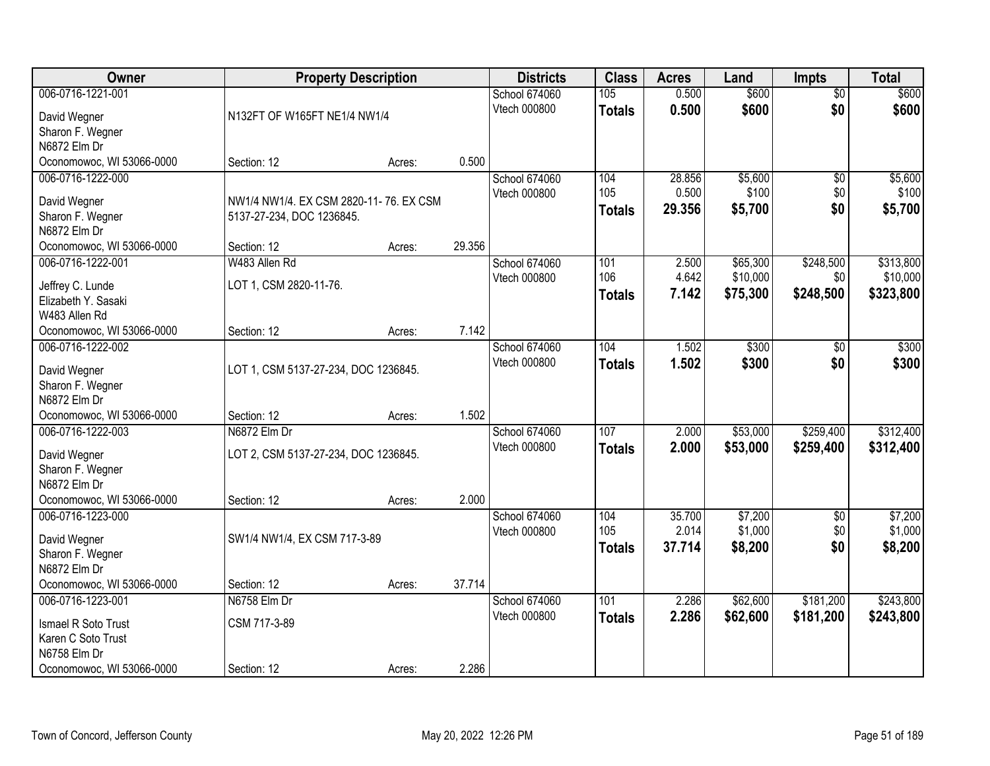| Owner                                          | <b>Property Description</b>            |        |        | <b>Districts</b>     | <b>Class</b>  | <b>Acres</b> | Land     | <b>Impts</b>    | <b>Total</b> |
|------------------------------------------------|----------------------------------------|--------|--------|----------------------|---------------|--------------|----------|-----------------|--------------|
| 006-0716-1221-001                              |                                        |        |        | School 674060        | 105           | 0.500        | \$600    | $\overline{50}$ | \$600        |
| David Wegner                                   | N132FT OF W165FT NE1/4 NW1/4           |        |        | Vtech 000800         | <b>Totals</b> | 0.500        | \$600    | \$0             | \$600        |
| Sharon F. Wegner                               |                                        |        |        |                      |               |              |          |                 |              |
| N6872 Elm Dr                                   |                                        |        |        |                      |               |              |          |                 |              |
| Oconomowoc, WI 53066-0000                      | Section: 12                            | Acres: | 0.500  |                      |               |              |          |                 |              |
| 006-0716-1222-000                              |                                        |        |        | <b>School 674060</b> | 104           | 28.856       | \$5,600  | $\overline{50}$ | \$5,600      |
| David Wegner                                   | NW1/4 NW1/4, EX CSM 2820-11-76, EX CSM |        |        | Vtech 000800         | 105           | 0.500        | \$100    | \$0             | \$100        |
| Sharon F. Wegner                               | 5137-27-234, DOC 1236845.              |        |        |                      | <b>Totals</b> | 29.356       | \$5,700  | \$0             | \$5,700      |
| N6872 Elm Dr                                   |                                        |        |        |                      |               |              |          |                 |              |
| Oconomowoc, WI 53066-0000                      | Section: 12                            | Acres: | 29.356 |                      |               |              |          |                 |              |
| 006-0716-1222-001                              | W483 Allen Rd                          |        |        | School 674060        | 101           | 2.500        | \$65,300 | \$248,500       | \$313,800    |
| Jeffrey C. Lunde                               | LOT 1, CSM 2820-11-76.                 |        |        | Vtech 000800         | 106           | 4.642        | \$10,000 | \$0             | \$10,000     |
| Elizabeth Y. Sasaki                            |                                        |        |        |                      | <b>Totals</b> | 7.142        | \$75,300 | \$248,500       | \$323,800    |
| W483 Allen Rd                                  |                                        |        |        |                      |               |              |          |                 |              |
| Oconomowoc, WI 53066-0000                      | Section: 12                            | Acres: | 7.142  |                      |               |              |          |                 |              |
| 006-0716-1222-002                              |                                        |        |        | School 674060        | 104           | 1.502        | \$300    | $\sqrt[6]{}$    | \$300        |
|                                                |                                        |        |        | Vtech 000800         | <b>Totals</b> | 1.502        | \$300    | \$0             | \$300        |
| David Wegner                                   | LOT 1, CSM 5137-27-234, DOC 1236845.   |        |        |                      |               |              |          |                 |              |
| Sharon F. Wegner<br>N6872 Elm Dr               |                                        |        |        |                      |               |              |          |                 |              |
| Oconomowoc, WI 53066-0000                      | Section: 12                            | Acres: | 1.502  |                      |               |              |          |                 |              |
| 006-0716-1222-003                              | N6872 Elm Dr                           |        |        | School 674060        | 107           | 2.000        | \$53,000 | \$259,400       | \$312,400    |
|                                                |                                        |        |        | Vtech 000800         | <b>Totals</b> | 2.000        | \$53,000 | \$259,400       | \$312,400    |
| David Wegner                                   | LOT 2, CSM 5137-27-234, DOC 1236845.   |        |        |                      |               |              |          |                 |              |
| Sharon F. Wegner                               |                                        |        |        |                      |               |              |          |                 |              |
| N6872 Elm Dr                                   |                                        |        | 2.000  |                      |               |              |          |                 |              |
| Oconomowoc, WI 53066-0000<br>006-0716-1223-000 | Section: 12                            | Acres: |        | School 674060        | 104           | 35.700       | \$7,200  | $\overline{50}$ | \$7,200      |
|                                                |                                        |        |        | Vtech 000800         | 105           | 2.014        | \$1,000  | \$0             | \$1,000      |
| David Wegner                                   | SW1/4 NW1/4, EX CSM 717-3-89           |        |        |                      | <b>Totals</b> | 37.714       | \$8,200  | \$0             | \$8,200      |
| Sharon F. Wegner                               |                                        |        |        |                      |               |              |          |                 |              |
| N6872 Elm Dr                                   |                                        |        |        |                      |               |              |          |                 |              |
| Oconomowoc, WI 53066-0000                      | Section: 12                            | Acres: | 37.714 |                      |               |              |          |                 |              |
| 006-0716-1223-001                              | N6758 Elm Dr                           |        |        | School 674060        | 101           | 2.286        | \$62,600 | \$181,200       | \$243,800    |
| Ismael R Soto Trust                            | CSM 717-3-89                           |        |        | Vtech 000800         | <b>Totals</b> | 2.286        | \$62,600 | \$181,200       | \$243,800    |
| Karen C Soto Trust                             |                                        |        |        |                      |               |              |          |                 |              |
| N6758 Elm Dr                                   |                                        |        |        |                      |               |              |          |                 |              |
| Oconomowoc, WI 53066-0000                      | Section: 12                            | Acres: | 2.286  |                      |               |              |          |                 |              |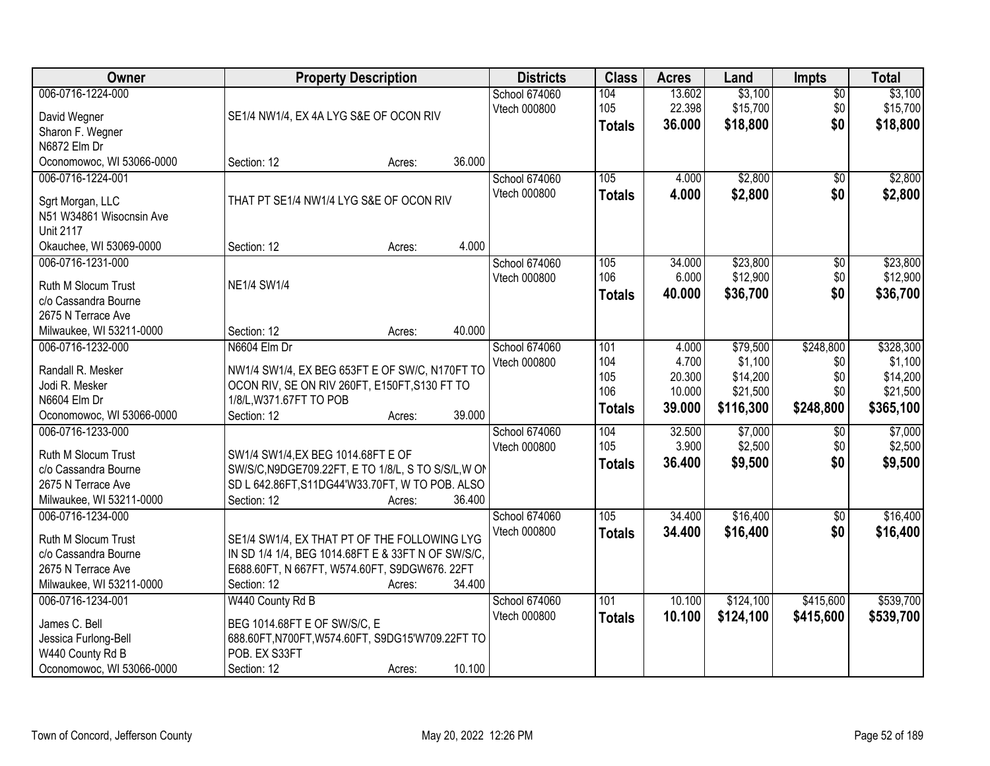| Owner                                         | <b>Property Description</b>                             | <b>Districts</b> | <b>Class</b>  | <b>Acres</b>     | Land                 | <b>Impts</b>    | <b>Total</b>         |
|-----------------------------------------------|---------------------------------------------------------|------------------|---------------|------------------|----------------------|-----------------|----------------------|
| 006-0716-1224-000                             |                                                         | School 674060    | 104           | 13.602           | \$3,100              | $\sqrt{$0}$     | \$3,100              |
| David Wegner                                  | SE1/4 NW1/4, EX 4A LYG S&E OF OCON RIV                  | Vtech 000800     | 105           | 22.398           | \$15,700             | \$0             | \$15,700             |
| Sharon F. Wegner                              |                                                         |                  | <b>Totals</b> | 36.000           | \$18,800             | \$0             | \$18,800             |
| N6872 Elm Dr                                  |                                                         |                  |               |                  |                      |                 |                      |
| Oconomowoc, WI 53066-0000                     | 36.000<br>Section: 12<br>Acres:                         |                  |               |                  |                      |                 |                      |
| 006-0716-1224-001                             |                                                         | School 674060    | 105           | 4.000            | \$2,800              | $\overline{50}$ | \$2,800              |
|                                               | THAT PT SE1/4 NW1/4 LYG S&E OF OCON RIV                 | Vtech 000800     | <b>Totals</b> | 4.000            | \$2,800              | \$0             | \$2,800              |
| Sgrt Morgan, LLC<br>N51 W34861 Wisocnsin Ave  |                                                         |                  |               |                  |                      |                 |                      |
| <b>Unit 2117</b>                              |                                                         |                  |               |                  |                      |                 |                      |
| Okauchee, WI 53069-0000                       | 4.000<br>Section: 12<br>Acres:                          |                  |               |                  |                      |                 |                      |
| 006-0716-1231-000                             |                                                         | School 674060    | 105           | 34.000           | \$23,800             | \$0             | \$23,800             |
|                                               |                                                         | Vtech 000800     | 106           | 6.000            | \$12,900             | \$0             | \$12,900             |
| Ruth M Slocum Trust                           | <b>NE1/4 SW1/4</b>                                      |                  | <b>Totals</b> | 40.000           | \$36,700             | \$0             | \$36,700             |
| c/o Cassandra Bourne                          |                                                         |                  |               |                  |                      |                 |                      |
| 2675 N Terrace Ave                            |                                                         |                  |               |                  |                      |                 |                      |
| Milwaukee, WI 53211-0000                      | 40.000<br>Section: 12<br>Acres:                         |                  |               |                  |                      |                 |                      |
| 006-0716-1232-000                             | N6604 Elm Dr                                            | School 674060    | 101           | 4.000            | \$79,500             | \$248,800       | \$328,300            |
| Randall R. Mesker                             | NW1/4 SW1/4, EX BEG 653FT E OF SW/C, N170FT TO          | Vtech 000800     | 104<br>105    | 4.700            | \$1,100              | \$0             | \$1,100              |
| Jodi R. Mesker                                | OCON RIV, SE ON RIV 260FT, E150FT, S130 FT TO           |                  | 106           | 20.300<br>10.000 | \$14,200<br>\$21,500 | \$0<br>\$0      | \$14,200<br>\$21,500 |
| N6604 Elm Dr                                  | 1/8/L, W371.67FT TO POB                                 |                  |               |                  |                      |                 |                      |
| Oconomowoc, WI 53066-0000                     | 39.000<br>Section: 12<br>Acres:                         |                  | <b>Totals</b> | 39.000           | \$116,300            | \$248,800       | \$365,100            |
| 006-0716-1233-000                             |                                                         | School 674060    | 104           | 32.500           | \$7,000              | $\overline{50}$ | \$7,000              |
| <b>Ruth M Slocum Trust</b>                    | SW1/4 SW1/4, EX BEG 1014.68FT E OF                      | Vtech 000800     | 105           | 3.900            | \$2,500              | \$0             | \$2,500              |
| c/o Cassandra Bourne                          | SW/S/C, N9DGE709.22FT, E TO 1/8/L, S TO S/S/L, W ON     |                  | <b>Totals</b> | 36.400           | \$9,500              | \$0             | \$9,500              |
| 2675 N Terrace Ave                            | SD L 642.86FT, S11DG44'W33.70FT, W TO POB. ALSO         |                  |               |                  |                      |                 |                      |
| Milwaukee, WI 53211-0000                      | Section: 12<br>36.400<br>Acres:                         |                  |               |                  |                      |                 |                      |
| 006-0716-1234-000                             |                                                         | School 674060    | 105           | 34.400           | \$16,400             | $\sqrt{6}$      | \$16,400             |
|                                               |                                                         | Vtech 000800     | <b>Totals</b> | 34.400           | \$16,400             | \$0             | \$16,400             |
| Ruth M Slocum Trust                           | SE1/4 SW1/4, EX THAT PT OF THE FOLLOWING LYG            |                  |               |                  |                      |                 |                      |
| c/o Cassandra Bourne                          | IN SD 1/4 1/4, BEG 1014.68FT E & 33FT N OF SW/S/C,      |                  |               |                  |                      |                 |                      |
| 2675 N Terrace Ave                            | E688.60FT, N 667FT, W574.60FT, S9DGW676. 22FT<br>34.400 |                  |               |                  |                      |                 |                      |
| Milwaukee, WI 53211-0000<br>006-0716-1234-001 | Section: 12<br>Acres:<br>W440 County Rd B               | School 674060    | 101           | 10.100           | \$124,100            | \$415,600       | \$539,700            |
|                                               |                                                         | Vtech 000800     |               |                  |                      |                 |                      |
| James C. Bell                                 | BEG 1014.68FT E OF SW/S/C, E                            |                  | <b>Totals</b> | 10.100           | \$124,100            | \$415,600       | \$539,700            |
| Jessica Furlong-Bell                          | 688.60FT, N700FT, W574.60FT, S9DG15'W709.22FT TO        |                  |               |                  |                      |                 |                      |
| W440 County Rd B                              | POB. EX S33FT                                           |                  |               |                  |                      |                 |                      |
| Oconomowoc, WI 53066-0000                     | 10.100<br>Section: 12<br>Acres:                         |                  |               |                  |                      |                 |                      |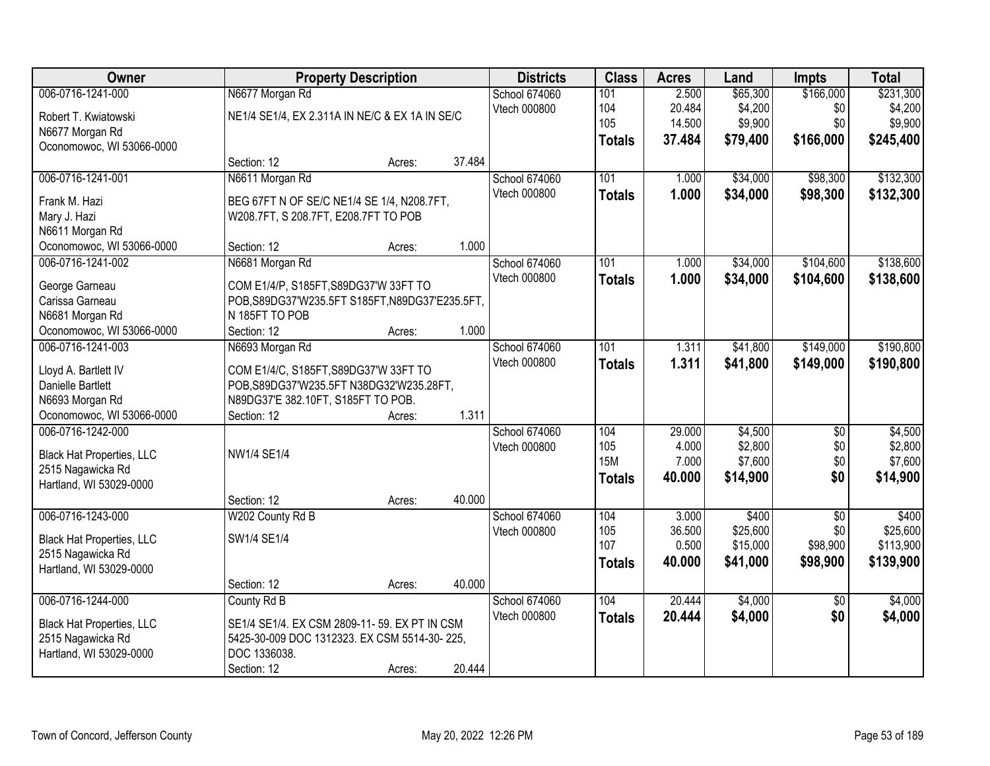| Owner                             | <b>Property Description</b>                     |        |        | <b>Districts</b> | <b>Class</b>      | <b>Acres</b> | Land     | <b>Impts</b>    | <b>Total</b> |
|-----------------------------------|-------------------------------------------------|--------|--------|------------------|-------------------|--------------|----------|-----------------|--------------|
| 006-0716-1241-000                 | N6677 Morgan Rd                                 |        |        | School 674060    | 101               | 2.500        | \$65,300 | \$166,000       | \$231,300    |
| Robert T. Kwiatowski              | NE1/4 SE1/4, EX 2.311A IN NE/C & EX 1A IN SE/C  |        |        | Vtech 000800     | 104               | 20.484       | \$4,200  | \$0             | \$4,200      |
| N6677 Morgan Rd                   |                                                 |        |        |                  | 105               | 14.500       | \$9,900  | \$0             | \$9,900      |
| Oconomowoc, WI 53066-0000         |                                                 |        |        |                  | <b>Totals</b>     | 37.484       | \$79,400 | \$166,000       | \$245,400    |
|                                   | Section: 12                                     | Acres: | 37.484 |                  |                   |              |          |                 |              |
| 006-0716-1241-001                 | N6611 Morgan Rd                                 |        |        | School 674060    | 101               | 1.000        | \$34,000 | \$98,300        | \$132,300    |
| Frank M. Hazi                     | BEG 67FT N OF SE/C NE1/4 SE 1/4, N208.7FT,      |        |        | Vtech 000800     | <b>Totals</b>     | 1.000        | \$34,000 | \$98,300        | \$132,300    |
| Mary J. Hazi                      | W208.7FT, S 208.7FT, E208.7FT TO POB            |        |        |                  |                   |              |          |                 |              |
| N6611 Morgan Rd                   |                                                 |        |        |                  |                   |              |          |                 |              |
| Oconomowoc, WI 53066-0000         | Section: 12                                     | Acres: | 1.000  |                  |                   |              |          |                 |              |
| 006-0716-1241-002                 | N6681 Morgan Rd                                 |        |        | School 674060    | 101               | 1.000        | \$34,000 | \$104,600       | \$138,600    |
|                                   | COM E1/4/P, S185FT, S89DG37'W 33FT TO           |        |        | Vtech 000800     | <b>Totals</b>     | 1.000        | \$34,000 | \$104,600       | \$138,600    |
| George Garneau<br>Carissa Garneau | POB, S89DG37'W235.5FT S185FT, N89DG37'E235.5FT, |        |        |                  |                   |              |          |                 |              |
| N6681 Morgan Rd                   | N 185FT TO POB                                  |        |        |                  |                   |              |          |                 |              |
| Oconomowoc, WI 53066-0000         | Section: 12                                     | Acres: | 1.000  |                  |                   |              |          |                 |              |
| 006-0716-1241-003                 | N6693 Morgan Rd                                 |        |        | School 674060    | 101               | 1.311        | \$41,800 | \$149,000       | \$190,800    |
|                                   |                                                 |        |        | Vtech 000800     | <b>Totals</b>     | 1.311        | \$41,800 | \$149,000       | \$190,800    |
| Lloyd A. Bartlett IV              | COM E1/4/C, S185FT, S89DG37'W 33FT TO           |        |        |                  |                   |              |          |                 |              |
| Danielle Bartlett                 | POB, S89DG37'W235.5FT N38DG32'W235.28FT,        |        |        |                  |                   |              |          |                 |              |
| N6693 Morgan Rd                   | N89DG37'E 382.10FT, S185FT TO POB.              |        |        |                  |                   |              |          |                 |              |
| Oconomowoc, WI 53066-0000         | Section: 12                                     | Acres: | 1.311  |                  |                   |              |          |                 |              |
| 006-0716-1242-000                 |                                                 |        |        | School 674060    | 104               | 29.000       | \$4,500  | $\overline{50}$ | \$4,500      |
| <b>Black Hat Properties, LLC</b>  | NW1/4 SE1/4                                     |        |        | Vtech 000800     | 105<br><b>15M</b> | 4.000        | \$2,800  | \$0             | \$2,800      |
| 2515 Nagawicka Rd                 |                                                 |        |        |                  |                   | 7.000        | \$7,600  | \$0<br>\$0      | \$7,600      |
| Hartland, WI 53029-0000           |                                                 |        |        |                  | <b>Totals</b>     | 40.000       | \$14,900 |                 | \$14,900     |
|                                   | Section: 12                                     | Acres: | 40.000 |                  |                   |              |          |                 |              |
| 006-0716-1243-000                 | W202 County Rd B                                |        |        | School 674060    | 104               | 3.000        | \$400    | $\overline{50}$ | \$400        |
| <b>Black Hat Properties, LLC</b>  | SW1/4 SE1/4                                     |        |        | Vtech 000800     | 105               | 36.500       | \$25,600 | \$0             | \$25,600     |
| 2515 Nagawicka Rd                 |                                                 |        |        |                  | 107               | 0.500        | \$15,000 | \$98,900        | \$113,900    |
| Hartland, WI 53029-0000           |                                                 |        |        |                  | <b>Totals</b>     | 40.000       | \$41,000 | \$98,900        | \$139,900    |
|                                   | Section: 12                                     | Acres: | 40.000 |                  |                   |              |          |                 |              |
| 006-0716-1244-000                 | County Rd B                                     |        |        | School 674060    | 104               | 20.444       | \$4,000  | $\overline{30}$ | \$4,000      |
| <b>Black Hat Properties, LLC</b>  | SE1/4 SE1/4. EX CSM 2809-11-59. EX PT IN CSM    |        |        | Vtech 000800     | <b>Totals</b>     | 20.444       | \$4,000  | \$0             | \$4,000      |
| 2515 Nagawicka Rd                 | 5425-30-009 DOC 1312323. EX CSM 5514-30-225,    |        |        |                  |                   |              |          |                 |              |
| Hartland, WI 53029-0000           | DOC 1336038.                                    |        |        |                  |                   |              |          |                 |              |
|                                   | Section: 12                                     | Acres: | 20.444 |                  |                   |              |          |                 |              |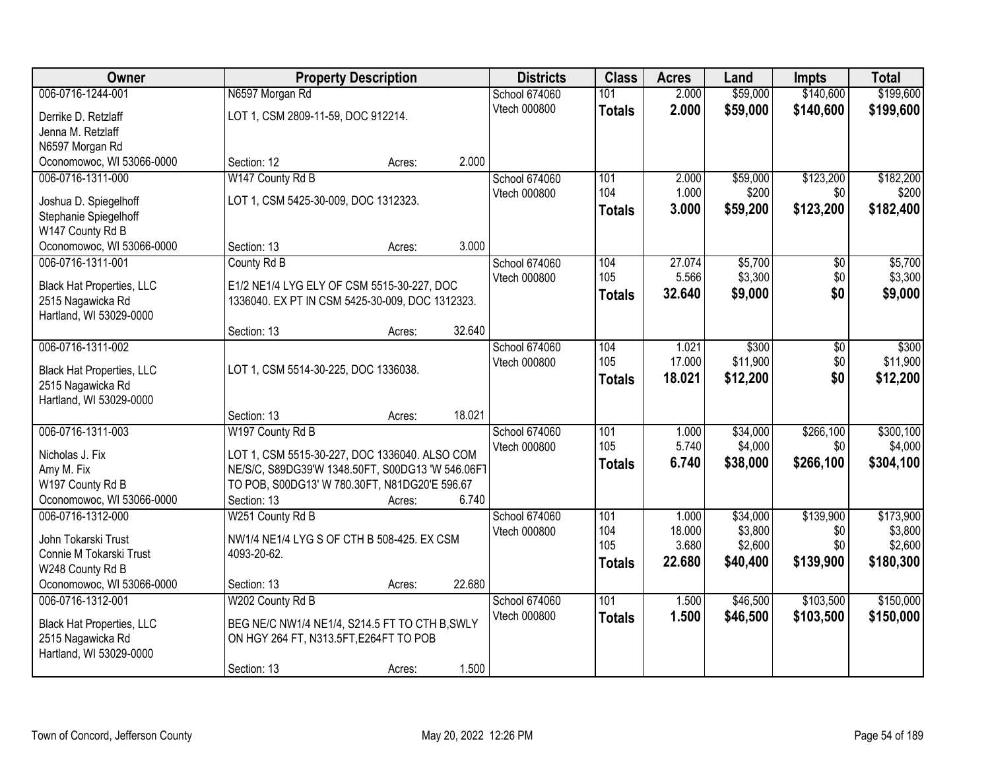| <b>Owner</b>                     | <b>Property Description</b>                      | <b>Districts</b> | <b>Class</b>  | <b>Acres</b>  | Land            | <b>Impts</b>       | <b>Total</b> |                    |
|----------------------------------|--------------------------------------------------|------------------|---------------|---------------|-----------------|--------------------|--------------|--------------------|
| 006-0716-1244-001                | N6597 Morgan Rd                                  |                  | School 674060 | 101           | 2.000           | \$59,000           | \$140,600    | \$199,600          |
| Derrike D. Retzlaff              | LOT 1, CSM 2809-11-59, DOC 912214.               |                  | Vtech 000800  | <b>Totals</b> | 2.000           | \$59,000           | \$140,600    | \$199,600          |
| Jenna M. Retzlaff                |                                                  |                  |               |               |                 |                    |              |                    |
| N6597 Morgan Rd                  |                                                  |                  |               |               |                 |                    |              |                    |
| Oconomowoc, WI 53066-0000        | Section: 12                                      | Acres:           | 2.000         |               |                 |                    |              |                    |
| 006-0716-1311-000                | W147 County Rd B                                 |                  | School 674060 | 101           | 2.000           | \$59,000           | \$123,200    | \$182,200          |
| Joshua D. Spiegelhoff            | LOT 1, CSM 5425-30-009, DOC 1312323.             |                  | Vtech 000800  | 104           | 1.000           | \$200              | \$0          | \$200              |
| Stephanie Spiegelhoff            |                                                  |                  |               | Totals        | 3.000           | \$59,200           | \$123,200    | \$182,400          |
| W147 County Rd B                 |                                                  |                  |               |               |                 |                    |              |                    |
| Oconomowoc, WI 53066-0000        | Section: 13                                      | Acres:           | 3.000         |               |                 |                    |              |                    |
| 006-0716-1311-001                | County Rd B                                      |                  | School 674060 | 104           | 27.074          | \$5,700            | \$0          | \$5,700            |
| <b>Black Hat Properties, LLC</b> | E1/2 NE1/4 LYG ELY OF CSM 5515-30-227, DOC       |                  | Vtech 000800  | 105           | 5.566           | \$3,300            | \$0          | \$3,300            |
| 2515 Nagawicka Rd                | 1336040. EX PT IN CSM 5425-30-009, DOC 1312323.  |                  |               | <b>Totals</b> | 32.640          | \$9,000            | \$0          | \$9,000            |
| Hartland, WI 53029-0000          |                                                  |                  |               |               |                 |                    |              |                    |
|                                  | Section: 13                                      | Acres:           | 32.640        |               |                 |                    |              |                    |
| 006-0716-1311-002                |                                                  |                  | School 674060 | 104           | 1.021           | \$300              | \$0          | \$300              |
| <b>Black Hat Properties, LLC</b> | LOT 1, CSM 5514-30-225, DOC 1336038.             |                  | Vtech 000800  | 105           | 17.000          | \$11,900           | \$0          | \$11,900           |
| 2515 Nagawicka Rd                |                                                  |                  |               | <b>Totals</b> | 18.021          | \$12,200           | \$0          | \$12,200           |
| Hartland, WI 53029-0000          |                                                  |                  |               |               |                 |                    |              |                    |
|                                  | Section: 13                                      | 18.021<br>Acres: |               |               |                 |                    |              |                    |
| 006-0716-1311-003                | W197 County Rd B                                 |                  | School 674060 | 101           | 1.000           | \$34,000           | \$266,100    | \$300,100          |
| Nicholas J. Fix                  | LOT 1, CSM 5515-30-227, DOC 1336040. ALSO COM    |                  | Vtech 000800  | 105           | 5.740           | \$4,000            | \$0          | \$4,000            |
| Amy M. Fix                       | NE/S/C, S89DG39'W 1348.50FT, S00DG13 'W 546.06F1 |                  |               | <b>Totals</b> | 6.740           | \$38,000           | \$266,100    | \$304,100          |
| W197 County Rd B                 | TO POB, S00DG13' W 780.30FT, N81DG20'E 596.67    |                  |               |               |                 |                    |              |                    |
| Oconomowoc, WI 53066-0000        | Section: 13                                      | Acres:           | 6.740         |               |                 |                    |              |                    |
| 006-0716-1312-000                | W251 County Rd B                                 |                  | School 674060 | 101           | 1.000           | \$34,000           | \$139,900    | \$173,900          |
| John Tokarski Trust              | NW1/4 NE1/4 LYG S OF CTH B 508-425. EX CSM       |                  | Vtech 000800  | 104<br>105    | 18.000<br>3.680 | \$3,800<br>\$2,600 | \$0<br>\$0   | \$3,800<br>\$2,600 |
| Connie M Tokarski Trust          | 4093-20-62.                                      |                  |               | <b>Totals</b> | 22,680          | \$40,400           | \$139,900    | \$180,300          |
| W248 County Rd B                 |                                                  |                  |               |               |                 |                    |              |                    |
| Oconomowoc, WI 53066-0000        | Section: 13                                      | Acres:           | 22.680        |               |                 |                    |              |                    |
| 006-0716-1312-001                | W202 County Rd B                                 |                  | School 674060 | 101           | 1.500           | \$46,500           | \$103,500    | \$150,000          |
| <b>Black Hat Properties, LLC</b> | BEG NE/C NW1/4 NE1/4, S214.5 FT TO CTH B, SWLY   |                  | Vtech 000800  | <b>Totals</b> | 1.500           | \$46,500           | \$103,500    | \$150,000          |
| 2515 Nagawicka Rd                | ON HGY 264 FT, N313.5FT, E264FT TO POB           |                  |               |               |                 |                    |              |                    |
| Hartland, WI 53029-0000          |                                                  |                  |               |               |                 |                    |              |                    |
|                                  | Section: 13                                      | Acres:           | 1.500         |               |                 |                    |              |                    |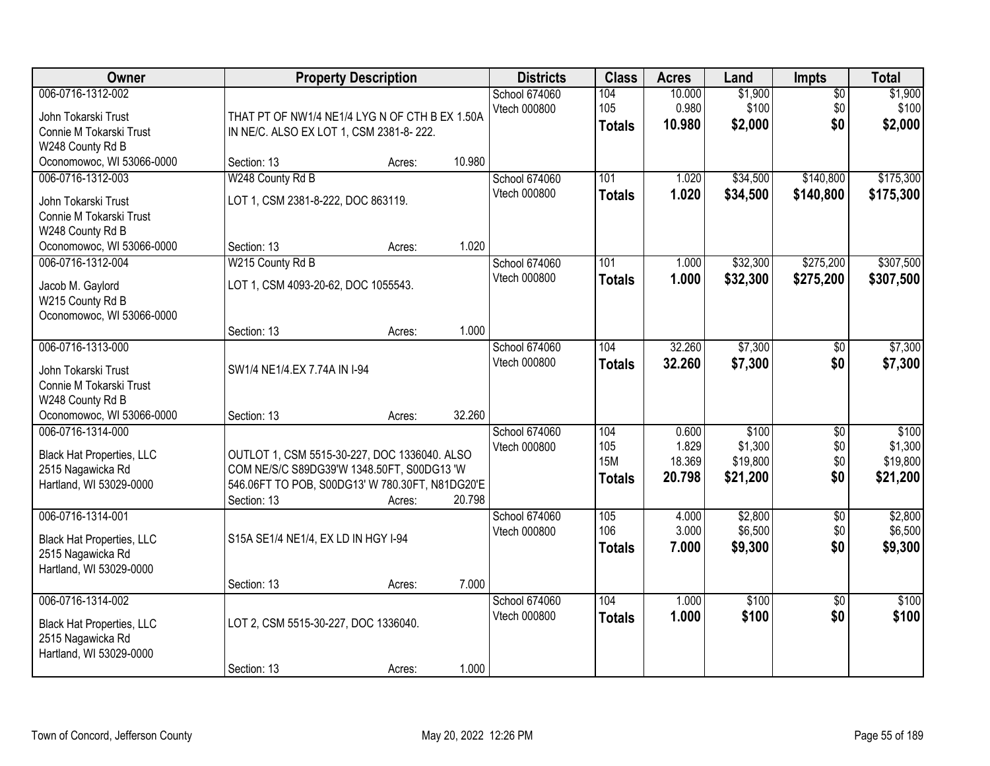| Owner                                                                                                                | <b>Property Description</b>                                                                                                                                                      | <b>Districts</b>                     | <b>Class</b>                              | <b>Acres</b>                       | Land                                     | <b>Impts</b>                         | <b>Total</b>                             |
|----------------------------------------------------------------------------------------------------------------------|----------------------------------------------------------------------------------------------------------------------------------------------------------------------------------|--------------------------------------|-------------------------------------------|------------------------------------|------------------------------------------|--------------------------------------|------------------------------------------|
| 006-0716-1312-002<br>John Tokarski Trust<br>Connie M Tokarski Trust<br>W248 County Rd B                              | THAT PT OF NW1/4 NE1/4 LYG N OF CTH B EX 1.50A<br>IN NE/C. ALSO EX LOT 1, CSM 2381-8-222.                                                                                        | School 674060<br>Vtech 000800        | 104<br>105<br><b>Totals</b>               | 10.000<br>0.980<br>10.980          | \$1,900<br>\$100<br>\$2,000              | $\overline{50}$<br>\$0<br>\$0        | \$1,900<br>\$100<br>\$2,000              |
| Oconomowoc, WI 53066-0000                                                                                            | 10.980<br>Section: 13<br>Acres:                                                                                                                                                  |                                      |                                           |                                    |                                          |                                      |                                          |
| 006-0716-1312-003<br>John Tokarski Trust<br>Connie M Tokarski Trust<br>W248 County Rd B<br>Oconomowoc, WI 53066-0000 | W248 County Rd B<br>LOT 1, CSM 2381-8-222, DOC 863119.<br>1.020<br>Section: 13<br>Acres:                                                                                         | School 674060<br><b>Vtech 000800</b> | 101<br><b>Totals</b>                      | 1.020<br>1.020                     | \$34,500<br>\$34,500                     | \$140,800<br>\$140,800               | \$175,300<br>\$175,300                   |
| 006-0716-1312-004<br>Jacob M. Gaylord<br>W215 County Rd B<br>Oconomowoc, WI 53066-0000                               | W215 County Rd B<br>LOT 1, CSM 4093-20-62, DOC 1055543.<br>1.000<br>Section: 13<br>Acres:                                                                                        | School 674060<br>Vtech 000800        | 101<br><b>Totals</b>                      | 1.000<br>1.000                     | \$32,300<br>\$32,300                     | \$275,200<br>\$275,200               | \$307,500<br>\$307,500                   |
| 006-0716-1313-000<br>John Tokarski Trust<br>Connie M Tokarski Trust<br>W248 County Rd B<br>Oconomowoc, WI 53066-0000 | SW1/4 NE1/4.EX 7.74A IN I-94<br>32.260<br>Section: 13<br>Acres:                                                                                                                  | School 674060<br>Vtech 000800        | 104<br><b>Totals</b>                      | 32.260<br>32.260                   | \$7,300<br>\$7,300                       | $\sqrt[6]{}$<br>\$0                  | \$7,300<br>\$7,300                       |
| 006-0716-1314-000<br><b>Black Hat Properties, LLC</b><br>2515 Nagawicka Rd<br>Hartland, WI 53029-0000                | OUTLOT 1, CSM 5515-30-227, DOC 1336040. ALSO<br>COM NE/S/C S89DG39'W 1348.50FT, S00DG13 'W<br>546.06FT TO POB, S00DG13' W 780.30FT, N81DG20'E<br>20.798<br>Section: 13<br>Acres: | School 674060<br>Vtech 000800        | 104<br>105<br><b>15M</b><br><b>Totals</b> | 0.600<br>1.829<br>18.369<br>20.798 | \$100<br>\$1,300<br>\$19,800<br>\$21,200 | $\overline{50}$<br>\$0<br>\$0<br>\$0 | \$100<br>\$1,300<br>\$19,800<br>\$21,200 |
| 006-0716-1314-001<br><b>Black Hat Properties, LLC</b><br>2515 Nagawicka Rd<br>Hartland, WI 53029-0000                | S15A SE1/4 NE1/4, EX LD IN HGY I-94<br>7.000<br>Section: 13<br>Acres:                                                                                                            | School 674060<br>Vtech 000800        | 105<br>106<br><b>Totals</b>               | 4.000<br>3.000<br>7.000            | \$2,800<br>\$6,500<br>\$9,300            | $\overline{50}$<br>\$0<br>\$0        | \$2,800<br>\$6,500<br>\$9,300            |
| 006-0716-1314-002<br><b>Black Hat Properties, LLC</b><br>2515 Nagawicka Rd<br>Hartland, WI 53029-0000                | LOT 2, CSM 5515-30-227, DOC 1336040.<br>1.000<br>Section: 13<br>Acres:                                                                                                           | School 674060<br>Vtech 000800        | 104<br><b>Totals</b>                      | 1.000<br>1.000                     | \$100<br>\$100                           | $\overline{30}$<br>\$0               | \$100<br>\$100                           |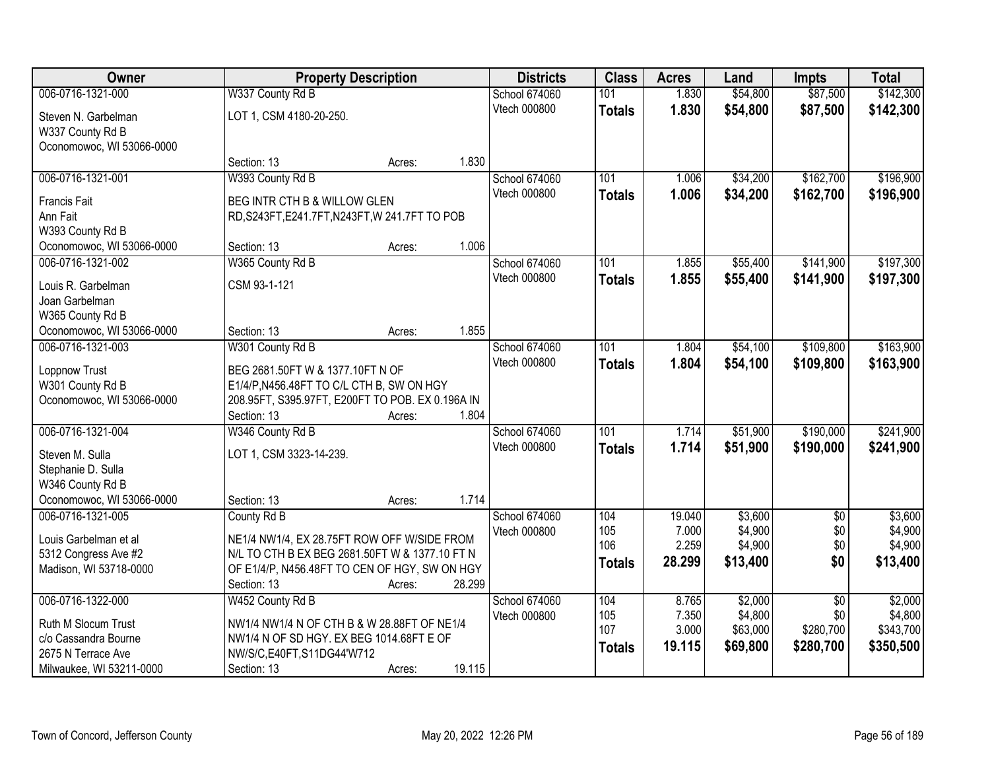| Owner                           |                                                  | <b>Property Description</b> |        |                      | <b>Class</b>  | <b>Acres</b> | Land     | <b>Impts</b>    | <b>Total</b> |
|---------------------------------|--------------------------------------------------|-----------------------------|--------|----------------------|---------------|--------------|----------|-----------------|--------------|
| 006-0716-1321-000               | W337 County Rd B                                 |                             |        | <b>School 674060</b> | 101           | 1.830        | \$54,800 | \$87,500        | \$142,300    |
| Steven N. Garbelman             | LOT 1, CSM 4180-20-250.                          |                             |        | Vtech 000800         | <b>Totals</b> | 1.830        | \$54,800 | \$87,500        | \$142,300    |
| W337 County Rd B                |                                                  |                             |        |                      |               |              |          |                 |              |
| Oconomowoc, WI 53066-0000       |                                                  |                             |        |                      |               |              |          |                 |              |
|                                 | Section: 13                                      | Acres:                      | 1.830  |                      |               |              |          |                 |              |
| 006-0716-1321-001               | W393 County Rd B                                 |                             |        | <b>School 674060</b> | 101           | 1.006        | \$34,200 | \$162,700       | \$196,900    |
|                                 |                                                  |                             |        | Vtech 000800         | <b>Totals</b> | 1.006        | \$34,200 | \$162,700       | \$196,900    |
| <b>Francis Fait</b><br>Ann Fait | BEG INTR CTH B & WILLOW GLEN                     |                             |        |                      |               |              |          |                 |              |
| W393 County Rd B                | RD, S243FT, E241.7FT, N243FT, W 241.7FT TO POB   |                             |        |                      |               |              |          |                 |              |
| Oconomowoc, WI 53066-0000       | Section: 13                                      | Acres:                      | 1.006  |                      |               |              |          |                 |              |
| 006-0716-1321-002               | W365 County Rd B                                 |                             |        | School 674060        | 101           | 1.855        | \$55,400 | \$141,900       | \$197,300    |
|                                 |                                                  |                             |        | Vtech 000800         |               |              |          |                 |              |
| Louis R. Garbelman              | CSM 93-1-121                                     |                             |        |                      | <b>Totals</b> | 1.855        | \$55,400 | \$141,900       | \$197,300    |
| Joan Garbelman                  |                                                  |                             |        |                      |               |              |          |                 |              |
| W365 County Rd B                |                                                  |                             |        |                      |               |              |          |                 |              |
| Oconomowoc, WI 53066-0000       | Section: 13                                      | Acres:                      | 1.855  |                      |               |              |          |                 |              |
| 006-0716-1321-003               | W301 County Rd B                                 |                             |        | School 674060        | 101           | 1.804        | \$54,100 | \$109,800       | \$163,900    |
| Loppnow Trust                   | BEG 2681.50FT W & 1377.10FT N OF                 |                             |        | Vtech 000800         | <b>Totals</b> | 1.804        | \$54,100 | \$109,800       | \$163,900    |
| W301 County Rd B                | E1/4/P, N456.48FT TO C/L CTH B, SW ON HGY        |                             |        |                      |               |              |          |                 |              |
| Oconomowoc, WI 53066-0000       | 208.95FT, S395.97FT, E200FT TO POB. EX 0.196A IN |                             |        |                      |               |              |          |                 |              |
|                                 | Section: 13                                      | Acres:                      | 1.804  |                      |               |              |          |                 |              |
| 006-0716-1321-004               | W346 County Rd B                                 |                             |        | School 674060        | 101           | 1.714        | \$51,900 | \$190,000       | \$241,900    |
|                                 |                                                  |                             |        | <b>Vtech 000800</b>  | <b>Totals</b> | 1.714        | \$51,900 | \$190,000       | \$241,900    |
| Steven M. Sulla                 | LOT 1, CSM 3323-14-239.                          |                             |        |                      |               |              |          |                 |              |
| Stephanie D. Sulla              |                                                  |                             |        |                      |               |              |          |                 |              |
| W346 County Rd B                |                                                  |                             |        |                      |               |              |          |                 |              |
| Oconomowoc, WI 53066-0000       | Section: 13                                      | Acres:                      | 1.714  |                      |               |              |          |                 |              |
| 006-0716-1321-005               | County Rd B                                      |                             |        | School 674060        | 104           | 19.040       | \$3,600  | $\overline{50}$ | \$3,600      |
| Louis Garbelman et al           | NE1/4 NW1/4, EX 28.75FT ROW OFF W/SIDE FROM      |                             |        | Vtech 000800         | 105           | 7.000        | \$4,900  | \$0             | \$4,900      |
| 5312 Congress Ave #2            | N/L TO CTH B EX BEG 2681.50FT W & 1377.10 FT N   |                             |        |                      | 106           | 2.259        | \$4,900  | \$0             | \$4,900      |
| Madison, WI 53718-0000          | OF E1/4/P, N456.48FT TO CEN OF HGY, SW ON HGY    |                             |        |                      | <b>Totals</b> | 28.299       | \$13,400 | \$0             | \$13,400     |
|                                 | Section: 13                                      | Acres:                      | 28.299 |                      |               |              |          |                 |              |
| 006-0716-1322-000               | W452 County Rd B                                 |                             |        | School 674060        | 104           | 8.765        | \$2,000  | $\overline{50}$ | \$2,000      |
|                                 |                                                  |                             |        | Vtech 000800         | 105           | 7.350        | \$4,800  | \$0             | \$4,800      |
| Ruth M Slocum Trust             | NW1/4 NW1/4 N OF CTH B & W 28.88FT OF NE1/4      |                             |        |                      | 107           | 3.000        | \$63,000 | \$280,700       | \$343,700    |
| c/o Cassandra Bourne            | NW1/4 N OF SD HGY. EX BEG 1014.68FT E OF         |                             |        |                      | <b>Totals</b> | 19.115       | \$69,800 | \$280,700       | \$350,500    |
| 2675 N Terrace Ave              | NW/S/C,E40FT,S11DG44'W712                        |                             | 19.115 |                      |               |              |          |                 |              |
| Milwaukee, WI 53211-0000        | Section: 13                                      | Acres:                      |        |                      |               |              |          |                 |              |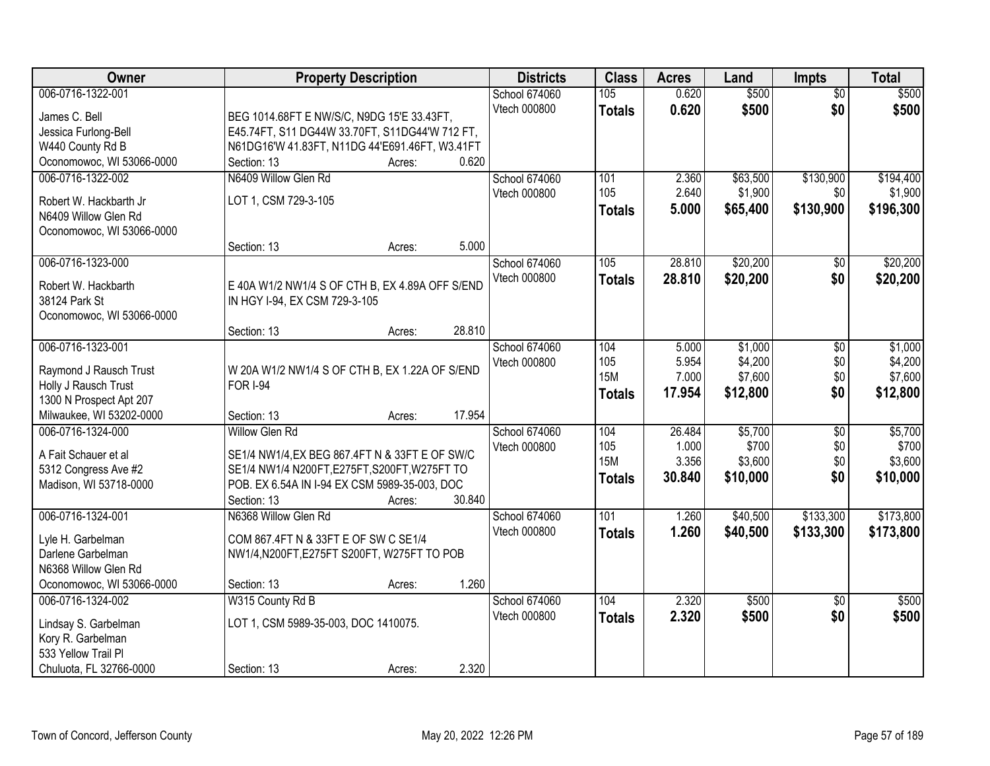| Owner                                           | <b>Property Description</b>                     |        | <b>Districts</b>     | <b>Class</b>  | <b>Acres</b> | Land     | <b>Impts</b>    | <b>Total</b> |
|-------------------------------------------------|-------------------------------------------------|--------|----------------------|---------------|--------------|----------|-----------------|--------------|
| 006-0716-1322-001                               |                                                 |        | <b>School 674060</b> | 105           | 0.620        | \$500    | $\overline{50}$ | \$500        |
| James C. Bell                                   | BEG 1014.68FT E NW/S/C, N9DG 15'E 33.43FT,      |        | Vtech 000800         | <b>Totals</b> | 0.620        | \$500    | \$0             | \$500        |
| Jessica Furlong-Bell                            | E45.74FT, S11 DG44W 33.70FT, S11DG44'W 712 FT,  |        |                      |               |              |          |                 |              |
| W440 County Rd B                                | N61DG16'W 41.83FT, N11DG 44'E691.46FT, W3.41FT  |        |                      |               |              |          |                 |              |
| Oconomowoc, WI 53066-0000                       | Section: 13                                     | Acres: | 0.620                |               |              |          |                 |              |
| 006-0716-1322-002                               | N6409 Willow Glen Rd                            |        | School 674060        | 101           | 2.360        | \$63,500 | \$130,900       | \$194,400    |
| Robert W. Hackbarth Jr                          | LOT 1, CSM 729-3-105                            |        | Vtech 000800         | 105           | 2.640        | \$1,900  | \$0             | \$1,900      |
| N6409 Willow Glen Rd                            |                                                 |        |                      | Totals        | 5.000        | \$65,400 | \$130,900       | \$196,300    |
| Oconomowoc, WI 53066-0000                       |                                                 |        |                      |               |              |          |                 |              |
|                                                 | Section: 13                                     | Acres: | 5.000                |               |              |          |                 |              |
| 006-0716-1323-000                               |                                                 |        | School 674060        | 105           | 28.810       | \$20,200 | $\sqrt[6]{3}$   | \$20,200     |
| Robert W. Hackbarth                             | E 40A W1/2 NW1/4 S OF CTH B, EX 4.89A OFF S/END |        | Vtech 000800         | <b>Totals</b> | 28.810       | \$20,200 | \$0             | \$20,200     |
| 38124 Park St                                   | IN HGY I-94, EX CSM 729-3-105                   |        |                      |               |              |          |                 |              |
| Oconomowoc, WI 53066-0000                       |                                                 |        |                      |               |              |          |                 |              |
|                                                 | Section: 13                                     | Acres: | 28.810               |               |              |          |                 |              |
| 006-0716-1323-001                               |                                                 |        | School 674060        | 104           | 5.000        | \$1,000  | \$0             | \$1,000      |
|                                                 |                                                 |        | Vtech 000800         | 105           | 5.954        | \$4,200  | \$0             | \$4,200      |
| Raymond J Rausch Trust                          | W 20A W1/2 NW1/4 S OF CTH B, EX 1.22A OF S/END  |        |                      | <b>15M</b>    | 7.000        | \$7,600  | \$0             | \$7,600      |
| Holly J Rausch Trust<br>1300 N Prospect Apt 207 | <b>FOR I-94</b>                                 |        |                      | <b>Totals</b> | 17.954       | \$12,800 | \$0             | \$12,800     |
| Milwaukee, WI 53202-0000                        | Section: 13                                     | Acres: | 17.954               |               |              |          |                 |              |
| 006-0716-1324-000                               | <b>Willow Glen Rd</b>                           |        | School 674060        | 104           | 26.484       | \$5,700  | \$0             | \$5,700      |
|                                                 |                                                 |        | Vtech 000800         | 105           | 1.000        | \$700    | \$0             | \$700        |
| A Fait Schauer et al                            | SE1/4 NW1/4, EX BEG 867.4FT N & 33FT E OF SW/C  |        |                      | <b>15M</b>    | 3.356        | \$3,600  | \$0             | \$3,600      |
| 5312 Congress Ave #2                            | SE1/4 NW1/4 N200FT, E275FT, S200FT, W275FT TO   |        |                      | <b>Totals</b> | 30.840       | \$10,000 | \$0             | \$10,000     |
| Madison, WI 53718-0000                          | POB. EX 6.54A IN I-94 EX CSM 5989-35-003, DOC   |        |                      |               |              |          |                 |              |
|                                                 | Section: 13                                     | Acres: | 30.840               |               |              |          |                 |              |
| 006-0716-1324-001                               | N6368 Willow Glen Rd                            |        | School 674060        | 101           | 1.260        | \$40,500 | \$133,300       | \$173,800    |
| Lyle H. Garbelman                               | COM 867.4FT N & 33FT E OF SW C SE1/4            |        | Vtech 000800         | <b>Totals</b> | 1.260        | \$40,500 | \$133,300       | \$173,800    |
| Darlene Garbelman                               | NW1/4, N200FT, E275FT S200FT, W275FT TO POB     |        |                      |               |              |          |                 |              |
| N6368 Willow Glen Rd                            |                                                 |        |                      |               |              |          |                 |              |
| Oconomowoc, WI 53066-0000                       | Section: 13                                     | Acres: | 1.260                |               |              |          |                 |              |
| 006-0716-1324-002                               | W315 County Rd B                                |        | School 674060        | 104           | 2.320        | \$500    | $\overline{30}$ | \$500        |
| Lindsay S. Garbelman                            | LOT 1, CSM 5989-35-003, DOC 1410075.            |        | Vtech 000800         | <b>Totals</b> | 2.320        | \$500    | \$0             | \$500        |
| Kory R. Garbelman                               |                                                 |        |                      |               |              |          |                 |              |
| 533 Yellow Trail Pl                             |                                                 |        |                      |               |              |          |                 |              |
| Chuluota, FL 32766-0000                         | Section: 13                                     | Acres: | 2.320                |               |              |          |                 |              |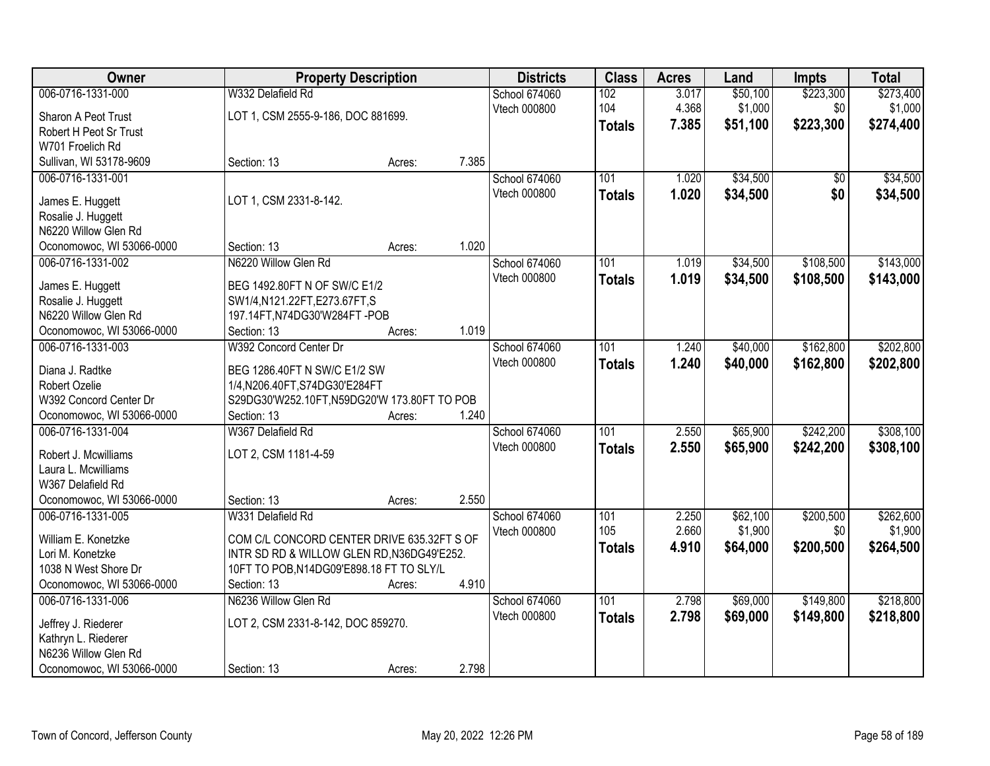| Owner                     | <b>Property Description</b>                  |        | <b>Districts</b> | <b>Class</b>  | <b>Acres</b>  | Land  | <b>Impts</b> | <b>Total</b> |           |
|---------------------------|----------------------------------------------|--------|------------------|---------------|---------------|-------|--------------|--------------|-----------|
| 006-0716-1331-000         | W332 Delafield Rd                            |        |                  | School 674060 | 102           | 3.017 | \$50,100     | \$223,300    | \$273,400 |
| Sharon A Peot Trust       | LOT 1, CSM 2555-9-186, DOC 881699.           |        |                  | Vtech 000800  | 104           | 4.368 | \$1,000      | \$0          | \$1,000   |
| Robert H Peot Sr Trust    |                                              |        |                  |               | <b>Totals</b> | 7.385 | \$51,100     | \$223,300    | \$274,400 |
| W701 Froelich Rd          |                                              |        |                  |               |               |       |              |              |           |
| Sullivan, WI 53178-9609   | Section: 13                                  | Acres: | 7.385            |               |               |       |              |              |           |
| 006-0716-1331-001         |                                              |        |                  | School 674060 | 101           | 1.020 | \$34,500     | \$0          | \$34,500  |
|                           |                                              |        |                  | Vtech 000800  | <b>Totals</b> | 1.020 | \$34,500     | \$0          | \$34,500  |
| James E. Huggett          | LOT 1, CSM 2331-8-142.                       |        |                  |               |               |       |              |              |           |
| Rosalie J. Huggett        |                                              |        |                  |               |               |       |              |              |           |
| N6220 Willow Glen Rd      |                                              |        | 1.020            |               |               |       |              |              |           |
| Oconomowoc, WI 53066-0000 | Section: 13                                  | Acres: |                  |               |               |       |              |              |           |
| 006-0716-1331-002         | N6220 Willow Glen Rd                         |        |                  | School 674060 | 101           | 1.019 | \$34,500     | \$108,500    | \$143,000 |
| James E. Huggett          | BEG 1492.80FT N OF SW/C E1/2                 |        |                  | Vtech 000800  | <b>Totals</b> | 1.019 | \$34,500     | \$108,500    | \$143,000 |
| Rosalie J. Huggett        | SW1/4,N121.22FT,E273.67FT,S                  |        |                  |               |               |       |              |              |           |
| N6220 Willow Glen Rd      | 197.14FT, N74DG30'W284FT-POB                 |        |                  |               |               |       |              |              |           |
| Oconomowoc, WI 53066-0000 | Section: 13                                  | Acres: | 1.019            |               |               |       |              |              |           |
| 006-0716-1331-003         | W392 Concord Center Dr                       |        |                  | School 674060 | 101           | 1.240 | \$40,000     | \$162,800    | \$202,800 |
| Diana J. Radtke           | BEG 1286.40FT N SW/C E1/2 SW                 |        |                  | Vtech 000800  | <b>Totals</b> | 1.240 | \$40,000     | \$162,800    | \$202,800 |
| Robert Ozelie             | 1/4, N206.40FT, S74DG30'E284FT               |        |                  |               |               |       |              |              |           |
| W392 Concord Center Dr    | S29DG30'W252.10FT, N59DG20'W 173.80FT TO POB |        |                  |               |               |       |              |              |           |
| Oconomowoc, WI 53066-0000 | Section: 13                                  | Acres: | 1.240            |               |               |       |              |              |           |
| 006-0716-1331-004         | W367 Delafield Rd                            |        |                  | School 674060 | 101           | 2.550 | \$65,900     | \$242,200    | \$308,100 |
|                           |                                              |        |                  | Vtech 000800  |               | 2.550 | \$65,900     | \$242,200    | \$308,100 |
| Robert J. Mcwilliams      | LOT 2, CSM 1181-4-59                         |        |                  |               | <b>Totals</b> |       |              |              |           |
| Laura L. Mcwilliams       |                                              |        |                  |               |               |       |              |              |           |
| W367 Delafield Rd         |                                              |        |                  |               |               |       |              |              |           |
| Oconomowoc, WI 53066-0000 | Section: 13                                  | Acres: | 2.550            |               |               |       |              |              |           |
| 006-0716-1331-005         | W331 Delafield Rd                            |        |                  | School 674060 | 101           | 2.250 | \$62,100     | \$200,500    | \$262,600 |
| William E. Konetzke       | COM C/L CONCORD CENTER DRIVE 635.32FT S OF   |        |                  | Vtech 000800  | 105           | 2.660 | \$1,900      | \$0          | \$1,900   |
| Lori M. Konetzke          | INTR SD RD & WILLOW GLEN RD, N36DG49'E252.   |        |                  |               | <b>Totals</b> | 4.910 | \$64,000     | \$200,500    | \$264,500 |
| 1038 N West Shore Dr      | 10FT TO POB, N14DG09'E898.18 FT TO SLY/L     |        |                  |               |               |       |              |              |           |
| Oconomowoc, WI 53066-0000 | Section: 13                                  | Acres: | 4.910            |               |               |       |              |              |           |
| 006-0716-1331-006         | N6236 Willow Glen Rd                         |        |                  | School 674060 | 101           | 2.798 | \$69,000     | \$149,800    | \$218,800 |
|                           |                                              |        |                  | Vtech 000800  | <b>Totals</b> | 2.798 | \$69,000     | \$149,800    | \$218,800 |
| Jeffrey J. Riederer       | LOT 2, CSM 2331-8-142, DOC 859270.           |        |                  |               |               |       |              |              |           |
| Kathryn L. Riederer       |                                              |        |                  |               |               |       |              |              |           |
| N6236 Willow Glen Rd      |                                              |        |                  |               |               |       |              |              |           |
| Oconomowoc, WI 53066-0000 | Section: 13                                  | Acres: | 2.798            |               |               |       |              |              |           |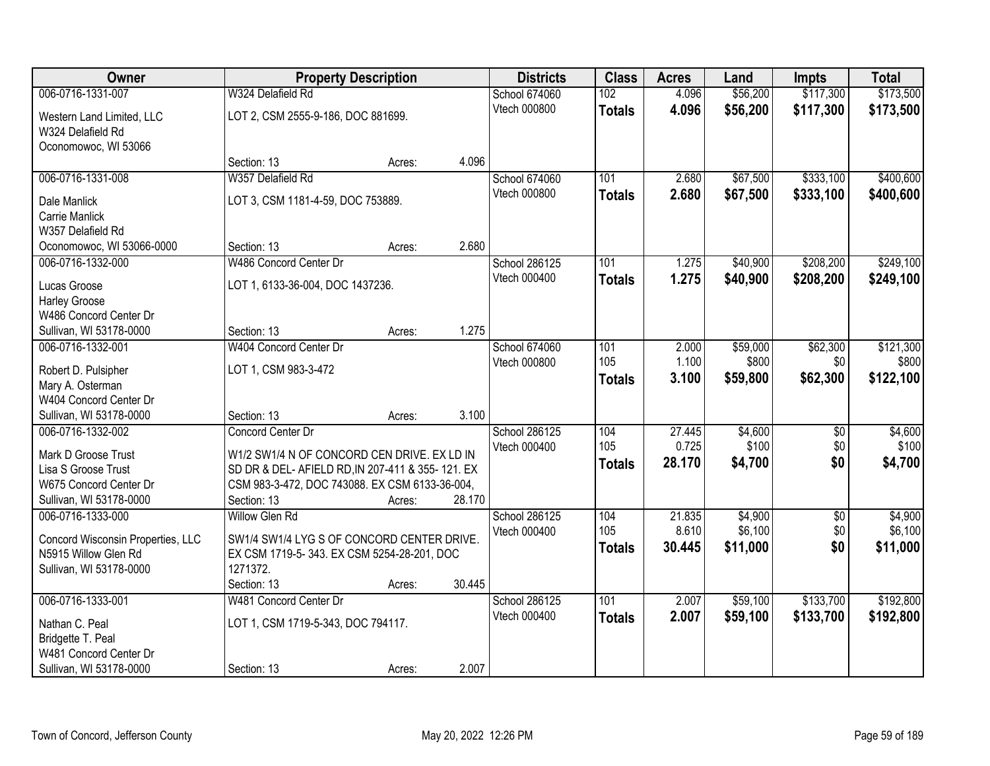| Owner                             | <b>Property Description</b>                      |        | <b>Districts</b> | <b>Class</b>         | <b>Acres</b>  | Land   | <b>Impts</b> | <b>Total</b>    |           |
|-----------------------------------|--------------------------------------------------|--------|------------------|----------------------|---------------|--------|--------------|-----------------|-----------|
| 006-0716-1331-007                 | W324 Delafield Rd                                |        |                  | <b>School 674060</b> | 102           | 4.096  | \$56,200     | \$117,300       | \$173,500 |
| Western Land Limited, LLC         | LOT 2, CSM 2555-9-186, DOC 881699.               |        |                  | Vtech 000800         | <b>Totals</b> | 4.096  | \$56,200     | \$117,300       | \$173,500 |
| W324 Delafield Rd                 |                                                  |        |                  |                      |               |        |              |                 |           |
| Oconomowoc, WI 53066              |                                                  |        |                  |                      |               |        |              |                 |           |
|                                   | Section: 13                                      | Acres: | 4.096            |                      |               |        |              |                 |           |
| 006-0716-1331-008                 | W357 Delafield Rd                                |        |                  | School 674060        | 101           | 2.680  | \$67,500     | \$333,100       | \$400,600 |
| Dale Manlick                      | LOT 3, CSM 1181-4-59, DOC 753889.                |        |                  | Vtech 000800         | <b>Totals</b> | 2.680  | \$67,500     | \$333,100       | \$400,600 |
| <b>Carrie Manlick</b>             |                                                  |        |                  |                      |               |        |              |                 |           |
| W357 Delafield Rd                 |                                                  |        |                  |                      |               |        |              |                 |           |
| Oconomowoc, WI 53066-0000         | Section: 13                                      | Acres: | 2.680            |                      |               |        |              |                 |           |
| 006-0716-1332-000                 | W486 Concord Center Dr                           |        |                  | <b>School 286125</b> | 101           | 1.275  | \$40,900     | \$208,200       | \$249,100 |
| Lucas Groose                      | LOT 1, 6133-36-004, DOC 1437236.                 |        |                  | Vtech 000400         | <b>Totals</b> | 1.275  | \$40,900     | \$208,200       | \$249,100 |
| <b>Harley Groose</b>              |                                                  |        |                  |                      |               |        |              |                 |           |
| W486 Concord Center Dr            |                                                  |        |                  |                      |               |        |              |                 |           |
| Sullivan, WI 53178-0000           | Section: 13                                      | Acres: | 1.275            |                      |               |        |              |                 |           |
| 006-0716-1332-001                 | W404 Concord Center Dr                           |        |                  | School 674060        | 101           | 2.000  | \$59,000     | \$62,300        | \$121,300 |
| Robert D. Pulsipher               | LOT 1, CSM 983-3-472                             |        |                  | Vtech 000800         | 105           | 1.100  | \$800        | \$0             | \$800     |
| Mary A. Osterman                  |                                                  |        |                  |                      | <b>Totals</b> | 3.100  | \$59,800     | \$62,300        | \$122,100 |
| W404 Concord Center Dr            |                                                  |        |                  |                      |               |        |              |                 |           |
| Sullivan, WI 53178-0000           | Section: 13                                      | Acres: | 3.100            |                      |               |        |              |                 |           |
| 006-0716-1332-002                 | Concord Center Dr                                |        |                  | School 286125        | 104           | 27.445 | \$4,600      | $\overline{50}$ | \$4,600   |
| Mark D Groose Trust               | W1/2 SW1/4 N OF CONCORD CEN DRIVE. EX LD IN      |        |                  | Vtech 000400         | 105           | 0.725  | \$100        | \$0             | \$100     |
| Lisa S Groose Trust               | SD DR & DEL- AFIELD RD, IN 207-411 & 355-121. EX |        |                  |                      | <b>Totals</b> | 28.170 | \$4,700      | \$0             | \$4,700   |
| W675 Concord Center Dr            | CSM 983-3-472, DOC 743088. EX CSM 6133-36-004,   |        |                  |                      |               |        |              |                 |           |
| Sullivan, WI 53178-0000           | Section: 13                                      | Acres: | 28.170           |                      |               |        |              |                 |           |
| 006-0716-1333-000                 | <b>Willow Glen Rd</b>                            |        |                  | School 286125        | 104           | 21.835 | \$4,900      | $\sqrt{$0}$     | \$4,900   |
| Concord Wisconsin Properties, LLC | SW1/4 SW1/4 LYG S OF CONCORD CENTER DRIVE.       |        |                  | Vtech 000400         | 105           | 8.610  | \$6,100      | \$0             | \$6,100   |
| N5915 Willow Glen Rd              | EX CSM 1719-5-343. EX CSM 5254-28-201, DOC       |        |                  |                      | <b>Totals</b> | 30.445 | \$11,000     | \$0             | \$11,000  |
| Sullivan, WI 53178-0000           | 1271372.                                         |        |                  |                      |               |        |              |                 |           |
|                                   | Section: 13                                      | Acres: | 30.445           |                      |               |        |              |                 |           |
| 006-0716-1333-001                 | W481 Concord Center Dr                           |        |                  | <b>School 286125</b> | 101           | 2.007  | \$59,100     | \$133,700       | \$192,800 |
| Nathan C. Peal                    | LOT 1, CSM 1719-5-343, DOC 794117.               |        |                  | Vtech 000400         | <b>Totals</b> | 2.007  | \$59,100     | \$133,700       | \$192,800 |
| Bridgette T. Peal                 |                                                  |        |                  |                      |               |        |              |                 |           |
| W481 Concord Center Dr            |                                                  |        |                  |                      |               |        |              |                 |           |
| Sullivan, WI 53178-0000           | Section: 13                                      | Acres: | 2.007            |                      |               |        |              |                 |           |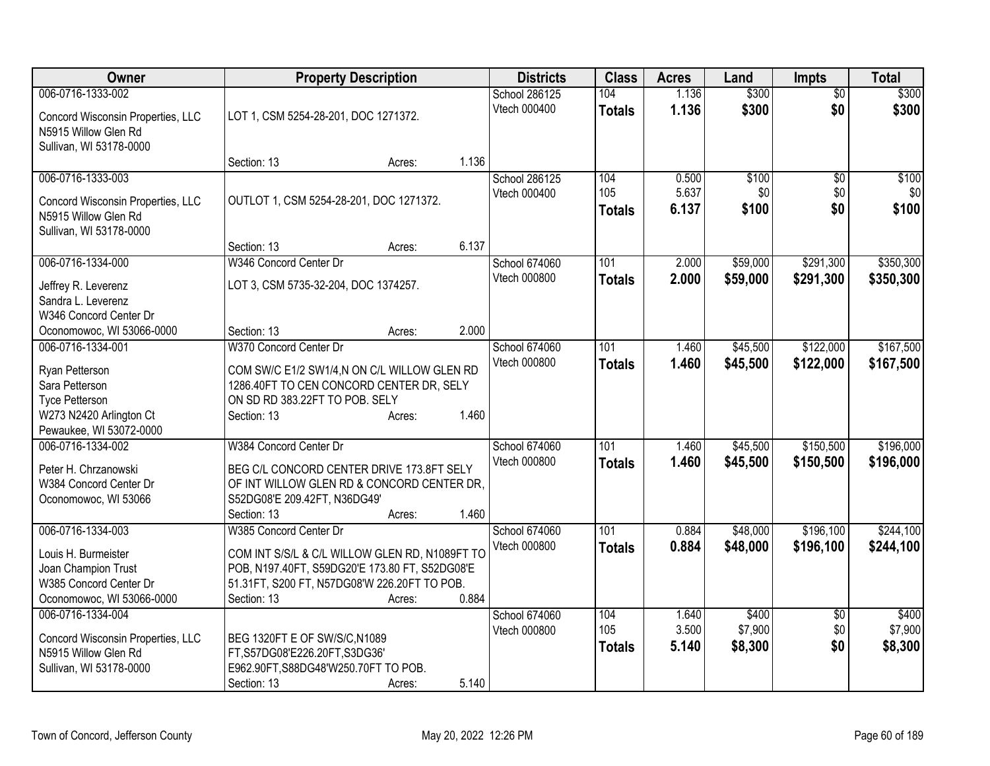| Owner                                        | <b>Property Description</b>                    | <b>Districts</b> | <b>Class</b>                  | <b>Acres</b>  | Land           | <b>Impts</b>     | <b>Total</b>           |                  |
|----------------------------------------------|------------------------------------------------|------------------|-------------------------------|---------------|----------------|------------------|------------------------|------------------|
| 006-0716-1333-002                            |                                                |                  | School 286125                 | 104           | 1.136          | \$300            | $\overline{50}$        | \$300            |
| Concord Wisconsin Properties, LLC            | LOT 1, CSM 5254-28-201, DOC 1271372.           |                  | Vtech 000400                  | <b>Totals</b> | 1.136          | \$300            | \$0                    | \$300            |
| N5915 Willow Glen Rd                         |                                                |                  |                               |               |                |                  |                        |                  |
| Sullivan, WI 53178-0000                      |                                                |                  |                               |               |                |                  |                        |                  |
|                                              | Section: 13                                    | Acres:           | 1.136                         |               |                |                  |                        |                  |
| 006-0716-1333-003                            |                                                |                  | School 286125                 | 104           | 0.500          | \$100            | \$0                    | \$100            |
| Concord Wisconsin Properties, LLC            | OUTLOT 1, CSM 5254-28-201, DOC 1271372.        |                  | Vtech 000400                  | 105           | 5.637<br>6.137 | \$0<br>\$100     | \$0<br>\$0             | \$0<br>\$100     |
| N5915 Willow Glen Rd                         |                                                |                  |                               | <b>Totals</b> |                |                  |                        |                  |
| Sullivan, WI 53178-0000                      |                                                |                  |                               |               |                |                  |                        |                  |
|                                              | Section: 13                                    | Acres:           | 6.137                         |               |                |                  |                        |                  |
| 006-0716-1334-000                            | W346 Concord Center Dr                         |                  | School 674060                 | 101           | 2.000          | \$59,000         | \$291,300              | \$350,300        |
| Jeffrey R. Leverenz                          | LOT 3, CSM 5735-32-204, DOC 1374257.           |                  | Vtech 000800                  | <b>Totals</b> | 2.000          | \$59,000         | \$291,300              | \$350,300        |
| Sandra L. Leverenz                           |                                                |                  |                               |               |                |                  |                        |                  |
| W346 Concord Center Dr                       |                                                |                  |                               |               |                |                  |                        |                  |
| Oconomowoc, WI 53066-0000                    | Section: 13                                    | Acres:           | 2.000                         |               |                |                  |                        |                  |
| 006-0716-1334-001                            | W370 Concord Center Dr                         |                  | School 674060                 | 101           | 1.460          | \$45,500         | \$122,000              | \$167,500        |
| Ryan Petterson                               | COM SW/C E1/2 SW1/4,N ON C/L WILLOW GLEN RD    |                  | Vtech 000800                  | <b>Totals</b> | 1.460          | \$45,500         | \$122,000              | \$167,500        |
| Sara Petterson                               | 1286.40FT TO CEN CONCORD CENTER DR, SELY       |                  |                               |               |                |                  |                        |                  |
| <b>Tyce Petterson</b>                        | ON SD RD 383.22FT TO POB. SELY                 |                  |                               |               |                |                  |                        |                  |
| W273 N2420 Arlington Ct                      | Section: 13                                    | Acres:           | 1.460                         |               |                |                  |                        |                  |
| Pewaukee, WI 53072-0000<br>006-0716-1334-002 | W384 Concord Center Dr                         |                  |                               | 101           |                |                  |                        | \$196,000        |
|                                              |                                                |                  | School 674060<br>Vtech 000800 |               | 1.460          | \$45,500         | \$150,500              |                  |
| Peter H. Chrzanowski                         | BEG C/L CONCORD CENTER DRIVE 173.8FT SELY      |                  |                               | <b>Totals</b> | 1.460          | \$45,500         | \$150,500              | \$196,000        |
| W384 Concord Center Dr                       | OF INT WILLOW GLEN RD & CONCORD CENTER DR.     |                  |                               |               |                |                  |                        |                  |
| Oconomowoc, WI 53066                         | S52DG08'E 209.42FT, N36DG49'                   |                  |                               |               |                |                  |                        |                  |
|                                              | Section: 13                                    | Acres:           | 1.460                         |               |                |                  |                        |                  |
| 006-0716-1334-003                            | W385 Concord Center Dr                         |                  | School 674060<br>Vtech 000800 | 101           | 0.884          | \$48,000         | \$196,100              | \$244,100        |
| Louis H. Burmeister                          | COM INT S/S/L & C/L WILLOW GLEN RD, N1089FT TO |                  |                               | <b>Totals</b> | 0.884          | \$48,000         | \$196,100              | \$244,100        |
| Joan Champion Trust                          | POB, N197.40FT, S59DG20'E 173.80 FT, S52DG08'E |                  |                               |               |                |                  |                        |                  |
| W385 Concord Center Dr                       | 51.31FT, S200 FT, N57DG08'W 226.20FT TO POB.   |                  |                               |               |                |                  |                        |                  |
| Oconomowoc, WI 53066-0000                    | Section: 13                                    | Acres:           | 0.884                         |               |                |                  |                        |                  |
| 006-0716-1334-004                            |                                                |                  | School 674060<br>Vtech 000800 | 104<br>105    | 1.640<br>3.500 | \$400<br>\$7,900 | $\overline{50}$<br>\$0 | \$400<br>\$7,900 |
| Concord Wisconsin Properties, LLC            | BEG 1320FT E OF SW/S/C, N1089                  |                  |                               | <b>Totals</b> | 5.140          | \$8,300          | \$0                    | \$8,300          |
| N5915 Willow Glen Rd                         | FT, S57DG08'E226.20FT, S3DG36'                 |                  |                               |               |                |                  |                        |                  |
| Sullivan, WI 53178-0000                      | E962.90FT, S88DG48'W250.70FT TO POB.           |                  |                               |               |                |                  |                        |                  |
|                                              | Section: 13                                    | Acres:           | 5.140                         |               |                |                  |                        |                  |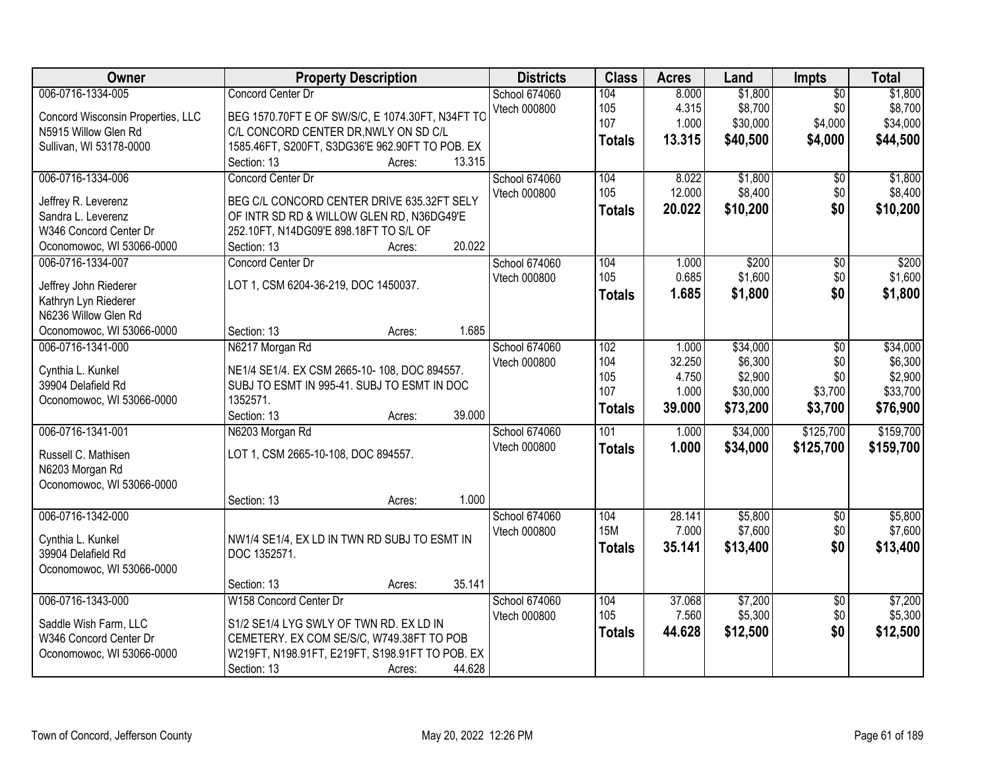| Owner                             | <b>Property Description</b>                      | <b>Districts</b> | <b>Class</b>     | <b>Acres</b> | Land     | <b>Impts</b>    | <b>Total</b> |
|-----------------------------------|--------------------------------------------------|------------------|------------------|--------------|----------|-----------------|--------------|
| 006-0716-1334-005                 | Concord Center Dr                                | School 674060    | 104              | 8.000        | \$1,800  | $\overline{50}$ | \$1,800      |
| Concord Wisconsin Properties, LLC | BEG 1570.70FT E OF SW/S/C, E 1074.30FT, N34FT TO | Vtech 000800     | 105              | 4.315        | \$8,700  | \$0             | \$8,700      |
| N5915 Willow Glen Rd              | C/L CONCORD CENTER DR, NWLY ON SD C/L            |                  | 107              | 1.000        | \$30,000 | \$4,000         | \$34,000     |
| Sullivan, WI 53178-0000           | 1585.46FT, S200FT, S3DG36'E 962.90FT TO POB. EX  |                  | <b>Totals</b>    | 13.315       | \$40,500 | \$4,000         | \$44,500     |
|                                   | 13.315<br>Section: 13<br>Acres:                  |                  |                  |              |          |                 |              |
| 006-0716-1334-006                 | Concord Center Dr                                | School 674060    | 104              | 8.022        | \$1,800  | \$0             | \$1,800      |
| Jeffrey R. Leverenz               | BEG C/L CONCORD CENTER DRIVE 635.32FT SELY       | Vtech 000800     | 105              | 12.000       | \$8,400  | \$0             | \$8,400      |
| Sandra L. Leverenz                | OF INTR SD RD & WILLOW GLEN RD, N36DG49'E        |                  | <b>Totals</b>    | 20.022       | \$10,200 | \$0             | \$10,200     |
| W346 Concord Center Dr            | 252.10FT, N14DG09'E 898.18FT TO S/L OF           |                  |                  |              |          |                 |              |
| Oconomowoc, WI 53066-0000         | 20.022<br>Section: 13<br>Acres:                  |                  |                  |              |          |                 |              |
| 006-0716-1334-007                 | Concord Center Dr                                | School 674060    | 104              | 1.000        | \$200    | $\sqrt[6]{}$    | \$200        |
|                                   |                                                  | Vtech 000800     | 105              | 0.685        | \$1,600  | \$0             | \$1,600      |
| Jeffrey John Riederer             | LOT 1, CSM 6204-36-219, DOC 1450037.             |                  | <b>Totals</b>    | 1.685        | \$1,800  | \$0             | \$1,800      |
| Kathryn Lyn Riederer              |                                                  |                  |                  |              |          |                 |              |
| N6236 Willow Glen Rd              |                                                  |                  |                  |              |          |                 |              |
| Oconomowoc, WI 53066-0000         | 1.685<br>Section: 13<br>Acres:                   |                  |                  |              |          |                 |              |
| 006-0716-1341-000                 | N6217 Morgan Rd                                  | School 674060    | 102              | 1.000        | \$34,000 | \$0             | \$34,000     |
| Cynthia L. Kunkel                 | NE1/4 SE1/4. EX CSM 2665-10-108, DOC 894557.     | Vtech 000800     | 104              | 32.250       | \$6,300  | \$0             | \$6,300      |
| 39904 Delafield Rd                | SUBJ TO ESMT IN 995-41. SUBJ TO ESMT IN DOC      |                  | 105<br>107       | 4.750        | \$2,900  | \$0             | \$2,900      |
| Oconomowoc, WI 53066-0000         | 1352571.                                         |                  |                  | 1.000        | \$30,000 | \$3,700         | \$33,700     |
|                                   | Section: 13<br>39.000<br>Acres:                  |                  | <b>Totals</b>    | 39.000       | \$73,200 | \$3,700         | \$76,900     |
| 006-0716-1341-001                 | N6203 Morgan Rd                                  | School 674060    | $\overline{101}$ | 1.000        | \$34,000 | \$125,700       | \$159,700    |
| Russell C. Mathisen               | LOT 1, CSM 2665-10-108, DOC 894557.              | Vtech 000800     | <b>Totals</b>    | 1.000        | \$34,000 | \$125,700       | \$159,700    |
| N6203 Morgan Rd                   |                                                  |                  |                  |              |          |                 |              |
| Oconomowoc, WI 53066-0000         |                                                  |                  |                  |              |          |                 |              |
|                                   | 1.000<br>Section: 13<br>Acres:                   |                  |                  |              |          |                 |              |
| 006-0716-1342-000                 |                                                  | School 674060    | 104              | 28.141       | \$5,800  | $\overline{$0}$ | \$5,800      |
|                                   |                                                  | Vtech 000800     | <b>15M</b>       | 7.000        | \$7,600  | \$0             | \$7,600      |
| Cynthia L. Kunkel                 | NW1/4 SE1/4, EX LD IN TWN RD SUBJ TO ESMT IN     |                  | <b>Totals</b>    | 35.141       | \$13,400 | \$0             | \$13,400     |
| 39904 Delafield Rd                | DOC 1352571.                                     |                  |                  |              |          |                 |              |
| Oconomowoc, WI 53066-0000         |                                                  |                  |                  |              |          |                 |              |
|                                   | 35.141<br>Section: 13<br>Acres:                  |                  |                  |              |          |                 |              |
| 006-0716-1343-000                 | W158 Concord Center Dr                           | School 674060    | 104              | 37.068       | \$7,200  | $\overline{60}$ | \$7,200      |
| Saddle Wish Farm, LLC             | S1/2 SE1/4 LYG SWLY OF TWN RD. EX LD IN          | Vtech 000800     | 105              | 7.560        | \$5,300  | \$0             | \$5,300      |
| W346 Concord Center Dr            | CEMETERY. EX COM SE/S/C, W749.38FT TO POB        |                  | <b>Totals</b>    | 44.628       | \$12,500 | \$0             | \$12,500     |
| Oconomowoc, WI 53066-0000         | W219FT, N198.91FT, E219FT, S198.91FT TO POB. EX  |                  |                  |              |          |                 |              |
|                                   | 44.628<br>Section: 13<br>Acres:                  |                  |                  |              |          |                 |              |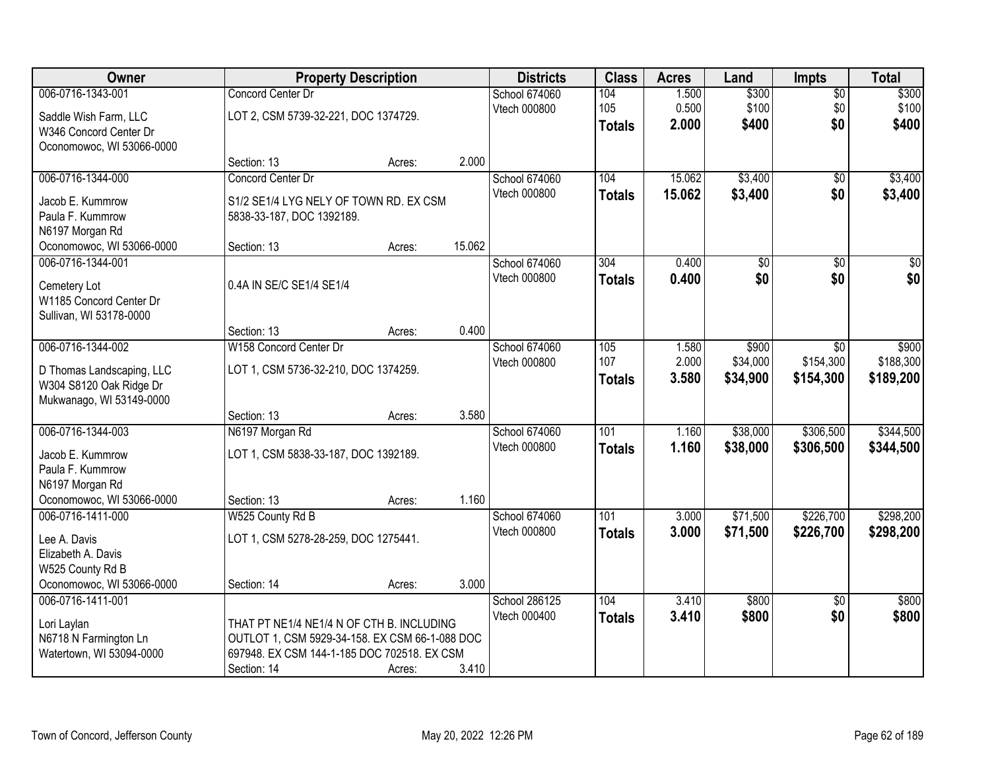| <b>Owner</b>              |                                                | <b>Property Description</b> |        | <b>Districts</b>    | <b>Class</b>  | <b>Acres</b> | Land            | <b>Impts</b>    | <b>Total</b>    |
|---------------------------|------------------------------------------------|-----------------------------|--------|---------------------|---------------|--------------|-----------------|-----------------|-----------------|
| 006-0716-1343-001         | Concord Center Dr                              |                             |        | School 674060       | 104           | 1.500        | \$300           | $\overline{60}$ | \$300           |
| Saddle Wish Farm, LLC     | LOT 2, CSM 5739-32-221, DOC 1374729.           |                             |        | Vtech 000800        | 105           | 0.500        | \$100           | \$0             | \$100           |
| W346 Concord Center Dr    |                                                |                             |        |                     | <b>Totals</b> | 2.000        | \$400           | \$0             | \$400           |
| Oconomowoc, WI 53066-0000 |                                                |                             |        |                     |               |              |                 |                 |                 |
|                           | Section: 13                                    | Acres:                      | 2.000  |                     |               |              |                 |                 |                 |
| 006-0716-1344-000         | Concord Center Dr                              |                             |        | School 674060       | 104           | 15.062       | \$3,400         | $\overline{50}$ | \$3,400         |
| Jacob E. Kummrow          | S1/2 SE1/4 LYG NELY OF TOWN RD. EX CSM         |                             |        | Vtech 000800        | <b>Totals</b> | 15.062       | \$3,400         | \$0             | \$3,400         |
| Paula F. Kummrow          | 5838-33-187, DOC 1392189.                      |                             |        |                     |               |              |                 |                 |                 |
| N6197 Morgan Rd           |                                                |                             |        |                     |               |              |                 |                 |                 |
| Oconomowoc, WI 53066-0000 | Section: 13                                    | Acres:                      | 15.062 |                     |               |              |                 |                 |                 |
| 006-0716-1344-001         |                                                |                             |        | School 674060       | 304           | 0.400        | $\overline{50}$ | $\overline{50}$ | $\overline{30}$ |
| Cemetery Lot              | 0.4A IN SE/C SE1/4 SE1/4                       |                             |        | Vtech 000800        | <b>Totals</b> | 0.400        | \$0             | \$0             | \$0             |
| W1185 Concord Center Dr   |                                                |                             |        |                     |               |              |                 |                 |                 |
| Sullivan, WI 53178-0000   |                                                |                             |        |                     |               |              |                 |                 |                 |
|                           | Section: 13                                    | Acres:                      | 0.400  |                     |               |              |                 |                 |                 |
| 006-0716-1344-002         | W158 Concord Center Dr                         |                             |        | School 674060       | 105           | 1.580        | \$900           | $\overline{50}$ | \$900           |
| D Thomas Landscaping, LLC | LOT 1, CSM 5736-32-210, DOC 1374259.           |                             |        | Vtech 000800        | 107           | 2.000        | \$34,000        | \$154,300       | \$188,300       |
| W304 S8120 Oak Ridge Dr   |                                                |                             |        |                     | <b>Totals</b> | 3.580        | \$34,900        | \$154,300       | \$189,200       |
| Mukwanago, WI 53149-0000  |                                                |                             |        |                     |               |              |                 |                 |                 |
|                           | Section: 13                                    | Acres:                      | 3.580  |                     |               |              |                 |                 |                 |
| 006-0716-1344-003         | N6197 Morgan Rd                                |                             |        | School 674060       | 101           | 1.160        | \$38,000        | \$306,500       | \$344,500       |
| Jacob E. Kummrow          | LOT 1, CSM 5838-33-187, DOC 1392189.           |                             |        | <b>Vtech 000800</b> | <b>Totals</b> | 1.160        | \$38,000        | \$306,500       | \$344,500       |
| Paula F. Kummrow          |                                                |                             |        |                     |               |              |                 |                 |                 |
| N6197 Morgan Rd           |                                                |                             |        |                     |               |              |                 |                 |                 |
| Oconomowoc, WI 53066-0000 | Section: 13                                    | Acres:                      | 1.160  |                     |               |              |                 |                 |                 |
| 006-0716-1411-000         | W525 County Rd B                               |                             |        | School 674060       | 101           | 3.000        | \$71,500        | \$226,700       | \$298,200       |
| Lee A. Davis              | LOT 1, CSM 5278-28-259, DOC 1275441.           |                             |        | Vtech 000800        | <b>Totals</b> | 3.000        | \$71,500        | \$226,700       | \$298,200       |
| Elizabeth A. Davis        |                                                |                             |        |                     |               |              |                 |                 |                 |
| W525 County Rd B          |                                                |                             |        |                     |               |              |                 |                 |                 |
| Oconomowoc, WI 53066-0000 | Section: 14                                    | Acres:                      | 3.000  |                     |               |              |                 |                 |                 |
| 006-0716-1411-001         |                                                |                             |        | School 286125       | 104           | 3.410        | \$800           | $\overline{30}$ | \$800           |
| Lori Laylan               | THAT PT NE1/4 NE1/4 N OF CTH B. INCLUDING      |                             |        | Vtech 000400        | <b>Totals</b> | 3.410        | \$800           | \$0             | \$800           |
| N6718 N Farmington Ln     | OUTLOT 1, CSM 5929-34-158. EX CSM 66-1-088 DOC |                             |        |                     |               |              |                 |                 |                 |
| Watertown, WI 53094-0000  | 697948. EX CSM 144-1-185 DOC 702518. EX CSM    |                             |        |                     |               |              |                 |                 |                 |
|                           | Section: 14                                    | Acres:                      | 3.410  |                     |               |              |                 |                 |                 |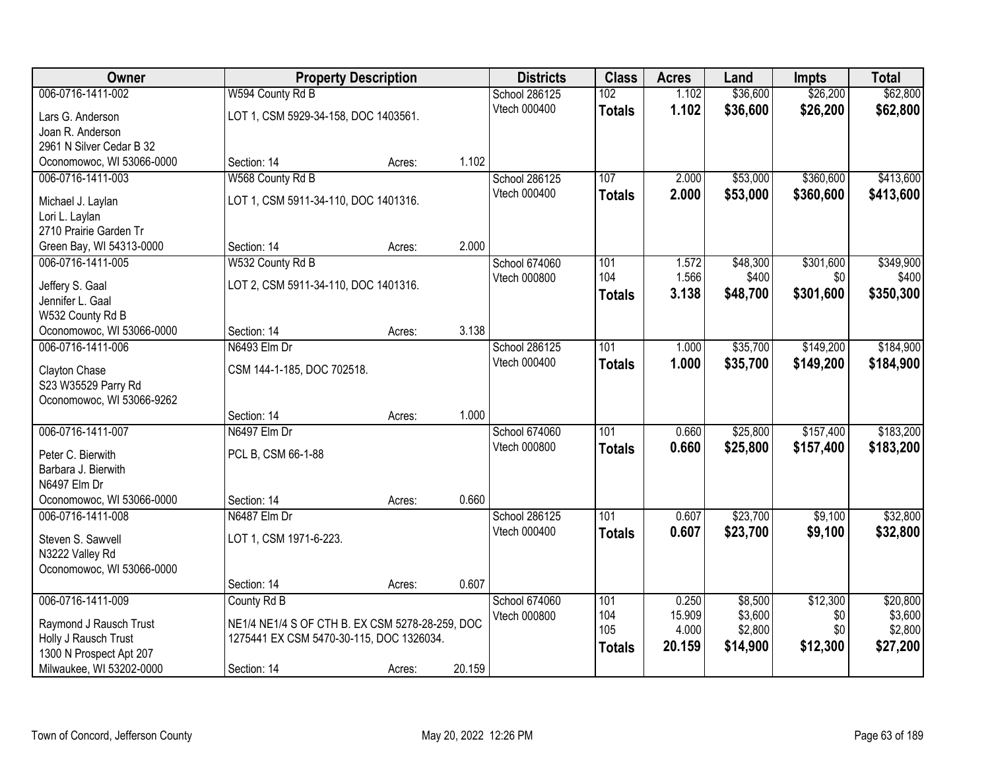| Owner                     |                                                 | <b>Property Description</b> |        | <b>Districts</b>     | <b>Class</b>  | <b>Acres</b> | Land     | Impts     | <b>Total</b> |
|---------------------------|-------------------------------------------------|-----------------------------|--------|----------------------|---------------|--------------|----------|-----------|--------------|
| 006-0716-1411-002         | W594 County Rd B                                |                             |        | <b>School 286125</b> | 102           | 1.102        | \$36,600 | \$26,200  | \$62,800     |
| Lars G. Anderson          | LOT 1, CSM 5929-34-158, DOC 1403561.            |                             |        | Vtech 000400         | <b>Totals</b> | 1.102        | \$36,600 | \$26,200  | \$62,800     |
| Joan R. Anderson          |                                                 |                             |        |                      |               |              |          |           |              |
| 2961 N Silver Cedar B 32  |                                                 |                             |        |                      |               |              |          |           |              |
| Oconomowoc, WI 53066-0000 | Section: 14                                     | Acres:                      | 1.102  |                      |               |              |          |           |              |
| 006-0716-1411-003         | W568 County Rd B                                |                             |        | School 286125        | 107           | 2.000        | \$53,000 | \$360,600 | \$413,600    |
| Michael J. Laylan         | LOT 1, CSM 5911-34-110, DOC 1401316.            |                             |        | Vtech 000400         | <b>Totals</b> | 2.000        | \$53,000 | \$360,600 | \$413,600    |
| Lori L. Laylan            |                                                 |                             |        |                      |               |              |          |           |              |
| 2710 Prairie Garden Tr    |                                                 |                             |        |                      |               |              |          |           |              |
| Green Bay, WI 54313-0000  | Section: 14                                     | Acres:                      | 2.000  |                      |               |              |          |           |              |
| 006-0716-1411-005         | W532 County Rd B                                |                             |        | School 674060        | 101           | 1.572        | \$48,300 | \$301,600 | \$349,900    |
| Jeffery S. Gaal           | LOT 2, CSM 5911-34-110, DOC 1401316.            |                             |        | Vtech 000800         | 104           | 1.566        | \$400    | \$0       | \$400        |
| Jennifer L. Gaal          |                                                 |                             |        |                      | <b>Totals</b> | 3.138        | \$48,700 | \$301,600 | \$350,300    |
| W532 County Rd B          |                                                 |                             |        |                      |               |              |          |           |              |
| Oconomowoc, WI 53066-0000 | Section: 14                                     | Acres:                      | 3.138  |                      |               |              |          |           |              |
| 006-0716-1411-006         | N6493 Elm Dr                                    |                             |        | <b>School 286125</b> | 101           | 1.000        | \$35,700 | \$149,200 | \$184,900    |
| Clayton Chase             | CSM 144-1-185, DOC 702518.                      |                             |        | Vtech 000400         | <b>Totals</b> | 1.000        | \$35,700 | \$149,200 | \$184,900    |
| S23 W35529 Parry Rd       |                                                 |                             |        |                      |               |              |          |           |              |
| Oconomowoc, WI 53066-9262 |                                                 |                             |        |                      |               |              |          |           |              |
|                           | Section: 14                                     | Acres:                      | 1.000  |                      |               |              |          |           |              |
| 006-0716-1411-007         | N6497 Elm Dr                                    |                             |        | School 674060        | 101           | 0.660        | \$25,800 | \$157,400 | \$183,200    |
| Peter C. Bierwith         | PCL B, CSM 66-1-88                              |                             |        | Vtech 000800         | <b>Totals</b> | 0.660        | \$25,800 | \$157,400 | \$183,200    |
| Barbara J. Bierwith       |                                                 |                             |        |                      |               |              |          |           |              |
| N6497 Elm Dr              |                                                 |                             |        |                      |               |              |          |           |              |
| Oconomowoc, WI 53066-0000 | Section: 14                                     | Acres:                      | 0.660  |                      |               |              |          |           |              |
| 006-0716-1411-008         | N6487 Elm Dr                                    |                             |        | School 286125        | 101           | 0.607        | \$23,700 | \$9,100   | \$32,800     |
| Steven S. Sawvell         | LOT 1, CSM 1971-6-223.                          |                             |        | Vtech 000400         | <b>Totals</b> | 0.607        | \$23,700 | \$9,100   | \$32,800     |
| N3222 Valley Rd           |                                                 |                             |        |                      |               |              |          |           |              |
| Oconomowoc, WI 53066-0000 |                                                 |                             |        |                      |               |              |          |           |              |
|                           | Section: 14                                     | Acres:                      | 0.607  |                      |               |              |          |           |              |
| 006-0716-1411-009         | County Rd B                                     |                             |        | School 674060        | 101           | 0.250        | \$8,500  | \$12,300  | \$20,800     |
| Raymond J Rausch Trust    | NE1/4 NE1/4 S OF CTH B. EX CSM 5278-28-259, DOC |                             |        | Vtech 000800         | 104           | 15.909       | \$3,600  | \$0       | \$3,600      |
| Holly J Rausch Trust      | 1275441 EX CSM 5470-30-115, DOC 1326034.        |                             |        |                      | 105           | 4.000        | \$2,800  | \$0       | \$2,800      |
| 1300 N Prospect Apt 207   |                                                 |                             |        |                      | <b>Totals</b> | 20.159       | \$14,900 | \$12,300  | \$27,200     |
| Milwaukee, WI 53202-0000  | Section: 14                                     | Acres:                      | 20.159 |                      |               |              |          |           |              |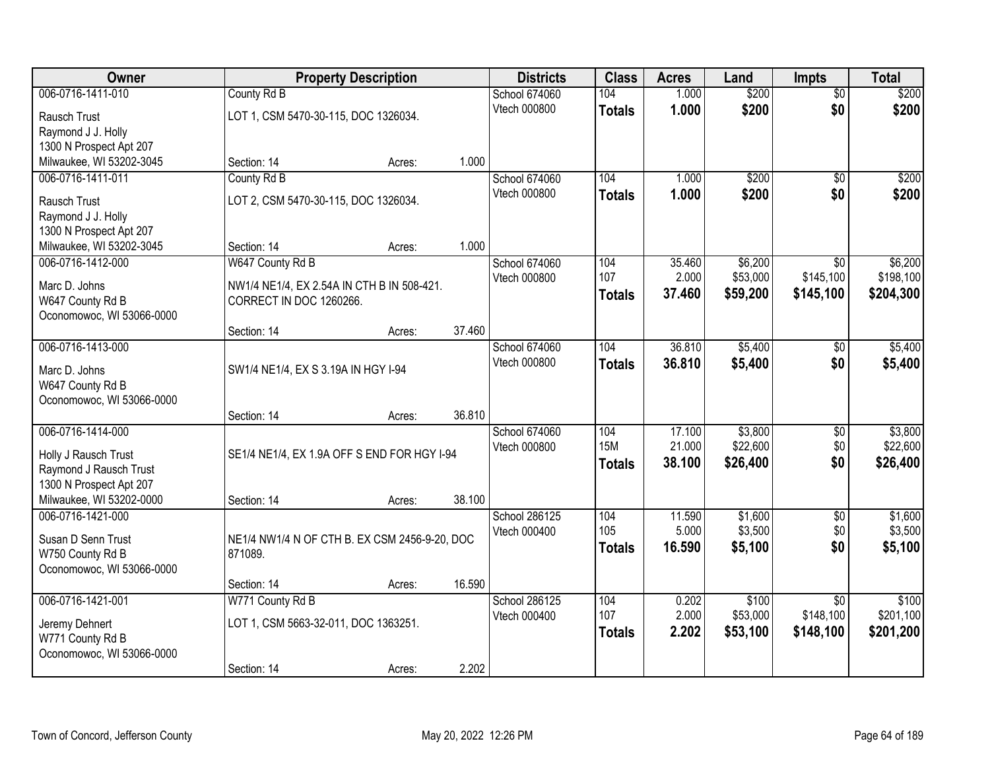| Owner                     |                                               | <b>Property Description</b> |        | <b>Districts</b> | <b>Class</b>  | <b>Acres</b> | Land     | <b>Impts</b>    | <b>Total</b> |
|---------------------------|-----------------------------------------------|-----------------------------|--------|------------------|---------------|--------------|----------|-----------------|--------------|
| 006-0716-1411-010         | County Rd B                                   |                             |        | School 674060    | 104           | 1.000        | \$200    | $\overline{50}$ | \$200        |
| Rausch Trust              | LOT 1, CSM 5470-30-115, DOC 1326034.          |                             |        | Vtech 000800     | <b>Totals</b> | 1.000        | \$200    | \$0             | \$200        |
| Raymond J J. Holly        |                                               |                             |        |                  |               |              |          |                 |              |
| 1300 N Prospect Apt 207   |                                               |                             |        |                  |               |              |          |                 |              |
| Milwaukee, WI 53202-3045  | Section: 14                                   | Acres:                      | 1.000  |                  |               |              |          |                 |              |
| 006-0716-1411-011         | County Rd B                                   |                             |        | School 674060    | 104           | 1.000        | \$200    | $\overline{50}$ | \$200        |
| Rausch Trust              | LOT 2, CSM 5470-30-115, DOC 1326034.          |                             |        | Vtech 000800     | <b>Totals</b> | 1.000        | \$200    | \$0             | \$200        |
| Raymond J J. Holly        |                                               |                             |        |                  |               |              |          |                 |              |
| 1300 N Prospect Apt 207   |                                               |                             |        |                  |               |              |          |                 |              |
| Milwaukee, WI 53202-3045  | Section: 14                                   | Acres:                      | 1.000  |                  |               |              |          |                 |              |
| 006-0716-1412-000         | W647 County Rd B                              |                             |        | School 674060    | 104           | 35.460       | \$6,200  | \$0             | \$6,200      |
| Marc D. Johns             | NW1/4 NE1/4, EX 2.54A IN CTH B IN 508-421.    |                             |        | Vtech 000800     | 107           | 2.000        | \$53,000 | \$145,100       | \$198,100    |
| W647 County Rd B          | CORRECT IN DOC 1260266.                       |                             |        |                  | <b>Totals</b> | 37.460       | \$59,200 | \$145,100       | \$204,300    |
| Oconomowoc, WI 53066-0000 |                                               |                             |        |                  |               |              |          |                 |              |
|                           | Section: 14                                   | Acres:                      | 37.460 |                  |               |              |          |                 |              |
| 006-0716-1413-000         |                                               |                             |        | School 674060    | 104           | 36.810       | \$5,400  | \$0             | \$5,400      |
| Marc D. Johns             | SW1/4 NE1/4, EX S 3.19A IN HGY I-94           |                             |        | Vtech 000800     | <b>Totals</b> | 36,810       | \$5,400  | \$0             | \$5,400      |
| W647 County Rd B          |                                               |                             |        |                  |               |              |          |                 |              |
| Oconomowoc, WI 53066-0000 |                                               |                             |        |                  |               |              |          |                 |              |
|                           | Section: 14                                   | Acres:                      | 36.810 |                  |               |              |          |                 |              |
| 006-0716-1414-000         |                                               |                             |        | School 674060    | 104           | 17.100       | \$3,800  | \$0             | \$3,800      |
| Holly J Rausch Trust      | SE1/4 NE1/4, EX 1.9A OFF S END FOR HGY I-94   |                             |        | Vtech 000800     | <b>15M</b>    | 21.000       | \$22,600 | \$0             | \$22,600     |
| Raymond J Rausch Trust    |                                               |                             |        |                  | <b>Totals</b> | 38.100       | \$26,400 | \$0             | \$26,400     |
| 1300 N Prospect Apt 207   |                                               |                             |        |                  |               |              |          |                 |              |
| Milwaukee, WI 53202-0000  | Section: 14                                   | Acres:                      | 38.100 |                  |               |              |          |                 |              |
| 006-0716-1421-000         |                                               |                             |        | School 286125    | 104           | 11.590       | \$1,600  | $\overline{50}$ | \$1,600      |
| Susan D Senn Trust        | NE1/4 NW1/4 N OF CTH B. EX CSM 2456-9-20, DOC |                             |        | Vtech 000400     | 105           | 5.000        | \$3,500  | \$0             | \$3,500      |
| W750 County Rd B          | 871089.                                       |                             |        |                  | <b>Totals</b> | 16,590       | \$5,100  | \$0             | \$5,100      |
| Oconomowoc, WI 53066-0000 |                                               |                             |        |                  |               |              |          |                 |              |
|                           | Section: 14                                   | Acres:                      | 16.590 |                  |               |              |          |                 |              |
| 006-0716-1421-001         | W771 County Rd B                              |                             |        | School 286125    | 104           | 0.202        | \$100    | $\overline{30}$ | \$100        |
| Jeremy Dehnert            | LOT 1, CSM 5663-32-011, DOC 1363251.          |                             |        | Vtech 000400     | 107           | 2.000        | \$53,000 | \$148,100       | \$201,100    |
| W771 County Rd B          |                                               |                             |        |                  | <b>Totals</b> | 2.202        | \$53,100 | \$148,100       | \$201,200    |
| Oconomowoc, WI 53066-0000 |                                               |                             |        |                  |               |              |          |                 |              |
|                           | Section: 14                                   | Acres:                      | 2.202  |                  |               |              |          |                 |              |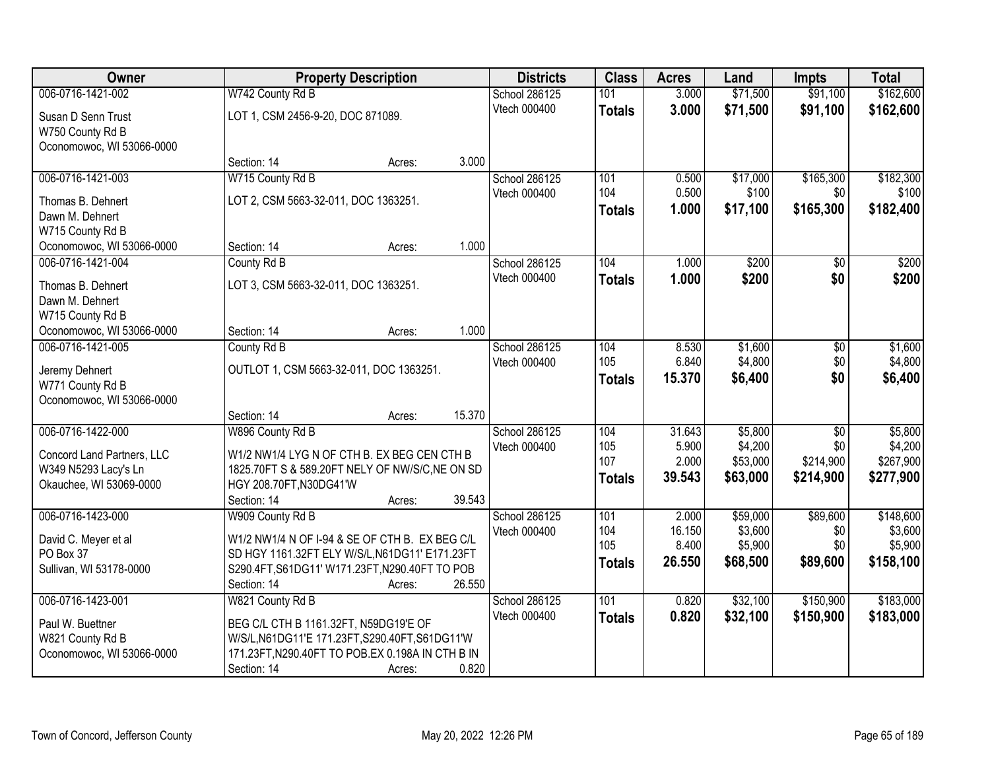| Owner                      |                                         | <b>Property Description</b>                      | <b>Districts</b>    | <b>Class</b>  | <b>Acres</b>    | Land     | <b>Impts</b>    | <b>Total</b> |
|----------------------------|-----------------------------------------|--------------------------------------------------|---------------------|---------------|-----------------|----------|-----------------|--------------|
| 006-0716-1421-002          | W742 County Rd B                        |                                                  | School 286125       | 101           | 3.000           | \$71,500 | \$91,100        | \$162,600    |
| Susan D Senn Trust         | LOT 1, CSM 2456-9-20, DOC 871089.       |                                                  | Vtech 000400        | <b>Totals</b> | 3.000           | \$71,500 | \$91,100        | \$162,600    |
| W750 County Rd B           |                                         |                                                  |                     |               |                 |          |                 |              |
| Oconomowoc, WI 53066-0000  |                                         |                                                  |                     |               |                 |          |                 |              |
|                            | Section: 14                             | 3.000<br>Acres:                                  |                     |               |                 |          |                 |              |
| 006-0716-1421-003          | W715 County Rd B                        |                                                  | School 286125       | 101           | 0.500           | \$17,000 | \$165,300       | \$182,300    |
| Thomas B. Dehnert          | LOT 2, CSM 5663-32-011, DOC 1363251.    |                                                  | Vtech 000400        | 104           | 0.500           | \$100    | \$0             | \$100        |
| Dawn M. Dehnert            |                                         |                                                  |                     | <b>Totals</b> | 1.000           | \$17,100 | \$165,300       | \$182,400    |
| W715 County Rd B           |                                         |                                                  |                     |               |                 |          |                 |              |
| Oconomowoc, WI 53066-0000  | Section: 14                             | 1.000<br>Acres:                                  |                     |               |                 |          |                 |              |
| 006-0716-1421-004          | County Rd B                             |                                                  | School 286125       | 104           | 1.000           | \$200    | \$0             | \$200        |
| Thomas B. Dehnert          | LOT 3, CSM 5663-32-011, DOC 1363251.    |                                                  | Vtech 000400        | <b>Totals</b> | 1.000           | \$200    | \$0             | \$200        |
| Dawn M. Dehnert            |                                         |                                                  |                     |               |                 |          |                 |              |
| W715 County Rd B           |                                         |                                                  |                     |               |                 |          |                 |              |
| Oconomowoc, WI 53066-0000  | Section: 14                             | 1.000<br>Acres:                                  |                     |               |                 |          |                 |              |
| 006-0716-1421-005          | County Rd B                             |                                                  | School 286125       | 104           | 8.530           | \$1,600  | \$0             | \$1,600      |
| Jeremy Dehnert             | OUTLOT 1, CSM 5663-32-011, DOC 1363251. |                                                  | <b>Vtech 000400</b> | 105           | 6.840           | \$4,800  | \$0             | \$4,800      |
| W771 County Rd B           |                                         |                                                  |                     | <b>Totals</b> | 15.370          | \$6,400  | \$0             | \$6,400      |
| Oconomowoc, WI 53066-0000  |                                         |                                                  |                     |               |                 |          |                 |              |
|                            | Section: 14                             | 15.370<br>Acres:                                 |                     |               |                 |          |                 |              |
| 006-0716-1422-000          | W896 County Rd B                        |                                                  | School 286125       | 104           | 31.643          | \$5,800  | $\overline{30}$ | \$5,800      |
| Concord Land Partners, LLC |                                         | W1/2 NW1/4 LYG N OF CTH B. EX BEG CEN CTH B      | Vtech 000400        | 105           | 5.900           | \$4,200  | \$0             | \$4,200      |
| W349 N5293 Lacy's Ln       |                                         | 1825.70FT S & 589.20FT NELY OF NW/S/C, NE ON SD  |                     | 107           | 2.000           | \$53,000 | \$214,900       | \$267,900    |
| Okauchee, WI 53069-0000    | HGY 208.70FT, N30DG41'W                 |                                                  |                     | <b>Totals</b> | 39.543          | \$63,000 | \$214,900       | \$277,900    |
|                            | Section: 14                             | 39.543<br>Acres:                                 |                     |               |                 |          |                 |              |
| 006-0716-1423-000          | W909 County Rd B                        |                                                  | School 286125       | 101           | 2.000           | \$59,000 | \$89,600        | \$148,600    |
| David C. Meyer et al       |                                         | W1/2 NW1/4 N OF I-94 & SE OF CTH B. EX BEG C/L   | Vtech 000400        | 104<br>105    | 16.150          | \$3,600  | \$0             | \$3,600      |
| PO Box 37                  |                                         | SD HGY 1161.32FT ELY W/S/L, N61DG11' E171.23FT   |                     |               | 8.400<br>26.550 | \$5,900  | \$0             | \$5,900      |
| Sullivan, WI 53178-0000    |                                         | S290.4FT, S61DG11' W171.23FT, N290.40FT TO POB   |                     | <b>Totals</b> |                 | \$68,500 | \$89,600        | \$158,100    |
|                            | Section: 14                             | 26.550<br>Acres:                                 |                     |               |                 |          |                 |              |
| 006-0716-1423-001          | W821 County Rd B                        |                                                  | School 286125       | 101           | 0.820           | \$32,100 | \$150,900       | \$183,000    |
| Paul W. Buettner           | BEG C/L CTH B 1161.32FT, N59DG19'E OF   |                                                  | Vtech 000400        | <b>Totals</b> | 0.820           | \$32,100 | \$150,900       | \$183,000    |
| W821 County Rd B           |                                         | W/S/L, N61DG11'E 171.23FT, S290.40FT, S61DG11'W  |                     |               |                 |          |                 |              |
| Oconomowoc, WI 53066-0000  |                                         | 171.23FT, N290.40FT TO POB.EX 0.198A IN CTH B IN |                     |               |                 |          |                 |              |
|                            | Section: 14                             | 0.820<br>Acres:                                  |                     |               |                 |          |                 |              |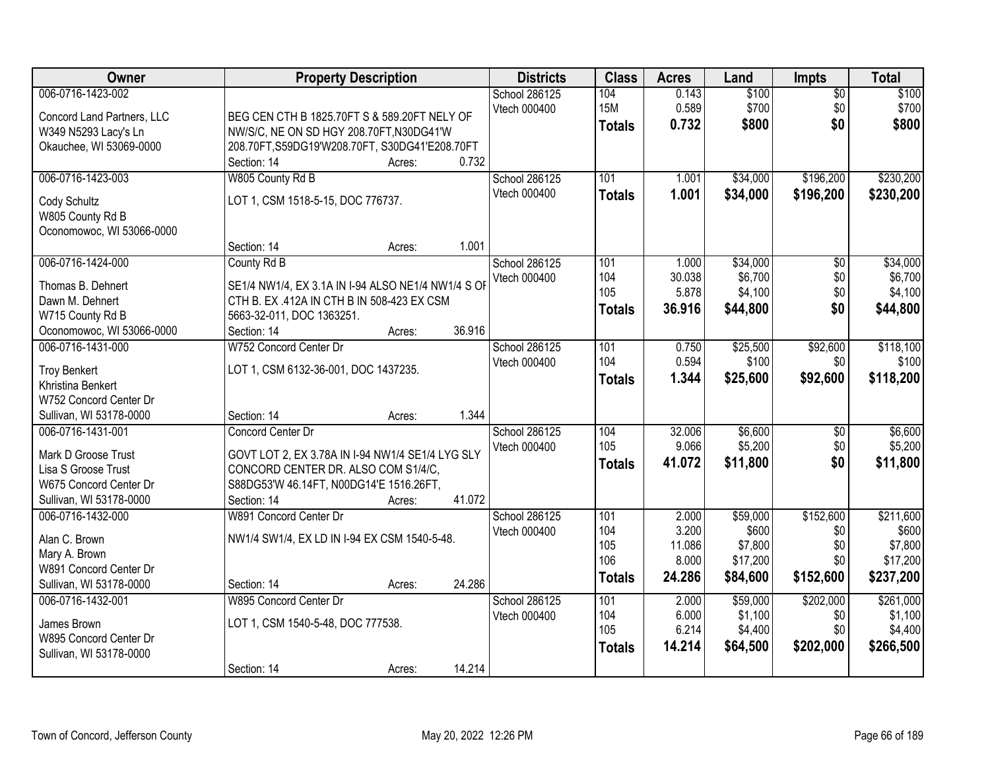| Owner                                             | <b>Property Description</b>                                      | <b>Districts</b> | <b>Class</b>  | <b>Acres</b>   | Land               | <b>Impts</b>    | <b>Total</b>       |
|---------------------------------------------------|------------------------------------------------------------------|------------------|---------------|----------------|--------------------|-----------------|--------------------|
| 006-0716-1423-002                                 |                                                                  | School 286125    | 104           | 0.143          | \$100              | $\overline{50}$ | \$100              |
| Concord Land Partners, LLC                        | BEG CEN CTH B 1825.70FT S & 589.20FT NELY OF                     | Vtech 000400     | <b>15M</b>    | 0.589          | \$700              | \$0             | \$700              |
| W349 N5293 Lacy's Ln                              | NW/S/C, NE ON SD HGY 208.70FT, N30DG41'W                         |                  | <b>Totals</b> | 0.732          | \$800              | \$0             | \$800              |
| Okauchee, WI 53069-0000                           | 208.70FT, S59DG19'W208.70FT, S30DG41'E208.70FT                   |                  |               |                |                    |                 |                    |
|                                                   | 0.732<br>Section: 14<br>Acres:                                   |                  |               |                |                    |                 |                    |
| 006-0716-1423-003                                 | W805 County Rd B                                                 | School 286125    | 101           | 1.001          | \$34,000           | \$196,200       | \$230,200          |
| Cody Schultz                                      | LOT 1, CSM 1518-5-15, DOC 776737.                                | Vtech 000400     | <b>Totals</b> | 1.001          | \$34,000           | \$196,200       | \$230,200          |
| W805 County Rd B                                  |                                                                  |                  |               |                |                    |                 |                    |
| Oconomowoc, WI 53066-0000                         |                                                                  |                  |               |                |                    |                 |                    |
|                                                   | 1.001<br>Section: 14<br>Acres:                                   |                  |               |                |                    |                 |                    |
| 006-0716-1424-000                                 | County Rd B                                                      | School 286125    | 101           | 1.000          | \$34,000           | $\overline{50}$ | \$34,000           |
| Thomas B. Dehnert                                 | SE1/4 NW1/4, EX 3.1A IN I-94 ALSO NE1/4 NW1/4 S OF               | Vtech 000400     | 104           | 30.038         | \$6,700            | \$0             | \$6,700            |
| Dawn M. Dehnert                                   | CTH B. EX .412A IN CTH B IN 508-423 EX CSM                       |                  | 105           | 5.878          | \$4,100            | \$0             | \$4,100            |
| W715 County Rd B                                  | 5663-32-011, DOC 1363251.                                        |                  | <b>Totals</b> | 36.916         | \$44,800           | \$0             | \$44,800           |
| Oconomowoc, WI 53066-0000                         | 36.916<br>Section: 14<br>Acres:                                  |                  |               |                |                    |                 |                    |
| 006-0716-1431-000                                 | W752 Concord Center Dr                                           | School 286125    | 101           | 0.750          | \$25,500           | \$92,600        | \$118,100          |
|                                                   |                                                                  | Vtech 000400     | 104           | 0.594          | \$100              | \$0             | \$100              |
| <b>Troy Benkert</b><br>Khristina Benkert          | LOT 1, CSM 6132-36-001, DOC 1437235.                             |                  | <b>Totals</b> | 1.344          | \$25,600           | \$92,600        | \$118,200          |
| W752 Concord Center Dr                            |                                                                  |                  |               |                |                    |                 |                    |
| Sullivan, WI 53178-0000                           | 1.344<br>Section: 14<br>Acres:                                   |                  |               |                |                    |                 |                    |
| 006-0716-1431-001                                 | Concord Center Dr                                                | School 286125    | 104           | 32.006         | \$6,600            | $\overline{30}$ | \$6,600            |
|                                                   |                                                                  | Vtech 000400     | 105           | 9.066          | \$5,200            | \$0             | \$5,200            |
| Mark D Groose Trust                               | GOVT LOT 2, EX 3.78A IN I-94 NW1/4 SE1/4 LYG SLY                 |                  | <b>Totals</b> | 41.072         | \$11,800           | \$0             | \$11,800           |
| Lisa S Groose Trust                               | CONCORD CENTER DR. ALSO COM S1/4/C,                              |                  |               |                |                    |                 |                    |
| W675 Concord Center Dr<br>Sullivan, WI 53178-0000 | S88DG53'W 46.14FT, N00DG14'E 1516.26FT,<br>41.072<br>Section: 14 |                  |               |                |                    |                 |                    |
| 006-0716-1432-000                                 | Acres:<br>W891 Concord Center Dr                                 | School 286125    | 101           | 2.000          | \$59,000           | \$152,600       | \$211,600          |
|                                                   |                                                                  | Vtech 000400     | 104           | 3.200          | \$600              | \$0             | \$600              |
| Alan C. Brown                                     | NW1/4 SW1/4, EX LD IN I-94 EX CSM 1540-5-48.                     |                  | 105           | 11.086         | \$7,800            | \$0             | \$7,800            |
| Mary A. Brown                                     |                                                                  |                  | 106           | 8.000          | \$17,200           | \$0             | \$17,200           |
| W891 Concord Center Dr                            |                                                                  |                  | <b>Totals</b> | 24.286         | \$84,600           | \$152,600       | \$237,200          |
| Sullivan, WI 53178-0000                           | 24.286<br>Section: 14<br>Acres:                                  |                  |               |                |                    |                 |                    |
| 006-0716-1432-001                                 | W895 Concord Center Dr                                           | School 286125    | 101           | 2.000          | \$59,000           | \$202,000       | \$261,000          |
| James Brown                                       | LOT 1, CSM 1540-5-48, DOC 777538.                                | Vtech 000400     | 104<br>105    | 6.000<br>6.214 | \$1,100<br>\$4,400 | \$0<br>\$0      | \$1,100<br>\$4,400 |
| W895 Concord Center Dr                            |                                                                  |                  |               | 14.214         | \$64,500           | \$202,000       | \$266,500          |
| Sullivan, WI 53178-0000                           |                                                                  |                  | <b>Totals</b> |                |                    |                 |                    |
|                                                   | 14.214<br>Section: 14<br>Acres:                                  |                  |               |                |                    |                 |                    |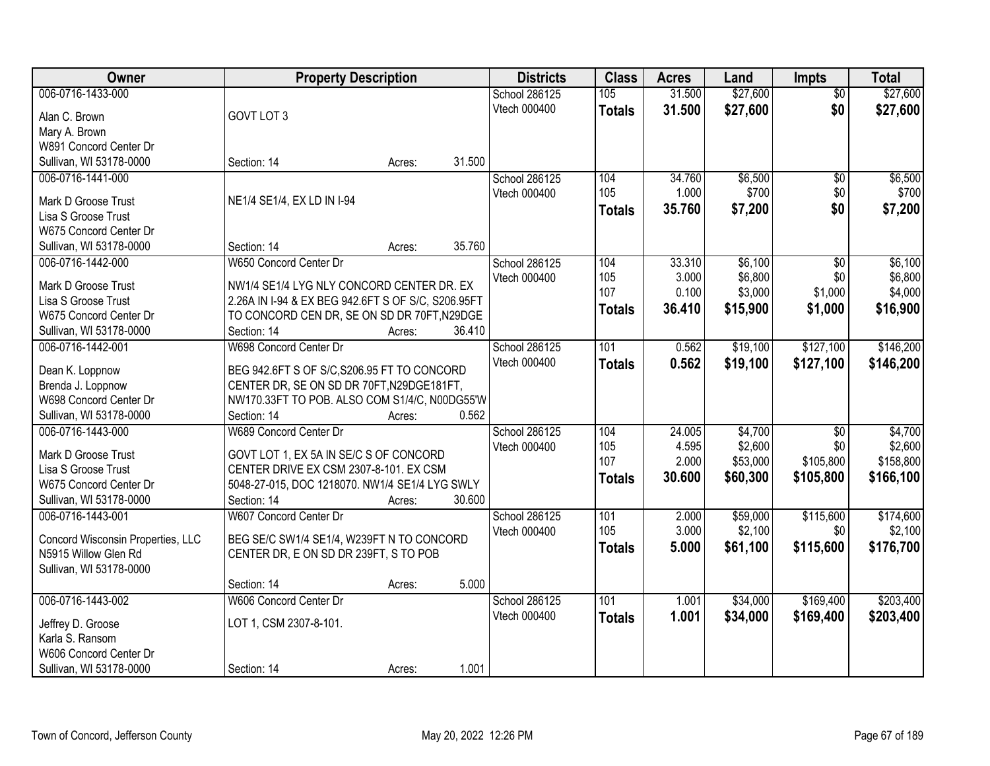| Owner                                |                                                    | <b>Property Description</b> |        | <b>Districts</b> | <b>Class</b>  | <b>Acres</b> | Land     | <b>Impts</b>    | <b>Total</b> |
|--------------------------------------|----------------------------------------------------|-----------------------------|--------|------------------|---------------|--------------|----------|-----------------|--------------|
| 006-0716-1433-000                    |                                                    |                             |        | School 286125    | 105           | 31.500       | \$27,600 | $\overline{50}$ | \$27,600     |
| Alan C. Brown                        | GOVT LOT 3                                         |                             |        | Vtech 000400     | <b>Totals</b> | 31.500       | \$27,600 | \$0             | \$27,600     |
| Mary A. Brown                        |                                                    |                             |        |                  |               |              |          |                 |              |
| W891 Concord Center Dr               |                                                    |                             |        |                  |               |              |          |                 |              |
| Sullivan, WI 53178-0000              | Section: 14                                        | Acres:                      | 31.500 |                  |               |              |          |                 |              |
| 006-0716-1441-000                    |                                                    |                             |        | School 286125    | 104           | 34.760       | \$6,500  | $\overline{50}$ | \$6,500      |
|                                      |                                                    |                             |        | Vtech 000400     | 105           | 1.000        | \$700    | \$0             | \$700        |
| Mark D Groose Trust                  | NE1/4 SE1/4, EX LD IN I-94                         |                             |        |                  | <b>Totals</b> | 35.760       | \$7,200  | \$0             | \$7,200      |
| Lisa S Groose Trust                  |                                                    |                             |        |                  |               |              |          |                 |              |
| W675 Concord Center Dr               |                                                    |                             |        |                  |               |              |          |                 |              |
| Sullivan, WI 53178-0000              | Section: 14                                        | Acres:                      | 35.760 |                  |               |              |          |                 |              |
| 006-0716-1442-000                    | W650 Concord Center Dr                             |                             |        | School 286125    | 104           | 33.310       | \$6,100  | \$0             | \$6,100      |
| Mark D Groose Trust                  | NW1/4 SE1/4 LYG NLY CONCORD CENTER DR. EX          |                             |        | Vtech 000400     | 105           | 3.000        | \$6,800  | \$0             | \$6,800      |
| Lisa S Groose Trust                  | 2.26A IN I-94 & EX BEG 942.6FT S OF S/C, S206.95FT |                             |        |                  | 107           | 0.100        | \$3,000  | \$1,000         | \$4,000      |
| W675 Concord Center Dr               | TO CONCORD CEN DR, SE ON SD DR 70FT, N29DGE        |                             |        |                  | <b>Totals</b> | 36.410       | \$15,900 | \$1,000         | \$16,900     |
| Sullivan, WI 53178-0000              | Section: 14                                        | Acres:                      | 36.410 |                  |               |              |          |                 |              |
| 006-0716-1442-001                    | W698 Concord Center Dr                             |                             |        | School 286125    | 101           | 0.562        | \$19,100 | \$127,100       | \$146,200    |
|                                      |                                                    |                             |        |                  |               |              |          |                 |              |
| Dean K. Loppnow                      | BEG 942.6FT S OF S/C, S206.95 FT TO CONCORD        |                             |        | Vtech 000400     | <b>Totals</b> | 0.562        | \$19,100 | \$127,100       | \$146,200    |
| Brenda J. Loppnow                    | CENTER DR, SE ON SD DR 70FT, N29DGE181FT,          |                             |        |                  |               |              |          |                 |              |
| W698 Concord Center Dr               | NW170.33FT TO POB. ALSO COM S1/4/C, N00DG55'W      |                             |        |                  |               |              |          |                 |              |
| Sullivan, WI 53178-0000              | Section: 14                                        | Acres:                      | 0.562  |                  |               |              |          |                 |              |
| 006-0716-1443-000                    | W689 Concord Center Dr                             |                             |        | School 286125    | 104           | 24.005       | \$4,700  | $\overline{50}$ | \$4,700      |
|                                      |                                                    |                             |        | Vtech 000400     | 105           | 4.595        | \$2,600  | \$0             | \$2,600      |
| Mark D Groose Trust                  | GOVT LOT 1, EX 5A IN SE/C S OF CONCORD             |                             |        |                  | 107           | 2.000        | \$53,000 | \$105,800       | \$158,800    |
| Lisa S Groose Trust                  | CENTER DRIVE EX CSM 2307-8-101. EX CSM             |                             |        |                  | <b>Totals</b> | 30.600       | \$60,300 | \$105,800       | \$166,100    |
| W675 Concord Center Dr               | 5048-27-015, DOC 1218070. NW1/4 SE1/4 LYG SWLY     |                             |        |                  |               |              |          |                 |              |
| Sullivan, WI 53178-0000              | Section: 14                                        | Acres:                      | 30.600 |                  |               |              |          |                 |              |
| 006-0716-1443-001                    | W607 Concord Center Dr                             |                             |        | School 286125    | 101           | 2.000        | \$59,000 | \$115,600       | \$174,600    |
| Concord Wisconsin Properties, LLC    | BEG SE/C SW1/4 SE1/4, W239FT N TO CONCORD          |                             |        | Vtech 000400     | 105           | 3.000        | \$2,100  | \$0             | \$2,100      |
| N5915 Willow Glen Rd                 | CENTER DR, E ON SD DR 239FT, S TO POB              |                             |        |                  | <b>Totals</b> | 5.000        | \$61,100 | \$115,600       | \$176,700    |
| Sullivan, WI 53178-0000              |                                                    |                             |        |                  |               |              |          |                 |              |
|                                      | Section: 14                                        | Acres:                      | 5.000  |                  |               |              |          |                 |              |
| 006-0716-1443-002                    | W606 Concord Center Dr                             |                             |        | School 286125    | 101           | 1.001        | \$34,000 | \$169,400       | \$203,400    |
|                                      | LOT 1, CSM 2307-8-101.                             |                             |        | Vtech 000400     | <b>Totals</b> | 1.001        | \$34,000 | \$169,400       | \$203,400    |
| Jeffrey D. Groose<br>Karla S. Ransom |                                                    |                             |        |                  |               |              |          |                 |              |
| W606 Concord Center Dr               |                                                    |                             |        |                  |               |              |          |                 |              |
| Sullivan, WI 53178-0000              | Section: 14                                        |                             | 1.001  |                  |               |              |          |                 |              |
|                                      |                                                    | Acres:                      |        |                  |               |              |          |                 |              |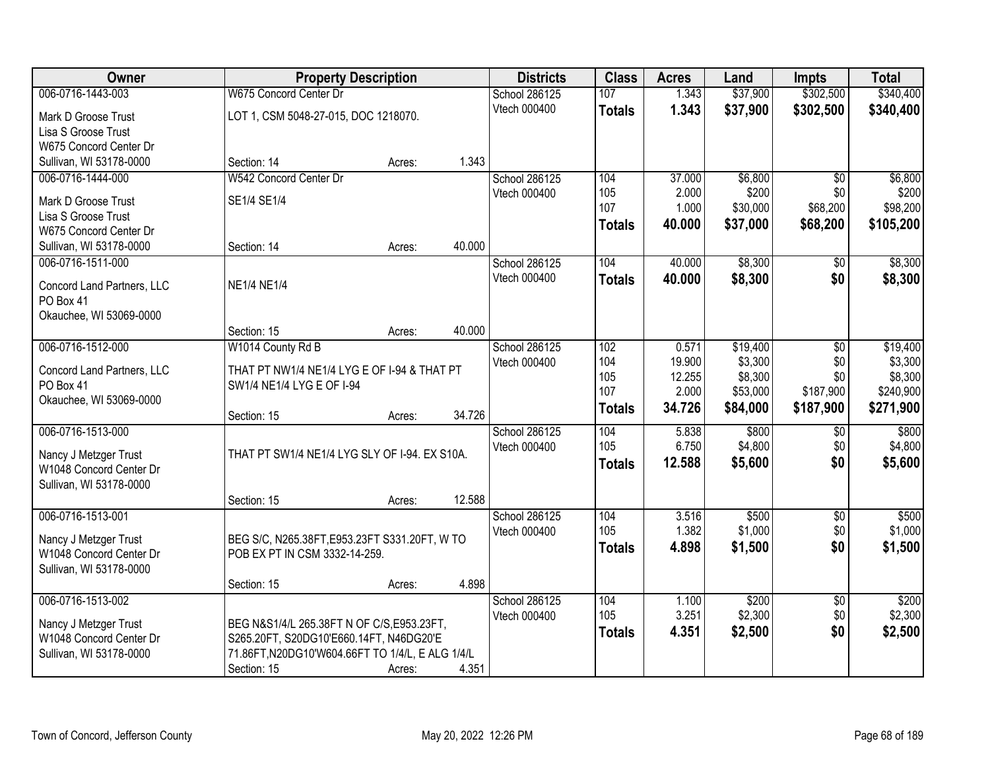| Owner                                         |                                                  | <b>Property Description</b> |        | <b>Districts</b> | <b>Class</b>  | <b>Acres</b> | Land     | <b>Impts</b>    | <b>Total</b> |
|-----------------------------------------------|--------------------------------------------------|-----------------------------|--------|------------------|---------------|--------------|----------|-----------------|--------------|
| 006-0716-1443-003                             | W675 Concord Center Dr                           |                             |        | School 286125    | 107           | 1.343        | \$37,900 | \$302,500       | \$340,400    |
| Mark D Groose Trust                           | LOT 1, CSM 5048-27-015, DOC 1218070.             |                             |        | Vtech 000400     | <b>Totals</b> | 1.343        | \$37,900 | \$302,500       | \$340,400    |
| Lisa S Groose Trust                           |                                                  |                             |        |                  |               |              |          |                 |              |
| W675 Concord Center Dr                        |                                                  |                             |        |                  |               |              |          |                 |              |
| Sullivan, WI 53178-0000                       | Section: 14                                      | Acres:                      | 1.343  |                  |               |              |          |                 |              |
| 006-0716-1444-000                             | W542 Concord Center Dr                           |                             |        | School 286125    | 104           | 37.000       | \$6,800  | $\overline{50}$ | \$6,800      |
|                                               |                                                  |                             |        | Vtech 000400     | 105           | 2.000        | \$200    | \$0             | \$200        |
| Mark D Groose Trust                           | SE1/4 SE1/4                                      |                             |        |                  | 107           | 1.000        | \$30,000 | \$68,200        | \$98,200     |
| Lisa S Groose Trust<br>W675 Concord Center Dr |                                                  |                             |        |                  | <b>Totals</b> | 40.000       | \$37,000 | \$68,200        | \$105,200    |
| Sullivan, WI 53178-0000                       | Section: 14                                      | Acres:                      | 40.000 |                  |               |              |          |                 |              |
| 006-0716-1511-000                             |                                                  |                             |        | School 286125    | 104           | 40.000       | \$8,300  |                 | \$8,300      |
|                                               |                                                  |                             |        | Vtech 000400     |               |              |          | \$0<br>\$0      |              |
| Concord Land Partners, LLC                    | <b>NE1/4 NE1/4</b>                               |                             |        |                  | <b>Totals</b> | 40.000       | \$8,300  |                 | \$8,300      |
| PO Box 41                                     |                                                  |                             |        |                  |               |              |          |                 |              |
| Okauchee, WI 53069-0000                       |                                                  |                             |        |                  |               |              |          |                 |              |
|                                               | Section: 15                                      | Acres:                      | 40.000 |                  |               |              |          |                 |              |
| 006-0716-1512-000                             | W1014 County Rd B                                |                             |        | School 286125    | 102           | 0.571        | \$19,400 | \$0             | \$19,400     |
| Concord Land Partners, LLC                    | THAT PT NW1/4 NE1/4 LYG E OF I-94 & THAT PT      |                             |        | Vtech 000400     | 104           | 19.900       | \$3,300  | \$0             | \$3,300      |
| PO Box 41                                     | SW1/4 NE1/4 LYG E OF I-94                        |                             |        |                  | 105           | 12.255       | \$8,300  | \$0             | \$8,300      |
| Okauchee, WI 53069-0000                       |                                                  |                             |        |                  | 107           | 2.000        | \$53,000 | \$187,900       | \$240,900    |
|                                               | Section: 15                                      | Acres:                      | 34.726 |                  | <b>Totals</b> | 34.726       | \$84,000 | \$187,900       | \$271,900    |
| 006-0716-1513-000                             |                                                  |                             |        | School 286125    | 104           | 5.838        | \$800    | \$0             | \$800        |
|                                               |                                                  |                             |        | Vtech 000400     | 105           | 6.750        | \$4,800  | \$0             | \$4,800      |
| Nancy J Metzger Trust                         | THAT PT SW1/4 NE1/4 LYG SLY OF I-94. EX S10A.    |                             |        |                  | <b>Totals</b> | 12.588       | \$5,600  | \$0             | \$5,600      |
| W1048 Concord Center Dr                       |                                                  |                             |        |                  |               |              |          |                 |              |
| Sullivan, WI 53178-0000                       | Section: 15                                      | Acres:                      | 12.588 |                  |               |              |          |                 |              |
| 006-0716-1513-001                             |                                                  |                             |        | School 286125    | 104           | 3.516        | \$500    | $\overline{$0}$ | \$500        |
|                                               |                                                  |                             |        | Vtech 000400     | 105           | 1.382        | \$1,000  | \$0             | \$1,000      |
| Nancy J Metzger Trust                         | BEG S/C, N265.38FT, E953.23FT S331.20FT, W TO    |                             |        |                  |               | 4.898        | \$1,500  | \$0             | \$1,500      |
| W1048 Concord Center Dr                       | POB EX PT IN CSM 3332-14-259.                    |                             |        |                  | <b>Totals</b> |              |          |                 |              |
| Sullivan, WI 53178-0000                       |                                                  |                             |        |                  |               |              |          |                 |              |
|                                               | Section: 15                                      | Acres:                      | 4.898  |                  |               |              |          |                 |              |
| 006-0716-1513-002                             |                                                  |                             |        | School 286125    | 104           | 1.100        | \$200    | $\overline{60}$ | \$200        |
| Nancy J Metzger Trust                         | BEG N&S1/4/L 265.38FT N OF C/S,E953.23FT,        |                             |        | Vtech 000400     | 105           | 3.251        | \$2,300  | \$0             | \$2,300      |
| W1048 Concord Center Dr                       | S265.20FT, S20DG10'E660.14FT, N46DG20'E          |                             |        |                  | <b>Totals</b> | 4.351        | \$2,500  | \$0             | \$2,500      |
| Sullivan, WI 53178-0000                       | 71.86FT, N20DG10'W604.66FT TO 1/4/L, E ALG 1/4/L |                             |        |                  |               |              |          |                 |              |
|                                               | Section: 15                                      | Acres:                      | 4.351  |                  |               |              |          |                 |              |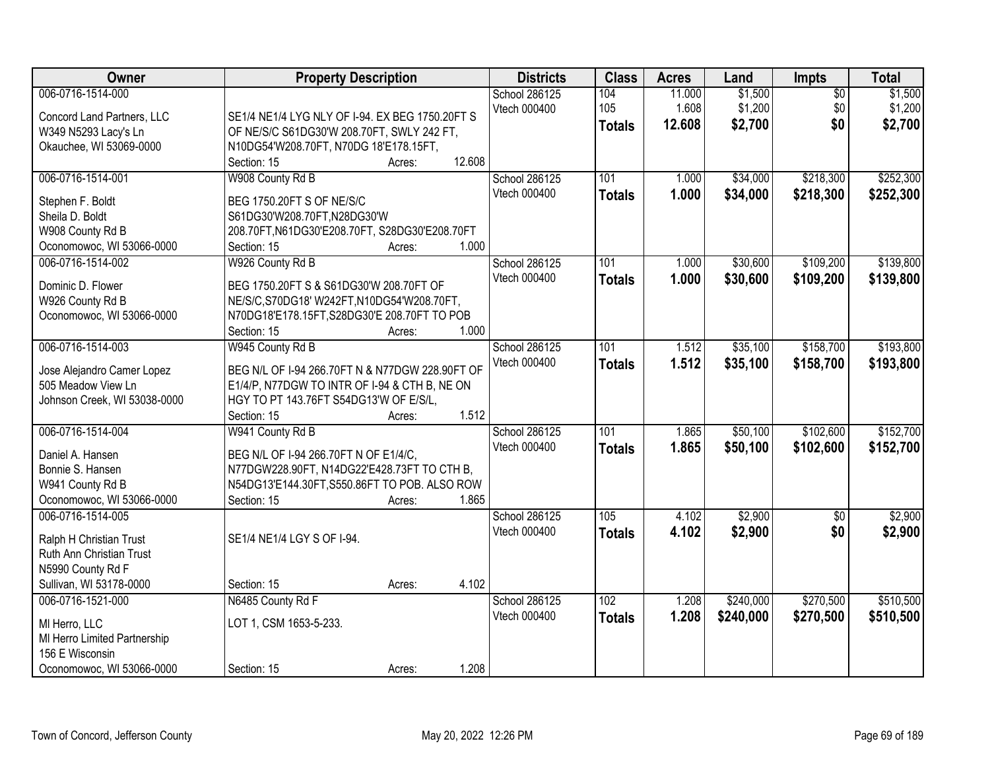| Owner                                         | <b>Property Description</b>                     | <b>Districts</b> | <b>Class</b>  | <b>Acres</b>    | Land               | Impts                  | <b>Total</b>       |
|-----------------------------------------------|-------------------------------------------------|------------------|---------------|-----------------|--------------------|------------------------|--------------------|
| 006-0716-1514-000                             |                                                 | School 286125    | 104<br>105    | 11.000<br>1.608 | \$1,500<br>\$1,200 | $\overline{50}$<br>\$0 | \$1,500<br>\$1,200 |
| Concord Land Partners, LLC                    | SE1/4 NE1/4 LYG NLY OF I-94. EX BEG 1750.20FT S | Vtech 000400     |               |                 |                    | \$0                    |                    |
| W349 N5293 Lacy's Ln                          | OF NE/S/C S61DG30'W 208.70FT, SWLY 242 FT,      |                  | <b>Totals</b> | 12.608          | \$2,700            |                        | \$2,700            |
| Okauchee, WI 53069-0000                       | N10DG54'W208.70FT, N70DG 18'E178.15FT,          |                  |               |                 |                    |                        |                    |
|                                               | 12.608<br>Section: 15<br>Acres:                 |                  |               |                 |                    |                        |                    |
| 006-0716-1514-001                             | W908 County Rd B                                | School 286125    | 101           | 1.000           | \$34,000           | \$218,300              | \$252,300          |
| Stephen F. Boldt                              | BEG 1750.20FT S OF NE/S/C                       | Vtech 000400     | <b>Totals</b> | 1.000           | \$34,000           | \$218,300              | \$252,300          |
| Sheila D. Boldt                               | S61DG30'W208.70FT,N28DG30'W                     |                  |               |                 |                    |                        |                    |
| W908 County Rd B                              | 208.70FT, N61DG30'E208.70FT, S28DG30'E208.70FT  |                  |               |                 |                    |                        |                    |
| Oconomowoc, WI 53066-0000                     | 1.000<br>Section: 15<br>Acres:                  |                  |               |                 |                    |                        |                    |
| 006-0716-1514-002                             | W926 County Rd B                                | School 286125    | 101           | 1.000           | \$30,600           | \$109,200              | \$139,800          |
|                                               |                                                 | Vtech 000400     | <b>Totals</b> | 1.000           | \$30,600           | \$109,200              | \$139,800          |
| Dominic D. Flower                             | BEG 1750.20FT S & S61DG30'W 208.70FT OF         |                  |               |                 |                    |                        |                    |
| W926 County Rd B                              | NE/S/C,S70DG18' W242FT,N10DG54'W208.70FT,       |                  |               |                 |                    |                        |                    |
| Oconomowoc, WI 53066-0000                     | N70DG18'E178.15FT, S28DG30'E 208.70FT TO POB    |                  |               |                 |                    |                        |                    |
|                                               | Section: 15<br>1.000<br>Acres:                  |                  |               |                 |                    |                        |                    |
| 006-0716-1514-003                             | W945 County Rd B                                | School 286125    | 101           | 1.512           | \$35,100           | \$158,700              | \$193,800          |
| Jose Alejandro Camer Lopez                    | BEG N/L OF I-94 266.70FT N & N77DGW 228.90FT OF | Vtech 000400     | <b>Totals</b> | 1.512           | \$35,100           | \$158,700              | \$193,800          |
| 505 Meadow View Ln                            | E1/4/P, N77DGW TO INTR OF I-94 & CTH B, NE ON   |                  |               |                 |                    |                        |                    |
| Johnson Creek, WI 53038-0000                  | HGY TO PT 143.76FT S54DG13'W OF E/S/L,          |                  |               |                 |                    |                        |                    |
|                                               | 1.512<br>Section: 15<br>Acres:                  |                  |               |                 |                    |                        |                    |
| 006-0716-1514-004                             | W941 County Rd B                                | School 286125    | 101           | 1.865           | \$50,100           | \$102,600              | \$152,700          |
|                                               |                                                 | Vtech 000400     | <b>Totals</b> | 1.865           | \$50,100           | \$102,600              | \$152,700          |
| Daniel A. Hansen                              | BEG N/L OF 1-94 266.70FT N OF E1/4/C,           |                  |               |                 |                    |                        |                    |
| Bonnie S. Hansen                              | N77DGW228.90FT, N14DG22'E428.73FT TO CTH B,     |                  |               |                 |                    |                        |                    |
| W941 County Rd B                              | N54DG13'E144.30FT, S550.86FT TO POB. ALSO ROW   |                  |               |                 |                    |                        |                    |
| Oconomowoc, WI 53066-0000                     | 1.865<br>Section: 15<br>Acres:                  |                  |               |                 |                    |                        |                    |
| 006-0716-1514-005                             |                                                 | School 286125    | 105           | 4.102           | \$2,900            | $\overline{50}$        | \$2,900            |
| Ralph H Christian Trust                       | SE1/4 NE1/4 LGY S OF I-94.                      | Vtech 000400     | <b>Totals</b> | 4.102           | \$2,900            | \$0                    | \$2,900            |
| Ruth Ann Christian Trust                      |                                                 |                  |               |                 |                    |                        |                    |
| N5990 County Rd F                             |                                                 |                  |               |                 |                    |                        |                    |
| Sullivan, WI 53178-0000                       | 4.102<br>Section: 15<br>Acres:                  |                  |               |                 |                    |                        |                    |
| 006-0716-1521-000                             | N6485 County Rd F                               | School 286125    | 102           | 1.208           | \$240,000          | \$270,500              | \$510,500          |
|                                               | LOT 1, CSM 1653-5-233.                          | Vtech 000400     | <b>Totals</b> | 1.208           | \$240,000          | \$270,500              | \$510,500          |
| MI Herro, LLC<br>MI Herro Limited Partnership |                                                 |                  |               |                 |                    |                        |                    |
| 156 E Wisconsin                               |                                                 |                  |               |                 |                    |                        |                    |
|                                               |                                                 |                  |               |                 |                    |                        |                    |
| Oconomowoc, WI 53066-0000                     | 1.208<br>Section: 15<br>Acres:                  |                  |               |                 |                    |                        |                    |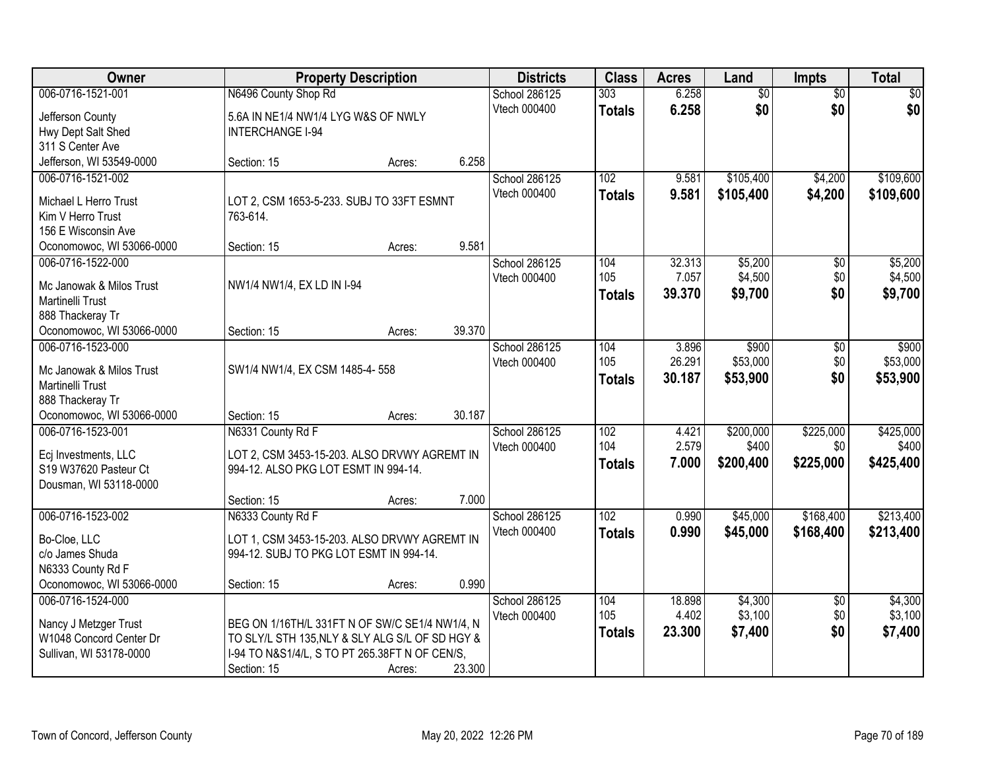| Owner                                        | <b>Property Description</b>                     |        |        | <b>Districts</b> | <b>Class</b>     | <b>Acres</b> | Land            | Impts           | <b>Total</b> |
|----------------------------------------------|-------------------------------------------------|--------|--------|------------------|------------------|--------------|-----------------|-----------------|--------------|
| 006-0716-1521-001                            | N6496 County Shop Rd                            |        |        | School 286125    | 303              | 6.258        | $\overline{60}$ | $\overline{50}$ | \$0          |
| Jefferson County                             | 5.6A IN NE1/4 NW1/4 LYG W&S OF NWLY             |        |        | Vtech 000400     | <b>Totals</b>    | 6.258        | \$0             | \$0             | \$0          |
| Hwy Dept Salt Shed                           | <b>INTERCHANGE I-94</b>                         |        |        |                  |                  |              |                 |                 |              |
| 311 S Center Ave                             |                                                 |        |        |                  |                  |              |                 |                 |              |
| Jefferson, WI 53549-0000                     | Section: 15                                     | Acres: | 6.258  |                  |                  |              |                 |                 |              |
| 006-0716-1521-002                            |                                                 |        |        | School 286125    | 102              | 9.581        | \$105,400       | \$4,200         | \$109,600    |
| Michael L Herro Trust                        | LOT 2, CSM 1653-5-233. SUBJ TO 33FT ESMNT       |        |        | Vtech 000400     | <b>Totals</b>    | 9.581        | \$105,400       | \$4,200         | \$109,600    |
| Kim V Herro Trust                            | 763-614.                                        |        |        |                  |                  |              |                 |                 |              |
| 156 E Wisconsin Ave                          |                                                 |        |        |                  |                  |              |                 |                 |              |
| Oconomowoc, WI 53066-0000                    | Section: 15                                     | Acres: | 9.581  |                  |                  |              |                 |                 |              |
| 006-0716-1522-000                            |                                                 |        |        | School 286125    | 104              | 32.313       | \$5,200         | $\overline{50}$ | \$5,200      |
|                                              |                                                 |        |        | Vtech 000400     | 105              | 7.057        | \$4,500         | \$0             | \$4,500      |
| Mc Janowak & Milos Trust<br>Martinelli Trust | NW1/4 NW1/4, EX LD IN I-94                      |        |        |                  | <b>Totals</b>    | 39.370       | \$9,700         | \$0             | \$9,700      |
| 888 Thackeray Tr                             |                                                 |        |        |                  |                  |              |                 |                 |              |
| Oconomowoc, WI 53066-0000                    | Section: 15                                     | Acres: | 39.370 |                  |                  |              |                 |                 |              |
| 006-0716-1523-000                            |                                                 |        |        | School 286125    | 104              | 3.896        | \$900           | \$0             | \$900        |
|                                              |                                                 |        |        | Vtech 000400     | 105              | 26.291       | \$53,000        | \$0             | \$53,000     |
| Mc Janowak & Milos Trust                     | SW1/4 NW1/4, EX CSM 1485-4-558                  |        |        |                  | <b>Totals</b>    | 30.187       | \$53,900        | \$0             | \$53,900     |
| Martinelli Trust                             |                                                 |        |        |                  |                  |              |                 |                 |              |
| 888 Thackeray Tr                             |                                                 |        |        |                  |                  |              |                 |                 |              |
| Oconomowoc, WI 53066-0000                    | Section: 15                                     | Acres: | 30.187 |                  |                  |              |                 |                 |              |
| 006-0716-1523-001                            | N6331 County Rd F                               |        |        | School 286125    | 102              | 4.421        | \$200,000       | \$225,000       | \$425,000    |
| Ecj Investments, LLC                         | LOT 2, CSM 3453-15-203. ALSO DRVWY AGREMT IN    |        |        | Vtech 000400     | 104              | 2.579        | \$400           | \$0             | \$400        |
| S19 W37620 Pasteur Ct                        | 994-12. ALSO PKG LOT ESMT IN 994-14.            |        |        |                  | <b>Totals</b>    | 7.000        | \$200,400       | \$225,000       | \$425,400    |
| Dousman, WI 53118-0000                       |                                                 |        |        |                  |                  |              |                 |                 |              |
|                                              | Section: 15                                     | Acres: | 7.000  |                  |                  |              |                 |                 |              |
| 006-0716-1523-002                            | N6333 County Rd F                               |        |        | School 286125    | $\overline{102}$ | 0.990        | \$45,000        | \$168,400       | \$213,400    |
| Bo-Cloe, LLC                                 | LOT 1, CSM 3453-15-203. ALSO DRVWY AGREMT IN    |        |        | Vtech 000400     | <b>Totals</b>    | 0.990        | \$45,000        | \$168,400       | \$213,400    |
| c/o James Shuda                              | 994-12. SUBJ TO PKG LOT ESMT IN 994-14.         |        |        |                  |                  |              |                 |                 |              |
| N6333 County Rd F                            |                                                 |        |        |                  |                  |              |                 |                 |              |
| Oconomowoc, WI 53066-0000                    | Section: 15                                     | Acres: | 0.990  |                  |                  |              |                 |                 |              |
| 006-0716-1524-000                            |                                                 |        |        | School 286125    | 104              | 18.898       | \$4,300         | $\overline{50}$ | \$4,300      |
|                                              |                                                 |        |        | Vtech 000400     | 105              | 4.402        | \$3,100         | \$0             | \$3,100      |
| Nancy J Metzger Trust                        | BEG ON 1/16TH/L 331FT N OF SW/C SE1/4 NW1/4, N  |        |        |                  | <b>Totals</b>    | 23,300       | \$7,400         | \$0             | \$7,400      |
| W1048 Concord Center Dr                      | TO SLY/L STH 135, NLY & SLY ALG S/L OF SD HGY & |        |        |                  |                  |              |                 |                 |              |
| Sullivan, WI 53178-0000                      | I-94 TO N&S1/4/L, S TO PT 265.38FT N OF CEN/S,  |        |        |                  |                  |              |                 |                 |              |
|                                              | Section: 15                                     | Acres: | 23.300 |                  |                  |              |                 |                 |              |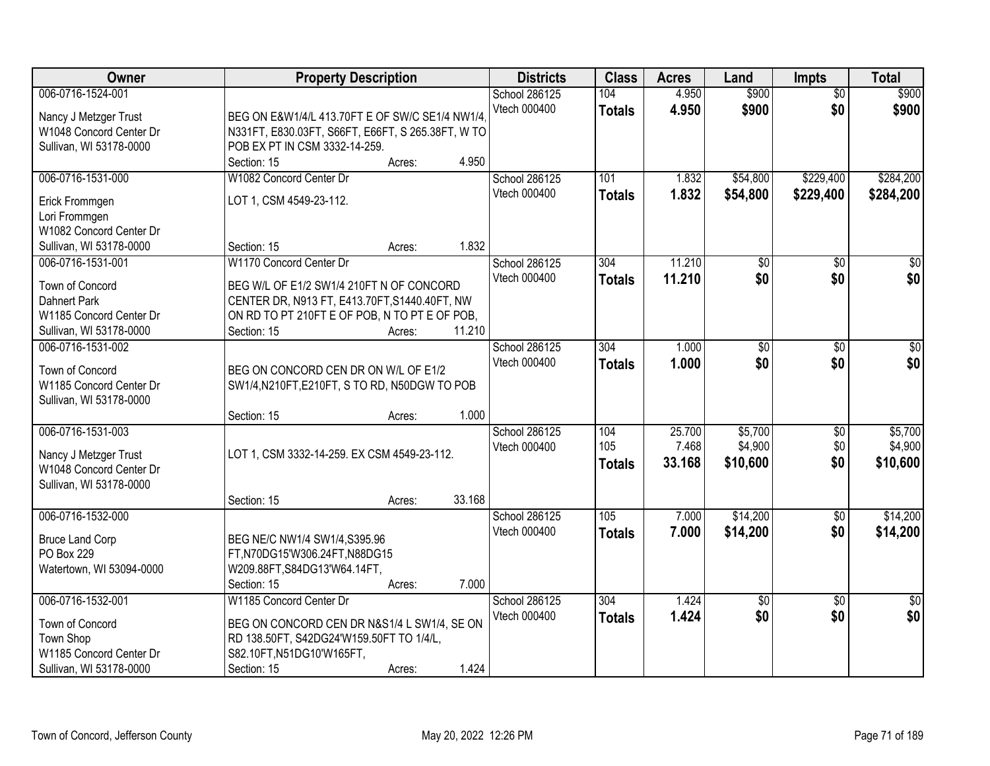| Owner                                                                                                      | <b>Property Description</b>                                                                                                                                                   | <b>Districts</b>              | <b>Class</b>         | <b>Acres</b>    | Land                 | <b>Impts</b>           | <b>Total</b>           |
|------------------------------------------------------------------------------------------------------------|-------------------------------------------------------------------------------------------------------------------------------------------------------------------------------|-------------------------------|----------------------|-----------------|----------------------|------------------------|------------------------|
| 006-0716-1524-001<br>Nancy J Metzger Trust<br>W1048 Concord Center Dr<br>Sullivan, WI 53178-0000           | BEG ON E&W1/4/L 413.70FT E OF SW/C SE1/4 NW1/4.<br>N331FT, E830.03FT, S66FT, E66FT, S 265.38FT, W TO<br>POB EX PT IN CSM 3332-14-259.                                         | School 286125<br>Vtech 000400 | 104<br><b>Totals</b> | 4.950<br>4.950  | \$900<br>\$900       | $\overline{50}$<br>\$0 | \$900<br>\$900         |
|                                                                                                            | 4.950<br>Section: 15<br>Acres:                                                                                                                                                |                               |                      |                 |                      |                        |                        |
| 006-0716-1531-000<br>Erick Frommgen<br>Lori Frommgen<br>W1082 Concord Center Dr<br>Sullivan, WI 53178-0000 | W1082 Concord Center Dr<br>LOT 1, CSM 4549-23-112.<br>1.832<br>Section: 15<br>Acres:                                                                                          | School 286125<br>Vtech 000400 | 101<br><b>Totals</b> | 1.832<br>1.832  | \$54,800<br>\$54,800 | \$229,400<br>\$229,400 | \$284,200<br>\$284,200 |
| 006-0716-1531-001                                                                                          | W1170 Concord Center Dr                                                                                                                                                       | School 286125                 | 304                  | 11.210          | $\overline{50}$      | \$0                    | $\overline{30}$        |
| Town of Concord<br>Dahnert Park<br>W1185 Concord Center Dr<br>Sullivan, WI 53178-0000                      | BEG W/L OF E1/2 SW1/4 210FT N OF CONCORD<br>CENTER DR, N913 FT, E413.70FT, S1440.40FT, NW<br>ON RD TO PT 210FT E OF POB, N TO PT E OF POB,<br>11.210<br>Section: 15<br>Acres: | Vtech 000400                  | <b>Totals</b>        | 11.210          | \$0                  | \$0                    | \$0                    |
| 006-0716-1531-002<br>Town of Concord<br>W1185 Concord Center Dr<br>Sullivan, WI 53178-0000                 | BEG ON CONCORD CEN DR ON W/L OF E1/2<br>SW1/4, N210FT, E210FT, S TO RD, N50DGW TO POB                                                                                         | School 286125<br>Vtech 000400 | 304<br><b>Totals</b> | 1.000<br>1.000  | \$0<br>\$0           | $\sqrt[6]{}$<br>\$0    | $\sqrt{50}$<br>\$0     |
| 006-0716-1531-003                                                                                          | 1.000<br>Section: 15<br>Acres:                                                                                                                                                | School 286125                 | 104                  | 25.700          | \$5,700              | \$0                    | \$5,700                |
| Nancy J Metzger Trust<br>W1048 Concord Center Dr<br>Sullivan, WI 53178-0000                                | LOT 1, CSM 3332-14-259. EX CSM 4549-23-112.<br>33.168<br>Section: 15<br>Acres:                                                                                                | Vtech 000400                  | 105<br><b>Totals</b> | 7.468<br>33.168 | \$4,900<br>\$10,600  | \$0<br>\$0             | \$4,900<br>\$10,600    |
| 006-0716-1532-000                                                                                          |                                                                                                                                                                               | School 286125                 | 105                  | 7.000           | \$14,200             | \$0                    | \$14,200               |
| <b>Bruce Land Corp</b><br>PO Box 229<br>Watertown, WI 53094-0000                                           | BEG NE/C NW1/4 SW1/4, S395.96<br>FT,N70DG15'W306.24FT,N88DG15<br>W209.88FT, S84DG13'W64.14FT,<br>7.000<br>Section: 15<br>Acres:                                               | Vtech 000400                  | <b>Totals</b>        | 7.000           | \$14,200             | \$0                    | \$14,200               |
| 006-0716-1532-001                                                                                          | W1185 Concord Center Dr                                                                                                                                                       | School 286125                 | 304                  | 1.424           | $\overline{50}$      | $\overline{30}$        | $\overline{30}$        |
| Town of Concord<br>Town Shop<br>W1185 Concord Center Dr<br>Sullivan, WI 53178-0000                         | BEG ON CONCORD CEN DR N&S1/4 L SW1/4, SE ON<br>RD 138.50FT, S42DG24'W159.50FT TO 1/4/L,<br>S82.10FT, N51DG10'W165FT,<br>1.424<br>Section: 15<br>Acres:                        | Vtech 000400                  | <b>Totals</b>        | 1.424           | \$0                  | \$0                    | \$0                    |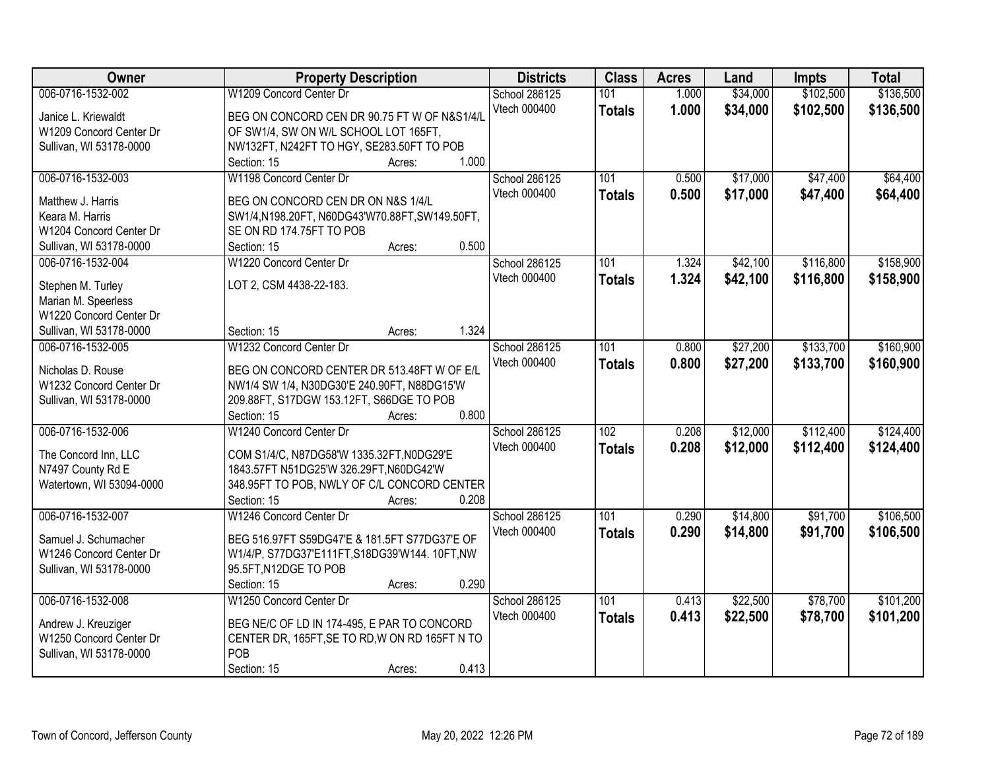| Owner                    | <b>Property Description</b>                           | <b>Districts</b> | <b>Class</b>     | <b>Acres</b> | Land     | <b>Impts</b> | <b>Total</b> |
|--------------------------|-------------------------------------------------------|------------------|------------------|--------------|----------|--------------|--------------|
| 006-0716-1532-002        | W1209 Concord Center Dr                               | School 286125    | 101              | 1.000        | \$34,000 | \$102,500    | \$136,500    |
| Janice L. Kriewaldt      | BEG ON CONCORD CEN DR 90.75 FT W OF N&S1/4/L          | Vtech 000400     | <b>Totals</b>    | 1.000        | \$34,000 | \$102,500    | \$136,500    |
| W1209 Concord Center Dr  | OF SW1/4, SW ON W/L SCHOOL LOT 165FT,                 |                  |                  |              |          |              |              |
| Sullivan, WI 53178-0000  | NW132FT, N242FT TO HGY, SE283.50FT TO POB             |                  |                  |              |          |              |              |
|                          | 1.000<br>Section: 15<br>Acres:                        |                  |                  |              |          |              |              |
| 006-0716-1532-003        | W1198 Concord Center Dr                               | School 286125    | 101              | 0.500        | \$17,000 | \$47,400     | \$64,400     |
|                          |                                                       | Vtech 000400     | <b>Totals</b>    | 0.500        | \$17,000 | \$47,400     | \$64,400     |
| Matthew J. Harris        | BEG ON CONCORD CEN DR ON N&S 1/4/L                    |                  |                  |              |          |              |              |
| Keara M. Harris          | SW1/4,N198.20FT, N60DG43'W70.88FT,SW149.50FT,         |                  |                  |              |          |              |              |
| W1204 Concord Center Dr  | SE ON RD 174.75FT TO POB                              |                  |                  |              |          |              |              |
| Sullivan, WI 53178-0000  | 0.500<br>Section: 15<br>Acres:                        |                  |                  |              |          |              |              |
| 006-0716-1532-004        | W1220 Concord Center Dr                               | School 286125    | 101              | 1.324        | \$42,100 | \$116,800    | \$158,900    |
| Stephen M. Turley        | LOT 2, CSM 4438-22-183.                               | Vtech 000400     | <b>Totals</b>    | 1.324        | \$42,100 | \$116,800    | \$158,900    |
| Marian M. Speerless      |                                                       |                  |                  |              |          |              |              |
| W1220 Concord Center Dr  |                                                       |                  |                  |              |          |              |              |
| Sullivan, WI 53178-0000  | 1.324<br>Section: 15<br>Acres:                        |                  |                  |              |          |              |              |
| 006-0716-1532-005        | W1232 Concord Center Dr                               | School 286125    | 101              | 0.800        | \$27,200 | \$133,700    | \$160,900    |
|                          |                                                       | Vtech 000400     | <b>Totals</b>    | 0.800        | \$27,200 | \$133,700    | \$160,900    |
| Nicholas D. Rouse        | BEG ON CONCORD CENTER DR 513.48FT W OF E/L            |                  |                  |              |          |              |              |
| W1232 Concord Center Dr  | NW1/4 SW 1/4, N30DG30'E 240.90FT, N88DG15'W           |                  |                  |              |          |              |              |
| Sullivan, WI 53178-0000  | 209.88FT, S17DGW 153.12FT, S66DGE TO POB              |                  |                  |              |          |              |              |
|                          | 0.800<br>Section: 15<br>Acres:                        |                  |                  |              |          |              |              |
| 006-0716-1532-006        | W1240 Concord Center Dr                               | School 286125    | $\overline{102}$ | 0.208        | \$12,000 | \$112,400    | \$124,400    |
| The Concord Inn, LLC     | COM S1/4/C, N87DG58'W 1335.32FT, N0DG29'E             | Vtech 000400     | <b>Totals</b>    | 0.208        | \$12,000 | \$112,400    | \$124,400    |
| N7497 County Rd E        | 1843.57FT N51DG25'W 326.29FT, N60DG42'W               |                  |                  |              |          |              |              |
| Watertown, WI 53094-0000 | 348.95FT TO POB, NWLY OF C/L CONCORD CENTER           |                  |                  |              |          |              |              |
|                          | 0.208<br>Section: 15<br>Acres:                        |                  |                  |              |          |              |              |
| 006-0716-1532-007        | W1246 Concord Center Dr                               | School 286125    | 101              | 0.290        | \$14,800 | \$91,700     | \$106,500    |
|                          |                                                       | Vtech 000400     |                  |              |          |              |              |
| Samuel J. Schumacher     | BEG 516.97FT S59DG47'E & 181.5FT S77DG37'E OF         |                  | <b>Totals</b>    | 0.290        | \$14,800 | \$91,700     | \$106,500    |
| W1246 Concord Center Dr  | W1/4/P, S77DG37'E111FT, S18DG39'W144. 10FT, NW        |                  |                  |              |          |              |              |
| Sullivan, WI 53178-0000  | 95.5FT, N12DGE TO POB                                 |                  |                  |              |          |              |              |
|                          | 0.290<br>Section: 15<br>Acres:                        |                  |                  |              |          |              |              |
| 006-0716-1532-008        | W1250 Concord Center Dr                               | School 286125    | 101              | 0.413        | \$22,500 | \$78,700     | \$101,200    |
|                          |                                                       | Vtech 000400     | <b>Totals</b>    | 0.413        | \$22,500 | \$78,700     | \$101,200    |
| Andrew J. Kreuziger      | BEG NE/C OF LD IN 174-495, E PAR TO CONCORD           |                  |                  |              |          |              |              |
| W1250 Concord Center Dr  | CENTER DR, 165FT, SE TO RD, W ON RD 165FT N TO<br>POB |                  |                  |              |          |              |              |
| Sullivan, WI 53178-0000  |                                                       |                  |                  |              |          |              |              |
|                          | 0.413<br>Section: 15<br>Acres:                        |                  |                  |              |          |              |              |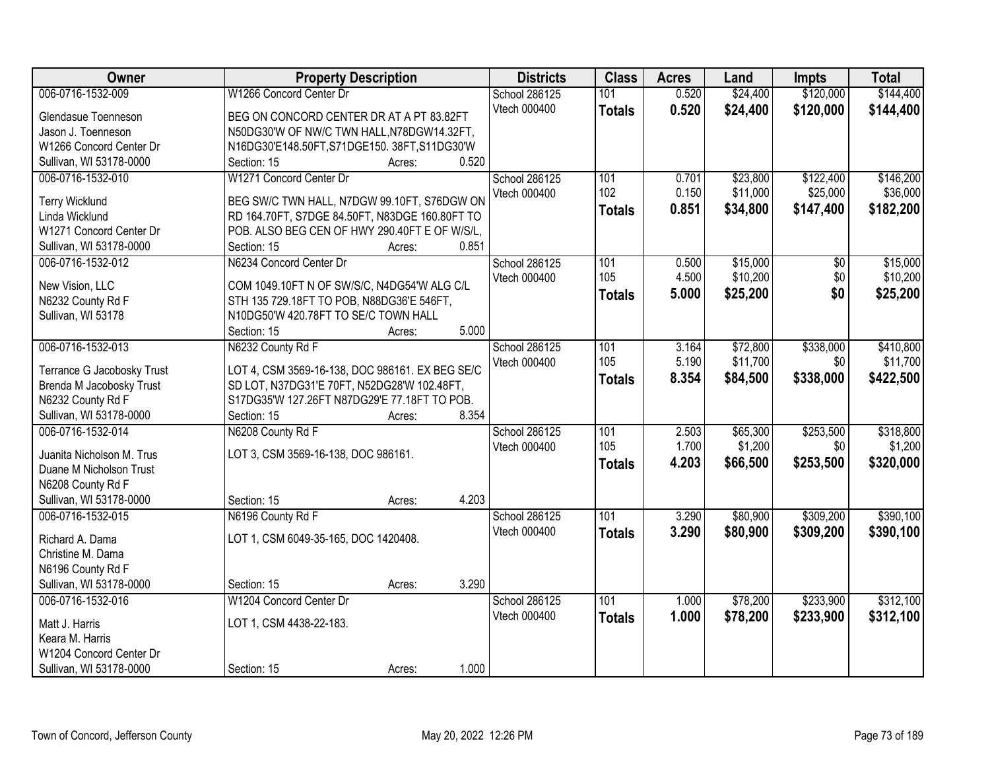| Owner                                        | <b>Property Description</b>                     | <b>Districts</b>     | <b>Class</b>     | <b>Acres</b> | Land     | <b>Impts</b> | <b>Total</b> |
|----------------------------------------------|-------------------------------------------------|----------------------|------------------|--------------|----------|--------------|--------------|
| 006-0716-1532-009                            | W1266 Concord Center Dr                         | <b>School 286125</b> | 101              | 0.520        | \$24,400 | \$120,000    | \$144,400    |
| Glendasue Toenneson                          | BEG ON CONCORD CENTER DR AT A PT 83.82FT        | Vtech 000400         | <b>Totals</b>    | 0.520        | \$24,400 | \$120,000    | \$144,400    |
| Jason J. Toenneson                           | N50DG30'W OF NW/C TWN HALL, N78DGW14.32FT,      |                      |                  |              |          |              |              |
| W1266 Concord Center Dr                      | N16DG30'E148.50FT,S71DGE150. 38FT,S11DG30'W     |                      |                  |              |          |              |              |
| Sullivan, WI 53178-0000                      | 0.520<br>Section: 15<br>Acres:                  |                      |                  |              |          |              |              |
| 006-0716-1532-010                            | W1271 Concord Center Dr                         | School 286125        | 101              | 0.701        | \$23,800 | \$122,400    | \$146,200    |
|                                              |                                                 | Vtech 000400         | 102              | 0.150        | \$11,000 | \$25,000     | \$36,000     |
| <b>Terry Wicklund</b>                        | BEG SW/C TWN HALL, N7DGW 99.10FT, S76DGW ON     |                      | <b>Totals</b>    | 0.851        | \$34,800 | \$147,400    | \$182,200    |
| Linda Wicklund                               | RD 164.70FT, S7DGE 84.50FT, N83DGE 160.80FT TO  |                      |                  |              |          |              |              |
| W1271 Concord Center Dr                      | POB. ALSO BEG CEN OF HWY 290.40FT E OF W/S/L,   |                      |                  |              |          |              |              |
| Sullivan, WI 53178-0000                      | 0.851<br>Section: 15<br>Acres:                  |                      |                  |              |          |              |              |
| 006-0716-1532-012                            | N6234 Concord Center Dr                         | School 286125        | 101              | 0.500        | \$15,000 | \$0          | \$15,000     |
| New Vision, LLC                              | COM 1049.10FT N OF SW/S/C, N4DG54'W ALG C/L     | Vtech 000400         | 105              | 4.500        | \$10,200 | \$0          | \$10,200     |
| N6232 County Rd F                            | STH 135 729.18FT TO POB, N88DG36'E 546FT,       |                      | <b>Totals</b>    | 5.000        | \$25,200 | \$0          | \$25,200     |
| Sullivan, WI 53178                           | N10DG50'W 420.78FT TO SE/C TOWN HALL            |                      |                  |              |          |              |              |
|                                              | 5.000<br>Section: 15<br>Acres:                  |                      |                  |              |          |              |              |
| 006-0716-1532-013                            | N6232 County Rd F                               | School 286125        | 101              | 3.164        | \$72,800 | \$338,000    | \$410,800    |
|                                              |                                                 | Vtech 000400         | 105              | 5.190        | \$11,700 | \$0          | \$11,700     |
| Terrance G Jacobosky Trust                   | LOT 4, CSM 3569-16-138, DOC 986161. EX BEG SE/C |                      |                  | 8.354        | \$84,500 | \$338,000    | \$422,500    |
| Brenda M Jacobosky Trust                     | SD LOT, N37DG31'E 70FT, N52DG28'W 102.48FT,     |                      | <b>Totals</b>    |              |          |              |              |
| N6232 County Rd F                            | S17DG35'W 127.26FT N87DG29'E 77.18FT TO POB.    |                      |                  |              |          |              |              |
| Sullivan, WI 53178-0000                      | 8.354<br>Section: 15<br>Acres:                  |                      |                  |              |          |              |              |
| 006-0716-1532-014                            | N6208 County Rd F                               | School 286125        | 101              | 2.503        | \$65,300 | \$253,500    | \$318,800    |
| Juanita Nicholson M. Trus                    | LOT 3, CSM 3569-16-138, DOC 986161.             | Vtech 000400         | 105              | 1.700        | \$1,200  | \$0          | \$1,200      |
| Duane M Nicholson Trust                      |                                                 |                      | <b>Totals</b>    | 4.203        | \$66,500 | \$253,500    | \$320,000    |
|                                              |                                                 |                      |                  |              |          |              |              |
| N6208 County Rd F<br>Sullivan, WI 53178-0000 | 4.203<br>Section: 15                            |                      |                  |              |          |              |              |
| 006-0716-1532-015                            | Acres:                                          |                      | $\overline{101}$ |              |          |              |              |
|                                              | N6196 County Rd F                               | School 286125        |                  | 3.290        | \$80,900 | \$309,200    | \$390,100    |
| Richard A. Dama                              | LOT 1, CSM 6049-35-165, DOC 1420408.            | Vtech 000400         | <b>Totals</b>    | 3.290        | \$80,900 | \$309,200    | \$390,100    |
| Christine M. Dama                            |                                                 |                      |                  |              |          |              |              |
| N6196 County Rd F                            |                                                 |                      |                  |              |          |              |              |
| Sullivan, WI 53178-0000                      | 3.290<br>Section: 15<br>Acres:                  |                      |                  |              |          |              |              |
| 006-0716-1532-016                            | W1204 Concord Center Dr                         | School 286125        | 101              | 1.000        | \$78,200 | \$233,900    | \$312,100    |
|                                              |                                                 | Vtech 000400         | <b>Totals</b>    | 1.000        | \$78,200 | \$233,900    | \$312,100    |
| Matt J. Harris                               | LOT 1, CSM 4438-22-183.                         |                      |                  |              |          |              |              |
| Keara M. Harris                              |                                                 |                      |                  |              |          |              |              |
| W1204 Concord Center Dr                      |                                                 |                      |                  |              |          |              |              |
| Sullivan, WI 53178-0000                      | 1.000<br>Section: 15<br>Acres:                  |                      |                  |              |          |              |              |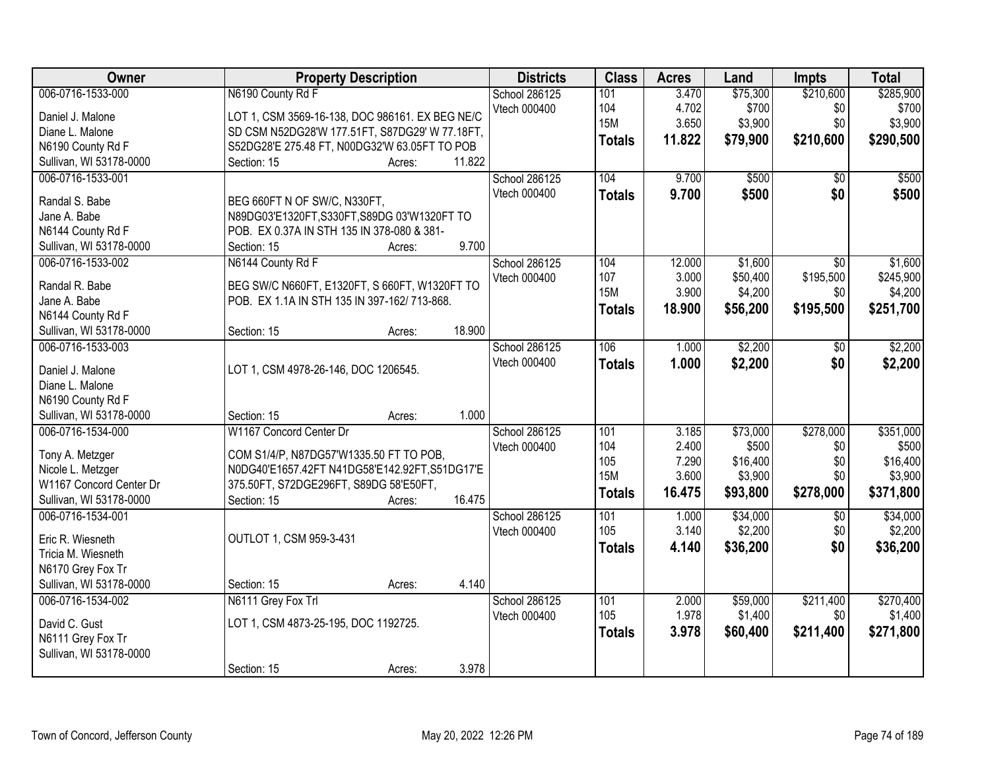| Owner                                   | <b>Property Description</b>                     | <b>Districts</b> | <b>Class</b>  | <b>Acres</b> | Land     | <b>Impts</b>    | <b>Total</b> |
|-----------------------------------------|-------------------------------------------------|------------------|---------------|--------------|----------|-----------------|--------------|
| 006-0716-1533-000                       | N6190 County Rd F                               | School 286125    | 101           | 3.470        | \$75,300 | \$210,600       | \$285,900    |
| Daniel J. Malone                        | LOT 1, CSM 3569-16-138, DOC 986161. EX BEG NE/C | Vtech 000400     | 104           | 4.702        | \$700    | \$0             | \$700        |
| Diane L. Malone                         | SD CSM N52DG28'W 177.51FT, S87DG29' W 77.18FT,  |                  | <b>15M</b>    | 3.650        | \$3,900  | \$0             | \$3,900      |
| N6190 County Rd F                       | S52DG28'E 275.48 FT, N00DG32'W 63.05FT TO POB   |                  | <b>Totals</b> | 11.822       | \$79,900 | \$210,600       | \$290,500    |
| Sullivan, WI 53178-0000                 | 11.822<br>Section: 15<br>Acres:                 |                  |               |              |          |                 |              |
| 006-0716-1533-001                       |                                                 | School 286125    | 104           | 9.700        | \$500    | $\overline{30}$ | \$500        |
| Randal S. Babe                          | BEG 660FT N OF SW/C, N330FT,                    | Vtech 000400     | <b>Totals</b> | 9.700        | \$500    | \$0             | \$500        |
| Jane A. Babe                            | N89DG03'E1320FT, S330FT, S89DG 03'W1320FT TO    |                  |               |              |          |                 |              |
| N6144 County Rd F                       | POB. EX 0.37A IN STH 135 IN 378-080 & 381-      |                  |               |              |          |                 |              |
| Sullivan, WI 53178-0000                 | 9.700<br>Section: 15<br>Acres:                  |                  |               |              |          |                 |              |
| 006-0716-1533-002                       | N6144 County Rd F                               | School 286125    | 104           | 12.000       | \$1,600  | \$0             | \$1,600      |
|                                         |                                                 | Vtech 000400     | 107           | 3.000        | \$50,400 | \$195,500       | \$245,900    |
| Randal R. Babe                          | BEG SW/C N660FT, E1320FT, S 660FT, W1320FT TO   |                  | <b>15M</b>    | 3.900        | \$4,200  | \$0             | \$4,200      |
| Jane A. Babe                            | POB. EX 1.1A IN STH 135 IN 397-162/ 713-868.    |                  | <b>Totals</b> | 18.900       | \$56,200 | \$195,500       | \$251,700    |
| N6144 County Rd F                       |                                                 |                  |               |              |          |                 |              |
| Sullivan, WI 53178-0000                 | 18.900<br>Section: 15<br>Acres:                 |                  |               |              |          |                 |              |
| 006-0716-1533-003                       |                                                 | School 286125    | 106           | 1.000        | \$2,200  | \$0             | \$2,200      |
| Daniel J. Malone                        | LOT 1, CSM 4978-26-146, DOC 1206545.            | Vtech 000400     | <b>Totals</b> | 1.000        | \$2,200  | \$0             | \$2,200      |
| Diane L. Malone                         |                                                 |                  |               |              |          |                 |              |
| N6190 County Rd F                       |                                                 |                  |               |              |          |                 |              |
| Sullivan, WI 53178-0000                 | 1.000<br>Section: 15<br>Acres:                  |                  |               |              |          |                 |              |
| 006-0716-1534-000                       | W1167 Concord Center Dr                         | School 286125    | 101           | 3.185        | \$73,000 | \$278,000       | \$351,000    |
| Tony A. Metzger                         | COM S1/4/P, N87DG57'W1335.50 FT TO POB,         | Vtech 000400     | 104           | 2.400        | \$500    | \$0             | \$500        |
| Nicole L. Metzger                       | N0DG40'E1657.42FT N41DG58'E142.92FT,S51DG17'E   |                  | 105           | 7.290        | \$16,400 | \$0             | \$16,400     |
| W1167 Concord Center Dr                 | 375.50FT, S72DGE296FT, S89DG 58'E50FT,          |                  | <b>15M</b>    | 3.600        | \$3,900  | \$0             | \$3,900      |
| Sullivan, WI 53178-0000                 | 16.475<br>Section: 15<br>Acres:                 |                  | <b>Totals</b> | 16.475       | \$93,800 | \$278,000       | \$371,800    |
| 006-0716-1534-001                       |                                                 | School 286125    | 101           | 1.000        | \$34,000 | $\overline{50}$ | \$34,000     |
|                                         |                                                 | Vtech 000400     | 105           | 3.140        | \$2,200  | \$0             | \$2,200      |
| Eric R. Wiesneth                        | OUTLOT 1, CSM 959-3-431                         |                  | <b>Totals</b> | 4.140        | \$36,200 | \$0             | \$36,200     |
| Tricia M. Wiesneth<br>N6170 Grey Fox Tr |                                                 |                  |               |              |          |                 |              |
| Sullivan, WI 53178-0000                 | 4.140                                           |                  |               |              |          |                 |              |
| 006-0716-1534-002                       | Section: 15<br>Acres:<br>N6111 Grey Fox Trl     | School 286125    | 101           | 2.000        | \$59,000 | \$211,400       | \$270,400    |
|                                         |                                                 | Vtech 000400     | 105           | 1.978        | \$1,400  | \$0             | \$1,400      |
| David C. Gust                           | LOT 1, CSM 4873-25-195, DOC 1192725.            |                  |               | 3.978        |          | \$211,400       | \$271,800    |
| N6111 Grey Fox Tr                       |                                                 |                  | <b>Totals</b> |              | \$60,400 |                 |              |
| Sullivan, WI 53178-0000                 |                                                 |                  |               |              |          |                 |              |
|                                         | 3.978<br>Section: 15<br>Acres:                  |                  |               |              |          |                 |              |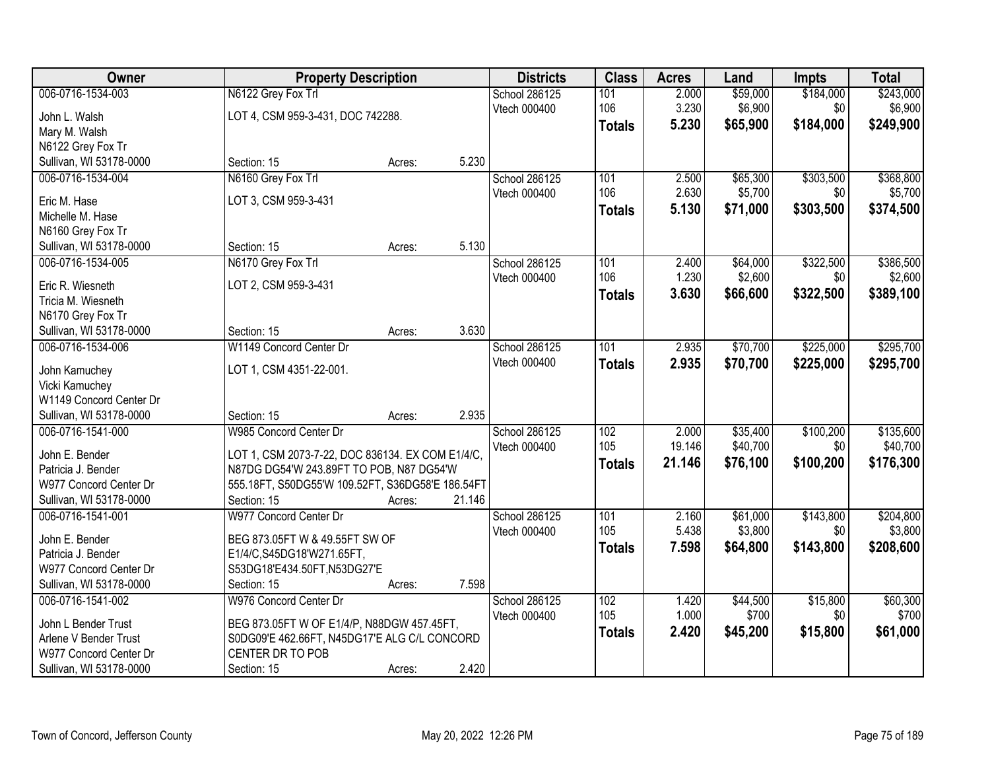| Owner                                  | <b>Property Description</b>                      |        | <b>Districts</b> | <b>Class</b>  | <b>Acres</b>    | Land                 | <b>Impts</b> | <b>Total</b> |
|----------------------------------------|--------------------------------------------------|--------|------------------|---------------|-----------------|----------------------|--------------|--------------|
| 006-0716-1534-003                      | N6122 Grey Fox Trl                               |        | School 286125    | 101           | 2.000           | \$59,000             | \$184,000    | \$243,000    |
| John L. Walsh                          | LOT 4, CSM 959-3-431, DOC 742288.                |        | Vtech 000400     | 106           | 3.230           | \$6,900              | \$0          | \$6,900      |
| Mary M. Walsh                          |                                                  |        |                  | <b>Totals</b> | 5.230           | \$65,900             | \$184,000    | \$249,900    |
| N6122 Grey Fox Tr                      |                                                  |        |                  |               |                 |                      |              |              |
| Sullivan, WI 53178-0000                | Section: 15                                      | Acres: | 5.230            |               |                 |                      |              |              |
| 006-0716-1534-004                      | N6160 Grey Fox Trl                               |        | School 286125    | 101           | 2.500           | \$65,300             | \$303,500    | \$368,800    |
| Eric M. Hase                           | LOT 3, CSM 959-3-431                             |        | Vtech 000400     | 106           | 2.630           | \$5,700              | \$0          | \$5,700      |
| Michelle M. Hase                       |                                                  |        |                  | <b>Totals</b> | 5.130           | \$71,000             | \$303,500    | \$374,500    |
| N6160 Grey Fox Tr                      |                                                  |        |                  |               |                 |                      |              |              |
| Sullivan, WI 53178-0000                | Section: 15                                      | Acres: | 5.130            |               |                 |                      |              |              |
| 006-0716-1534-005                      | N6170 Grey Fox Trl                               |        | School 286125    | 101           | 2.400           | \$64,000             | \$322,500    | \$386,500    |
|                                        |                                                  |        | Vtech 000400     | 106           | 1.230           | \$2,600              | \$0          | \$2,600      |
| Eric R. Wiesneth<br>Tricia M. Wiesneth | LOT 2, CSM 959-3-431                             |        |                  | <b>Totals</b> | 3.630           | \$66,600             | \$322,500    | \$389,100    |
| N6170 Grey Fox Tr                      |                                                  |        |                  |               |                 |                      |              |              |
| Sullivan, WI 53178-0000                | Section: 15                                      | Acres: | 3.630            |               |                 |                      |              |              |
| 006-0716-1534-006                      | W1149 Concord Center Dr                          |        | School 286125    | 101           | 2.935           | \$70,700             | \$225,000    | \$295,700    |
|                                        |                                                  |        | Vtech 000400     | <b>Totals</b> | 2.935           | \$70,700             | \$225,000    | \$295,700    |
| John Kamuchey                          | LOT 1, CSM 4351-22-001.                          |        |                  |               |                 |                      |              |              |
| Vicki Kamuchey                         |                                                  |        |                  |               |                 |                      |              |              |
| W1149 Concord Center Dr                |                                                  |        |                  |               |                 |                      |              |              |
| Sullivan, WI 53178-0000                | Section: 15                                      | Acres: | 2.935            |               |                 |                      |              |              |
| 006-0716-1541-000                      | W985 Concord Center Dr                           |        | School 286125    | 102<br>105    | 2.000<br>19.146 | \$35,400<br>\$40,700 | \$100,200    | \$135,600    |
| John E. Bender                         | LOT 1, CSM 2073-7-22, DOC 836134. EX COM E1/4/C, |        | Vtech 000400     |               | 21.146          |                      | \$0          | \$40,700     |
| Patricia J. Bender                     | N87DG DG54'W 243.89FT TO POB, N87 DG54'W         |        |                  | <b>Totals</b> |                 | \$76,100             | \$100,200    | \$176,300    |
| W977 Concord Center Dr                 | 555.18FT, S50DG55'W 109.52FT, S36DG58'E 186.54FT |        |                  |               |                 |                      |              |              |
| Sullivan, WI 53178-0000                | Section: 15                                      | Acres: | 21.146           |               |                 |                      |              |              |
| 006-0716-1541-001                      | W977 Concord Center Dr                           |        | School 286125    | 101           | 2.160           | \$61,000             | \$143,800    | \$204,800    |
| John E. Bender                         | BEG 873.05FT W & 49.55FT SW OF                   |        | Vtech 000400     | 105           | 5.438           | \$3,800              | \$0          | \$3,800      |
| Patricia J. Bender                     | E1/4/C,S45DG18'W271.65FT,                        |        |                  | <b>Totals</b> | 7.598           | \$64,800             | \$143,800    | \$208,600    |
| W977 Concord Center Dr                 | S53DG18'E434.50FT,N53DG27'E                      |        |                  |               |                 |                      |              |              |
| Sullivan, WI 53178-0000                | Section: 15                                      | Acres: | 7.598            |               |                 |                      |              |              |
| 006-0716-1541-002                      | W976 Concord Center Dr                           |        | School 286125    | 102           | 1.420           | \$44,500             | \$15,800     | \$60,300     |
| John L Bender Trust                    | BEG 873.05FT W OF E1/4/P, N88DGW 457.45FT,       |        | Vtech 000400     | 105           | 1.000           | \$700                | \$0          | \$700        |
| Arlene V Bender Trust                  | S0DG09'E 462.66FT, N45DG17'E ALG C/L CONCORD     |        |                  | <b>Totals</b> | 2.420           | \$45,200             | \$15,800     | \$61,000     |
| W977 Concord Center Dr                 | CENTER DR TO POB                                 |        |                  |               |                 |                      |              |              |
| Sullivan, WI 53178-0000                | Section: 15                                      | Acres: | 2.420            |               |                 |                      |              |              |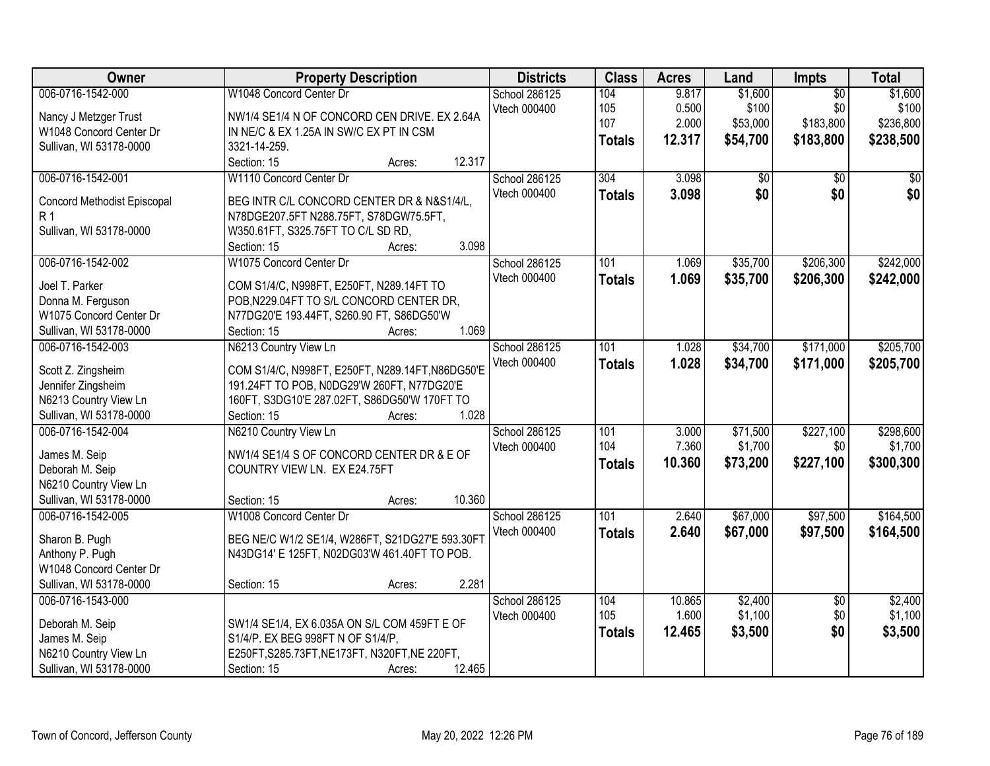| 006-0716-1542-000<br>W1048 Concord Center Dr<br>\$1,600<br>\$1,600<br>School 286125<br>104<br>9.817<br>$\overline{50}$<br>\$100<br>\$0<br>\$100<br>105<br>0.500<br>Vtech 000400<br>NW1/4 SE1/4 N OF CONCORD CEN DRIVE. EX 2.64A<br>Nancy J Metzger Trust<br>\$183,800<br>107<br>2.000<br>\$53,000<br>\$236,800<br>W1048 Concord Center Dr<br>IN NE/C & EX 1.25A IN SW/C EX PT IN CSM<br>12.317<br>\$54,700<br>\$183,800<br>\$238,500<br><b>Totals</b><br>3321-14-259.<br>Sullivan, WI 53178-0000<br>12.317<br>Section: 15<br>Acres:<br>006-0716-1542-001<br>W1110 Concord Center Dr<br>School 286125<br>304<br>3.098<br>$\overline{60}$<br>$\overline{50}$<br>\$0<br>\$0<br>Vtech 000400<br>3.098<br>\$0<br><b>Totals</b><br>BEG INTR C/L CONCORD CENTER DR & N&S1/4/L,<br>Concord Methodist Episcopal<br>R 1<br>N78DGE207.5FT N288.75FT, S78DGW75.5FT,<br>Sullivan, WI 53178-0000<br>W350.61FT, S325.75FT TO C/L SD RD,<br>3.098<br>Section: 15<br>Acres: |
|------------------------------------------------------------------------------------------------------------------------------------------------------------------------------------------------------------------------------------------------------------------------------------------------------------------------------------------------------------------------------------------------------------------------------------------------------------------------------------------------------------------------------------------------------------------------------------------------------------------------------------------------------------------------------------------------------------------------------------------------------------------------------------------------------------------------------------------------------------------------------------------------------------------------------------------------------------|
|                                                                                                                                                                                                                                                                                                                                                                                                                                                                                                                                                                                                                                                                                                                                                                                                                                                                                                                                                            |
|                                                                                                                                                                                                                                                                                                                                                                                                                                                                                                                                                                                                                                                                                                                                                                                                                                                                                                                                                            |
|                                                                                                                                                                                                                                                                                                                                                                                                                                                                                                                                                                                                                                                                                                                                                                                                                                                                                                                                                            |
|                                                                                                                                                                                                                                                                                                                                                                                                                                                                                                                                                                                                                                                                                                                                                                                                                                                                                                                                                            |
|                                                                                                                                                                                                                                                                                                                                                                                                                                                                                                                                                                                                                                                                                                                                                                                                                                                                                                                                                            |
| \$0                                                                                                                                                                                                                                                                                                                                                                                                                                                                                                                                                                                                                                                                                                                                                                                                                                                                                                                                                        |
|                                                                                                                                                                                                                                                                                                                                                                                                                                                                                                                                                                                                                                                                                                                                                                                                                                                                                                                                                            |
|                                                                                                                                                                                                                                                                                                                                                                                                                                                                                                                                                                                                                                                                                                                                                                                                                                                                                                                                                            |
|                                                                                                                                                                                                                                                                                                                                                                                                                                                                                                                                                                                                                                                                                                                                                                                                                                                                                                                                                            |
|                                                                                                                                                                                                                                                                                                                                                                                                                                                                                                                                                                                                                                                                                                                                                                                                                                                                                                                                                            |
| 006-0716-1542-002<br>W1075 Concord Center Dr<br>\$35,700<br>\$206,300<br>\$242,000<br>School 286125<br>101<br>1.069                                                                                                                                                                                                                                                                                                                                                                                                                                                                                                                                                                                                                                                                                                                                                                                                                                        |
| Vtech 000400<br>\$35,700<br>\$206,300<br>1.069<br>\$242,000<br><b>Totals</b>                                                                                                                                                                                                                                                                                                                                                                                                                                                                                                                                                                                                                                                                                                                                                                                                                                                                               |
| Joel T. Parker<br>COM S1/4/C, N998FT, E250FT, N289.14FT TO                                                                                                                                                                                                                                                                                                                                                                                                                                                                                                                                                                                                                                                                                                                                                                                                                                                                                                 |
| POB, N229.04FT TO S/L CONCORD CENTER DR,<br>Donna M. Ferguson                                                                                                                                                                                                                                                                                                                                                                                                                                                                                                                                                                                                                                                                                                                                                                                                                                                                                              |
| W1075 Concord Center Dr<br>N77DG20'E 193.44FT, S260.90 FT, S86DG50'W                                                                                                                                                                                                                                                                                                                                                                                                                                                                                                                                                                                                                                                                                                                                                                                                                                                                                       |
| 1.069<br>Sullivan, WI 53178-0000<br>Section: 15<br>Acres:                                                                                                                                                                                                                                                                                                                                                                                                                                                                                                                                                                                                                                                                                                                                                                                                                                                                                                  |
| \$205,700<br>006-0716-1542-003<br>N6213 Country View Ln<br>School 286125<br>101<br>\$34,700<br>\$171,000<br>1.028                                                                                                                                                                                                                                                                                                                                                                                                                                                                                                                                                                                                                                                                                                                                                                                                                                          |
| 1.028<br>Vtech 000400<br>\$34,700<br>\$171,000<br>\$205,700<br><b>Totals</b><br>COM S1/4/C, N998FT, E250FT, N289.14FT, N86DG50'E<br>Scott Z. Zingsheim                                                                                                                                                                                                                                                                                                                                                                                                                                                                                                                                                                                                                                                                                                                                                                                                     |
| Jennifer Zingsheim<br>191.24FT TO POB, N0DG29'W 260FT, N77DG20'E                                                                                                                                                                                                                                                                                                                                                                                                                                                                                                                                                                                                                                                                                                                                                                                                                                                                                           |
| N6213 Country View Ln<br>160FT, S3DG10'E 287.02FT, S86DG50'W 170FT TO                                                                                                                                                                                                                                                                                                                                                                                                                                                                                                                                                                                                                                                                                                                                                                                                                                                                                      |
| Sullivan, WI 53178-0000<br>1.028<br>Section: 15<br>Acres:                                                                                                                                                                                                                                                                                                                                                                                                                                                                                                                                                                                                                                                                                                                                                                                                                                                                                                  |
| \$227,100<br>006-0716-1542-004<br>$\overline{101}$<br>3.000<br>\$71,500<br>\$298,600<br>N6210 Country View Ln<br>School 286125                                                                                                                                                                                                                                                                                                                                                                                                                                                                                                                                                                                                                                                                                                                                                                                                                             |
| 104<br>7.360<br>\$1,700<br>\$0<br>\$1,700<br>Vtech 000400<br>NW1/4 SE1/4 S OF CONCORD CENTER DR & E OF                                                                                                                                                                                                                                                                                                                                                                                                                                                                                                                                                                                                                                                                                                                                                                                                                                                     |
| James M. Seip<br>\$227,100<br>10.360<br>\$73,200<br>\$300,300<br><b>Totals</b><br>Deborah M. Seip<br>COUNTRY VIEW LN. EX E24.75FT                                                                                                                                                                                                                                                                                                                                                                                                                                                                                                                                                                                                                                                                                                                                                                                                                          |
| N6210 Country View Ln                                                                                                                                                                                                                                                                                                                                                                                                                                                                                                                                                                                                                                                                                                                                                                                                                                                                                                                                      |
| 10.360<br>Sullivan, WI 53178-0000<br>Section: 15<br>Acres:                                                                                                                                                                                                                                                                                                                                                                                                                                                                                                                                                                                                                                                                                                                                                                                                                                                                                                 |
| 006-0716-1542-005<br>$\overline{101}$<br>2.640<br>\$67,000<br>\$97,500<br>\$164,500<br>W1008 Concord Center Dr<br>School 286125                                                                                                                                                                                                                                                                                                                                                                                                                                                                                                                                                                                                                                                                                                                                                                                                                            |
| Vtech 000400<br>2.640<br>\$67,000<br>\$97,500<br>\$164,500                                                                                                                                                                                                                                                                                                                                                                                                                                                                                                                                                                                                                                                                                                                                                                                                                                                                                                 |
| <b>Totals</b><br>Sharon B. Pugh<br>BEG NE/C W1/2 SE1/4, W286FT, S21DG27'E 593.30FT                                                                                                                                                                                                                                                                                                                                                                                                                                                                                                                                                                                                                                                                                                                                                                                                                                                                         |
| Anthony P. Pugh<br>N43DG14' E 125FT, N02DG03'W 461.40FT TO POB.                                                                                                                                                                                                                                                                                                                                                                                                                                                                                                                                                                                                                                                                                                                                                                                                                                                                                            |
| W1048 Concord Center Dr                                                                                                                                                                                                                                                                                                                                                                                                                                                                                                                                                                                                                                                                                                                                                                                                                                                                                                                                    |
| Sullivan, WI 53178-0000<br>2.281<br>Section: 15<br>Acres:                                                                                                                                                                                                                                                                                                                                                                                                                                                                                                                                                                                                                                                                                                                                                                                                                                                                                                  |
| 006-0716-1543-000<br>School 286125<br>10.865<br>\$2,400<br>\$2,400<br>104<br>$\overline{50}$                                                                                                                                                                                                                                                                                                                                                                                                                                                                                                                                                                                                                                                                                                                                                                                                                                                               |
| \$1,100<br>1.600<br>\$1,100<br>\$0<br>105<br>Vtech 000400<br>Deborah M. Seip<br>SW1/4 SE1/4, EX 6.035A ON S/L COM 459FT E OF                                                                                                                                                                                                                                                                                                                                                                                                                                                                                                                                                                                                                                                                                                                                                                                                                               |
| \$0<br>12.465<br>\$3,500<br>\$3,500<br><b>Totals</b><br>James M. Seip<br>S1/4/P. EX BEG 998FT N OF S1/4/P.                                                                                                                                                                                                                                                                                                                                                                                                                                                                                                                                                                                                                                                                                                                                                                                                                                                 |
| N6210 Country View Ln<br>E250FT, S285.73FT, NE173FT, N320FT, NE 220FT,                                                                                                                                                                                                                                                                                                                                                                                                                                                                                                                                                                                                                                                                                                                                                                                                                                                                                     |
| Sullivan, WI 53178-0000<br>12.465<br>Section: 15<br>Acres:                                                                                                                                                                                                                                                                                                                                                                                                                                                                                                                                                                                                                                                                                                                                                                                                                                                                                                 |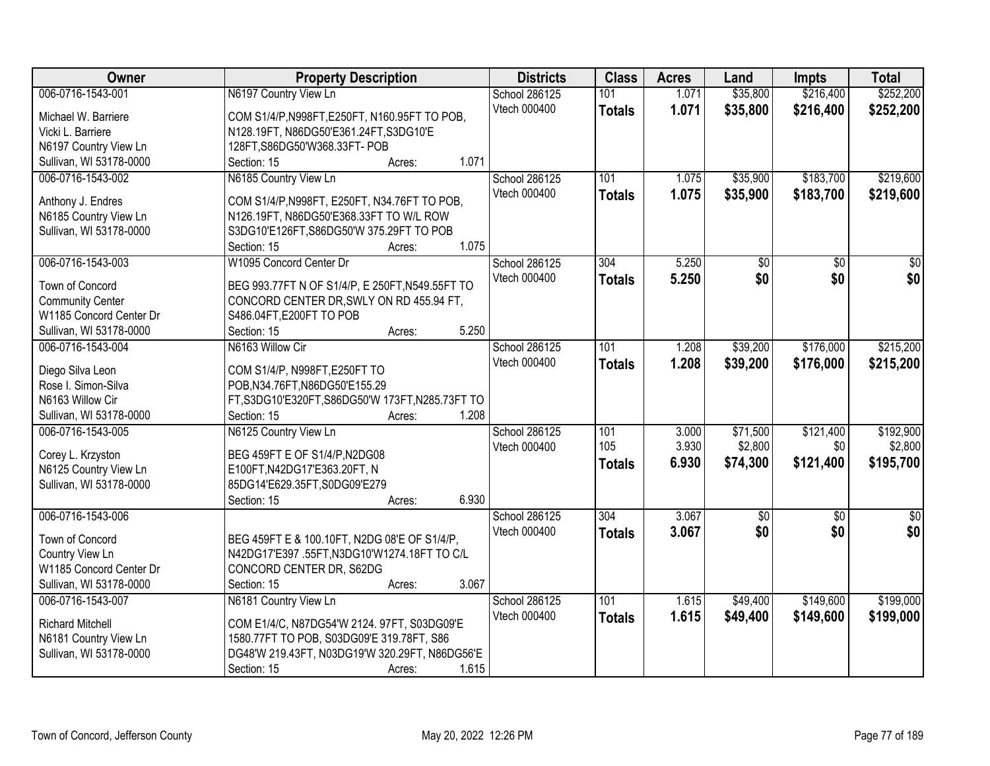| Owner                   | <b>Property Description</b>                      | <b>Districts</b> | <b>Class</b>  | <b>Acres</b> | Land            | <b>Impts</b> | <b>Total</b>    |
|-------------------------|--------------------------------------------------|------------------|---------------|--------------|-----------------|--------------|-----------------|
| 006-0716-1543-001       | N6197 Country View Ln                            | School 286125    | 101           | 1.071        | \$35,800        | \$216,400    | \$252,200       |
| Michael W. Barriere     | COM S1/4/P, N998FT, E250FT, N160.95FT TO POB,    | Vtech 000400     | <b>Totals</b> | 1.071        | \$35,800        | \$216,400    | \$252,200       |
| Vicki L. Barriere       | N128.19FT, N86DG50'E361.24FT, S3DG10'E           |                  |               |              |                 |              |                 |
| N6197 Country View Ln   | 128FT, S86DG50'W368.33FT-POB                     |                  |               |              |                 |              |                 |
| Sullivan, WI 53178-0000 | 1.071<br>Section: 15<br>Acres:                   |                  |               |              |                 |              |                 |
| 006-0716-1543-002       | N6185 Country View Ln                            | School 286125    | 101           | 1.075        | \$35,900        | \$183,700    | \$219,600       |
|                         |                                                  | Vtech 000400     | <b>Totals</b> | 1.075        | \$35,900        | \$183,700    | \$219,600       |
| Anthony J. Endres       | COM S1/4/P, N998FT, E250FT, N34.76FT TO POB,     |                  |               |              |                 |              |                 |
| N6185 Country View Ln   | N126.19FT, N86DG50'E368.33FT TO W/L ROW          |                  |               |              |                 |              |                 |
| Sullivan, WI 53178-0000 | S3DG10'E126FT, S86DG50'W 375.29FT TO POB         |                  |               |              |                 |              |                 |
|                         | 1.075<br>Section: 15<br>Acres:                   |                  |               |              |                 |              |                 |
| 006-0716-1543-003       | W1095 Concord Center Dr                          | School 286125    | 304           | 5.250        | $\overline{50}$ | \$0          | $\overline{30}$ |
| Town of Concord         | BEG 993.77FT N OF S1/4/P, E 250FT, N549.55FT TO  | Vtech 000400     | <b>Totals</b> | 5.250        | \$0             | \$0          | \$0             |
| <b>Community Center</b> | CONCORD CENTER DR, SWLY ON RD 455.94 FT,         |                  |               |              |                 |              |                 |
| W1185 Concord Center Dr | S486.04FT, E200FT TO POB                         |                  |               |              |                 |              |                 |
| Sullivan, WI 53178-0000 | 5.250<br>Section: 15<br>Acres:                   |                  |               |              |                 |              |                 |
| 006-0716-1543-004       | N6163 Willow Cir                                 | School 286125    | 101           | 1.208        | \$39,200        | \$176,000    | \$215,200       |
|                         |                                                  | Vtech 000400     | <b>Totals</b> | 1.208        | \$39,200        | \$176,000    | \$215,200       |
| Diego Silva Leon        | COM S1/4/P, N998FT, E250FT TO                    |                  |               |              |                 |              |                 |
| Rose I. Simon-Silva     | POB, N34.76FT, N86DG50'E155.29                   |                  |               |              |                 |              |                 |
| N6163 Willow Cir        | FT, S3DG10'E320FT, S86DG50'W 173FT, N285.73FT TO |                  |               |              |                 |              |                 |
| Sullivan, WI 53178-0000 | 1.208<br>Section: 15<br>Acres:                   |                  |               |              |                 |              |                 |
| 006-0716-1543-005       | N6125 Country View Ln                            | School 286125    | 101           | 3.000        | \$71,500        | \$121,400    | \$192,900       |
| Corey L. Krzyston       | BEG 459FT E OF S1/4/P, N2DG08                    | Vtech 000400     | 105           | 3.930        | \$2,800         | \$0          | \$2,800         |
| N6125 Country View Ln   | E100FT, N42DG17'E363.20FT, N                     |                  | <b>Totals</b> | 6.930        | \$74,300        | \$121,400    | \$195,700       |
| Sullivan, WI 53178-0000 | 85DG14'E629.35FT,S0DG09'E279                     |                  |               |              |                 |              |                 |
|                         | 6.930<br>Section: 15<br>Acres:                   |                  |               |              |                 |              |                 |
| 006-0716-1543-006       |                                                  | School 286125    | 304           | 3.067        | $\sqrt{$0}$     | \$0          | $\sqrt{50}$     |
|                         |                                                  | Vtech 000400     | <b>Totals</b> | 3.067        | \$0             | \$0          | \$0             |
| Town of Concord         | BEG 459FT E & 100.10FT, N2DG 08'E OF S1/4/P,     |                  |               |              |                 |              |                 |
| Country View Ln         | N42DG17'E397 .55FT, N3DG10'W1274.18FT TO C/L     |                  |               |              |                 |              |                 |
| W1185 Concord Center Dr | CONCORD CENTER DR, S62DG                         |                  |               |              |                 |              |                 |
| Sullivan, WI 53178-0000 | 3.067<br>Section: 15<br>Acres:                   |                  |               |              |                 |              |                 |
| 006-0716-1543-007       | N6181 Country View Ln                            | School 286125    | 101           | 1.615        | \$49,400        | \$149,600    | \$199,000       |
| <b>Richard Mitchell</b> | COM E1/4/C, N87DG54'W 2124. 97FT, S03DG09'E      | Vtech 000400     | <b>Totals</b> | 1.615        | \$49,400        | \$149,600    | \$199,000       |
| N6181 Country View Ln   | 1580.77FT TO POB, S03DG09'E 319.78FT, S86        |                  |               |              |                 |              |                 |
| Sullivan, WI 53178-0000 | DG48'W 219.43FT, N03DG19'W 320.29FT, N86DG56'E   |                  |               |              |                 |              |                 |
|                         | 1.615<br>Section: 15<br>Acres:                   |                  |               |              |                 |              |                 |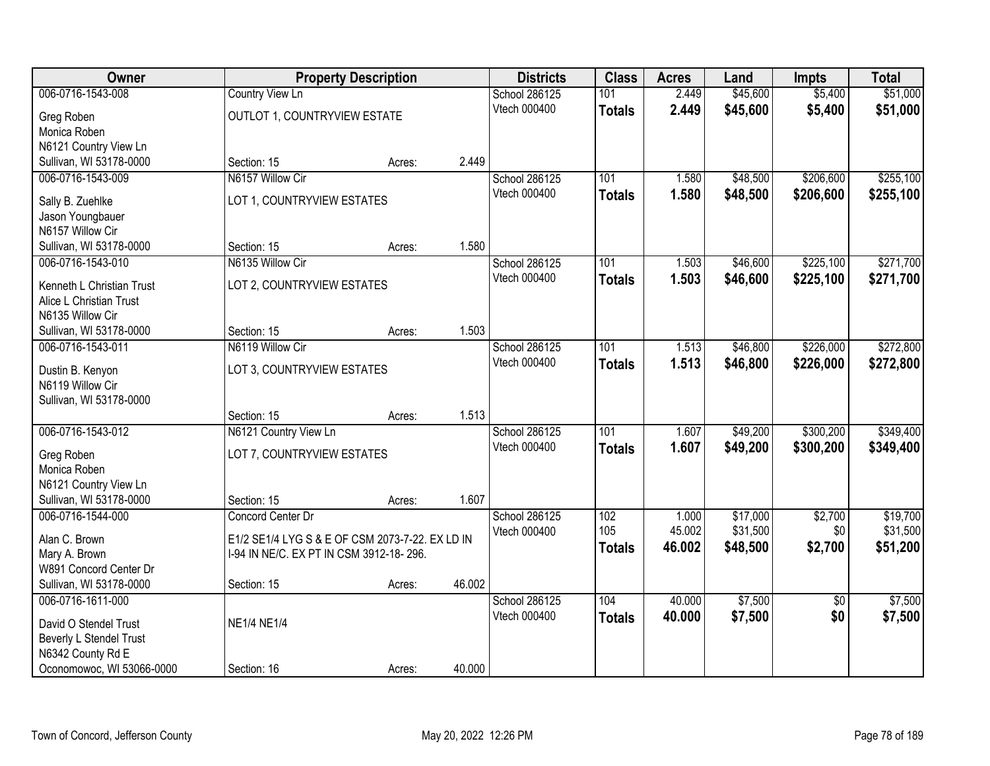| Owner                                                | <b>Property Description</b>                     |        |        | <b>Districts</b> | <b>Class</b>  | <b>Acres</b>    | Land                 | <b>Impts</b>    | <b>Total</b>         |
|------------------------------------------------------|-------------------------------------------------|--------|--------|------------------|---------------|-----------------|----------------------|-----------------|----------------------|
| 006-0716-1543-008                                    | <b>Country View Ln</b>                          |        |        | School 286125    | 101           | 2.449           | \$45,600             | \$5,400         | \$51,000             |
| Greg Roben                                           | OUTLOT 1, COUNTRYVIEW ESTATE                    |        |        | Vtech 000400     | <b>Totals</b> | 2.449           | \$45,600             | \$5,400         | \$51,000             |
| Monica Roben                                         |                                                 |        |        |                  |               |                 |                      |                 |                      |
| N6121 Country View Ln                                |                                                 |        |        |                  |               |                 |                      |                 |                      |
| Sullivan, WI 53178-0000                              | Section: 15                                     | Acres: | 2.449  |                  |               |                 |                      |                 |                      |
| 006-0716-1543-009                                    | N6157 Willow Cir                                |        |        | School 286125    | 101           | 1.580           | \$48,500             | \$206,600       | \$255,100            |
| Sally B. Zuehlke                                     | LOT 1, COUNTRYVIEW ESTATES                      |        |        | Vtech 000400     | <b>Totals</b> | 1.580           | \$48,500             | \$206,600       | \$255,100            |
| Jason Youngbauer                                     |                                                 |        |        |                  |               |                 |                      |                 |                      |
| N6157 Willow Cir                                     |                                                 |        |        |                  |               |                 |                      |                 |                      |
| Sullivan, WI 53178-0000                              | Section: 15                                     | Acres: | 1.580  |                  |               |                 |                      |                 |                      |
| 006-0716-1543-010                                    | N6135 Willow Cir                                |        |        | School 286125    | 101           | 1.503           | \$46,600             | \$225,100       | \$271,700            |
|                                                      |                                                 |        |        | Vtech 000400     | <b>Totals</b> | 1.503           | \$46,600             | \$225,100       | \$271,700            |
| Kenneth L Christian Trust<br>Alice L Christian Trust | LOT 2, COUNTRYVIEW ESTATES                      |        |        |                  |               |                 |                      |                 |                      |
| N6135 Willow Cir                                     |                                                 |        |        |                  |               |                 |                      |                 |                      |
| Sullivan, WI 53178-0000                              | Section: 15                                     | Acres: | 1.503  |                  |               |                 |                      |                 |                      |
| 006-0716-1543-011                                    | N6119 Willow Cir                                |        |        | School 286125    | 101           | 1.513           | \$46,800             | \$226,000       | \$272,800            |
|                                                      |                                                 |        |        | Vtech 000400     | <b>Totals</b> | 1.513           | \$46,800             | \$226,000       | \$272,800            |
| Dustin B. Kenyon                                     | LOT 3, COUNTRYVIEW ESTATES                      |        |        |                  |               |                 |                      |                 |                      |
| N6119 Willow Cir                                     |                                                 |        |        |                  |               |                 |                      |                 |                      |
| Sullivan, WI 53178-0000                              | Section: 15                                     | Acres: | 1.513  |                  |               |                 |                      |                 |                      |
| 006-0716-1543-012                                    | N6121 Country View Ln                           |        |        | School 286125    | 101           | 1.607           | \$49,200             | \$300,200       | \$349,400            |
|                                                      |                                                 |        |        | Vtech 000400     | <b>Totals</b> | 1.607           | \$49,200             | \$300,200       | \$349,400            |
| Greg Roben                                           | LOT 7, COUNTRYVIEW ESTATES                      |        |        |                  |               |                 |                      |                 |                      |
| Monica Roben                                         |                                                 |        |        |                  |               |                 |                      |                 |                      |
| N6121 Country View Ln                                |                                                 |        |        |                  |               |                 |                      |                 |                      |
| Sullivan, WI 53178-0000                              | Section: 15                                     | Acres: | 1.607  |                  |               |                 |                      |                 |                      |
| 006-0716-1544-000                                    | Concord Center Dr                               |        |        | School 286125    | 102<br>105    | 1.000<br>45.002 | \$17,000<br>\$31,500 | \$2,700<br>\$0  | \$19,700<br>\$31,500 |
| Alan C. Brown                                        | E1/2 SE1/4 LYG S & E OF CSM 2073-7-22. EX LD IN |        |        | Vtech 000400     |               |                 |                      |                 |                      |
| Mary A. Brown                                        | I-94 IN NE/C. EX PT IN CSM 3912-18-296.         |        |        |                  | <b>Totals</b> | 46.002          | \$48,500             | \$2,700         | \$51,200             |
| W891 Concord Center Dr                               |                                                 |        |        |                  |               |                 |                      |                 |                      |
| Sullivan, WI 53178-0000                              | Section: 15                                     | Acres: | 46.002 |                  |               |                 |                      |                 |                      |
| 006-0716-1611-000                                    |                                                 |        |        | School 286125    | 104           | 40.000          | \$7,500              | $\overline{50}$ | \$7,500              |
| David O Stendel Trust                                | <b>NE1/4 NE1/4</b>                              |        |        | Vtech 000400     | <b>Totals</b> | 40.000          | \$7,500              | \$0             | \$7,500              |
| Beverly L Stendel Trust                              |                                                 |        |        |                  |               |                 |                      |                 |                      |
| N6342 County Rd E                                    |                                                 |        |        |                  |               |                 |                      |                 |                      |
| Oconomowoc, WI 53066-0000                            | Section: 16                                     | Acres: | 40.000 |                  |               |                 |                      |                 |                      |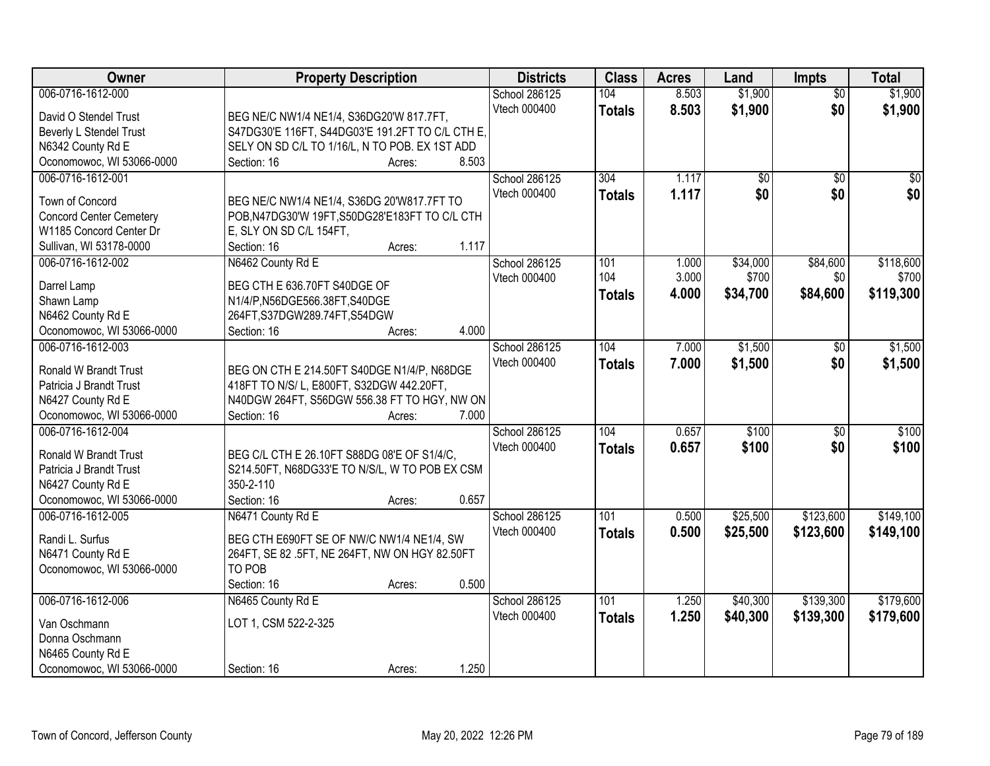| Owner                          | <b>Property Description</b>                      |        |       | <b>Districts</b>     | <b>Class</b>  | <b>Acres</b> | Land     | Impts           | <b>Total</b>    |
|--------------------------------|--------------------------------------------------|--------|-------|----------------------|---------------|--------------|----------|-----------------|-----------------|
| 006-0716-1612-000              |                                                  |        |       | <b>School 286125</b> | 104           | 8.503        | \$1,900  | $\overline{50}$ | \$1,900         |
| David O Stendel Trust          | BEG NE/C NW1/4 NE1/4, S36DG20'W 817.7FT,         |        |       | Vtech 000400         | <b>Totals</b> | 8.503        | \$1,900  | \$0             | \$1,900         |
| Beverly L Stendel Trust        | S47DG30'E 116FT, S44DG03'E 191.2FT TO C/L CTH E, |        |       |                      |               |              |          |                 |                 |
| N6342 County Rd E              | SELY ON SD C/L TO 1/16/L, N TO POB. EX 1ST ADD   |        |       |                      |               |              |          |                 |                 |
| Oconomowoc, WI 53066-0000      | Section: 16                                      | Acres: | 8.503 |                      |               |              |          |                 |                 |
| 006-0716-1612-001              |                                                  |        |       | <b>School 286125</b> | 304           | 1.117        | \$0      | $\overline{50}$ | $\overline{50}$ |
|                                |                                                  |        |       | Vtech 000400         | <b>Totals</b> | 1.117        | \$0      | \$0             | \$0             |
| Town of Concord                | BEG NE/C NW1/4 NE1/4, S36DG 20'W817.7FT TO       |        |       |                      |               |              |          |                 |                 |
| <b>Concord Center Cemetery</b> | POB, N47DG30'W 19FT, S50DG28'E183FT TO C/L CTH   |        |       |                      |               |              |          |                 |                 |
| W1185 Concord Center Dr        | E, SLY ON SD C/L 154FT,                          |        |       |                      |               |              |          |                 |                 |
| Sullivan, WI 53178-0000        | Section: 16                                      | Acres: | 1.117 |                      |               |              |          |                 |                 |
| 006-0716-1612-002              | N6462 County Rd E                                |        |       | School 286125        | 101           | 1.000        | \$34,000 | \$84,600        | \$118,600       |
| Darrel Lamp                    | BEG CTH E 636.70FT S40DGE OF                     |        |       | Vtech 000400         | 104           | 3.000        | \$700    | \$0             | \$700           |
| Shawn Lamp                     | N1/4/P,N56DGE566.38FT,S40DGE                     |        |       |                      | <b>Totals</b> | 4.000        | \$34,700 | \$84,600        | \$119,300       |
| N6462 County Rd E              | 264FT, S37DGW289.74FT, S54DGW                    |        |       |                      |               |              |          |                 |                 |
| Oconomowoc, WI 53066-0000      | Section: 16                                      | Acres: | 4.000 |                      |               |              |          |                 |                 |
| 006-0716-1612-003              |                                                  |        |       | School 286125        | 104           | 7.000        | \$1,500  | \$0             | \$1,500         |
|                                |                                                  |        |       | Vtech 000400         | <b>Totals</b> | 7.000        | \$1,500  | \$0             | \$1,500         |
| Ronald W Brandt Trust          | BEG ON CTH E 214.50FT S40DGE N1/4/P, N68DGE      |        |       |                      |               |              |          |                 |                 |
| Patricia J Brandt Trust        | 418FT TO N/S/L, E800FT, S32DGW 442.20FT,         |        |       |                      |               |              |          |                 |                 |
| N6427 County Rd E              | N40DGW 264FT, S56DGW 556.38 FT TO HGY, NW ON     |        |       |                      |               |              |          |                 |                 |
| Oconomowoc, WI 53066-0000      | Section: 16                                      | Acres: | 7.000 |                      |               |              |          |                 |                 |
| 006-0716-1612-004              |                                                  |        |       | School 286125        | 104           | 0.657        | \$100    | $\overline{50}$ | \$100           |
| Ronald W Brandt Trust          | BEG C/L CTH E 26.10FT S88DG 08'E OF S1/4/C,      |        |       | Vtech 000400         | <b>Totals</b> | 0.657        | \$100    | \$0             | \$100           |
| Patricia J Brandt Trust        | S214.50FT, N68DG33'E TO N/S/L, W TO POB EX CSM   |        |       |                      |               |              |          |                 |                 |
| N6427 County Rd E              | 350-2-110                                        |        |       |                      |               |              |          |                 |                 |
| Oconomowoc, WI 53066-0000      | Section: 16                                      | Acres: | 0.657 |                      |               |              |          |                 |                 |
| 006-0716-1612-005              | N6471 County Rd E                                |        |       | School 286125        | 101           | 0.500        | \$25,500 | \$123,600       | \$149,100       |
|                                |                                                  |        |       | Vtech 000400         | <b>Totals</b> | 0.500        | \$25,500 | \$123,600       | \$149,100       |
| Randi L. Surfus                | BEG CTH E690FT SE OF NW/C NW1/4 NE1/4, SW        |        |       |                      |               |              |          |                 |                 |
| N6471 County Rd E              | 264FT, SE 82 .5FT, NE 264FT, NW ON HGY 82.50FT   |        |       |                      |               |              |          |                 |                 |
| Oconomowoc, WI 53066-0000      | TO POB                                           |        |       |                      |               |              |          |                 |                 |
|                                | Section: 16                                      | Acres: | 0.500 |                      |               |              |          |                 |                 |
| 006-0716-1612-006              | N6465 County Rd E                                |        |       | School 286125        | 101           | 1.250        | \$40,300 | \$139,300       | \$179,600       |
| Van Oschmann                   | LOT 1, CSM 522-2-325                             |        |       | Vtech 000400         | <b>Totals</b> | 1.250        | \$40,300 | \$139,300       | \$179,600       |
| Donna Oschmann                 |                                                  |        |       |                      |               |              |          |                 |                 |
| N6465 County Rd E              |                                                  |        |       |                      |               |              |          |                 |                 |
| Oconomowoc, WI 53066-0000      | Section: 16                                      | Acres: | 1.250 |                      |               |              |          |                 |                 |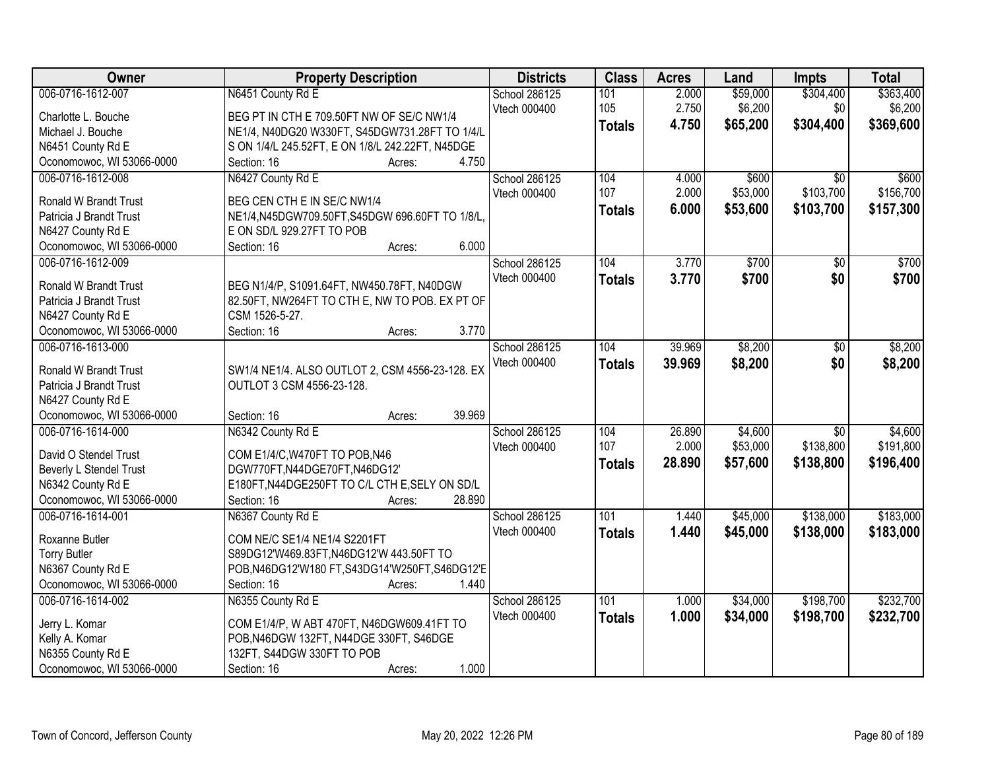| Owner                                                   | <b>Property Description</b>                                                 | <b>Districts</b>     | <b>Class</b>  | <b>Acres</b> | Land     | <b>Impts</b>    | <b>Total</b> |
|---------------------------------------------------------|-----------------------------------------------------------------------------|----------------------|---------------|--------------|----------|-----------------|--------------|
| 006-0716-1612-007                                       | N6451 County Rd E                                                           | <b>School 286125</b> | 101           | 2.000        | \$59,000 | \$304,400       | \$363,400    |
| Charlotte L. Bouche                                     | BEG PT IN CTH E 709.50FT NW OF SE/C NW1/4                                   | Vtech 000400         | 105           | 2.750        | \$6,200  | \$0             | \$6,200      |
| Michael J. Bouche                                       | NE1/4, N40DG20 W330FT, S45DGW731.28FT TO 1/4/L                              |                      | <b>Totals</b> | 4.750        | \$65,200 | \$304,400       | \$369,600    |
| N6451 County Rd E                                       | S ON 1/4/L 245.52FT, E ON 1/8/L 242.22FT, N45DGE                            |                      |               |              |          |                 |              |
| Oconomowoc, WI 53066-0000                               | 4.750<br>Section: 16<br>Acres:                                              |                      |               |              |          |                 |              |
| 006-0716-1612-008                                       | N6427 County Rd E                                                           | <b>School 286125</b> | 104           | 4.000        | \$600    | $\overline{50}$ | \$600        |
|                                                         |                                                                             | Vtech 000400         | 107           | 2.000        | \$53,000 | \$103,700       | \$156,700    |
| <b>Ronald W Brandt Trust</b><br>Patricia J Brandt Trust | BEG CEN CTH E IN SE/C NW1/4                                                 |                      | <b>Totals</b> | 6.000        | \$53,600 | \$103,700       | \$157,300    |
|                                                         | NE1/4,N45DGW709.50FT,S45DGW 696.60FT TO 1/8/L,<br>E ON SD/L 929.27FT TO POB |                      |               |              |          |                 |              |
| N6427 County Rd E<br>Oconomowoc, WI 53066-0000          | 6.000<br>Section: 16<br>Acres:                                              |                      |               |              |          |                 |              |
| 006-0716-1612-009                                       |                                                                             | School 286125        | 104           | 3.770        | \$700    | $\overline{50}$ | \$700        |
|                                                         |                                                                             | Vtech 000400         |               |              |          |                 |              |
| Ronald W Brandt Trust                                   | BEG N1/4/P, S1091.64FT, NW450.78FT, N40DGW                                  |                      | <b>Totals</b> | 3.770        | \$700    | \$0             | \$700        |
| Patricia J Brandt Trust                                 | 82.50FT, NW264FT TO CTH E, NW TO POB. EX PT OF                              |                      |               |              |          |                 |              |
| N6427 County Rd E                                       | CSM 1526-5-27.                                                              |                      |               |              |          |                 |              |
| Oconomowoc, WI 53066-0000                               | 3.770<br>Section: 16<br>Acres:                                              |                      |               |              |          |                 |              |
| 006-0716-1613-000                                       |                                                                             | School 286125        | 104           | 39.969       | \$8,200  | \$0             | \$8,200      |
| <b>Ronald W Brandt Trust</b>                            | SW1/4 NE1/4. ALSO OUTLOT 2, CSM 4556-23-128. EX                             | Vtech 000400         | <b>Totals</b> | 39.969       | \$8,200  | \$0             | \$8,200      |
| Patricia J Brandt Trust                                 | OUTLOT 3 CSM 4556-23-128.                                                   |                      |               |              |          |                 |              |
| N6427 County Rd E                                       |                                                                             |                      |               |              |          |                 |              |
| Oconomowoc, WI 53066-0000                               | 39.969<br>Section: 16<br>Acres:                                             |                      |               |              |          |                 |              |
| 006-0716-1614-000                                       | N6342 County Rd E                                                           | School 286125        | 104           | 26.890       | \$4,600  | $\overline{50}$ | \$4,600      |
|                                                         |                                                                             | Vtech 000400         | 107           | 2.000        | \$53,000 | \$138,800       | \$191,800    |
| David O Stendel Trust                                   | COM E1/4/C, W470FT TO POB, N46                                              |                      | <b>Totals</b> | 28.890       | \$57,600 | \$138,800       | \$196,400    |
| Beverly L Stendel Trust                                 | DGW770FT,N44DGE70FT,N46DG12'                                                |                      |               |              |          |                 |              |
| N6342 County Rd E                                       | E180FT, N44DGE250FT TO C/L CTH E, SELY ON SD/L                              |                      |               |              |          |                 |              |
| Oconomowoc, WI 53066-0000                               | 28.890<br>Section: 16<br>Acres:                                             |                      |               |              |          |                 |              |
| 006-0716-1614-001                                       | N6367 County Rd E                                                           | School 286125        | 101           | 1.440        | \$45,000 | \$138,000       | \$183,000    |
| Roxanne Butler                                          | COM NE/C SE1/4 NE1/4 S2201FT                                                | Vtech 000400         | <b>Totals</b> | 1.440        | \$45,000 | \$138,000       | \$183,000    |
| <b>Torry Butler</b>                                     | S89DG12'W469.83FT,N46DG12'W 443.50FT TO                                     |                      |               |              |          |                 |              |
| N6367 County Rd E                                       | POB, N46DG12'W180 FT, S43DG14'W250FT, S46DG12'E                             |                      |               |              |          |                 |              |
| Oconomowoc, WI 53066-0000                               | 1.440<br>Section: 16<br>Acres:                                              |                      |               |              |          |                 |              |
| 006-0716-1614-002                                       | N6355 County Rd E                                                           | School 286125        | 101           | 1.000        | \$34,000 | \$198,700       | \$232,700    |
|                                                         |                                                                             | Vtech 000400         | <b>Totals</b> | 1.000        | \$34,000 | \$198,700       | \$232,700    |
| Jerry L. Komar                                          | COM E1/4/P, W ABT 470FT, N46DGW609.41FT TO                                  |                      |               |              |          |                 |              |
| Kelly A. Komar<br>N6355 County Rd E                     | POB, N46DGW 132FT, N44DGE 330FT, S46DGE<br>132FT, S44DGW 330FT TO POB       |                      |               |              |          |                 |              |
|                                                         | 1.000                                                                       |                      |               |              |          |                 |              |
| Oconomowoc, WI 53066-0000                               | Section: 16<br>Acres:                                                       |                      |               |              |          |                 |              |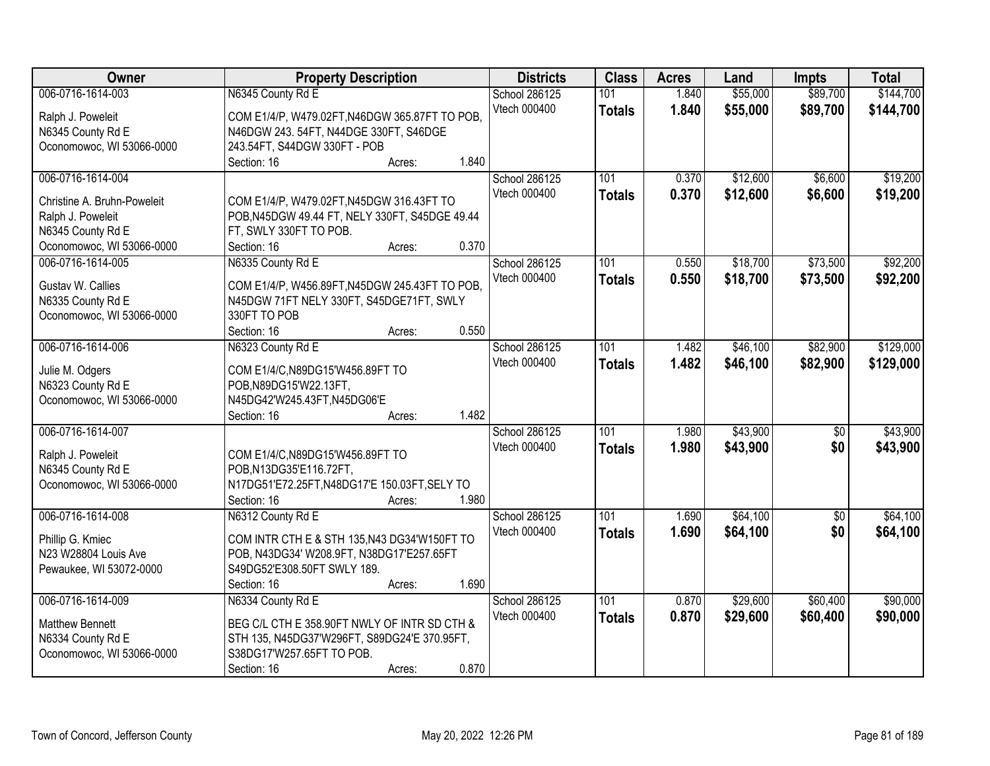| Owner                       | <b>Property Description</b>                    | <b>Districts</b> | <b>Class</b>     | <b>Acres</b> | Land     | <b>Impts</b>    | <b>Total</b> |
|-----------------------------|------------------------------------------------|------------------|------------------|--------------|----------|-----------------|--------------|
| 006-0716-1614-003           | N6345 County Rd E                              | School 286125    | 101              | 1.840        | \$55,000 | \$89,700        | \$144,700    |
| Ralph J. Poweleit           | COM E1/4/P, W479.02FT, N46DGW 365.87FT TO POB, | Vtech 000400     | <b>Totals</b>    | 1.840        | \$55,000 | \$89,700        | \$144,700    |
| N6345 County Rd E           | N46DGW 243. 54FT, N44DGE 330FT, S46DGE         |                  |                  |              |          |                 |              |
| Oconomowoc, WI 53066-0000   | 243.54FT, S44DGW 330FT - POB                   |                  |                  |              |          |                 |              |
|                             | 1.840<br>Section: 16<br>Acres:                 |                  |                  |              |          |                 |              |
| 006-0716-1614-004           |                                                | School 286125    | 101              | 0.370        | \$12,600 | \$6,600         | \$19,200     |
|                             |                                                | Vtech 000400     | <b>Totals</b>    | 0.370        | \$12,600 | \$6,600         | \$19,200     |
| Christine A. Bruhn-Poweleit | COM E1/4/P, W479.02FT, N45DGW 316.43FT TO      |                  |                  |              |          |                 |              |
| Ralph J. Poweleit           | POB, N45DGW 49.44 FT, NELY 330FT, S45DGE 49.44 |                  |                  |              |          |                 |              |
| N6345 County Rd E           | FT, SWLY 330FT TO POB.<br>0.370                |                  |                  |              |          |                 |              |
| Oconomowoc, WI 53066-0000   | Section: 16<br>Acres:                          |                  |                  |              |          |                 |              |
| 006-0716-1614-005           | N6335 County Rd E                              | School 286125    | 101              | 0.550        | \$18,700 | \$73,500        | \$92,200     |
| Gustav W. Callies           | COM E1/4/P, W456.89FT, N45DGW 245.43FT TO POB, | Vtech 000400     | <b>Totals</b>    | 0.550        | \$18,700 | \$73,500        | \$92,200     |
| N6335 County Rd E           | N45DGW 71FT NELY 330FT, S45DGE71FT, SWLY       |                  |                  |              |          |                 |              |
| Oconomowoc, WI 53066-0000   | 330FT TO POB                                   |                  |                  |              |          |                 |              |
|                             | 0.550<br>Section: 16<br>Acres:                 |                  |                  |              |          |                 |              |
| 006-0716-1614-006           | N6323 County Rd E                              | School 286125    | 101              | 1.482        | \$46,100 | \$82,900        | \$129,000    |
|                             |                                                | Vtech 000400     | <b>Totals</b>    | 1.482        | \$46,100 | \$82,900        | \$129,000    |
| Julie M. Odgers             | COM E1/4/C, N89DG15'W456.89FT TO               |                  |                  |              |          |                 |              |
| N6323 County Rd E           | POB, N89DG15'W22.13FT,                         |                  |                  |              |          |                 |              |
| Oconomowoc, WI 53066-0000   | N45DG42'W245.43FT,N45DG06'E<br>1.482           |                  |                  |              |          |                 |              |
| 006-0716-1614-007           | Section: 16<br>Acres:                          |                  | $\overline{101}$ |              |          |                 | \$43,900     |
|                             |                                                | School 286125    |                  | 1.980        | \$43,900 | $\overline{50}$ |              |
| Ralph J. Poweleit           | COM E1/4/C, N89DG15'W456.89FT TO               | Vtech 000400     | <b>Totals</b>    | 1.980        | \$43,900 | \$0             | \$43,900     |
| N6345 County Rd E           | POB, N13DG35'E116.72FT,                        |                  |                  |              |          |                 |              |
| Oconomowoc, WI 53066-0000   | N17DG51'E72.25FT, N48DG17'E 150.03FT, SELY TO  |                  |                  |              |          |                 |              |
|                             | Section: 16<br>1.980<br>Acres:                 |                  |                  |              |          |                 |              |
| 006-0716-1614-008           | N6312 County Rd E                              | School 286125    | 101              | 1.690        | \$64,100 | $\overline{60}$ | \$64,100     |
| Phillip G. Kmiec            | COM INTR CTH E & STH 135, N43 DG34'W150FT TO   | Vtech 000400     | <b>Totals</b>    | 1.690        | \$64,100 | \$0             | \$64,100     |
| N23 W28804 Louis Ave        | POB, N43DG34' W208.9FT, N38DG17'E257.65FT      |                  |                  |              |          |                 |              |
| Pewaukee, WI 53072-0000     | S49DG52'E308.50FT SWLY 189.                    |                  |                  |              |          |                 |              |
|                             | 1.690<br>Section: 16<br>Acres:                 |                  |                  |              |          |                 |              |
| 006-0716-1614-009           | N6334 County Rd E                              | School 286125    | 101              | 0.870        | \$29,600 | \$60,400        | \$90,000     |
|                             |                                                | Vtech 000400     |                  | 0.870        | \$29,600 | \$60,400        | \$90,000     |
| <b>Matthew Bennett</b>      | BEG C/L CTH E 358.90FT NWLY OF INTR SD CTH &   |                  | <b>Totals</b>    |              |          |                 |              |
| N6334 County Rd E           | STH 135, N45DG37'W296FT, S89DG24'E 370.95FT,   |                  |                  |              |          |                 |              |
| Oconomowoc, WI 53066-0000   | S38DG17'W257.65FT TO POB.                      |                  |                  |              |          |                 |              |
|                             | 0.870<br>Section: 16<br>Acres:                 |                  |                  |              |          |                 |              |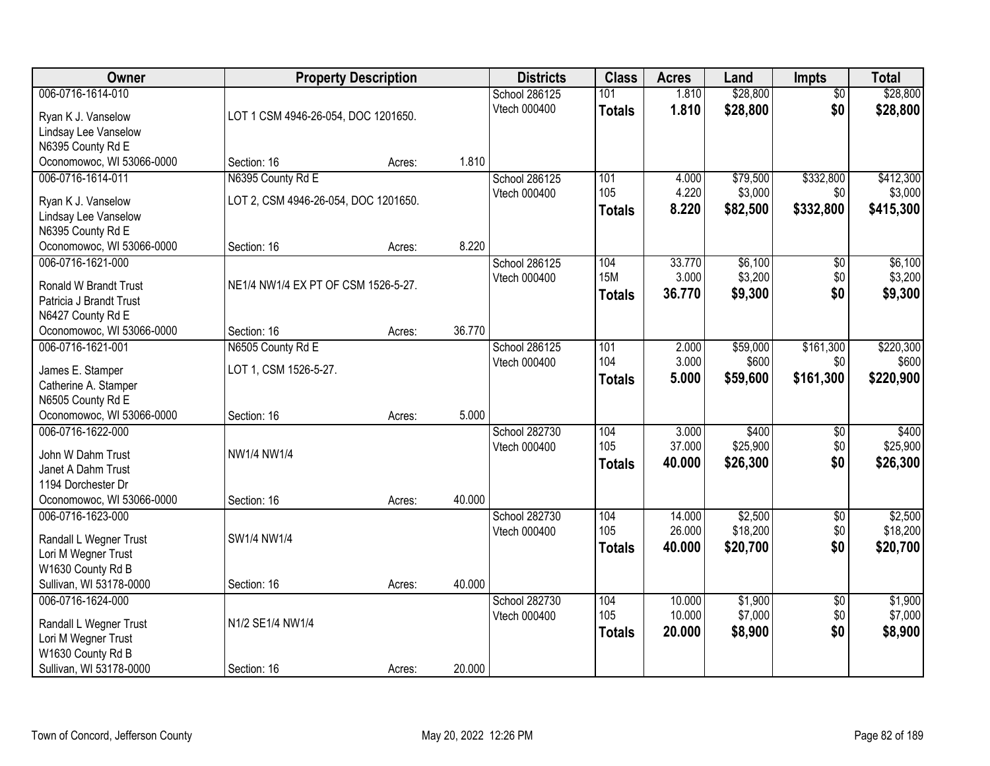| Owner                                         |                                      | <b>Property Description</b> |        | <b>Districts</b> | <b>Class</b>  | <b>Acres</b> | Land     | <b>Impts</b>    | <b>Total</b> |
|-----------------------------------------------|--------------------------------------|-----------------------------|--------|------------------|---------------|--------------|----------|-----------------|--------------|
| 006-0716-1614-010                             |                                      |                             |        | School 286125    | 101           | 1.810        | \$28,800 | $\overline{50}$ | \$28,800     |
| Ryan K J. Vanselow                            | LOT 1 CSM 4946-26-054, DOC 1201650.  |                             |        | Vtech 000400     | <b>Totals</b> | 1.810        | \$28,800 | \$0             | \$28,800     |
| Lindsay Lee Vanselow                          |                                      |                             |        |                  |               |              |          |                 |              |
| N6395 County Rd E                             |                                      |                             |        |                  |               |              |          |                 |              |
| Oconomowoc, WI 53066-0000                     | Section: 16                          | Acres:                      | 1.810  |                  |               |              |          |                 |              |
| 006-0716-1614-011                             | N6395 County Rd E                    |                             |        | School 286125    | 101           | 4.000        | \$79,500 | \$332,800       | \$412,300    |
| Ryan K J. Vanselow                            | LOT 2, CSM 4946-26-054, DOC 1201650. |                             |        | Vtech 000400     | 105           | 4.220        | \$3,000  | \$0             | \$3,000      |
| Lindsay Lee Vanselow                          |                                      |                             |        |                  | <b>Totals</b> | 8.220        | \$82,500 | \$332,800       | \$415,300    |
| N6395 County Rd E                             |                                      |                             |        |                  |               |              |          |                 |              |
| Oconomowoc, WI 53066-0000                     | Section: 16                          | Acres:                      | 8.220  |                  |               |              |          |                 |              |
| 006-0716-1621-000                             |                                      |                             |        | School 286125    | 104           | 33.770       | \$6,100  | \$0             | \$6,100      |
| Ronald W Brandt Trust                         | NE1/4 NW1/4 EX PT OF CSM 1526-5-27.  |                             |        | Vtech 000400     | <b>15M</b>    | 3.000        | \$3,200  | \$0             | \$3,200      |
| Patricia J Brandt Trust                       |                                      |                             |        |                  | <b>Totals</b> | 36.770       | \$9,300  | \$0             | \$9,300      |
| N6427 County Rd E                             |                                      |                             |        |                  |               |              |          |                 |              |
| Oconomowoc, WI 53066-0000                     | Section: 16                          | Acres:                      | 36.770 |                  |               |              |          |                 |              |
| 006-0716-1621-001                             | N6505 County Rd E                    |                             |        | School 286125    | 101           | 2.000        | \$59,000 | \$161,300       | \$220,300    |
|                                               |                                      |                             |        | Vtech 000400     | 104           | 3.000        | \$600    | \$0             | \$600        |
| James E. Stamper<br>Catherine A. Stamper      | LOT 1, CSM 1526-5-27.                |                             |        |                  | <b>Totals</b> | 5.000        | \$59,600 | \$161,300       | \$220,900    |
| N6505 County Rd E                             |                                      |                             |        |                  |               |              |          |                 |              |
| Oconomowoc, WI 53066-0000                     | Section: 16                          | Acres:                      | 5.000  |                  |               |              |          |                 |              |
| 006-0716-1622-000                             |                                      |                             |        | School 282730    | 104           | 3.000        | \$400    | \$0             | \$400        |
| John W Dahm Trust                             | NW1/4 NW1/4                          |                             |        | Vtech 000400     | 105           | 37.000       | \$25,900 | \$0             | \$25,900     |
| Janet A Dahm Trust                            |                                      |                             |        |                  | <b>Totals</b> | 40.000       | \$26,300 | \$0             | \$26,300     |
| 1194 Dorchester Dr                            |                                      |                             |        |                  |               |              |          |                 |              |
| Oconomowoc, WI 53066-0000                     | Section: 16                          | Acres:                      | 40.000 |                  |               |              |          |                 |              |
| 006-0716-1623-000                             |                                      |                             |        | School 282730    | 104           | 14.000       | \$2,500  | $\sqrt{6}$      | \$2,500      |
|                                               |                                      |                             |        | Vtech 000400     | 105           | 26.000       | \$18,200 | \$0             | \$18,200     |
| Randall L Wegner Trust<br>Lori M Wegner Trust | SW1/4 NW1/4                          |                             |        |                  | <b>Totals</b> | 40,000       | \$20,700 | \$0             | \$20,700     |
| W1630 County Rd B                             |                                      |                             |        |                  |               |              |          |                 |              |
| Sullivan, WI 53178-0000                       | Section: 16                          | Acres:                      | 40.000 |                  |               |              |          |                 |              |
| 006-0716-1624-000                             |                                      |                             |        | School 282730    | 104           | 10.000       | \$1,900  | $\overline{60}$ | \$1,900      |
|                                               |                                      |                             |        | Vtech 000400     | 105           | 10.000       | \$7,000  | \$0             | \$7,000      |
| Randall L Wegner Trust                        | N1/2 SE1/4 NW1/4                     |                             |        |                  | <b>Totals</b> | 20.000       | \$8,900  | \$0             | \$8,900      |
| Lori M Wegner Trust<br>W1630 County Rd B      |                                      |                             |        |                  |               |              |          |                 |              |
| Sullivan, WI 53178-0000                       | Section: 16                          | Acres:                      | 20.000 |                  |               |              |          |                 |              |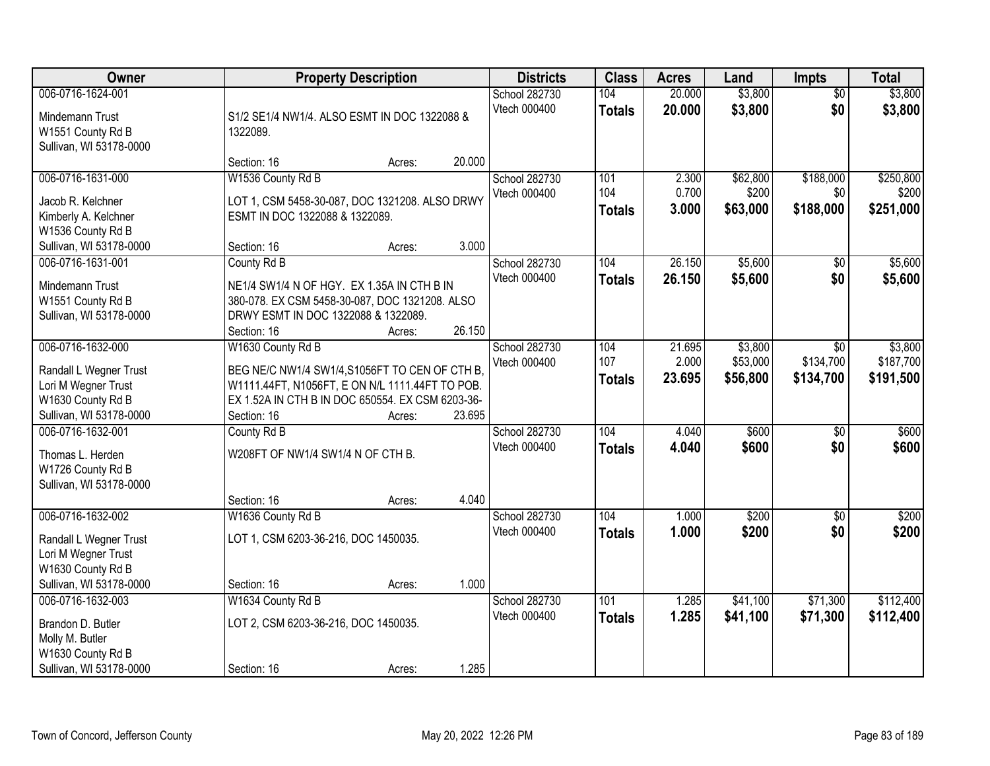| Owner                                                                                                              | <b>Property Description</b>                                                                                                                                                                                   | <b>Districts</b>              | <b>Class</b>                | <b>Acres</b>              | Land                            | <b>Impts</b>                         | <b>Total</b>                      |
|--------------------------------------------------------------------------------------------------------------------|---------------------------------------------------------------------------------------------------------------------------------------------------------------------------------------------------------------|-------------------------------|-----------------------------|---------------------------|---------------------------------|--------------------------------------|-----------------------------------|
| 006-0716-1624-001<br>Mindemann Trust<br>W1551 County Rd B<br>Sullivan, WI 53178-0000                               | S1/2 SE1/4 NW1/4. ALSO ESMT IN DOC 1322088 &<br>1322089.                                                                                                                                                      | School 282730<br>Vtech 000400 | 104<br><b>Totals</b>        | 20.000<br>20.000          | \$3,800<br>\$3,800              | $\overline{50}$<br>\$0               | \$3,800<br>\$3,800                |
|                                                                                                                    | 20.000<br>Section: 16<br>Acres:                                                                                                                                                                               |                               |                             |                           |                                 |                                      |                                   |
| 006-0716-1631-000<br>Jacob R. Kelchner<br>Kimberly A. Kelchner<br>W1536 County Rd B<br>Sullivan, WI 53178-0000     | W1536 County Rd B<br>LOT 1, CSM 5458-30-087, DOC 1321208. ALSO DRWY<br>ESMT IN DOC 1322088 & 1322089.<br>3.000<br>Section: 16<br>Acres:                                                                       | School 282730<br>Vtech 000400 | 101<br>104<br><b>Totals</b> | 2.300<br>0.700<br>3.000   | \$62,800<br>\$200<br>\$63,000   | \$188,000<br>\$0<br>\$188,000        | \$250,800<br>\$200<br>\$251,000   |
| 006-0716-1631-001<br>Mindemann Trust<br>W1551 County Rd B<br>Sullivan, WI 53178-0000                               | County Rd B<br>NE1/4 SW1/4 N OF HGY. EX 1.35A IN CTH B IN<br>380-078. EX CSM 5458-30-087, DOC 1321208. ALSO<br>DRWY ESMT IN DOC 1322088 & 1322089.<br>26.150<br>Section: 16<br>Acres:                         | School 282730<br>Vtech 000400 | 104<br><b>Totals</b>        | 26.150<br>26.150          | \$5,600<br>\$5,600              | $\sqrt[6]{3}$<br>\$0                 | \$5,600<br>\$5,600                |
| 006-0716-1632-000<br>Randall L Wegner Trust<br>Lori M Wegner Trust<br>W1630 County Rd B<br>Sullivan, WI 53178-0000 | W1630 County Rd B<br>BEG NE/C NW1/4 SW1/4, S1056FT TO CEN OF CTH B,<br>W1111.44FT, N1056FT, E ON N/L 1111.44FT TO POB.<br>EX 1.52A IN CTH B IN DOC 650554. EX CSM 6203-36-<br>23.695<br>Section: 16<br>Acres: | School 282730<br>Vtech 000400 | 104<br>107<br><b>Totals</b> | 21.695<br>2.000<br>23.695 | \$3,800<br>\$53,000<br>\$56,800 | $\sqrt{6}$<br>\$134,700<br>\$134,700 | \$3,800<br>\$187,700<br>\$191,500 |
| 006-0716-1632-001<br>Thomas L. Herden<br>W1726 County Rd B<br>Sullivan, WI 53178-0000                              | County Rd B<br>W208FT OF NW1/4 SW1/4 N OF CTH B.<br>4.040<br>Section: 16<br>Acres:                                                                                                                            | School 282730<br>Vtech 000400 | 104<br><b>Totals</b>        | 4.040<br>4.040            | \$600<br>\$600                  | $\overline{50}$<br>\$0               | \$600<br>\$600                    |
| 006-0716-1632-002<br>Randall L Wegner Trust<br>Lori M Wegner Trust<br>W1630 County Rd B<br>Sullivan, WI 53178-0000 | W1636 County Rd B<br>LOT 1, CSM 6203-36-216, DOC 1450035.<br>1.000<br>Section: 16<br>Acres:                                                                                                                   | School 282730<br>Vtech 000400 | 104<br><b>Totals</b>        | 1.000<br>1.000            | \$200<br>\$200                  | $\overline{30}$<br>\$0               | \$200<br>\$200                    |
| 006-0716-1632-003<br>Brandon D. Butler<br>Molly M. Butler<br>W1630 County Rd B<br>Sullivan, WI 53178-0000          | W1634 County Rd B<br>LOT 2, CSM 6203-36-216, DOC 1450035.<br>1.285<br>Section: 16<br>Acres:                                                                                                                   | School 282730<br>Vtech 000400 | 101<br><b>Totals</b>        | 1.285<br>1.285            | \$41,100<br>\$41,100            | \$71,300<br>\$71,300                 | \$112,400<br>\$112,400            |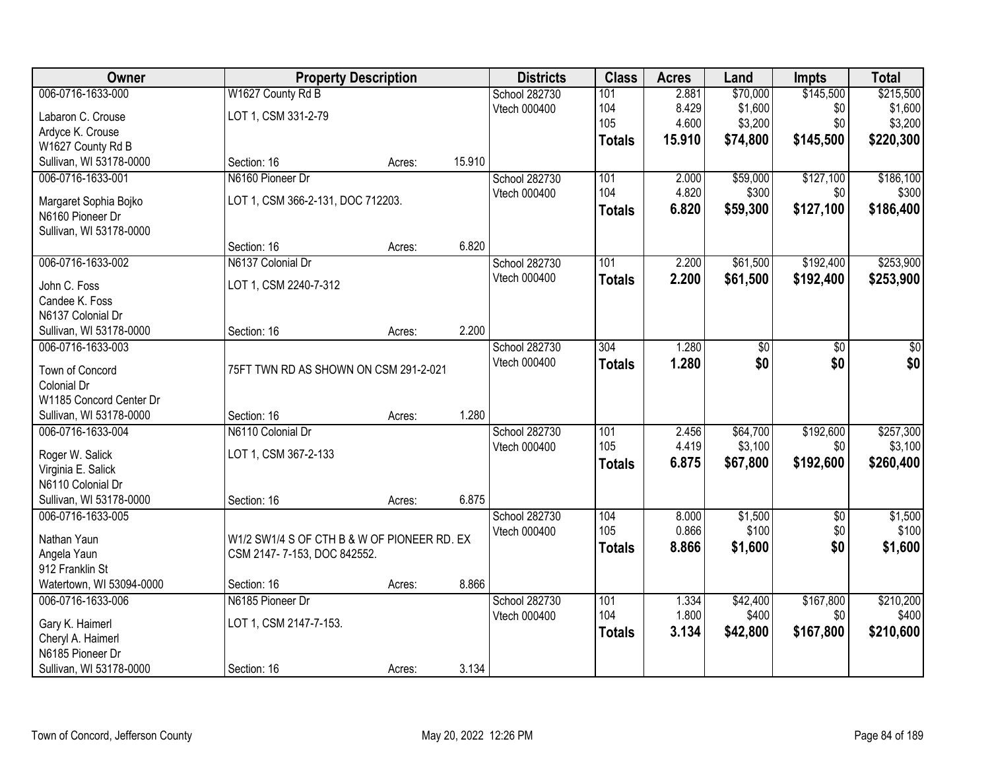| Owner                    |                                             | <b>Property Description</b> |        | <b>Districts</b>              | <b>Class</b>  | <b>Acres</b> | Land     | <b>Impts</b>    | <b>Total</b> |
|--------------------------|---------------------------------------------|-----------------------------|--------|-------------------------------|---------------|--------------|----------|-----------------|--------------|
| 006-0716-1633-000        | W1627 County Rd B                           |                             |        | School 282730                 | 101           | 2.881        | \$70,000 | \$145,500       | \$215,500    |
| Labaron C. Crouse        | LOT 1, CSM 331-2-79                         |                             |        | Vtech 000400                  | 104           | 8.429        | \$1,600  | \$0             | \$1,600      |
| Ardyce K. Crouse         |                                             |                             |        |                               | 105           | 4.600        | \$3,200  | \$0             | \$3,200      |
| W1627 County Rd B        |                                             |                             |        |                               | <b>Totals</b> | 15.910       | \$74,800 | \$145,500       | \$220,300    |
| Sullivan, WI 53178-0000  | Section: 16                                 | Acres:                      | 15.910 |                               |               |              |          |                 |              |
| 006-0716-1633-001        | N6160 Pioneer Dr                            |                             |        | School 282730                 | 101           | 2.000        | \$59,000 | \$127,100       | \$186,100    |
|                          |                                             |                             |        | Vtech 000400                  | 104           | 4.820        | \$300    | \$0             | \$300        |
| Margaret Sophia Bojko    | LOT 1, CSM 366-2-131, DOC 712203.           |                             |        |                               | <b>Totals</b> | 6.820        | \$59,300 | \$127,100       | \$186,400    |
| N6160 Pioneer Dr         |                                             |                             |        |                               |               |              |          |                 |              |
| Sullivan, WI 53178-0000  | Section: 16                                 |                             | 6.820  |                               |               |              |          |                 |              |
|                          |                                             | Acres:                      |        |                               |               |              |          | \$192,400       |              |
| 006-0716-1633-002        | N6137 Colonial Dr                           |                             |        | School 282730<br>Vtech 000400 | 101           | 2.200        | \$61,500 |                 | \$253,900    |
| John C. Foss             | LOT 1, CSM 2240-7-312                       |                             |        |                               | <b>Totals</b> | 2.200        | \$61,500 | \$192,400       | \$253,900    |
| Candee K. Foss           |                                             |                             |        |                               |               |              |          |                 |              |
| N6137 Colonial Dr        |                                             |                             |        |                               |               |              |          |                 |              |
| Sullivan, WI 53178-0000  | Section: 16                                 | Acres:                      | 2.200  |                               |               |              |          |                 |              |
| 006-0716-1633-003        |                                             |                             |        | School 282730                 | 304           | 1.280        | \$0      | \$0             | \$0          |
| Town of Concord          | 75FT TWN RD AS SHOWN ON CSM 291-2-021       |                             |        | Vtech 000400                  | <b>Totals</b> | 1.280        | \$0      | \$0             | \$0          |
| Colonial Dr              |                                             |                             |        |                               |               |              |          |                 |              |
| W1185 Concord Center Dr  |                                             |                             |        |                               |               |              |          |                 |              |
| Sullivan, WI 53178-0000  | Section: 16                                 | Acres:                      | 1.280  |                               |               |              |          |                 |              |
| 006-0716-1633-004        | N6110 Colonial Dr                           |                             |        | School 282730                 | 101           | 2.456        | \$64,700 | \$192,600       | \$257,300    |
|                          |                                             |                             |        | Vtech 000400                  | 105           | 4.419        | \$3,100  | \$0             | \$3,100      |
| Roger W. Salick          | LOT 1, CSM 367-2-133                        |                             |        |                               | <b>Totals</b> | 6.875        | \$67,800 | \$192,600       | \$260,400    |
| Virginia E. Salick       |                                             |                             |        |                               |               |              |          |                 |              |
| N6110 Colonial Dr        |                                             |                             |        |                               |               |              |          |                 |              |
| Sullivan, WI 53178-0000  | Section: 16                                 | Acres:                      | 6.875  |                               |               |              |          |                 |              |
| 006-0716-1633-005        |                                             |                             |        | School 282730                 | 104           | 8.000        | \$1,500  | $\overline{50}$ | \$1,500      |
| Nathan Yaun              | W1/2 SW1/4 S OF CTH B & W OF PIONEER RD. EX |                             |        | Vtech 000400                  | 105           | 0.866        | \$100    | \$0             | \$100        |
| Angela Yaun              | CSM 2147-7-153, DOC 842552.                 |                             |        |                               | <b>Totals</b> | 8.866        | \$1,600  | \$0             | \$1,600      |
| 912 Franklin St          |                                             |                             |        |                               |               |              |          |                 |              |
| Watertown, WI 53094-0000 | Section: 16                                 | Acres:                      | 8.866  |                               |               |              |          |                 |              |
| 006-0716-1633-006        | N6185 Pioneer Dr                            |                             |        | School 282730                 | 101           | 1.334        | \$42,400 | \$167,800       | \$210,200    |
| Gary K. Haimerl          | LOT 1, CSM 2147-7-153.                      |                             |        | Vtech 000400                  | 104           | 1.800        | \$400    | \$0             | \$400        |
| Cheryl A. Haimerl        |                                             |                             |        |                               | <b>Totals</b> | 3.134        | \$42,800 | \$167,800       | \$210,600    |
| N6185 Pioneer Dr         |                                             |                             |        |                               |               |              |          |                 |              |
| Sullivan, WI 53178-0000  | Section: 16                                 | Acres:                      | 3.134  |                               |               |              |          |                 |              |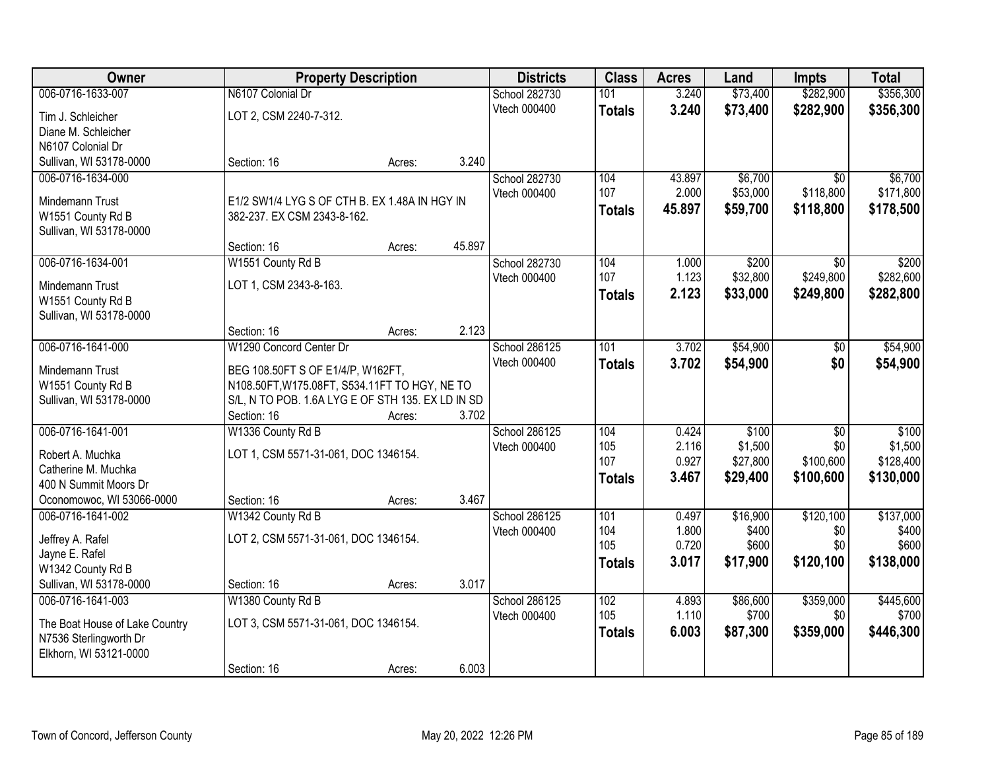| Owner                          | <b>Property Description</b>                       |        |        | <b>Districts</b> | <b>Class</b>  | <b>Acres</b>   | Land           | <b>Impts</b>     | <b>Total</b>   |
|--------------------------------|---------------------------------------------------|--------|--------|------------------|---------------|----------------|----------------|------------------|----------------|
| 006-0716-1633-007              | N6107 Colonial Dr                                 |        |        | School 282730    | 101           | 3.240          | \$73,400       | \$282,900        | \$356,300      |
| Tim J. Schleicher              | LOT 2, CSM 2240-7-312.                            |        |        | Vtech 000400     | <b>Totals</b> | 3.240          | \$73,400       | \$282,900        | \$356,300      |
| Diane M. Schleicher            |                                                   |        |        |                  |               |                |                |                  |                |
| N6107 Colonial Dr              |                                                   |        |        |                  |               |                |                |                  |                |
| Sullivan, WI 53178-0000        | Section: 16                                       | Acres: | 3.240  |                  |               |                |                |                  |                |
| 006-0716-1634-000              |                                                   |        |        | School 282730    | 104           | 43.897         | \$6,700        | $\overline{50}$  | \$6,700        |
|                                |                                                   |        |        | Vtech 000400     | 107           | 2.000          | \$53,000       | \$118,800        | \$171,800      |
| Mindemann Trust                | E1/2 SW1/4 LYG S OF CTH B. EX 1.48A IN HGY IN     |        |        |                  | <b>Totals</b> | 45.897         | \$59,700       | \$118,800        | \$178,500      |
| W1551 County Rd B              | 382-237. EX CSM 2343-8-162.                       |        |        |                  |               |                |                |                  |                |
| Sullivan, WI 53178-0000        |                                                   |        | 45.897 |                  |               |                |                |                  |                |
| 006-0716-1634-001              | Section: 16                                       | Acres: |        |                  | 104           |                | \$200          |                  | \$200          |
|                                | W1551 County Rd B                                 |        |        | School 282730    | 107           | 1.000<br>1.123 | \$32,800       | \$0<br>\$249,800 | \$282,600      |
| Mindemann Trust                | LOT 1, CSM 2343-8-163.                            |        |        | Vtech 000400     |               | 2.123          | \$33,000       |                  |                |
| W1551 County Rd B              |                                                   |        |        |                  | <b>Totals</b> |                |                | \$249,800        | \$282,800      |
| Sullivan, WI 53178-0000        |                                                   |        |        |                  |               |                |                |                  |                |
|                                | Section: 16                                       | Acres: | 2.123  |                  |               |                |                |                  |                |
| 006-0716-1641-000              | W1290 Concord Center Dr                           |        |        | School 286125    | 101           | 3.702          | \$54,900       | \$0              | \$54,900       |
| Mindemann Trust                | BEG 108.50FT S OF E1/4/P, W162FT,                 |        |        | Vtech 000400     | <b>Totals</b> | 3.702          | \$54,900       | \$0              | \$54,900       |
| W1551 County Rd B              | N108.50FT, W175.08FT, S534.11FT TO HGY, NE TO     |        |        |                  |               |                |                |                  |                |
| Sullivan, WI 53178-0000        | S/L, N TO POB. 1.6A LYG E OF STH 135. EX LD IN SD |        |        |                  |               |                |                |                  |                |
|                                | Section: 16                                       | Acres: | 3.702  |                  |               |                |                |                  |                |
| 006-0716-1641-001              | W1336 County Rd B                                 |        |        | School 286125    | 104           | 0.424          | \$100          | $\overline{50}$  | \$100          |
|                                |                                                   |        |        | Vtech 000400     | 105           | 2.116          | \$1,500        | \$0              | \$1,500        |
| Robert A. Muchka               | LOT 1, CSM 5571-31-061, DOC 1346154.              |        |        |                  | 107           | 0.927          | \$27,800       | \$100,600        | \$128,400      |
| Catherine M. Muchka            |                                                   |        |        |                  | <b>Totals</b> | 3.467          | \$29,400       | \$100,600        | \$130,000      |
| 400 N Summit Moors Dr          |                                                   |        |        |                  |               |                |                |                  |                |
| Oconomowoc, WI 53066-0000      | Section: 16                                       | Acres: | 3.467  |                  |               |                |                |                  |                |
| 006-0716-1641-002              | W1342 County Rd B                                 |        |        | School 286125    | 101           | 0.497          | \$16,900       | \$120,100        | \$137,000      |
| Jeffrey A. Rafel               | LOT 2, CSM 5571-31-061, DOC 1346154.              |        |        | Vtech 000400     | 104<br>105    | 1.800<br>0.720 | \$400<br>\$600 | \$0<br>\$0       | \$400<br>\$600 |
| Jayne E. Rafel                 |                                                   |        |        |                  |               |                |                |                  |                |
| W1342 County Rd B              |                                                   |        |        |                  | <b>Totals</b> | 3.017          | \$17,900       | \$120,100        | \$138,000      |
| Sullivan, WI 53178-0000        | Section: 16                                       | Acres: | 3.017  |                  |               |                |                |                  |                |
| 006-0716-1641-003              | W1380 County Rd B                                 |        |        | School 286125    | 102           | 4.893          | \$86,600       | \$359,000        | \$445,600      |
| The Boat House of Lake Country | LOT 3, CSM 5571-31-061, DOC 1346154.              |        |        | Vtech 000400     | 105           | 1.110          | \$700          | \$0              | \$700          |
| N7536 Sterlingworth Dr         |                                                   |        |        |                  | <b>Totals</b> | 6.003          | \$87,300       | \$359,000        | \$446,300      |
| Elkhorn, WI 53121-0000         |                                                   |        |        |                  |               |                |                |                  |                |
|                                | Section: 16                                       | Acres: | 6.003  |                  |               |                |                |                  |                |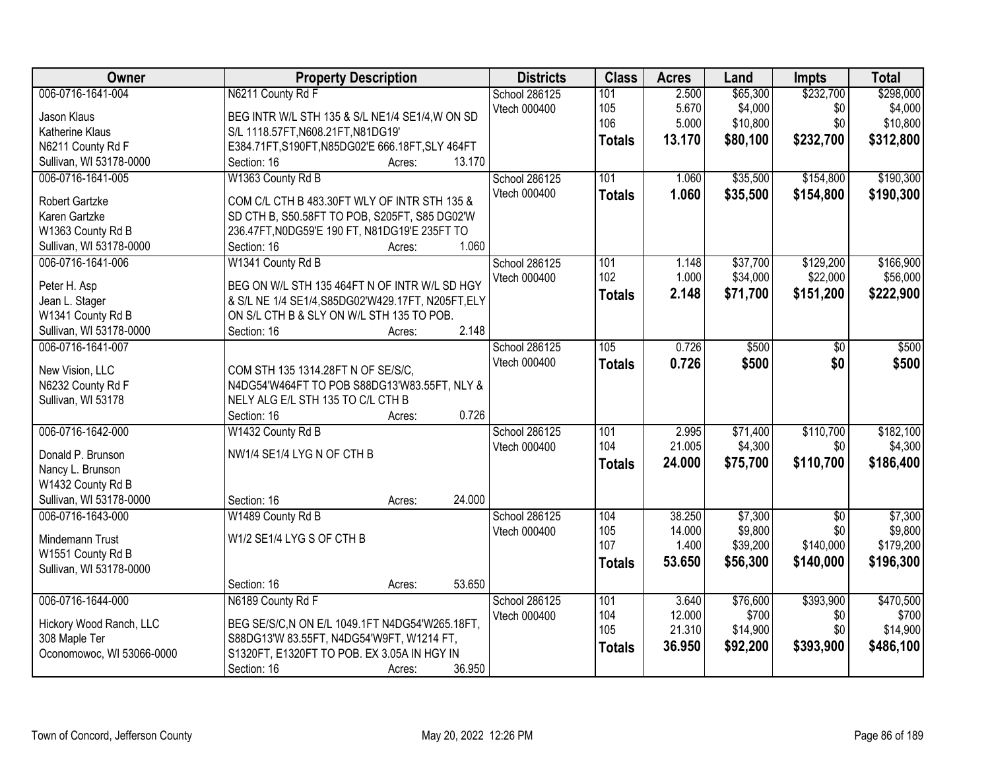| Owner                     | <b>Property Description</b>                        | <b>Districts</b>    | <b>Class</b>  | <b>Acres</b> | Land     | <b>Impts</b>    | <b>Total</b> |
|---------------------------|----------------------------------------------------|---------------------|---------------|--------------|----------|-----------------|--------------|
| 006-0716-1641-004         | N6211 County Rd F                                  | School 286125       | 101           | 2.500        | \$65,300 | \$232,700       | \$298,000    |
| Jason Klaus               | BEG INTR W/L STH 135 & S/L NE1/4 SE1/4, W ON SD    | Vtech 000400        | 105           | 5.670        | \$4,000  | \$0             | \$4,000      |
| Katherine Klaus           | S/L 1118.57FT, N608.21FT, N81DG19'                 |                     | 106           | 5.000        | \$10,800 | \$0             | \$10,800     |
| N6211 County Rd F         | E384.71FT, S190FT, N85DG02'E 666.18FT, SLY 464FT   |                     | <b>Totals</b> | 13.170       | \$80,100 | \$232,700       | \$312,800    |
| Sullivan, WI 53178-0000   | 13.170<br>Section: 16<br>Acres:                    |                     |               |              |          |                 |              |
| 006-0716-1641-005         | W1363 County Rd B                                  | School 286125       | 101           | 1.060        | \$35,500 | \$154,800       | \$190,300    |
|                           |                                                    | Vtech 000400        | <b>Totals</b> | 1.060        | \$35,500 | \$154,800       | \$190,300    |
| Robert Gartzke            | COM C/L CTH B 483.30FT WLY OF INTR STH 135 &       |                     |               |              |          |                 |              |
| Karen Gartzke             | SD CTH B, S50.58FT TO POB, S205FT, S85 DG02'W      |                     |               |              |          |                 |              |
| W1363 County Rd B         | 236.47FT, N0DG59'E 190 FT, N81DG19'E 235FT TO      |                     |               |              |          |                 |              |
| Sullivan, WI 53178-0000   | 1.060<br>Section: 16<br>Acres:                     |                     |               |              |          |                 |              |
| 006-0716-1641-006         | W1341 County Rd B                                  | School 286125       | 101           | 1.148        | \$37,700 | \$129,200       | \$166,900    |
| Peter H. Asp              | BEG ON W/L STH 135 464FT N OF INTR W/L SD HGY      | Vtech 000400        | 102           | 1.000        | \$34,000 | \$22,000        | \$56,000     |
| Jean L. Stager            | & S/L NE 1/4 SE1/4, S85DG02'W429.17FT, N205FT, ELY |                     | <b>Totals</b> | 2.148        | \$71,700 | \$151,200       | \$222,900    |
| W1341 County Rd B         | ON S/L CTH B & SLY ON W/L STH 135 TO POB.          |                     |               |              |          |                 |              |
| Sullivan, WI 53178-0000   | 2.148<br>Section: 16<br>Acres:                     |                     |               |              |          |                 |              |
| 006-0716-1641-007         |                                                    | School 286125       | 105           | 0.726        | \$500    | \$0             | \$500        |
|                           |                                                    | Vtech 000400        | <b>Totals</b> | 0.726        | \$500    | \$0             | \$500        |
| New Vision, LLC           | COM STH 135 1314.28FT N OF SE/S/C,                 |                     |               |              |          |                 |              |
| N6232 County Rd F         | N4DG54'W464FT TO POB S88DG13'W83.55FT, NLY &       |                     |               |              |          |                 |              |
| Sullivan, WI 53178        | NELY ALG E/L STH 135 TO C/L CTH B                  |                     |               |              |          |                 |              |
|                           | 0.726<br>Section: 16<br>Acres:                     |                     |               |              |          |                 |              |
| 006-0716-1642-000         | W1432 County Rd B                                  | School 286125       | 101           | 2.995        | \$71,400 | \$110,700       | \$182,100    |
| Donald P. Brunson         | NW1/4 SE1/4 LYG N OF CTH B                         | <b>Vtech 000400</b> | 104           | 21.005       | \$4,300  | \$0             | \$4,300      |
| Nancy L. Brunson          |                                                    |                     | <b>Totals</b> | 24.000       | \$75,700 | \$110,700       | \$186,400    |
| W1432 County Rd B         |                                                    |                     |               |              |          |                 |              |
| Sullivan, WI 53178-0000   | 24.000<br>Section: 16<br>Acres:                    |                     |               |              |          |                 |              |
| 006-0716-1643-000         | W1489 County Rd B                                  | School 286125       | 104           | 38.250       | \$7,300  | $\overline{50}$ | \$7,300      |
|                           |                                                    | Vtech 000400        | 105           | 14.000       | \$9,800  | \$0             | \$9,800      |
| Mindemann Trust           | W1/2 SE1/4 LYG S OF CTH B                          |                     | 107           | 1.400        | \$39,200 | \$140,000       | \$179,200    |
| W1551 County Rd B         |                                                    |                     | <b>Totals</b> | 53.650       | \$56,300 | \$140,000       | \$196,300    |
| Sullivan, WI 53178-0000   |                                                    |                     |               |              |          |                 |              |
|                           | 53.650<br>Section: 16<br>Acres:                    |                     |               |              |          |                 |              |
| 006-0716-1644-000         | N6189 County Rd F                                  | School 286125       | 101           | 3.640        | \$76,600 | \$393,900       | \$470,500    |
| Hickory Wood Ranch, LLC   | BEG SE/S/C, N ON E/L 1049.1FT N4DG54'W265.18FT,    | Vtech 000400        | 104           | 12.000       | \$700    | \$0             | \$700        |
| 308 Maple Ter             | S88DG13'W 83.55FT, N4DG54'W9FT, W1214 FT,          |                     | 105           | 21.310       | \$14,900 | \$0             | \$14,900     |
| Oconomowoc, WI 53066-0000 | S1320FT, E1320FT TO POB. EX 3.05A IN HGY IN        |                     | <b>Totals</b> | 36.950       | \$92,200 | \$393,900       | \$486,100    |
|                           | 36.950<br>Section: 16<br>Acres:                    |                     |               |              |          |                 |              |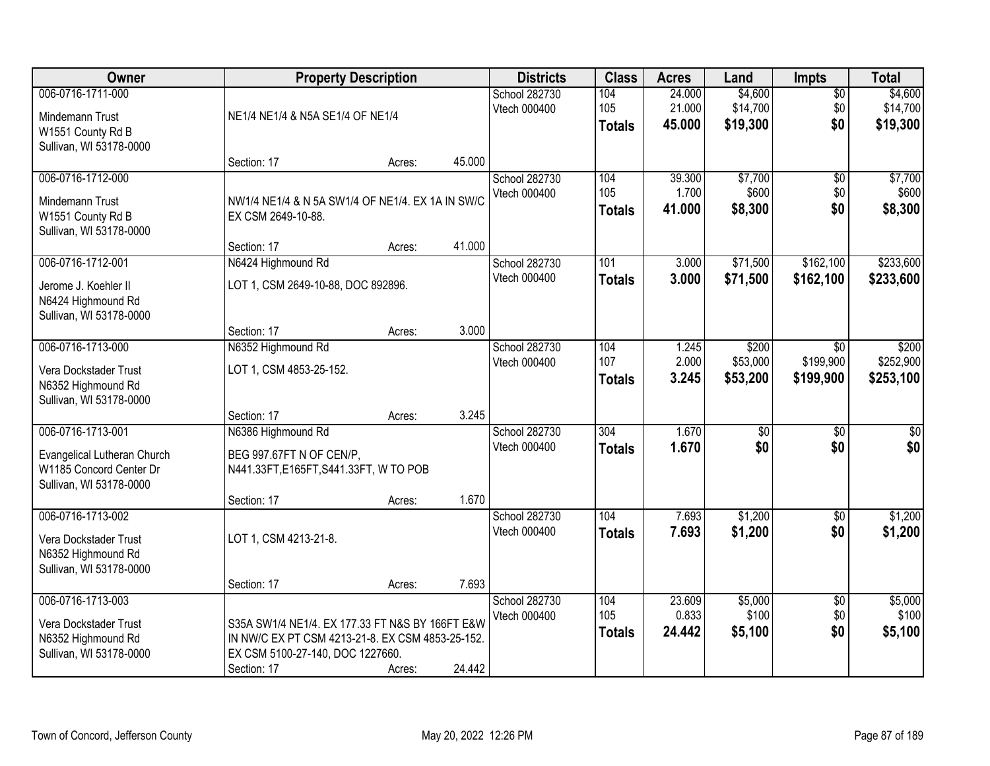| Owner                                        | <b>Property Description</b>                      |        |        | <b>Districts</b>              | <b>Class</b>  | <b>Acres</b>     | Land                   | <b>Impts</b>    | <b>Total</b>         |
|----------------------------------------------|--------------------------------------------------|--------|--------|-------------------------------|---------------|------------------|------------------------|-----------------|----------------------|
| 006-0716-1711-000                            |                                                  |        |        | School 282730                 | 104           | 24.000           | \$4,600                | $\overline{50}$ | \$4,600              |
| Mindemann Trust                              | NE1/4 NE1/4 & N5A SE1/4 OF NE1/4                 |        |        | Vtech 000400                  | 105           | 21.000<br>45.000 | \$14,700<br>\$19,300   | \$0<br>\$0      | \$14,700<br>\$19,300 |
| W1551 County Rd B                            |                                                  |        |        |                               | <b>Totals</b> |                  |                        |                 |                      |
| Sullivan, WI 53178-0000                      | Section: 17                                      | Acres: | 45.000 |                               |               |                  |                        |                 |                      |
| 006-0716-1712-000                            |                                                  |        |        | School 282730                 | 104           | 39.300           | \$7,700                | $\overline{50}$ | \$7,700              |
|                                              |                                                  |        |        | Vtech 000400                  | 105           | 1.700            | \$600                  | \$0             | \$600                |
| <b>Mindemann Trust</b>                       | NW1/4 NE1/4 & N 5A SW1/4 OF NE1/4. EX 1A IN SW/C |        |        |                               | <b>Totals</b> | 41.000           | \$8,300                | \$0             | \$8,300              |
| W1551 County Rd B<br>Sullivan, WI 53178-0000 | EX CSM 2649-10-88.                               |        |        |                               |               |                  |                        |                 |                      |
|                                              | Section: 17                                      | Acres: | 41.000 |                               |               |                  |                        |                 |                      |
| 006-0716-1712-001                            | N6424 Highmound Rd                               |        |        | School 282730                 | 101           | 3.000            | \$71,500               | \$162,100       | \$233,600            |
| Jerome J. Koehler II                         | LOT 1, CSM 2649-10-88, DOC 892896.               |        |        | Vtech 000400                  | <b>Totals</b> | 3.000            | \$71,500               | \$162,100       | \$233,600            |
| N6424 Highmound Rd                           |                                                  |        |        |                               |               |                  |                        |                 |                      |
| Sullivan, WI 53178-0000                      |                                                  |        |        |                               |               |                  |                        |                 |                      |
|                                              | Section: 17                                      | Acres: | 3.000  |                               |               |                  |                        |                 |                      |
| 006-0716-1713-000                            | N6352 Highmound Rd                               |        |        | School 282730                 | 104           | 1.245            | \$200                  | \$0             | \$200                |
| Vera Dockstader Trust                        | LOT 1, CSM 4853-25-152.                          |        |        | Vtech 000400                  | 107           | 2.000            | \$53,000               | \$199,900       | \$252,900            |
| N6352 Highmound Rd                           |                                                  |        |        |                               | <b>Totals</b> | 3.245            | \$53,200               | \$199,900       | \$253,100            |
| Sullivan, WI 53178-0000                      |                                                  |        |        |                               |               |                  |                        |                 |                      |
| 006-0716-1713-001                            | Section: 17                                      | Acres: | 3.245  |                               | 304           | 1.670            |                        | $\overline{50}$ |                      |
|                                              | N6386 Highmound Rd                               |        |        | School 282730<br>Vtech 000400 | <b>Totals</b> | 1.670            | $\overline{50}$<br>\$0 | \$0             | \$0<br>\$0           |
| Evangelical Lutheran Church                  | BEG 997.67FT N OF CEN/P,                         |        |        |                               |               |                  |                        |                 |                      |
| W1185 Concord Center Dr                      | N441.33FT,E165FT,S441.33FT, W TO POB             |        |        |                               |               |                  |                        |                 |                      |
| Sullivan, WI 53178-0000                      | Section: 17                                      | Acres: | 1.670  |                               |               |                  |                        |                 |                      |
| 006-0716-1713-002                            |                                                  |        |        | School 282730                 | 104           | 7.693            | \$1,200                | $\overline{60}$ | \$1,200              |
|                                              | LOT 1, CSM 4213-21-8.                            |        |        | Vtech 000400                  | <b>Totals</b> | 7.693            | \$1,200                | \$0             | \$1,200              |
| Vera Dockstader Trust<br>N6352 Highmound Rd  |                                                  |        |        |                               |               |                  |                        |                 |                      |
| Sullivan, WI 53178-0000                      |                                                  |        |        |                               |               |                  |                        |                 |                      |
|                                              | Section: 17                                      | Acres: | 7.693  |                               |               |                  |                        |                 |                      |
| 006-0716-1713-003                            |                                                  |        |        | School 282730                 | 104           | 23.609           | \$5,000                | $\overline{30}$ | \$5,000              |
| Vera Dockstader Trust                        | S35A SW1/4 NE1/4. EX 177.33 FT N&S BY 166FT E&W  |        |        | Vtech 000400                  | 105           | 0.833            | \$100                  | \$0             | \$100                |
| N6352 Highmound Rd                           | IN NW/C EX PT CSM 4213-21-8. EX CSM 4853-25-152. |        |        |                               | <b>Totals</b> | 24.442           | \$5,100                | \$0             | \$5,100              |
| Sullivan, WI 53178-0000                      | EX CSM 5100-27-140, DOC 1227660.                 |        |        |                               |               |                  |                        |                 |                      |
|                                              | Section: 17                                      | Acres: | 24.442 |                               |               |                  |                        |                 |                      |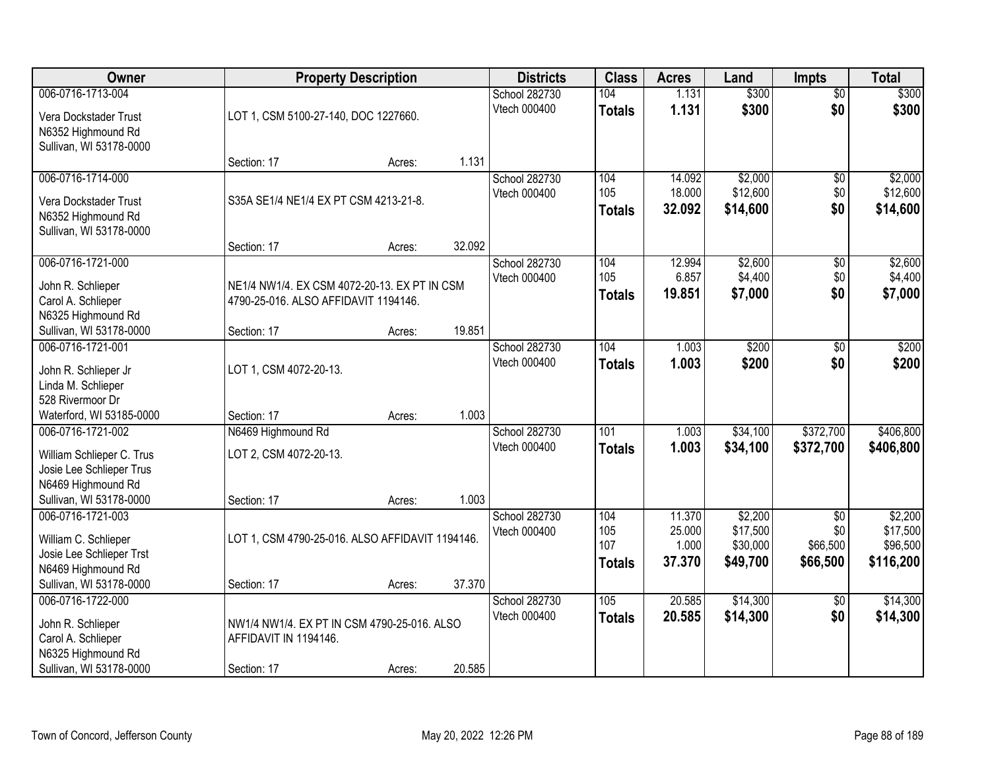| Owner                                       |                                                 | <b>Property Description</b> |        | <b>Districts</b> | <b>Class</b>  | <b>Acres</b> | Land     | <b>Impts</b>    | <b>Total</b> |
|---------------------------------------------|-------------------------------------------------|-----------------------------|--------|------------------|---------------|--------------|----------|-----------------|--------------|
| 006-0716-1713-004                           |                                                 |                             |        | School 282730    | 104           | 1.131        | \$300    | $\overline{50}$ | \$300        |
| Vera Dockstader Trust<br>N6352 Highmound Rd | LOT 1, CSM 5100-27-140, DOC 1227660.            |                             |        | Vtech 000400     | <b>Totals</b> | 1.131        | \$300    | \$0             | \$300        |
| Sullivan, WI 53178-0000                     |                                                 |                             |        |                  |               |              |          |                 |              |
|                                             | Section: 17                                     | Acres:                      | 1.131  |                  |               |              |          |                 |              |
| 006-0716-1714-000                           |                                                 |                             |        | School 282730    | 104           | 14.092       | \$2,000  | \$0             | \$2,000      |
| Vera Dockstader Trust                       | S35A SE1/4 NE1/4 EX PT CSM 4213-21-8.           |                             |        | Vtech 000400     | 105           | 18.000       | \$12,600 | \$0             | \$12,600     |
| N6352 Highmound Rd                          |                                                 |                             |        |                  | <b>Totals</b> | 32.092       | \$14,600 | \$0             | \$14,600     |
| Sullivan, WI 53178-0000                     |                                                 |                             |        |                  |               |              |          |                 |              |
|                                             | Section: 17                                     | Acres:                      | 32.092 |                  |               |              |          |                 |              |
| 006-0716-1721-000                           |                                                 |                             |        | School 282730    | 104           | 12.994       | \$2,600  | \$0             | \$2,600      |
| John R. Schlieper                           | NE1/4 NW1/4. EX CSM 4072-20-13. EX PT IN CSM    |                             |        | Vtech 000400     | 105           | 6.857        | \$4,400  | \$0             | \$4,400      |
| Carol A. Schlieper                          | 4790-25-016. ALSO AFFIDAVIT 1194146.            |                             |        |                  | <b>Totals</b> | 19.851       | \$7,000  | \$0             | \$7,000      |
| N6325 Highmound Rd                          |                                                 |                             |        |                  |               |              |          |                 |              |
| Sullivan, WI 53178-0000                     | Section: 17                                     | Acres:                      | 19.851 |                  |               |              |          |                 |              |
| 006-0716-1721-001                           |                                                 |                             |        | School 282730    | 104           | 1.003        | \$200    | $\frac{1}{20}$  | \$200        |
| John R. Schlieper Jr                        | LOT 1, CSM 4072-20-13.                          |                             |        | Vtech 000400     | <b>Totals</b> | 1.003        | \$200    | \$0             | \$200        |
| Linda M. Schlieper                          |                                                 |                             |        |                  |               |              |          |                 |              |
| 528 Rivermoor Dr                            |                                                 |                             |        |                  |               |              |          |                 |              |
| Waterford, WI 53185-0000                    | Section: 17                                     | Acres:                      | 1.003  |                  |               |              |          |                 |              |
| 006-0716-1721-002                           | N6469 Highmound Rd                              |                             |        | School 282730    | 101           | 1.003        | \$34,100 | \$372,700       | \$406,800    |
| William Schlieper C. Trus                   | LOT 2, CSM 4072-20-13.                          |                             |        | Vtech 000400     | <b>Totals</b> | 1.003        | \$34,100 | \$372,700       | \$406,800    |
| Josie Lee Schlieper Trus                    |                                                 |                             |        |                  |               |              |          |                 |              |
| N6469 Highmound Rd                          |                                                 |                             |        |                  |               |              |          |                 |              |
| Sullivan, WI 53178-0000                     | Section: 17                                     | Acres:                      | 1.003  |                  |               |              |          |                 |              |
| 006-0716-1721-003                           |                                                 |                             |        | School 282730    | 104           | 11.370       | \$2,200  | $\overline{50}$ | \$2,200      |
| William C. Schlieper                        | LOT 1, CSM 4790-25-016. ALSO AFFIDAVIT 1194146. |                             |        | Vtech 000400     | 105           | 25.000       | \$17,500 | \$0             | \$17,500     |
| Josie Lee Schlieper Trst                    |                                                 |                             |        |                  | 107           | 1.000        | \$30,000 | \$66,500        | \$96,500     |
| N6469 Highmound Rd                          |                                                 |                             |        |                  | <b>Totals</b> | 37,370       | \$49,700 | \$66,500        | \$116,200    |
| Sullivan, WI 53178-0000                     | Section: 17                                     | Acres:                      | 37.370 |                  |               |              |          |                 |              |
| 006-0716-1722-000                           |                                                 |                             |        | School 282730    | 105           | 20.585       | \$14,300 | $\overline{30}$ | \$14,300     |
| John R. Schlieper                           | NW1/4 NW1/4. EX PT IN CSM 4790-25-016. ALSO     |                             |        | Vtech 000400     | <b>Totals</b> | 20.585       | \$14,300 | \$0             | \$14,300     |
| Carol A. Schlieper                          | AFFIDAVIT IN 1194146.                           |                             |        |                  |               |              |          |                 |              |
| N6325 Highmound Rd                          |                                                 |                             |        |                  |               |              |          |                 |              |
| Sullivan, WI 53178-0000                     | Section: 17                                     | Acres:                      | 20.585 |                  |               |              |          |                 |              |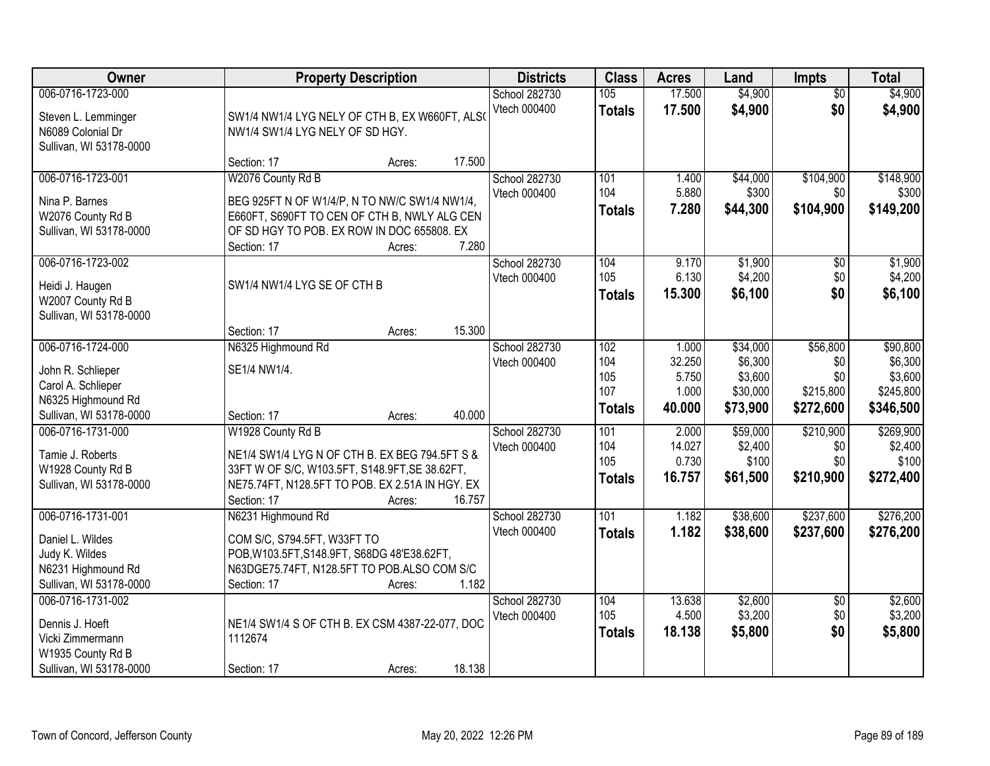| Owner                                                                                                         | <b>Property Description</b>                                                                                                                                                                                 | <b>Districts</b>              | <b>Class</b>                              | <b>Acres</b>                                | Land                                                   | <b>Impts</b>                                     | <b>Total</b>                                             |
|---------------------------------------------------------------------------------------------------------------|-------------------------------------------------------------------------------------------------------------------------------------------------------------------------------------------------------------|-------------------------------|-------------------------------------------|---------------------------------------------|--------------------------------------------------------|--------------------------------------------------|----------------------------------------------------------|
| 006-0716-1723-000<br>Steven L. Lemminger<br>N6089 Colonial Dr<br>Sullivan, WI 53178-0000                      | SW1/4 NW1/4 LYG NELY OF CTH B, EX W660FT, ALSO<br>NW1/4 SW1/4 LYG NELY OF SD HGY.                                                                                                                           | School 282730<br>Vtech 000400 | 105<br><b>Totals</b>                      | 17.500<br>17.500                            | \$4,900<br>\$4,900                                     | $\overline{50}$<br>\$0                           | \$4,900<br>\$4,900                                       |
|                                                                                                               | 17.500<br>Section: 17<br>Acres:                                                                                                                                                                             |                               |                                           |                                             |                                                        |                                                  |                                                          |
| 006-0716-1723-001<br>Nina P. Barnes<br>W2076 County Rd B<br>Sullivan, WI 53178-0000                           | W2076 County Rd B<br>BEG 925FT N OF W1/4/P, N TO NW/C SW1/4 NW1/4,<br>E660FT, S690FT TO CEN OF CTH B, NWLY ALG CEN<br>OF SD HGY TO POB. EX ROW IN DOC 655808. EX<br>7.280<br>Section: 17<br>Acres:          | School 282730<br>Vtech 000400 | 101<br>104<br><b>Totals</b>               | 1.400<br>5.880<br>7.280                     | \$44,000<br>\$300<br>\$44,300                          | \$104,900<br>\$0<br>\$104,900                    | \$148,900<br>\$300<br>\$149,200                          |
| 006-0716-1723-002<br>Heidi J. Haugen<br>W2007 County Rd B<br>Sullivan, WI 53178-0000                          | SW1/4 NW1/4 LYG SE OF CTH B<br>15.300<br>Section: 17<br>Acres:                                                                                                                                              | School 282730<br>Vtech 000400 | 104<br>105<br><b>Totals</b>               | 9.170<br>6.130<br>15.300                    | \$1,900<br>\$4,200<br>\$6,100                          | $\sqrt[6]{}$<br>\$0<br>\$0                       | \$1,900<br>\$4,200<br>\$6,100                            |
| 006-0716-1724-000<br>John R. Schlieper<br>Carol A. Schlieper<br>N6325 Highmound Rd<br>Sullivan, WI 53178-0000 | N6325 Highmound Rd<br>SE1/4 NW1/4.<br>Section: 17<br>40.000<br>Acres:                                                                                                                                       | School 282730<br>Vtech 000400 | 102<br>104<br>105<br>107<br><b>Totals</b> | 1.000<br>32.250<br>5.750<br>1.000<br>40.000 | \$34,000<br>\$6,300<br>\$3,600<br>\$30,000<br>\$73,900 | \$56,800<br>\$0<br>\$0<br>\$215,800<br>\$272,600 | \$90,800<br>\$6,300<br>\$3,600<br>\$245,800<br>\$346,500 |
| 006-0716-1731-000<br>Tamie J. Roberts<br>W1928 County Rd B<br>Sullivan, WI 53178-0000                         | W1928 County Rd B<br>NE1/4 SW1/4 LYG N OF CTH B. EX BEG 794.5FT S &<br>33FT W OF S/C, W103.5FT, S148.9FT, SE 38.62FT,<br>NE75.74FT, N128.5FT TO POB. EX 2.51A IN HGY. EX<br>16.757<br>Section: 17<br>Acres: | School 282730<br>Vtech 000400 | 101<br>104<br>105<br><b>Totals</b>        | 2.000<br>14.027<br>0.730<br>16.757          | \$59,000<br>\$2,400<br>\$100<br>\$61,500               | \$210,900<br>\$0<br>\$0<br>\$210,900             | \$269,900<br>\$2,400<br>\$100<br>\$272,400               |
| 006-0716-1731-001<br>Daniel L. Wildes<br>Judy K. Wildes<br>N6231 Highmound Rd<br>Sullivan, WI 53178-0000      | N6231 Highmound Rd<br>COM S/C, S794.5FT, W33FT TO<br>POB, W103.5FT, S148.9FT, S68DG 48'E38.62FT,<br>N63DGE75.74FT, N128.5FT TO POB.ALSO COM S/C<br>Section: 17<br>1.182<br>Acres:                           | School 282730<br>Vtech 000400 | 101<br><b>Totals</b>                      | 1.182<br>1.182                              | \$38,600<br>\$38,600                                   | \$237,600<br>\$237,600                           | \$276,200<br>\$276,200                                   |
| 006-0716-1731-002<br>Dennis J. Hoeft<br>Vicki Zimmermann<br>W1935 County Rd B<br>Sullivan, WI 53178-0000      | NE1/4 SW1/4 S OF CTH B. EX CSM 4387-22-077, DOC<br>1112674<br>18.138<br>Section: 17<br>Acres:                                                                                                               | School 282730<br>Vtech 000400 | 104<br>105<br><b>Totals</b>               | 13.638<br>4.500<br>18.138                   | \$2,600<br>\$3,200<br>\$5,800                          | $\overline{60}$<br>\$0<br>\$0                    | \$2,600<br>\$3,200<br>\$5,800                            |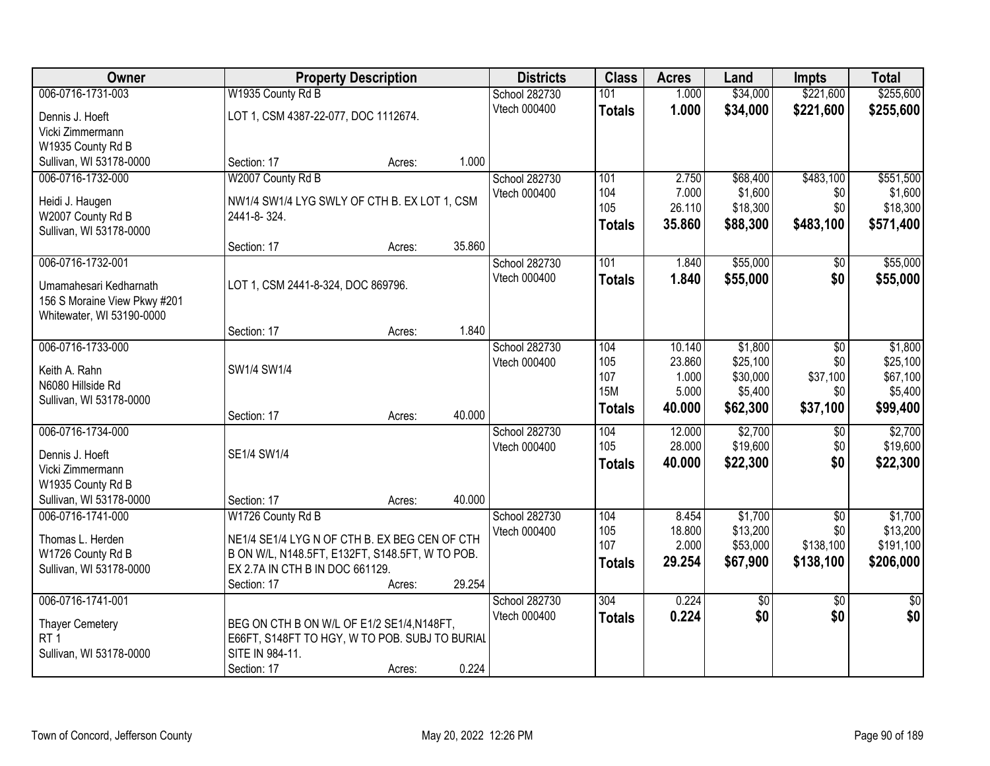| Owner                                     |                                                                                                  | <b>Property Description</b> |        | <b>Districts</b> | <b>Class</b>  | <b>Acres</b> | Land            | <b>Impts</b>    | <b>Total</b>    |
|-------------------------------------------|--------------------------------------------------------------------------------------------------|-----------------------------|--------|------------------|---------------|--------------|-----------------|-----------------|-----------------|
| 006-0716-1731-003                         | W1935 County Rd B                                                                                |                             |        | School 282730    | 101           | 1.000        | \$34,000        | \$221,600       | \$255,600       |
| Dennis J. Hoeft                           | LOT 1, CSM 4387-22-077, DOC 1112674.                                                             |                             |        | Vtech 000400     | <b>Totals</b> | 1.000        | \$34,000        | \$221,600       | \$255,600       |
| Vicki Zimmermann                          |                                                                                                  |                             |        |                  |               |              |                 |                 |                 |
| W1935 County Rd B                         |                                                                                                  |                             |        |                  |               |              |                 |                 |                 |
| Sullivan, WI 53178-0000                   | Section: 17                                                                                      | Acres:                      | 1.000  |                  |               |              |                 |                 |                 |
| 006-0716-1732-000                         | W2007 County Rd B                                                                                |                             |        | School 282730    | 101           | 2.750        | \$68,400        | \$483,100       | \$551,500       |
| Heidi J. Haugen                           | NW1/4 SW1/4 LYG SWLY OF CTH B. EX LOT 1, CSM                                                     |                             |        | Vtech 000400     | 104           | 7.000        | \$1,600         | \$0             | \$1,600         |
| W2007 County Rd B                         | 2441-8-324.                                                                                      |                             |        |                  | 105           | 26.110       | \$18,300        | \$0             | \$18,300        |
| Sullivan, WI 53178-0000                   |                                                                                                  |                             |        |                  | <b>Totals</b> | 35.860       | \$88,300        | \$483,100       | \$571,400       |
|                                           | Section: 17                                                                                      | Acres:                      | 35.860 |                  |               |              |                 |                 |                 |
| 006-0716-1732-001                         |                                                                                                  |                             |        | School 282730    | 101           | 1.840        | \$55,000        | \$0             | \$55,000        |
| Umamahesari Kedharnath                    | LOT 1, CSM 2441-8-324, DOC 869796.                                                               |                             |        | Vtech 000400     | <b>Totals</b> | 1.840        | \$55,000        | \$0             | \$55,000        |
| 156 S Moraine View Pkwy #201              |                                                                                                  |                             |        |                  |               |              |                 |                 |                 |
| Whitewater, WI 53190-0000                 |                                                                                                  |                             |        |                  |               |              |                 |                 |                 |
|                                           | Section: 17                                                                                      | Acres:                      | 1.840  |                  |               |              |                 |                 |                 |
| 006-0716-1733-000                         |                                                                                                  |                             |        | School 282730    | 104           | 10.140       | \$1,800         | \$0             | \$1,800         |
| Keith A. Rahn                             | SW1/4 SW1/4                                                                                      |                             |        | Vtech 000400     | 105           | 23.860       | \$25,100        | \$0             | \$25,100        |
| N6080 Hillside Rd                         |                                                                                                  |                             |        |                  | 107           | 1.000        | \$30,000        | \$37,100        | \$67,100        |
| Sullivan, WI 53178-0000                   |                                                                                                  |                             |        |                  | <b>15M</b>    | 5.000        | \$5,400         | \$0             | \$5,400         |
|                                           | Section: 17                                                                                      | Acres:                      | 40.000 |                  | <b>Totals</b> | 40.000       | \$62,300        | \$37,100        | \$99,400        |
| 006-0716-1734-000                         |                                                                                                  |                             |        | School 282730    | 104           | 12.000       | \$2,700         | $\overline{50}$ | \$2,700         |
| Dennis J. Hoeft                           | SE1/4 SW1/4                                                                                      |                             |        | Vtech 000400     | 105           | 28.000       | \$19,600        | \$0             | \$19,600        |
| Vicki Zimmermann                          |                                                                                                  |                             |        |                  | <b>Totals</b> | 40.000       | \$22,300        | \$0             | \$22,300        |
| W1935 County Rd B                         |                                                                                                  |                             |        |                  |               |              |                 |                 |                 |
| Sullivan, WI 53178-0000                   | Section: 17                                                                                      | Acres:                      | 40.000 |                  |               |              |                 |                 |                 |
| 006-0716-1741-000                         | W1726 County Rd B                                                                                |                             |        | School 282730    | 104           | 8.454        | \$1,700         | $\overline{50}$ | \$1,700         |
|                                           |                                                                                                  |                             |        | Vtech 000400     | 105           | 18.800       | \$13,200        | \$0             | \$13,200        |
| Thomas L. Herden<br>W1726 County Rd B     | NE1/4 SE1/4 LYG N OF CTH B. EX BEG CEN OF CTH<br>B ON W/L, N148.5FT, E132FT, S148.5FT, W TO POB. |                             |        |                  | 107           | 2.000        | \$53,000        | \$138,100       | \$191,100       |
| Sullivan, WI 53178-0000                   | EX 2.7A IN CTH B IN DOC 661129.                                                                  |                             |        |                  | Totals        | 29.254       | \$67,900        | \$138,100       | \$206,000       |
|                                           | Section: 17                                                                                      | Acres:                      | 29.254 |                  |               |              |                 |                 |                 |
| 006-0716-1741-001                         |                                                                                                  |                             |        | School 282730    | 304           | 0.224        | $\overline{50}$ | $\overline{50}$ | $\overline{30}$ |
|                                           |                                                                                                  |                             |        | Vtech 000400     | <b>Totals</b> | 0.224        | \$0             | \$0             | \$0             |
| <b>Thayer Cemetery</b><br>RT <sub>1</sub> | BEG ON CTH B ON W/L OF E1/2 SE1/4, N148FT,<br>E66FT, S148FT TO HGY, W TO POB. SUBJ TO BURIAL     |                             |        |                  |               |              |                 |                 |                 |
| Sullivan, WI 53178-0000                   | SITE IN 984-11.                                                                                  |                             |        |                  |               |              |                 |                 |                 |
|                                           | Section: 17                                                                                      | Acres:                      | 0.224  |                  |               |              |                 |                 |                 |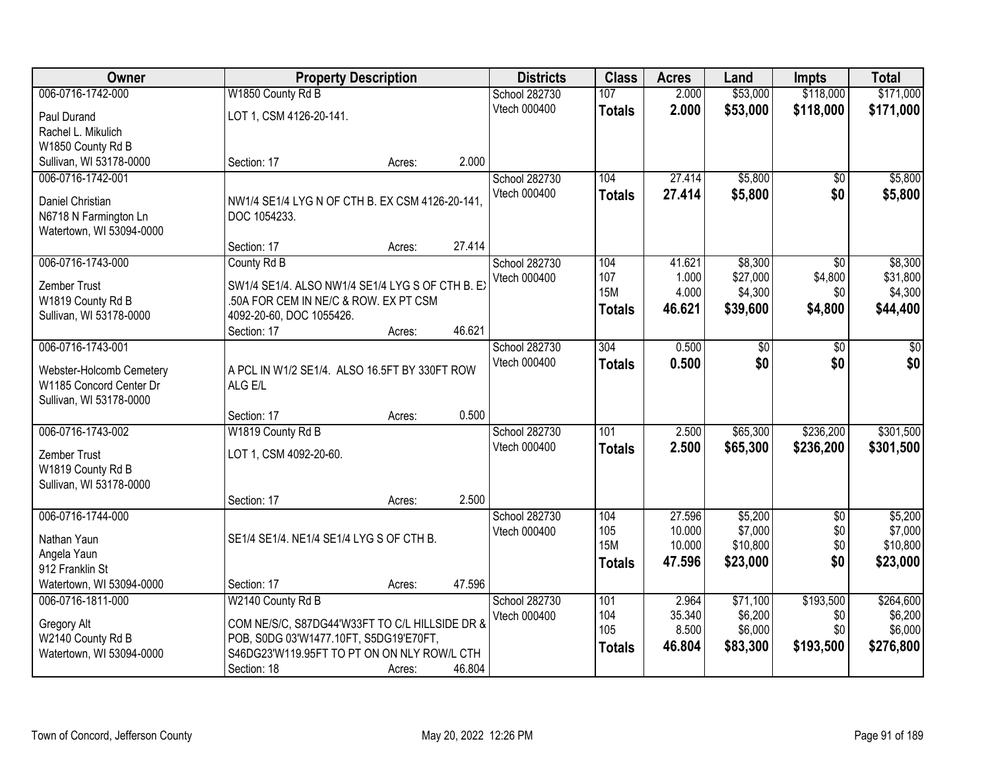| Owner                            |                                                 | <b>Property Description</b> |        | <b>Districts</b> | <b>Class</b>     | <b>Acres</b> | Land     | <b>Impts</b>    | <b>Total</b> |
|----------------------------------|-------------------------------------------------|-----------------------------|--------|------------------|------------------|--------------|----------|-----------------|--------------|
| 006-0716-1742-000                | W1850 County Rd B                               |                             |        | School 282730    | 107              | 2.000        | \$53,000 | \$118,000       | \$171,000    |
| Paul Durand                      | LOT 1, CSM 4126-20-141.                         |                             |        | Vtech 000400     | <b>Totals</b>    | 2.000        | \$53,000 | \$118,000       | \$171,000    |
| Rachel L. Mikulich               |                                                 |                             |        |                  |                  |              |          |                 |              |
| W1850 County Rd B                |                                                 |                             |        |                  |                  |              |          |                 |              |
| Sullivan, WI 53178-0000          | Section: 17                                     | Acres:                      | 2.000  |                  |                  |              |          |                 |              |
| 006-0716-1742-001                |                                                 |                             |        | School 282730    | 104              | 27.414       | \$5,800  | \$0             | \$5,800      |
| Daniel Christian                 | NW1/4 SE1/4 LYG N OF CTH B. EX CSM 4126-20-141, |                             |        | Vtech 000400     | <b>Totals</b>    | 27.414       | \$5,800  | \$0             | \$5,800      |
| N6718 N Farmington Ln            | DOC 1054233.                                    |                             |        |                  |                  |              |          |                 |              |
| Watertown, WI 53094-0000         |                                                 |                             |        |                  |                  |              |          |                 |              |
|                                  | Section: 17                                     | Acres:                      | 27.414 |                  |                  |              |          |                 |              |
| 006-0716-1743-000                | County Rd B                                     |                             |        | School 282730    | 104              | 41.621       | \$8,300  | $\overline{50}$ | \$8,300      |
| Zember Trust                     | SW1/4 SE1/4. ALSO NW1/4 SE1/4 LYG S OF CTH B. E |                             |        | Vtech 000400     | 107              | 1.000        | \$27,000 | \$4,800         | \$31,800     |
| W1819 County Rd B                | .50A FOR CEM IN NE/C & ROW. EX PT CSM           |                             |        |                  | <b>15M</b>       | 4.000        | \$4,300  | \$0             | \$4,300      |
| Sullivan, WI 53178-0000          | 4092-20-60, DOC 1055426.                        |                             |        |                  | <b>Totals</b>    | 46.621       | \$39,600 | \$4,800         | \$44,400     |
|                                  | Section: 17                                     | Acres:                      | 46.621 |                  |                  |              |          |                 |              |
| 006-0716-1743-001                |                                                 |                             |        | School 282730    | 304              | 0.500        | \$0      | $\sqrt[6]{3}$   | $\sqrt{50}$  |
| Webster-Holcomb Cemetery         | A PCL IN W1/2 SE1/4. ALSO 16.5FT BY 330FT ROW   |                             |        | Vtech 000400     | <b>Totals</b>    | 0.500        | \$0      | \$0             | \$0          |
| W1185 Concord Center Dr          | ALG E/L                                         |                             |        |                  |                  |              |          |                 |              |
| Sullivan, WI 53178-0000          |                                                 |                             |        |                  |                  |              |          |                 |              |
|                                  | Section: 17                                     | Acres:                      | 0.500  |                  |                  |              |          |                 |              |
| 006-0716-1743-002                | W1819 County Rd B                               |                             |        | School 282730    | $\overline{101}$ | 2.500        | \$65,300 | \$236,200       | \$301,500    |
| Zember Trust                     | LOT 1, CSM 4092-20-60.                          |                             |        | Vtech 000400     | <b>Totals</b>    | 2.500        | \$65,300 | \$236,200       | \$301,500    |
| W1819 County Rd B                |                                                 |                             |        |                  |                  |              |          |                 |              |
| Sullivan, WI 53178-0000          |                                                 |                             |        |                  |                  |              |          |                 |              |
|                                  | Section: 17                                     | Acres:                      | 2.500  |                  |                  |              |          |                 |              |
| 006-0716-1744-000                |                                                 |                             |        | School 282730    | 104              | 27.596       | \$5,200  | $\overline{50}$ | \$5,200      |
| Nathan Yaun                      | SE1/4 SE1/4. NE1/4 SE1/4 LYG S OF CTH B.        |                             |        | Vtech 000400     | 105              | 10.000       | \$7,000  | \$0             | \$7,000      |
| Angela Yaun                      |                                                 |                             |        |                  | <b>15M</b>       | 10.000       | \$10,800 | \$0             | \$10,800     |
| 912 Franklin St                  |                                                 |                             |        |                  | <b>Totals</b>    | 47.596       | \$23,000 | \$0             | \$23,000     |
| Watertown, WI 53094-0000         | Section: 17                                     | Acres:                      | 47.596 |                  |                  |              |          |                 |              |
| 006-0716-1811-000                | W2140 County Rd B                               |                             |        | School 282730    | 101              | 2.964        | \$71,100 | \$193,500       | \$264,600    |
|                                  | COM NE/S/C, S87DG44'W33FT TO C/L HILLSIDE DR &  |                             |        | Vtech 000400     | 104              | 35.340       | \$6,200  | \$0             | \$6,200      |
| Gregory Alt<br>W2140 County Rd B | POB, S0DG 03'W1477.10FT, S5DG19'E70FT,          |                             |        |                  | 105              | 8.500        | \$6,000  | \$0             | \$6,000      |
| Watertown, WI 53094-0000         | S46DG23'W119.95FT TO PT ON ON NLY ROW/L CTH     |                             |        |                  | <b>Totals</b>    | 46.804       | \$83,300 | \$193,500       | \$276,800    |
|                                  | Section: 18                                     | Acres:                      | 46.804 |                  |                  |              |          |                 |              |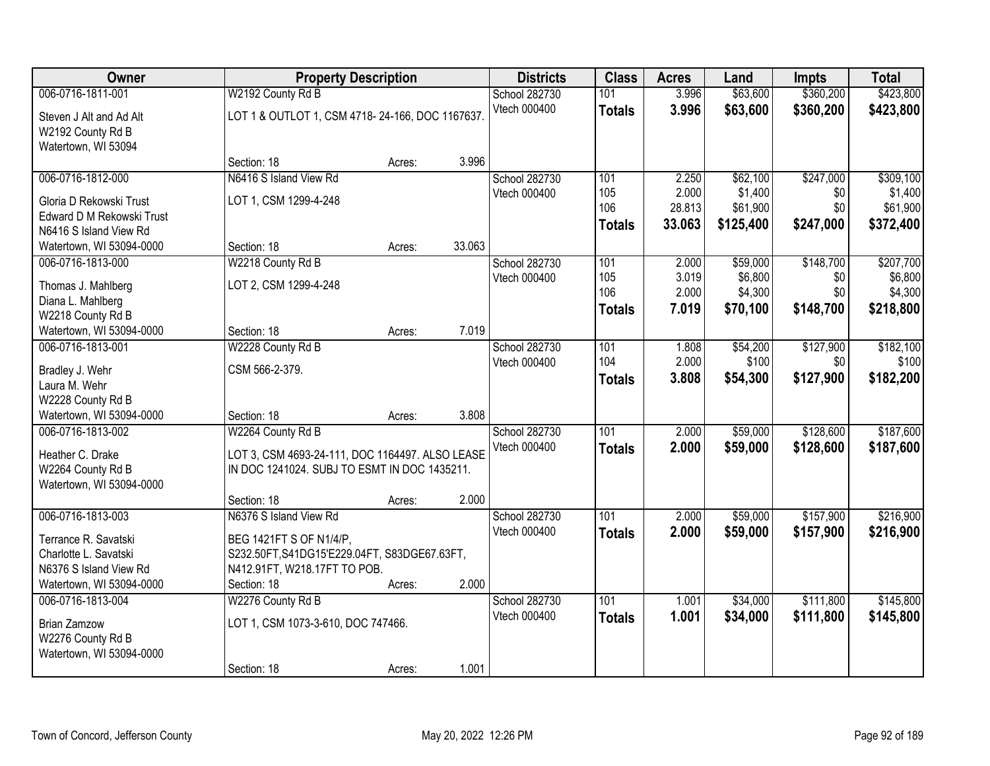| Owner                     |                                                 | <b>Property Description</b> |        | <b>Districts</b> | <b>Class</b>  | <b>Acres</b>    | Land                | <b>Impts</b> | <b>Total</b>        |
|---------------------------|-------------------------------------------------|-----------------------------|--------|------------------|---------------|-----------------|---------------------|--------------|---------------------|
| 006-0716-1811-001         | W2192 County Rd B                               |                             |        | School 282730    | 101           | 3.996           | \$63,600            | \$360,200    | \$423,800           |
| Steven J Alt and Ad Alt   | LOT 1 & OUTLOT 1, CSM 4718-24-166, DOC 1167637  |                             |        | Vtech 000400     | <b>Totals</b> | 3.996           | \$63,600            | \$360,200    | \$423,800           |
| W2192 County Rd B         |                                                 |                             |        |                  |               |                 |                     |              |                     |
| Watertown, WI 53094       |                                                 |                             |        |                  |               |                 |                     |              |                     |
|                           | Section: 18                                     | Acres:                      | 3.996  |                  |               |                 |                     |              |                     |
| 006-0716-1812-000         | N6416 S Island View Rd                          |                             |        | School 282730    | 101           | 2.250           | \$62,100            | \$247,000    | \$309,100           |
| Gloria D Rekowski Trust   | LOT 1, CSM 1299-4-248                           |                             |        | Vtech 000400     | 105<br>106    | 2.000<br>28.813 | \$1,400<br>\$61,900 | \$0<br>\$0   | \$1,400<br>\$61,900 |
| Edward D M Rekowski Trust |                                                 |                             |        |                  | <b>Totals</b> | 33.063          | \$125,400           | \$247,000    | \$372,400           |
| N6416 S Island View Rd    |                                                 |                             |        |                  |               |                 |                     |              |                     |
| Watertown, WI 53094-0000  | Section: 18                                     | Acres:                      | 33.063 |                  |               |                 |                     |              |                     |
| 006-0716-1813-000         | W2218 County Rd B                               |                             |        | School 282730    | 101           | 2.000           | \$59,000            | \$148,700    | \$207,700           |
| Thomas J. Mahlberg        | LOT 2, CSM 1299-4-248                           |                             |        | Vtech 000400     | 105<br>106    | 3.019<br>2.000  | \$6,800             | \$0<br>\$0   | \$6,800<br>\$4,300  |
| Diana L. Mahlberg         |                                                 |                             |        |                  |               | 7.019           | \$4,300<br>\$70,100 | \$148,700    | \$218,800           |
| W2218 County Rd B         |                                                 |                             |        |                  | <b>Totals</b> |                 |                     |              |                     |
| Watertown, WI 53094-0000  | Section: 18                                     | Acres:                      | 7.019  |                  |               |                 |                     |              |                     |
| 006-0716-1813-001         | W2228 County Rd B                               |                             |        | School 282730    | 101           | 1.808           | \$54,200            | \$127,900    | \$182,100           |
| Bradley J. Wehr           | CSM 566-2-379.                                  |                             |        | Vtech 000400     | 104           | 2.000           | \$100               | \$0          | \$100               |
| Laura M. Wehr             |                                                 |                             |        |                  | <b>Totals</b> | 3.808           | \$54,300            | \$127,900    | \$182,200           |
| W2228 County Rd B         |                                                 |                             |        |                  |               |                 |                     |              |                     |
| Watertown, WI 53094-0000  | Section: 18                                     | Acres:                      | 3.808  |                  |               |                 |                     |              |                     |
| 006-0716-1813-002         | W2264 County Rd B                               |                             |        | School 282730    | 101           | 2.000           | \$59,000            | \$128,600    | \$187,600           |
| Heather C. Drake          | LOT 3, CSM 4693-24-111, DOC 1164497. ALSO LEASE |                             |        | Vtech 000400     | <b>Totals</b> | 2.000           | \$59,000            | \$128,600    | \$187,600           |
| W2264 County Rd B         | IN DOC 1241024. SUBJ TO ESMT IN DOC 1435211.    |                             |        |                  |               |                 |                     |              |                     |
| Watertown, WI 53094-0000  |                                                 |                             |        |                  |               |                 |                     |              |                     |
|                           | Section: 18                                     | Acres:                      | 2.000  |                  |               |                 |                     |              |                     |
| 006-0716-1813-003         | N6376 S Island View Rd                          |                             |        | School 282730    | 101           | 2.000           | \$59,000            | \$157,900    | \$216,900           |
| Terrance R. Savatski      | BEG 1421FT S OF N1/4/P.                         |                             |        | Vtech 000400     | <b>Totals</b> | 2.000           | \$59,000            | \$157,900    | \$216,900           |
| Charlotte L. Savatski     | S232.50FT, S41DG15'E229.04FT, S83DGE67.63FT,    |                             |        |                  |               |                 |                     |              |                     |
| N6376 S Island View Rd    | N412.91FT, W218.17FT TO POB.                    |                             |        |                  |               |                 |                     |              |                     |
| Watertown, WI 53094-0000  | Section: 18                                     | Acres:                      | 2.000  |                  |               |                 |                     |              |                     |
| 006-0716-1813-004         | W2276 County Rd B                               |                             |        | School 282730    | 101           | 1.001           | \$34,000            | \$111,800    | \$145,800           |
| <b>Brian Zamzow</b>       | LOT 1, CSM 1073-3-610, DOC 747466.              |                             |        | Vtech 000400     | <b>Totals</b> | 1.001           | \$34,000            | \$111,800    | \$145,800           |
| W2276 County Rd B         |                                                 |                             |        |                  |               |                 |                     |              |                     |
| Watertown, WI 53094-0000  |                                                 |                             |        |                  |               |                 |                     |              |                     |
|                           | Section: 18                                     | Acres:                      | 1.001  |                  |               |                 |                     |              |                     |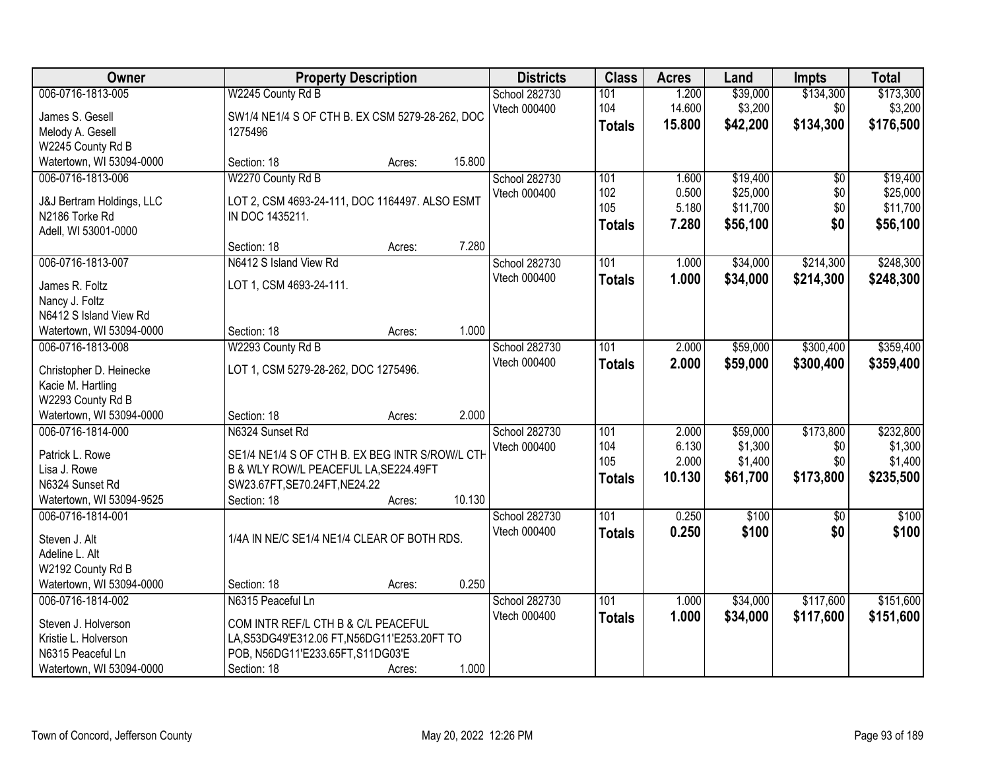| Owner                                         |                                                 | <b>Property Description</b> |        | <b>Districts</b> | <b>Class</b>  | <b>Acres</b> | Land     | <b>Impts</b>    | <b>Total</b> |
|-----------------------------------------------|-------------------------------------------------|-----------------------------|--------|------------------|---------------|--------------|----------|-----------------|--------------|
| 006-0716-1813-005                             | W2245 County Rd B                               |                             |        | School 282730    | 101           | 1.200        | \$39,000 | \$134,300       | \$173,300    |
| James S. Gesell                               | SW1/4 NE1/4 S OF CTH B. EX CSM 5279-28-262, DOC |                             |        | Vtech 000400     | 104           | 14.600       | \$3,200  | \$0             | \$3,200      |
| Melody A. Gesell                              | 1275496                                         |                             |        |                  | <b>Totals</b> | 15.800       | \$42,200 | \$134,300       | \$176,500    |
| W2245 County Rd B                             |                                                 |                             |        |                  |               |              |          |                 |              |
| Watertown, WI 53094-0000                      | Section: 18                                     | Acres:                      | 15.800 |                  |               |              |          |                 |              |
| 006-0716-1813-006                             | W2270 County Rd B                               |                             |        | School 282730    | 101           | 1.600        | \$19,400 | $\overline{50}$ | \$19,400     |
| J&J Bertram Holdings, LLC                     | LOT 2, CSM 4693-24-111, DOC 1164497. ALSO ESMT  |                             |        | Vtech 000400     | 102           | 0.500        | \$25,000 | \$0             | \$25,000     |
| N2186 Torke Rd                                | IN DOC 1435211.                                 |                             |        |                  | 105           | 5.180        | \$11,700 | \$0             | \$11,700     |
| Adell, WI 53001-0000                          |                                                 |                             |        |                  | <b>Totals</b> | 7.280        | \$56,100 | \$0             | \$56,100     |
|                                               | Section: 18                                     | Acres:                      | 7.280  |                  |               |              |          |                 |              |
| 006-0716-1813-007                             | N6412 S Island View Rd                          |                             |        | School 282730    | 101           | 1.000        | \$34,000 | \$214,300       | \$248,300    |
| James R. Foltz                                | LOT 1, CSM 4693-24-111.                         |                             |        | Vtech 000400     | <b>Totals</b> | 1.000        | \$34,000 | \$214,300       | \$248,300    |
| Nancy J. Foltz                                |                                                 |                             |        |                  |               |              |          |                 |              |
| N6412 S Island View Rd                        |                                                 |                             |        |                  |               |              |          |                 |              |
| Watertown, WI 53094-0000                      | Section: 18                                     | Acres:                      | 1.000  |                  |               |              |          |                 |              |
| 006-0716-1813-008                             | W2293 County Rd B                               |                             |        | School 282730    | 101           | 2.000        | \$59,000 | \$300,400       | \$359,400    |
|                                               |                                                 |                             |        | Vtech 000400     | <b>Totals</b> | 2.000        | \$59,000 | \$300,400       | \$359,400    |
| Christopher D. Heinecke<br>Kacie M. Hartling  | LOT 1, CSM 5279-28-262, DOC 1275496.            |                             |        |                  |               |              |          |                 |              |
| W2293 County Rd B                             |                                                 |                             |        |                  |               |              |          |                 |              |
| Watertown, WI 53094-0000                      | Section: 18                                     | Acres:                      | 2.000  |                  |               |              |          |                 |              |
| 006-0716-1814-000                             | N6324 Sunset Rd                                 |                             |        | School 282730    | 101           | 2.000        | \$59,000 | \$173,800       | \$232,800    |
|                                               |                                                 |                             |        | Vtech 000400     | 104           | 6.130        | \$1,300  | \$0             | \$1,300      |
| Patrick L. Rowe                               | SE1/4 NE1/4 S OF CTH B. EX BEG INTR S/ROW/L CTH |                             |        |                  | 105           | 2.000        | \$1,400  | \$0             | \$1,400      |
| Lisa J. Rowe<br>N6324 Sunset Rd               | B & WLY ROW/L PEACEFUL LA, SE224.49FT           |                             |        |                  | <b>Totals</b> | 10.130       | \$61,700 | \$173,800       | \$235,500    |
| Watertown, WI 53094-9525                      | SW23.67FT, SE70.24FT, NE24.22<br>Section: 18    | Acres:                      | 10.130 |                  |               |              |          |                 |              |
| 006-0716-1814-001                             |                                                 |                             |        | School 282730    | 101           | 0.250        | \$100    | $\overline{50}$ | \$100        |
|                                               |                                                 |                             |        | Vtech 000400     | <b>Totals</b> | 0.250        | \$100    | \$0             | \$100        |
| Steven J. Alt                                 | 1/4A IN NE/C SE1/4 NE1/4 CLEAR OF BOTH RDS.     |                             |        |                  |               |              |          |                 |              |
| Adeline L. Alt                                |                                                 |                             |        |                  |               |              |          |                 |              |
| W2192 County Rd B                             |                                                 |                             |        |                  |               |              |          |                 |              |
| Watertown, WI 53094-0000<br>006-0716-1814-002 | Section: 18<br>N6315 Peaceful Ln                | Acres:                      | 0.250  | School 282730    | 101           | 1.000        | \$34,000 | \$117,600       | \$151,600    |
|                                               |                                                 |                             |        | Vtech 000400     |               | 1.000        | \$34,000 |                 |              |
| Steven J. Holverson                           | COM INTR REF/L CTH B & C/L PEACEFUL             |                             |        |                  | <b>Totals</b> |              |          | \$117,600       | \$151,600    |
| Kristie L. Holverson                          | LA, S53DG49'E312.06 FT, N56DG11'E253.20FT TO    |                             |        |                  |               |              |          |                 |              |
| N6315 Peaceful Ln                             | POB, N56DG11'E233.65FT, S11DG03'E               |                             |        |                  |               |              |          |                 |              |
| Watertown, WI 53094-0000                      | Section: 18                                     | Acres:                      | 1.000  |                  |               |              |          |                 |              |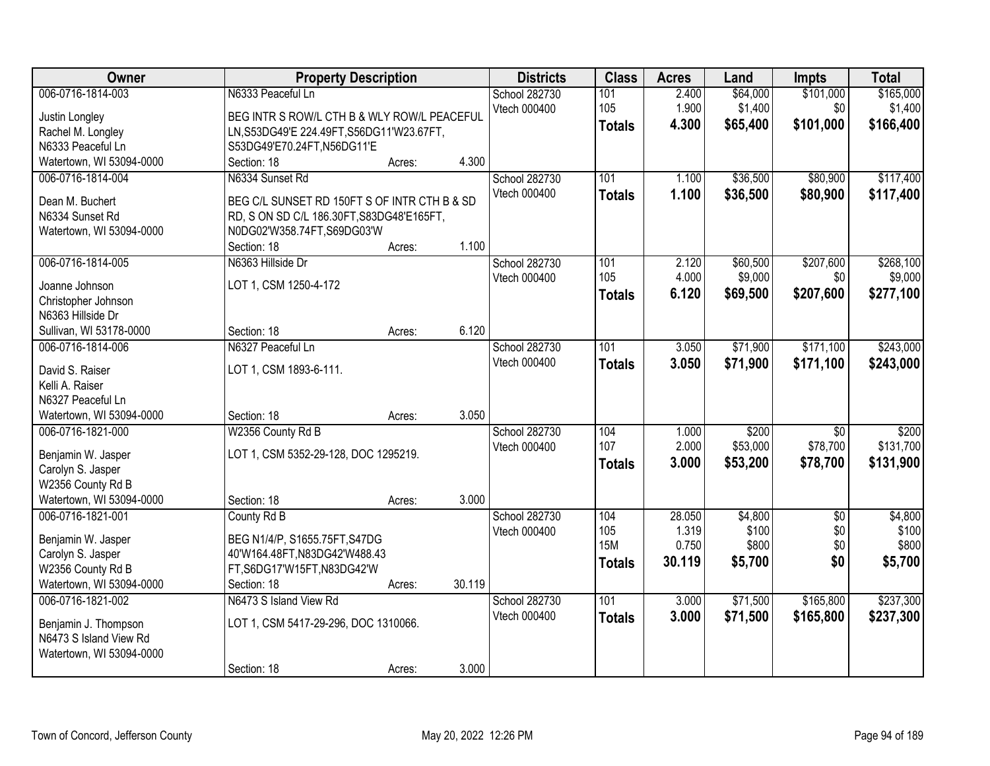| <b>Owner</b>             | <b>Property Description</b>                  |        |        | <b>Districts</b>     | <b>Class</b>  | <b>Acres</b> | Land     | <b>Impts</b>    | <b>Total</b> |
|--------------------------|----------------------------------------------|--------|--------|----------------------|---------------|--------------|----------|-----------------|--------------|
| 006-0716-1814-003        | N6333 Peaceful Ln                            |        |        | School 282730        | 101           | 2.400        | \$64,000 | \$101,000       | \$165,000    |
| Justin Longley           | BEG INTR S ROW/L CTH B & WLY ROW/L PEACEFUL  |        |        | Vtech 000400         | 105           | 1.900        | \$1,400  | \$0             | \$1,400      |
| Rachel M. Longley        | LN, S53DG49'E 224.49FT, S56DG11'W23.67FT,    |        |        |                      | <b>Totals</b> | 4.300        | \$65,400 | \$101,000       | \$166,400    |
| N6333 Peaceful Ln        | S53DG49'E70.24FT,N56DG11'E                   |        |        |                      |               |              |          |                 |              |
| Watertown, WI 53094-0000 | Section: 18                                  | Acres: | 4.300  |                      |               |              |          |                 |              |
| 006-0716-1814-004        | N6334 Sunset Rd                              |        |        | <b>School 282730</b> | 101           | 1.100        | \$36,500 | \$80,900        | \$117,400    |
|                          |                                              |        |        | Vtech 000400         | <b>Totals</b> | 1.100        | \$36,500 | \$80,900        | \$117,400    |
| Dean M. Buchert          | BEG C/L SUNSET RD 150FT S OF INTR CTH B & SD |        |        |                      |               |              |          |                 |              |
| N6334 Sunset Rd          | RD, S ON SD C/L 186.30FT, S83DG48'E165FT,    |        |        |                      |               |              |          |                 |              |
| Watertown, WI 53094-0000 | N0DG02'W358.74FT,S69DG03'W                   |        |        |                      |               |              |          |                 |              |
|                          | Section: 18                                  | Acres: | 1.100  |                      |               |              |          |                 |              |
| 006-0716-1814-005        | N6363 Hillside Dr                            |        |        | School 282730        | 101           | 2.120        | \$60,500 | \$207,600       | \$268,100    |
| Joanne Johnson           | LOT 1, CSM 1250-4-172                        |        |        | Vtech 000400         | 105           | 4.000        | \$9,000  | \$0             | \$9,000      |
| Christopher Johnson      |                                              |        |        |                      | <b>Totals</b> | 6.120        | \$69,500 | \$207,600       | \$277,100    |
| N6363 Hillside Dr        |                                              |        |        |                      |               |              |          |                 |              |
| Sullivan, WI 53178-0000  | Section: 18                                  | Acres: | 6.120  |                      |               |              |          |                 |              |
| 006-0716-1814-006        | N6327 Peaceful Ln                            |        |        | School 282730        | 101           | 3.050        | \$71,900 | \$171,100       | \$243,000    |
|                          |                                              |        |        | Vtech 000400         | <b>Totals</b> | 3.050        | \$71,900 | \$171,100       | \$243,000    |
| David S. Raiser          | LOT 1, CSM 1893-6-111.                       |        |        |                      |               |              |          |                 |              |
| Kelli A. Raiser          |                                              |        |        |                      |               |              |          |                 |              |
| N6327 Peaceful Ln        |                                              |        |        |                      |               |              |          |                 |              |
| Watertown, WI 53094-0000 | Section: 18                                  | Acres: | 3.050  |                      |               |              |          |                 |              |
| 006-0716-1821-000        | W2356 County Rd B                            |        |        | School 282730        | 104           | 1.000        | \$200    | $\overline{30}$ | \$200        |
| Benjamin W. Jasper       | LOT 1, CSM 5352-29-128, DOC 1295219.         |        |        | Vtech 000400         | 107           | 2.000        | \$53,000 | \$78,700        | \$131,700    |
| Carolyn S. Jasper        |                                              |        |        |                      | <b>Totals</b> | 3.000        | \$53,200 | \$78,700        | \$131,900    |
| W2356 County Rd B        |                                              |        |        |                      |               |              |          |                 |              |
| Watertown, WI 53094-0000 | Section: 18                                  | Acres: | 3.000  |                      |               |              |          |                 |              |
| 006-0716-1821-001        | County Rd B                                  |        |        | <b>School 282730</b> | 104           | 28.050       | \$4,800  | $\overline{50}$ | \$4,800      |
|                          |                                              |        |        | Vtech 000400         | 105           | 1.319        | \$100    | \$0             | \$100        |
| Benjamin W. Jasper       | BEG N1/4/P, S1655.75FT, S47DG                |        |        |                      | <b>15M</b>    | 0.750        | \$800    | \$0             | \$800        |
| Carolyn S. Jasper        | 40'W164.48FT, N83DG42'W488.43                |        |        |                      | <b>Totals</b> | 30.119       | \$5,700  | \$0             | \$5,700      |
| W2356 County Rd B        | FT,S6DG17'W15FT,N83DG42'W                    |        |        |                      |               |              |          |                 |              |
| Watertown, WI 53094-0000 | Section: 18                                  | Acres: | 30.119 |                      |               |              |          |                 |              |
| 006-0716-1821-002        | N6473 S Island View Rd                       |        |        | School 282730        | 101           | 3.000        | \$71,500 | \$165,800       | \$237,300    |
| Benjamin J. Thompson     | LOT 1, CSM 5417-29-296, DOC 1310066.         |        |        | Vtech 000400         | <b>Totals</b> | 3.000        | \$71,500 | \$165,800       | \$237,300    |
| N6473 S Island View Rd   |                                              |        |        |                      |               |              |          |                 |              |
| Watertown, WI 53094-0000 |                                              |        |        |                      |               |              |          |                 |              |
|                          | Section: 18                                  | Acres: | 3.000  |                      |               |              |          |                 |              |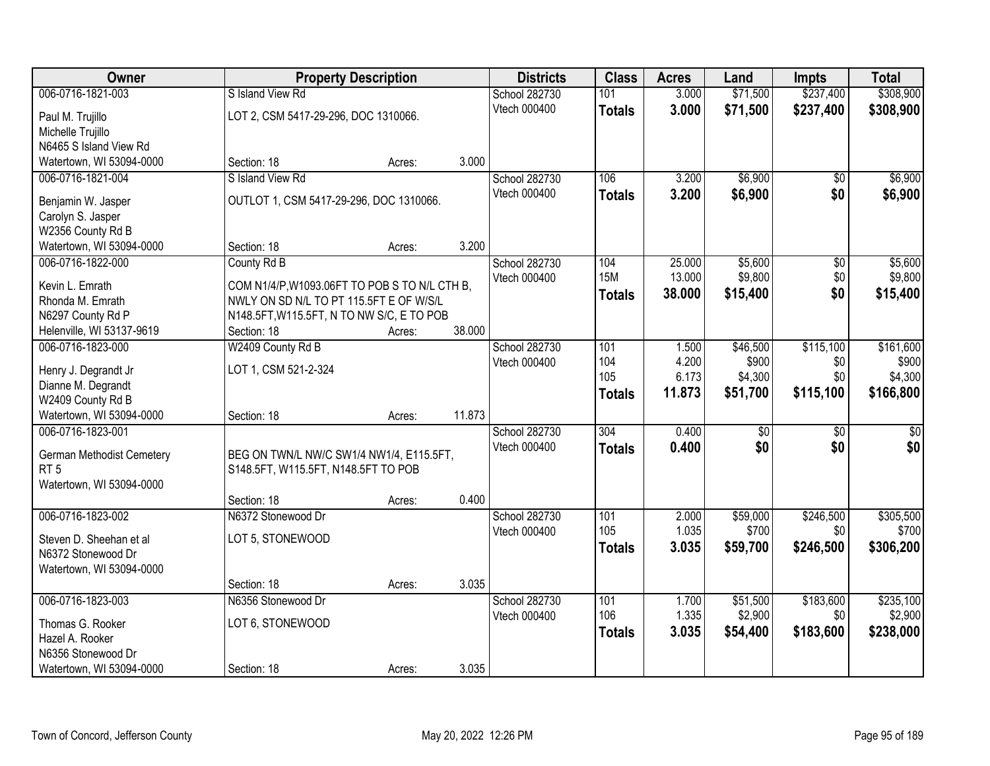| Owner                     |                                               | <b>Property Description</b> |        | <b>Districts</b>     | <b>Class</b>     | <b>Acres</b> | Land     | <b>Impts</b>    | <b>Total</b> |
|---------------------------|-----------------------------------------------|-----------------------------|--------|----------------------|------------------|--------------|----------|-----------------|--------------|
| 006-0716-1821-003         | S Island View Rd                              |                             |        | <b>School 282730</b> | 101              | 3.000        | \$71,500 | \$237,400       | \$308,900    |
| Paul M. Trujillo          | LOT 2, CSM 5417-29-296, DOC 1310066.          |                             |        | Vtech 000400         | <b>Totals</b>    | 3.000        | \$71,500 | \$237,400       | \$308,900    |
| Michelle Trujillo         |                                               |                             |        |                      |                  |              |          |                 |              |
| N6465 S Island View Rd    |                                               |                             |        |                      |                  |              |          |                 |              |
| Watertown, WI 53094-0000  | Section: 18                                   | Acres:                      | 3.000  |                      |                  |              |          |                 |              |
| 006-0716-1821-004         | S Island View Rd                              |                             |        | School 282730        | 106              | 3.200        | \$6,900  | \$0             | \$6,900      |
| Benjamin W. Jasper        | OUTLOT 1, CSM 5417-29-296, DOC 1310066.       |                             |        | Vtech 000400         | <b>Totals</b>    | 3.200        | \$6,900  | \$0             | \$6,900      |
| Carolyn S. Jasper         |                                               |                             |        |                      |                  |              |          |                 |              |
| W2356 County Rd B         |                                               |                             |        |                      |                  |              |          |                 |              |
| Watertown, WI 53094-0000  | Section: 18                                   | Acres:                      | 3.200  |                      |                  |              |          |                 |              |
| 006-0716-1822-000         | County Rd B                                   |                             |        | School 282730        | 104              | 25.000       | \$5,600  | $\overline{50}$ | \$5,600      |
| Kevin L. Emrath           | COM N1/4/P, W1093.06FT TO POB S TO N/L CTH B, |                             |        | Vtech 000400         | <b>15M</b>       | 13.000       | \$9,800  | \$0             | \$9,800      |
| Rhonda M. Emrath          | NWLY ON SD N/L TO PT 115.5FT E OF W/S/L       |                             |        |                      | <b>Totals</b>    | 38.000       | \$15,400 | \$0             | \$15,400     |
| N6297 County Rd P         | N148.5FT, W115.5FT, N TO NW S/C, E TO POB     |                             |        |                      |                  |              |          |                 |              |
| Helenville, WI 53137-9619 | Section: 18                                   | Acres:                      | 38.000 |                      |                  |              |          |                 |              |
| 006-0716-1823-000         | W2409 County Rd B                             |                             |        | School 282730        | 101              | 1.500        | \$46,500 | \$115,100       | \$161,600    |
| Henry J. Degrandt Jr      | LOT 1, CSM 521-2-324                          |                             |        | Vtech 000400         | 104              | 4.200        | \$900    | \$0             | \$900        |
| Dianne M. Degrandt        |                                               |                             |        |                      | 105              | 6.173        | \$4,300  | \$0             | \$4,300      |
| W2409 County Rd B         |                                               |                             |        |                      | <b>Totals</b>    | 11.873       | \$51,700 | \$115,100       | \$166,800    |
| Watertown, WI 53094-0000  | Section: 18                                   | Acres:                      | 11.873 |                      |                  |              |          |                 |              |
| 006-0716-1823-001         |                                               |                             |        | School 282730        | $\overline{304}$ | 0.400        | \$0      | $\overline{50}$ | \$0          |
| German Methodist Cemetery | BEG ON TWN/L NW/C SW1/4 NW1/4, E115.5FT,      |                             |        | Vtech 000400         | <b>Totals</b>    | 0.400        | \$0      | \$0             | \$0          |
| RT <sub>5</sub>           | S148.5FT, W115.5FT, N148.5FT TO POB           |                             |        |                      |                  |              |          |                 |              |
| Watertown, WI 53094-0000  |                                               |                             |        |                      |                  |              |          |                 |              |
|                           | Section: 18                                   | Acres:                      | 0.400  |                      |                  |              |          |                 |              |
| 006-0716-1823-002         | N6372 Stonewood Dr                            |                             |        | <b>School 282730</b> | 101              | 2.000        | \$59,000 | \$246,500       | \$305,500    |
| Steven D. Sheehan et al   | LOT 5, STONEWOOD                              |                             |        | Vtech 000400         | 105              | 1.035        | \$700    | \$0             | \$700        |
| N6372 Stonewood Dr        |                                               |                             |        |                      | <b>Totals</b>    | 3.035        | \$59,700 | \$246,500       | \$306,200    |
| Watertown, WI 53094-0000  |                                               |                             |        |                      |                  |              |          |                 |              |
|                           | Section: 18                                   | Acres:                      | 3.035  |                      |                  |              |          |                 |              |
| 006-0716-1823-003         | N6356 Stonewood Dr                            |                             |        | <b>School 282730</b> | 101              | 1.700        | \$51,500 | \$183,600       | \$235,100    |
| Thomas G. Rooker          | LOT 6, STONEWOOD                              |                             |        | Vtech 000400         | 106              | 1.335        | \$2,900  | \$0             | \$2,900      |
| Hazel A. Rooker           |                                               |                             |        |                      | <b>Totals</b>    | 3.035        | \$54,400 | \$183,600       | \$238,000    |
| N6356 Stonewood Dr        |                                               |                             |        |                      |                  |              |          |                 |              |
| Watertown, WI 53094-0000  | Section: 18                                   | Acres:                      | 3.035  |                      |                  |              |          |                 |              |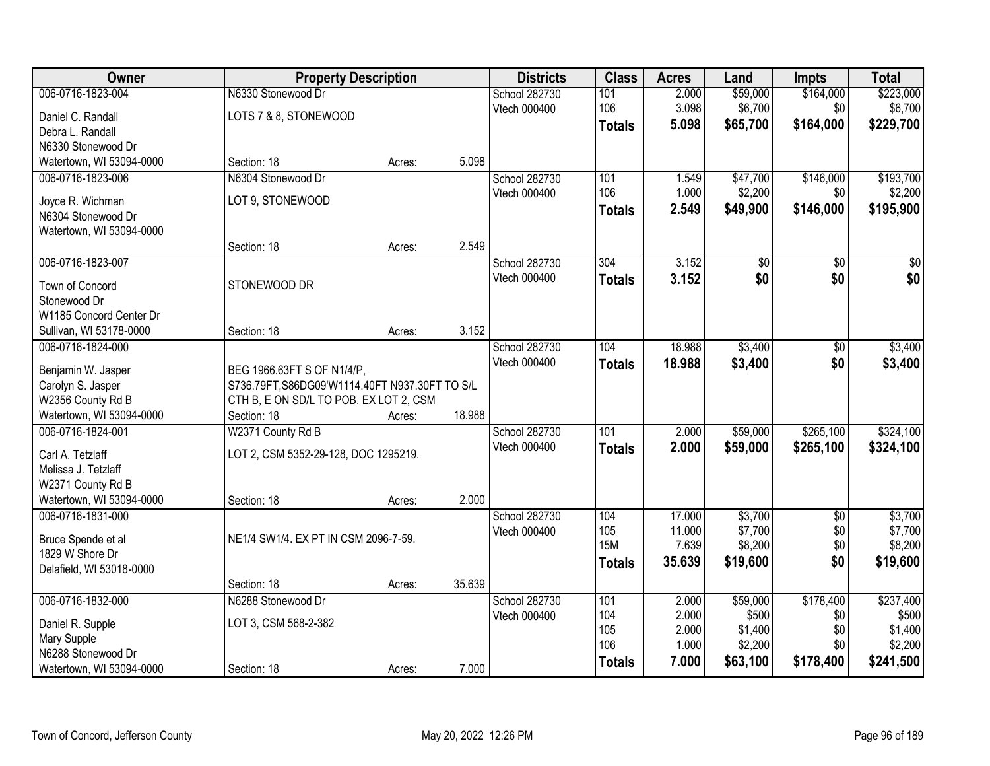| Owner                                          |                                                | <b>Property Description</b> |        | <b>Districts</b> | <b>Class</b>  | <b>Acres</b> | Land     | <b>Impts</b>    | <b>Total</b>     |
|------------------------------------------------|------------------------------------------------|-----------------------------|--------|------------------|---------------|--------------|----------|-----------------|------------------|
| 006-0716-1823-004                              | N6330 Stonewood Dr                             |                             |        | School 282730    | 101           | 2.000        | \$59,000 | \$164,000       | \$223,000        |
| Daniel C. Randall                              | LOTS 7 & 8, STONEWOOD                          |                             |        | Vtech 000400     | 106           | 3.098        | \$6,700  | \$0             | \$6,700          |
| Debra L. Randall                               |                                                |                             |        |                  | <b>Totals</b> | 5.098        | \$65,700 | \$164,000       | \$229,700        |
| N6330 Stonewood Dr                             |                                                |                             |        |                  |               |              |          |                 |                  |
| Watertown, WI 53094-0000                       | Section: 18                                    | Acres:                      | 5.098  |                  |               |              |          |                 |                  |
| 006-0716-1823-006                              | N6304 Stonewood Dr                             |                             |        | School 282730    | 101           | 1.549        | \$47,700 | \$146,000       | \$193,700        |
|                                                |                                                |                             |        | Vtech 000400     | 106           | 1.000        | \$2,200  | \$0             | \$2,200          |
| Joyce R. Wichman                               | LOT 9, STONEWOOD                               |                             |        |                  | <b>Totals</b> | 2.549        | \$49,900 | \$146,000       | \$195,900        |
| N6304 Stonewood Dr<br>Watertown, WI 53094-0000 |                                                |                             |        |                  |               |              |          |                 |                  |
|                                                | Section: 18                                    | Acres:                      | 2.549  |                  |               |              |          |                 |                  |
| 006-0716-1823-007                              |                                                |                             |        | School 282730    | 304           | 3.152        | \$0      | $\sqrt[6]{}$    | $\overline{\$0}$ |
|                                                |                                                |                             |        | Vtech 000400     |               | 3.152        | \$0      | \$0             | \$0              |
| Town of Concord                                | STONEWOOD DR                                   |                             |        |                  | <b>Totals</b> |              |          |                 |                  |
| Stonewood Dr                                   |                                                |                             |        |                  |               |              |          |                 |                  |
| W1185 Concord Center Dr                        |                                                |                             |        |                  |               |              |          |                 |                  |
| Sullivan, WI 53178-0000                        | Section: 18                                    | Acres:                      | 3.152  |                  |               |              |          |                 |                  |
| 006-0716-1824-000                              |                                                |                             |        | School 282730    | 104           | 18.988       | \$3,400  | $\sqrt[6]{3}$   | \$3,400          |
| Benjamin W. Jasper                             | BEG 1966.63FT S OF N1/4/P,                     |                             |        | Vtech 000400     | <b>Totals</b> | 18.988       | \$3,400  | \$0             | \$3,400          |
| Carolyn S. Jasper                              | S736.79FT, S86DG09'W1114.40FT N937.30FT TO S/L |                             |        |                  |               |              |          |                 |                  |
| W2356 County Rd B                              | CTH B, E ON SD/L TO POB. EX LOT 2, CSM         |                             |        |                  |               |              |          |                 |                  |
| Watertown, WI 53094-0000                       | Section: 18                                    | Acres:                      | 18.988 |                  |               |              |          |                 |                  |
| 006-0716-1824-001                              | W2371 County Rd B                              |                             |        | School 282730    | 101           | 2.000        | \$59,000 | \$265,100       | \$324,100        |
|                                                |                                                |                             |        | Vtech 000400     | <b>Totals</b> | 2.000        | \$59,000 | \$265,100       | \$324,100        |
| Carl A. Tetzlaff                               | LOT 2, CSM 5352-29-128, DOC 1295219.           |                             |        |                  |               |              |          |                 |                  |
| Melissa J. Tetzlaff<br>W2371 County Rd B       |                                                |                             |        |                  |               |              |          |                 |                  |
| Watertown, WI 53094-0000                       | Section: 18                                    | Acres:                      | 2.000  |                  |               |              |          |                 |                  |
| 006-0716-1831-000                              |                                                |                             |        | School 282730    | 104           | 17.000       | \$3,700  | $\overline{50}$ | \$3,700          |
|                                                |                                                |                             |        | Vtech 000400     | 105           | 11.000       | \$7,700  | \$0             | \$7,700          |
| Bruce Spende et al                             | NE1/4 SW1/4. EX PT IN CSM 2096-7-59.           |                             |        |                  | <b>15M</b>    | 7.639        | \$8,200  | \$0             | \$8,200          |
| 1829 W Shore Dr                                |                                                |                             |        |                  | <b>Totals</b> | 35.639       | \$19,600 | \$0             | \$19,600         |
| Delafield, WI 53018-0000                       |                                                |                             |        |                  |               |              |          |                 |                  |
|                                                | Section: 18                                    | Acres:                      | 35.639 |                  |               |              |          |                 |                  |
| 006-0716-1832-000                              | N6288 Stonewood Dr                             |                             |        | School 282730    | 101           | 2.000        | \$59,000 | \$178,400       | \$237,400        |
| Daniel R. Supple                               | LOT 3, CSM 568-2-382                           |                             |        | Vtech 000400     | 104           | 2.000        | \$500    | \$0             | \$500            |
| Mary Supple                                    |                                                |                             |        |                  | 105           | 2.000        | \$1,400  | \$0             | \$1,400          |
| N6288 Stonewood Dr                             |                                                |                             |        |                  | 106           | 1.000        | \$2,200  | \$0             | \$2,200          |
| Watertown, WI 53094-0000                       | Section: 18                                    | Acres:                      | 7.000  |                  | <b>Totals</b> | 7.000        | \$63,100 | \$178,400       | \$241,500        |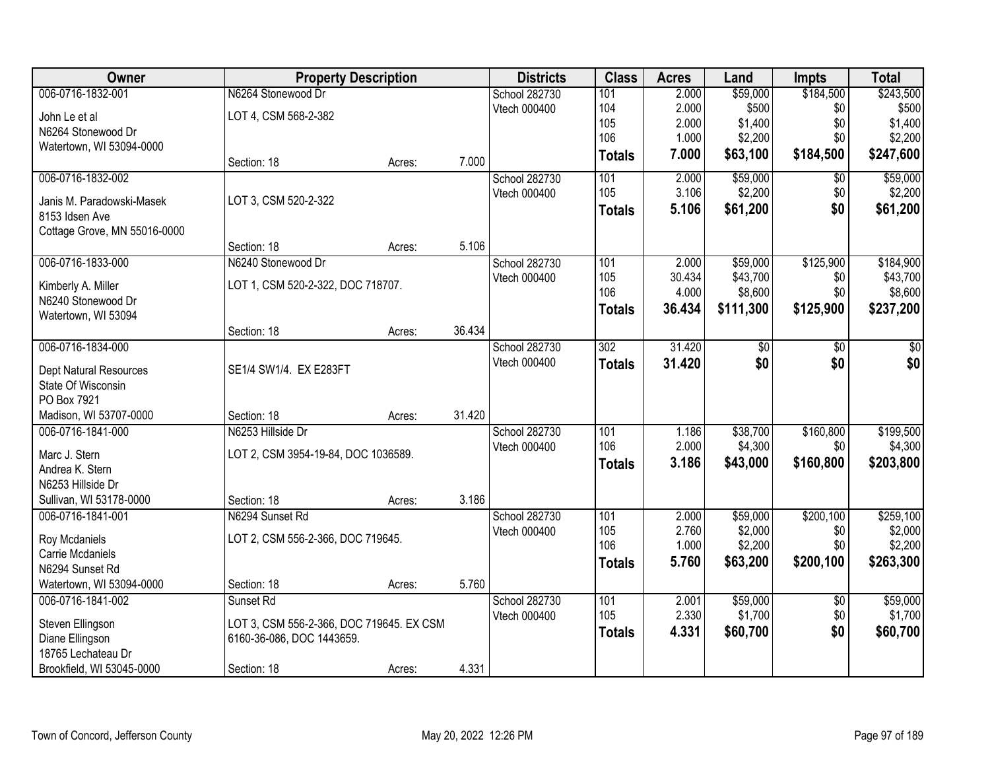| Owner                                       | <b>Property Description</b>              |        |        | <b>Districts</b>     | <b>Class</b>     | <b>Acres</b>   | Land      | <b>Impts</b>     | <b>Total</b> |
|---------------------------------------------|------------------------------------------|--------|--------|----------------------|------------------|----------------|-----------|------------------|--------------|
| 006-0716-1832-001                           | N6264 Stonewood Dr                       |        |        | <b>School 282730</b> | 101              | 2.000          | \$59,000  | \$184,500        | \$243,500    |
| John Le et al                               | LOT 4, CSM 568-2-382                     |        |        | Vtech 000400         | 104              | 2.000          | \$500     | \$0              | \$500        |
| N6264 Stonewood Dr                          |                                          |        |        |                      | 105              | 2.000          | \$1,400   | \$0              | \$1,400      |
| Watertown, WI 53094-0000                    |                                          |        |        |                      | 106              | 1.000          | \$2,200   | \$0              | \$2,200      |
|                                             | Section: 18                              | Acres: | 7.000  |                      | <b>Totals</b>    | 7.000          | \$63,100  | \$184,500        | \$247,600    |
| 006-0716-1832-002                           |                                          |        |        | School 282730        | 101              | 2.000          | \$59,000  | \$0              | \$59,000     |
| Janis M. Paradowski-Masek                   | LOT 3, CSM 520-2-322                     |        |        | Vtech 000400         | 105              | 3.106          | \$2,200   | \$0              | \$2,200      |
| 8153 Idsen Ave                              |                                          |        |        |                      | <b>Totals</b>    | 5.106          | \$61,200  | \$0              | \$61,200     |
| Cottage Grove, MN 55016-0000                |                                          |        |        |                      |                  |                |           |                  |              |
|                                             | Section: 18                              | Acres: | 5.106  |                      |                  |                |           |                  |              |
| 006-0716-1833-000                           | N6240 Stonewood Dr                       |        |        | School 282730        | 101              | 2.000          | \$59,000  | \$125,900        | \$184,900    |
|                                             | LOT 1, CSM 520-2-322, DOC 718707.        |        |        | Vtech 000400         | 105              | 30.434         | \$43,700  | \$0              | \$43,700     |
| Kimberly A. Miller<br>N6240 Stonewood Dr    |                                          |        |        |                      | 106              | 4.000          | \$8,600   | \$0              | \$8,600      |
| Watertown, WI 53094                         |                                          |        |        |                      | <b>Totals</b>    | 36.434         | \$111,300 | \$125,900        | \$237,200    |
|                                             | Section: 18                              | Acres: | 36.434 |                      |                  |                |           |                  |              |
| 006-0716-1834-000                           |                                          |        |        | <b>School 282730</b> | $\overline{302}$ | 31.420         | \$0       | \$0              | \$0          |
|                                             |                                          |        |        | Vtech 000400         | <b>Totals</b>    | 31.420         | \$0       | \$0              | \$0          |
| <b>Dept Natural Resources</b>               | SE1/4 SW1/4. EX E283FT                   |        |        |                      |                  |                |           |                  |              |
| State Of Wisconsin                          |                                          |        |        |                      |                  |                |           |                  |              |
| PO Box 7921                                 |                                          |        | 31.420 |                      |                  |                |           |                  |              |
| Madison, WI 53707-0000<br>006-0716-1841-000 | Section: 18<br>N6253 Hillside Dr         | Acres: |        |                      |                  |                | \$38,700  |                  | \$199,500    |
|                                             |                                          |        |        | School 282730        | 101<br>106       | 1.186<br>2.000 | \$4,300   | \$160,800<br>\$0 | \$4,300      |
| Marc J. Stern                               | LOT 2, CSM 3954-19-84, DOC 1036589.      |        |        | Vtech 000400         |                  | 3.186          |           | \$160,800        |              |
| Andrea K. Stern                             |                                          |        |        |                      | <b>Totals</b>    |                | \$43,000  |                  | \$203,800    |
| N6253 Hillside Dr                           |                                          |        |        |                      |                  |                |           |                  |              |
| Sullivan, WI 53178-0000                     | Section: 18                              | Acres: | 3.186  |                      |                  |                |           |                  |              |
| 006-0716-1841-001                           | N6294 Sunset Rd                          |        |        | School 282730        | $\overline{101}$ | 2.000          | \$59,000  | \$200,100        | \$259,100    |
| Roy Mcdaniels                               | LOT 2, CSM 556-2-366, DOC 719645.        |        |        | Vtech 000400         | 105              | 2.760          | \$2,000   | \$0              | \$2,000      |
| Carrie Mcdaniels                            |                                          |        |        |                      | 106              | 1.000          | \$2,200   | \$0              | \$2,200      |
| N6294 Sunset Rd                             |                                          |        |        |                      | <b>Totals</b>    | 5.760          | \$63,200  | \$200,100        | \$263,300    |
| Watertown, WI 53094-0000                    | Section: 18                              | Acres: | 5.760  |                      |                  |                |           |                  |              |
| 006-0716-1841-002                           | Sunset Rd                                |        |        | School 282730        | 101              | 2.001          | \$59,000  | $\overline{50}$  | \$59,000     |
| Steven Ellingson                            | LOT 3, CSM 556-2-366, DOC 719645. EX CSM |        |        | Vtech 000400         | 105              | 2.330          | \$1,700   | \$0              | \$1,700      |
| Diane Ellingson                             | 6160-36-086, DOC 1443659.                |        |        |                      | <b>Totals</b>    | 4.331          | \$60,700  | \$0              | \$60,700     |
| 18765 Lechateau Dr                          |                                          |        |        |                      |                  |                |           |                  |              |
| Brookfield, WI 53045-0000                   | Section: 18                              | Acres: | 4.331  |                      |                  |                |           |                  |              |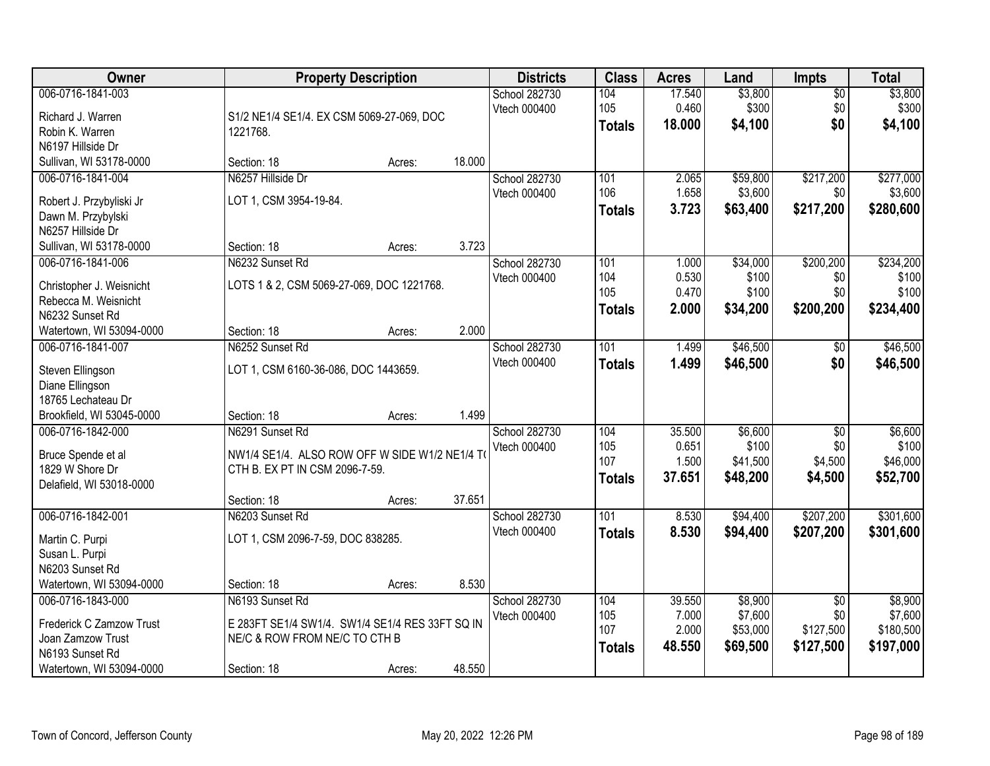| Owner                                         |                                                                                  | <b>Property Description</b> |        | <b>Districts</b> | <b>Class</b>  | <b>Acres</b> | Land     | <b>Impts</b>    | <b>Total</b> |
|-----------------------------------------------|----------------------------------------------------------------------------------|-----------------------------|--------|------------------|---------------|--------------|----------|-----------------|--------------|
| 006-0716-1841-003                             |                                                                                  |                             |        | School 282730    | 104           | 17.540       | \$3,800  | $\sqrt{$0}$     | \$3,800      |
| Richard J. Warren                             | S1/2 NE1/4 SE1/4. EX CSM 5069-27-069, DOC                                        |                             |        | Vtech 000400     | 105           | 0.460        | \$300    | \$0             | \$300        |
| Robin K. Warren                               | 1221768.                                                                         |                             |        |                  | <b>Totals</b> | 18.000       | \$4,100  | \$0             | \$4,100      |
| N6197 Hillside Dr                             |                                                                                  |                             |        |                  |               |              |          |                 |              |
| Sullivan, WI 53178-0000                       | Section: 18                                                                      | Acres:                      | 18.000 |                  |               |              |          |                 |              |
| 006-0716-1841-004                             | N6257 Hillside Dr                                                                |                             |        | School 282730    | 101           | 2.065        | \$59,800 | \$217,200       | \$277,000    |
| Robert J. Przybyliski Jr                      | LOT 1, CSM 3954-19-84.                                                           |                             |        | Vtech 000400     | 106           | 1.658        | \$3,600  | \$0             | \$3,600      |
| Dawn M. Przybylski                            |                                                                                  |                             |        |                  | <b>Totals</b> | 3.723        | \$63,400 | \$217,200       | \$280,600    |
| N6257 Hillside Dr                             |                                                                                  |                             |        |                  |               |              |          |                 |              |
| Sullivan, WI 53178-0000                       | Section: 18                                                                      | Acres:                      | 3.723  |                  |               |              |          |                 |              |
| 006-0716-1841-006                             | N6232 Sunset Rd                                                                  |                             |        | School 282730    | 101           | 1.000        | \$34,000 | \$200,200       | \$234,200    |
| Christopher J. Weisnicht                      | LOTS 1 & 2, CSM 5069-27-069, DOC 1221768.                                        |                             |        | Vtech 000400     | 104           | 0.530        | \$100    | \$0             | \$100        |
| Rebecca M. Weisnicht                          |                                                                                  |                             |        |                  | 105           | 0.470        | \$100    | \$0             | \$100        |
| N6232 Sunset Rd                               |                                                                                  |                             |        |                  | <b>Totals</b> | 2.000        | \$34,200 | \$200,200       | \$234,400    |
| Watertown, WI 53094-0000                      | Section: 18                                                                      | Acres:                      | 2.000  |                  |               |              |          |                 |              |
| 006-0716-1841-007                             | N6252 Sunset Rd                                                                  |                             |        | School 282730    | 101           | 1.499        | \$46,500 | $\sqrt[6]{3}$   | \$46,500     |
| Steven Ellingson                              | LOT 1, CSM 6160-36-086, DOC 1443659.                                             |                             |        | Vtech 000400     | <b>Totals</b> | 1.499        | \$46,500 | \$0             | \$46,500     |
| Diane Ellingson                               |                                                                                  |                             |        |                  |               |              |          |                 |              |
| 18765 Lechateau Dr                            |                                                                                  |                             |        |                  |               |              |          |                 |              |
| Brookfield, WI 53045-0000                     | Section: 18                                                                      | Acres:                      | 1.499  |                  |               |              |          |                 |              |
| 006-0716-1842-000                             | N6291 Sunset Rd                                                                  |                             |        | School 282730    | 104           | 35.500       | \$6,600  | \$0             | \$6,600      |
|                                               |                                                                                  |                             |        | Vtech 000400     | 105           | 0.651        | \$100    | \$0             | \$100        |
| Bruce Spende et al<br>1829 W Shore Dr         | NW1/4 SE1/4. ALSO ROW OFF W SIDE W1/2 NE1/4 TO<br>CTH B. EX PT IN CSM 2096-7-59. |                             |        |                  | 107           | 1.500        | \$41,500 | \$4,500         | \$46,000     |
| Delafield, WI 53018-0000                      |                                                                                  |                             |        |                  | <b>Totals</b> | 37.651       | \$48,200 | \$4,500         | \$52,700     |
|                                               | Section: 18                                                                      | Acres:                      | 37.651 |                  |               |              |          |                 |              |
| 006-0716-1842-001                             | N6203 Sunset Rd                                                                  |                             |        | School 282730    | 101           | 8.530        | \$94,400 | \$207,200       | \$301,600    |
| Martin C. Purpi                               | LOT 1, CSM 2096-7-59, DOC 838285.                                                |                             |        | Vtech 000400     | <b>Totals</b> | 8.530        | \$94,400 | \$207,200       | \$301,600    |
| Susan L. Purpi                                |                                                                                  |                             |        |                  |               |              |          |                 |              |
| N6203 Sunset Rd                               |                                                                                  |                             |        |                  |               |              |          |                 |              |
| Watertown, WI 53094-0000                      | Section: 18                                                                      | Acres:                      | 8.530  |                  |               |              |          |                 |              |
| 006-0716-1843-000                             | N6193 Sunset Rd                                                                  |                             |        | School 282730    | 104           | 39.550       | \$8,900  | $\overline{60}$ | \$8,900      |
|                                               |                                                                                  |                             |        | Vtech 000400     | 105           | 7.000        | \$7,600  | \$0             | \$7,600      |
| Frederick C Zamzow Trust<br>Joan Zamzow Trust | E 283FT SE1/4 SW1/4. SW1/4 SE1/4 RES 33FT SQ IN<br>NE/C & ROW FROM NE/C TO CTH B |                             |        |                  | 107           | 2.000        | \$53,000 | \$127,500       | \$180,500    |
| N6193 Sunset Rd                               |                                                                                  |                             |        |                  | <b>Totals</b> | 48.550       | \$69,500 | \$127,500       | \$197,000    |
| Watertown, WI 53094-0000                      | Section: 18                                                                      | Acres:                      | 48.550 |                  |               |              |          |                 |              |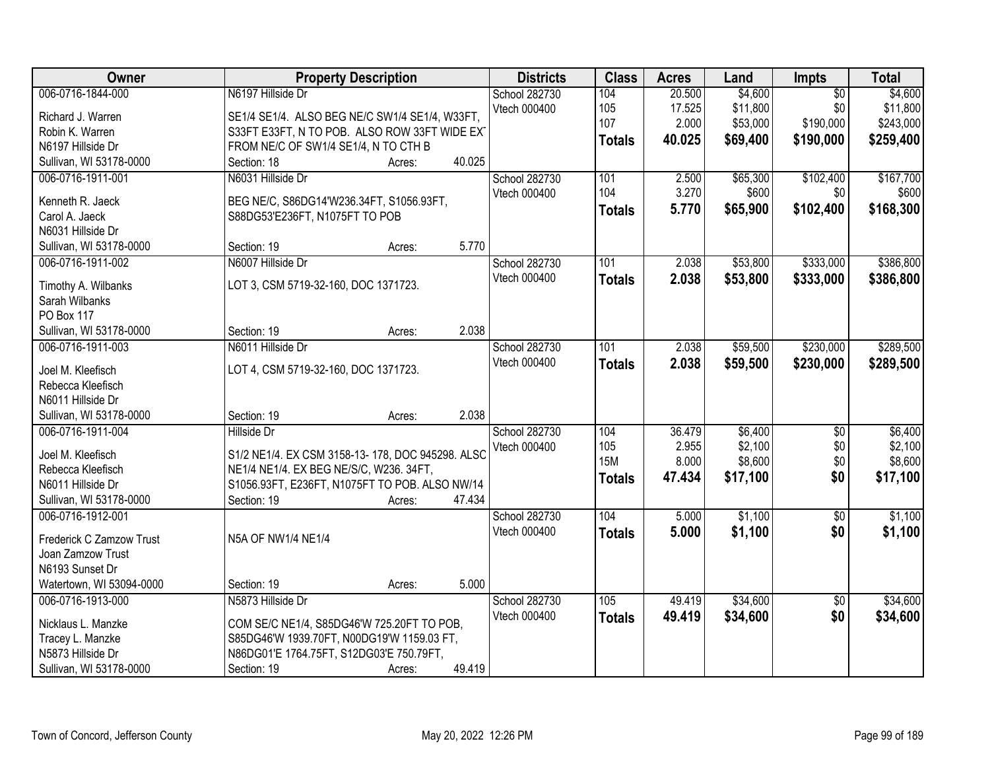| Owner                                  | <b>Property Description</b>                      | <b>Districts</b>     | <b>Class</b>  | <b>Acres</b> | Land     | Impts           | <b>Total</b> |
|----------------------------------------|--------------------------------------------------|----------------------|---------------|--------------|----------|-----------------|--------------|
| 006-0716-1844-000                      | N6197 Hillside Dr                                | School 282730        | 104           | 20.500       | \$4,600  | $\overline{30}$ | \$4,600      |
| Richard J. Warren                      | SE1/4 SE1/4. ALSO BEG NE/C SW1/4 SE1/4, W33FT,   | Vtech 000400         | 105           | 17.525       | \$11,800 | \$0             | \$11,800     |
| Robin K. Warren                        | S33FT E33FT, N TO POB. ALSO ROW 33FT WIDE EXT    |                      | 107           | 2.000        | \$53,000 | \$190,000       | \$243,000    |
| N6197 Hillside Dr                      | FROM NE/C OF SW1/4 SE1/4, N TO CTH B             |                      | <b>Totals</b> | 40.025       | \$69,400 | \$190,000       | \$259,400    |
| Sullivan, WI 53178-0000                | 40.025<br>Section: 18<br>Acres:                  |                      |               |              |          |                 |              |
| 006-0716-1911-001                      | N6031 Hillside Dr                                | <b>School 282730</b> | 101           | 2.500        | \$65,300 | \$102,400       | \$167,700    |
|                                        |                                                  | Vtech 000400         | 104           | 3.270        | \$600    | \$0             | \$600        |
| Kenneth R. Jaeck                       | BEG NE/C, S86DG14'W236.34FT, S1056.93FT,         |                      | <b>Totals</b> | 5.770        | \$65,900 | \$102,400       | \$168,300    |
| Carol A. Jaeck                         | S88DG53'E236FT, N1075FT TO POB                   |                      |               |              |          |                 |              |
| N6031 Hillside Dr                      |                                                  |                      |               |              |          |                 |              |
| Sullivan, WI 53178-0000                | 5.770<br>Section: 19<br>Acres:                   |                      |               |              |          |                 |              |
| 006-0716-1911-002                      | N6007 Hillside Dr                                | School 282730        | 101           | 2.038        | \$53,800 | \$333,000       | \$386,800    |
| Timothy A. Wilbanks                    | LOT 3, CSM 5719-32-160, DOC 1371723.             | Vtech 000400         | <b>Totals</b> | 2.038        | \$53,800 | \$333,000       | \$386,800    |
| Sarah Wilbanks                         |                                                  |                      |               |              |          |                 |              |
| PO Box 117                             |                                                  |                      |               |              |          |                 |              |
| Sullivan, WI 53178-0000                | 2.038<br>Section: 19<br>Acres:                   |                      |               |              |          |                 |              |
| 006-0716-1911-003                      | N6011 Hillside Dr                                | School 282730        | 101           | 2.038        | \$59,500 | \$230,000       | \$289,500    |
|                                        |                                                  | Vtech 000400         | <b>Totals</b> | 2.038        | \$59,500 | \$230,000       | \$289,500    |
| Joel M. Kleefisch                      | LOT 4, CSM 5719-32-160, DOC 1371723.             |                      |               |              |          |                 |              |
| Rebecca Kleefisch<br>N6011 Hillside Dr |                                                  |                      |               |              |          |                 |              |
| Sullivan, WI 53178-0000                | 2.038<br>Section: 19<br>Acres:                   |                      |               |              |          |                 |              |
| 006-0716-1911-004                      | Hillside Dr                                      | School 282730        | 104           | 36.479       | \$6,400  | $\overline{30}$ | \$6,400      |
|                                        |                                                  | Vtech 000400         | 105           | 2.955        | \$2,100  | \$0             | \$2,100      |
| Joel M. Kleefisch                      | S1/2 NE1/4. EX CSM 3158-13-178, DOC 945298. ALSC |                      | <b>15M</b>    | 8.000        | \$8,600  | \$0             | \$8,600      |
| Rebecca Kleefisch                      | NE1/4 NE1/4. EX BEG NE/S/C, W236. 34FT,          |                      |               | 47.434       | \$17,100 | \$0             | \$17,100     |
| N6011 Hillside Dr                      | S1056.93FT, E236FT, N1075FT TO POB. ALSO NW/14   |                      | <b>Totals</b> |              |          |                 |              |
| Sullivan, WI 53178-0000                | Section: 19<br>47.434<br>Acres:                  |                      |               |              |          |                 |              |
| 006-0716-1912-001                      |                                                  | School 282730        | 104           | 5.000        | \$1,100  | $\sqrt{6}$      | \$1,100      |
| Frederick C Zamzow Trust               | N5A OF NW1/4 NE1/4                               | Vtech 000400         | <b>Totals</b> | 5.000        | \$1,100  | \$0             | \$1,100      |
| Joan Zamzow Trust                      |                                                  |                      |               |              |          |                 |              |
| N6193 Sunset Dr                        |                                                  |                      |               |              |          |                 |              |
| Watertown, WI 53094-0000               | 5.000<br>Section: 19<br>Acres:                   |                      |               |              |          |                 |              |
| 006-0716-1913-000                      | N5873 Hillside Dr                                | School 282730        | 105           | 49.419       | \$34,600 | $\overline{50}$ | \$34,600     |
|                                        |                                                  | Vtech 000400         | <b>Totals</b> | 49.419       | \$34,600 | \$0             | \$34,600     |
| Nicklaus L. Manzke                     | COM SE/C NE1/4, S85DG46'W 725.20FT TO POB,       |                      |               |              |          |                 |              |
| Tracey L. Manzke                       | S85DG46'W 1939.70FT, N00DG19'W 1159.03 FT,       |                      |               |              |          |                 |              |
| N5873 Hillside Dr                      | N86DG01'E 1764.75FT, S12DG03'E 750.79FT,         |                      |               |              |          |                 |              |
| Sullivan, WI 53178-0000                | 49.419<br>Section: 19<br>Acres:                  |                      |               |              |          |                 |              |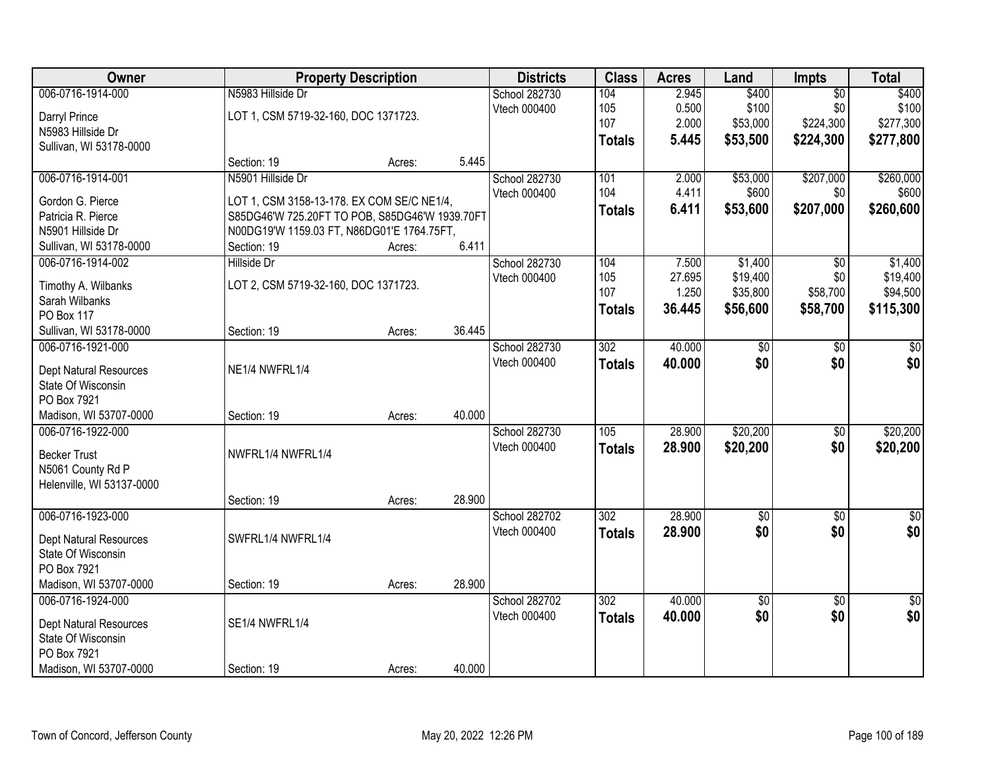| 006-0716-1914-000<br>N5983 Hillside Dr<br>2.945<br>\$400<br>School 282730<br>104<br>$\overline{50}$<br>0.500<br>\$100<br>\$0<br>Vtech 000400<br>105<br>LOT 1, CSM 5719-32-160, DOC 1371723.<br>Darryl Prince | \$400           |
|--------------------------------------------------------------------------------------------------------------------------------------------------------------------------------------------------------------|-----------------|
|                                                                                                                                                                                                              |                 |
|                                                                                                                                                                                                              | \$100           |
| 107<br>\$53,000<br>\$224,300<br>2.000<br>N5983 Hillside Dr                                                                                                                                                   | \$277,300       |
| \$53,500<br>\$224,300<br>5.445<br><b>Totals</b><br>Sullivan, WI 53178-0000                                                                                                                                   | \$277,800       |
| 5.445<br>Section: 19<br>Acres:                                                                                                                                                                               |                 |
| 006-0716-1914-001<br>N5901 Hillside Dr<br>School 282730<br>101<br>2.000<br>\$53,000<br>\$207,000                                                                                                             | \$260,000       |
| 104<br>\$600<br>Vtech 000400<br>4.411<br>\$0<br>Gordon G. Pierce<br>LOT 1, CSM 3158-13-178. EX COM SE/C NE1/4,                                                                                               | \$600           |
| 6.411<br>\$207,000<br>\$53,600<br><b>Totals</b><br>Patricia R. Pierce<br>S85DG46'W 725.20FT TO POB, S85DG46'W 1939.70FT                                                                                      | \$260,600       |
| N5901 Hillside Dr<br>N00DG19'W 1159.03 FT, N86DG01'E 1764.75FT,                                                                                                                                              |                 |
| 6.411<br>Sullivan, WI 53178-0000<br>Section: 19<br>Acres:                                                                                                                                                    |                 |
| 006-0716-1914-002<br>School 282730<br>104<br>7.500<br>\$1,400<br>Hillside Dr<br>\$0                                                                                                                          | \$1,400         |
| 105<br>27.695<br>\$19,400<br>\$0<br>Vtech 000400                                                                                                                                                             | \$19,400        |
| LOT 2, CSM 5719-32-160, DOC 1371723.<br>Timothy A. Wilbanks<br>107<br>\$35,800<br>\$58,700<br>1.250                                                                                                          | \$94,500        |
| Sarah Wilbanks<br>36.445<br>\$56,600<br>\$58,700<br><b>Totals</b><br><b>PO Box 117</b>                                                                                                                       | \$115,300       |
| 36.445<br>Sullivan, WI 53178-0000<br>Section: 19<br>Acres:                                                                                                                                                   |                 |
| 302<br>40.000<br>006-0716-1921-000<br>School 282730<br>\$0<br>$\frac{1}{6}$                                                                                                                                  | \$0             |
| Vtech 000400<br>\$0<br>\$0<br>40.000<br><b>Totals</b>                                                                                                                                                        | \$0             |
| NE1/4 NWFRL1/4<br>Dept Natural Resources                                                                                                                                                                     |                 |
| State Of Wisconsin                                                                                                                                                                                           |                 |
| PO Box 7921                                                                                                                                                                                                  |                 |
| Madison, WI 53707-0000<br>40.000<br>Section: 19<br>Acres:                                                                                                                                                    |                 |
| 28.900<br>\$20,200<br>006-0716-1922-000<br>105<br>$\overline{50}$<br>School 282730                                                                                                                           | \$20,200        |
| Vtech 000400<br>28.900<br>\$20,200<br>\$0<br><b>Totals</b><br>NWFRL1/4 NWFRL1/4<br><b>Becker Trust</b>                                                                                                       | \$20,200        |
| N5061 County Rd P                                                                                                                                                                                            |                 |
| Helenville, WI 53137-0000                                                                                                                                                                                    |                 |
| 28.900<br>Section: 19<br>Acres:                                                                                                                                                                              |                 |
| 006-0716-1923-000<br>302<br>28.900<br>School 282702<br>$\sqrt{6}$<br>$\sqrt{6}$                                                                                                                              | $\sqrt{30}$     |
| \$0<br>\$0<br>Vtech 000400<br>28.900<br><b>Totals</b><br>SWFRL1/4 NWFRL1/4<br>Dept Natural Resources                                                                                                         | \$0             |
| State Of Wisconsin                                                                                                                                                                                           |                 |
| PO Box 7921                                                                                                                                                                                                  |                 |
| Madison, WI 53707-0000<br>28.900<br>Section: 19<br>Acres:                                                                                                                                                    |                 |
| 006-0716-1924-000<br>40.000<br>School 282702<br>302<br>$\sqrt{6}$<br>$\overline{30}$                                                                                                                         | $\overline{50}$ |
| \$0<br>\$0<br>40.000<br>Vtech 000400<br><b>Totals</b><br>SE1/4 NWFRL1/4<br><b>Dept Natural Resources</b>                                                                                                     | \$0             |
| State Of Wisconsin                                                                                                                                                                                           |                 |
| PO Box 7921                                                                                                                                                                                                  |                 |
| 40.000<br>Madison, WI 53707-0000<br>Section: 19<br>Acres:                                                                                                                                                    |                 |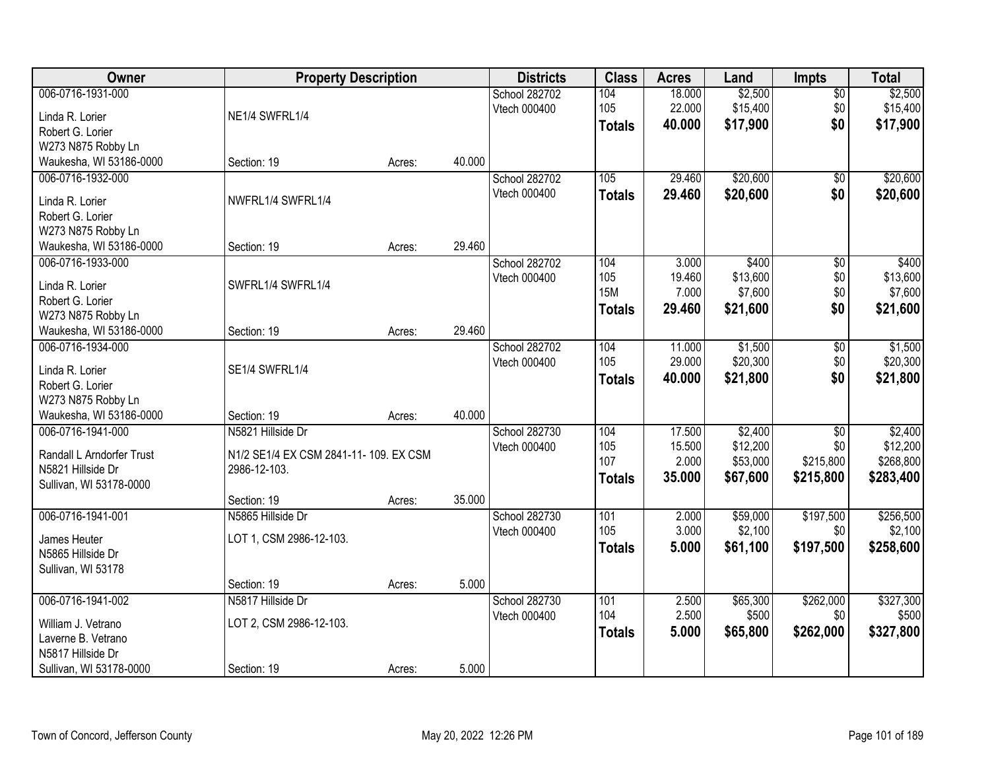| Owner                     | <b>Property Description</b>            |        |        | <b>Districts</b>     | <b>Class</b>  | <b>Acres</b> | Land     | <b>Impts</b>    | <b>Total</b> |
|---------------------------|----------------------------------------|--------|--------|----------------------|---------------|--------------|----------|-----------------|--------------|
| 006-0716-1931-000         |                                        |        |        | <b>School 282702</b> | 104           | 18.000       | \$2,500  | $\overline{50}$ | \$2,500      |
| Linda R. Lorier           | NE1/4 SWFRL1/4                         |        |        | Vtech 000400         | 105           | 22.000       | \$15,400 | \$0             | \$15,400     |
| Robert G. Lorier          |                                        |        |        |                      | <b>Totals</b> | 40.000       | \$17,900 | \$0             | \$17,900     |
| W273 N875 Robby Ln        |                                        |        |        |                      |               |              |          |                 |              |
| Waukesha, WI 53186-0000   | Section: 19                            | Acres: | 40.000 |                      |               |              |          |                 |              |
| 006-0716-1932-000         |                                        |        |        | School 282702        | 105           | 29.460       | \$20,600 | \$0             | \$20,600     |
| Linda R. Lorier           | NWFRL1/4 SWFRL1/4                      |        |        | Vtech 000400         | <b>Totals</b> | 29.460       | \$20,600 | \$0             | \$20,600     |
| Robert G. Lorier          |                                        |        |        |                      |               |              |          |                 |              |
| W273 N875 Robby Ln        |                                        |        |        |                      |               |              |          |                 |              |
| Waukesha, WI 53186-0000   | Section: 19                            | Acres: | 29.460 |                      |               |              |          |                 |              |
| 006-0716-1933-000         |                                        |        |        | School 282702        | 104           | 3.000        | \$400    | $\overline{50}$ | \$400        |
|                           |                                        |        |        | Vtech 000400         | 105           | 19.460       | \$13,600 | \$0             | \$13,600     |
| Linda R. Lorier           | SWFRL1/4 SWFRL1/4                      |        |        |                      | <b>15M</b>    | 7.000        | \$7,600  | \$0             | \$7,600      |
| Robert G. Lorier          |                                        |        |        |                      | <b>Totals</b> | 29.460       | \$21,600 | \$0             | \$21,600     |
| W273 N875 Robby Ln        |                                        |        |        |                      |               |              |          |                 |              |
| Waukesha, WI 53186-0000   | Section: 19                            | Acres: | 29.460 |                      |               |              |          |                 |              |
| 006-0716-1934-000         |                                        |        |        | School 282702        | 104           | 11.000       | \$1,500  | \$0             | \$1,500      |
| Linda R. Lorier           | SE1/4 SWFRL1/4                         |        |        | Vtech 000400         | 105           | 29.000       | \$20,300 | \$0             | \$20,300     |
| Robert G. Lorier          |                                        |        |        |                      | <b>Totals</b> | 40.000       | \$21,800 | \$0             | \$21,800     |
| W273 N875 Robby Ln        |                                        |        |        |                      |               |              |          |                 |              |
| Waukesha, WI 53186-0000   | Section: 19                            | Acres: | 40.000 |                      |               |              |          |                 |              |
| 006-0716-1941-000         | N5821 Hillside Dr                      |        |        | School 282730        | 104           | 17.500       | \$2,400  | $\overline{30}$ | \$2,400      |
| Randall L Arndorfer Trust | N1/2 SE1/4 EX CSM 2841-11- 109. EX CSM |        |        | Vtech 000400         | 105           | 15.500       | \$12,200 | \$0             | \$12,200     |
| N5821 Hillside Dr         | 2986-12-103.                           |        |        |                      | 107           | 2.000        | \$53,000 | \$215,800       | \$268,800    |
| Sullivan, WI 53178-0000   |                                        |        |        |                      | <b>Totals</b> | 35.000       | \$67,600 | \$215,800       | \$283,400    |
|                           | Section: 19                            | Acres: | 35.000 |                      |               |              |          |                 |              |
| 006-0716-1941-001         | N5865 Hillside Dr                      |        |        | School 282730        | 101           | 2.000        | \$59,000 | \$197,500       | \$256,500    |
| James Heuter              | LOT 1, CSM 2986-12-103.                |        |        | Vtech 000400         | 105           | 3.000        | \$2,100  | \$0             | \$2,100      |
| N5865 Hillside Dr         |                                        |        |        |                      | <b>Totals</b> | 5.000        | \$61,100 | \$197,500       | \$258,600    |
| Sullivan, WI 53178        |                                        |        |        |                      |               |              |          |                 |              |
|                           | Section: 19                            | Acres: | 5.000  |                      |               |              |          |                 |              |
| 006-0716-1941-002         | N5817 Hillside Dr                      |        |        | School 282730        | 101           | 2.500        | \$65,300 | \$262,000       | \$327,300    |
|                           |                                        |        |        | Vtech 000400         | 104           | 2.500        | \$500    | \$0             | \$500        |
| William J. Vetrano        | LOT 2, CSM 2986-12-103.                |        |        |                      | <b>Totals</b> | 5.000        | \$65,800 | \$262,000       | \$327,800    |
| Laverne B. Vetrano        |                                        |        |        |                      |               |              |          |                 |              |
| N5817 Hillside Dr         |                                        |        |        |                      |               |              |          |                 |              |
| Sullivan, WI 53178-0000   | Section: 19                            | Acres: | 5.000  |                      |               |              |          |                 |              |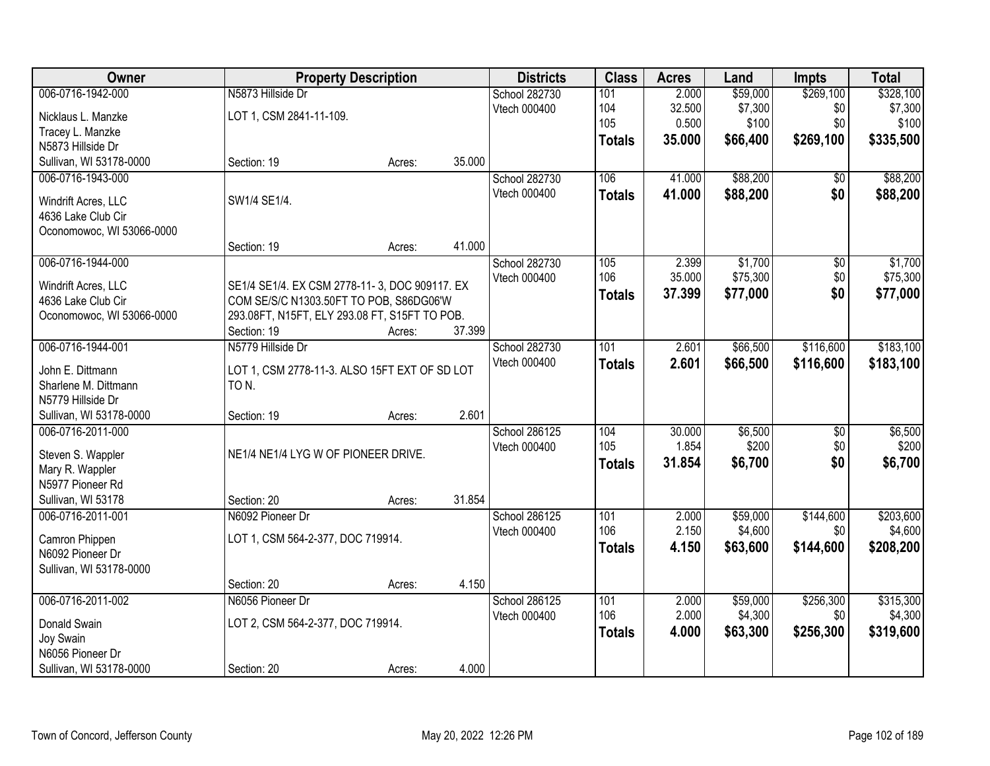| Owner                                        | <b>Property Description</b>                                                              |        |        | <b>Districts</b> | <b>Class</b>  | <b>Acres</b> | Land     | <b>Impts</b>    | <b>Total</b> |
|----------------------------------------------|------------------------------------------------------------------------------------------|--------|--------|------------------|---------------|--------------|----------|-----------------|--------------|
| 006-0716-1942-000                            | N5873 Hillside Dr                                                                        |        |        | School 282730    | 101           | 2.000        | \$59,000 | \$269,100       | \$328,100    |
| Nicklaus L. Manzke                           | LOT 1, CSM 2841-11-109.                                                                  |        |        | Vtech 000400     | 104           | 32.500       | \$7,300  | \$0             | \$7,300      |
| Tracey L. Manzke                             |                                                                                          |        |        |                  | 105           | 0.500        | \$100    | \$0             | \$100        |
| N5873 Hillside Dr                            |                                                                                          |        |        |                  | <b>Totals</b> | 35.000       | \$66,400 | \$269,100       | \$335,500    |
| Sullivan, WI 53178-0000                      | Section: 19                                                                              | Acres: | 35.000 |                  |               |              |          |                 |              |
| 006-0716-1943-000                            |                                                                                          |        |        | School 282730    | 106           | 41.000       | \$88,200 | \$0             | \$88,200     |
| Windrift Acres, LLC                          | SW1/4 SE1/4.                                                                             |        |        | Vtech 000400     | <b>Totals</b> | 41.000       | \$88,200 | \$0             | \$88,200     |
| 4636 Lake Club Cir                           |                                                                                          |        |        |                  |               |              |          |                 |              |
| Oconomowoc, WI 53066-0000                    |                                                                                          |        |        |                  |               |              |          |                 |              |
|                                              | Section: 19                                                                              | Acres: | 41.000 |                  |               |              |          |                 |              |
| 006-0716-1944-000                            |                                                                                          |        |        | School 282730    | 105           | 2.399        | \$1,700  | \$0             | \$1,700      |
|                                              |                                                                                          |        |        | Vtech 000400     | 106           | 35.000       | \$75,300 | \$0             | \$75,300     |
| Windrift Acres, LLC<br>4636 Lake Club Cir    | SE1/4 SE1/4. EX CSM 2778-11-3, DOC 909117. EX<br>COM SE/S/C N1303.50FT TO POB, S86DG06'W |        |        |                  | <b>Totals</b> | 37.399       | \$77,000 | \$0             | \$77,000     |
| Oconomowoc, WI 53066-0000                    | 293.08FT, N15FT, ELY 293.08 FT, S15FT TO POB.                                            |        |        |                  |               |              |          |                 |              |
|                                              | Section: 19                                                                              | Acres: | 37.399 |                  |               |              |          |                 |              |
| 006-0716-1944-001                            | N5779 Hillside Dr                                                                        |        |        | School 282730    | 101           | 2.601        | \$66,500 | \$116,600       | \$183,100    |
|                                              |                                                                                          |        |        | Vtech 000400     | <b>Totals</b> | 2.601        | \$66,500 | \$116,600       | \$183,100    |
| John E. Dittmann                             | LOT 1, CSM 2778-11-3. ALSO 15FT EXT OF SD LOT                                            |        |        |                  |               |              |          |                 |              |
| Sharlene M. Dittmann                         | TO N.                                                                                    |        |        |                  |               |              |          |                 |              |
| N5779 Hillside Dr<br>Sullivan, WI 53178-0000 |                                                                                          |        | 2.601  |                  |               |              |          |                 |              |
| 006-0716-2011-000                            | Section: 19                                                                              | Acres: |        | School 286125    | 104           | 30.000       | \$6,500  | $\overline{50}$ | \$6,500      |
|                                              |                                                                                          |        |        | Vtech 000400     | 105           | 1.854        | \$200    | \$0             | \$200        |
| Steven S. Wappler                            | NE1/4 NE1/4 LYG W OF PIONEER DRIVE.                                                      |        |        |                  | <b>Totals</b> | 31.854       | \$6,700  | \$0             | \$6,700      |
| Mary R. Wappler                              |                                                                                          |        |        |                  |               |              |          |                 |              |
| N5977 Pioneer Rd                             |                                                                                          |        |        |                  |               |              |          |                 |              |
| Sullivan, WI 53178                           | Section: 20                                                                              | Acres: | 31.854 |                  |               |              |          |                 |              |
| 006-0716-2011-001                            | N6092 Pioneer Dr                                                                         |        |        | School 286125    | 101           | 2.000        | \$59,000 | \$144,600       | \$203,600    |
| Camron Phippen                               | LOT 1, CSM 564-2-377, DOC 719914.                                                        |        |        | Vtech 000400     | 106           | 2.150        | \$4,600  | \$0             | \$4,600      |
| N6092 Pioneer Dr                             |                                                                                          |        |        |                  | <b>Totals</b> | 4.150        | \$63,600 | \$144,600       | \$208,200    |
| Sullivan, WI 53178-0000                      |                                                                                          |        |        |                  |               |              |          |                 |              |
|                                              | Section: 20                                                                              | Acres: | 4.150  |                  |               |              |          |                 |              |
| 006-0716-2011-002                            | N6056 Pioneer Dr                                                                         |        |        | School 286125    | 101           | 2.000        | \$59,000 | \$256,300       | \$315,300    |
| Donald Swain                                 | LOT 2, CSM 564-2-377, DOC 719914.                                                        |        |        | Vtech 000400     | 106           | 2.000        | \$4,300  | \$0             | \$4,300      |
| Joy Swain                                    |                                                                                          |        |        |                  | <b>Totals</b> | 4.000        | \$63,300 | \$256,300       | \$319,600    |
| N6056 Pioneer Dr                             |                                                                                          |        |        |                  |               |              |          |                 |              |
| Sullivan, WI 53178-0000                      | Section: 20                                                                              | Acres: | 4.000  |                  |               |              |          |                 |              |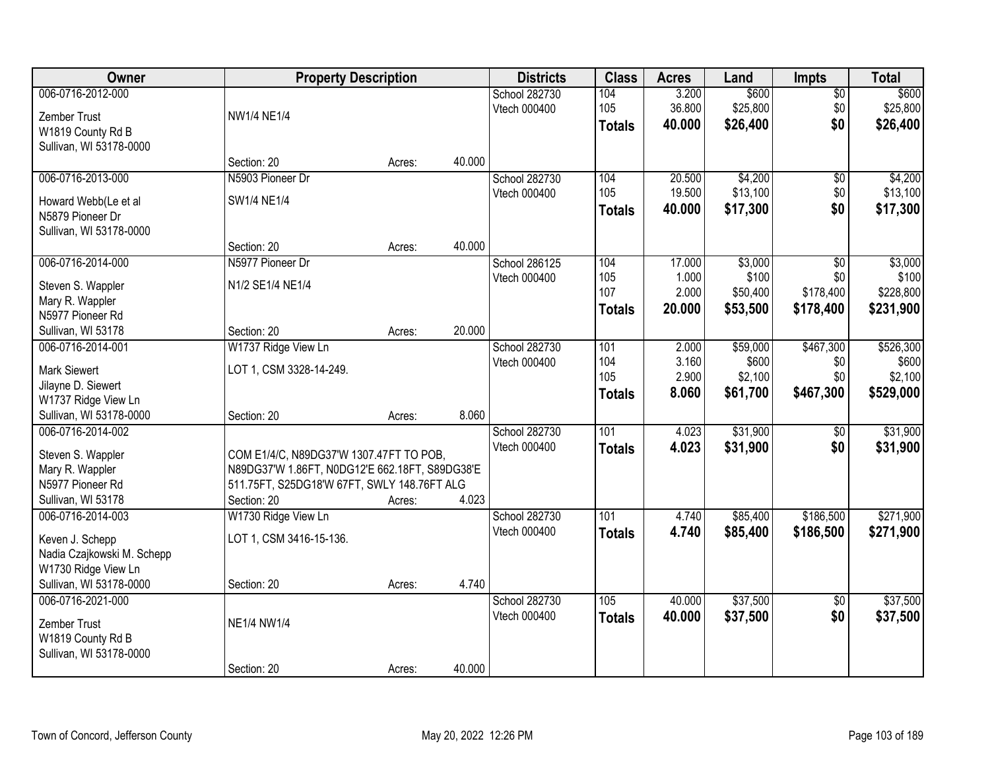| Owner                                    | <b>Property Description</b>                    |        |        | <b>Districts</b>              | <b>Class</b>     | <b>Acres</b>   | Land              | <b>Impts</b>    | <b>Total</b>       |
|------------------------------------------|------------------------------------------------|--------|--------|-------------------------------|------------------|----------------|-------------------|-----------------|--------------------|
| 006-0716-2012-000                        |                                                |        |        | School 282730                 | 104              | 3.200          | \$600             | $\overline{50}$ | \$600              |
| Zember Trust                             | <b>NW1/4 NE1/4</b>                             |        |        | Vtech 000400                  | 105              | 36.800         | \$25,800          | \$0             | \$25,800           |
| W1819 County Rd B                        |                                                |        |        |                               | <b>Totals</b>    | 40.000         | \$26,400          | \$0             | \$26,400           |
| Sullivan, WI 53178-0000                  |                                                |        |        |                               |                  |                |                   |                 |                    |
|                                          | Section: 20                                    | Acres: | 40.000 |                               |                  |                |                   |                 |                    |
| 006-0716-2013-000                        | N5903 Pioneer Dr                               |        |        | School 282730                 | 104              | 20.500         | \$4,200           | \$0             | \$4,200            |
|                                          | SW1/4 NE1/4                                    |        |        | Vtech 000400                  | 105              | 19.500         | \$13,100          | \$0             | \$13,100           |
| Howard Webb(Le et al<br>N5879 Pioneer Dr |                                                |        |        |                               | <b>Totals</b>    | 40.000         | \$17,300          | \$0             | \$17,300           |
| Sullivan, WI 53178-0000                  |                                                |        |        |                               |                  |                |                   |                 |                    |
|                                          | Section: 20                                    | Acres: | 40.000 |                               |                  |                |                   |                 |                    |
| 006-0716-2014-000                        | N5977 Pioneer Dr                               |        |        | School 286125                 | 104              | 17.000         | \$3,000           | \$0             | \$3,000            |
|                                          |                                                |        |        | Vtech 000400                  | 105              | 1.000          | \$100             | \$0             | \$100              |
| Steven S. Wappler                        | N1/2 SE1/4 NE1/4                               |        |        |                               | 107              | 2.000          | \$50,400          | \$178,400       | \$228,800          |
| Mary R. Wappler                          |                                                |        |        |                               | <b>Totals</b>    | 20,000         | \$53,500          | \$178,400       | \$231,900          |
| N5977 Pioneer Rd                         |                                                |        | 20.000 |                               |                  |                |                   |                 |                    |
| Sullivan, WI 53178                       | Section: 20                                    | Acres: |        |                               |                  |                |                   |                 |                    |
| 006-0716-2014-001                        | W1737 Ridge View Ln                            |        |        | School 282730<br>Vtech 000400 | 101<br>104       | 2.000<br>3.160 | \$59,000<br>\$600 | \$467,300       | \$526,300<br>\$600 |
| <b>Mark Siewert</b>                      | LOT 1, CSM 3328-14-249.                        |        |        |                               | 105              | 2.900          | \$2,100           | \$0<br>\$0      | \$2,100            |
| Jilayne D. Siewert                       |                                                |        |        |                               |                  | 8.060          |                   | \$467,300       |                    |
| W1737 Ridge View Ln                      |                                                |        |        |                               | <b>Totals</b>    |                | \$61,700          |                 | \$529,000          |
| Sullivan, WI 53178-0000                  | Section: 20                                    | Acres: | 8.060  |                               |                  |                |                   |                 |                    |
| 006-0716-2014-002                        |                                                |        |        | School 282730                 | $\overline{101}$ | 4.023          | \$31,900          | \$0             | \$31,900           |
| Steven S. Wappler                        | COM E1/4/C, N89DG37'W 1307.47FT TO POB,        |        |        | Vtech 000400                  | <b>Totals</b>    | 4.023          | \$31,900          | \$0             | \$31,900           |
| Mary R. Wappler                          | N89DG37'W 1.86FT, N0DG12'E 662.18FT, S89DG38'E |        |        |                               |                  |                |                   |                 |                    |
| N5977 Pioneer Rd                         | 511.75FT, S25DG18'W 67FT, SWLY 148.76FT ALG    |        |        |                               |                  |                |                   |                 |                    |
| Sullivan, WI 53178                       | Section: 20                                    | Acres: | 4.023  |                               |                  |                |                   |                 |                    |
| 006-0716-2014-003                        | W1730 Ridge View Ln                            |        |        | School 282730                 | $\overline{101}$ | 4.740          | \$85,400          | \$186,500       | \$271,900          |
| Keven J. Schepp                          | LOT 1, CSM 3416-15-136.                        |        |        | Vtech 000400                  | <b>Totals</b>    | 4.740          | \$85,400          | \$186,500       | \$271,900          |
| Nadia Czajkowski M. Schepp               |                                                |        |        |                               |                  |                |                   |                 |                    |
| W1730 Ridge View Ln                      |                                                |        |        |                               |                  |                |                   |                 |                    |
| Sullivan, WI 53178-0000                  | Section: 20                                    | Acres: | 4.740  |                               |                  |                |                   |                 |                    |
| 006-0716-2021-000                        |                                                |        |        | School 282730                 | 105              | 40.000         | \$37,500          | $\overline{50}$ | \$37,500           |
|                                          |                                                |        |        | Vtech 000400                  | <b>Totals</b>    | 40.000         | \$37,500          | \$0             | \$37,500           |
| Zember Trust                             | <b>NE1/4 NW1/4</b>                             |        |        |                               |                  |                |                   |                 |                    |
| W1819 County Rd B                        |                                                |        |        |                               |                  |                |                   |                 |                    |
| Sullivan, WI 53178-0000                  |                                                |        |        |                               |                  |                |                   |                 |                    |
|                                          | Section: 20                                    | Acres: | 40.000 |                               |                  |                |                   |                 |                    |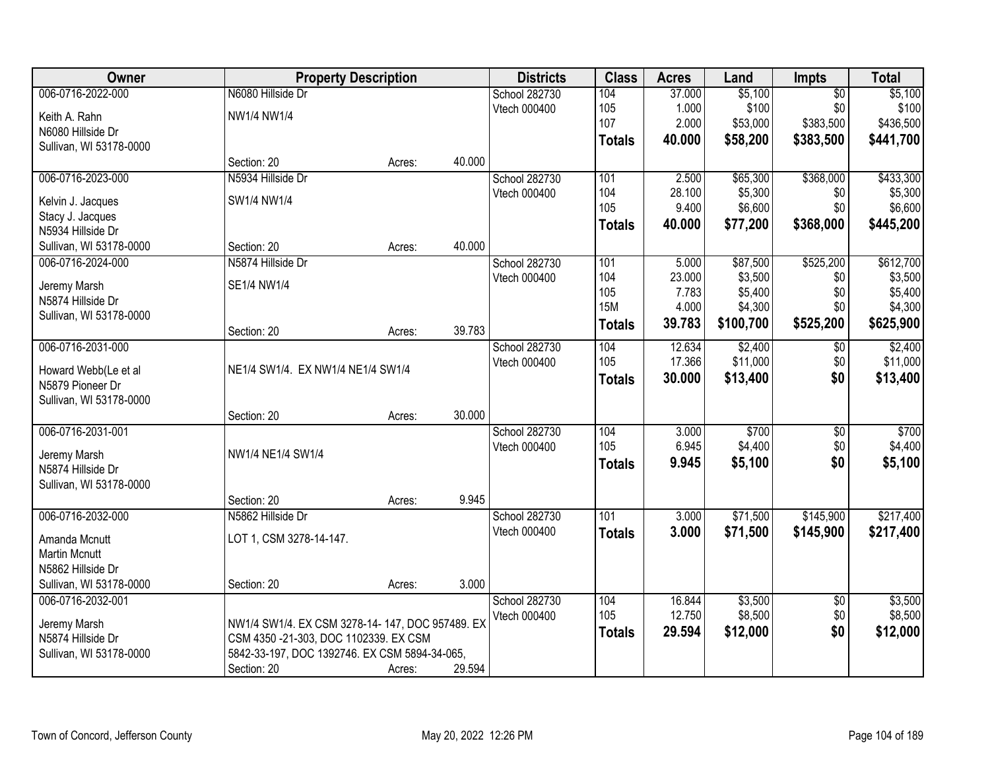| <b>Owner</b>                             | <b>Property Description</b>                     |        |        | <b>Districts</b> | <b>Class</b>     | <b>Acres</b> | Land      | Impts           | <b>Total</b> |
|------------------------------------------|-------------------------------------------------|--------|--------|------------------|------------------|--------------|-----------|-----------------|--------------|
| 006-0716-2022-000                        | N6080 Hillside Dr                               |        |        | School 282730    | 104              | 37.000       | \$5,100   | $\overline{50}$ | \$5,100      |
| Keith A. Rahn                            | NW1/4 NW1/4                                     |        |        | Vtech 000400     | 105              | 1.000        | \$100     | \$0             | \$100        |
| N6080 Hillside Dr                        |                                                 |        |        |                  | 107              | 2.000        | \$53,000  | \$383,500       | \$436,500    |
| Sullivan, WI 53178-0000                  |                                                 |        |        |                  | <b>Totals</b>    | 40.000       | \$58,200  | \$383,500       | \$441,700    |
|                                          | Section: 20                                     | Acres: | 40.000 |                  |                  |              |           |                 |              |
| 006-0716-2023-000                        | N5934 Hillside Dr                               |        |        | School 282730    | 101              | 2.500        | \$65,300  | \$368,000       | \$433,300    |
| Kelvin J. Jacques                        | SW1/4 NW1/4                                     |        |        | Vtech 000400     | 104              | 28.100       | \$5,300   | \$0             | \$5,300      |
| Stacy J. Jacques                         |                                                 |        |        |                  | 105              | 9.400        | \$6,600   | \$0             | \$6,600      |
| N5934 Hillside Dr                        |                                                 |        |        |                  | <b>Totals</b>    | 40.000       | \$77,200  | \$368,000       | \$445,200    |
| Sullivan, WI 53178-0000                  | Section: 20                                     | Acres: | 40.000 |                  |                  |              |           |                 |              |
| 006-0716-2024-000                        | N5874 Hillside Dr                               |        |        | School 282730    | 101              | 5.000        | \$87,500  | \$525,200       | \$612,700    |
| Jeremy Marsh                             | SE1/4 NW1/4                                     |        |        | Vtech 000400     | 104              | 23.000       | \$3,500   | \$0             | \$3,500      |
| N5874 Hillside Dr                        |                                                 |        |        |                  | 105              | 7.783        | \$5,400   | \$0             | \$5,400      |
| Sullivan, WI 53178-0000                  |                                                 |        |        |                  | <b>15M</b>       | 4.000        | \$4,300   | \$0             | \$4,300      |
|                                          | Section: 20                                     | Acres: | 39.783 |                  | <b>Totals</b>    | 39.783       | \$100,700 | \$525,200       | \$625,900    |
| 006-0716-2031-000                        |                                                 |        |        | School 282730    | 104              | 12.634       | \$2,400   | \$0             | \$2,400      |
|                                          |                                                 |        |        | Vtech 000400     | 105              | 17.366       | \$11,000  | \$0             | \$11,000     |
| Howard Webb(Le et al<br>N5879 Pioneer Dr | NE1/4 SW1/4. EX NW1/4 NE1/4 SW1/4               |        |        |                  | <b>Totals</b>    | 30.000       | \$13,400  | \$0             | \$13,400     |
| Sullivan, WI 53178-0000                  |                                                 |        |        |                  |                  |              |           |                 |              |
|                                          | Section: 20                                     | Acres: | 30.000 |                  |                  |              |           |                 |              |
| 006-0716-2031-001                        |                                                 |        |        | School 282730    | 104              | 3.000        | \$700     | $\overline{50}$ | \$700        |
|                                          |                                                 |        |        | Vtech 000400     | 105              | 6.945        | \$4,400   | \$0             | \$4,400      |
| Jeremy Marsh                             | NW1/4 NE1/4 SW1/4                               |        |        |                  | <b>Totals</b>    | 9.945        | \$5,100   | \$0             | \$5,100      |
| N5874 Hillside Dr                        |                                                 |        |        |                  |                  |              |           |                 |              |
| Sullivan, WI 53178-0000                  |                                                 |        | 9.945  |                  |                  |              |           |                 |              |
| 006-0716-2032-000                        | Section: 20<br>N5862 Hillside Dr                | Acres: |        | School 282730    | $\overline{101}$ | 3.000        | \$71,500  | \$145,900       | \$217,400    |
|                                          |                                                 |        |        | Vtech 000400     | <b>Totals</b>    | 3.000        | \$71,500  | \$145,900       | \$217,400    |
| Amanda Mcnutt                            | LOT 1, CSM 3278-14-147.                         |        |        |                  |                  |              |           |                 |              |
| <b>Martin Mcnutt</b>                     |                                                 |        |        |                  |                  |              |           |                 |              |
| N5862 Hillside Dr                        |                                                 |        |        |                  |                  |              |           |                 |              |
| Sullivan, WI 53178-0000                  | Section: 20                                     | Acres: | 3.000  |                  |                  |              |           |                 |              |
| 006-0716-2032-001                        |                                                 |        |        | School 282730    | 104              | 16.844       | \$3,500   | $\overline{50}$ | \$3,500      |
| Jeremy Marsh                             | NW1/4 SW1/4. EX CSM 3278-14-147, DOC 957489. EX |        |        | Vtech 000400     | 105              | 12.750       | \$8,500   | \$0             | \$8,500      |
| N5874 Hillside Dr                        | CSM 4350 -21-303, DOC 1102339. EX CSM           |        |        |                  | <b>Totals</b>    | 29.594       | \$12,000  | \$0             | \$12,000     |
| Sullivan, WI 53178-0000                  | 5842-33-197, DOC 1392746. EX CSM 5894-34-065,   |        |        |                  |                  |              |           |                 |              |
|                                          | Section: 20                                     | Acres: | 29.594 |                  |                  |              |           |                 |              |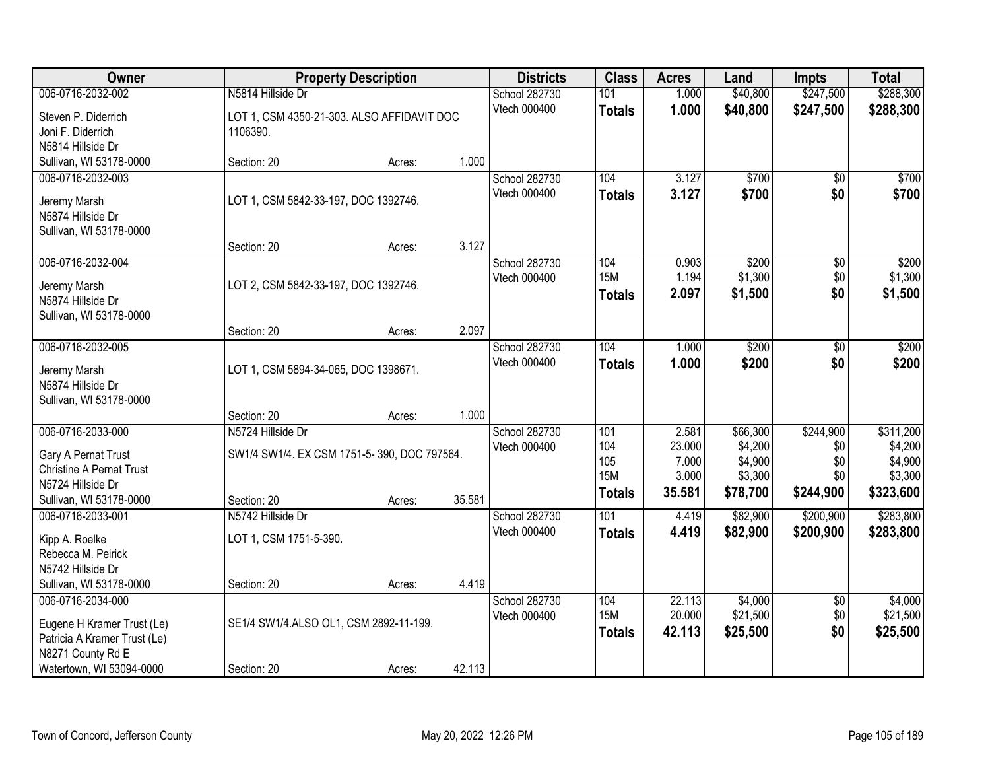| Owner                                                                                                                            |                                                                                 | <b>Property Description</b> |        | <b>Districts</b>              | <b>Class</b>                                     | <b>Acres</b>                                | Land                                                  | <b>Impts</b>                                | <b>Total</b>                                            |
|----------------------------------------------------------------------------------------------------------------------------------|---------------------------------------------------------------------------------|-----------------------------|--------|-------------------------------|--------------------------------------------------|---------------------------------------------|-------------------------------------------------------|---------------------------------------------|---------------------------------------------------------|
| 006-0716-2032-002                                                                                                                | N5814 Hillside Dr                                                               |                             |        | School 282730                 | 101                                              | 1.000                                       | \$40,800                                              | \$247,500                                   | \$288,300                                               |
| Steven P. Diderrich<br>Joni F. Diderrich<br>N5814 Hillside Dr                                                                    | LOT 1, CSM 4350-21-303. ALSO AFFIDAVIT DOC<br>1106390.                          |                             |        | Vtech 000400                  | <b>Totals</b>                                    | 1.000                                       | \$40,800                                              | \$247,500                                   | \$288,300                                               |
| Sullivan, WI 53178-0000                                                                                                          | Section: 20                                                                     | Acres:                      | 1.000  |                               |                                                  |                                             |                                                       |                                             |                                                         |
| 006-0716-2032-003<br>Jeremy Marsh<br>N5874 Hillside Dr<br>Sullivan, WI 53178-0000                                                | LOT 1, CSM 5842-33-197, DOC 1392746.<br>Section: 20                             | Acres:                      | 3.127  | School 282730<br>Vtech 000400 | 104<br><b>Totals</b>                             | 3.127<br>3.127                              | \$700<br>\$700                                        | $\overline{50}$<br>\$0                      | \$700<br>\$700                                          |
| 006-0716-2032-004                                                                                                                |                                                                                 |                             |        | School 282730                 | 104                                              | 0.903                                       | \$200                                                 | \$0                                         | \$200                                                   |
| Jeremy Marsh<br>N5874 Hillside Dr<br>Sullivan, WI 53178-0000                                                                     | LOT 2, CSM 5842-33-197, DOC 1392746.                                            |                             |        | Vtech 000400                  | <b>15M</b><br><b>Totals</b>                      | 1.194<br>2.097                              | \$1,300<br>\$1,500                                    | \$0<br>\$0                                  | \$1,300<br>\$1,500                                      |
|                                                                                                                                  | Section: 20                                                                     | Acres:                      | 2.097  |                               |                                                  |                                             |                                                       |                                             |                                                         |
| 006-0716-2032-005<br>Jeremy Marsh<br>N5874 Hillside Dr<br>Sullivan, WI 53178-0000                                                | LOT 1, CSM 5894-34-065, DOC 1398671.                                            |                             |        | School 282730<br>Vtech 000400 | 104<br><b>Totals</b>                             | 1.000<br>1.000                              | \$200<br>\$200                                        | $\sqrt[6]{3}$<br>\$0                        | \$200<br>\$200                                          |
|                                                                                                                                  | Section: 20                                                                     | Acres:                      | 1.000  |                               |                                                  |                                             |                                                       |                                             |                                                         |
| 006-0716-2033-000<br>Gary A Pernat Trust<br><b>Christine A Pernat Trust</b><br>N5724 Hillside Dr<br>Sullivan, WI 53178-0000      | N5724 Hillside Dr<br>SW1/4 SW1/4. EX CSM 1751-5-390, DOC 797564.<br>Section: 20 | Acres:                      | 35.581 | School 282730<br>Vtech 000400 | 101<br>104<br>105<br><b>15M</b><br><b>Totals</b> | 2.581<br>23.000<br>7.000<br>3.000<br>35.581 | \$66,300<br>\$4,200<br>\$4,900<br>\$3,300<br>\$78,700 | \$244,900<br>\$0<br>\$0<br>\$0<br>\$244,900 | \$311,200<br>\$4,200<br>\$4,900<br>\$3,300<br>\$323,600 |
| 006-0716-2033-001<br>Kipp A. Roelke<br>Rebecca M. Peirick<br>N5742 Hillside Dr<br>Sullivan, WI 53178-0000                        | N5742 Hillside Dr<br>LOT 1, CSM 1751-5-390.<br>Section: 20                      | Acres:                      | 4.419  | School 282730<br>Vtech 000400 | $\overline{101}$<br><b>Totals</b>                | 4.419<br>4.419                              | \$82,900<br>\$82,900                                  | \$200,900<br>\$200,900                      | \$283,800<br>\$283,800                                  |
| 006-0716-2034-000<br>Eugene H Kramer Trust (Le)<br>Patricia A Kramer Trust (Le)<br>N8271 County Rd E<br>Watertown, WI 53094-0000 | SE1/4 SW1/4.ALSO OL1, CSM 2892-11-199.<br>Section: 20                           | Acres:                      | 42.113 | School 282730<br>Vtech 000400 | 104<br><b>15M</b><br><b>Totals</b>               | 22.113<br>20.000<br>42.113                  | \$4,000<br>\$21,500<br>\$25,500                       | $\overline{60}$<br>\$0<br>\$0               | \$4,000<br>\$21,500<br>\$25,500                         |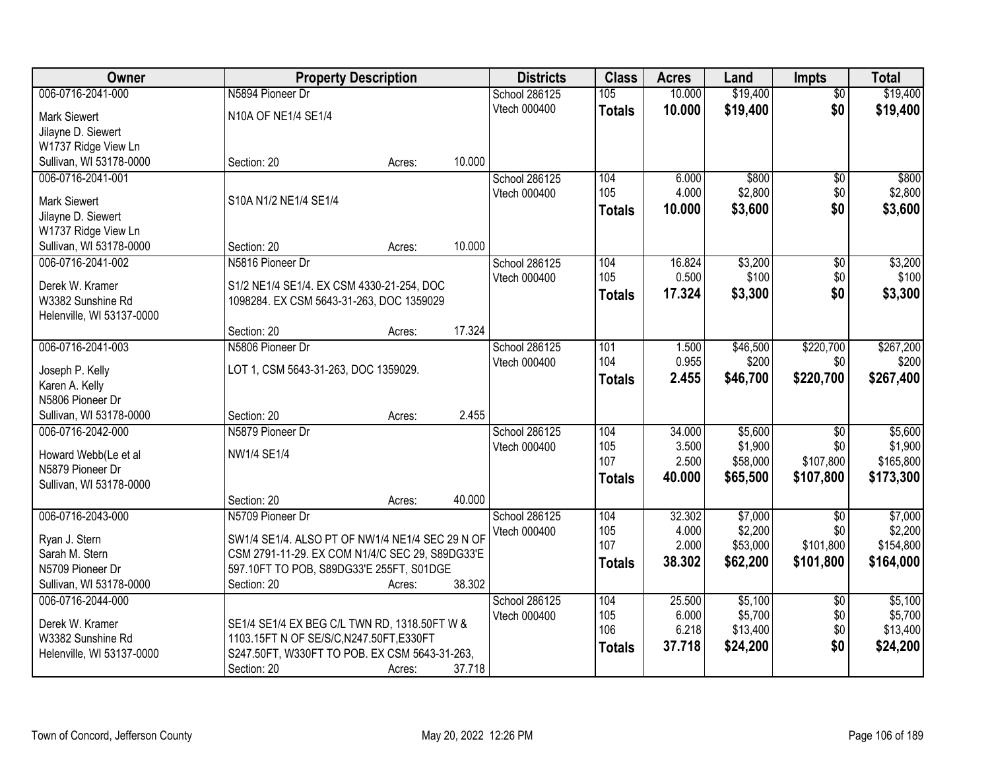| Owner<br><b>Property Description</b><br><b>Districts</b><br><b>Class</b><br><b>Acres</b><br><b>Impts</b><br>Land                                 | <b>Total</b>         |
|--------------------------------------------------------------------------------------------------------------------------------------------------|----------------------|
| \$19,400<br>006-0716-2041-000<br>N5894 Pioneer Dr<br>105<br>10.000<br>School 286125<br>$\overline{50}$                                           | \$19,400             |
| \$19,400<br>\$0<br>Vtech 000400<br>10.000<br><b>Totals</b><br>N10A OF NE1/4 SE1/4<br><b>Mark Siewert</b>                                         | \$19,400             |
| Jilayne D. Siewert                                                                                                                               |                      |
| W1737 Ridge View Ln                                                                                                                              |                      |
| 10.000<br>Sullivan, WI 53178-0000<br>Section: 20<br>Acres:                                                                                       |                      |
| 006-0716-2041-001<br>School 286125<br>104<br>6.000<br>\$800<br>\$0                                                                               | \$800                |
| 105<br>4.000<br>\$2,800<br>\$0<br>Vtech 000400                                                                                                   | \$2,800              |
| S10A N1/2 NE1/4 SE1/4<br><b>Mark Siewert</b><br>\$0<br>\$3,600<br>10.000<br>Totals                                                               | \$3,600              |
| Jilayne D. Siewert                                                                                                                               |                      |
| W1737 Ridge View Ln<br>10.000<br>Section: 20                                                                                                     |                      |
| Sullivan, WI 53178-0000<br>Acres:<br>\$3,200<br>006-0716-2041-002<br>N5816 Pioneer Dr<br>104<br>16.824                                           |                      |
| School 286125<br>$\overline{50}$<br>105<br>0.500<br>\$100                                                                                        | \$3,200              |
| \$0<br>Vtech 000400<br>Derek W. Kramer<br>S1/2 NE1/4 SE1/4. EX CSM 4330-21-254, DOC<br>17.324<br>\$0                                             | \$100                |
| \$3,300<br><b>Totals</b><br>W3382 Sunshine Rd<br>1098284. EX CSM 5643-31-263, DOC 1359029                                                        | \$3,300              |
| Helenville, WI 53137-0000                                                                                                                        |                      |
| 17.324<br>Section: 20<br>Acres:                                                                                                                  |                      |
| 006-0716-2041-003<br>N5806 Pioneer Dr<br>\$46,500<br>\$220,700<br>School 286125<br>101<br>1.500                                                  | \$267,200            |
| 104<br>0.955<br>\$200<br>\$0<br>Vtech 000400<br>LOT 1, CSM 5643-31-263, DOC 1359029.<br>Joseph P. Kelly                                          | \$200                |
| \$220,700<br>2.455<br>\$46,700<br><b>Totals</b><br>Karen A. Kelly                                                                                | \$267,400            |
| N5806 Pioneer Dr                                                                                                                                 |                      |
| 2.455<br>Sullivan, WI 53178-0000<br>Section: 20<br>Acres:                                                                                        |                      |
| \$5,600<br>006-0716-2042-000<br>N5879 Pioneer Dr<br>104<br>34.000<br>School 286125<br>$\overline{50}$                                            | \$5,600              |
| 105<br>3.500<br>\$1,900<br>\$0<br>Vtech 000400                                                                                                   | \$1,900              |
| NW1/4 SE1/4<br>Howard Webb(Le et al<br>107<br>2.500<br>\$58,000<br>\$107,800                                                                     | \$165,800            |
| N5879 Pioneer Dr<br>40.000<br>\$65,500<br>\$107,800<br><b>Totals</b>                                                                             | \$173,300            |
| Sullivan, WI 53178-0000                                                                                                                          |                      |
| 40.000<br>Section: 20<br>Acres:                                                                                                                  |                      |
| 006-0716-2043-000<br>\$7,000<br>N5709 Pioneer Dr<br>School 286125<br>104<br>32.302<br>$\overline{50}$<br>\$2,200                                 | \$7,000              |
| 105<br>4.000<br>\$0<br>Vtech 000400<br>Ryan J. Stern<br>SW1/4 SE1/4. ALSO PT OF NW1/4 NE1/4 SEC 29 N OF<br>107<br>2.000<br>\$53,000<br>\$101,800 | \$2,200<br>\$154,800 |
| CSM 2791-11-29. EX COM N1/4/C SEC 29, S89DG33'E<br>Sarah M. Stern                                                                                |                      |
| 38.302<br>\$62,200<br>\$101,800<br><b>Totals</b><br>N5709 Pioneer Dr<br>597.10FT TO POB, S89DG33'E 255FT, S01DGE                                 | \$164,000            |
| Sullivan, WI 53178-0000<br>38.302<br>Section: 20<br>Acres:                                                                                       |                      |
| School 286125<br>\$5,100<br>006-0716-2044-000<br>104<br>25.500<br>$\overline{30}$                                                                | \$5,100              |
| 6.000<br>\$5,700<br>\$0<br>105<br>Vtech 000400<br>Derek W. Kramer<br>SE1/4 SE1/4 EX BEG C/L TWN RD, 1318.50FT W &                                | \$5,700              |
| 106<br>6.218<br>\$13,400<br>\$0<br>1103.15FT N OF SE/S/C, N247.50FT, E330FT<br>W3382 Sunshine Rd                                                 | \$13,400             |
| \$0<br>37.718<br>\$24,200<br><b>Totals</b><br>S247.50FT, W330FT TO POB. EX CSM 5643-31-263,<br>Helenville, WI 53137-0000                         | \$24,200             |
| 37.718<br>Section: 20<br>Acres:                                                                                                                  |                      |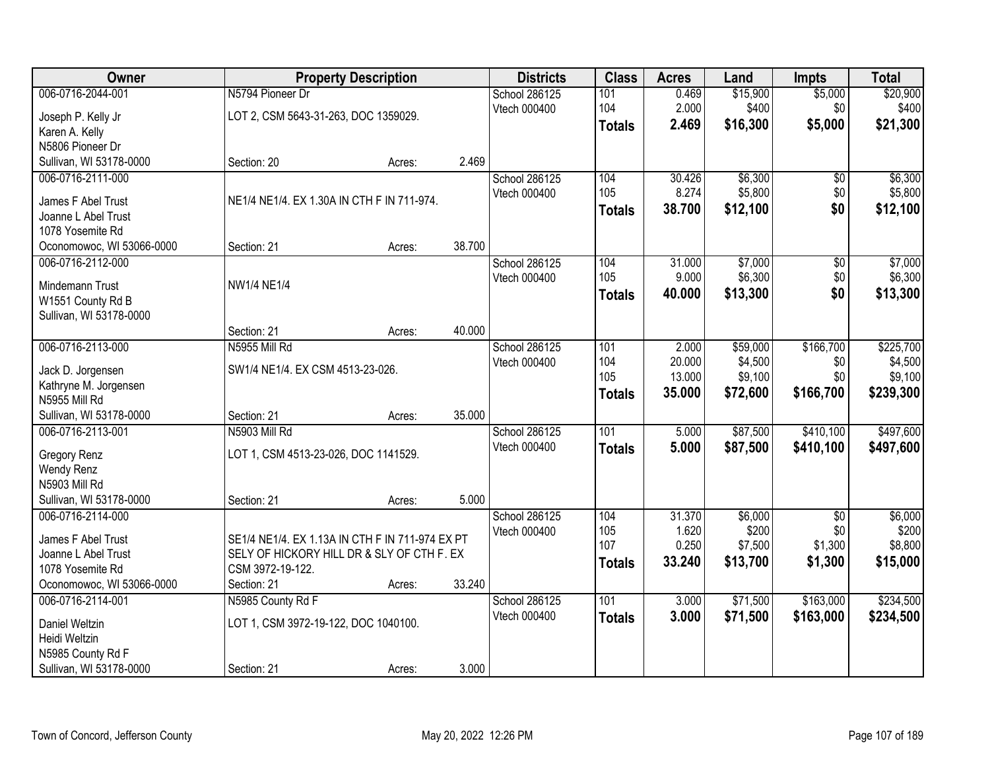| <b>Owner</b>                                  |                                                 | <b>Property Description</b> |        | <b>Districts</b> | <b>Class</b>  | <b>Acres</b> | Land     | <b>Impts</b>    | <b>Total</b> |
|-----------------------------------------------|-------------------------------------------------|-----------------------------|--------|------------------|---------------|--------------|----------|-----------------|--------------|
| 006-0716-2044-001                             | N5794 Pioneer Dr                                |                             |        | School 286125    | 101           | 0.469        | \$15,900 | \$5,000         | \$20,900     |
| Joseph P. Kelly Jr                            | LOT 2, CSM 5643-31-263, DOC 1359029.            |                             |        | Vtech 000400     | 104           | 2.000        | \$400    | \$0             | \$400        |
| Karen A. Kelly                                |                                                 |                             |        |                  | <b>Totals</b> | 2.469        | \$16,300 | \$5,000         | \$21,300     |
| N5806 Pioneer Dr                              |                                                 |                             |        |                  |               |              |          |                 |              |
| Sullivan, WI 53178-0000                       | Section: 20                                     | Acres:                      | 2.469  |                  |               |              |          |                 |              |
| 006-0716-2111-000                             |                                                 |                             |        | School 286125    | 104           | 30.426       | \$6,300  | \$0             | \$6,300      |
| James F Abel Trust                            | NE1/4 NE1/4. EX 1.30A IN CTH F IN 711-974.      |                             |        | Vtech 000400     | 105           | 8.274        | \$5,800  | \$0             | \$5,800      |
| Joanne L Abel Trust                           |                                                 |                             |        |                  | <b>Totals</b> | 38.700       | \$12,100 | \$0             | \$12,100     |
| 1078 Yosemite Rd                              |                                                 |                             |        |                  |               |              |          |                 |              |
| Oconomowoc, WI 53066-0000                     | Section: 21                                     | Acres:                      | 38.700 |                  |               |              |          |                 |              |
| 006-0716-2112-000                             |                                                 |                             |        | School 286125    | 104           | 31.000       | \$7,000  | \$0             | \$7,000      |
|                                               |                                                 |                             |        | Vtech 000400     | 105           | 9.000        | \$6,300  | \$0             | \$6,300      |
| Mindemann Trust                               | <b>NW1/4 NE1/4</b>                              |                             |        |                  | <b>Totals</b> | 40.000       | \$13,300 | \$0             | \$13,300     |
| W1551 County Rd B                             |                                                 |                             |        |                  |               |              |          |                 |              |
| Sullivan, WI 53178-0000                       |                                                 |                             |        |                  |               |              |          |                 |              |
|                                               | Section: 21                                     | Acres:                      | 40.000 |                  |               |              |          |                 |              |
| 006-0716-2113-000                             | N5955 Mill Rd                                   |                             |        | School 286125    | 101           | 2.000        | \$59,000 | \$166,700       | \$225,700    |
| Jack D. Jorgensen                             | SW1/4 NE1/4. EX CSM 4513-23-026.                |                             |        | Vtech 000400     | 104           | 20.000       | \$4,500  | \$0             | \$4,500      |
| Kathryne M. Jorgensen                         |                                                 |                             |        |                  | 105           | 13.000       | \$9,100  | \$0             | \$9,100      |
| N5955 Mill Rd                                 |                                                 |                             |        |                  | <b>Totals</b> | 35.000       | \$72,600 | \$166,700       | \$239,300    |
| Sullivan, WI 53178-0000                       | Section: 21                                     | Acres:                      | 35.000 |                  |               |              |          |                 |              |
| 006-0716-2113-001                             | N5903 Mill Rd                                   |                             |        | School 286125    | 101           | 5.000        | \$87,500 | \$410,100       | \$497,600    |
| Gregory Renz                                  | LOT 1, CSM 4513-23-026, DOC 1141529.            |                             |        | Vtech 000400     | <b>Totals</b> | 5.000        | \$87,500 | \$410,100       | \$497,600    |
| Wendy Renz                                    |                                                 |                             |        |                  |               |              |          |                 |              |
| N5903 Mill Rd                                 |                                                 |                             |        |                  |               |              |          |                 |              |
| Sullivan, WI 53178-0000                       | Section: 21                                     | Acres:                      | 5.000  |                  |               |              |          |                 |              |
| 006-0716-2114-000                             |                                                 |                             |        | School 286125    | 104           | 31.370       | \$6,000  | $\overline{50}$ | \$6,000      |
|                                               |                                                 |                             |        | Vtech 000400     | 105           | 1.620        | \$200    | \$0             | \$200        |
| James F Abel Trust                            | SE1/4 NE1/4. EX 1.13A IN CTH F IN 711-974 EX PT |                             |        |                  | 107           | 0.250        | \$7,500  | \$1,300         | \$8,800      |
| Joanne L Abel Trust                           | SELY OF HICKORY HILL DR & SLY OF CTH F. EX      |                             |        |                  | <b>Totals</b> | 33.240       | \$13,700 | \$1,300         | \$15,000     |
| 1078 Yosemite Rd<br>Oconomowoc, WI 53066-0000 | CSM 3972-19-122.<br>Section: 21                 |                             | 33.240 |                  |               |              |          |                 |              |
| 006-0716-2114-001                             | N5985 County Rd F                               | Acres:                      |        | School 286125    | 101           | 3.000        | \$71,500 | \$163,000       | \$234,500    |
|                                               |                                                 |                             |        | Vtech 000400     |               |              |          |                 |              |
| Daniel Weltzin                                | LOT 1, CSM 3972-19-122, DOC 1040100.            |                             |        |                  | <b>Totals</b> | 3.000        | \$71,500 | \$163,000       | \$234,500    |
| Heidi Weltzin                                 |                                                 |                             |        |                  |               |              |          |                 |              |
| N5985 County Rd F                             |                                                 |                             |        |                  |               |              |          |                 |              |
| Sullivan, WI 53178-0000                       | Section: 21                                     | Acres:                      | 3.000  |                  |               |              |          |                 |              |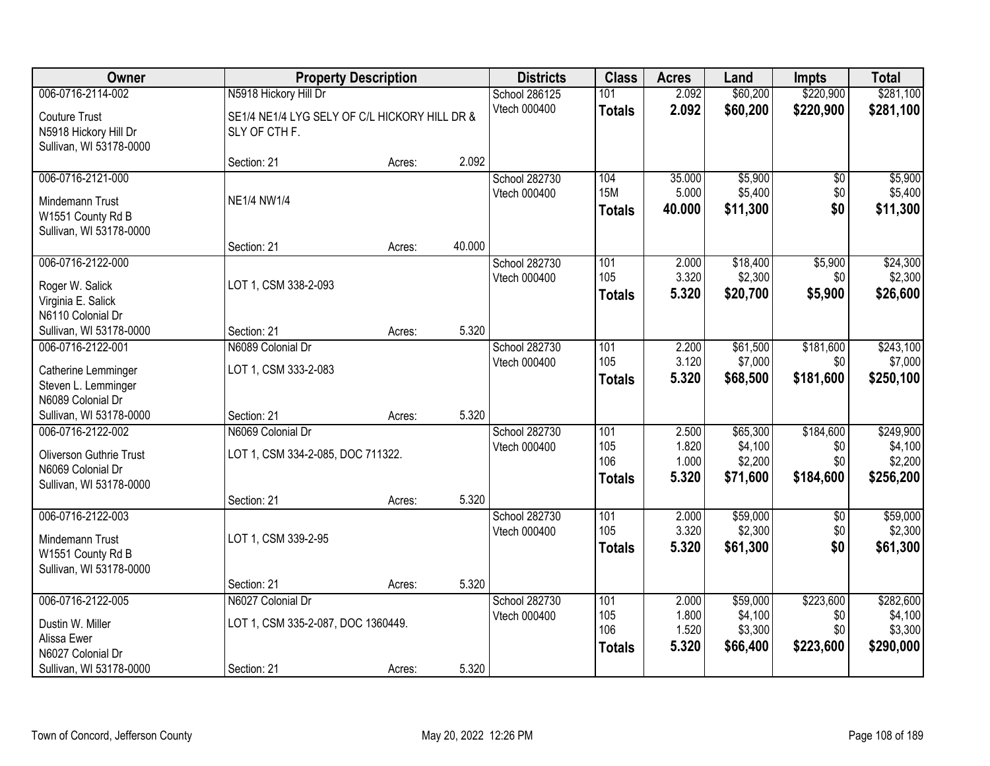| Owner                                            |                                               | <b>Property Description</b> |        |                               | <b>Class</b>  | <b>Acres</b>   | Land                | <b>Impts</b>     | <b>Total</b>         |
|--------------------------------------------------|-----------------------------------------------|-----------------------------|--------|-------------------------------|---------------|----------------|---------------------|------------------|----------------------|
| 006-0716-2114-002                                | N5918 Hickory Hill Dr                         |                             |        | School 286125                 | 101           | 2.092          | \$60,200            | \$220,900        | \$281,100            |
| <b>Couture Trust</b>                             | SE1/4 NE1/4 LYG SELY OF C/L HICKORY HILL DR & |                             |        | Vtech 000400                  | <b>Totals</b> | 2.092          | \$60,200            | \$220,900        | \$281,100            |
| N5918 Hickory Hill Dr<br>Sullivan, WI 53178-0000 | SLY OF CTH F.                                 |                             |        |                               |               |                |                     |                  |                      |
|                                                  | Section: 21                                   | Acres:                      | 2.092  |                               |               |                |                     |                  |                      |
| 006-0716-2121-000                                |                                               |                             |        | School 282730                 | 104           | 35.000         | \$5,900             | \$0              | \$5,900              |
| Mindemann Trust                                  | <b>NE1/4 NW1/4</b>                            |                             |        | Vtech 000400                  | <b>15M</b>    | 5.000          | \$5,400             | \$0              | \$5,400              |
| W1551 County Rd B                                |                                               |                             |        |                               | Totals        | 40.000         | \$11,300            | \$0              | \$11,300             |
| Sullivan, WI 53178-0000                          |                                               |                             |        |                               |               |                |                     |                  |                      |
|                                                  | Section: 21                                   | Acres:                      | 40.000 |                               |               |                |                     |                  |                      |
| 006-0716-2122-000                                |                                               |                             |        | School 282730                 | 101           | 2.000          | \$18,400            | \$5,900          | \$24,300             |
| Roger W. Salick                                  | LOT 1, CSM 338-2-093                          |                             |        | Vtech 000400                  | 105           | 3.320          | \$2,300             | \$0              | \$2,300              |
| Virginia E. Salick                               |                                               |                             |        |                               | <b>Totals</b> | 5.320          | \$20,700            | \$5,900          | \$26,600             |
| N6110 Colonial Dr                                |                                               |                             |        |                               |               |                |                     |                  |                      |
| Sullivan, WI 53178-0000                          | Section: 21                                   | Acres:                      | 5.320  |                               |               |                |                     |                  |                      |
| 006-0716-2122-001                                | N6089 Colonial Dr                             |                             |        | School 282730                 | 101           | 2.200          | \$61,500            | \$181,600        | \$243,100            |
| Catherine Lemminger                              | LOT 1, CSM 333-2-083                          |                             |        | Vtech 000400                  | 105           | 3.120          | \$7,000             | \$0              | \$7,000              |
| Steven L. Lemminger                              |                                               |                             |        |                               | <b>Totals</b> | 5.320          | \$68,500            | \$181,600        | \$250,100            |
| N6089 Colonial Dr                                |                                               |                             |        |                               |               |                |                     |                  |                      |
| Sullivan, WI 53178-0000                          | Section: 21                                   | Acres:                      | 5.320  |                               |               |                |                     |                  |                      |
| 006-0716-2122-002                                | N6069 Colonial Dr                             |                             |        | School 282730                 | 101<br>105    | 2.500          | \$65,300            | \$184,600        | \$249,900            |
| <b>Oliverson Guthrie Trust</b>                   | LOT 1, CSM 334-2-085, DOC 711322.             |                             |        | Vtech 000400                  | 106           | 1.820<br>1.000 | \$4,100<br>\$2,200  | \$0<br>\$0       | \$4,100<br>\$2,200   |
| N6069 Colonial Dr                                |                                               |                             |        |                               | <b>Totals</b> | 5.320          | \$71,600            | \$184,600        | \$256,200            |
| Sullivan, WI 53178-0000                          |                                               |                             |        |                               |               |                |                     |                  |                      |
|                                                  | Section: 21                                   | Acres:                      | 5.320  |                               |               |                |                     |                  |                      |
| 006-0716-2122-003                                |                                               |                             |        | School 282730                 | 101<br>105    | 2.000<br>3.320 | \$59,000<br>\$2,300 | \$0<br>\$0       | \$59,000<br>\$2,300  |
| Mindemann Trust                                  | LOT 1, CSM 339-2-95                           |                             |        | Vtech 000400                  |               | 5.320          | \$61,300            | \$0              | \$61,300             |
| W1551 County Rd B                                |                                               |                             |        |                               | <b>Totals</b> |                |                     |                  |                      |
| Sullivan, WI 53178-0000                          |                                               |                             |        |                               |               |                |                     |                  |                      |
|                                                  | Section: 21                                   | Acres:                      | 5.320  |                               |               |                |                     |                  |                      |
| 006-0716-2122-005                                | N6027 Colonial Dr                             |                             |        | School 282730<br>Vtech 000400 | 101<br>105    | 2.000<br>1.800 | \$59,000<br>\$4,100 | \$223,600<br>\$0 | \$282,600<br>\$4,100 |
| Dustin W. Miller                                 | LOT 1, CSM 335-2-087, DOC 1360449.            |                             |        |                               | 106           | 1.520          | \$3,300             | \$0              | \$3,300              |
| Alissa Ewer                                      |                                               |                             |        |                               | <b>Totals</b> | 5.320          | \$66,400            | \$223,600        | \$290,000            |
| N6027 Colonial Dr                                |                                               |                             |        |                               |               |                |                     |                  |                      |
| Sullivan, WI 53178-0000                          | Section: 21                                   | Acres:                      | 5.320  |                               |               |                |                     |                  |                      |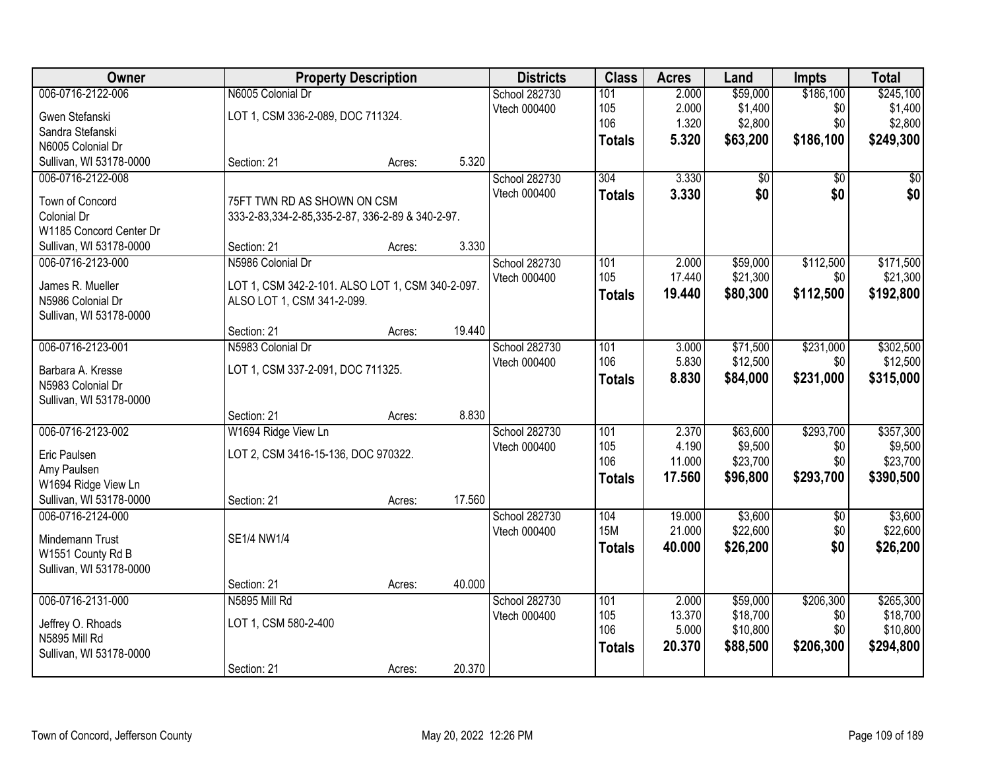| Owner                                  |                                                    | <b>Property Description</b> |        | <b>Districts</b> | <b>Class</b>  | <b>Acres</b> | Land     | <b>Impts</b>    | <b>Total</b> |
|----------------------------------------|----------------------------------------------------|-----------------------------|--------|------------------|---------------|--------------|----------|-----------------|--------------|
| 006-0716-2122-006                      | N6005 Colonial Dr                                  |                             |        | School 282730    | 101           | 2.000        | \$59,000 | \$186,100       | \$245,100    |
| Gwen Stefanski                         | LOT 1, CSM 336-2-089, DOC 711324.                  |                             |        | Vtech 000400     | 105           | 2.000        | \$1,400  | \$0             | \$1,400      |
| Sandra Stefanski                       |                                                    |                             |        |                  | 106           | 1.320        | \$2,800  | \$0             | \$2,800      |
| N6005 Colonial Dr                      |                                                    |                             |        |                  | <b>Totals</b> | 5.320        | \$63,200 | \$186,100       | \$249,300    |
| Sullivan, WI 53178-0000                | Section: 21                                        | Acres:                      | 5.320  |                  |               |              |          |                 |              |
| 006-0716-2122-008                      |                                                    |                             |        | School 282730    | 304           | 3.330        | \$0      | $\overline{50}$ | \$0          |
|                                        |                                                    |                             |        | Vtech 000400     | <b>Totals</b> | 3.330        | \$0      | \$0             | \$0          |
| Town of Concord                        | 75FT TWN RD AS SHOWN ON CSM                        |                             |        |                  |               |              |          |                 |              |
| Colonial Dr<br>W1185 Concord Center Dr | 333-2-83, 334-2-85, 335-2-87, 336-2-89 & 340-2-97. |                             |        |                  |               |              |          |                 |              |
| Sullivan, WI 53178-0000                | Section: 21                                        | Acres:                      | 3.330  |                  |               |              |          |                 |              |
| 006-0716-2123-000                      | N5986 Colonial Dr                                  |                             |        | School 282730    | 101           | 2.000        | \$59,000 | \$112,500       | \$171,500    |
|                                        |                                                    |                             |        | Vtech 000400     | 105           | 17.440       | \$21,300 | \$0             | \$21,300     |
| James R. Mueller                       | LOT 1, CSM 342-2-101. ALSO LOT 1, CSM 340-2-097.   |                             |        |                  |               | 19.440       |          | \$112,500       |              |
| N5986 Colonial Dr                      | ALSO LOT 1, CSM 341-2-099.                         |                             |        |                  | <b>Totals</b> |              | \$80,300 |                 | \$192,800    |
| Sullivan, WI 53178-0000                |                                                    |                             |        |                  |               |              |          |                 |              |
|                                        | Section: 21                                        | Acres:                      | 19.440 |                  |               |              |          |                 |              |
| 006-0716-2123-001                      | N5983 Colonial Dr                                  |                             |        | School 282730    | 101           | 3.000        | \$71,500 | \$231,000       | \$302,500    |
| Barbara A. Kresse                      | LOT 1, CSM 337-2-091, DOC 711325.                  |                             |        | Vtech 000400     | 106           | 5.830        | \$12,500 | \$0             | \$12,500     |
| N5983 Colonial Dr                      |                                                    |                             |        |                  | <b>Totals</b> | 8.830        | \$84,000 | \$231,000       | \$315,000    |
| Sullivan, WI 53178-0000                |                                                    |                             |        |                  |               |              |          |                 |              |
|                                        | Section: 21                                        | Acres:                      | 8.830  |                  |               |              |          |                 |              |
| 006-0716-2123-002                      | W1694 Ridge View Ln                                |                             |        | School 282730    | 101           | 2.370        | \$63,600 | \$293,700       | \$357,300    |
|                                        |                                                    |                             |        | Vtech 000400     | 105           | 4.190        | \$9,500  | \$0             | \$9,500      |
| Eric Paulsen                           | LOT 2, CSM 3416-15-136, DOC 970322.                |                             |        |                  | 106           | 11.000       | \$23,700 | \$0             | \$23,700     |
| Amy Paulsen                            |                                                    |                             |        |                  | <b>Totals</b> | 17.560       | \$96,800 | \$293,700       | \$390,500    |
| W1694 Ridge View Ln                    |                                                    |                             |        |                  |               |              |          |                 |              |
| Sullivan, WI 53178-0000                | Section: 21                                        | Acres:                      | 17.560 |                  |               |              |          |                 |              |
| 006-0716-2124-000                      |                                                    |                             |        | School 282730    | 104           | 19.000       | \$3,600  | $\sqrt{6}$      | \$3,600      |
| Mindemann Trust                        | SE1/4 NW1/4                                        |                             |        | Vtech 000400     | <b>15M</b>    | 21.000       | \$22,600 | \$0             | \$22,600     |
| W1551 County Rd B                      |                                                    |                             |        |                  | <b>Totals</b> | 40.000       | \$26,200 | \$0             | \$26,200     |
| Sullivan, WI 53178-0000                |                                                    |                             |        |                  |               |              |          |                 |              |
|                                        | Section: 21                                        | Acres:                      | 40.000 |                  |               |              |          |                 |              |
| 006-0716-2131-000                      | N5895 Mill Rd                                      |                             |        | School 282730    | 101           | 2.000        | \$59,000 | \$206,300       | \$265,300    |
|                                        |                                                    |                             |        | Vtech 000400     | 105           | 13.370       | \$18,700 | \$0             | \$18,700     |
| Jeffrey O. Rhoads                      | LOT 1, CSM 580-2-400                               |                             |        |                  | 106           | 5.000        | \$10,800 | \$0             | \$10,800     |
| N5895 Mill Rd                          |                                                    |                             |        |                  | <b>Totals</b> | 20.370       | \$88,500 | \$206,300       | \$294,800    |
| Sullivan, WI 53178-0000                |                                                    |                             |        |                  |               |              |          |                 |              |
|                                        | Section: 21                                        | Acres:                      | 20.370 |                  |               |              |          |                 |              |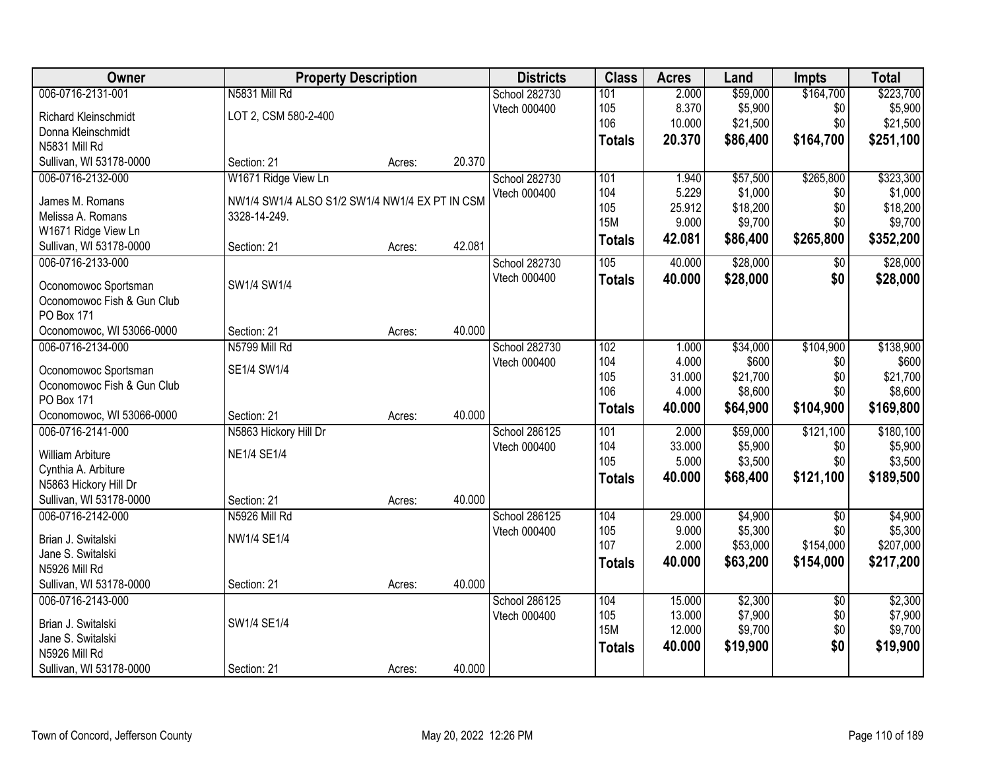| Owner                                            |                                                | <b>Property Description</b> |        | <b>Districts</b> | <b>Class</b>  | <b>Acres</b> | Land     | <b>Impts</b>      | <b>Total</b> |
|--------------------------------------------------|------------------------------------------------|-----------------------------|--------|------------------|---------------|--------------|----------|-------------------|--------------|
| 006-0716-2131-001                                | N5831 Mill Rd                                  |                             |        | School 282730    | 101           | 2.000        | \$59,000 | \$164,700         | \$223,700    |
| <b>Richard Kleinschmidt</b>                      | LOT 2, CSM 580-2-400                           |                             |        | Vtech 000400     | 105           | 8.370        | \$5,900  | \$0               | \$5,900      |
| Donna Kleinschmidt                               |                                                |                             |        |                  | 106           | 10.000       | \$21,500 | \$0               | \$21,500     |
| N5831 Mill Rd                                    |                                                |                             |        |                  | <b>Totals</b> | 20.370       | \$86,400 | \$164,700         | \$251,100    |
| Sullivan, WI 53178-0000                          | Section: 21                                    | Acres:                      | 20.370 |                  |               |              |          |                   |              |
| 006-0716-2132-000                                | W1671 Ridge View Ln                            |                             |        | School 282730    | 101           | 1.940        | \$57,500 | \$265,800         | \$323,300    |
|                                                  |                                                |                             |        | Vtech 000400     | 104           | 5.229        | \$1,000  | \$0               | \$1,000      |
| James M. Romans                                  | NW1/4 SW1/4 ALSO S1/2 SW1/4 NW1/4 EX PT IN CSM |                             |        |                  | 105           | 25.912       | \$18,200 | \$0               | \$18,200     |
| Melissa A. Romans                                | 3328-14-249.                                   |                             |        |                  | <b>15M</b>    | 9.000        | \$9,700  | \$0               | \$9,700      |
| W1671 Ridge View Ln<br>Sullivan, WI 53178-0000   | Section: 21                                    |                             | 42.081 |                  | <b>Totals</b> | 42.081       | \$86,400 | \$265,800         | \$352,200    |
| 006-0716-2133-000                                |                                                | Acres:                      |        | School 282730    | 105           | 40.000       | \$28,000 | $\sqrt[6]{3}$     | \$28,000     |
|                                                  |                                                |                             |        | Vtech 000400     |               |              |          | \$0               |              |
| Oconomowoc Sportsman                             | SW1/4 SW1/4                                    |                             |        |                  | <b>Totals</b> | 40.000       | \$28,000 |                   | \$28,000     |
| Oconomowoc Fish & Gun Club                       |                                                |                             |        |                  |               |              |          |                   |              |
| <b>PO Box 171</b>                                |                                                |                             |        |                  |               |              |          |                   |              |
| Oconomowoc, WI 53066-0000                        | Section: 21                                    | Acres:                      | 40.000 |                  |               |              |          |                   |              |
| 006-0716-2134-000                                | N5799 Mill Rd                                  |                             |        | School 282730    | 102           | 1.000        | \$34,000 | \$104,900         | \$138,900    |
| Oconomowoc Sportsman                             | SE1/4 SW1/4                                    |                             |        | Vtech 000400     | 104           | 4.000        | \$600    | \$0               | \$600        |
| Oconomowoc Fish & Gun Club                       |                                                |                             |        |                  | 105           | 31.000       | \$21,700 | \$0               | \$21,700     |
| PO Box 171                                       |                                                |                             |        |                  | 106           | 4.000        | \$8,600  | \$0               | \$8,600      |
| Oconomowoc, WI 53066-0000                        | Section: 21                                    | Acres:                      | 40.000 |                  | <b>Totals</b> | 40.000       | \$64,900 | \$104,900         | \$169,800    |
| 006-0716-2141-000                                | N5863 Hickory Hill Dr                          |                             |        | School 286125    | 101           | 2.000        | \$59,000 | \$121,100         | \$180,100    |
|                                                  |                                                |                             |        | Vtech 000400     | 104           | 33.000       | \$5,900  | \$0               | \$5,900      |
| William Arbiture                                 | <b>NE1/4 SE1/4</b>                             |                             |        |                  | 105           | 5.000        | \$3,500  | \$0               | \$3,500      |
| Cynthia A. Arbiture                              |                                                |                             |        |                  | <b>Totals</b> | 40.000       | \$68,400 | \$121,100         | \$189,500    |
| N5863 Hickory Hill Dr<br>Sullivan, WI 53178-0000 | Section: 21                                    | Acres:                      | 40.000 |                  |               |              |          |                   |              |
| 006-0716-2142-000                                | N5926 Mill Rd                                  |                             |        | School 286125    | 104           | 29.000       | \$4,900  |                   | \$4,900      |
|                                                  |                                                |                             |        | Vtech 000400     | 105           | 9.000        | \$5,300  | $\sqrt{6}$<br>\$0 | \$5,300      |
| Brian J. Switalski                               | NW1/4 SE1/4                                    |                             |        |                  | 107           | 2.000        | \$53,000 | \$154,000         | \$207,000    |
| Jane S. Switalski                                |                                                |                             |        |                  |               | 40.000       | \$63,200 | \$154,000         | \$217,200    |
| N5926 Mill Rd                                    |                                                |                             |        |                  | <b>Totals</b> |              |          |                   |              |
| Sullivan, WI 53178-0000                          | Section: 21                                    | Acres:                      | 40.000 |                  |               |              |          |                   |              |
| 006-0716-2143-000                                |                                                |                             |        | School 286125    | 104           | 15.000       | \$2,300  | $\overline{60}$   | \$2,300      |
| Brian J. Switalski                               | SW1/4 SE1/4                                    |                             |        | Vtech 000400     | 105           | 13.000       | \$7,900  | \$0               | \$7,900      |
| Jane S. Switalski                                |                                                |                             |        |                  | <b>15M</b>    | 12.000       | \$9,700  | \$0               | \$9,700      |
| N5926 Mill Rd                                    |                                                |                             |        |                  | <b>Totals</b> | 40.000       | \$19,900 | \$0               | \$19,900     |
| Sullivan, WI 53178-0000                          | Section: 21                                    | Acres:                      | 40.000 |                  |               |              |          |                   |              |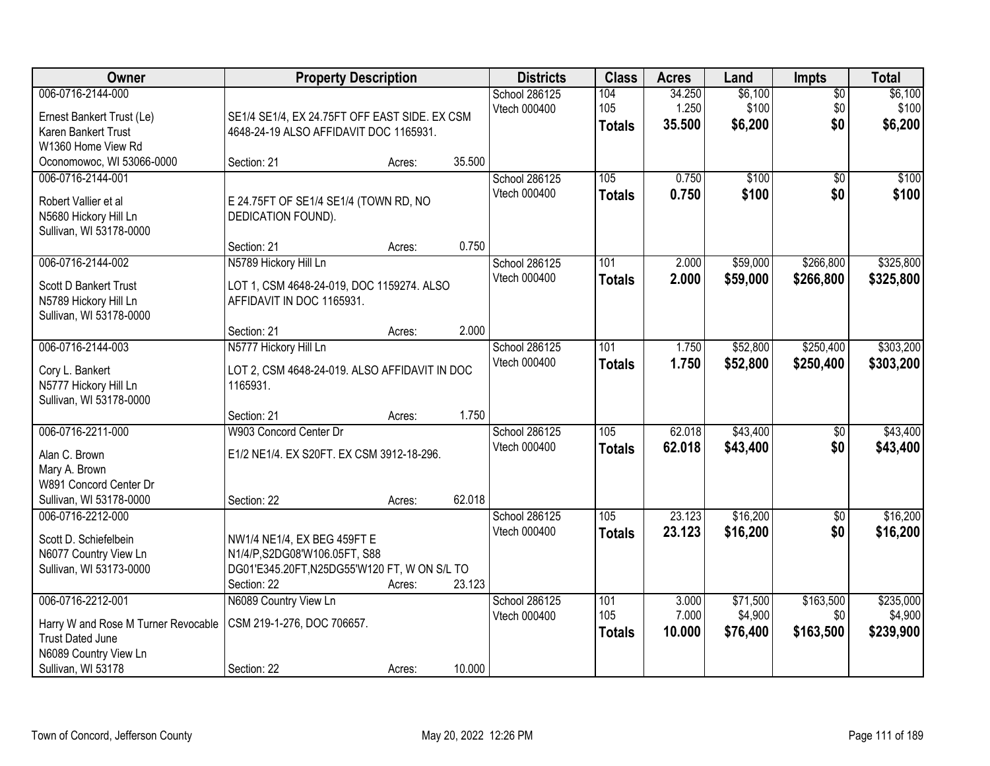| Owner                                                                                                                              | <b>Property Description</b>                                                                                    |                  |                  | <b>Districts</b>                     | <b>Class</b>                | <b>Acres</b>              | Land                            | Impts                         | <b>Total</b>                      |
|------------------------------------------------------------------------------------------------------------------------------------|----------------------------------------------------------------------------------------------------------------|------------------|------------------|--------------------------------------|-----------------------------|---------------------------|---------------------------------|-------------------------------|-----------------------------------|
| 006-0716-2144-000<br>Ernest Bankert Trust (Le)<br>Karen Bankert Trust                                                              | SE1/4 SE1/4, EX 24.75FT OFF EAST SIDE. EX CSM<br>4648-24-19 ALSO AFFIDAVIT DOC 1165931.                        |                  |                  | School 286125<br>Vtech 000400        | 104<br>105<br><b>Totals</b> | 34.250<br>1.250<br>35.500 | \$6,100<br>\$100<br>\$6,200     | $\overline{50}$<br>\$0<br>\$0 | \$6,100<br>\$100<br>\$6,200       |
| W1360 Home View Rd<br>Oconomowoc, WI 53066-0000                                                                                    | Section: 21                                                                                                    | Acres:           | 35.500           |                                      |                             |                           |                                 |                               |                                   |
| 006-0716-2144-001<br>Robert Vallier et al<br>N5680 Hickory Hill Ln<br>Sullivan, WI 53178-0000                                      | E 24.75FT OF SE1/4 SE1/4 (TOWN RD, NO<br>DEDICATION FOUND).                                                    |                  |                  | School 286125<br>Vtech 000400        | 105<br><b>Totals</b>        | 0.750<br>0.750            | \$100<br>\$100                  | $\overline{50}$<br>\$0        | \$100<br>\$100                    |
| 006-0716-2144-002<br><b>Scott D Bankert Trust</b><br>N5789 Hickory Hill Ln<br>Sullivan, WI 53178-0000                              | Section: 21<br>N5789 Hickory Hill Ln<br>LOT 1, CSM 4648-24-019, DOC 1159274. ALSO<br>AFFIDAVIT IN DOC 1165931. | Acres:           | 0.750            | School 286125<br>Vtech 000400        | 101<br><b>Totals</b>        | 2.000<br>2.000            | \$59,000<br>\$59,000            | \$266,800<br>\$266,800        | \$325,800<br>\$325,800            |
| 006-0716-2144-003                                                                                                                  | Section: 21<br>N5777 Hickory Hill Ln                                                                           | Acres:           | 2.000            | School 286125                        | 101                         | 1.750                     | \$52,800                        | \$250,400                     | \$303,200                         |
| Cory L. Bankert<br>N5777 Hickory Hill Ln<br>Sullivan, WI 53178-0000                                                                | LOT 2, CSM 4648-24-019. ALSO AFFIDAVIT IN DOC<br>1165931.                                                      |                  |                  | Vtech 000400                         | <b>Totals</b>               | 1.750                     | \$52,800                        | \$250,400                     | \$303,200                         |
| 006-0716-2211-000<br>Alan C. Brown<br>Mary A. Brown<br>W891 Concord Center Dr                                                      | Section: 21<br>W903 Concord Center Dr<br>E1/2 NE1/4. EX S20FT. EX CSM 3912-18-296.                             | Acres:           | 1.750            | School 286125<br>Vtech 000400        | 105<br><b>Totals</b>        | 62.018<br>62.018          | \$43,400<br>\$43,400            | $\overline{50}$<br>\$0        | \$43,400<br>\$43,400              |
| Sullivan, WI 53178-0000                                                                                                            | Section: 22                                                                                                    | Acres:           | 62.018           |                                      |                             |                           |                                 |                               |                                   |
| 006-0716-2212-000<br>Scott D. Schiefelbein<br>N6077 Country View Ln<br>Sullivan, WI 53173-0000                                     | NW1/4 NE1/4, EX BEG 459FT E<br>N1/4/P,S2DG08'W106.05FT, S88<br>DG01'E345.20FT, N25DG55'W120 FT, W ON S/L TO    |                  |                  | <b>School 286125</b><br>Vtech 000400 | 105<br><b>Totals</b>        | 23.123<br>23.123          | \$16,200<br>\$16,200            | $\overline{50}$<br>\$0        | \$16,200<br>\$16,200              |
| 006-0716-2212-001<br>Harry W and Rose M Turner Revocable<br><b>Trust Dated June</b><br>N6089 Country View Ln<br>Sullivan, WI 53178 | Section: 22<br>N6089 Country View Ln<br>CSM 219-1-276, DOC 706657.<br>Section: 22                              | Acres:<br>Acres: | 23.123<br>10.000 | School 286125<br>Vtech 000400        | 101<br>105<br><b>Totals</b> | 3.000<br>7.000<br>10.000  | \$71,500<br>\$4,900<br>\$76,400 | \$163,500<br>\$0<br>\$163,500 | \$235,000<br>\$4,900<br>\$239,900 |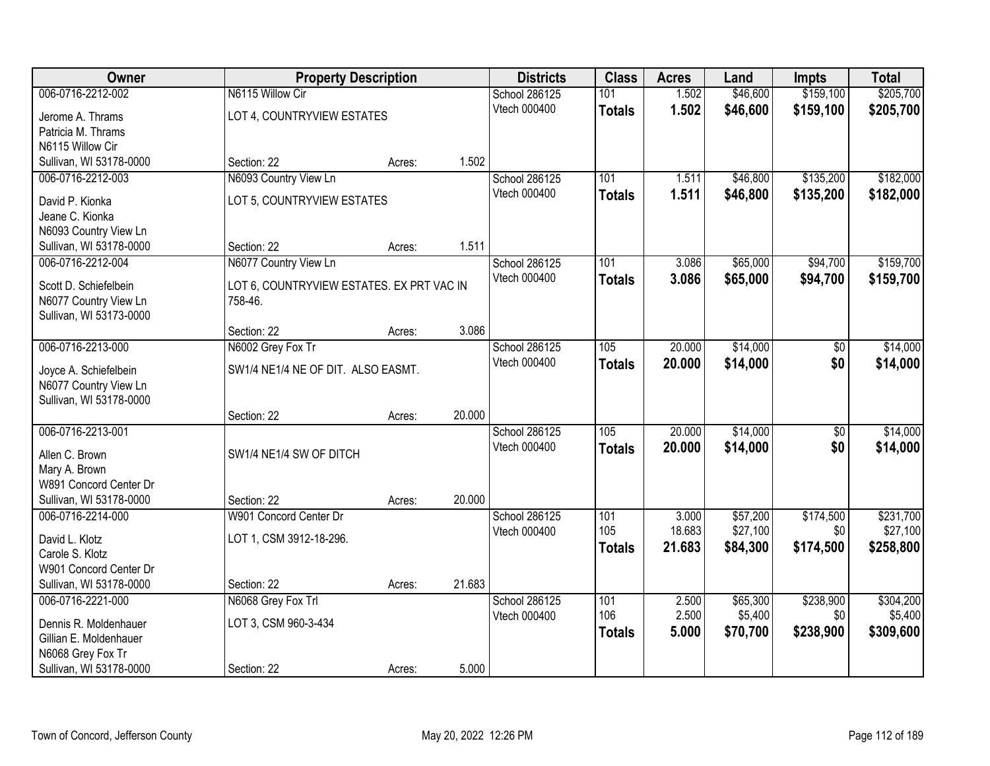| Owner                   |                                           | <b>Property Description</b> |        | <b>Districts</b>              | <b>Class</b>     | <b>Acres</b>    | Land                 | <b>Impts</b>     | <b>Total</b>          |
|-------------------------|-------------------------------------------|-----------------------------|--------|-------------------------------|------------------|-----------------|----------------------|------------------|-----------------------|
| 006-0716-2212-002       | N6115 Willow Cir                          |                             |        | <b>School 286125</b>          | 101              | 1.502           | \$46,600             | \$159,100        | \$205,700             |
| Jerome A. Thrams        | LOT 4, COUNTRYVIEW ESTATES                |                             |        | Vtech 000400                  | <b>Totals</b>    | 1.502           | \$46,600             | \$159,100        | \$205,700             |
| Patricia M. Thrams      |                                           |                             |        |                               |                  |                 |                      |                  |                       |
| N6115 Willow Cir        |                                           |                             |        |                               |                  |                 |                      |                  |                       |
| Sullivan, WI 53178-0000 | Section: 22                               | Acres:                      | 1.502  |                               |                  |                 |                      |                  |                       |
| 006-0716-2212-003       | N6093 Country View Ln                     |                             |        | School 286125                 | 101              | 1.511           | \$46,800             | \$135,200        | \$182,000             |
| David P. Kionka         | LOT 5, COUNTRYVIEW ESTATES                |                             |        | Vtech 000400                  | <b>Totals</b>    | 1.511           | \$46,800             | \$135,200        | \$182,000             |
| Jeane C. Kionka         |                                           |                             |        |                               |                  |                 |                      |                  |                       |
| N6093 Country View Ln   |                                           |                             |        |                               |                  |                 |                      |                  |                       |
| Sullivan, WI 53178-0000 | Section: 22                               | Acres:                      | 1.511  |                               |                  |                 |                      |                  |                       |
| 006-0716-2212-004       | N6077 Country View Ln                     |                             |        | School 286125                 | 101              | 3.086           | \$65,000             | \$94,700         | \$159,700             |
| Scott D. Schiefelbein   | LOT 6, COUNTRYVIEW ESTATES. EX PRT VAC IN |                             |        | Vtech 000400                  | <b>Totals</b>    | 3.086           | \$65,000             | \$94,700         | \$159,700             |
| N6077 Country View Ln   | 758-46.                                   |                             |        |                               |                  |                 |                      |                  |                       |
| Sullivan, WI 53173-0000 |                                           |                             |        |                               |                  |                 |                      |                  |                       |
|                         | Section: 22                               | Acres:                      | 3.086  |                               |                  |                 |                      |                  |                       |
| 006-0716-2213-000       | N6002 Grey Fox Tr                         |                             |        | School 286125                 | 105              | 20.000          | \$14,000             | \$0              | \$14,000              |
| Joyce A. Schiefelbein   | SW1/4 NE1/4 NE OF DIT. ALSO EASMT.        |                             |        | Vtech 000400                  | <b>Totals</b>    | 20.000          | \$14,000             | \$0              | \$14,000              |
| N6077 Country View Ln   |                                           |                             |        |                               |                  |                 |                      |                  |                       |
| Sullivan, WI 53178-0000 |                                           |                             |        |                               |                  |                 |                      |                  |                       |
|                         | Section: 22                               | Acres:                      | 20.000 |                               |                  |                 |                      |                  |                       |
| 006-0716-2213-001       |                                           |                             |        | School 286125                 | $\overline{105}$ | 20.000          | \$14,000             | \$0              | \$14,000              |
| Allen C. Brown          | SW1/4 NE1/4 SW OF DITCH                   |                             |        | Vtech 000400                  | <b>Totals</b>    | 20,000          | \$14,000             | \$0              | \$14,000              |
| Mary A. Brown           |                                           |                             |        |                               |                  |                 |                      |                  |                       |
| W891 Concord Center Dr  |                                           |                             |        |                               |                  |                 |                      |                  |                       |
| Sullivan, WI 53178-0000 | Section: 22                               | Acres:                      | 20.000 |                               |                  |                 |                      |                  |                       |
| 006-0716-2214-000       | W901 Concord Center Dr                    |                             |        | School 286125                 | 101<br>105       | 3.000<br>18.683 | \$57,200<br>\$27,100 | \$174,500<br>\$0 | \$231,700<br>\$27,100 |
| David L. Klotz          | LOT 1, CSM 3912-18-296.                   |                             |        | Vtech 000400                  |                  | 21.683          | \$84,300             | \$174,500        | \$258,800             |
| Carole S. Klotz         |                                           |                             |        |                               | <b>Totals</b>    |                 |                      |                  |                       |
| W901 Concord Center Dr  |                                           |                             |        |                               |                  |                 |                      |                  |                       |
| Sullivan, WI 53178-0000 | Section: 22                               | Acres:                      | 21.683 |                               |                  |                 |                      |                  |                       |
| 006-0716-2221-000       | N6068 Grey Fox Trl                        |                             |        | School 286125<br>Vtech 000400 | 101<br>106       | 2.500<br>2.500  | \$65,300<br>\$5,400  | \$238,900<br>\$0 | \$304,200<br>\$5,400  |
| Dennis R. Moldenhauer   | LOT 3, CSM 960-3-434                      |                             |        |                               | <b>Totals</b>    | 5.000           | \$70,700             | \$238,900        | \$309,600             |
| Gillian E. Moldenhauer  |                                           |                             |        |                               |                  |                 |                      |                  |                       |
| N6068 Grey Fox Tr       |                                           |                             |        |                               |                  |                 |                      |                  |                       |
| Sullivan, WI 53178-0000 | Section: 22                               | Acres:                      | 5.000  |                               |                  |                 |                      |                  |                       |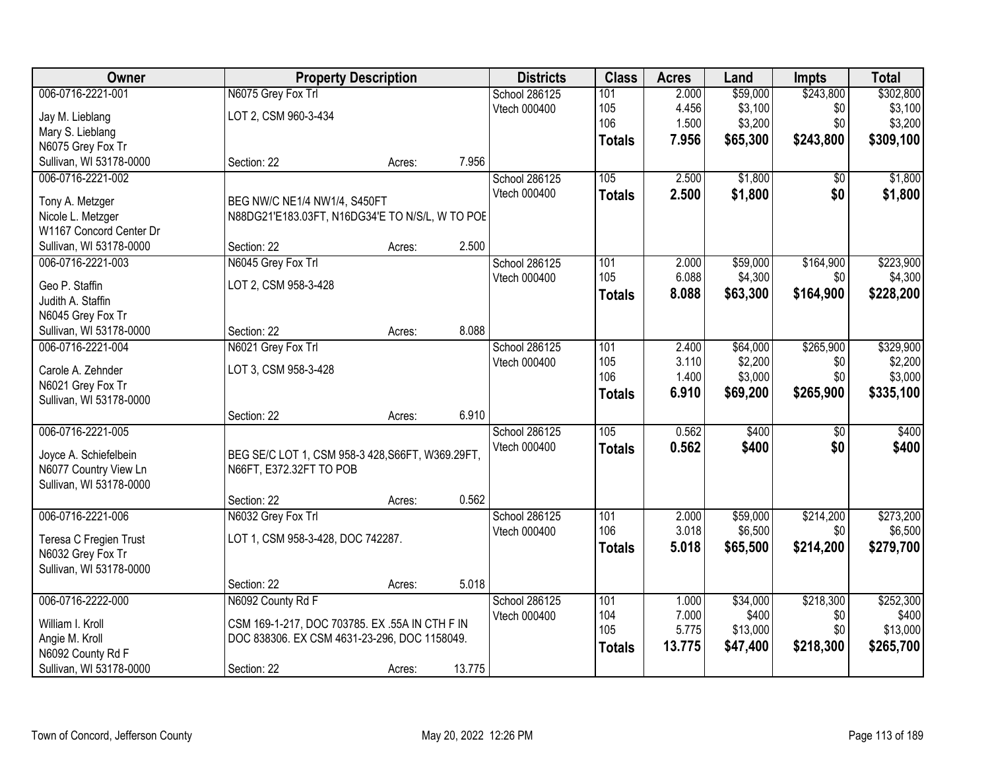| Owner                   |                                                  | <b>Property Description</b> |        | <b>Districts</b> | <b>Class</b>     | <b>Acres</b> | Land     | Impts           | <b>Total</b> |
|-------------------------|--------------------------------------------------|-----------------------------|--------|------------------|------------------|--------------|----------|-----------------|--------------|
| 006-0716-2221-001       | N6075 Grey Fox Trl                               |                             |        | School 286125    | 101              | 2.000        | \$59,000 | \$243,800       | \$302,800    |
| Jay M. Lieblang         | LOT 2, CSM 960-3-434                             |                             |        | Vtech 000400     | 105              | 4.456        | \$3,100  | \$0             | \$3,100      |
| Mary S. Lieblang        |                                                  |                             |        |                  | 106              | 1.500        | \$3,200  | \$0             | \$3,200      |
| N6075 Grey Fox Tr       |                                                  |                             |        |                  | <b>Totals</b>    | 7.956        | \$65,300 | \$243,800       | \$309,100    |
| Sullivan, WI 53178-0000 | Section: 22                                      | Acres:                      | 7.956  |                  |                  |              |          |                 |              |
| 006-0716-2221-002       |                                                  |                             |        | School 286125    | 105              | 2.500        | \$1,800  | $\overline{50}$ | \$1,800      |
|                         |                                                  |                             |        | Vtech 000400     | <b>Totals</b>    | 2.500        | \$1,800  | \$0             | \$1,800      |
| Tony A. Metzger         | BEG NW/C NE1/4 NW1/4, S450FT                     |                             |        |                  |                  |              |          |                 |              |
| Nicole L. Metzger       | N88DG21'E183.03FT, N16DG34'E TO N/S/L, W TO POE  |                             |        |                  |                  |              |          |                 |              |
| W1167 Concord Center Dr |                                                  |                             |        |                  |                  |              |          |                 |              |
| Sullivan, WI 53178-0000 | Section: 22                                      | Acres:                      | 2.500  |                  |                  |              |          |                 |              |
| 006-0716-2221-003       | N6045 Grey Fox Trl                               |                             |        | School 286125    | 101              | 2.000        | \$59,000 | \$164,900       | \$223,900    |
| Geo P. Staffin          | LOT 2, CSM 958-3-428                             |                             |        | Vtech 000400     | 105              | 6.088        | \$4,300  | \$0             | \$4,300      |
| Judith A. Staffin       |                                                  |                             |        |                  | Totals           | 8.088        | \$63,300 | \$164,900       | \$228,200    |
| N6045 Grey Fox Tr       |                                                  |                             |        |                  |                  |              |          |                 |              |
| Sullivan, WI 53178-0000 | Section: 22                                      | Acres:                      | 8.088  |                  |                  |              |          |                 |              |
| 006-0716-2221-004       | N6021 Grey Fox Trl                               |                             |        | School 286125    | 101              | 2.400        | \$64,000 | \$265,900       | \$329,900    |
|                         |                                                  |                             |        | Vtech 000400     | 105              | 3.110        | \$2,200  | \$0             | \$2,200      |
| Carole A. Zehnder       | LOT 3, CSM 958-3-428                             |                             |        |                  | 106              | 1.400        | \$3,000  | \$0             | \$3,000      |
| N6021 Grey Fox Tr       |                                                  |                             |        |                  | <b>Totals</b>    | 6.910        | \$69,200 | \$265,900       | \$335,100    |
| Sullivan, WI 53178-0000 |                                                  |                             |        |                  |                  |              |          |                 |              |
|                         | Section: 22                                      | Acres:                      | 6.910  |                  |                  |              |          |                 |              |
| 006-0716-2221-005       |                                                  |                             |        | School 286125    | $\overline{105}$ | 0.562        | \$400    | $\overline{50}$ | \$400        |
| Joyce A. Schiefelbein   | BEG SE/C LOT 1, CSM 958-3 428, S66FT, W369.29FT, |                             |        | Vtech 000400     | <b>Totals</b>    | 0.562        | \$400    | \$0             | \$400        |
| N6077 Country View Ln   | N66FT, E372.32FT TO POB                          |                             |        |                  |                  |              |          |                 |              |
| Sullivan, WI 53178-0000 |                                                  |                             |        |                  |                  |              |          |                 |              |
|                         | Section: 22                                      | Acres:                      | 0.562  |                  |                  |              |          |                 |              |
| 006-0716-2221-006       | N6032 Grey Fox Trl                               |                             |        | School 286125    | 101              | 2.000        | \$59,000 | \$214,200       | \$273,200    |
|                         |                                                  |                             |        | Vtech 000400     | 106              | 3.018        | \$6,500  | \$0             | \$6,500      |
| Teresa C Fregien Trust  | LOT 1, CSM 958-3-428, DOC 742287.                |                             |        |                  | <b>Totals</b>    | 5.018        | \$65,500 | \$214,200       | \$279,700    |
| N6032 Grey Fox Tr       |                                                  |                             |        |                  |                  |              |          |                 |              |
| Sullivan, WI 53178-0000 |                                                  |                             |        |                  |                  |              |          |                 |              |
|                         | Section: 22                                      | Acres:                      | 5.018  |                  |                  |              |          |                 |              |
| 006-0716-2222-000       | N6092 County Rd F                                |                             |        | School 286125    | 101              | 1.000        | \$34,000 | \$218,300       | \$252,300    |
| William I. Kroll        | CSM 169-1-217, DOC 703785. EX .55A IN CTH F IN   |                             |        | Vtech 000400     | 104              | 7.000        | \$400    | \$0             | \$400        |
| Angie M. Kroll          | DOC 838306. EX CSM 4631-23-296, DOC 1158049.     |                             |        |                  | 105              | 5.775        | \$13,000 | \$0             | \$13,000     |
| N6092 County Rd F       |                                                  |                             |        |                  | <b>Totals</b>    | 13.775       | \$47,400 | \$218,300       | \$265,700    |
| Sullivan, WI 53178-0000 | Section: 22                                      | Acres:                      | 13.775 |                  |                  |              |          |                 |              |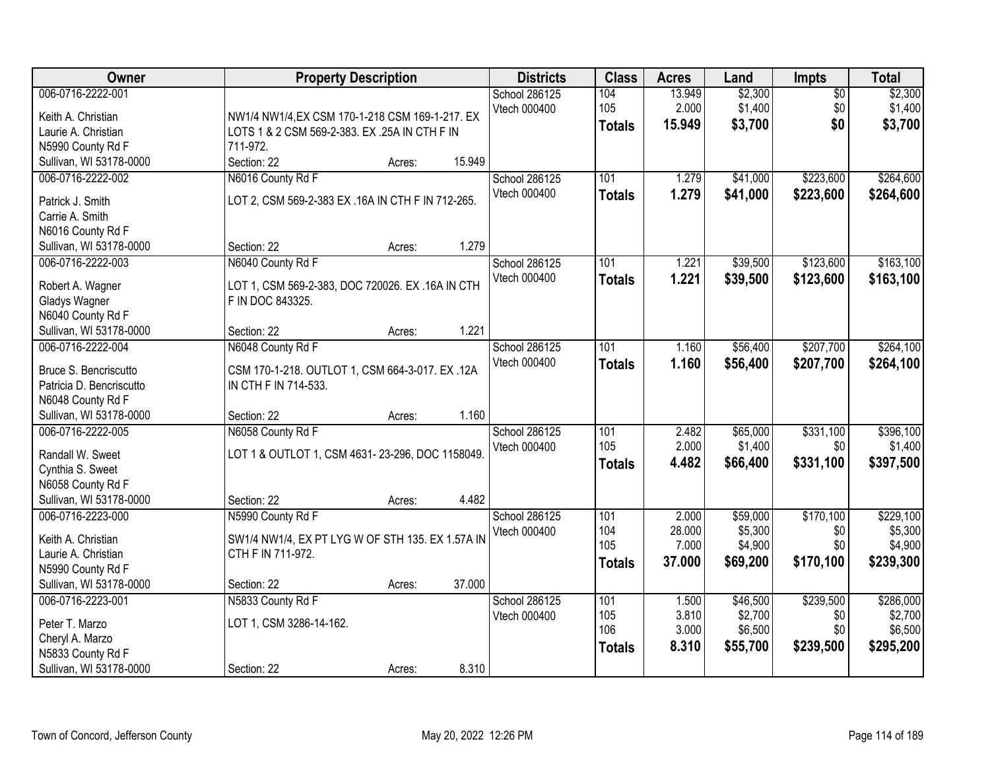| Owner                                     | <b>Property Description</b>                                           | <b>Districts</b> | <b>Class</b>  | <b>Acres</b> | Land     | Impts           | <b>Total</b> |
|-------------------------------------------|-----------------------------------------------------------------------|------------------|---------------|--------------|----------|-----------------|--------------|
| 006-0716-2222-001                         |                                                                       | School 286125    | 104           | 13.949       | \$2,300  | $\overline{50}$ | \$2,300      |
| Keith A. Christian                        | NW1/4 NW1/4, EX CSM 170-1-218 CSM 169-1-217. EX                       | Vtech 000400     | 105           | 2.000        | \$1,400  | \$0             | \$1,400      |
| Laurie A. Christian                       | LOTS 1 & 2 CSM 569-2-383. EX .25A IN CTH F IN                         |                  | <b>Totals</b> | 15.949       | \$3,700  | \$0             | \$3,700      |
| N5990 County Rd F                         | 711-972.                                                              |                  |               |              |          |                 |              |
| Sullivan, WI 53178-0000                   | 15.949<br>Section: 22<br>Acres:                                       |                  |               |              |          |                 |              |
| 006-0716-2222-002                         | N6016 County Rd F                                                     | School 286125    | 101           | 1.279        | \$41,000 | \$223,600       | \$264,600    |
| Patrick J. Smith                          | LOT 2, CSM 569-2-383 EX .16A IN CTH F IN 712-265.                     | Vtech 000400     | <b>Totals</b> | 1.279        | \$41,000 | \$223,600       | \$264,600    |
| Carrie A. Smith                           |                                                                       |                  |               |              |          |                 |              |
| N6016 County Rd F                         |                                                                       |                  |               |              |          |                 |              |
| Sullivan, WI 53178-0000                   | 1.279<br>Section: 22<br>Acres:                                        |                  |               |              |          |                 |              |
| 006-0716-2222-003                         | N6040 County Rd F                                                     | School 286125    | 101           | 1.221        | \$39,500 | \$123,600       | \$163,100    |
|                                           |                                                                       | Vtech 000400     | <b>Totals</b> | 1.221        | \$39,500 | \$123,600       | \$163,100    |
| Robert A. Wagner                          | LOT 1, CSM 569-2-383, DOC 720026. EX .16A IN CTH                      |                  |               |              |          |                 |              |
| Gladys Wagner                             | F IN DOC 843325.                                                      |                  |               |              |          |                 |              |
| N6040 County Rd F                         |                                                                       |                  |               |              |          |                 |              |
| Sullivan, WI 53178-0000                   | 1.221<br>Section: 22<br>Acres:                                        |                  |               |              |          |                 |              |
| 006-0716-2222-004                         | N6048 County Rd F                                                     | School 286125    | 101           | 1.160        | \$56,400 | \$207,700       | \$264,100    |
| Bruce S. Bencriscutto                     | CSM 170-1-218. OUTLOT 1, CSM 664-3-017. EX.12A                        | Vtech 000400     | <b>Totals</b> | 1.160        | \$56,400 | \$207,700       | \$264,100    |
| Patricia D. Bencriscutto                  | IN CTH F IN 714-533.                                                  |                  |               |              |          |                 |              |
| N6048 County Rd F                         |                                                                       |                  |               |              |          |                 |              |
| Sullivan, WI 53178-0000                   | 1.160<br>Section: 22<br>Acres:                                        |                  |               |              |          |                 |              |
| 006-0716-2222-005                         | N6058 County Rd F                                                     | School 286125    | 101           | 2.482        | \$65,000 | \$331,100       | \$396,100    |
| Randall W. Sweet                          | LOT 1 & OUTLOT 1, CSM 4631-23-296, DOC 1158049.                       | Vtech 000400     | 105           | 2.000        | \$1,400  | \$0             | \$1,400      |
| Cynthia S. Sweet                          |                                                                       |                  | <b>Totals</b> | 4.482        | \$66,400 | \$331,100       | \$397,500    |
| N6058 County Rd F                         |                                                                       |                  |               |              |          |                 |              |
| Sullivan, WI 53178-0000                   | 4.482<br>Section: 22<br>Acres:                                        |                  |               |              |          |                 |              |
| 006-0716-2223-000                         | N5990 County Rd F                                                     | School 286125    | 101           | 2.000        | \$59,000 | \$170,100       | \$229,100    |
|                                           |                                                                       | Vtech 000400     | 104           | 28.000       | \$5,300  | \$0             | \$5,300      |
| Keith A. Christian<br>Laurie A. Christian | SW1/4 NW1/4, EX PT LYG W OF STH 135. EX 1.57A IN<br>CTH F IN 711-972. |                  | 105           | 7.000        | \$4,900  | \$0             | \$4,900      |
| N5990 County Rd F                         |                                                                       |                  | <b>Totals</b> | 37,000       | \$69,200 | \$170,100       | \$239,300    |
| Sullivan, WI 53178-0000                   | 37.000<br>Section: 22<br>Acres:                                       |                  |               |              |          |                 |              |
| 006-0716-2223-001                         | N5833 County Rd F                                                     | School 286125    | 101           | 1.500        | \$46,500 | \$239,500       | \$286,000    |
|                                           |                                                                       | Vtech 000400     | 105           | 3.810        | \$2,700  | \$0             | \$2,700      |
| Peter T. Marzo                            | LOT 1, CSM 3286-14-162.                                               |                  | 106           | 3.000        | \$6,500  | \$0             | \$6,500      |
| Cheryl A. Marzo                           |                                                                       |                  | <b>Totals</b> | 8.310        | \$55,700 | \$239,500       | \$295,200    |
| N5833 County Rd F                         |                                                                       |                  |               |              |          |                 |              |
| Sullivan, WI 53178-0000                   | 8.310<br>Section: 22<br>Acres:                                        |                  |               |              |          |                 |              |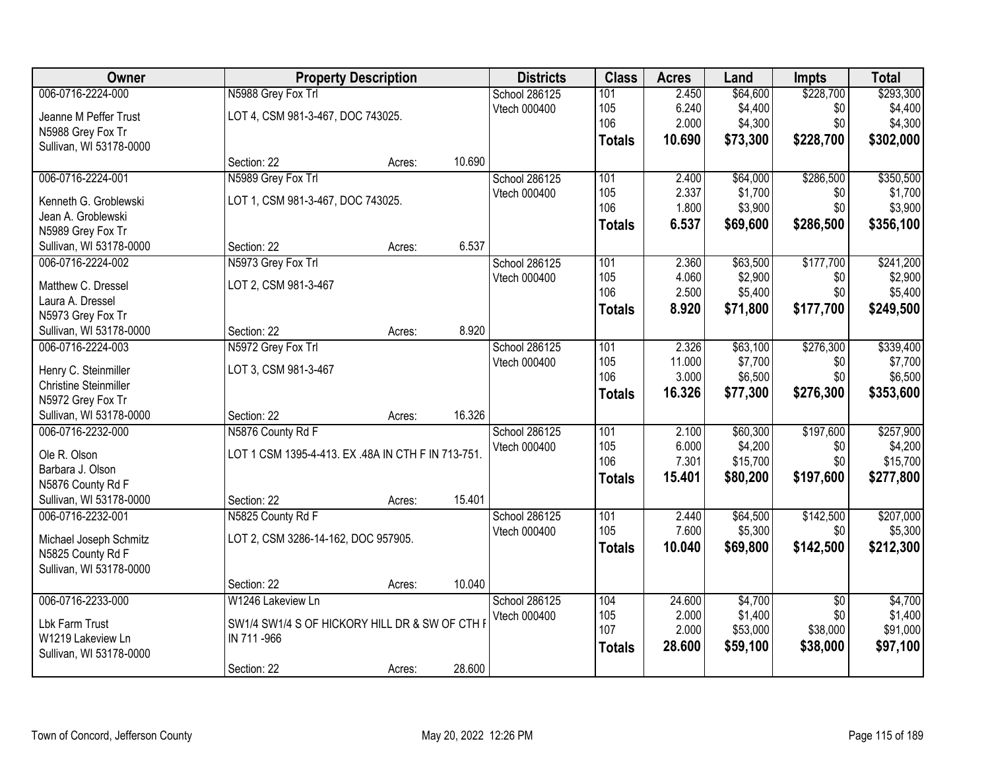| Owner                        |                                                    | <b>Property Description</b> |        | <b>Districts</b> | <b>Class</b>  | <b>Acres</b> | Land     | Impts           | <b>Total</b> |
|------------------------------|----------------------------------------------------|-----------------------------|--------|------------------|---------------|--------------|----------|-----------------|--------------|
| 006-0716-2224-000            | N5988 Grey Fox Trl                                 |                             |        | School 286125    | 101           | 2.450        | \$64,600 | \$228,700       | \$293,300    |
| Jeanne M Peffer Trust        | LOT 4, CSM 981-3-467, DOC 743025.                  |                             |        | Vtech 000400     | 105           | 6.240        | \$4,400  | \$0             | \$4,400      |
| N5988 Grey Fox Tr            |                                                    |                             |        |                  | 106           | 2.000        | \$4,300  | \$0             | \$4,300      |
| Sullivan, WI 53178-0000      |                                                    |                             |        |                  | <b>Totals</b> | 10.690       | \$73,300 | \$228,700       | \$302,000    |
|                              | Section: 22                                        | Acres:                      | 10.690 |                  |               |              |          |                 |              |
| 006-0716-2224-001            | N5989 Grey Fox Trl                                 |                             |        | School 286125    | 101           | 2.400        | \$64,000 | \$286,500       | \$350,500    |
| Kenneth G. Groblewski        | LOT 1, CSM 981-3-467, DOC 743025.                  |                             |        | Vtech 000400     | 105           | 2.337        | \$1,700  | \$0             | \$1,700      |
| Jean A. Groblewski           |                                                    |                             |        |                  | 106           | 1.800        | \$3,900  | \$0             | \$3,900      |
| N5989 Grey Fox Tr            |                                                    |                             |        |                  | <b>Totals</b> | 6.537        | \$69,600 | \$286,500       | \$356,100    |
| Sullivan, WI 53178-0000      | Section: 22                                        | Acres:                      | 6.537  |                  |               |              |          |                 |              |
| 006-0716-2224-002            | N5973 Grey Fox Trl                                 |                             |        | School 286125    | 101           | 2.360        | \$63,500 | \$177,700       | \$241,200    |
|                              |                                                    |                             |        | Vtech 000400     | 105           | 4.060        | \$2,900  | \$0             | \$2,900      |
| Matthew C. Dressel           | LOT 2, CSM 981-3-467                               |                             |        |                  | 106           | 2.500        | \$5,400  | \$0             | \$5,400      |
| Laura A. Dressel             |                                                    |                             |        |                  | <b>Totals</b> | 8.920        | \$71,800 | \$177,700       | \$249,500    |
| N5973 Grey Fox Tr            |                                                    |                             |        |                  |               |              |          |                 |              |
| Sullivan, WI 53178-0000      | Section: 22                                        | Acres:                      | 8.920  |                  |               |              |          |                 |              |
| 006-0716-2224-003            | N5972 Grey Fox Trl                                 |                             |        | School 286125    | 101           | 2.326        | \$63,100 | \$276,300       | \$339,400    |
| Henry C. Steinmiller         | LOT 3, CSM 981-3-467                               |                             |        | Vtech 000400     | 105           | 11.000       | \$7,700  | \$0             | \$7,700      |
| <b>Christine Steinmiller</b> |                                                    |                             |        |                  | 106           | 3.000        | \$6,500  | \$0             | \$6,500      |
| N5972 Grey Fox Tr            |                                                    |                             |        |                  | <b>Totals</b> | 16.326       | \$77,300 | \$276,300       | \$353,600    |
| Sullivan, WI 53178-0000      | Section: 22                                        | Acres:                      | 16.326 |                  |               |              |          |                 |              |
| 006-0716-2232-000            | N5876 County Rd F                                  |                             |        | School 286125    | 101           | 2.100        | \$60,300 | \$197,600       | \$257,900    |
| Ole R. Olson                 | LOT 1 CSM 1395-4-413. EX .48A IN CTH F IN 713-751. |                             |        | Vtech 000400     | 105           | 6.000        | \$4,200  | \$0             | \$4,200      |
| Barbara J. Olson             |                                                    |                             |        |                  | 106           | 7.301        | \$15,700 | \$0             | \$15,700     |
| N5876 County Rd F            |                                                    |                             |        |                  | <b>Totals</b> | 15.401       | \$80,200 | \$197,600       | \$277,800    |
| Sullivan, WI 53178-0000      | Section: 22                                        | Acres:                      | 15.401 |                  |               |              |          |                 |              |
| 006-0716-2232-001            | N5825 County Rd F                                  |                             |        | School 286125    | 101           | 2.440        | \$64,500 | \$142,500       | \$207,000    |
|                              |                                                    |                             |        | Vtech 000400     | 105           | 7.600        | \$5,300  | \$0             | \$5,300      |
| Michael Joseph Schmitz       | LOT 2, CSM 3286-14-162, DOC 957905.                |                             |        |                  | <b>Totals</b> | 10.040       | \$69,800 | \$142,500       | \$212,300    |
| N5825 County Rd F            |                                                    |                             |        |                  |               |              |          |                 |              |
| Sullivan, WI 53178-0000      |                                                    |                             |        |                  |               |              |          |                 |              |
|                              | Section: 22                                        | Acres:                      | 10.040 |                  |               |              |          |                 |              |
| 006-0716-2233-000            | W1246 Lakeview Ln                                  |                             |        | School 286125    | 104           | 24.600       | \$4,700  | $\overline{30}$ | \$4,700      |
| Lbk Farm Trust               | SW1/4 SW1/4 S OF HICKORY HILL DR & SW OF CTH I     |                             |        | Vtech 000400     | 105           | 2.000        | \$1,400  | \$0             | \$1,400      |
| W1219 Lakeview Ln            | IN 711-966                                         |                             |        |                  | 107           | 2.000        | \$53,000 | \$38,000        | \$91,000     |
| Sullivan, WI 53178-0000      |                                                    |                             |        |                  | <b>Totals</b> | 28.600       | \$59,100 | \$38,000        | \$97,100     |
|                              | Section: 22                                        | Acres:                      | 28.600 |                  |               |              |          |                 |              |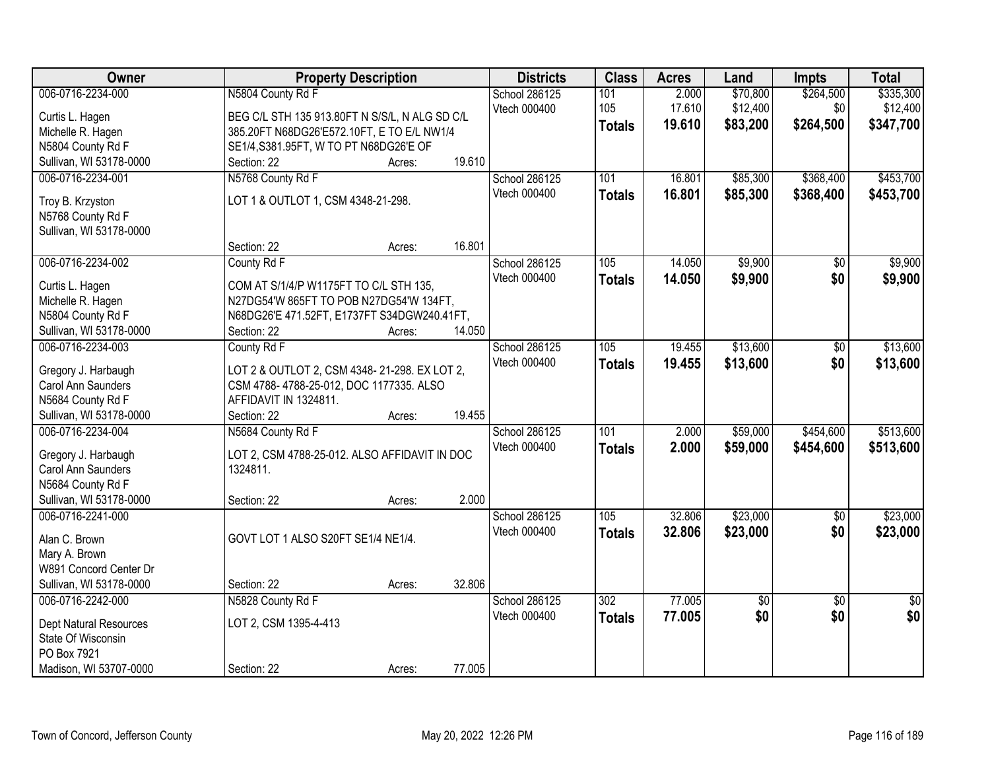| Owner                                        | <b>Property Description</b>                    |        |        | <b>Districts</b> | <b>Class</b>  | <b>Acres</b> | Land     | <b>Impts</b>    | <b>Total</b>    |
|----------------------------------------------|------------------------------------------------|--------|--------|------------------|---------------|--------------|----------|-----------------|-----------------|
| 006-0716-2234-000                            | N5804 County Rd F                              |        |        | School 286125    | 101           | 2.000        | \$70,800 | \$264,500       | \$335,300       |
| Curtis L. Hagen                              | BEG C/L STH 135 913.80FT N S/S/L, N ALG SD C/L |        |        | Vtech 000400     | 105           | 17.610       | \$12,400 | \$0             | \$12,400        |
| Michelle R. Hagen                            | 385.20FT N68DG26'E572.10FT, E TO E/L NW1/4     |        |        |                  | <b>Totals</b> | 19.610       | \$83,200 | \$264,500       | \$347,700       |
| N5804 County Rd F                            | SE1/4, S381.95FT, W TO PT N68DG26'E OF         |        |        |                  |               |              |          |                 |                 |
| Sullivan, WI 53178-0000                      | Section: 22                                    | Acres: | 19.610 |                  |               |              |          |                 |                 |
| 006-0716-2234-001                            | N5768 County Rd F                              |        |        | School 286125    | 101           | 16.801       | \$85,300 | \$368,400       | \$453,700       |
|                                              |                                                |        |        | Vtech 000400     | <b>Totals</b> | 16.801       | \$85,300 | \$368,400       | \$453,700       |
| Troy B. Krzyston                             | LOT 1 & OUTLOT 1, CSM 4348-21-298.             |        |        |                  |               |              |          |                 |                 |
| N5768 County Rd F                            |                                                |        |        |                  |               |              |          |                 |                 |
| Sullivan, WI 53178-0000                      |                                                |        | 16.801 |                  |               |              |          |                 |                 |
|                                              | Section: 22                                    | Acres: |        |                  |               |              |          |                 |                 |
| 006-0716-2234-002                            | County Rd F                                    |        |        | School 286125    | 105           | 14.050       | \$9,900  | $\overline{50}$ | \$9,900         |
| Curtis L. Hagen                              | COM AT S/1/4/P W1175FT TO C/L STH 135,         |        |        | Vtech 000400     | <b>Totals</b> | 14.050       | \$9,900  | \$0             | \$9,900         |
| Michelle R. Hagen                            | N27DG54'W 865FT TO POB N27DG54'W 134FT,        |        |        |                  |               |              |          |                 |                 |
| N5804 County Rd F                            | N68DG26'E 471.52FT, E1737FT S34DGW240.41FT,    |        |        |                  |               |              |          |                 |                 |
| Sullivan, WI 53178-0000                      | Section: 22                                    | Acres: | 14.050 |                  |               |              |          |                 |                 |
| 006-0716-2234-003                            | County Rd F                                    |        |        | School 286125    | 105           | 19.455       | \$13,600 | \$0             | \$13,600        |
|                                              |                                                |        |        | Vtech 000400     | <b>Totals</b> | 19.455       | \$13,600 | \$0             | \$13,600        |
| Gregory J. Harbaugh                          | LOT 2 & OUTLOT 2, CSM 4348-21-298. EX LOT 2,   |        |        |                  |               |              |          |                 |                 |
| Carol Ann Saunders                           | CSM 4788-4788-25-012, DOC 1177335. ALSO        |        |        |                  |               |              |          |                 |                 |
| N5684 County Rd F<br>Sullivan, WI 53178-0000 | AFFIDAVIT IN 1324811.                          |        | 19.455 |                  |               |              |          |                 |                 |
| 006-0716-2234-004                            | Section: 22<br>N5684 County Rd F               | Acres: |        |                  | 101           | 2.000        | \$59,000 | \$454,600       | \$513,600       |
|                                              |                                                |        |        | School 286125    |               |              |          |                 |                 |
| Gregory J. Harbaugh                          | LOT 2, CSM 4788-25-012. ALSO AFFIDAVIT IN DOC  |        |        | Vtech 000400     | <b>Totals</b> | 2.000        | \$59,000 | \$454,600       | \$513,600       |
| Carol Ann Saunders                           | 1324811.                                       |        |        |                  |               |              |          |                 |                 |
| N5684 County Rd F                            |                                                |        |        |                  |               |              |          |                 |                 |
| Sullivan, WI 53178-0000                      | Section: 22                                    | Acres: | 2.000  |                  |               |              |          |                 |                 |
| 006-0716-2241-000                            |                                                |        |        | School 286125    | 105           | 32.806       | \$23,000 | $\overline{50}$ | \$23,000        |
| Alan C. Brown                                | GOVT LOT 1 ALSO S20FT SE1/4 NE1/4.             |        |        | Vtech 000400     | <b>Totals</b> | 32.806       | \$23,000 | \$0             | \$23,000        |
| Mary A. Brown                                |                                                |        |        |                  |               |              |          |                 |                 |
| W891 Concord Center Dr                       |                                                |        |        |                  |               |              |          |                 |                 |
| Sullivan, WI 53178-0000                      | Section: 22                                    | Acres: | 32.806 |                  |               |              |          |                 |                 |
| 006-0716-2242-000                            | N5828 County Rd F                              |        |        | School 286125    | 302           | 77.005       | \$0      | $\overline{50}$ | $\overline{50}$ |
|                                              |                                                |        |        | Vtech 000400     | <b>Totals</b> | 77.005       | \$0      | \$0             | \$0             |
| <b>Dept Natural Resources</b>                | LOT 2, CSM 1395-4-413                          |        |        |                  |               |              |          |                 |                 |
| State Of Wisconsin                           |                                                |        |        |                  |               |              |          |                 |                 |
| PO Box 7921                                  |                                                |        |        |                  |               |              |          |                 |                 |
| Madison, WI 53707-0000                       | Section: 22                                    | Acres: | 77.005 |                  |               |              |          |                 |                 |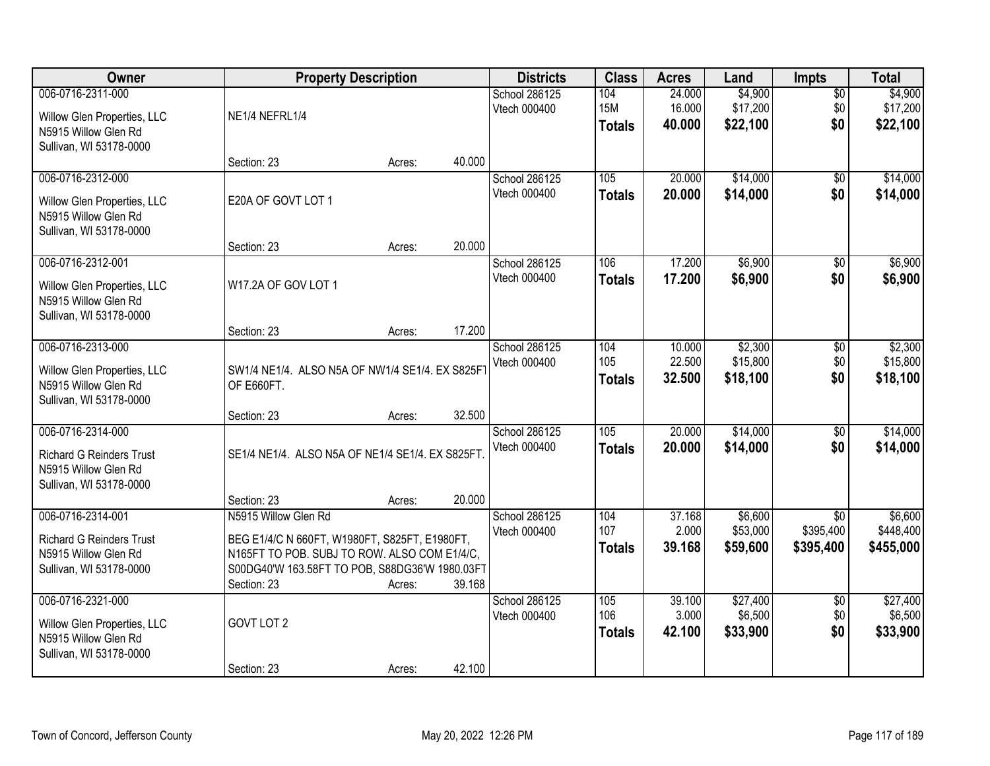| Owner                                                                                                   |                                                                                                                                                                                        | <b>Property Description</b> |        | <b>Districts</b>                     | <b>Class</b>                       | <b>Acres</b>               | Land                            | <b>Impts</b>                              | <b>Total</b>                      |
|---------------------------------------------------------------------------------------------------------|----------------------------------------------------------------------------------------------------------------------------------------------------------------------------------------|-----------------------------|--------|--------------------------------------|------------------------------------|----------------------------|---------------------------------|-------------------------------------------|-----------------------------------|
| 006-0716-2311-000<br>Willow Glen Properties, LLC<br>N5915 Willow Glen Rd<br>Sullivan, WI 53178-0000     | NE1/4 NEFRL1/4                                                                                                                                                                         |                             |        | <b>School 286125</b><br>Vtech 000400 | 104<br><b>15M</b><br><b>Totals</b> | 24.000<br>16.000<br>40.000 | \$4,900<br>\$17,200<br>\$22,100 | $\overline{50}$<br>\$0<br>\$0             | \$4,900<br>\$17,200<br>\$22,100   |
|                                                                                                         | Section: 23                                                                                                                                                                            | Acres:                      | 40.000 |                                      |                                    |                            |                                 |                                           |                                   |
| 006-0716-2312-000<br>Willow Glen Properties, LLC<br>N5915 Willow Glen Rd<br>Sullivan, WI 53178-0000     | E20A OF GOVT LOT 1                                                                                                                                                                     |                             |        | <b>School 286125</b><br>Vtech 000400 | 105<br><b>Totals</b>               | 20.000<br>20.000           | \$14,000<br>\$14,000            | \$0<br>\$0                                | \$14,000<br>\$14,000              |
| 006-0716-2312-001                                                                                       | Section: 23                                                                                                                                                                            | Acres:                      | 20.000 |                                      | 106                                | 17.200                     | \$6,900                         |                                           | \$6,900                           |
| Willow Glen Properties, LLC<br>N5915 Willow Glen Rd<br>Sullivan, WI 53178-0000                          | W17.2A OF GOV LOT 1                                                                                                                                                                    |                             |        | School 286125<br>Vtech 000400        | <b>Totals</b>                      | 17.200                     | \$6,900                         | \$0<br>\$0                                | \$6,900                           |
|                                                                                                         | Section: 23                                                                                                                                                                            | Acres:                      | 17.200 |                                      |                                    |                            |                                 |                                           |                                   |
| 006-0716-2313-000<br>Willow Glen Properties, LLC<br>N5915 Willow Glen Rd<br>Sullivan, WI 53178-0000     | SW1/4 NE1/4. ALSO N5A OF NW1/4 SE1/4. EX S825F<br>OF E660FT.                                                                                                                           |                             |        | School 286125<br>Vtech 000400        | 104<br>105<br><b>Totals</b>        | 10.000<br>22.500<br>32.500 | \$2,300<br>\$15,800<br>\$18,100 | \$0<br>\$0<br>\$0                         | \$2,300<br>\$15,800<br>\$18,100   |
|                                                                                                         | Section: 23                                                                                                                                                                            | Acres:                      | 32.500 |                                      |                                    |                            |                                 |                                           |                                   |
| 006-0716-2314-000<br><b>Richard G Reinders Trust</b><br>N5915 Willow Glen Rd<br>Sullivan, WI 53178-0000 | SE1/4 NE1/4. ALSO N5A OF NE1/4 SE1/4. EX S825FT                                                                                                                                        |                             |        | School 286125<br>Vtech 000400        | 105<br><b>Totals</b>               | 20.000<br>20.000           | \$14,000<br>\$14,000            | $\overline{30}$<br>\$0                    | \$14,000<br>\$14,000              |
|                                                                                                         | Section: 23                                                                                                                                                                            | Acres:                      | 20.000 |                                      |                                    |                            |                                 |                                           |                                   |
| 006-0716-2314-001<br><b>Richard G Reinders Trust</b><br>N5915 Willow Glen Rd<br>Sullivan, WI 53178-0000 | N5915 Willow Glen Rd<br>BEG E1/4/C N 660FT, W1980FT, S825FT, E1980FT,<br>N165FT TO POB. SUBJ TO ROW. ALSO COM E1/4/C,<br>S00DG40'W 163.58FT TO POB, S88DG36'W 1980.03FT<br>Section: 23 | Acres:                      | 39.168 | School 286125<br>Vtech 000400        | 104<br>107<br><b>Totals</b>        | 37.168<br>2.000<br>39.168  | \$6,600<br>\$53,000<br>\$59,600 | $\overline{50}$<br>\$395,400<br>\$395,400 | \$6,600<br>\$448,400<br>\$455,000 |
| 006-0716-2321-000<br>Willow Glen Properties, LLC<br>N5915 Willow Glen Rd<br>Sullivan, WI 53178-0000     | GOVT LOT 2<br>Section: 23                                                                                                                                                              | Acres:                      | 42.100 | School 286125<br>Vtech 000400        | 105<br>106<br><b>Totals</b>        | 39.100<br>3.000<br>42.100  | \$27,400<br>\$6,500<br>\$33,900 | $\overline{50}$<br>\$0<br>\$0             | \$27,400<br>\$6,500<br>\$33,900   |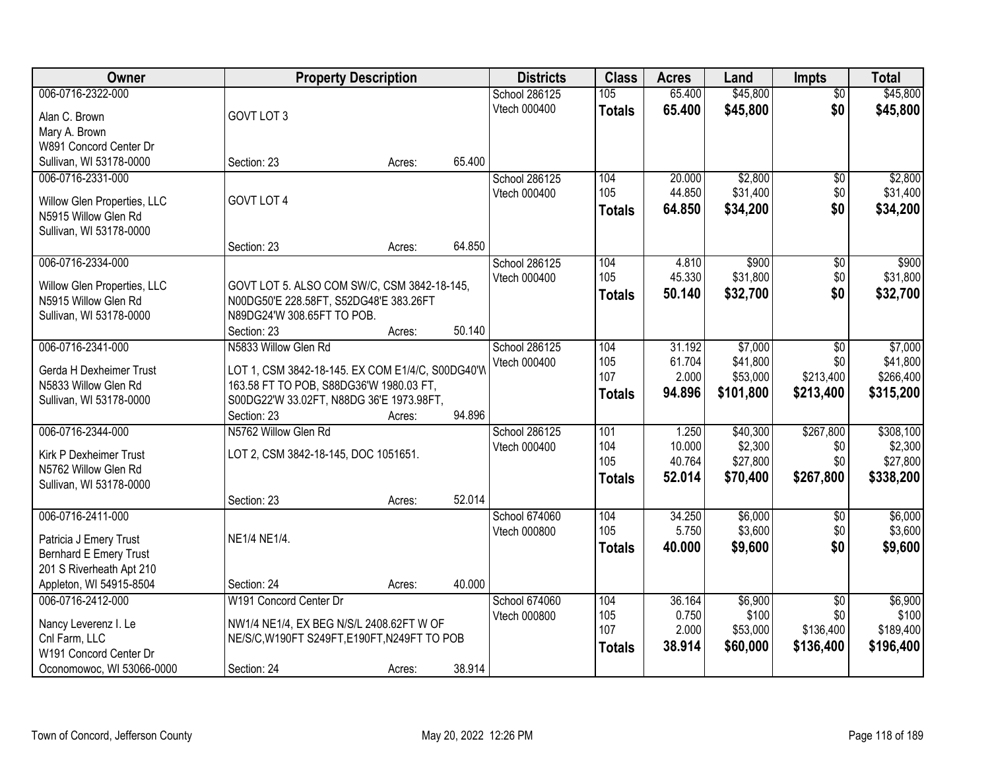| Owner                                               | <b>Property Description</b>                                                           |        |        | <b>Districts</b> | <b>Class</b>  | <b>Acres</b> | Land      | <b>Impts</b>        | <b>Total</b> |
|-----------------------------------------------------|---------------------------------------------------------------------------------------|--------|--------|------------------|---------------|--------------|-----------|---------------------|--------------|
| 006-0716-2322-000                                   |                                                                                       |        |        | School 286125    | 105           | 65.400       | \$45,800  | $\overline{50}$     | \$45,800     |
| Alan C. Brown                                       | GOVT LOT 3                                                                            |        |        | Vtech 000400     | <b>Totals</b> | 65.400       | \$45,800  | \$0                 | \$45,800     |
| Mary A. Brown                                       |                                                                                       |        |        |                  |               |              |           |                     |              |
| W891 Concord Center Dr                              |                                                                                       |        |        |                  |               |              |           |                     |              |
| Sullivan, WI 53178-0000                             | Section: 23                                                                           | Acres: | 65.400 |                  |               |              |           |                     |              |
| 006-0716-2331-000                                   |                                                                                       |        |        | School 286125    | 104           | 20.000       | \$2,800   | \$0                 | \$2,800      |
|                                                     |                                                                                       |        |        | Vtech 000400     | 105           | 44.850       | \$31,400  | \$0                 | \$31,400     |
| Willow Glen Properties, LLC                         | GOVT LOT 4                                                                            |        |        |                  |               | 64.850       |           | \$0                 |              |
| N5915 Willow Glen Rd                                |                                                                                       |        |        |                  | <b>Totals</b> |              | \$34,200  |                     | \$34,200     |
| Sullivan, WI 53178-0000                             |                                                                                       |        |        |                  |               |              |           |                     |              |
|                                                     | Section: 23                                                                           | Acres: | 64.850 |                  |               |              |           |                     |              |
| 006-0716-2334-000                                   |                                                                                       |        |        | School 286125    | 104           | 4.810        | \$900     | $\sqrt[6]{3}$       | \$900        |
|                                                     |                                                                                       |        |        | Vtech 000400     | 105           | 45.330       | \$31,800  | \$0                 | \$31,800     |
| Willow Glen Properties, LLC<br>N5915 Willow Glen Rd | GOVT LOT 5. ALSO COM SW/C, CSM 3842-18-145,<br>N00DG50'E 228.58FT, S52DG48'E 383.26FT |        |        |                  | <b>Totals</b> | 50.140       | \$32,700  | \$0                 | \$32,700     |
|                                                     | N89DG24'W 308.65FT TO POB.                                                            |        |        |                  |               |              |           |                     |              |
| Sullivan, WI 53178-0000                             | Section: 23                                                                           | Acres: | 50.140 |                  |               |              |           |                     |              |
| 006-0716-2341-000                                   | N5833 Willow Glen Rd                                                                  |        |        | School 286125    | 104           | 31.192       | \$7,000   |                     | \$7,000      |
|                                                     |                                                                                       |        |        | Vtech 000400     | 105           | 61.704       | \$41,800  | $\sqrt[6]{}$<br>\$0 | \$41,800     |
| Gerda H Dexheimer Trust                             | LOT 1, CSM 3842-18-145. EX COM E1/4/C, S00DG40'W                                      |        |        |                  | 107           | 2.000        | \$53,000  | \$213,400           | \$266,400    |
| N5833 Willow Glen Rd                                | 163.58 FT TO POB, S88DG36'W 1980.03 FT,                                               |        |        |                  |               |              |           |                     |              |
| Sullivan, WI 53178-0000                             | S00DG22'W 33.02FT, N88DG 36'E 1973.98FT,                                              |        |        |                  | <b>Totals</b> | 94.896       | \$101,800 | \$213,400           | \$315,200    |
|                                                     | Section: 23                                                                           | Acres: | 94.896 |                  |               |              |           |                     |              |
| 006-0716-2344-000                                   | N5762 Willow Glen Rd                                                                  |        |        | School 286125    | 101           | 1.250        | \$40,300  | \$267,800           | \$308,100    |
|                                                     |                                                                                       |        |        | Vtech 000400     | 104           | 10.000       | \$2,300   | \$0                 | \$2,300      |
| Kirk P Dexheimer Trust<br>N5762 Willow Glen Rd      | LOT 2, CSM 3842-18-145, DOC 1051651.                                                  |        |        |                  | 105           | 40.764       | \$27,800  | \$0                 | \$27,800     |
| Sullivan, WI 53178-0000                             |                                                                                       |        |        |                  | <b>Totals</b> | 52.014       | \$70,400  | \$267,800           | \$338,200    |
|                                                     |                                                                                       |        | 52.014 |                  |               |              |           |                     |              |
| 006-0716-2411-000                                   | Section: 23                                                                           | Acres: |        | School 674060    | 104           | 34.250       | \$6,000   |                     | \$6,000      |
|                                                     |                                                                                       |        |        | Vtech 000800     | 105           | 5.750        | \$3,600   | \$0<br>\$0          | \$3,600      |
| Patricia J Emery Trust                              | NE1/4 NE1/4.                                                                          |        |        |                  |               |              |           |                     |              |
| <b>Bernhard E Emery Trust</b>                       |                                                                                       |        |        |                  | <b>Totals</b> | 40.000       | \$9,600   | \$0                 | \$9,600      |
| 201 S Riverheath Apt 210                            |                                                                                       |        |        |                  |               |              |           |                     |              |
| Appleton, WI 54915-8504                             | Section: 24                                                                           | Acres: | 40.000 |                  |               |              |           |                     |              |
| 006-0716-2412-000                                   | W191 Concord Center Dr                                                                |        |        | School 674060    | 104           | 36.164       | \$6,900   | $\overline{50}$     | \$6,900      |
|                                                     | NW1/4 NE1/4, EX BEG N/S/L 2408.62FT W OF                                              |        |        | Vtech 000800     | 105           | 0.750        | \$100     | \$0                 | \$100        |
| Nancy Leverenz I. Le<br>Cnl Farm, LLC               |                                                                                       |        |        |                  | 107           | 2.000        | \$53,000  | \$136,400           | \$189,400    |
| W191 Concord Center Dr                              | NE/S/C, W190FT S249FT, E190FT, N249FT TO POB                                          |        |        |                  | <b>Totals</b> | 38.914       | \$60,000  | \$136,400           | \$196,400    |
|                                                     |                                                                                       |        | 38.914 |                  |               |              |           |                     |              |
| Oconomowoc, WI 53066-0000                           | Section: 24                                                                           | Acres: |        |                  |               |              |           |                     |              |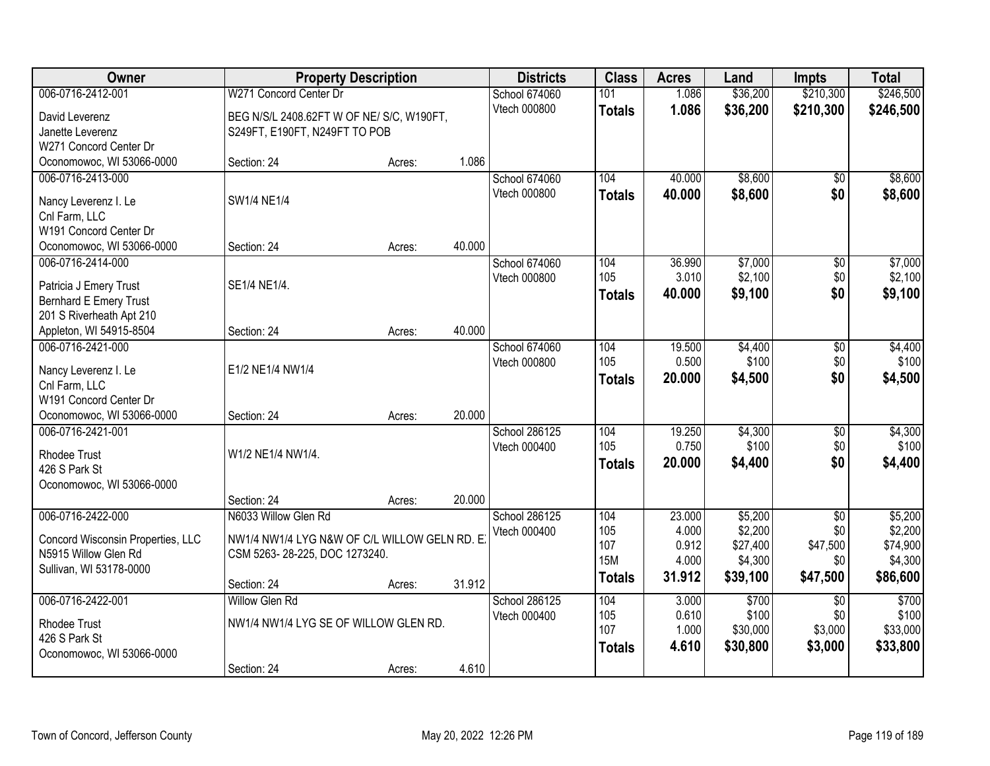| Owner                                          |                                               | <b>Property Description</b> |        | <b>Districts</b>     | <b>Class</b>  | <b>Acres</b> | Land     | <b>Impts</b>    | <b>Total</b> |
|------------------------------------------------|-----------------------------------------------|-----------------------------|--------|----------------------|---------------|--------------|----------|-----------------|--------------|
| 006-0716-2412-001                              | W271 Concord Center Dr                        |                             |        | School 674060        | 101           | 1.086        | \$36,200 | \$210,300       | \$246,500    |
| David Leverenz                                 | BEG N/S/L 2408.62FT W OF NE/ S/C, W190FT,     |                             |        | Vtech 000800         | <b>Totals</b> | 1.086        | \$36,200 | \$210,300       | \$246,500    |
| Janette Leverenz                               | S249FT, E190FT, N249FT TO POB                 |                             |        |                      |               |              |          |                 |              |
| W271 Concord Center Dr                         |                                               |                             |        |                      |               |              |          |                 |              |
| Oconomowoc, WI 53066-0000                      | Section: 24                                   | Acres:                      | 1.086  |                      |               |              |          |                 |              |
| 006-0716-2413-000                              |                                               |                             |        | <b>School 674060</b> | 104           | 40.000       | \$8,600  | $\overline{50}$ | \$8,600      |
|                                                | SW1/4 NE1/4                                   |                             |        | Vtech 000800         | <b>Totals</b> | 40.000       | \$8,600  | \$0             | \$8,600      |
| Nancy Leverenz I. Le                           |                                               |                             |        |                      |               |              |          |                 |              |
| Cnl Farm, LLC<br>W191 Concord Center Dr        |                                               |                             |        |                      |               |              |          |                 |              |
|                                                | Section: 24                                   |                             | 40.000 |                      |               |              |          |                 |              |
| Oconomowoc, WI 53066-0000<br>006-0716-2414-000 |                                               | Acres:                      |        | School 674060        | 104           | 36.990       | \$7,000  |                 | \$7,000      |
|                                                |                                               |                             |        | Vtech 000800         | 105           | 3.010        | \$2,100  | \$0<br>\$0      | \$2,100      |
| Patricia J Emery Trust                         | SE1/4 NE1/4.                                  |                             |        |                      |               | 40.000       | \$9,100  | \$0             |              |
| <b>Bernhard E Emery Trust</b>                  |                                               |                             |        |                      | <b>Totals</b> |              |          |                 | \$9,100      |
| 201 S Riverheath Apt 210                       |                                               |                             |        |                      |               |              |          |                 |              |
| Appleton, WI 54915-8504                        | Section: 24                                   | Acres:                      | 40.000 |                      |               |              |          |                 |              |
| 006-0716-2421-000                              |                                               |                             |        | School 674060        | 104           | 19.500       | \$4,400  | \$0             | \$4,400      |
| Nancy Leverenz I. Le                           | E1/2 NE1/4 NW1/4                              |                             |        | Vtech 000800         | 105           | 0.500        | \$100    | \$0             | \$100        |
| Cnl Farm, LLC                                  |                                               |                             |        |                      | <b>Totals</b> | 20.000       | \$4,500  | \$0             | \$4,500      |
| W191 Concord Center Dr                         |                                               |                             |        |                      |               |              |          |                 |              |
| Oconomowoc, WI 53066-0000                      | Section: 24                                   | Acres:                      | 20.000 |                      |               |              |          |                 |              |
| 006-0716-2421-001                              |                                               |                             |        | School 286125        | 104           | 19.250       | \$4,300  | $\overline{50}$ | \$4,300      |
|                                                |                                               |                             |        | Vtech 000400         | 105           | 0.750        | \$100    | \$0             | \$100        |
| <b>Rhodee Trust</b>                            | W1/2 NE1/4 NW1/4.                             |                             |        |                      | Totals        | 20.000       | \$4,400  | \$0             | \$4,400      |
| 426 S Park St                                  |                                               |                             |        |                      |               |              |          |                 |              |
| Oconomowoc, WI 53066-0000                      |                                               |                             |        |                      |               |              |          |                 |              |
|                                                | Section: 24                                   | Acres:                      | 20.000 |                      |               |              |          |                 |              |
| 006-0716-2422-000                              | N6033 Willow Glen Rd                          |                             |        | School 286125        | 104           | 23.000       | \$5,200  | $\overline{30}$ | \$5,200      |
| Concord Wisconsin Properties, LLC              | NW1/4 NW1/4 LYG N&W OF C/L WILLOW GELN RD. E. |                             |        | Vtech 000400         | 105           | 4.000        | \$2,200  | \$0             | \$2,200      |
| N5915 Willow Glen Rd                           | CSM 5263-28-225, DOC 1273240.                 |                             |        |                      | 107           | 0.912        | \$27,400 | \$47,500        | \$74,900     |
| Sullivan, WI 53178-0000                        |                                               |                             |        |                      | <b>15M</b>    | 4.000        | \$4,300  | \$0             | \$4,300      |
|                                                | Section: 24                                   | Acres:                      | 31.912 |                      | <b>Totals</b> | 31.912       | \$39,100 | \$47,500        | \$86,600     |
| 006-0716-2422-001                              | <b>Willow Glen Rd</b>                         |                             |        | School 286125        | 104           | 3.000        | \$700    | $\overline{30}$ | \$700        |
|                                                |                                               |                             |        | Vtech 000400         | 105           | 0.610        | \$100    | \$0             | \$100        |
| <b>Rhodee Trust</b>                            | NW1/4 NW1/4 LYG SE OF WILLOW GLEN RD.         |                             |        |                      | 107           | 1.000        | \$30,000 | \$3,000         | \$33,000     |
| 426 S Park St                                  |                                               |                             |        |                      | <b>Totals</b> | 4.610        | \$30,800 | \$3,000         | \$33,800     |
| Oconomowoc, WI 53066-0000                      |                                               |                             |        |                      |               |              |          |                 |              |
|                                                | Section: 24                                   | Acres:                      | 4.610  |                      |               |              |          |                 |              |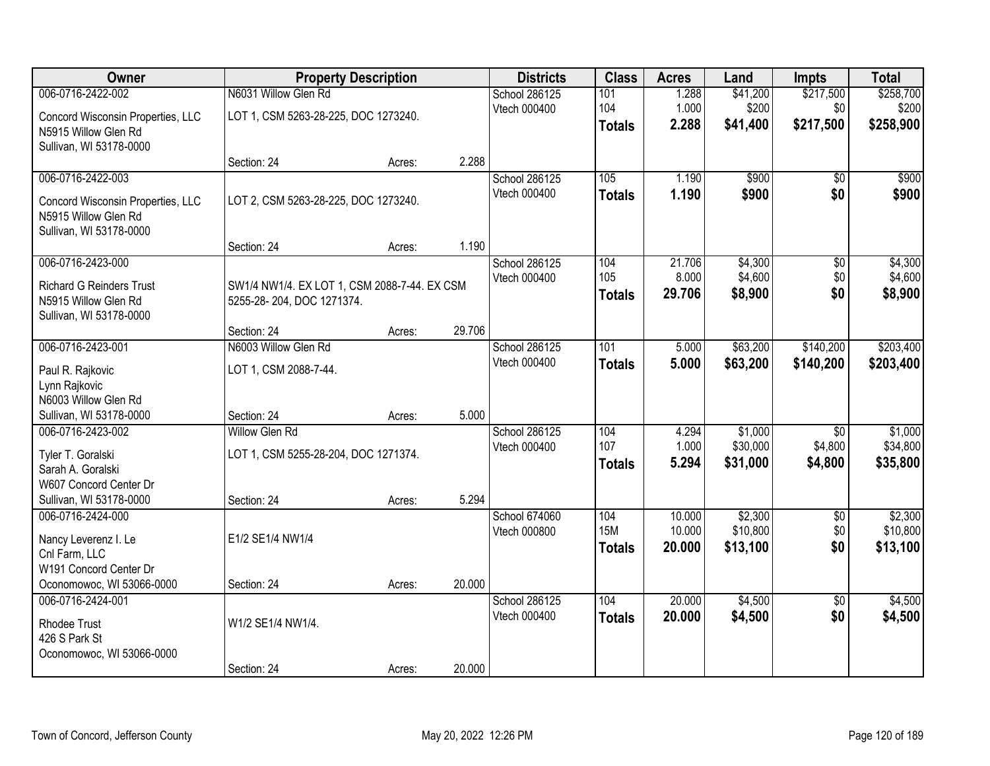| Owner                                                                                                             |                                                                              | <b>Property Description</b> |        | <b>Districts</b>              | <b>Class</b>                       | <b>Acres</b>               | Land                            | <b>Impts</b>                          | <b>Total</b>                    |
|-------------------------------------------------------------------------------------------------------------------|------------------------------------------------------------------------------|-----------------------------|--------|-------------------------------|------------------------------------|----------------------------|---------------------------------|---------------------------------------|---------------------------------|
| 006-0716-2422-002                                                                                                 | N6031 Willow Glen Rd                                                         |                             |        | School 286125                 | 101                                | 1.288                      | \$41,200                        | \$217,500                             | \$258,700                       |
| Concord Wisconsin Properties, LLC<br>N5915 Willow Glen Rd<br>Sullivan, WI 53178-0000                              | LOT 1, CSM 5263-28-225, DOC 1273240.                                         |                             |        | Vtech 000400                  | 104<br><b>Totals</b>               | 1.000<br>2.288             | \$200<br>\$41,400               | \$0<br>\$217,500                      | \$200<br>\$258,900              |
|                                                                                                                   | Section: 24                                                                  | Acres:                      | 2.288  |                               |                                    |                            |                                 |                                       |                                 |
| 006-0716-2422-003<br>Concord Wisconsin Properties, LLC<br>N5915 Willow Glen Rd<br>Sullivan, WI 53178-0000         | LOT 2, CSM 5263-28-225, DOC 1273240.                                         |                             |        | School 286125<br>Vtech 000400 | 105<br><b>Totals</b>               | 1.190<br>1.190             | \$900<br>\$900                  | \$0<br>\$0                            | \$900<br>\$900                  |
|                                                                                                                   | Section: 24                                                                  | Acres:                      | 1.190  |                               |                                    |                            |                                 |                                       |                                 |
| 006-0716-2423-000<br><b>Richard G Reinders Trust</b><br>N5915 Willow Glen Rd<br>Sullivan, WI 53178-0000           | SW1/4 NW1/4. EX LOT 1, CSM 2088-7-44. EX CSM<br>5255-28-204, DOC 1271374.    |                             |        | School 286125<br>Vtech 000400 | 104<br>105<br><b>Totals</b>        | 21.706<br>8.000<br>29.706  | \$4,300<br>\$4,600<br>\$8,900   | $\overline{50}$<br>\$0<br>\$0         | \$4,300<br>\$4,600<br>\$8,900   |
|                                                                                                                   | Section: 24                                                                  | Acres:                      | 29.706 |                               |                                    |                            |                                 |                                       |                                 |
| 006-0716-2423-001<br>Paul R. Rajkovic<br>Lynn Rajkovic                                                            | N6003 Willow Glen Rd<br>LOT 1, CSM 2088-7-44.                                |                             |        | School 286125<br>Vtech 000400 | 101<br><b>Totals</b>               | 5.000<br>5.000             | \$63,200<br>\$63,200            | \$140,200<br>\$140,200                | \$203,400<br>\$203,400          |
| N6003 Willow Glen Rd<br>Sullivan, WI 53178-0000                                                                   | Section: 24                                                                  | Acres:                      | 5.000  |                               |                                    |                            |                                 |                                       |                                 |
| 006-0716-2423-002<br>Tyler T. Goralski<br>Sarah A. Goralski<br>W607 Concord Center Dr<br>Sullivan, WI 53178-0000  | <b>Willow Glen Rd</b><br>LOT 1, CSM 5255-28-204, DOC 1271374.<br>Section: 24 | Acres:                      | 5.294  | School 286125<br>Vtech 000400 | 104<br>107<br><b>Totals</b>        | 4.294<br>1.000<br>5.294    | \$1,000<br>\$30,000<br>\$31,000 | $\overline{30}$<br>\$4,800<br>\$4,800 | \$1,000<br>\$34,800<br>\$35,800 |
| 006-0716-2424-000<br>Nancy Leverenz I. Le<br>Cnl Farm, LLC<br>W191 Concord Center Dr<br>Oconomowoc, WI 53066-0000 | E1/2 SE1/4 NW1/4<br>Section: 24                                              | Acres:                      | 20.000 | School 674060<br>Vtech 000800 | 104<br><b>15M</b><br><b>Totals</b> | 10.000<br>10.000<br>20.000 | \$2,300<br>\$10,800<br>\$13,100 | $\sqrt{6}$<br>\$0<br>\$0              | \$2,300<br>\$10,800<br>\$13,100 |
| 006-0716-2424-001                                                                                                 |                                                                              |                             |        | School 286125                 | 104                                | 20.000                     | \$4,500                         | $\overline{50}$                       | \$4,500                         |
| <b>Rhodee Trust</b><br>426 S Park St<br>Oconomowoc, WI 53066-0000                                                 | W1/2 SE1/4 NW1/4.                                                            |                             |        | Vtech 000400                  | <b>Totals</b>                      | 20.000                     | \$4,500                         | \$0                                   | \$4,500                         |
|                                                                                                                   | Section: 24                                                                  | Acres:                      | 20.000 |                               |                                    |                            |                                 |                                       |                                 |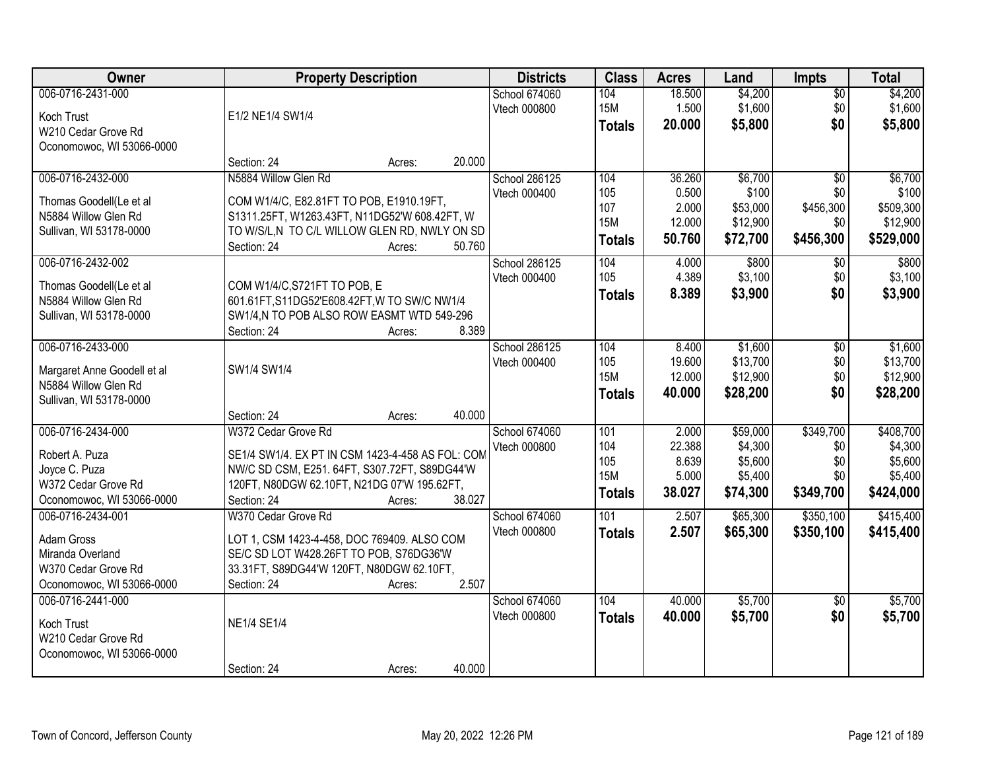| Owner                       | <b>Property Description</b>                      |        | <b>Districts</b> | <b>Class</b>  | <b>Acres</b> | Land     | <b>Impts</b>    | <b>Total</b> |
|-----------------------------|--------------------------------------------------|--------|------------------|---------------|--------------|----------|-----------------|--------------|
| 006-0716-2431-000           |                                                  |        | School 674060    | 104           | 18.500       | \$4,200  | $\sqrt{$0}$     | \$4,200      |
| Koch Trust                  | E1/2 NE1/4 SW1/4                                 |        | Vtech 000800     | <b>15M</b>    | 1.500        | \$1,600  | \$0             | \$1,600      |
| W210 Cedar Grove Rd         |                                                  |        |                  | <b>Totals</b> | 20.000       | \$5,800  | \$0             | \$5,800      |
| Oconomowoc, WI 53066-0000   |                                                  |        |                  |               |              |          |                 |              |
|                             | Section: 24<br>Acres:                            | 20.000 |                  |               |              |          |                 |              |
| 006-0716-2432-000           | N5884 Willow Glen Rd                             |        | School 286125    | 104           | 36.260       | \$6,700  | $\overline{50}$ | \$6,700      |
| Thomas Goodell(Le et al     | COM W1/4/C, E82.81FT TO POB, E1910.19FT,         |        | Vtech 000400     | 105           | 0.500        | \$100    | \$0             | \$100        |
| N5884 Willow Glen Rd        | S1311.25FT, W1263.43FT, N11DG52'W 608.42FT, W    |        |                  | 107           | 2.000        | \$53,000 | \$456,300       | \$509,300    |
| Sullivan, WI 53178-0000     | TO W/S/L,N TO C/L WILLOW GLEN RD, NWLY ON SD     |        |                  | <b>15M</b>    | 12.000       | \$12,900 | \$0             | \$12,900     |
|                             | Section: 24<br>Acres:                            | 50.760 |                  | <b>Totals</b> | 50.760       | \$72,700 | \$456,300       | \$529,000    |
| 006-0716-2432-002           |                                                  |        | School 286125    | 104           | 4.000        | \$800    | $\sqrt[6]{3}$   | \$800        |
| Thomas Goodell(Le et al     | COM W1/4/C, S721FT TO POB, E                     |        | Vtech 000400     | 105           | 4.389        | \$3,100  | \$0             | \$3,100      |
| N5884 Willow Glen Rd        | 601.61FT, S11DG52'E608.42FT, W TO SW/C NW1/4     |        |                  | <b>Totals</b> | 8.389        | \$3,900  | \$0             | \$3,900      |
| Sullivan, WI 53178-0000     | SW1/4,N TO POB ALSO ROW EASMT WTD 549-296        |        |                  |               |              |          |                 |              |
|                             | Section: 24<br>Acres:                            | 8.389  |                  |               |              |          |                 |              |
| 006-0716-2433-000           |                                                  |        | School 286125    | 104           | 8.400        | \$1,600  | $\sqrt[6]{3}$   | \$1,600      |
| Margaret Anne Goodell et al | SW1/4 SW1/4                                      |        | Vtech 000400     | 105           | 19.600       | \$13,700 | \$0             | \$13,700     |
| N5884 Willow Glen Rd        |                                                  |        |                  | <b>15M</b>    | 12.000       | \$12,900 | \$0             | \$12,900     |
| Sullivan, WI 53178-0000     |                                                  |        |                  | <b>Totals</b> | 40.000       | \$28,200 | \$0             | \$28,200     |
|                             | Section: 24<br>Acres:                            | 40.000 |                  |               |              |          |                 |              |
| 006-0716-2434-000           | W372 Cedar Grove Rd                              |        | School 674060    | 101           | 2.000        | \$59,000 | \$349,700       | \$408,700    |
| Robert A. Puza              | SE1/4 SW1/4. EX PT IN CSM 1423-4-458 AS FOL: COM |        | Vtech 000800     | 104           | 22.388       | \$4,300  | \$0             | \$4,300      |
| Joyce C. Puza               | NW/C SD CSM, E251. 64FT, S307.72FT, S89DG44'W    |        |                  | 105           | 8.639        | \$5,600  | \$0             | \$5,600      |
| W372 Cedar Grove Rd         | 120FT, N80DGW 62.10FT, N21DG 07'W 195.62FT,      |        |                  | <b>15M</b>    | 5.000        | \$5,400  | \$0             | \$5,400      |
| Oconomowoc, WI 53066-0000   | Section: 24<br>Acres:                            | 38.027 |                  | <b>Totals</b> | 38.027       | \$74,300 | \$349,700       | \$424,000    |
| 006-0716-2434-001           | W370 Cedar Grove Rd                              |        | School 674060    | 101           | 2.507        | \$65,300 | \$350,100       | \$415,400    |
| Adam Gross                  | LOT 1, CSM 1423-4-458, DOC 769409. ALSO COM      |        | Vtech 000800     | <b>Totals</b> | 2.507        | \$65,300 | \$350,100       | \$415,400    |
| Miranda Overland            | SE/C SD LOT W428.26FT TO POB, S76DG36'W          |        |                  |               |              |          |                 |              |
| W370 Cedar Grove Rd         | 33.31FT, S89DG44'W 120FT, N80DGW 62.10FT,        |        |                  |               |              |          |                 |              |
| Oconomowoc, WI 53066-0000   | Section: 24<br>Acres:                            | 2.507  |                  |               |              |          |                 |              |
| 006-0716-2441-000           |                                                  |        | School 674060    | 104           | 40.000       | \$5,700  | $\overline{50}$ | \$5,700      |
| Koch Trust                  | <b>NE1/4 SE1/4</b>                               |        | Vtech 000800     | <b>Totals</b> | 40.000       | \$5,700  | \$0             | \$5,700      |
| W210 Cedar Grove Rd         |                                                  |        |                  |               |              |          |                 |              |
| Oconomowoc, WI 53066-0000   |                                                  |        |                  |               |              |          |                 |              |
|                             | Section: 24<br>Acres:                            | 40.000 |                  |               |              |          |                 |              |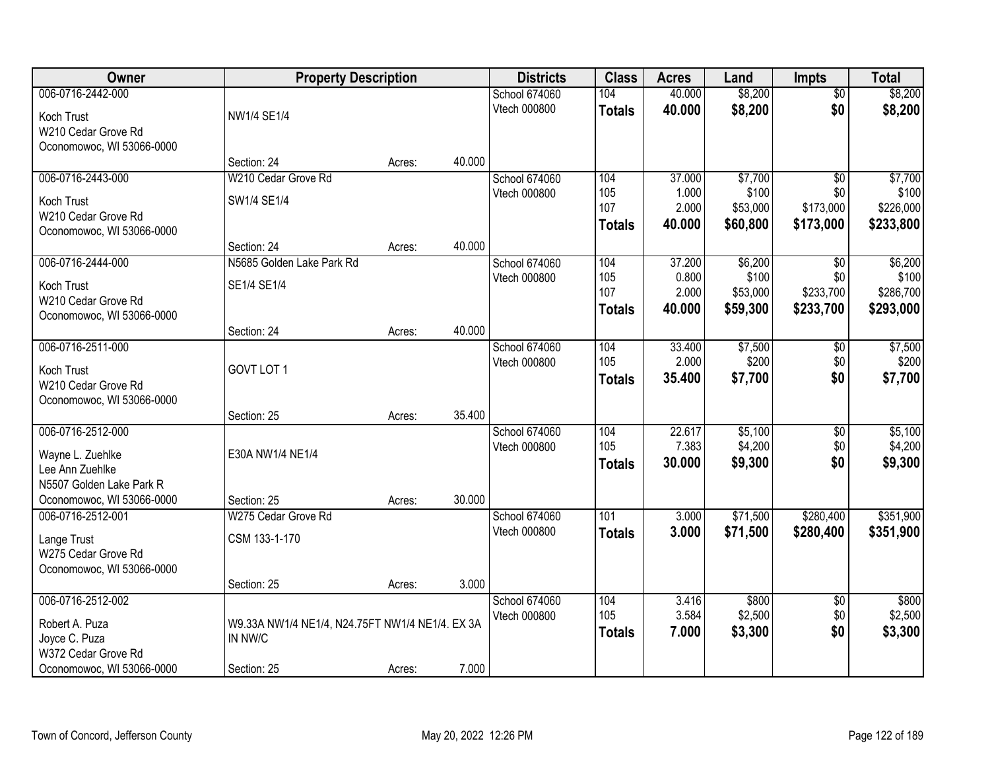| Owner                     | <b>Property Description</b>                     |        |        | <b>Districts</b>     | <b>Class</b>  | <b>Acres</b> | Land     | <b>Impts</b>    | <b>Total</b> |
|---------------------------|-------------------------------------------------|--------|--------|----------------------|---------------|--------------|----------|-----------------|--------------|
| 006-0716-2442-000         |                                                 |        |        | <b>School 674060</b> | 104           | 40.000       | \$8,200  | $\overline{50}$ | \$8,200      |
| Koch Trust                | <b>NW1/4 SE1/4</b>                              |        |        | Vtech 000800         | <b>Totals</b> | 40.000       | \$8,200  | \$0             | \$8,200      |
| W210 Cedar Grove Rd       |                                                 |        |        |                      |               |              |          |                 |              |
| Oconomowoc, WI 53066-0000 |                                                 |        |        |                      |               |              |          |                 |              |
|                           | Section: 24                                     | Acres: | 40.000 |                      |               |              |          |                 |              |
| 006-0716-2443-000         | W210 Cedar Grove Rd                             |        |        | School 674060        | 104           | 37.000       | \$7,700  | $\overline{50}$ | \$7,700      |
| Koch Trust                | SW1/4 SE1/4                                     |        |        | Vtech 000800         | 105           | 1.000        | \$100    | \$0             | \$100        |
| W210 Cedar Grove Rd       |                                                 |        |        |                      | 107           | 2.000        | \$53,000 | \$173,000       | \$226,000    |
| Oconomowoc, WI 53066-0000 |                                                 |        |        |                      | <b>Totals</b> | 40.000       | \$60,800 | \$173,000       | \$233,800    |
|                           | Section: 24                                     | Acres: | 40.000 |                      |               |              |          |                 |              |
| 006-0716-2444-000         | N5685 Golden Lake Park Rd                       |        |        | School 674060        | 104           | 37.200       | \$6,200  | $\sqrt{6}$      | \$6,200      |
| Koch Trust                | SE1/4 SE1/4                                     |        |        | Vtech 000800         | 105           | 0.800        | \$100    | \$0             | \$100        |
| W210 Cedar Grove Rd       |                                                 |        |        |                      | 107           | 2.000        | \$53,000 | \$233,700       | \$286,700    |
| Oconomowoc, WI 53066-0000 |                                                 |        |        |                      | <b>Totals</b> | 40.000       | \$59,300 | \$233,700       | \$293,000    |
|                           | Section: 24                                     | Acres: | 40.000 |                      |               |              |          |                 |              |
| 006-0716-2511-000         |                                                 |        |        | School 674060        | 104           | 33.400       | \$7,500  | $\sqrt[6]{3}$   | \$7,500      |
| Koch Trust                | GOVT LOT 1                                      |        |        | Vtech 000800         | 105           | 2.000        | \$200    | \$0             | \$200        |
| W210 Cedar Grove Rd       |                                                 |        |        |                      | <b>Totals</b> | 35.400       | \$7,700  | \$0             | \$7,700      |
| Oconomowoc, WI 53066-0000 |                                                 |        |        |                      |               |              |          |                 |              |
|                           | Section: 25                                     | Acres: | 35.400 |                      |               |              |          |                 |              |
| 006-0716-2512-000         |                                                 |        |        | School 674060        | 104           | 22.617       | \$5,100  | \$0             | \$5,100      |
| Wayne L. Zuehlke          | E30A NW1/4 NE1/4                                |        |        | Vtech 000800         | 105           | 7.383        | \$4,200  | \$0             | \$4,200      |
| Lee Ann Zuehlke           |                                                 |        |        |                      | <b>Totals</b> | 30.000       | \$9,300  | \$0             | \$9,300      |
| N5507 Golden Lake Park R  |                                                 |        |        |                      |               |              |          |                 |              |
| Oconomowoc, WI 53066-0000 | Section: 25                                     | Acres: | 30.000 |                      |               |              |          |                 |              |
| 006-0716-2512-001         | W275 Cedar Grove Rd                             |        |        | School 674060        | 101           | 3.000        | \$71,500 | \$280,400       | \$351,900    |
| Lange Trust               | CSM 133-1-170                                   |        |        | Vtech 000800         | <b>Totals</b> | 3.000        | \$71,500 | \$280,400       | \$351,900    |
| W275 Cedar Grove Rd       |                                                 |        |        |                      |               |              |          |                 |              |
| Oconomowoc, WI 53066-0000 |                                                 |        |        |                      |               |              |          |                 |              |
|                           | Section: 25                                     | Acres: | 3.000  |                      |               |              |          |                 |              |
| 006-0716-2512-002         |                                                 |        |        | School 674060        | 104           | 3.416        | \$800    | $\overline{60}$ | \$800        |
| Robert A. Puza            | W9.33A NW1/4 NE1/4, N24.75FT NW1/4 NE1/4. EX 3A |        |        | Vtech 000800         | 105           | 3.584        | \$2,500  | \$0             | \$2,500      |
| Joyce C. Puza             | IN NW/C                                         |        |        |                      | <b>Totals</b> | 7.000        | \$3,300  | \$0             | \$3,300      |
| W372 Cedar Grove Rd       |                                                 |        |        |                      |               |              |          |                 |              |
| Oconomowoc, WI 53066-0000 | Section: 25                                     | Acres: | 7.000  |                      |               |              |          |                 |              |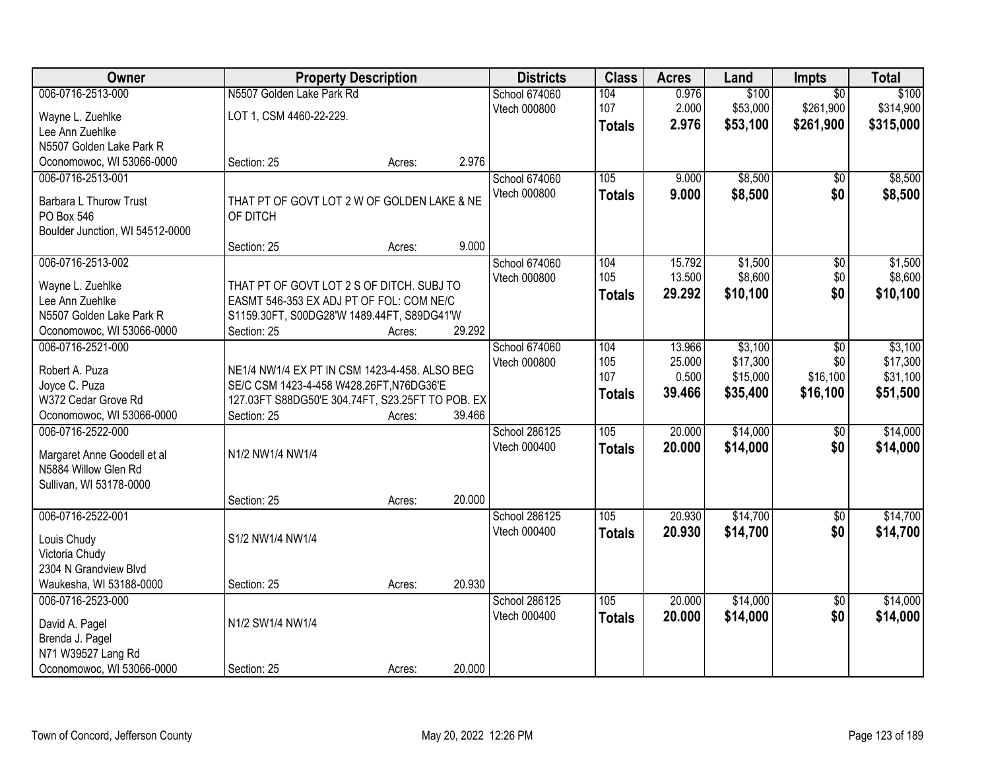| Owner                           | <b>Property Description</b>                      |        |        | <b>Districts</b>     | <b>Class</b>  | <b>Acres</b>     | Land                | Impts           | <b>Total</b>        |
|---------------------------------|--------------------------------------------------|--------|--------|----------------------|---------------|------------------|---------------------|-----------------|---------------------|
| 006-0716-2513-000               | N5507 Golden Lake Park Rd                        |        |        | <b>School 674060</b> | 104           | 0.976            | \$100               | $\overline{50}$ | \$100               |
| Wayne L. Zuehlke                | LOT 1, CSM 4460-22-229.                          |        |        | Vtech 000800         | 107           | 2.000            | \$53,000            | \$261,900       | \$314,900           |
| Lee Ann Zuehlke                 |                                                  |        |        |                      | <b>Totals</b> | 2.976            | \$53,100            | \$261,900       | \$315,000           |
| N5507 Golden Lake Park R        |                                                  |        |        |                      |               |                  |                     |                 |                     |
| Oconomowoc, WI 53066-0000       | Section: 25                                      | Acres: | 2.976  |                      |               |                  |                     |                 |                     |
| 006-0716-2513-001               |                                                  |        |        | <b>School 674060</b> | 105           | 9.000            | \$8,500             | \$0             | \$8,500             |
| Barbara L Thurow Trust          | THAT PT OF GOVT LOT 2 W OF GOLDEN LAKE & NE      |        |        | Vtech 000800         | <b>Totals</b> | 9.000            | \$8,500             | \$0             | \$8,500             |
| PO Box 546                      | OF DITCH                                         |        |        |                      |               |                  |                     |                 |                     |
| Boulder Junction, WI 54512-0000 |                                                  |        |        |                      |               |                  |                     |                 |                     |
|                                 | Section: 25                                      | Acres: | 9.000  |                      |               |                  |                     |                 |                     |
| 006-0716-2513-002               |                                                  |        |        | School 674060        | 104           | 15.792           | \$1,500             | $\overline{50}$ | \$1,500             |
|                                 |                                                  |        |        | Vtech 000800         | 105           | 13.500           | \$8,600             | \$0             | \$8,600             |
| Wayne L. Zuehlke                | THAT PT OF GOVT LOT 2 S OF DITCH. SUBJ TO        |        |        |                      | <b>Totals</b> | 29.292           | \$10,100            | \$0             | \$10,100            |
| Lee Ann Zuehlke                 | EASMT 546-353 EX ADJ PT OF FOL: COM NE/C         |        |        |                      |               |                  |                     |                 |                     |
| N5507 Golden Lake Park R        | S1159.30FT, S00DG28'W 1489.44FT, S89DG41'W       |        |        |                      |               |                  |                     |                 |                     |
| Oconomowoc, WI 53066-0000       | Section: 25                                      | Acres: | 29.292 |                      |               |                  |                     |                 |                     |
| 006-0716-2521-000               |                                                  |        |        | School 674060        | 104<br>105    | 13.966<br>25.000 | \$3,100<br>\$17,300 | \$0<br>\$0      | \$3,100<br>\$17,300 |
| Robert A. Puza                  | NE1/4 NW1/4 EX PT IN CSM 1423-4-458. ALSO BEG    |        |        | Vtech 000800         | 107           | 0.500            | \$15,000            | \$16,100        | \$31,100            |
| Joyce C. Puza                   | SE/C CSM 1423-4-458 W428.26FT, N76DG36'E         |        |        |                      |               | 39.466           | \$35,400            | \$16,100        | \$51,500            |
| W372 Cedar Grove Rd             | 127.03FT S88DG50'E 304.74FT, S23.25FT TO POB. EX |        |        |                      | <b>Totals</b> |                  |                     |                 |                     |
| Oconomowoc, WI 53066-0000       | Section: 25                                      | Acres: | 39.466 |                      |               |                  |                     |                 |                     |
| 006-0716-2522-000               |                                                  |        |        | School 286125        | 105           | 20.000           | \$14,000            | $\overline{50}$ | \$14,000            |
| Margaret Anne Goodell et al     | N1/2 NW1/4 NW1/4                                 |        |        | Vtech 000400         | <b>Totals</b> | 20.000           | \$14,000            | \$0             | \$14,000            |
| N5884 Willow Glen Rd            |                                                  |        |        |                      |               |                  |                     |                 |                     |
| Sullivan, WI 53178-0000         |                                                  |        |        |                      |               |                  |                     |                 |                     |
|                                 | Section: 25                                      | Acres: | 20.000 |                      |               |                  |                     |                 |                     |
| 006-0716-2522-001               |                                                  |        |        | School 286125        | 105           | 20.930           | \$14,700            | $\sqrt{6}$      | \$14,700            |
| Louis Chudy                     | S1/2 NW1/4 NW1/4                                 |        |        | Vtech 000400         | <b>Totals</b> | 20.930           | \$14,700            | \$0             | \$14,700            |
| Victoria Chudy                  |                                                  |        |        |                      |               |                  |                     |                 |                     |
| 2304 N Grandview Blvd           |                                                  |        |        |                      |               |                  |                     |                 |                     |
| Waukesha, WI 53188-0000         | Section: 25                                      | Acres: | 20.930 |                      |               |                  |                     |                 |                     |
| 006-0716-2523-000               |                                                  |        |        | School 286125        | 105           | 20.000           | \$14,000            | $\overline{50}$ | \$14,000            |
|                                 |                                                  |        |        | Vtech 000400         | <b>Totals</b> | 20.000           | \$14,000            | \$0             | \$14,000            |
| David A. Pagel                  | N1/2 SW1/4 NW1/4                                 |        |        |                      |               |                  |                     |                 |                     |
| Brenda J. Pagel                 |                                                  |        |        |                      |               |                  |                     |                 |                     |
| N71 W39527 Lang Rd              |                                                  |        |        |                      |               |                  |                     |                 |                     |
| Oconomowoc, WI 53066-0000       | Section: 25                                      | Acres: | 20.000 |                      |               |                  |                     |                 |                     |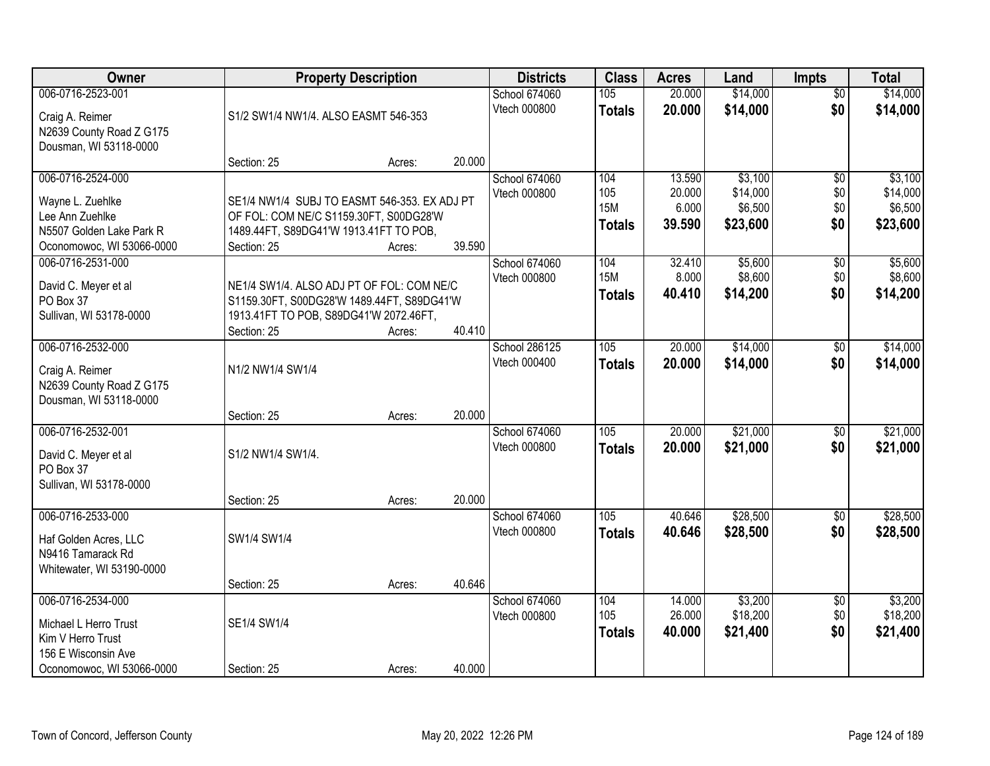| Owner                                                                                                               |                                                                                                                                                  | <b>Property Description</b> |                  | <b>Districts</b>                     | <b>Class</b>                              | <b>Acres</b>                        | Land                                       | <b>Impts</b>                         | <b>Total</b>                               |
|---------------------------------------------------------------------------------------------------------------------|--------------------------------------------------------------------------------------------------------------------------------------------------|-----------------------------|------------------|--------------------------------------|-------------------------------------------|-------------------------------------|--------------------------------------------|--------------------------------------|--------------------------------------------|
| 006-0716-2523-001<br>Craig A. Reimer<br>N2639 County Road Z G175                                                    | S1/2 SW1/4 NW1/4. ALSO EASMT 546-353                                                                                                             |                             |                  | <b>School 674060</b><br>Vtech 000800 | 105<br><b>Totals</b>                      | 20.000<br>20.000                    | \$14,000<br>\$14,000                       | $\overline{50}$<br>\$0               | \$14,000<br>\$14,000                       |
| Dousman, WI 53118-0000                                                                                              | Section: 25                                                                                                                                      | Acres:                      | 20.000           |                                      |                                           |                                     |                                            |                                      |                                            |
| 006-0716-2524-000<br>Wayne L. Zuehlke<br>Lee Ann Zuehlke<br>N5507 Golden Lake Park R<br>Oconomowoc, WI 53066-0000   | SE1/4 NW1/4 SUBJ TO EASMT 546-353. EX ADJ PT<br>OF FOL: COM NE/C S1159.30FT, S00DG28'W<br>1489.44FT, S89DG41'W 1913.41FT TO POB,<br>Section: 25  | Acres:                      | 39.590           | School 674060<br>Vtech 000800        | 104<br>105<br><b>15M</b><br><b>Totals</b> | 13.590<br>20.000<br>6.000<br>39.590 | \$3,100<br>\$14,000<br>\$6,500<br>\$23,600 | $\overline{50}$<br>\$0<br>\$0<br>\$0 | \$3,100<br>\$14,000<br>\$6,500<br>\$23,600 |
| 006-0716-2531-000<br>David C. Meyer et al<br>PO Box 37<br>Sullivan, WI 53178-0000                                   | NE1/4 SW1/4. ALSO ADJ PT OF FOL: COM NE/C<br>S1159.30FT, S00DG28'W 1489.44FT, S89DG41'W<br>1913.41FT TO POB, S89DG41'W 2072.46FT,<br>Section: 25 | Acres:                      | 40.410           | School 674060<br>Vtech 000800        | 104<br><b>15M</b><br><b>Totals</b>        | 32.410<br>8.000<br>40.410           | \$5,600<br>\$8,600<br>\$14,200             | \$0<br>\$0<br>\$0                    | \$5,600<br>\$8,600<br>\$14,200             |
| 006-0716-2532-000<br>Craig A. Reimer<br>N2639 County Road Z G175<br>Dousman, WI 53118-0000                          | N1/2 NW1/4 SW1/4                                                                                                                                 |                             |                  | <b>School 286125</b><br>Vtech 000400 | 105<br><b>Totals</b>                      | 20.000<br>20.000                    | \$14,000<br>\$14,000                       | \$0<br>\$0                           | \$14,000<br>\$14,000                       |
| 006-0716-2532-001<br>David C. Meyer et al<br>PO Box 37<br>Sullivan, WI 53178-0000                                   | Section: 25<br>S1/2 NW1/4 SW1/4.<br>Section: 25                                                                                                  | Acres:<br>Acres:            | 20.000<br>20.000 | School 674060<br>Vtech 000800        | $\overline{105}$<br><b>Totals</b>         | 20.000<br>20.000                    | \$21,000<br>\$21,000                       | $\overline{50}$<br>\$0               | \$21,000<br>\$21,000                       |
| 006-0716-2533-000<br>Haf Golden Acres, LLC<br>N9416 Tamarack Rd<br>Whitewater, WI 53190-0000                        | SW1/4 SW1/4                                                                                                                                      |                             |                  | School 674060<br>Vtech 000800        | 105<br><b>Totals</b>                      | 40.646<br>40.646                    | \$28,500<br>\$28,500                       | $\overline{50}$<br>\$0               | \$28,500<br>\$28,500                       |
| 006-0716-2534-000<br>Michael L Herro Trust<br>Kim V Herro Trust<br>156 E Wisconsin Ave<br>Oconomowoc, WI 53066-0000 | Section: 25<br>SE1/4 SW1/4<br>Section: 25                                                                                                        | Acres:<br>Acres:            | 40.646<br>40.000 | School 674060<br>Vtech 000800        | 104<br>105<br><b>Totals</b>               | 14.000<br>26.000<br>40.000          | \$3,200<br>\$18,200<br>\$21,400            | $\overline{50}$<br>\$0<br>\$0        | \$3,200<br>\$18,200<br>\$21,400            |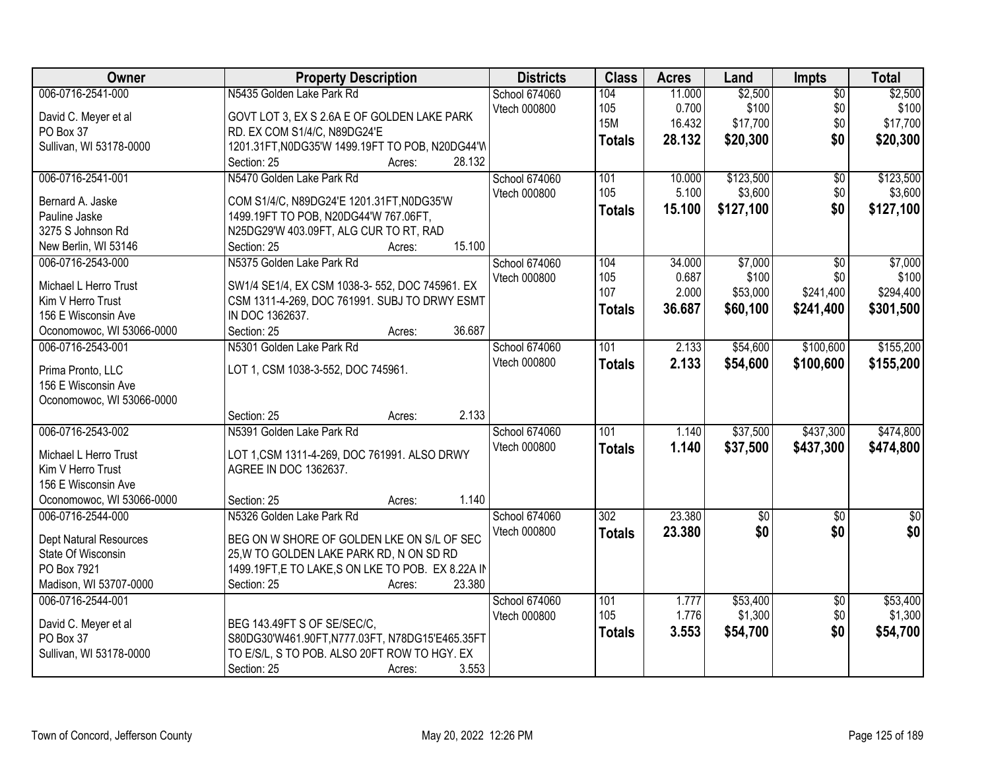| <b>Owner</b>                      | <b>Property Description</b>                        | <b>Districts</b>    | <b>Class</b>     | <b>Acres</b> | Land        | Impts           | <b>Total</b>    |
|-----------------------------------|----------------------------------------------------|---------------------|------------------|--------------|-------------|-----------------|-----------------|
| 006-0716-2541-000                 | N5435 Golden Lake Park Rd                          | School 674060       | 104              | 11.000       | \$2,500     | $\overline{50}$ | \$2,500         |
| David C. Meyer et al              | GOVT LOT 3, EX S 2.6A E OF GOLDEN LAKE PARK        | Vtech 000800        | 105              | 0.700        | \$100       | \$0             | \$100           |
| PO Box 37                         | RD. EX COM S1/4/C, N89DG24'E                       |                     | <b>15M</b>       | 16.432       | \$17,700    | \$0             | \$17,700        |
| Sullivan, WI 53178-0000           | 1201.31FT, N0DG35'W 1499.19FT TO POB, N20DG44'W    |                     | <b>Totals</b>    | 28.132       | \$20,300    | \$0             | \$20,300        |
|                                   | 28.132<br>Section: 25<br>Acres:                    |                     |                  |              |             |                 |                 |
| 006-0716-2541-001                 | N5470 Golden Lake Park Rd                          | School 674060       | 101              | 10.000       | \$123,500   | $\overline{50}$ | \$123,500       |
| Bernard A. Jaske                  | COM S1/4/C, N89DG24'E 1201.31FT, N0DG35'W          | Vtech 000800        | 105              | 5.100        | \$3,600     | \$0             | \$3,600         |
| Pauline Jaske                     | 1499.19FT TO POB, N20DG44'W 767.06FT,              |                     | <b>Totals</b>    | 15.100       | \$127,100   | \$0             | \$127,100       |
| 3275 S Johnson Rd                 | N25DG29'W 403.09FT, ALG CUR TO RT, RAD             |                     |                  |              |             |                 |                 |
| New Berlin, WI 53146              | 15.100<br>Section: 25<br>Acres:                    |                     |                  |              |             |                 |                 |
| 006-0716-2543-000                 | N5375 Golden Lake Park Rd                          | School 674060       | 104              | 34.000       | \$7,000     | $\overline{50}$ | \$7,000         |
|                                   |                                                    | Vtech 000800        | 105              | 0.687        | \$100       | \$0             | \$100           |
| Michael L Herro Trust             | SW1/4 SE1/4, EX CSM 1038-3-552, DOC 745961. EX     |                     | 107              | 2.000        | \$53,000    | \$241,400       | \$294,400       |
| Kim V Herro Trust                 | CSM 1311-4-269, DOC 761991. SUBJ TO DRWY ESMT      |                     | <b>Totals</b>    | 36.687       | \$60,100    | \$241,400       | \$301,500       |
| 156 E Wisconsin Ave               | IN DOC 1362637.                                    |                     |                  |              |             |                 |                 |
| Oconomowoc, WI 53066-0000         | 36.687<br>Section: 25<br>Acres:                    |                     |                  |              |             |                 |                 |
| 006-0716-2543-001                 | N5301 Golden Lake Park Rd                          | School 674060       | 101              | 2.133        | \$54,600    | \$100,600       | \$155,200       |
| Prima Pronto, LLC                 | LOT 1, CSM 1038-3-552, DOC 745961.                 | Vtech 000800        | <b>Totals</b>    | 2.133        | \$54,600    | \$100,600       | \$155,200       |
| 156 E Wisconsin Ave               |                                                    |                     |                  |              |             |                 |                 |
| Oconomowoc, WI 53066-0000         |                                                    |                     |                  |              |             |                 |                 |
|                                   | 2.133<br>Section: 25<br>Acres:                     |                     |                  |              |             |                 |                 |
| 006-0716-2543-002                 | N5391 Golden Lake Park Rd                          | School 674060       | $\overline{101}$ | 1.140        | \$37,500    | \$437,300       | \$474,800       |
|                                   |                                                    | <b>Vtech 000800</b> | <b>Totals</b>    | 1.140        | \$37,500    | \$437,300       | \$474,800       |
| Michael L Herro Trust             | LOT 1,CSM 1311-4-269, DOC 761991. ALSO DRWY        |                     |                  |              |             |                 |                 |
| Kim V Herro Trust                 | AGREE IN DOC 1362637.                              |                     |                  |              |             |                 |                 |
| 156 E Wisconsin Ave               |                                                    |                     |                  |              |             |                 |                 |
| Oconomowoc, WI 53066-0000         | 1.140<br>Section: 25<br>Acres:                     |                     |                  |              |             |                 |                 |
| 006-0716-2544-000                 | N5326 Golden Lake Park Rd                          | School 674060       | $\overline{302}$ | 23.380       | $\sqrt{50}$ | $\overline{50}$ | $\overline{30}$ |
| Dept Natural Resources            | BEG ON W SHORE OF GOLDEN LKE ON S/L OF SEC         | Vtech 000800        | <b>Totals</b>    | 23.380       | \$0         | \$0             | \$0             |
| State Of Wisconsin                | 25, W TO GOLDEN LAKE PARK RD, N ON SD RD           |                     |                  |              |             |                 |                 |
| PO Box 7921                       | 1499.19FT, E TO LAKE, S ON LKE TO POB. EX 8.22A IN |                     |                  |              |             |                 |                 |
| Madison, WI 53707-0000            | 23.380<br>Section: 25<br>Acres:                    |                     |                  |              |             |                 |                 |
| 006-0716-2544-001                 |                                                    | School 674060       | 101              | 1.777        | \$53,400    | $\overline{50}$ | \$53,400        |
|                                   | BEG 143.49FT S OF SE/SEC/C,                        | Vtech 000800        | 105              | 1.776        | \$1,300     | \$0             | \$1,300         |
| David C. Meyer et al<br>PO Box 37 | S80DG30'W461.90FT,N777.03FT, N78DG15'E465.35FT     |                     | <b>Totals</b>    | 3.553        | \$54,700    | \$0             | \$54,700        |
|                                   | TO E/S/L, S TO POB. ALSO 20FT ROW TO HGY. EX       |                     |                  |              |             |                 |                 |
| Sullivan, WI 53178-0000           |                                                    |                     |                  |              |             |                 |                 |
|                                   | 3.553<br>Section: 25<br>Acres:                     |                     |                  |              |             |                 |                 |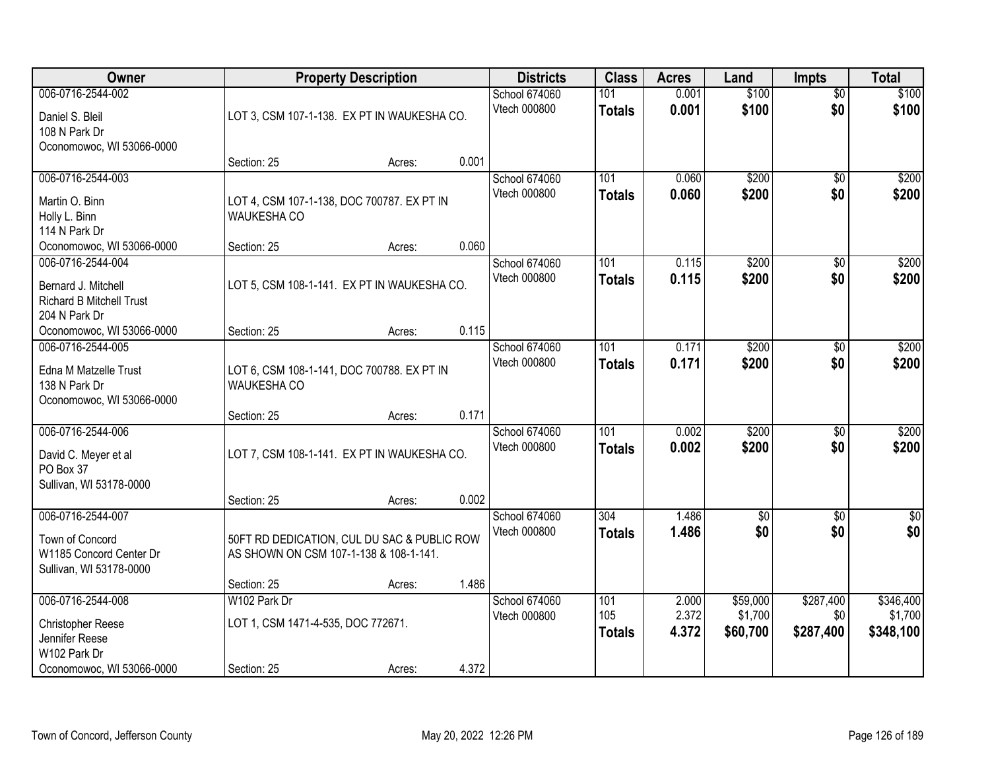| Owner                                                                                                                     |                                                                                                      | <b>Property Description</b> |                | <b>Districts</b>              | <b>Class</b>                | <b>Acres</b>            | Land                            | <b>Impts</b>                  | <b>Total</b>                      |
|---------------------------------------------------------------------------------------------------------------------------|------------------------------------------------------------------------------------------------------|-----------------------------|----------------|-------------------------------|-----------------------------|-------------------------|---------------------------------|-------------------------------|-----------------------------------|
| 006-0716-2544-002<br>Daniel S. Bleil<br>108 N Park Dr<br>Oconomowoc, WI 53066-0000                                        | LOT 3, CSM 107-1-138. EX PT IN WAUKESHA CO.                                                          |                             |                | School 674060<br>Vtech 000800 | 101<br><b>Totals</b>        | 0.001<br>0.001          | \$100<br>\$100                  | $\overline{50}$<br>\$0        | \$100<br>\$100                    |
|                                                                                                                           | Section: 25                                                                                          | Acres:                      | 0.001          |                               |                             |                         |                                 |                               |                                   |
| 006-0716-2544-003<br>Martin O. Binn<br>Holly L. Binn<br>114 N Park Dr                                                     | LOT 4, CSM 107-1-138, DOC 700787. EX PT IN<br><b>WAUKESHA CO</b>                                     |                             | 0.060          | School 674060<br>Vtech 000800 | 101<br>Totals               | 0.060<br>0.060          | \$200<br>\$200                  | $\overline{50}$<br>\$0        | \$200<br>\$200                    |
| Oconomowoc, WI 53066-0000<br>006-0716-2544-004<br>Bernard J. Mitchell<br><b>Richard B Mitchell Trust</b><br>204 N Park Dr | Section: 25<br>LOT 5, CSM 108-1-141. EX PT IN WAUKESHA CO.                                           | Acres:                      |                | School 674060<br>Vtech 000800 | 101<br><b>Totals</b>        | 0.115<br>0.115          | \$200<br>\$200                  | \$0<br>\$0                    | \$200<br>\$200                    |
| Oconomowoc, WI 53066-0000<br>006-0716-2544-005<br>Edna M Matzelle Trust<br>138 N Park Dr<br>Oconomowoc, WI 53066-0000     | Section: 25<br>LOT 6, CSM 108-1-141, DOC 700788. EX PT IN<br><b>WAUKESHA CO</b>                      | Acres:                      | 0.115          | School 674060<br>Vtech 000800 | 101<br><b>Totals</b>        | 0.171<br>0.171          | \$200<br>\$200                  | \$0<br>\$0                    | \$200<br>\$200                    |
| 006-0716-2544-006<br>David C. Meyer et al<br>PO Box 37<br>Sullivan, WI 53178-0000                                         | Section: 25<br>LOT 7, CSM 108-1-141. EX PT IN WAUKESHA CO.<br>Section: 25                            | Acres:<br>Acres:            | 0.171<br>0.002 | School 674060<br>Vtech 000800 | 101<br><b>Totals</b>        | 0.002<br>0.002          | \$200<br>\$200                  | \$0<br>\$0                    | \$200<br>\$200                    |
| 006-0716-2544-007<br>Town of Concord<br>W1185 Concord Center Dr<br>Sullivan, WI 53178-0000                                | 50FT RD DEDICATION, CUL DU SAC & PUBLIC ROW<br>AS SHOWN ON CSM 107-1-138 & 108-1-141.<br>Section: 25 | Acres:                      | 1.486          | School 674060<br>Vtech 000800 | 304<br><b>Totals</b>        | 1.486<br>1.486          | \$0<br>\$0                      | \$0<br>\$0                    | $\overline{\$0}$<br>\$0           |
| 006-0716-2544-008<br>Christopher Reese<br>Jennifer Reese<br>W102 Park Dr<br>Oconomowoc, WI 53066-0000                     | W102 Park Dr<br>LOT 1, CSM 1471-4-535, DOC 772671.<br>Section: 25                                    | Acres:                      | 4.372          | School 674060<br>Vtech 000800 | 101<br>105<br><b>Totals</b> | 2.000<br>2.372<br>4.372 | \$59,000<br>\$1,700<br>\$60,700 | \$287,400<br>\$0<br>\$287,400 | \$346,400<br>\$1,700<br>\$348,100 |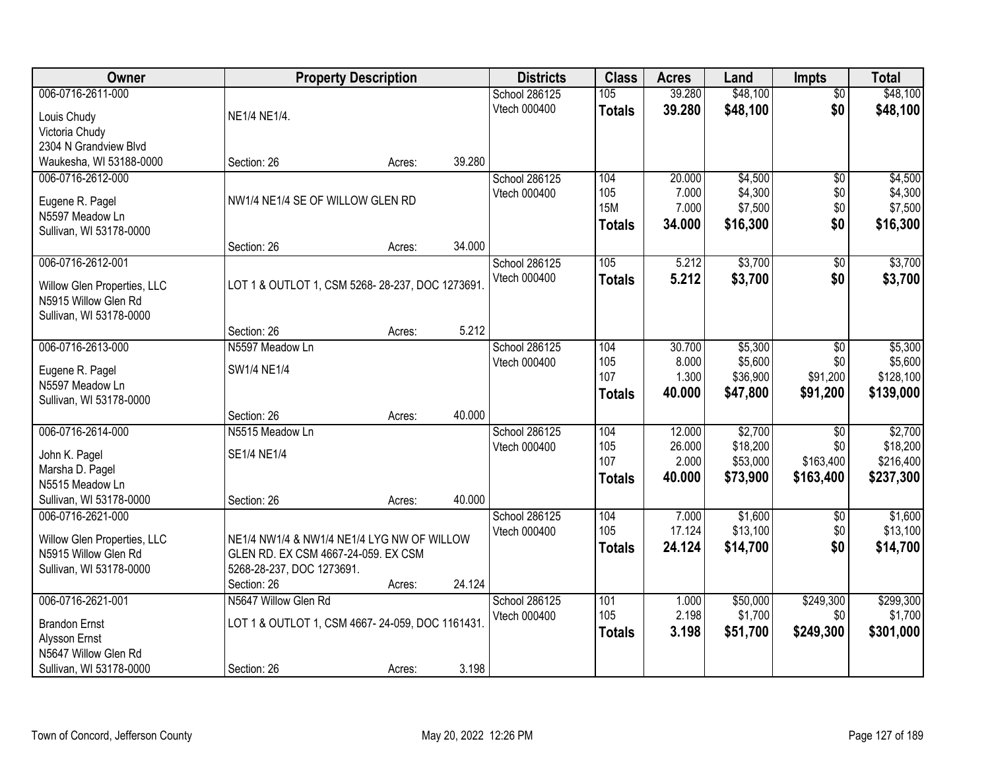| Owner                                               |                                                 | <b>Property Description</b> |        | <b>Districts</b>              | <b>Class</b>  | <b>Acres</b>   | Land                | <b>Impts</b>     | <b>Total</b>         |
|-----------------------------------------------------|-------------------------------------------------|-----------------------------|--------|-------------------------------|---------------|----------------|---------------------|------------------|----------------------|
| 006-0716-2611-000                                   |                                                 |                             |        | School 286125                 | 105           | 39.280         | \$48,100            | $\overline{50}$  | \$48,100             |
| Louis Chudy                                         | NE1/4 NE1/4.                                    |                             |        | Vtech 000400                  | <b>Totals</b> | 39.280         | \$48,100            | \$0              | \$48,100             |
| Victoria Chudy                                      |                                                 |                             |        |                               |               |                |                     |                  |                      |
| 2304 N Grandview Blvd                               |                                                 |                             |        |                               |               |                |                     |                  |                      |
| Waukesha, WI 53188-0000                             | Section: 26                                     | Acres:                      | 39.280 |                               |               |                |                     |                  |                      |
| 006-0716-2612-000                                   |                                                 |                             |        | School 286125                 | 104           | 20.000         | \$4,500             | $\overline{50}$  | \$4,500              |
|                                                     | NW1/4 NE1/4 SE OF WILLOW GLEN RD                |                             |        | Vtech 000400                  | 105           | 7.000          | \$4,300             | \$0              | \$4,300              |
| Eugene R. Pagel<br>N5597 Meadow Ln                  |                                                 |                             |        |                               | <b>15M</b>    | 7.000          | \$7,500             | \$0              | \$7,500              |
| Sullivan, WI 53178-0000                             |                                                 |                             |        |                               | <b>Totals</b> | 34.000         | \$16,300            | \$0              | \$16,300             |
|                                                     | Section: 26                                     | Acres:                      | 34.000 |                               |               |                |                     |                  |                      |
| 006-0716-2612-001                                   |                                                 |                             |        | School 286125                 | 105           | 5.212          | \$3,700             | \$0              | \$3,700              |
|                                                     | LOT 1 & OUTLOT 1, CSM 5268-28-237, DOC 1273691. |                             |        | Vtech 000400                  | <b>Totals</b> | 5.212          | \$3,700             | \$0              | \$3,700              |
| Willow Glen Properties, LLC<br>N5915 Willow Glen Rd |                                                 |                             |        |                               |               |                |                     |                  |                      |
| Sullivan, WI 53178-0000                             |                                                 |                             |        |                               |               |                |                     |                  |                      |
|                                                     | Section: 26                                     | Acres:                      | 5.212  |                               |               |                |                     |                  |                      |
| 006-0716-2613-000                                   | N5597 Meadow Ln                                 |                             |        | School 286125                 | 104           | 30.700         | \$5,300             | $\sqrt[6]{3}$    | \$5,300              |
|                                                     |                                                 |                             |        | Vtech 000400                  | 105           | 8.000          | \$5,600             | \$0              | \$5,600              |
| Eugene R. Pagel<br>N5597 Meadow Ln                  | SW1/4 NE1/4                                     |                             |        |                               | 107           | 1.300          | \$36,900            | \$91,200         | \$128,100            |
| Sullivan, WI 53178-0000                             |                                                 |                             |        |                               | <b>Totals</b> | 40.000         | \$47,800            | \$91,200         | \$139,000            |
|                                                     | Section: 26                                     | Acres:                      | 40.000 |                               |               |                |                     |                  |                      |
| 006-0716-2614-000                                   | N5515 Meadow Ln                                 |                             |        | School 286125                 | 104           | 12.000         | \$2,700             | $\overline{50}$  | \$2,700              |
|                                                     |                                                 |                             |        | Vtech 000400                  | 105           | 26.000         | \$18,200            | \$0              | \$18,200             |
| John K. Pagel                                       | SE1/4 NE1/4                                     |                             |        |                               | 107           | 2.000          | \$53,000            | \$163,400        | \$216,400            |
| Marsha D. Pagel<br>N5515 Meadow Ln                  |                                                 |                             |        |                               | <b>Totals</b> | 40.000         | \$73,900            | \$163,400        | \$237,300            |
| Sullivan, WI 53178-0000                             | Section: 26                                     | Acres:                      | 40.000 |                               |               |                |                     |                  |                      |
| 006-0716-2621-000                                   |                                                 |                             |        | School 286125                 | 104           | 7.000          | \$1,600             | $\overline{50}$  | \$1,600              |
|                                                     |                                                 |                             |        | Vtech 000400                  | 105           | 17.124         | \$13,100            | \$0              | \$13,100             |
| Willow Glen Properties, LLC                         | NE1/4 NW1/4 & NW1/4 NE1/4 LYG NW OF WILLOW      |                             |        |                               | <b>Totals</b> | 24.124         | \$14,700            | \$0              | \$14,700             |
| N5915 Willow Glen Rd                                | GLEN RD. EX CSM 4667-24-059. EX CSM             |                             |        |                               |               |                |                     |                  |                      |
| Sullivan, WI 53178-0000                             | 5268-28-237, DOC 1273691.                       |                             |        |                               |               |                |                     |                  |                      |
|                                                     | Section: 26                                     | Acres:                      | 24.124 |                               |               |                |                     |                  |                      |
| 006-0716-2621-001                                   | N5647 Willow Glen Rd                            |                             |        | School 286125<br>Vtech 000400 | 101<br>105    | 1.000<br>2.198 | \$50,000<br>\$1,700 | \$249,300<br>\$0 | \$299,300<br>\$1,700 |
| <b>Brandon Ernst</b>                                | LOT 1 & OUTLOT 1, CSM 4667-24-059, DOC 1161431. |                             |        |                               |               | 3.198          | \$51,700            | \$249,300        | \$301,000            |
| Alysson Ernst                                       |                                                 |                             |        |                               | <b>Totals</b> |                |                     |                  |                      |
| N5647 Willow Glen Rd                                |                                                 |                             |        |                               |               |                |                     |                  |                      |
| Sullivan, WI 53178-0000                             | Section: 26                                     | Acres:                      | 3.198  |                               |               |                |                     |                  |                      |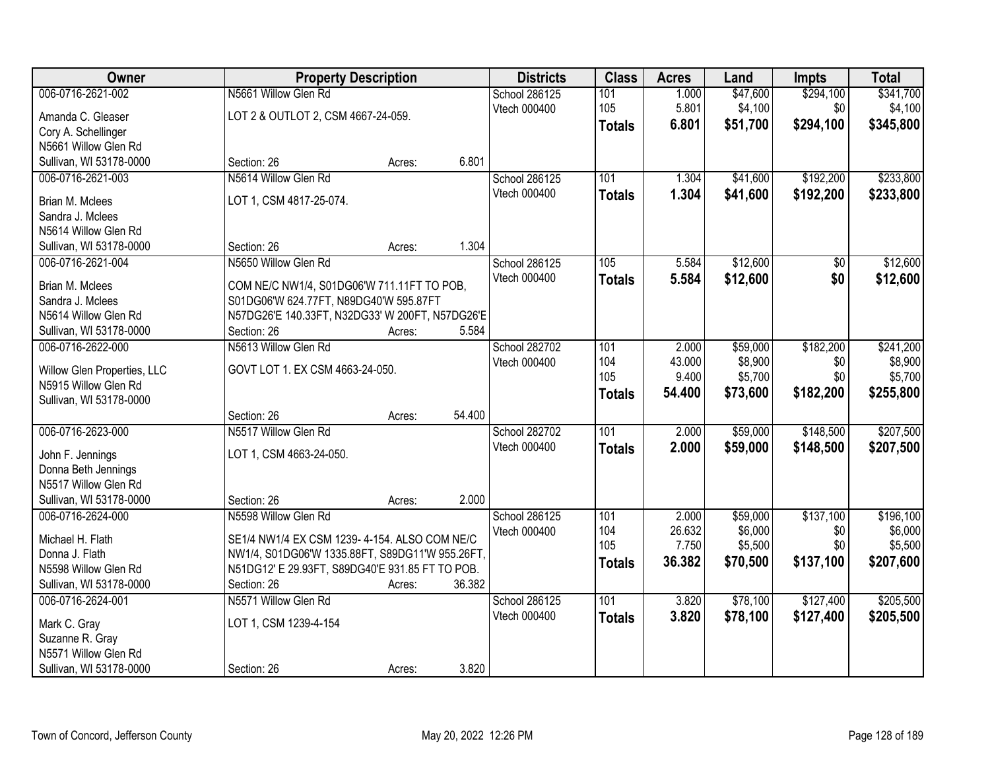| Owner                                           |                                                                                      | <b>Property Description</b> |        | <b>Districts</b>              | <b>Class</b>     | <b>Acres</b>    | Land                | <b>Impts</b> | <b>Total</b>         |
|-------------------------------------------------|--------------------------------------------------------------------------------------|-----------------------------|--------|-------------------------------|------------------|-----------------|---------------------|--------------|----------------------|
| 006-0716-2621-002                               | N5661 Willow Glen Rd                                                                 |                             |        | School 286125                 | 101              | 1.000           | \$47,600            | \$294,100    | \$341,700            |
| Amanda C. Gleaser                               | LOT 2 & OUTLOT 2, CSM 4667-24-059.                                                   |                             |        | Vtech 000400                  | 105              | 5.801           | \$4,100             | \$0          | \$4,100              |
| Cory A. Schellinger                             |                                                                                      |                             |        |                               | <b>Totals</b>    | 6.801           | \$51,700            | \$294,100    | \$345,800            |
| N5661 Willow Glen Rd                            |                                                                                      |                             |        |                               |                  |                 |                     |              |                      |
| Sullivan, WI 53178-0000                         | Section: 26                                                                          | Acres:                      | 6.801  |                               |                  |                 |                     |              |                      |
| 006-0716-2621-003                               | N5614 Willow Glen Rd                                                                 |                             |        | School 286125                 | 101              | 1.304           | \$41,600            | \$192,200    | \$233,800            |
| Brian M. Mclees                                 | LOT 1, CSM 4817-25-074.                                                              |                             |        | Vtech 000400                  | <b>Totals</b>    | 1.304           | \$41,600            | \$192,200    | \$233,800            |
| Sandra J. Mclees                                |                                                                                      |                             |        |                               |                  |                 |                     |              |                      |
| N5614 Willow Glen Rd                            |                                                                                      |                             |        |                               |                  |                 |                     |              |                      |
| Sullivan, WI 53178-0000                         | Section: 26                                                                          | Acres:                      | 1.304  |                               |                  |                 |                     |              |                      |
| 006-0716-2621-004                               | N5650 Willow Glen Rd                                                                 |                             |        | School 286125                 | 105              | 5.584           | \$12,600            | \$0          | \$12,600             |
| Brian M. Mclees                                 |                                                                                      |                             |        | Vtech 000400                  | <b>Totals</b>    | 5.584           | \$12,600            | \$0          | \$12,600             |
| Sandra J. Mclees                                | COM NE/C NW1/4, S01DG06'W 711.11FT TO POB,<br>S01DG06'W 624.77FT, N89DG40'W 595.87FT |                             |        |                               |                  |                 |                     |              |                      |
| N5614 Willow Glen Rd                            | N57DG26'E 140.33FT, N32DG33' W 200FT, N57DG26'E                                      |                             |        |                               |                  |                 |                     |              |                      |
| Sullivan, WI 53178-0000                         | Section: 26                                                                          | Acres:                      | 5.584  |                               |                  |                 |                     |              |                      |
| 006-0716-2622-000                               | N5613 Willow Glen Rd                                                                 |                             |        | School 282702                 | 101              | 2.000           | \$59,000            | \$182,200    | \$241,200            |
|                                                 |                                                                                      |                             |        | Vtech 000400                  | 104              | 43.000          | \$8,900             | \$0          | \$8,900              |
| Willow Glen Properties, LLC                     | GOVT LOT 1. EX CSM 4663-24-050.                                                      |                             |        |                               | 105              | 9.400           | \$5,700             | \$0          | \$5,700              |
| N5915 Willow Glen Rd<br>Sullivan, WI 53178-0000 |                                                                                      |                             |        |                               | <b>Totals</b>    | 54.400          | \$73,600            | \$182,200    | \$255,800            |
|                                                 | Section: 26                                                                          | Acres:                      | 54.400 |                               |                  |                 |                     |              |                      |
| 006-0716-2623-000                               | N5517 Willow Glen Rd                                                                 |                             |        | School 282702                 | $\overline{101}$ | 2.000           | \$59,000            | \$148,500    | \$207,500            |
|                                                 |                                                                                      |                             |        | Vtech 000400                  | <b>Totals</b>    | 2.000           | \$59,000            | \$148,500    | \$207,500            |
| John F. Jennings                                | LOT 1, CSM 4663-24-050.                                                              |                             |        |                               |                  |                 |                     |              |                      |
| Donna Beth Jennings                             |                                                                                      |                             |        |                               |                  |                 |                     |              |                      |
| N5517 Willow Glen Rd                            |                                                                                      |                             |        |                               |                  |                 |                     |              |                      |
| Sullivan, WI 53178-0000<br>006-0716-2624-000    | Section: 26<br>N5598 Willow Glen Rd                                                  | Acres:                      | 2.000  |                               |                  |                 |                     | \$137,100    |                      |
|                                                 |                                                                                      |                             |        | School 286125<br>Vtech 000400 | 101<br>104       | 2.000<br>26.632 | \$59,000<br>\$6,000 | \$0          | \$196,100<br>\$6,000 |
| Michael H. Flath                                | SE1/4 NW1/4 EX CSM 1239-4-154. ALSO COM NE/C                                         |                             |        |                               | 105              | 7.750           | \$5,500             | \$0          | \$5,500              |
| Donna J. Flath                                  | NW1/4, S01DG06'W 1335.88FT, S89DG11'W 955.26FT,                                      |                             |        |                               | <b>Totals</b>    | 36.382          | \$70,500            | \$137,100    | \$207,600            |
| N5598 Willow Glen Rd                            | N51DG12' E 29.93FT, S89DG40'E 931.85 FT TO POB.                                      |                             |        |                               |                  |                 |                     |              |                      |
| Sullivan, WI 53178-0000                         | Section: 26                                                                          | Acres:                      | 36.382 |                               |                  |                 |                     |              |                      |
| 006-0716-2624-001                               | N5571 Willow Glen Rd                                                                 |                             |        | School 286125                 | $\overline{101}$ | 3.820           | \$78,100            | \$127,400    | \$205,500            |
| Mark C. Gray                                    | LOT 1, CSM 1239-4-154                                                                |                             |        | Vtech 000400                  | <b>Totals</b>    | 3.820           | \$78,100            | \$127,400    | \$205,500            |
| Suzanne R. Gray                                 |                                                                                      |                             |        |                               |                  |                 |                     |              |                      |
| N5571 Willow Glen Rd                            |                                                                                      |                             |        |                               |                  |                 |                     |              |                      |
| Sullivan, WI 53178-0000                         | Section: 26                                                                          | Acres:                      | 3.820  |                               |                  |                 |                     |              |                      |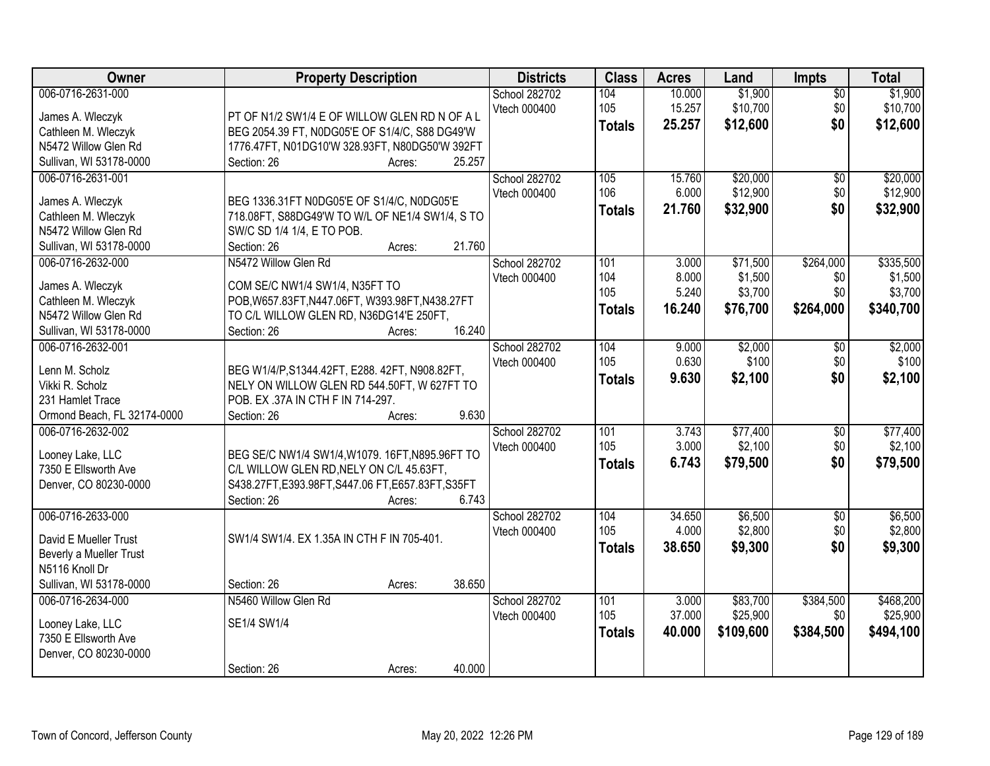| Owner                       | <b>Property Description</b>                        | <b>Districts</b> | <b>Class</b>  | <b>Acres</b> | Land      | <b>Impts</b>    | <b>Total</b> |
|-----------------------------|----------------------------------------------------|------------------|---------------|--------------|-----------|-----------------|--------------|
| 006-0716-2631-000           |                                                    | School 282702    | 104           | 10.000       | \$1,900   | $\overline{50}$ | \$1,900      |
| James A. Wleczyk            | PT OF N1/2 SW1/4 E OF WILLOW GLEN RD N OF A L      | Vtech 000400     | 105           | 15.257       | \$10,700  | \$0             | \$10,700     |
| Cathleen M. Wleczyk         | BEG 2054.39 FT, N0DG05'E OF S1/4/C, S88 DG49'W     |                  | <b>Totals</b> | 25.257       | \$12,600  | \$0             | \$12,600     |
| N5472 Willow Glen Rd        | 1776.47FT, N01DG10'W 328.93FT, N80DG50'W 392FT     |                  |               |              |           |                 |              |
| Sullivan, WI 53178-0000     | 25.257<br>Section: 26<br>Acres:                    |                  |               |              |           |                 |              |
| 006-0716-2631-001           |                                                    | School 282702    | 105           | 15.760       | \$20,000  | $\overline{50}$ | \$20,000     |
|                             |                                                    | Vtech 000400     | 106           | 6.000        | \$12,900  | \$0             | \$12,900     |
| James A. Wleczyk            | BEG 1336.31FT N0DG05'E OF S1/4/C, N0DG05'E         |                  | <b>Totals</b> | 21.760       | \$32,900  | \$0             | \$32,900     |
| Cathleen M. Wleczyk         | 718.08FT, S88DG49'W TO W/L OF NE1/4 SW1/4, S TO    |                  |               |              |           |                 |              |
| N5472 Willow Glen Rd        | SW/C SD 1/4 1/4, E TO POB.                         |                  |               |              |           |                 |              |
| Sullivan, WI 53178-0000     | 21.760<br>Section: 26<br>Acres:                    |                  |               |              |           |                 |              |
| 006-0716-2632-000           | N5472 Willow Glen Rd                               | School 282702    | 101           | 3.000        | \$71,500  | \$264,000       | \$335,500    |
| James A. Wleczyk            | COM SE/C NW1/4 SW1/4, N35FT TO                     | Vtech 000400     | 104           | 8.000        | \$1,500   | \$0             | \$1,500      |
| Cathleen M. Wleczyk         | POB, W657.83FT, N447.06FT, W393.98FT, N438.27FT    |                  | 105           | 5.240        | \$3,700   | \$0             | \$3,700      |
| N5472 Willow Glen Rd        | TO C/L WILLOW GLEN RD, N36DG14'E 250FT,            |                  | <b>Totals</b> | 16.240       | \$76,700  | \$264,000       | \$340,700    |
| Sullivan, WI 53178-0000     | 16.240<br>Section: 26<br>Acres:                    |                  |               |              |           |                 |              |
| 006-0716-2632-001           |                                                    | School 282702    | 104           | 9.000        | \$2,000   | $\sqrt[6]{3}$   | \$2,000      |
|                             |                                                    | Vtech 000400     | 105           | 0.630        | \$100     | \$0             | \$100        |
| Lenn M. Scholz              | BEG W1/4/P, S1344.42FT, E288. 42FT, N908.82FT,     |                  | <b>Totals</b> | 9.630        | \$2,100   | \$0             | \$2,100      |
| Vikki R. Scholz             | NELY ON WILLOW GLEN RD 544.50FT, W 627FT TO        |                  |               |              |           |                 |              |
| 231 Hamlet Trace            | POB. EX .37A IN CTH F IN 714-297.                  |                  |               |              |           |                 |              |
| Ormond Beach, FL 32174-0000 | 9.630<br>Section: 26<br>Acres:                     |                  |               |              |           |                 |              |
| 006-0716-2632-002           |                                                    | School 282702    | 101           | 3.743        | \$77,400  | $\overline{50}$ | \$77,400     |
| Looney Lake, LLC            | BEG SE/C NW1/4 SW1/4, W1079. 16FT, N895.96FT TO    | Vtech 000400     | 105           | 3.000        | \$2,100   | \$0             | \$2,100      |
| 7350 E Ellsworth Ave        | C/L WILLOW GLEN RD, NELY ON C/L 45.63FT,           |                  | <b>Totals</b> | 6.743        | \$79,500  | \$0             | \$79,500     |
| Denver, CO 80230-0000       | S438.27FT, E393.98FT, S447.06 FT, E657.83FT, S35FT |                  |               |              |           |                 |              |
|                             | 6.743<br>Section: 26<br>Acres:                     |                  |               |              |           |                 |              |
| 006-0716-2633-000           |                                                    | School 282702    | 104           | 34.650       | \$6,500   | \$0             | \$6,500      |
|                             |                                                    | Vtech 000400     | 105           | 4.000        | \$2,800   | \$0             | \$2,800      |
| David E Mueller Trust       | SW1/4 SW1/4. EX 1.35A IN CTH F IN 705-401.         |                  | <b>Totals</b> | 38.650       | \$9,300   | \$0             | \$9,300      |
| Beverly a Mueller Trust     |                                                    |                  |               |              |           |                 |              |
| N5116 Knoll Dr              |                                                    |                  |               |              |           |                 |              |
| Sullivan, WI 53178-0000     | 38.650<br>Section: 26<br>Acres:                    |                  |               |              |           |                 |              |
| 006-0716-2634-000           | N5460 Willow Glen Rd                               | School 282702    | 101           | 3.000        | \$83,700  | \$384,500       | \$468,200    |
| Looney Lake, LLC            | SE1/4 SW1/4                                        | Vtech 000400     | 105           | 37.000       | \$25,900  | \$0             | \$25,900     |
| 7350 E Ellsworth Ave        |                                                    |                  | <b>Totals</b> | 40.000       | \$109,600 | \$384,500       | \$494,100    |
| Denver, CO 80230-0000       |                                                    |                  |               |              |           |                 |              |
|                             | 40.000<br>Section: 26<br>Acres:                    |                  |               |              |           |                 |              |
|                             |                                                    |                  |               |              |           |                 |              |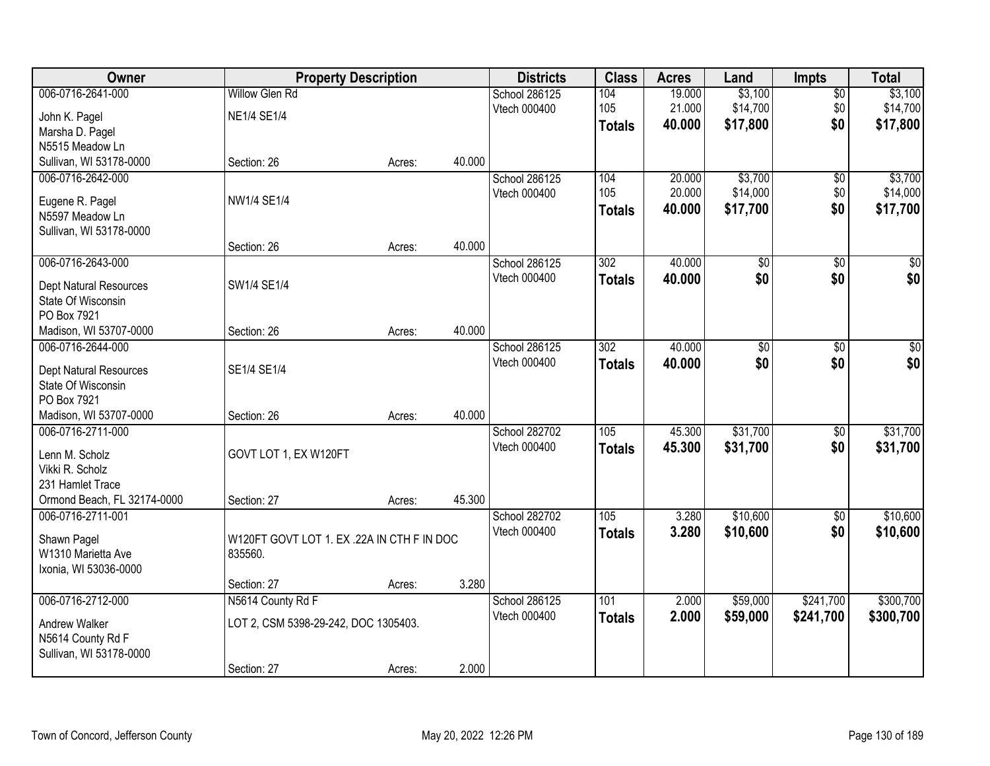| Owner                                               | <b>Property Description</b>                |        |        | <b>Districts</b> | <b>Class</b>     | <b>Acres</b> | Land            | <b>Impts</b>    | <b>Total</b>     |
|-----------------------------------------------------|--------------------------------------------|--------|--------|------------------|------------------|--------------|-----------------|-----------------|------------------|
| 006-0716-2641-000                                   | <b>Willow Glen Rd</b>                      |        |        | School 286125    | 104              | 19.000       | \$3,100         | $\overline{50}$ | \$3,100          |
| John K. Pagel                                       | <b>NE1/4 SE1/4</b>                         |        |        | Vtech 000400     | 105              | 21.000       | \$14,700        | \$0             | \$14,700         |
| Marsha D. Pagel                                     |                                            |        |        |                  | <b>Totals</b>    | 40.000       | \$17,800        | \$0             | \$17,800         |
| N5515 Meadow Ln                                     |                                            |        |        |                  |                  |              |                 |                 |                  |
| Sullivan, WI 53178-0000                             | Section: 26                                | Acres: | 40.000 |                  |                  |              |                 |                 |                  |
| 006-0716-2642-000                                   |                                            |        |        | School 286125    | 104              | 20.000       | \$3,700         | $\overline{50}$ | \$3,700          |
| Eugene R. Pagel                                     | NW1/4 SE1/4                                |        |        | Vtech 000400     | 105              | 20.000       | \$14,000        | \$0             | \$14,000         |
| N5597 Meadow Ln                                     |                                            |        |        |                  | <b>Totals</b>    | 40.000       | \$17,700        | \$0             | \$17,700         |
| Sullivan, WI 53178-0000                             |                                            |        |        |                  |                  |              |                 |                 |                  |
|                                                     | Section: 26                                | Acres: | 40.000 |                  |                  |              |                 |                 |                  |
| 006-0716-2643-000                                   |                                            |        |        | School 286125    | 302              | 40.000       | $\overline{50}$ | \$0             | $\overline{\$0}$ |
|                                                     | SW1/4 SE1/4                                |        |        | Vtech 000400     | <b>Totals</b>    | 40.000       | \$0             | \$0             | \$0              |
| <b>Dept Natural Resources</b><br>State Of Wisconsin |                                            |        |        |                  |                  |              |                 |                 |                  |
| PO Box 7921                                         |                                            |        |        |                  |                  |              |                 |                 |                  |
| Madison, WI 53707-0000                              | Section: 26                                | Acres: | 40.000 |                  |                  |              |                 |                 |                  |
| 006-0716-2644-000                                   |                                            |        |        | School 286125    | $\overline{302}$ | 40.000       | $\overline{60}$ | \$0             | $\overline{50}$  |
|                                                     |                                            |        |        | Vtech 000400     | <b>Totals</b>    | 40.000       | \$0             | \$0             | \$0              |
| <b>Dept Natural Resources</b>                       | SE1/4 SE1/4                                |        |        |                  |                  |              |                 |                 |                  |
| State Of Wisconsin<br>PO Box 7921                   |                                            |        |        |                  |                  |              |                 |                 |                  |
| Madison, WI 53707-0000                              | Section: 26                                | Acres: | 40.000 |                  |                  |              |                 |                 |                  |
| 006-0716-2711-000                                   |                                            |        |        | School 282702    | 105              | 45.300       | \$31,700        | \$0             | \$31,700         |
|                                                     |                                            |        |        | Vtech 000400     | <b>Totals</b>    | 45.300       | \$31,700        | \$0             | \$31,700         |
| Lenn M. Scholz                                      | GOVT LOT 1, EX W120FT                      |        |        |                  |                  |              |                 |                 |                  |
| Vikki R. Scholz                                     |                                            |        |        |                  |                  |              |                 |                 |                  |
| 231 Hamlet Trace                                    |                                            |        |        |                  |                  |              |                 |                 |                  |
| Ormond Beach, FL 32174-0000                         | Section: 27                                | Acres: | 45.300 |                  |                  |              |                 |                 |                  |
| 006-0716-2711-001                                   |                                            |        |        | School 282702    | 105              | 3.280        | \$10,600        | \$0             | \$10,600         |
| Shawn Pagel                                         | W120FT GOVT LOT 1. EX .22A IN CTH F IN DOC |        |        | Vtech 000400     | <b>Totals</b>    | 3.280        | \$10,600        | \$0             | \$10,600         |
| W1310 Marietta Ave                                  | 835560.                                    |        |        |                  |                  |              |                 |                 |                  |
| Ixonia, WI 53036-0000                               |                                            |        |        |                  |                  |              |                 |                 |                  |
|                                                     | Section: 27                                | Acres: | 3.280  |                  |                  |              |                 |                 |                  |
| 006-0716-2712-000                                   | N5614 County Rd F                          |        |        | School 286125    | 101              | 2.000        | \$59,000        | \$241,700       | \$300,700        |
| <b>Andrew Walker</b>                                | LOT 2, CSM 5398-29-242, DOC 1305403.       |        |        | Vtech 000400     | <b>Totals</b>    | 2.000        | \$59,000        | \$241,700       | \$300,700        |
| N5614 County Rd F                                   |                                            |        |        |                  |                  |              |                 |                 |                  |
| Sullivan, WI 53178-0000                             |                                            |        |        |                  |                  |              |                 |                 |                  |
|                                                     | Section: 27                                | Acres: | 2.000  |                  |                  |              |                 |                 |                  |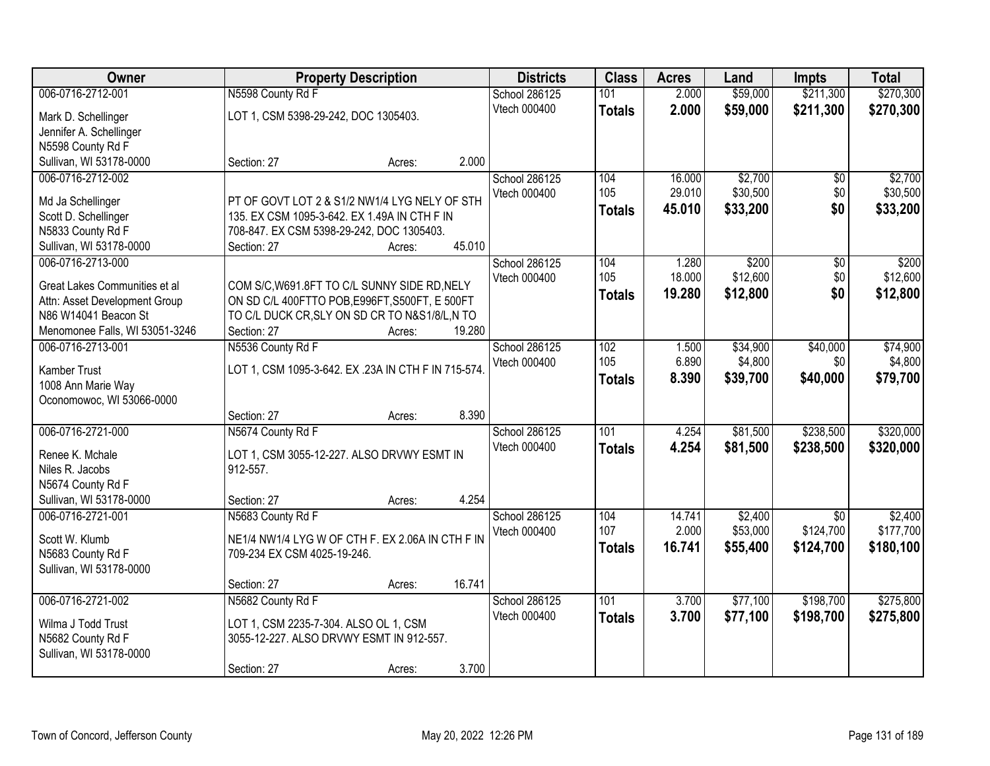| <b>Owner</b>                   |                                                     | <b>Property Description</b> |        | <b>Districts</b> | <b>Class</b>  | <b>Acres</b> | Land              | <b>Impts</b>    | <b>Total</b>      |
|--------------------------------|-----------------------------------------------------|-----------------------------|--------|------------------|---------------|--------------|-------------------|-----------------|-------------------|
| 006-0716-2712-001              | N5598 County Rd F                                   |                             |        | School 286125    | 101           | 2.000        | \$59,000          | \$211,300       | \$270,300         |
| Mark D. Schellinger            | LOT 1, CSM 5398-29-242, DOC 1305403.                |                             |        | Vtech 000400     | <b>Totals</b> | 2.000        | \$59,000          | \$211,300       | \$270,300         |
| Jennifer A. Schellinger        |                                                     |                             |        |                  |               |              |                   |                 |                   |
| N5598 County Rd F              |                                                     |                             |        |                  |               |              |                   |                 |                   |
| Sullivan, WI 53178-0000        | Section: 27                                         | Acres:                      | 2.000  |                  |               |              |                   |                 |                   |
| 006-0716-2712-002              |                                                     |                             |        | School 286125    | 104           | 16.000       | \$2,700           | $\overline{50}$ | \$2,700           |
|                                |                                                     |                             |        | Vtech 000400     | 105           | 29.010       | \$30,500          | \$0             | \$30,500          |
| Md Ja Schellinger              | PT OF GOVT LOT 2 & S1/2 NW1/4 LYG NELY OF STH       |                             |        |                  | <b>Totals</b> | 45.010       | \$33,200          | \$0             | \$33,200          |
| Scott D. Schellinger           | 135. EX CSM 1095-3-642. EX 1.49A IN CTH F IN        |                             |        |                  |               |              |                   |                 |                   |
| N5833 County Rd F              | 708-847. EX CSM 5398-29-242, DOC 1305403.           |                             | 45.010 |                  |               |              |                   |                 |                   |
| Sullivan, WI 53178-0000        | Section: 27                                         | Acres:                      |        |                  | 104           |              |                   |                 |                   |
| 006-0716-2713-000              |                                                     |                             |        | School 286125    | 105           | 1.280        | \$200<br>\$12,600 | \$0             | \$200<br>\$12,600 |
| Great Lakes Communities et al  | COM S/C, W691.8FT TO C/L SUNNY SIDE RD, NELY        |                             |        | Vtech 000400     |               | 18.000       |                   | \$0             |                   |
| Attn: Asset Development Group  | ON SD C/L 400FTTO POB, E996FT, S500FT, E 500FT      |                             |        |                  | <b>Totals</b> | 19,280       | \$12,800          | \$0             | \$12,800          |
| N86 W14041 Beacon St           | TO C/L DUCK CR, SLY ON SD CR TO N&S1/8/L, N TO      |                             |        |                  |               |              |                   |                 |                   |
| Menomonee Falls, WI 53051-3246 | Section: 27                                         | Acres:                      | 19.280 |                  |               |              |                   |                 |                   |
| 006-0716-2713-001              | N5536 County Rd F                                   |                             |        | School 286125    | 102           | 1.500        | \$34,900          | \$40,000        | \$74,900          |
| <b>Kamber Trust</b>            | LOT 1, CSM 1095-3-642. EX .23A IN CTH F IN 715-574. |                             |        | Vtech 000400     | 105           | 6.890        | \$4,800           | \$0             | \$4,800           |
| 1008 Ann Marie Way             |                                                     |                             |        |                  | <b>Totals</b> | 8.390        | \$39,700          | \$40,000        | \$79,700          |
| Oconomowoc, WI 53066-0000      |                                                     |                             |        |                  |               |              |                   |                 |                   |
|                                | Section: 27                                         | Acres:                      | 8.390  |                  |               |              |                   |                 |                   |
| 006-0716-2721-000              | N5674 County Rd F                                   |                             |        | School 286125    | 101           | 4.254        | \$81,500          | \$238,500       | \$320,000         |
|                                |                                                     |                             |        | Vtech 000400     | <b>Totals</b> | 4.254        | \$81,500          | \$238,500       | \$320,000         |
| Renee K. Mchale                | LOT 1, CSM 3055-12-227. ALSO DRVWY ESMT IN          |                             |        |                  |               |              |                   |                 |                   |
| Niles R. Jacobs                | 912-557.                                            |                             |        |                  |               |              |                   |                 |                   |
| N5674 County Rd F              |                                                     |                             |        |                  |               |              |                   |                 |                   |
| Sullivan, WI 53178-0000        | Section: 27                                         | Acres:                      | 4.254  |                  |               |              |                   |                 |                   |
| 006-0716-2721-001              | N5683 County Rd F                                   |                             |        | School 286125    | 104           | 14.741       | \$2,400           | \$0             | \$2,400           |
| Scott W. Klumb                 | NE1/4 NW1/4 LYG W OF CTH F. EX 2.06A IN CTH F IN    |                             |        | Vtech 000400     | 107           | 2.000        | \$53,000          | \$124,700       | \$177,700         |
| N5683 County Rd F              | 709-234 EX CSM 4025-19-246.                         |                             |        |                  | <b>Totals</b> | 16.741       | \$55,400          | \$124,700       | \$180,100         |
| Sullivan, WI 53178-0000        |                                                     |                             |        |                  |               |              |                   |                 |                   |
|                                | Section: 27                                         | Acres:                      | 16.741 |                  |               |              |                   |                 |                   |
| 006-0716-2721-002              | N5682 County Rd F                                   |                             |        | School 286125    | 101           | 3.700        | \$77,100          | \$198,700       | \$275,800         |
|                                |                                                     |                             |        | Vtech 000400     | <b>Totals</b> | 3.700        | \$77,100          | \$198,700       | \$275,800         |
| Wilma J Todd Trust             | LOT 1, CSM 2235-7-304. ALSO OL 1, CSM               |                             |        |                  |               |              |                   |                 |                   |
| N5682 County Rd F              | 3055-12-227. ALSO DRVWY ESMT IN 912-557.            |                             |        |                  |               |              |                   |                 |                   |
| Sullivan, WI 53178-0000        |                                                     |                             |        |                  |               |              |                   |                 |                   |
|                                | Section: 27                                         | Acres:                      | 3.700  |                  |               |              |                   |                 |                   |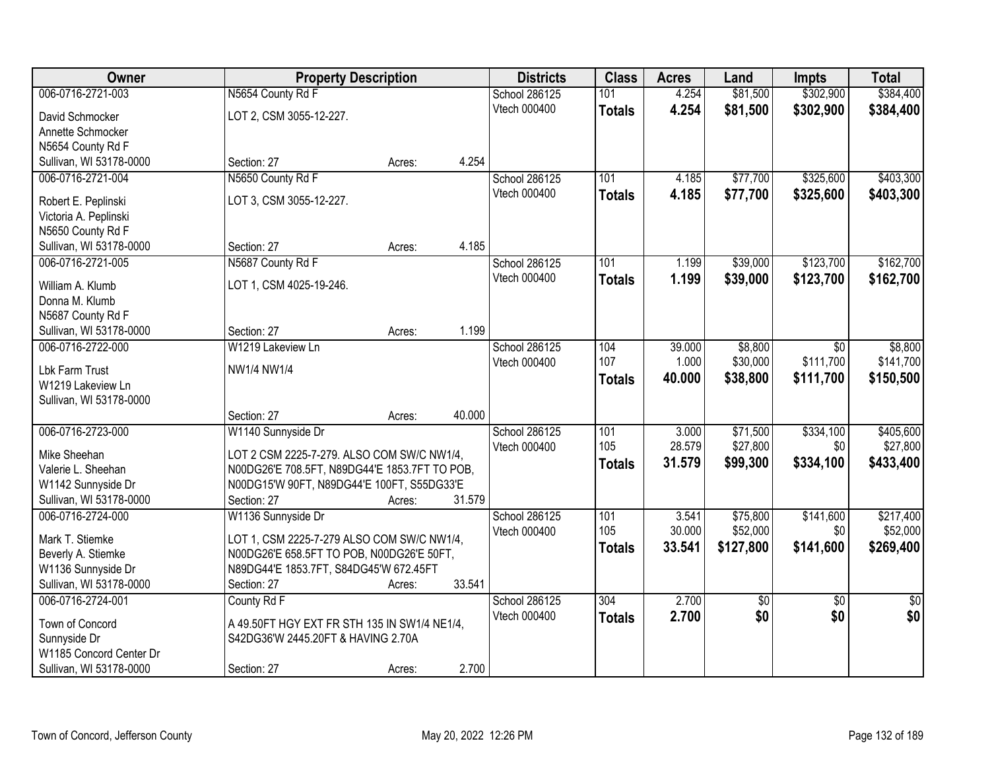| Owner                                        | <b>Property Description</b>                   |        | <b>Districts</b>    | <b>Class</b>     | <b>Acres</b> | Land        | <b>Impts</b>    | <b>Total</b>    |
|----------------------------------------------|-----------------------------------------------|--------|---------------------|------------------|--------------|-------------|-----------------|-----------------|
| 006-0716-2721-003                            | N5654 County Rd F                             |        | School 286125       | 101              | 4.254        | \$81,500    | \$302,900       | \$384,400       |
| David Schmocker                              | LOT 2, CSM 3055-12-227.                       |        | Vtech 000400        | <b>Totals</b>    | 4.254        | \$81,500    | \$302,900       | \$384,400       |
| Annette Schmocker                            |                                               |        |                     |                  |              |             |                 |                 |
| N5654 County Rd F                            |                                               |        |                     |                  |              |             |                 |                 |
| Sullivan, WI 53178-0000                      | Section: 27<br>Acres:                         | 4.254  |                     |                  |              |             |                 |                 |
| 006-0716-2721-004                            | N5650 County Rd F                             |        | School 286125       | 101              | 4.185        | \$77,700    | \$325,600       | \$403,300       |
| Robert E. Peplinski                          | LOT 3, CSM 3055-12-227.                       |        | Vtech 000400        | <b>Totals</b>    | 4.185        | \$77,700    | \$325,600       | \$403,300       |
| Victoria A. Peplinski                        |                                               |        |                     |                  |              |             |                 |                 |
| N5650 County Rd F                            |                                               |        |                     |                  |              |             |                 |                 |
| Sullivan, WI 53178-0000                      | Section: 27<br>Acres:                         | 4.185  |                     |                  |              |             |                 |                 |
| 006-0716-2721-005                            | N5687 County Rd F                             |        | School 286125       | 101              | 1.199        | \$39,000    | \$123,700       | \$162,700       |
|                                              |                                               |        | Vtech 000400        | <b>Totals</b>    | 1.199        | \$39,000    | \$123,700       | \$162,700       |
| William A. Klumb<br>Donna M. Klumb           | LOT 1, CSM 4025-19-246.                       |        |                     |                  |              |             |                 |                 |
| N5687 County Rd F                            |                                               |        |                     |                  |              |             |                 |                 |
| Sullivan, WI 53178-0000                      | Section: 27<br>Acres:                         | 1.199  |                     |                  |              |             |                 |                 |
| 006-0716-2722-000                            | W1219 Lakeview Ln                             |        | School 286125       | 104              | 39.000       | \$8,800     | \$0             | \$8,800         |
|                                              |                                               |        | <b>Vtech 000400</b> | 107              | 1.000        | \$30,000    | \$111,700       | \$141,700       |
| Lbk Farm Trust                               | NW1/4 NW1/4                                   |        |                     | <b>Totals</b>    | 40.000       | \$38,800    | \$111,700       | \$150,500       |
| W1219 Lakeview Ln<br>Sullivan, WI 53178-0000 |                                               |        |                     |                  |              |             |                 |                 |
|                                              | Section: 27<br>Acres:                         | 40.000 |                     |                  |              |             |                 |                 |
| 006-0716-2723-000                            | W1140 Sunnyside Dr                            |        | School 286125       | 101              | 3.000        | \$71,500    | \$334,100       | \$405,600       |
|                                              |                                               |        | Vtech 000400        | 105              | 28.579       | \$27,800    | \$0             | \$27,800        |
| Mike Sheehan                                 | LOT 2 CSM 2225-7-279. ALSO COM SW/C NW1/4,    |        |                     | <b>Totals</b>    | 31.579       | \$99,300    | \$334,100       | \$433,400       |
| Valerie L. Sheehan                           | N00DG26'E 708.5FT, N89DG44'E 1853.7FT TO POB, |        |                     |                  |              |             |                 |                 |
| W1142 Sunnyside Dr                           | N00DG15'W 90FT, N89DG44'E 100FT, S55DG33'E    |        |                     |                  |              |             |                 |                 |
| Sullivan, WI 53178-0000<br>006-0716-2724-000 | Section: 27<br>Acres:<br>W1136 Sunnyside Dr   | 31.579 | School 286125       | $\overline{101}$ | 3.541        | \$75,800    | \$141,600       | \$217,400       |
|                                              |                                               |        | Vtech 000400        | 105              | 30.000       | \$52,000    | \$0             | \$52,000        |
| Mark T. Stiemke                              | LOT 1, CSM 2225-7-279 ALSO COM SW/C NW1/4,    |        |                     | <b>Totals</b>    | 33.541       | \$127,800   | \$141,600       | \$269,400       |
| Beverly A. Stiemke                           | N00DG26'E 658.5FT TO POB, N00DG26'E 50FT,     |        |                     |                  |              |             |                 |                 |
| W1136 Sunnyside Dr                           | N89DG44'E 1853.7FT, S84DG45'W 672.45FT        |        |                     |                  |              |             |                 |                 |
| Sullivan, WI 53178-0000                      | Section: 27<br>Acres:                         | 33.541 |                     |                  |              |             |                 |                 |
| 006-0716-2724-001                            | County Rd F                                   |        | School 286125       | 304              | 2.700        | $\sqrt{50}$ | $\overline{50}$ | $\overline{50}$ |
| Town of Concord                              | A 49.50FT HGY EXT FR STH 135 IN SW1/4 NE1/4,  |        | Vtech 000400        | <b>Totals</b>    | 2.700        | \$0         | \$0             | \$0             |
| Sunnyside Dr                                 | S42DG36'W 2445.20FT & HAVING 2.70A            |        |                     |                  |              |             |                 |                 |
| W1185 Concord Center Dr                      |                                               |        |                     |                  |              |             |                 |                 |
| Sullivan, WI 53178-0000                      | Section: 27<br>Acres:                         | 2.700  |                     |                  |              |             |                 |                 |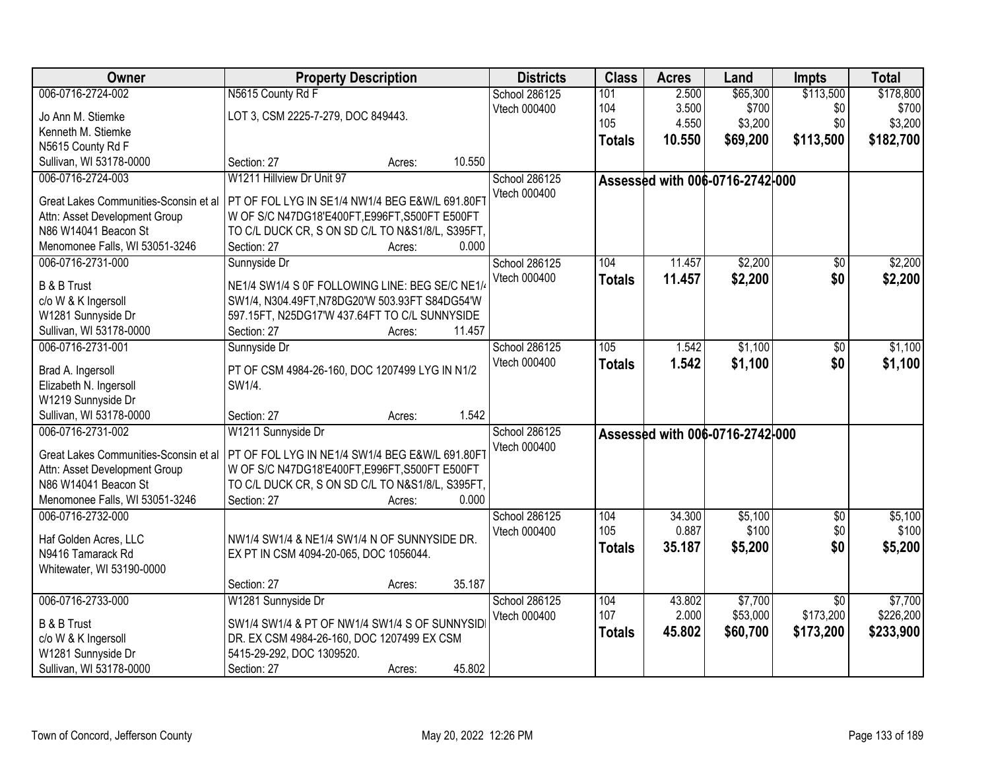| Owner                                 | <b>Property Description</b>                      | <b>Districts</b> | <b>Class</b>  | <b>Acres</b> | Land                            | <b>Impts</b>    | <b>Total</b> |
|---------------------------------------|--------------------------------------------------|------------------|---------------|--------------|---------------------------------|-----------------|--------------|
| 006-0716-2724-002                     | N5615 County Rd F                                | School 286125    | 101           | 2.500        | \$65,300                        | \$113,500       | \$178,800    |
| Jo Ann M. Stiemke                     | LOT 3, CSM 2225-7-279, DOC 849443.               | Vtech 000400     | 104           | 3.500        | \$700                           | \$0             | \$700        |
| Kenneth M. Stiemke                    |                                                  |                  | 105           | 4.550        | \$3,200                         | \$0             | \$3,200      |
| N5615 County Rd F                     |                                                  |                  | <b>Totals</b> | 10.550       | \$69,200                        | \$113,500       | \$182,700    |
| Sullivan, WI 53178-0000               | 10.550<br>Section: 27<br>Acres:                  |                  |               |              |                                 |                 |              |
| 006-0716-2724-003                     | W1211 Hillview Dr Unit 97                        | School 286125    |               |              | Assessed with 006-0716-2742-000 |                 |              |
|                                       |                                                  | Vtech 000400     |               |              |                                 |                 |              |
| Great Lakes Communities-Sconsin et al | PT OF FOL LYG IN SE1/4 NW1/4 BEG E&W/L 691.80FT  |                  |               |              |                                 |                 |              |
| Attn: Asset Development Group         | W OF S/C N47DG18'E400FT, E996FT, S500FT E500FT   |                  |               |              |                                 |                 |              |
| N86 W14041 Beacon St                  | TO C/L DUCK CR, S ON SD C/L TO N&S1/8/L, S395FT, |                  |               |              |                                 |                 |              |
| Menomonee Falls, WI 53051-3246        | 0.000<br>Section: 27<br>Acres:                   |                  |               |              |                                 |                 |              |
| 006-0716-2731-000                     | Sunnyside Dr                                     | School 286125    | 104           | 11.457       | \$2,200                         | \$0             | \$2,200      |
| <b>B &amp; B Trust</b>                | NE1/4 SW1/4 S OF FOLLOWING LINE: BEG SE/C NE1/4  | Vtech 000400     | <b>Totals</b> | 11.457       | \$2,200                         | \$0             | \$2,200      |
| c/o W & K Ingersoll                   | SW1/4, N304.49FT, N78DG20'W 503.93FT S84DG54'W   |                  |               |              |                                 |                 |              |
| W1281 Sunnyside Dr                    | 597.15FT, N25DG17'W 437.64FT TO C/L SUNNYSIDE    |                  |               |              |                                 |                 |              |
| Sullivan, WI 53178-0000               | Section: 27<br>11.457<br>Acres:                  |                  |               |              |                                 |                 |              |
| 006-0716-2731-001                     | Sunnyside Dr                                     | School 286125    | 105           | 1.542        | \$1,100                         | \$0             | \$1,100      |
|                                       |                                                  | Vtech 000400     | <b>Totals</b> | 1.542        | \$1,100                         | \$0             | \$1,100      |
| Brad A. Ingersoll                     | PT OF CSM 4984-26-160, DOC 1207499 LYG IN N1/2   |                  |               |              |                                 |                 |              |
| Elizabeth N. Ingersoll                | SW1/4.                                           |                  |               |              |                                 |                 |              |
| W1219 Sunnyside Dr                    |                                                  |                  |               |              |                                 |                 |              |
| Sullivan, WI 53178-0000               | 1.542<br>Section: 27<br>Acres:                   |                  |               |              |                                 |                 |              |
| 006-0716-2731-002                     | W1211 Sunnyside Dr                               | School 286125    |               |              | Assessed with 006-0716-2742-000 |                 |              |
| Great Lakes Communities-Sconsin et al | PT OF FOL LYG IN NE1/4 SW1/4 BEG E&W/L 691.80FT  | Vtech 000400     |               |              |                                 |                 |              |
| Attn: Asset Development Group         | W OF S/C N47DG18'E400FT, E996FT, S500FT E500FT   |                  |               |              |                                 |                 |              |
| N86 W14041 Beacon St                  | TO C/L DUCK CR, S ON SD C/L TO N&S1/8/L, S395FT, |                  |               |              |                                 |                 |              |
| Menomonee Falls, WI 53051-3246        | 0.000<br>Section: 27<br>Acres:                   |                  |               |              |                                 |                 |              |
| 006-0716-2732-000                     |                                                  | School 286125    | 104           | 34.300       | \$5,100                         | $\overline{60}$ | \$5,100      |
| Haf Golden Acres, LLC                 | NW1/4 SW1/4 & NE1/4 SW1/4 N OF SUNNYSIDE DR.     | Vtech 000400     | 105           | 0.887        | \$100                           | \$0             | \$100        |
| N9416 Tamarack Rd                     | EX PT IN CSM 4094-20-065, DOC 1056044.           |                  | <b>Totals</b> | 35.187       | \$5,200                         | \$0             | \$5,200      |
| Whitewater, WI 53190-0000             |                                                  |                  |               |              |                                 |                 |              |
|                                       | 35.187<br>Section: 27<br>Acres:                  |                  |               |              |                                 |                 |              |
| 006-0716-2733-000                     | W1281 Sunnyside Dr                               | School 286125    | 104           | 43.802       | \$7,700                         | $\overline{50}$ | \$7,700      |
|                                       |                                                  | Vtech 000400     | 107           | 2.000        | \$53,000                        | \$173,200       | \$226,200    |
| <b>B &amp; B Trust</b>                | SW1/4 SW1/4 & PT OF NW1/4 SW1/4 S OF SUNNYSID    |                  | <b>Totals</b> | 45.802       | \$60,700                        | \$173,200       | \$233,900    |
| c/o W & K Ingersoll                   | DR. EX CSM 4984-26-160, DOC 1207499 EX CSM       |                  |               |              |                                 |                 |              |
| W1281 Sunnyside Dr                    | 5415-29-292, DOC 1309520.                        |                  |               |              |                                 |                 |              |
| Sullivan, WI 53178-0000               | 45.802<br>Section: 27<br>Acres:                  |                  |               |              |                                 |                 |              |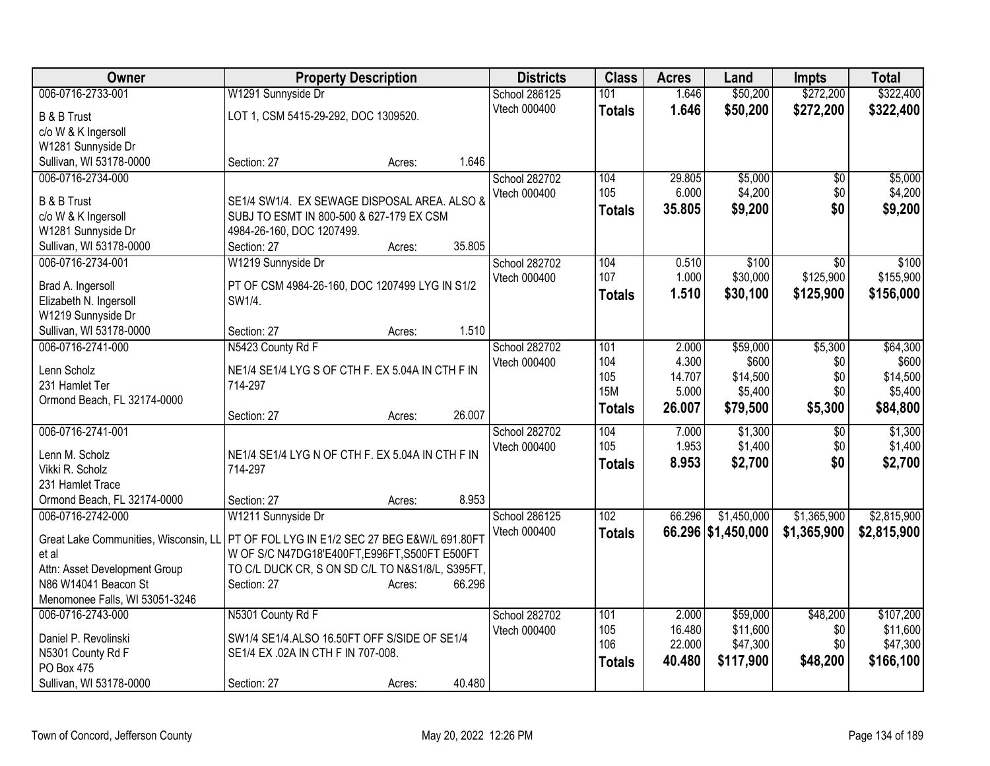| Owner                                        |                                                  | <b>Property Description</b> |        |               | <b>Class</b>  | <b>Acres</b> | Land               | <b>Impts</b>    | <b>Total</b> |
|----------------------------------------------|--------------------------------------------------|-----------------------------|--------|---------------|---------------|--------------|--------------------|-----------------|--------------|
| 006-0716-2733-001                            | W1291 Sunnyside Dr                               |                             |        | School 286125 | 101           | 1.646        | \$50,200           | \$272,200       | \$322,400    |
| <b>B &amp; B Trust</b>                       | LOT 1, CSM 5415-29-292, DOC 1309520.             |                             |        | Vtech 000400  | <b>Totals</b> | 1.646        | \$50,200           | \$272,200       | \$322,400    |
| c/o W & K Ingersoll                          |                                                  |                             |        |               |               |              |                    |                 |              |
| W1281 Sunnyside Dr                           |                                                  |                             |        |               |               |              |                    |                 |              |
| Sullivan, WI 53178-0000                      | Section: 27                                      | Acres:                      | 1.646  |               |               |              |                    |                 |              |
| 006-0716-2734-000                            |                                                  |                             |        | School 282702 | 104           | 29.805       | \$5,000            | \$0             | \$5,000      |
| <b>B &amp; B Trust</b>                       | SE1/4 SW1/4. EX SEWAGE DISPOSAL AREA. ALSO &     |                             |        | Vtech 000400  | 105           | 6.000        | \$4,200            | \$0             | \$4,200      |
| c/o W & K Ingersoll                          | SUBJ TO ESMT IN 800-500 & 627-179 EX CSM         |                             |        |               | <b>Totals</b> | 35.805       | \$9,200            | \$0             | \$9,200      |
| W1281 Sunnyside Dr                           | 4984-26-160, DOC 1207499.                        |                             |        |               |               |              |                    |                 |              |
| Sullivan, WI 53178-0000                      | Section: 27                                      | Acres:                      | 35.805 |               |               |              |                    |                 |              |
| 006-0716-2734-001                            | W1219 Sunnyside Dr                               |                             |        | School 282702 | 104           | 0.510        | \$100              | \$0             | \$100        |
|                                              |                                                  |                             |        | Vtech 000400  | 107           | 1.000        | \$30,000           | \$125,900       | \$155,900    |
| Brad A. Ingersoll                            | PT OF CSM 4984-26-160, DOC 1207499 LYG IN S1/2   |                             |        |               | <b>Totals</b> | 1.510        | \$30,100           | \$125,900       | \$156,000    |
| Elizabeth N. Ingersoll                       | SW1/4.                                           |                             |        |               |               |              |                    |                 |              |
| W1219 Sunnyside Dr                           |                                                  |                             | 1.510  |               |               |              |                    |                 |              |
| Sullivan, WI 53178-0000<br>006-0716-2741-000 | Section: 27<br>N5423 County Rd F                 | Acres:                      |        | School 282702 | 101           | 2.000        | \$59,000           | \$5,300         | \$64,300     |
|                                              |                                                  |                             |        | Vtech 000400  | 104           | 4.300        | \$600              | \$0             | \$600        |
| Lenn Scholz                                  | NE1/4 SE1/4 LYG S OF CTH F. EX 5.04A IN CTH F IN |                             |        |               | 105           | 14.707       | \$14,500           | \$0             | \$14,500     |
| 231 Hamlet Ter                               | 714-297                                          |                             |        |               | <b>15M</b>    | 5.000        | \$5,400            | \$0             | \$5,400      |
| Ormond Beach, FL 32174-0000                  |                                                  |                             |        |               | <b>Totals</b> | 26.007       | \$79,500           | \$5,300         | \$84,800     |
|                                              | Section: 27                                      | Acres:                      | 26.007 |               |               |              |                    |                 |              |
| 006-0716-2741-001                            |                                                  |                             |        | School 282702 | 104           | 7.000        | \$1,300            | $\overline{50}$ | \$1,300      |
| Lenn M. Scholz                               | NE1/4 SE1/4 LYG N OF CTH F. EX 5.04A IN CTH F IN |                             |        | Vtech 000400  | 105           | 1.953        | \$1,400            | \$0             | \$1,400      |
| Vikki R. Scholz                              | 714-297                                          |                             |        |               | <b>Totals</b> | 8.953        | \$2,700            | \$0             | \$2,700      |
| 231 Hamlet Trace                             |                                                  |                             |        |               |               |              |                    |                 |              |
| Ormond Beach, FL 32174-0000                  | Section: 27                                      | Acres:                      | 8.953  |               |               |              |                    |                 |              |
| 006-0716-2742-000                            | W1211 Sunnyside Dr                               |                             |        | School 286125 | 102           | 66.296       | \$1,450,000        | \$1,365,900     | \$2,815,900  |
| Great Lake Communities, Wisconsin, LL        | PT OF FOL LYG IN E1/2 SEC 27 BEG E&W/L 691.80FT  |                             |        | Vtech 000400  | <b>Totals</b> |              | 66.296 \$1,450,000 | \$1,365,900     | \$2,815,900  |
| et al                                        | W OF S/C N47DG18'E400FT, E996FT, S500FT E500FT   |                             |        |               |               |              |                    |                 |              |
| Attn: Asset Development Group                | TO C/L DUCK CR, S ON SD C/L TO N&S1/8/L, S395FT, |                             |        |               |               |              |                    |                 |              |
| N86 W14041 Beacon St                         | Section: 27                                      | Acres:                      | 66.296 |               |               |              |                    |                 |              |
| Menomonee Falls, WI 53051-3246               |                                                  |                             |        |               |               |              |                    |                 |              |
| 006-0716-2743-000                            | N5301 County Rd F                                |                             |        | School 282702 | 101           | 2.000        | \$59,000           | \$48,200        | \$107,200    |
| Daniel P. Revolinski                         | SW1/4 SE1/4.ALSO 16.50FT OFF S/SIDE OF SE1/4     |                             |        | Vtech 000400  | 105           | 16.480       | \$11,600           | \$0             | \$11,600     |
| N5301 County Rd F                            | SE1/4 EX .02A IN CTH F IN 707-008.               |                             |        |               | 106           | 22.000       | \$47,300           | \$0             | \$47,300     |
| PO Box 475                                   |                                                  |                             |        |               | <b>Totals</b> | 40.480       | \$117,900          | \$48,200        | \$166,100    |
| Sullivan, WI 53178-0000                      | Section: 27                                      | Acres:                      | 40.480 |               |               |              |                    |                 |              |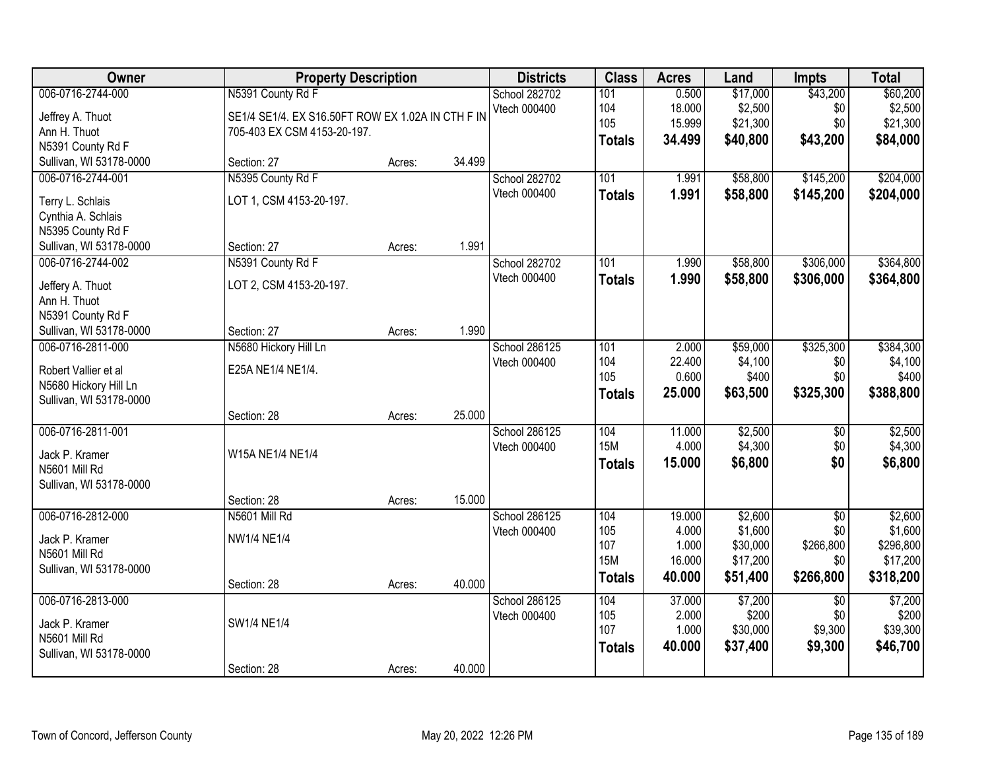| Owner                                                                                         |                                                                                                       | <b>Property Description</b> |        |                               | <b>Class</b>                                     | <b>Acres</b>                                 | Land                                                   | <b>Impts</b>                                            | <b>Total</b>                                             |
|-----------------------------------------------------------------------------------------------|-------------------------------------------------------------------------------------------------------|-----------------------------|--------|-------------------------------|--------------------------------------------------|----------------------------------------------|--------------------------------------------------------|---------------------------------------------------------|----------------------------------------------------------|
| 006-0716-2744-000<br>Jeffrey A. Thuot<br>Ann H. Thuot<br>N5391 County Rd F                    | N5391 County Rd F<br>SE1/4 SE1/4. EX S16.50FT ROW EX 1.02A IN CTH F IN<br>705-403 EX CSM 4153-20-197. |                             |        | School 282702<br>Vtech 000400 | 101<br>104<br>105<br><b>Totals</b>               | 0.500<br>18.000<br>15.999<br>34.499          | \$17,000<br>\$2,500<br>\$21,300<br>\$40,800            | \$43,200<br>\$0<br>\$0<br>\$43,200                      | \$60,200<br>\$2,500<br>\$21,300<br>\$84,000              |
| Sullivan, WI 53178-0000                                                                       | Section: 27                                                                                           | Acres:                      | 34.499 |                               |                                                  |                                              |                                                        |                                                         |                                                          |
| 006-0716-2744-001<br>Terry L. Schlais<br>Cynthia A. Schlais<br>N5395 County Rd F              | N5395 County Rd F<br>LOT 1, CSM 4153-20-197.                                                          |                             |        | School 282702<br>Vtech 000400 | 101<br><b>Totals</b>                             | 1.991<br>1.991                               | \$58,800<br>\$58,800                                   | \$145,200<br>\$145,200                                  | \$204,000<br>\$204,000                                   |
| Sullivan, WI 53178-0000                                                                       | Section: 27                                                                                           | Acres:                      | 1.991  |                               |                                                  |                                              |                                                        |                                                         |                                                          |
| 006-0716-2744-002<br>Jeffery A. Thuot<br>Ann H. Thuot<br>N5391 County Rd F                    | N5391 County Rd F<br>LOT 2, CSM 4153-20-197.                                                          |                             |        | School 282702<br>Vtech 000400 | 101<br><b>Totals</b>                             | 1.990<br>1.990                               | \$58,800<br>\$58,800                                   | \$306,000<br>\$306,000                                  | \$364,800<br>\$364,800                                   |
| Sullivan, WI 53178-0000                                                                       | Section: 27                                                                                           | Acres:                      | 1.990  |                               |                                                  |                                              |                                                        |                                                         |                                                          |
| 006-0716-2811-000<br>Robert Vallier et al<br>N5680 Hickory Hill Ln<br>Sullivan, WI 53178-0000 | N5680 Hickory Hill Ln<br>E25A NE1/4 NE1/4.                                                            |                             |        | School 286125<br>Vtech 000400 | 101<br>104<br>105<br><b>Totals</b>               | 2.000<br>22.400<br>0.600<br>25.000           | \$59,000<br>\$4,100<br>\$400<br>\$63,500               | \$325,300<br>\$0<br>\$0<br>\$325,300                    | \$384,300<br>\$4,100<br>\$400<br>\$388,800               |
|                                                                                               | Section: 28                                                                                           | Acres:                      | 25.000 |                               |                                                  |                                              |                                                        |                                                         |                                                          |
| 006-0716-2811-001<br>Jack P. Kramer<br>N5601 Mill Rd<br>Sullivan, WI 53178-0000               | W15A NE1/4 NE1/4                                                                                      |                             |        | School 286125<br>Vtech 000400 | 104<br><b>15M</b><br><b>Totals</b>               | 11.000<br>4.000<br>15.000                    | \$2,500<br>\$4,300<br>\$6,800                          | $\overline{50}$<br>\$0<br>\$0                           | \$2,500<br>\$4,300<br>\$6,800                            |
|                                                                                               | Section: 28                                                                                           | Acres:                      | 15.000 |                               |                                                  |                                              |                                                        |                                                         |                                                          |
| 006-0716-2812-000<br>Jack P. Kramer<br>N5601 Mill Rd<br>Sullivan, WI 53178-0000               | N5601 Mill Rd<br><b>NW1/4 NE1/4</b><br>Section: 28                                                    | Acres:                      | 40.000 | School 286125<br>Vtech 000400 | 104<br>105<br>107<br><b>15M</b><br><b>Totals</b> | 19.000<br>4.000<br>1.000<br>16.000<br>40.000 | \$2,600<br>\$1,600<br>\$30,000<br>\$17,200<br>\$51,400 | $\overline{50}$<br>\$0<br>\$266,800<br>\$0<br>\$266,800 | \$2,600<br>\$1,600<br>\$296,800<br>\$17,200<br>\$318,200 |
| 006-0716-2813-000                                                                             |                                                                                                       |                             |        | School 286125                 | 104                                              | 37.000                                       | \$7,200                                                | $\overline{50}$                                         | \$7,200                                                  |
| Jack P. Kramer<br>N5601 Mill Rd<br>Sullivan, WI 53178-0000                                    | SW1/4 NE1/4                                                                                           |                             |        | Vtech 000400                  | 105<br>107<br><b>Totals</b>                      | 2.000<br>1.000<br>40.000                     | \$200<br>\$30,000<br>\$37,400                          | \$0<br>\$9,300<br>\$9,300                               | \$200<br>\$39,300<br>\$46,700                            |
|                                                                                               | Section: 28                                                                                           | Acres:                      | 40.000 |                               |                                                  |                                              |                                                        |                                                         |                                                          |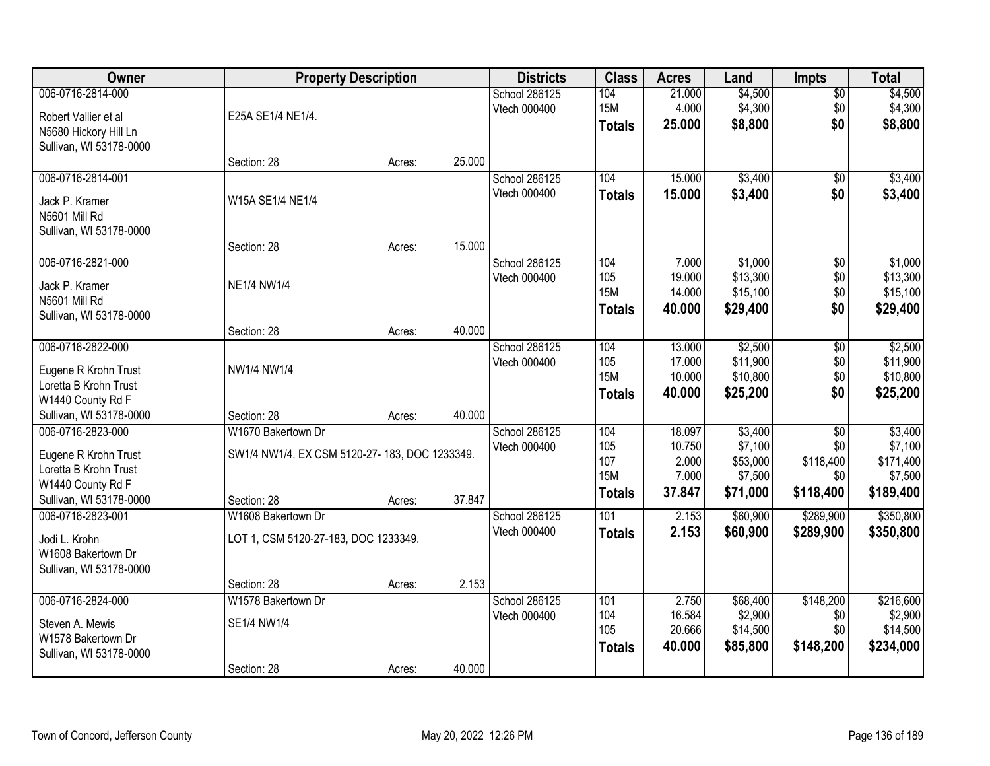| Owner                   |                                               | <b>Property Description</b> |        | <b>Districts</b> | <b>Class</b>     | <b>Acres</b> | Land     | <b>Impts</b>    | <b>Total</b> |
|-------------------------|-----------------------------------------------|-----------------------------|--------|------------------|------------------|--------------|----------|-----------------|--------------|
| 006-0716-2814-000       |                                               |                             |        | School 286125    | 104              | 21.000       | \$4,500  | $\overline{50}$ | \$4,500      |
| Robert Vallier et al    | E25A SE1/4 NE1/4.                             |                             |        | Vtech 000400     | <b>15M</b>       | 4.000        | \$4,300  | \$0             | \$4,300      |
| N5680 Hickory Hill Ln   |                                               |                             |        |                  | <b>Totals</b>    | 25.000       | \$8,800  | \$0             | \$8,800      |
| Sullivan, WI 53178-0000 |                                               |                             |        |                  |                  |              |          |                 |              |
|                         | Section: 28                                   | Acres:                      | 25.000 |                  |                  |              |          |                 |              |
| 006-0716-2814-001       |                                               |                             |        | School 286125    | 104              | 15.000       | \$3,400  | $\overline{50}$ | \$3,400      |
| Jack P. Kramer          | W15A SE1/4 NE1/4                              |                             |        | Vtech 000400     | <b>Totals</b>    | 15.000       | \$3,400  | \$0             | \$3,400      |
| N5601 Mill Rd           |                                               |                             |        |                  |                  |              |          |                 |              |
| Sullivan, WI 53178-0000 |                                               |                             |        |                  |                  |              |          |                 |              |
|                         | Section: 28                                   | Acres:                      | 15.000 |                  |                  |              |          |                 |              |
| 006-0716-2821-000       |                                               |                             |        | School 286125    | 104              | 7.000        | \$1,000  | \$0             | \$1,000      |
| Jack P. Kramer          | <b>NE1/4 NW1/4</b>                            |                             |        | Vtech 000400     | 105              | 19.000       | \$13,300 | \$0             | \$13,300     |
| N5601 Mill Rd           |                                               |                             |        |                  | <b>15M</b>       | 14.000       | \$15,100 | \$0             | \$15,100     |
| Sullivan, WI 53178-0000 |                                               |                             |        |                  | <b>Totals</b>    | 40.000       | \$29,400 | \$0             | \$29,400     |
|                         | Section: 28                                   | Acres:                      | 40.000 |                  |                  |              |          |                 |              |
| 006-0716-2822-000       |                                               |                             |        | School 286125    | 104              | 13.000       | \$2,500  | \$0             | \$2,500      |
| Eugene R Krohn Trust    | NW1/4 NW1/4                                   |                             |        | Vtech 000400     | 105              | 17.000       | \$11,900 | \$0             | \$11,900     |
| Loretta B Krohn Trust   |                                               |                             |        |                  | <b>15M</b>       | 10.000       | \$10,800 | \$0             | \$10,800     |
| W1440 County Rd F       |                                               |                             |        |                  | <b>Totals</b>    | 40.000       | \$25,200 | \$0             | \$25,200     |
| Sullivan, WI 53178-0000 | Section: 28                                   | Acres:                      | 40.000 |                  |                  |              |          |                 |              |
| 006-0716-2823-000       | W1670 Bakertown Dr                            |                             |        | School 286125    | 104              | 18.097       | \$3,400  | $\overline{30}$ | \$3,400      |
| Eugene R Krohn Trust    | SW1/4 NW1/4. EX CSM 5120-27-183, DOC 1233349. |                             |        | Vtech 000400     | 105              | 10.750       | \$7,100  | \$0             | \$7,100      |
| Loretta B Krohn Trust   |                                               |                             |        |                  | 107              | 2.000        | \$53,000 | \$118,400       | \$171,400    |
| W1440 County Rd F       |                                               |                             |        |                  | <b>15M</b>       | 7.000        | \$7,500  | \$0             | \$7,500      |
| Sullivan, WI 53178-0000 | Section: 28                                   | Acres:                      | 37.847 |                  | <b>Totals</b>    | 37.847       | \$71,000 | \$118,400       | \$189,400    |
| 006-0716-2823-001       | W1608 Bakertown Dr                            |                             |        | School 286125    | $\overline{101}$ | 2.153        | \$60,900 | \$289,900       | \$350,800    |
| Jodi L. Krohn           | LOT 1, CSM 5120-27-183, DOC 1233349.          |                             |        | Vtech 000400     | <b>Totals</b>    | 2.153        | \$60,900 | \$289,900       | \$350,800    |
| W1608 Bakertown Dr      |                                               |                             |        |                  |                  |              |          |                 |              |
| Sullivan, WI 53178-0000 |                                               |                             |        |                  |                  |              |          |                 |              |
|                         | Section: 28                                   | Acres:                      | 2.153  |                  |                  |              |          |                 |              |
| 006-0716-2824-000       | W1578 Bakertown Dr                            |                             |        | School 286125    | 101              | 2.750        | \$68,400 | \$148,200       | \$216,600    |
| Steven A. Mewis         | SE1/4 NW1/4                                   |                             |        | Vtech 000400     | 104              | 16.584       | \$2,900  | \$0             | \$2,900      |
| W1578 Bakertown Dr      |                                               |                             |        |                  | 105              | 20.666       | \$14,500 | \$0             | \$14,500     |
| Sullivan, WI 53178-0000 |                                               |                             |        |                  | <b>Totals</b>    | 40.000       | \$85,800 | \$148,200       | \$234,000    |
|                         | Section: 28                                   | Acres:                      | 40.000 |                  |                  |              |          |                 |              |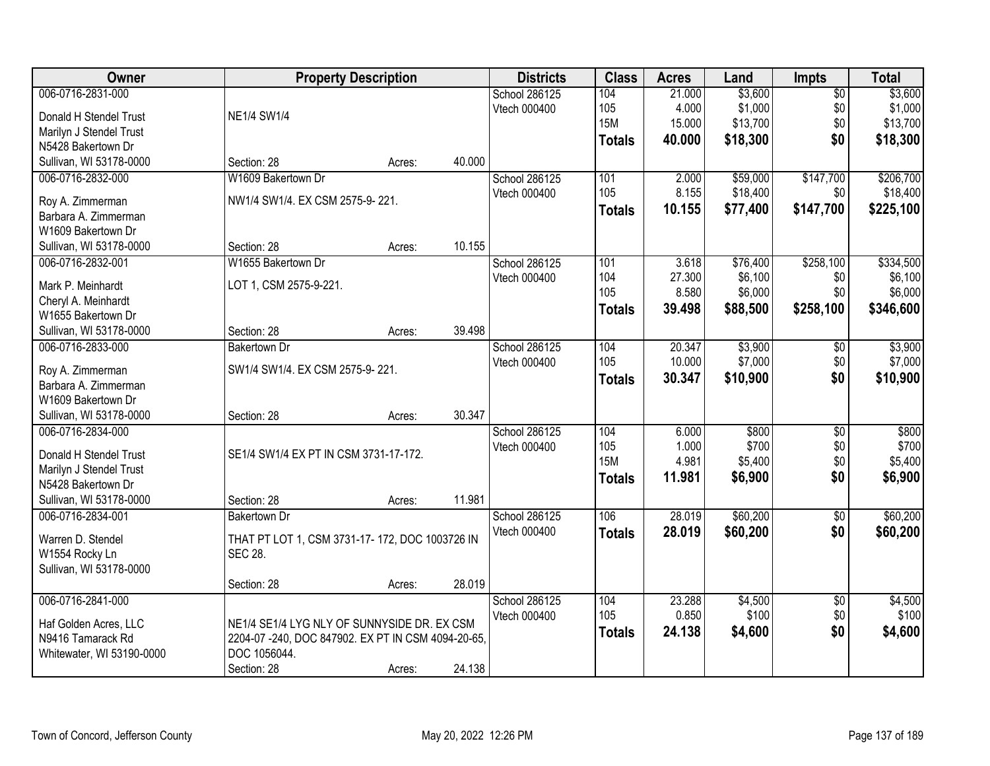| Owner                     |                                                    | <b>Property Description</b> |        | <b>Districts</b> | <b>Class</b>  | <b>Acres</b> | Land     | <b>Impts</b>    | <b>Total</b> |
|---------------------------|----------------------------------------------------|-----------------------------|--------|------------------|---------------|--------------|----------|-----------------|--------------|
| 006-0716-2831-000         |                                                    |                             |        | School 286125    | 104           | 21.000       | \$3,600  | $\overline{50}$ | \$3,600      |
| Donald H Stendel Trust    | <b>NE1/4 SW1/4</b>                                 |                             |        | Vtech 000400     | 105           | 4.000        | \$1,000  | \$0             | \$1,000      |
| Marilyn J Stendel Trust   |                                                    |                             |        |                  | <b>15M</b>    | 15.000       | \$13,700 | \$0             | \$13,700     |
| N5428 Bakertown Dr        |                                                    |                             |        |                  | <b>Totals</b> | 40.000       | \$18,300 | \$0             | \$18,300     |
|                           | Section: 28                                        |                             | 40.000 |                  |               |              |          |                 |              |
| Sullivan, WI 53178-0000   |                                                    | Acres:                      |        |                  |               |              |          |                 |              |
| 006-0716-2832-000         | W1609 Bakertown Dr                                 |                             |        | School 286125    | 101           | 2.000        | \$59,000 | \$147,700       | \$206,700    |
| Roy A. Zimmerman          | NW1/4 SW1/4. EX CSM 2575-9-221.                    |                             |        | Vtech 000400     | 105           | 8.155        | \$18,400 | \$0             | \$18,400     |
| Barbara A. Zimmerman      |                                                    |                             |        |                  | <b>Totals</b> | 10.155       | \$77,400 | \$147,700       | \$225,100    |
| W1609 Bakertown Dr        |                                                    |                             |        |                  |               |              |          |                 |              |
| Sullivan, WI 53178-0000   | Section: 28                                        | Acres:                      | 10.155 |                  |               |              |          |                 |              |
| 006-0716-2832-001         | W1655 Bakertown Dr                                 |                             |        | School 286125    | 101           | 3.618        | \$76,400 | \$258,100       | \$334,500    |
|                           |                                                    |                             |        | Vtech 000400     | 104           | 27.300       | \$6,100  | \$0             | \$6,100      |
| Mark P. Meinhardt         | LOT 1, CSM 2575-9-221.                             |                             |        |                  | 105           | 8.580        | \$6,000  | \$0             | \$6,000      |
| Cheryl A. Meinhardt       |                                                    |                             |        |                  | <b>Totals</b> | 39.498       | \$88,500 | \$258,100       | \$346,600    |
| W1655 Bakertown Dr        |                                                    |                             |        |                  |               |              |          |                 |              |
| Sullivan, WI 53178-0000   | Section: 28                                        | Acres:                      | 39.498 |                  |               |              |          |                 |              |
| 006-0716-2833-000         | <b>Bakertown Dr</b>                                |                             |        | School 286125    | 104           | 20.347       | \$3,900  | \$0             | \$3,900      |
| Roy A. Zimmerman          | SW1/4 SW1/4. EX CSM 2575-9-221.                    |                             |        | Vtech 000400     | 105           | 10.000       | \$7,000  | \$0             | \$7,000      |
| Barbara A. Zimmerman      |                                                    |                             |        |                  | <b>Totals</b> | 30.347       | \$10,900 | \$0             | \$10,900     |
| W1609 Bakertown Dr        |                                                    |                             |        |                  |               |              |          |                 |              |
| Sullivan, WI 53178-0000   | Section: 28                                        | Acres:                      | 30.347 |                  |               |              |          |                 |              |
| 006-0716-2834-000         |                                                    |                             |        | School 286125    | 104           | 6.000        | \$800    | $\overline{30}$ | \$800        |
|                           |                                                    |                             |        |                  | 105           | 1.000        | \$700    | \$0             | \$700        |
| Donald H Stendel Trust    | SE1/4 SW1/4 EX PT IN CSM 3731-17-172.              |                             |        | Vtech 000400     | <b>15M</b>    | 4.981        | \$5,400  | \$0             | \$5,400      |
| Marilyn J Stendel Trust   |                                                    |                             |        |                  |               |              |          |                 |              |
| N5428 Bakertown Dr        |                                                    |                             |        |                  | <b>Totals</b> | 11.981       | \$6,900  | \$0             | \$6,900      |
| Sullivan, WI 53178-0000   | Section: 28                                        | Acres:                      | 11.981 |                  |               |              |          |                 |              |
| 006-0716-2834-001         | <b>Bakertown Dr</b>                                |                             |        | School 286125    | 106           | 28.019       | \$60,200 | $\sqrt{6}$      | \$60,200     |
|                           |                                                    |                             |        | Vtech 000400     | <b>Totals</b> | 28.019       | \$60,200 | \$0             | \$60,200     |
| Warren D. Stendel         | THAT PT LOT 1, CSM 3731-17-172, DOC 1003726 IN     |                             |        |                  |               |              |          |                 |              |
| W1554 Rocky Ln            | <b>SEC 28.</b>                                     |                             |        |                  |               |              |          |                 |              |
| Sullivan, WI 53178-0000   |                                                    |                             |        |                  |               |              |          |                 |              |
|                           | Section: 28                                        | Acres:                      | 28.019 |                  |               |              |          |                 |              |
| 006-0716-2841-000         |                                                    |                             |        | School 286125    | 104           | 23.288       | \$4,500  | $\overline{50}$ | \$4,500      |
| Haf Golden Acres, LLC     | NE1/4 SE1/4 LYG NLY OF SUNNYSIDE DR. EX CSM        |                             |        | Vtech 000400     | 105           | 0.850        | \$100    | \$0             | \$100        |
| N9416 Tamarack Rd         | 2204-07 -240, DOC 847902. EX PT IN CSM 4094-20-65, |                             |        |                  | <b>Totals</b> | 24.138       | \$4,600  | \$0             | \$4,600      |
| Whitewater, WI 53190-0000 | DOC 1056044.                                       |                             |        |                  |               |              |          |                 |              |
|                           | Section: 28                                        | Acres:                      | 24.138 |                  |               |              |          |                 |              |
|                           |                                                    |                             |        |                  |               |              |          |                 |              |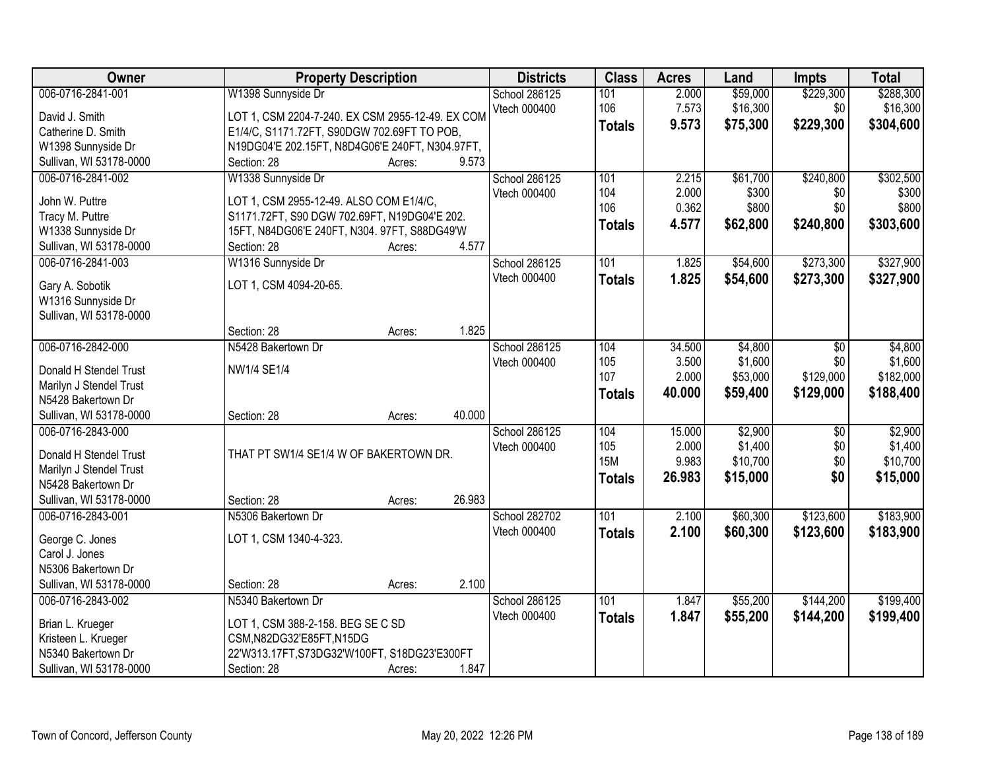| Owner                                     | <b>Property Description</b>                                          | <b>Districts</b> | <b>Class</b>  | <b>Acres</b> | Land     | Impts           | <b>Total</b> |
|-------------------------------------------|----------------------------------------------------------------------|------------------|---------------|--------------|----------|-----------------|--------------|
| 006-0716-2841-001                         | W1398 Sunnyside Dr                                                   | School 286125    | 101           | 2.000        | \$59,000 | \$229,300       | \$288,300    |
| David J. Smith                            | LOT 1, CSM 2204-7-240. EX CSM 2955-12-49. EX COM                     | Vtech 000400     | 106           | 7.573        | \$16,300 | \$0             | \$16,300     |
| Catherine D. Smith                        | E1/4/C, S1171.72FT, S90DGW 702.69FT TO POB,                          |                  | <b>Totals</b> | 9.573        | \$75,300 | \$229,300       | \$304,600    |
| W1398 Sunnyside Dr                        | N19DG04'E 202.15FT, N8D4G06'E 240FT, N304.97FT,                      |                  |               |              |          |                 |              |
| Sullivan, WI 53178-0000                   | 9.573<br>Section: 28<br>Acres:                                       |                  |               |              |          |                 |              |
| 006-0716-2841-002                         | W1338 Sunnyside Dr                                                   | School 286125    | 101           | 2.215        | \$61,700 | \$240,800       | \$302,500    |
|                                           |                                                                      | Vtech 000400     | 104           | 2.000        | \$300    | \$0             | \$300        |
| John W. Puttre                            | LOT 1, CSM 2955-12-49. ALSO COM E1/4/C,                              |                  | 106           | 0.362        | \$800    | \$0             | \$800        |
| Tracy M. Puttre                           | S1171.72FT, S90 DGW 702.69FT, N19DG04'E 202.                         |                  | <b>Totals</b> | 4.577        | \$62,800 | \$240,800       | \$303,600    |
| W1338 Sunnyside Dr                        | 15FT, N84DG06'E 240FT, N304. 97FT, S88DG49'W                         |                  |               |              |          |                 |              |
| Sullivan, WI 53178-0000                   | 4.577<br>Section: 28<br>Acres:                                       |                  |               |              |          |                 |              |
| 006-0716-2841-003                         | W1316 Sunnyside Dr                                                   | School 286125    | 101           | 1.825        | \$54,600 | \$273,300       | \$327,900    |
| Gary A. Sobotik                           | LOT 1, CSM 4094-20-65.                                               | Vtech 000400     | <b>Totals</b> | 1.825        | \$54,600 | \$273,300       | \$327,900    |
| W1316 Sunnyside Dr                        |                                                                      |                  |               |              |          |                 |              |
| Sullivan, WI 53178-0000                   |                                                                      |                  |               |              |          |                 |              |
|                                           | 1.825<br>Section: 28<br>Acres:                                       |                  |               |              |          |                 |              |
| 006-0716-2842-000                         | N5428 Bakertown Dr                                                   | School 286125    | 104           | 34.500       | \$4,800  | \$0             | \$4,800      |
| Donald H Stendel Trust                    | NW1/4 SE1/4                                                          | Vtech 000400     | 105           | 3.500        | \$1,600  | \$0             | \$1,600      |
| Marilyn J Stendel Trust                   |                                                                      |                  | 107           | 2.000        | \$53,000 | \$129,000       | \$182,000    |
| N5428 Bakertown Dr                        |                                                                      |                  | <b>Totals</b> | 40.000       | \$59,400 | \$129,000       | \$188,400    |
| Sullivan, WI 53178-0000                   | 40.000<br>Section: 28<br>Acres:                                      |                  |               |              |          |                 |              |
| 006-0716-2843-000                         |                                                                      | School 286125    | 104           | 15.000       | \$2,900  | $\overline{50}$ | \$2,900      |
|                                           |                                                                      | Vtech 000400     | 105           | 2.000        | \$1,400  | \$0             | \$1,400      |
| Donald H Stendel Trust                    | THAT PT SW1/4 SE1/4 W OF BAKERTOWN DR.                               |                  | <b>15M</b>    | 9.983        | \$10,700 | \$0             | \$10,700     |
| Marilyn J Stendel Trust                   |                                                                      |                  | <b>Totals</b> | 26.983       | \$15,000 | \$0             | \$15,000     |
| N5428 Bakertown Dr                        |                                                                      |                  |               |              |          |                 |              |
| Sullivan, WI 53178-0000                   | 26.983<br>Section: 28<br>Acres:                                      |                  |               |              |          |                 |              |
| 006-0716-2843-001                         | N5306 Bakertown Dr                                                   | School 282702    | 101           | 2.100        | \$60,300 | \$123,600       | \$183,900    |
| George C. Jones                           | LOT 1, CSM 1340-4-323.                                               | Vtech 000400     | <b>Totals</b> | 2.100        | \$60,300 | \$123,600       | \$183,900    |
| Carol J. Jones                            |                                                                      |                  |               |              |          |                 |              |
| N5306 Bakertown Dr                        |                                                                      |                  |               |              |          |                 |              |
| Sullivan, WI 53178-0000                   | 2.100<br>Section: 28<br>Acres:                                       |                  |               |              |          |                 |              |
| 006-0716-2843-002                         | N5340 Bakertown Dr                                                   | School 286125    | 101           | 1.847        | \$55,200 | \$144,200       | \$199,400    |
|                                           |                                                                      | Vtech 000400     | <b>Totals</b> | 1.847        | \$55,200 | \$144,200       | \$199,400    |
| Brian L. Krueger                          | LOT 1, CSM 388-2-158. BEG SE C SD                                    |                  |               |              |          |                 |              |
| Kristeen L. Krueger<br>N5340 Bakertown Dr | CSM,N82DG32'E85FT,N15DG                                              |                  |               |              |          |                 |              |
| Sullivan, WI 53178-0000                   | 22'W313.17FT, S73DG32'W100FT, S18DG23'E300FT<br>1.847<br>Section: 28 |                  |               |              |          |                 |              |
|                                           | Acres:                                                               |                  |               |              |          |                 |              |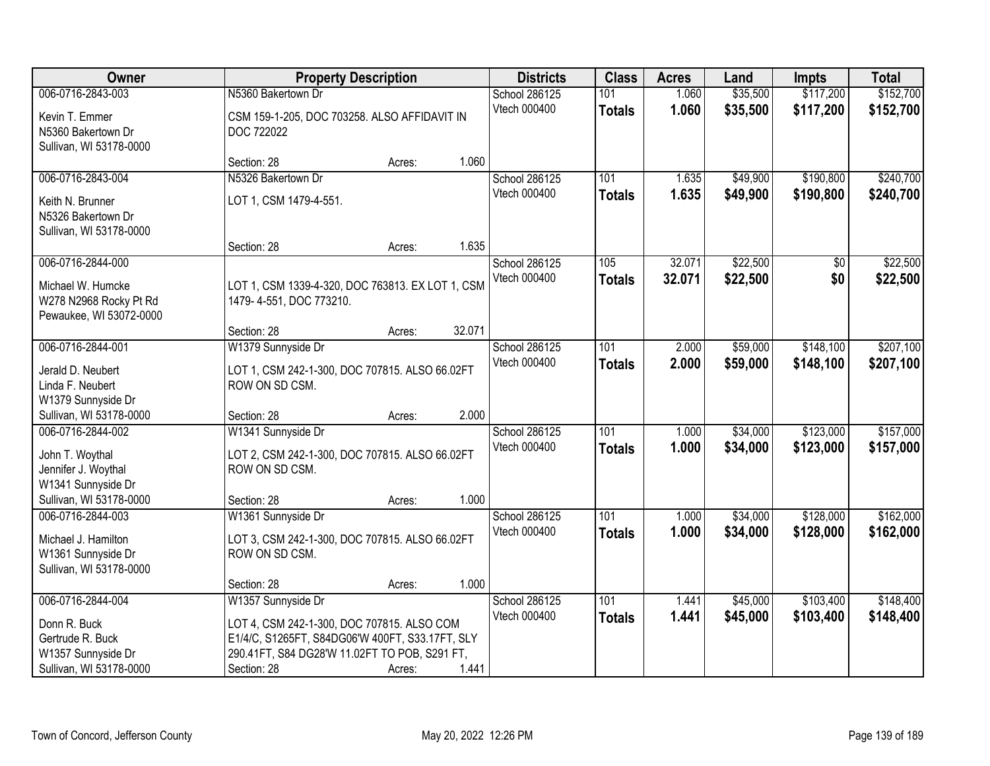| Owner                                                                                     | <b>Property Description</b>                                                                                                                                   |        |        | <b>Districts</b>              | <b>Class</b>         | <b>Acres</b>   | Land                 | Impts                  | <b>Total</b>           |
|-------------------------------------------------------------------------------------------|---------------------------------------------------------------------------------------------------------------------------------------------------------------|--------|--------|-------------------------------|----------------------|----------------|----------------------|------------------------|------------------------|
| 006-0716-2843-003                                                                         | N5360 Bakertown Dr                                                                                                                                            |        |        | School 286125                 | 101                  | 1.060          | \$35,500             | \$117,200              | \$152,700              |
| Kevin T. Emmer<br>N5360 Bakertown Dr<br>Sullivan, WI 53178-0000                           | CSM 159-1-205, DOC 703258. ALSO AFFIDAVIT IN<br>DOC 722022                                                                                                    |        |        | Vtech 000400                  | <b>Totals</b>        | 1.060          | \$35,500             | \$117,200              | \$152,700              |
|                                                                                           | Section: 28                                                                                                                                                   | Acres: | 1.060  |                               |                      |                |                      |                        |                        |
| 006-0716-2843-004                                                                         | N5326 Bakertown Dr                                                                                                                                            |        |        | School 286125                 | 101                  | 1.635          | \$49,900             | \$190,800              | \$240,700              |
| Keith N. Brunner<br>N5326 Bakertown Dr<br>Sullivan, WI 53178-0000                         | LOT 1, CSM 1479-4-551.                                                                                                                                        |        |        | Vtech 000400                  | <b>Totals</b>        | 1.635          | \$49,900             | \$190,800              | \$240,700              |
|                                                                                           | Section: 28                                                                                                                                                   | Acres: | 1.635  |                               |                      |                |                      |                        |                        |
| 006-0716-2844-000                                                                         |                                                                                                                                                               |        |        | School 286125                 | 105                  | 32.071         | \$22,500             | \$0                    | \$22,500               |
| Michael W. Humcke<br>W278 N2968 Rocky Pt Rd<br>Pewaukee, WI 53072-0000                    | LOT 1, CSM 1339-4-320, DOC 763813. EX LOT 1, CSM<br>1479-4-551, DOC 773210.                                                                                   |        |        | Vtech 000400                  | <b>Totals</b>        | 32.071         | \$22,500             | \$0                    | \$22,500               |
|                                                                                           | Section: 28                                                                                                                                                   | Acres: | 32.071 |                               |                      |                |                      |                        |                        |
| 006-0716-2844-001                                                                         | W1379 Sunnyside Dr                                                                                                                                            |        |        | School 286125                 | 101                  | 2.000          | \$59,000             | \$148,100              | \$207,100              |
| Jerald D. Neubert<br>Linda F. Neubert<br>W1379 Sunnyside Dr                               | LOT 1, CSM 242-1-300, DOC 707815. ALSO 66.02FT<br>ROW ON SD CSM.                                                                                              |        |        | Vtech 000400                  | <b>Totals</b>        | 2.000          | \$59,000             | \$148,100              | \$207,100              |
| Sullivan, WI 53178-0000                                                                   | Section: 28                                                                                                                                                   | Acres: | 2.000  |                               |                      |                |                      |                        |                        |
| 006-0716-2844-002<br>John T. Woythal<br>Jennifer J. Woythal<br>W1341 Sunnyside Dr         | W1341 Sunnyside Dr<br>LOT 2, CSM 242-1-300, DOC 707815. ALSO 66.02FT<br>ROW ON SD CSM.                                                                        |        |        | School 286125<br>Vtech 000400 | 101<br><b>Totals</b> | 1.000<br>1.000 | \$34,000<br>\$34,000 | \$123,000<br>\$123,000 | \$157,000<br>\$157,000 |
| Sullivan, WI 53178-0000                                                                   | Section: 28                                                                                                                                                   | Acres: | 1.000  |                               |                      |                |                      |                        |                        |
| 006-0716-2844-003<br>Michael J. Hamilton<br>W1361 Sunnyside Dr<br>Sullivan, WI 53178-0000 | W1361 Sunnyside Dr<br>LOT 3, CSM 242-1-300, DOC 707815. ALSO 66.02FT<br>ROW ON SD CSM.                                                                        |        |        | School 286125<br>Vtech 000400 | 101<br><b>Totals</b> | 1.000<br>1.000 | \$34,000<br>\$34,000 | \$128,000<br>\$128,000 | \$162,000<br>\$162,000 |
|                                                                                           | Section: 28                                                                                                                                                   | Acres: | 1.000  |                               |                      |                |                      |                        |                        |
| 006-0716-2844-004                                                                         | W1357 Sunnyside Dr                                                                                                                                            |        |        | School 286125                 | 101                  | 1.441          | \$45,000             | \$103,400              | \$148,400              |
| Donn R. Buck<br>Gertrude R. Buck<br>W1357 Sunnyside Dr<br>Sullivan, WI 53178-0000         | LOT 4, CSM 242-1-300, DOC 707815. ALSO COM<br>E1/4/C, S1265FT, S84DG06'W 400FT, S33.17FT, SLY<br>290.41FT, S84 DG28'W 11.02FT TO POB, S291 FT,<br>Section: 28 | Acres: | 1.441  | Vtech 000400                  | <b>Totals</b>        | 1.441          | \$45,000             | \$103,400              | \$148,400              |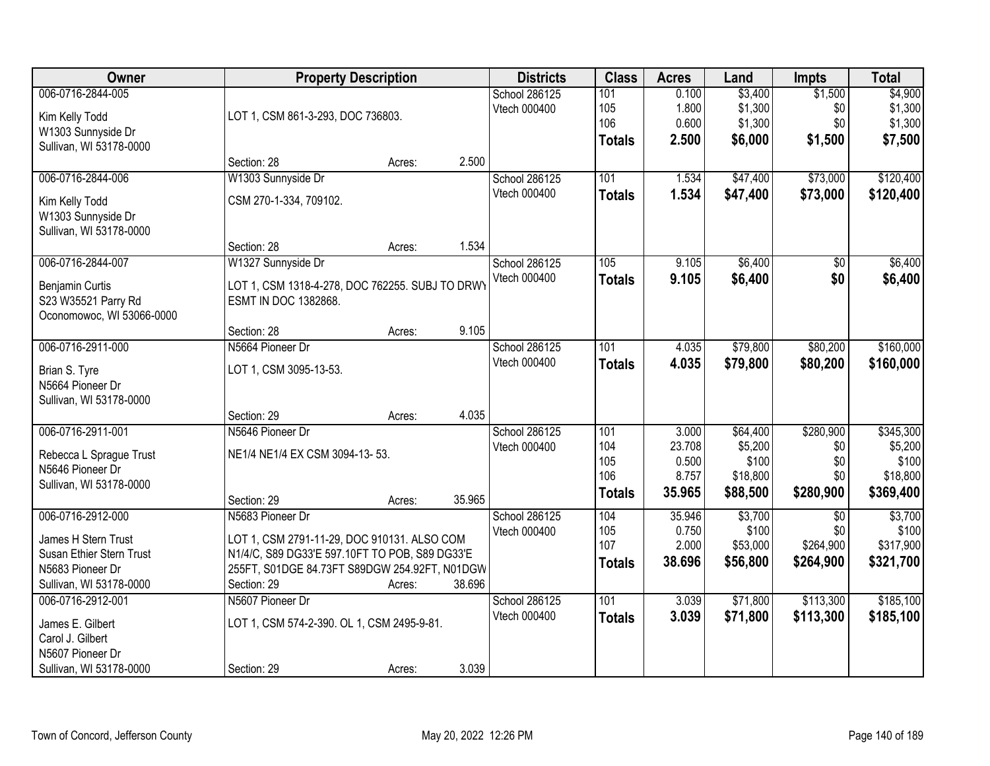| Owner                                                                                                               | <b>Property Description</b>                                                                                                                                                                 |        |                                      |                                           | <b>Acres</b>                                | Land                                                 | <b>Impts</b>                                     | <b>Total</b>                                           |
|---------------------------------------------------------------------------------------------------------------------|---------------------------------------------------------------------------------------------------------------------------------------------------------------------------------------------|--------|--------------------------------------|-------------------------------------------|---------------------------------------------|------------------------------------------------------|--------------------------------------------------|--------------------------------------------------------|
| 006-0716-2844-005<br>Kim Kelly Todd<br>W1303 Sunnyside Dr<br>Sullivan, WI 53178-0000                                | LOT 1, CSM 861-3-293, DOC 736803.                                                                                                                                                           |        | <b>School 286125</b><br>Vtech 000400 | 101<br>105<br>106<br><b>Totals</b>        | 0.100<br>1.800<br>0.600<br>2.500            | \$3,400<br>\$1,300<br>\$1,300<br>\$6,000             | \$1,500<br>\$0<br>\$0<br>\$1,500                 | \$4,900<br>\$1,300<br>\$1,300<br>\$7,500               |
|                                                                                                                     | Section: 28<br>Acres:                                                                                                                                                                       | 2.500  |                                      |                                           |                                             |                                                      |                                                  |                                                        |
| 006-0716-2844-006<br>Kim Kelly Todd<br>W1303 Sunnyside Dr<br>Sullivan, WI 53178-0000                                | W1303 Sunnyside Dr<br>CSM 270-1-334, 709102.                                                                                                                                                |        | <b>School 286125</b><br>Vtech 000400 | 101<br><b>Totals</b>                      | 1.534<br>1.534                              | \$47,400<br>\$47,400                                 | \$73,000<br>\$73,000                             | \$120,400<br>\$120,400                                 |
|                                                                                                                     | Section: 28<br>Acres:                                                                                                                                                                       | 1.534  |                                      |                                           |                                             |                                                      |                                                  |                                                        |
| 006-0716-2844-007<br>Benjamin Curtis<br>S23 W35521 Parry Rd<br>Oconomowoc, WI 53066-0000                            | W1327 Sunnyside Dr<br>LOT 1, CSM 1318-4-278, DOC 762255. SUBJ TO DRWY<br>ESMT IN DOC 1382868.                                                                                               |        | School 286125<br>Vtech 000400        | 105<br><b>Totals</b>                      | 9.105<br>9.105                              | \$6,400<br>\$6,400                                   | \$0<br>\$0                                       | \$6,400<br>\$6,400                                     |
|                                                                                                                     | Section: 28<br>Acres:                                                                                                                                                                       | 9.105  |                                      |                                           |                                             |                                                      |                                                  |                                                        |
| 006-0716-2911-000<br>Brian S. Tyre<br>N5664 Pioneer Dr<br>Sullivan, WI 53178-0000                                   | N5664 Pioneer Dr<br>LOT 1, CSM 3095-13-53.                                                                                                                                                  |        | <b>School 286125</b><br>Vtech 000400 | 101<br><b>Totals</b>                      | 4.035<br>4.035                              | \$79,800<br>\$79,800                                 | \$80,200<br>\$80,200                             | \$160,000<br>\$160,000                                 |
|                                                                                                                     | Section: 29<br>Acres:                                                                                                                                                                       | 4.035  |                                      |                                           |                                             |                                                      |                                                  |                                                        |
| 006-0716-2911-001<br>Rebecca L Sprague Trust<br>N5646 Pioneer Dr<br>Sullivan, WI 53178-0000                         | N5646 Pioneer Dr<br>NE1/4 NE1/4 EX CSM 3094-13-53.<br>Section: 29<br>Acres:                                                                                                                 | 35.965 | School 286125<br>Vtech 000400        | 101<br>104<br>105<br>106<br><b>Totals</b> | 3.000<br>23.708<br>0.500<br>8.757<br>35.965 | \$64,400<br>\$5,200<br>\$100<br>\$18,800<br>\$88,500 | \$280,900<br>\$0<br>\$0<br>\$0<br>\$280,900      | \$345,300<br>\$5,200<br>\$100<br>\$18,800<br>\$369,400 |
| 006-0716-2912-000<br>James H Stern Trust<br>Susan Ethier Stern Trust<br>N5683 Pioneer Dr<br>Sullivan, WI 53178-0000 | N5683 Pioneer Dr<br>LOT 1, CSM 2791-11-29, DOC 910131. ALSO COM<br>N1/4/C, S89 DG33'E 597.10FT TO POB, S89 DG33'E<br>255FT, S01DGE 84.73FT S89DGW 254.92FT, N01DGW<br>Section: 29<br>Acres: | 38.696 | School 286125<br>Vtech 000400        | 104<br>105<br>107<br><b>Totals</b>        | 35.946<br>0.750<br>2.000<br>38.696          | \$3,700<br>\$100<br>\$53,000<br>\$56,800             | $\overline{50}$<br>\$0<br>\$264,900<br>\$264,900 | \$3,700<br>\$100<br>\$317,900<br>\$321,700             |
| 006-0716-2912-001<br>James E. Gilbert<br>Carol J. Gilbert<br>N5607 Pioneer Dr<br>Sullivan, WI 53178-0000            | N5607 Pioneer Dr<br>LOT 1, CSM 574-2-390. OL 1, CSM 2495-9-81.<br>Section: 29<br>Acres:                                                                                                     | 3.039  | School 286125<br>Vtech 000400        | 101<br><b>Totals</b>                      | 3.039<br>3.039                              | \$71,800<br>\$71,800                                 | \$113,300<br>\$113,300                           | \$185,100<br>\$185,100                                 |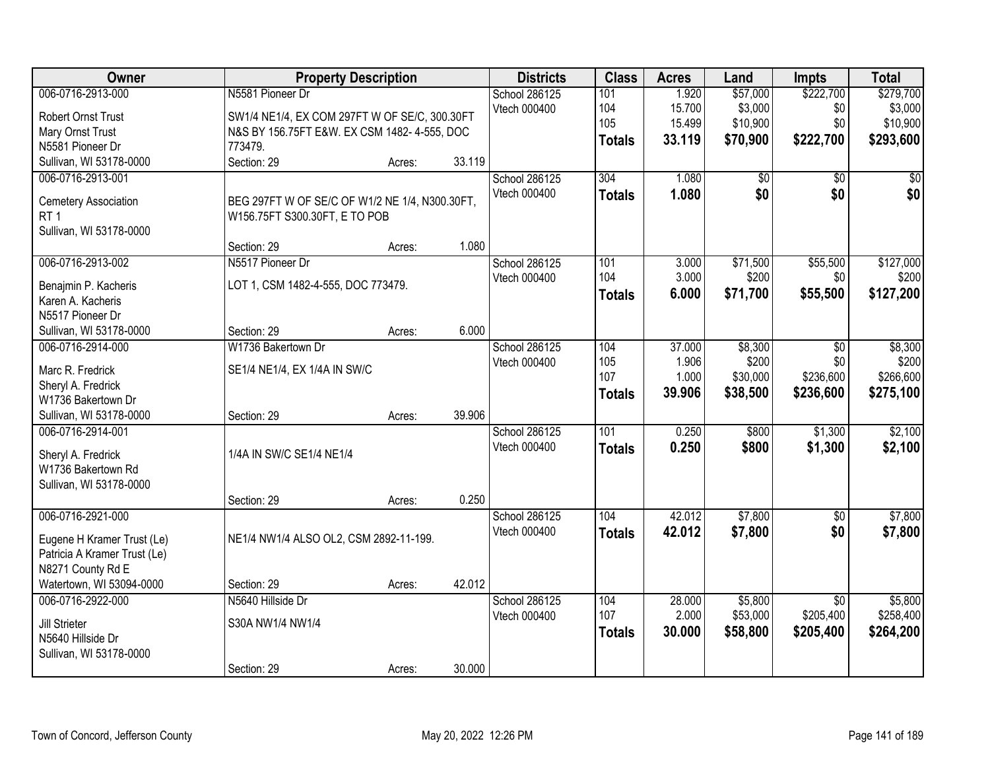| Owner                                    | <b>Property Description</b>                    |        |        | <b>Districts</b> | <b>Class</b>  | <b>Acres</b> | Land            | <b>Impts</b>    | <b>Total</b>    |
|------------------------------------------|------------------------------------------------|--------|--------|------------------|---------------|--------------|-----------------|-----------------|-----------------|
| 006-0716-2913-000                        | N5581 Pioneer Dr                               |        |        | School 286125    | 101           | 1.920        | \$57,000        | \$222,700       | \$279,700       |
| <b>Robert Ornst Trust</b>                | SW1/4 NE1/4, EX COM 297FT W OF SE/C, 300.30FT  |        |        | Vtech 000400     | 104           | 15.700       | \$3,000         | \$0             | \$3,000         |
| Mary Ornst Trust                         | N&S BY 156.75FT E&W. EX CSM 1482-4-555, DOC    |        |        |                  | 105           | 15.499       | \$10,900        | \$0             | \$10,900        |
| N5581 Pioneer Dr                         | 773479.                                        |        |        |                  | <b>Totals</b> | 33.119       | \$70,900        | \$222,700       | \$293,600       |
| Sullivan, WI 53178-0000                  | Section: 29                                    | Acres: | 33.119 |                  |               |              |                 |                 |                 |
| 006-0716-2913-001                        |                                                |        |        | School 286125    | 304           | 1.080        | $\overline{50}$ | $\overline{50}$ | $\overline{50}$ |
|                                          |                                                |        |        | Vtech 000400     | <b>Totals</b> | 1.080        | \$0             | \$0             | \$0             |
| Cemetery Association                     | BEG 297FT W OF SE/C OF W1/2 NE 1/4, N300.30FT, |        |        |                  |               |              |                 |                 |                 |
| RT <sub>1</sub>                          | W156.75FT S300.30FT, E TO POB                  |        |        |                  |               |              |                 |                 |                 |
| Sullivan, WI 53178-0000                  |                                                |        |        |                  |               |              |                 |                 |                 |
|                                          | Section: 29                                    | Acres: | 1.080  |                  |               |              |                 |                 |                 |
| 006-0716-2913-002                        | N5517 Pioneer Dr                               |        |        | School 286125    | 101           | 3.000        | \$71,500        | \$55,500        | \$127,000       |
| Benajmin P. Kacheris                     | LOT 1, CSM 1482-4-555, DOC 773479.             |        |        | Vtech 000400     | 104           | 3.000        | \$200           | \$0             | \$200           |
| Karen A. Kacheris                        |                                                |        |        |                  | <b>Totals</b> | 6.000        | \$71,700        | \$55,500        | \$127,200       |
| N5517 Pioneer Dr                         |                                                |        |        |                  |               |              |                 |                 |                 |
| Sullivan, WI 53178-0000                  | Section: 29                                    | Acres: | 6.000  |                  |               |              |                 |                 |                 |
| 006-0716-2914-000                        | W1736 Bakertown Dr                             |        |        | School 286125    | 104           | 37.000       | \$8,300         | \$0             | \$8,300         |
|                                          |                                                |        |        | Vtech 000400     | 105           | 1.906        | \$200           | \$0             | \$200           |
| Marc R. Fredrick                         | SE1/4 NE1/4, EX 1/4A IN SW/C                   |        |        |                  | 107           | 1.000        | \$30,000        | \$236,600       | \$266,600       |
| Sheryl A. Fredrick<br>W1736 Bakertown Dr |                                                |        |        |                  | <b>Totals</b> | 39.906       | \$38,500        | \$236,600       | \$275,100       |
| Sullivan, WI 53178-0000                  | Section: 29                                    | Acres: | 39.906 |                  |               |              |                 |                 |                 |
| 006-0716-2914-001                        |                                                |        |        | School 286125    | 101           | 0.250        | \$800           | \$1,300         | \$2,100         |
|                                          |                                                |        |        | Vtech 000400     |               | 0.250        | \$800           | \$1,300         |                 |
| Sheryl A. Fredrick                       | 1/4A IN SW/C SE1/4 NE1/4                       |        |        |                  | <b>Totals</b> |              |                 |                 | \$2,100         |
| W1736 Bakertown Rd                       |                                                |        |        |                  |               |              |                 |                 |                 |
| Sullivan, WI 53178-0000                  |                                                |        |        |                  |               |              |                 |                 |                 |
|                                          | Section: 29                                    | Acres: | 0.250  |                  |               |              |                 |                 |                 |
| 006-0716-2921-000                        |                                                |        |        | School 286125    | 104           | 42.012       | \$7,800         | $\overline{50}$ | \$7,800         |
| Eugene H Kramer Trust (Le)               | NE1/4 NW1/4 ALSO OL2, CSM 2892-11-199.         |        |        | Vtech 000400     | <b>Totals</b> | 42.012       | \$7,800         | \$0             | \$7,800         |
| Patricia A Kramer Trust (Le)             |                                                |        |        |                  |               |              |                 |                 |                 |
| N8271 County Rd E                        |                                                |        |        |                  |               |              |                 |                 |                 |
| Watertown, WI 53094-0000                 | Section: 29                                    | Acres: | 42.012 |                  |               |              |                 |                 |                 |
| 006-0716-2922-000                        | N5640 Hillside Dr                              |        |        | School 286125    | 104           | 28,000       | \$5,800         | $\overline{30}$ | \$5,800         |
|                                          |                                                |        |        | Vtech 000400     | 107           | 2.000        | \$53,000        | \$205,400       | \$258,400       |
| Jill Strieter                            | S30A NW1/4 NW1/4                               |        |        |                  | <b>Totals</b> | 30.000       | \$58,800        | \$205,400       | \$264,200       |
| N5640 Hillside Dr                        |                                                |        |        |                  |               |              |                 |                 |                 |
| Sullivan, WI 53178-0000                  |                                                |        |        |                  |               |              |                 |                 |                 |
|                                          | Section: 29                                    | Acres: | 30.000 |                  |               |              |                 |                 |                 |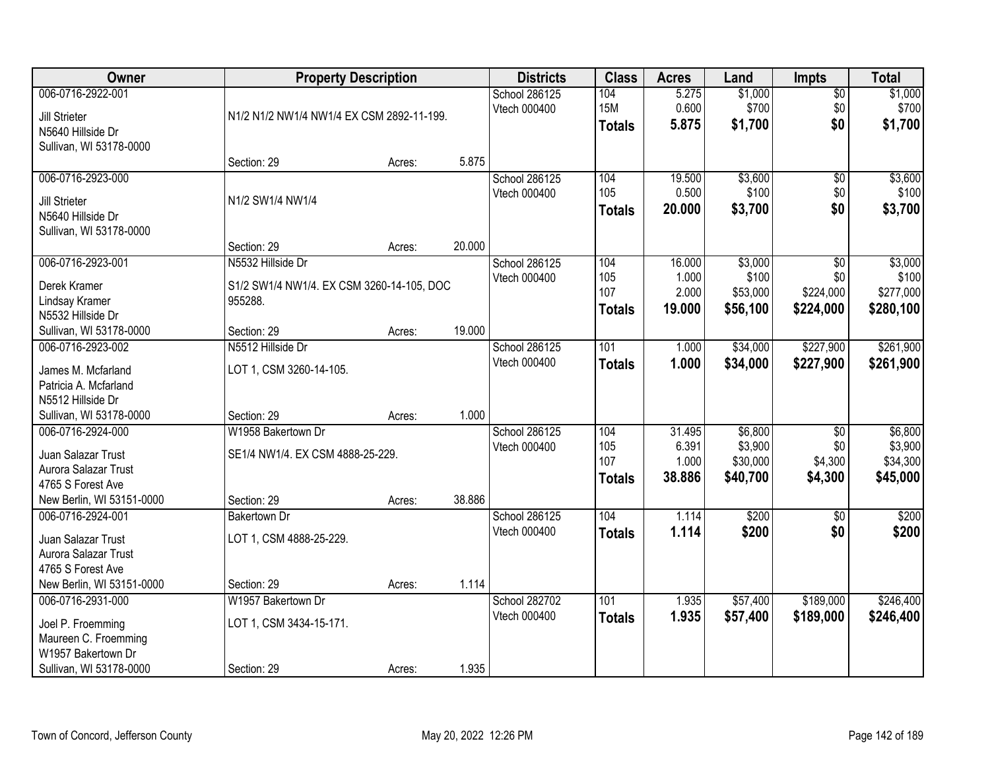| 006-0716-2922-001<br>School 286125<br>\$1,000<br>$\overline{60}$<br>104<br>5.275<br>0.600<br><b>15M</b><br>\$700<br>\$0<br>Vtech 000400<br>Jill Strieter<br>N1/2 N1/2 NW1/4 NW1/4 EX CSM 2892-11-199.<br>5.875<br>\$0<br>\$1,700<br><b>Totals</b><br>N5640 Hillside Dr<br>Sullivan, WI 53178-0000<br>5.875<br>Section: 29 | Acres:<br>School 286125<br>Vtech 000400<br>N1/2 SW1/4 NW1/4 | 104 |  | \$1,000<br>\$700<br>\$1,700 |
|---------------------------------------------------------------------------------------------------------------------------------------------------------------------------------------------------------------------------------------------------------------------------------------------------------------------------|-------------------------------------------------------------|-----|--|-----------------------------|
|                                                                                                                                                                                                                                                                                                                           |                                                             |     |  |                             |
|                                                                                                                                                                                                                                                                                                                           |                                                             |     |  |                             |
|                                                                                                                                                                                                                                                                                                                           |                                                             |     |  |                             |
|                                                                                                                                                                                                                                                                                                                           |                                                             |     |  |                             |
|                                                                                                                                                                                                                                                                                                                           |                                                             |     |  |                             |
| \$3,600<br>006-0716-2923-000<br>19.500<br>\$0                                                                                                                                                                                                                                                                             |                                                             |     |  | \$3,600                     |
| 105<br>0.500<br>\$100<br>\$0<br>Jill Strieter                                                                                                                                                                                                                                                                             |                                                             |     |  | \$100                       |
| \$3,700<br>\$0<br>20.000<br><b>Totals</b><br>N5640 Hillside Dr                                                                                                                                                                                                                                                            |                                                             |     |  | \$3,700                     |
| Sullivan, WI 53178-0000                                                                                                                                                                                                                                                                                                   |                                                             |     |  |                             |
| 20.000<br>Section: 29<br>Acres:                                                                                                                                                                                                                                                                                           |                                                             |     |  |                             |
| 006-0716-2923-001<br>104<br>\$3,000<br>N5532 Hillside Dr<br>School 286125<br>16.000<br>\$0                                                                                                                                                                                                                                |                                                             |     |  | \$3,000                     |
| 105<br>1.000<br>\$100<br>\$0<br>Vtech 000400<br>Derek Kramer<br>S1/2 SW1/4 NW1/4. EX CSM 3260-14-105, DOC                                                                                                                                                                                                                 |                                                             |     |  | \$100                       |
| 107<br>2.000<br>\$53,000<br>\$224,000<br>955288.<br>Lindsay Kramer                                                                                                                                                                                                                                                        |                                                             |     |  | \$277,000                   |
| 19.000<br>\$56,100<br>\$224,000<br><b>Totals</b><br>N5532 Hillside Dr                                                                                                                                                                                                                                                     |                                                             |     |  | \$280,100                   |
| 19.000<br>Sullivan, WI 53178-0000<br>Section: 29<br>Acres:                                                                                                                                                                                                                                                                |                                                             |     |  |                             |
| \$34,000<br>\$227,900<br>006-0716-2923-002<br>N5512 Hillside Dr<br>School 286125<br>101<br>1.000                                                                                                                                                                                                                          |                                                             |     |  | \$261,900                   |
| Vtech 000400<br>1.000<br>\$34,000<br>\$227,900<br><b>Totals</b><br>LOT 1, CSM 3260-14-105.<br>James M. Mcfarland                                                                                                                                                                                                          |                                                             |     |  | \$261,900                   |
| Patricia A. Mcfarland                                                                                                                                                                                                                                                                                                     |                                                             |     |  |                             |
| N5512 Hillside Dr                                                                                                                                                                                                                                                                                                         |                                                             |     |  |                             |
| 1.000<br>Sullivan, WI 53178-0000<br>Section: 29<br>Acres:                                                                                                                                                                                                                                                                 |                                                             |     |  |                             |
| \$6,800<br>006-0716-2924-000<br>W1958 Bakertown Dr<br>31.495<br>$\overline{30}$<br>School 286125<br>104                                                                                                                                                                                                                   |                                                             |     |  | \$6,800                     |
| 105<br>6.391<br>\$3,900<br>\$0<br>Vtech 000400<br>SE1/4 NW1/4. EX CSM 4888-25-229.<br>Juan Salazar Trust                                                                                                                                                                                                                  |                                                             |     |  | \$3,900                     |
| 107<br>\$30,000<br>\$4,300<br>1.000<br>Aurora Salazar Trust                                                                                                                                                                                                                                                               |                                                             |     |  | \$34,300                    |
| 38.886<br>\$40,700<br>\$4,300<br><b>Totals</b><br>4765 S Forest Ave                                                                                                                                                                                                                                                       |                                                             |     |  | \$45,000                    |
| 38.886<br>New Berlin, WI 53151-0000<br>Section: 29<br>Acres:                                                                                                                                                                                                                                                              |                                                             |     |  |                             |
| \$200<br>006-0716-2924-001<br>104<br>1.114<br>School 286125<br>$\sqrt{6}$<br><b>Bakertown Dr</b>                                                                                                                                                                                                                          |                                                             |     |  | \$200                       |
| Vtech 000400<br>1.114<br>\$200<br>\$0<br><b>Totals</b>                                                                                                                                                                                                                                                                    |                                                             |     |  | \$200                       |
| LOT 1, CSM 4888-25-229.<br>Juan Salazar Trust<br>Aurora Salazar Trust                                                                                                                                                                                                                                                     |                                                             |     |  |                             |
| 4765 S Forest Ave                                                                                                                                                                                                                                                                                                         |                                                             |     |  |                             |
| New Berlin, WI 53151-0000<br>1.114<br>Section: 29<br>Acres:                                                                                                                                                                                                                                                               |                                                             |     |  |                             |
| \$189,000<br>006-0716-2931-000<br>W1957 Bakertown Dr<br>School 282702<br>101<br>\$57,400<br>1.935                                                                                                                                                                                                                         |                                                             |     |  | \$246,400                   |
| 1.935<br>Vtech 000400<br>\$57,400<br>\$189,000<br><b>Totals</b>                                                                                                                                                                                                                                                           |                                                             |     |  | \$246,400                   |
| LOT 1, CSM 3434-15-171.<br>Joel P. Froemming                                                                                                                                                                                                                                                                              |                                                             |     |  |                             |
| Maureen C. Froemming<br>W1957 Bakertown Dr                                                                                                                                                                                                                                                                                |                                                             |     |  |                             |
| 1.935<br>Sullivan, WI 53178-0000<br>Section: 29<br>Acres:                                                                                                                                                                                                                                                                 |                                                             |     |  |                             |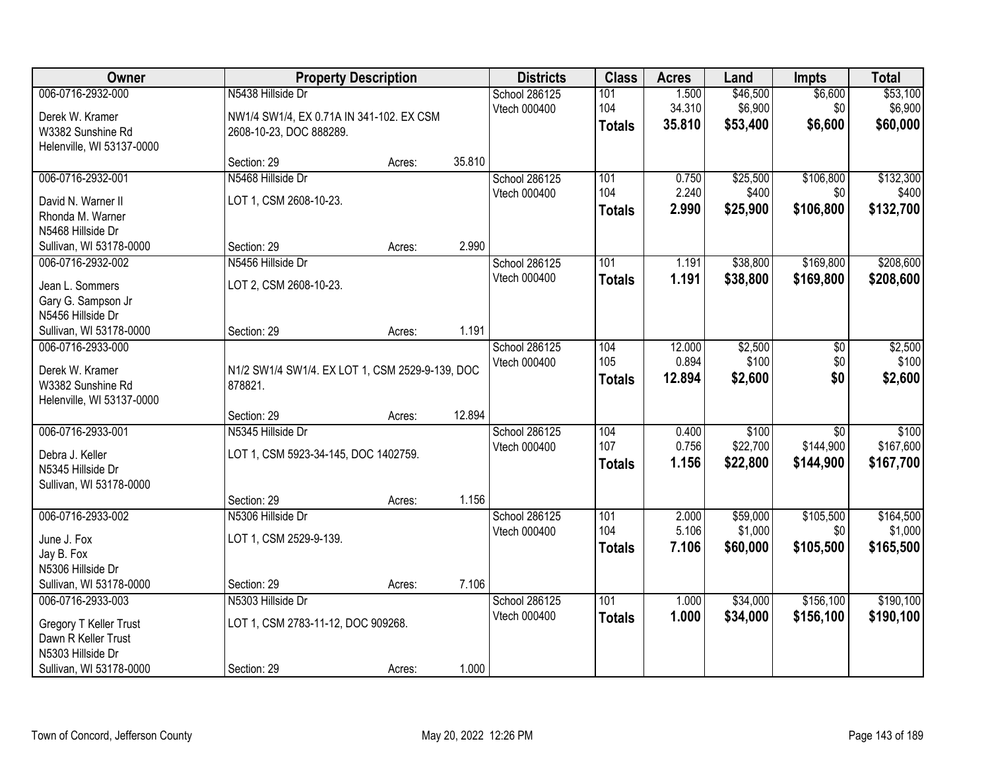| Owner                                                                                                              |                                                                                          | <b>Property Description</b> |        |                               | <b>Class</b>                | <b>Acres</b>              | Land                            | <b>Impts</b>                              | <b>Total</b>                    |
|--------------------------------------------------------------------------------------------------------------------|------------------------------------------------------------------------------------------|-----------------------------|--------|-------------------------------|-----------------------------|---------------------------|---------------------------------|-------------------------------------------|---------------------------------|
| 006-0716-2932-000<br>Derek W. Kramer<br>W3382 Sunshine Rd                                                          | N5438 Hillside Dr<br>NW1/4 SW1/4, EX 0.71A IN 341-102. EX CSM<br>2608-10-23, DOC 888289. |                             |        | School 286125<br>Vtech 000400 | 101<br>104<br><b>Totals</b> | 1.500<br>34.310<br>35.810 | \$46,500<br>\$6,900<br>\$53,400 | \$6,600<br>\$0<br>\$6,600                 | \$53,100<br>\$6,900<br>\$60,000 |
| Helenville, WI 53137-0000                                                                                          | Section: 29                                                                              | Acres:                      | 35.810 |                               |                             |                           |                                 |                                           |                                 |
| 006-0716-2932-001<br>David N. Warner II<br>Rhonda M. Warner<br>N5468 Hillside Dr                                   | N5468 Hillside Dr<br>LOT 1, CSM 2608-10-23.                                              |                             |        | School 286125<br>Vtech 000400 | 101<br>104<br><b>Totals</b> | 0.750<br>2.240<br>2.990   | \$25,500<br>\$400<br>\$25,900   | \$106,800<br>\$0<br>\$106,800             | \$132,300<br>\$400<br>\$132,700 |
| Sullivan, WI 53178-0000                                                                                            | Section: 29                                                                              | Acres:                      | 2.990  |                               |                             |                           |                                 |                                           |                                 |
| 006-0716-2932-002<br>Jean L. Sommers<br>Gary G. Sampson Jr<br>N5456 Hillside Dr                                    | N5456 Hillside Dr<br>LOT 2, CSM 2608-10-23.                                              |                             |        | School 286125<br>Vtech 000400 | 101<br><b>Totals</b>        | 1.191<br>1.191            | \$38,800<br>\$38,800            | \$169,800<br>\$169,800                    | \$208,600<br>\$208,600          |
| Sullivan, WI 53178-0000                                                                                            | Section: 29                                                                              | Acres:                      | 1.191  |                               |                             |                           |                                 |                                           |                                 |
| 006-0716-2933-000<br>Derek W. Kramer<br>W3382 Sunshine Rd<br>Helenville, WI 53137-0000                             | N1/2 SW1/4 SW1/4. EX LOT 1, CSM 2529-9-139, DOC<br>878821.                               |                             |        | School 286125<br>Vtech 000400 | 104<br>105<br><b>Totals</b> | 12.000<br>0.894<br>12.894 | \$2,500<br>\$100<br>\$2,600     | \$0<br>\$0<br>\$0                         | \$2,500<br>\$100<br>\$2,600     |
|                                                                                                                    | Section: 29                                                                              | Acres:                      | 12.894 |                               |                             |                           |                                 |                                           |                                 |
| 006-0716-2933-001<br>Debra J. Keller<br>N5345 Hillside Dr<br>Sullivan, WI 53178-0000                               | N5345 Hillside Dr<br>LOT 1, CSM 5923-34-145, DOC 1402759.                                |                             | 1.156  | School 286125<br>Vtech 000400 | 104<br>107<br><b>Totals</b> | 0.400<br>0.756<br>1.156   | \$100<br>\$22,700<br>\$22,800   | $\overline{50}$<br>\$144,900<br>\$144,900 | \$100<br>\$167,600<br>\$167,700 |
| 006-0716-2933-002                                                                                                  | Section: 29<br>N5306 Hillside Dr                                                         | Acres:                      |        | School 286125                 | 101                         | 2.000                     | \$59,000                        | \$105,500                                 | \$164,500                       |
| June J. Fox<br>Jay B. Fox<br>N5306 Hillside Dr                                                                     | LOT 1, CSM 2529-9-139.                                                                   |                             |        | Vtech 000400                  | 104<br><b>Totals</b>        | 5.106<br>7.106            | \$1,000<br>\$60,000             | \$0<br>\$105,500                          | \$1,000<br>\$165,500            |
| Sullivan, WI 53178-0000                                                                                            | Section: 29                                                                              | Acres:                      | 7.106  |                               |                             |                           |                                 |                                           |                                 |
| 006-0716-2933-003<br>Gregory T Keller Trust<br>Dawn R Keller Trust<br>N5303 Hillside Dr<br>Sullivan, WI 53178-0000 | N5303 Hillside Dr<br>LOT 1, CSM 2783-11-12, DOC 909268.<br>Section: 29                   | Acres:                      | 1.000  | School 286125<br>Vtech 000400 | 101<br><b>Totals</b>        | 1.000<br>1.000            | \$34,000<br>\$34,000            | \$156,100<br>\$156,100                    | \$190,100<br>\$190,100          |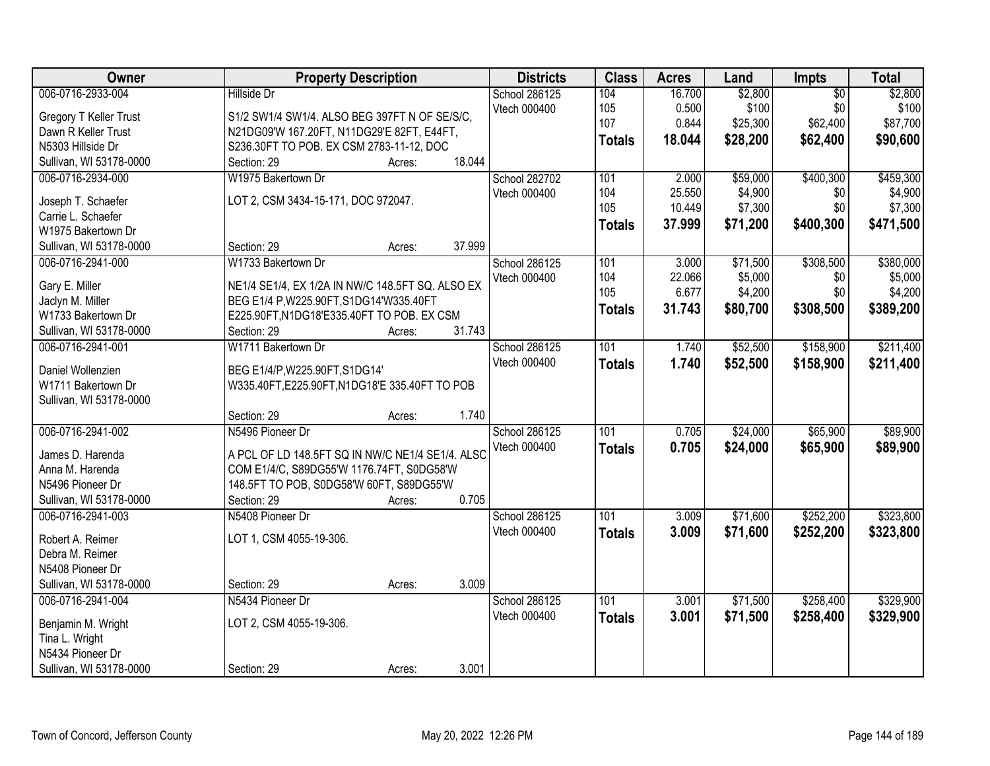| Owner                   | <b>Property Description</b>                      | <b>Districts</b> | <b>Class</b>  | <b>Acres</b> | Land     | <b>Impts</b>    | <b>Total</b> |
|-------------------------|--------------------------------------------------|------------------|---------------|--------------|----------|-----------------|--------------|
| 006-0716-2933-004       | <b>Hillside Dr</b>                               | School 286125    | 104           | 16.700       | \$2,800  | $\overline{50}$ | \$2,800      |
| Gregory T Keller Trust  | S1/2 SW1/4 SW1/4. ALSO BEG 397FT N OF SE/S/C,    | Vtech 000400     | 105           | 0.500        | \$100    | \$0             | \$100        |
| Dawn R Keller Trust     | N21DG09'W 167.20FT, N11DG29'E 82FT, E44FT,       |                  | 107           | 0.844        | \$25,300 | \$62,400        | \$87,700     |
| N5303 Hillside Dr       | S236.30FT TO POB. EX CSM 2783-11-12, DOC         |                  | <b>Totals</b> | 18.044       | \$28,200 | \$62,400        | \$90,600     |
| Sullivan, WI 53178-0000 | 18.044<br>Section: 29<br>Acres:                  |                  |               |              |          |                 |              |
| 006-0716-2934-000       | W1975 Bakertown Dr                               | School 282702    | 101           | 2.000        | \$59,000 | \$400,300       | \$459,300    |
|                         |                                                  | Vtech 000400     | 104           | 25.550       | \$4,900  | \$0             | \$4,900      |
| Joseph T. Schaefer      | LOT 2, CSM 3434-15-171, DOC 972047.              |                  | 105           | 10.449       | \$7,300  | \$0             | \$7,300      |
| Carrie L. Schaefer      |                                                  |                  | <b>Totals</b> | 37.999       | \$71,200 | \$400,300       | \$471,500    |
| W1975 Bakertown Dr      |                                                  |                  |               |              |          |                 |              |
| Sullivan, WI 53178-0000 | 37.999<br>Section: 29<br>Acres:                  |                  |               |              |          |                 |              |
| 006-0716-2941-000       | W1733 Bakertown Dr                               | School 286125    | 101           | 3.000        | \$71,500 | \$308,500       | \$380,000    |
| Gary E. Miller          | NE1/4 SE1/4, EX 1/2A IN NW/C 148.5FT SQ. ALSO EX | Vtech 000400     | 104           | 22.066       | \$5,000  | \$0             | \$5,000      |
| Jaclyn M. Miller        | BEG E1/4 P, W225.90FT, S1DG14'W335.40FT          |                  | 105           | 6.677        | \$4,200  | \$0             | \$4,200      |
| W1733 Bakertown Dr      | E225.90FT, N1DG18'E335.40FT TO POB. EX CSM       |                  | <b>Totals</b> | 31.743       | \$80,700 | \$308,500       | \$389,200    |
| Sullivan, WI 53178-0000 | Section: 29<br>31.743<br>Acres:                  |                  |               |              |          |                 |              |
| 006-0716-2941-001       | W1711 Bakertown Dr                               | School 286125    | 101           | 1.740        | \$52,500 | \$158,900       | \$211,400    |
|                         |                                                  | Vtech 000400     | <b>Totals</b> | 1.740        | \$52,500 | \$158,900       | \$211,400    |
| Daniel Wollenzien       | BEG E1/4/P, W225.90FT, S1DG14'                   |                  |               |              |          |                 |              |
| W1711 Bakertown Dr      | W335.40FT, E225.90FT, N1DG18'E 335.40FT TO POB   |                  |               |              |          |                 |              |
| Sullivan, WI 53178-0000 | 1.740                                            |                  |               |              |          |                 |              |
|                         | Section: 29<br>Acres:                            |                  |               |              |          |                 |              |
| 006-0716-2941-002       | N5496 Pioneer Dr                                 | School 286125    | 101           | 0.705        | \$24,000 | \$65,900        | \$89,900     |
| James D. Harenda        | A PCL OF LD 148.5FT SQ IN NW/C NE1/4 SE1/4. ALSC | Vtech 000400     | Totals        | 0.705        | \$24,000 | \$65,900        | \$89,900     |
| Anna M. Harenda         | COM E1/4/C, S89DG55'W 1176.74FT, S0DG58'W        |                  |               |              |          |                 |              |
| N5496 Pioneer Dr        | 148.5FT TO POB, S0DG58'W 60FT, S89DG55'W         |                  |               |              |          |                 |              |
| Sullivan, WI 53178-0000 | 0.705<br>Section: 29<br>Acres:                   |                  |               |              |          |                 |              |
| 006-0716-2941-003       | N5408 Pioneer Dr                                 | School 286125    | 101           | 3.009        | \$71,600 | \$252,200       | \$323,800    |
| Robert A. Reimer        | LOT 1, CSM 4055-19-306.                          | Vtech 000400     | <b>Totals</b> | 3.009        | \$71,600 | \$252,200       | \$323,800    |
| Debra M. Reimer         |                                                  |                  |               |              |          |                 |              |
| N5408 Pioneer Dr        |                                                  |                  |               |              |          |                 |              |
| Sullivan, WI 53178-0000 | 3.009<br>Section: 29<br>Acres:                   |                  |               |              |          |                 |              |
| 006-0716-2941-004       | N5434 Pioneer Dr                                 | School 286125    | 101           | 3.001        | \$71,500 | \$258,400       | \$329,900    |
|                         |                                                  | Vtech 000400     |               |              |          |                 |              |
| Benjamin M. Wright      | LOT 2, CSM 4055-19-306.                          |                  | <b>Totals</b> | 3.001        | \$71,500 | \$258,400       | \$329,900    |
| Tina L. Wright          |                                                  |                  |               |              |          |                 |              |
| N5434 Pioneer Dr        |                                                  |                  |               |              |          |                 |              |
| Sullivan, WI 53178-0000 | 3.001<br>Section: 29<br>Acres:                   |                  |               |              |          |                 |              |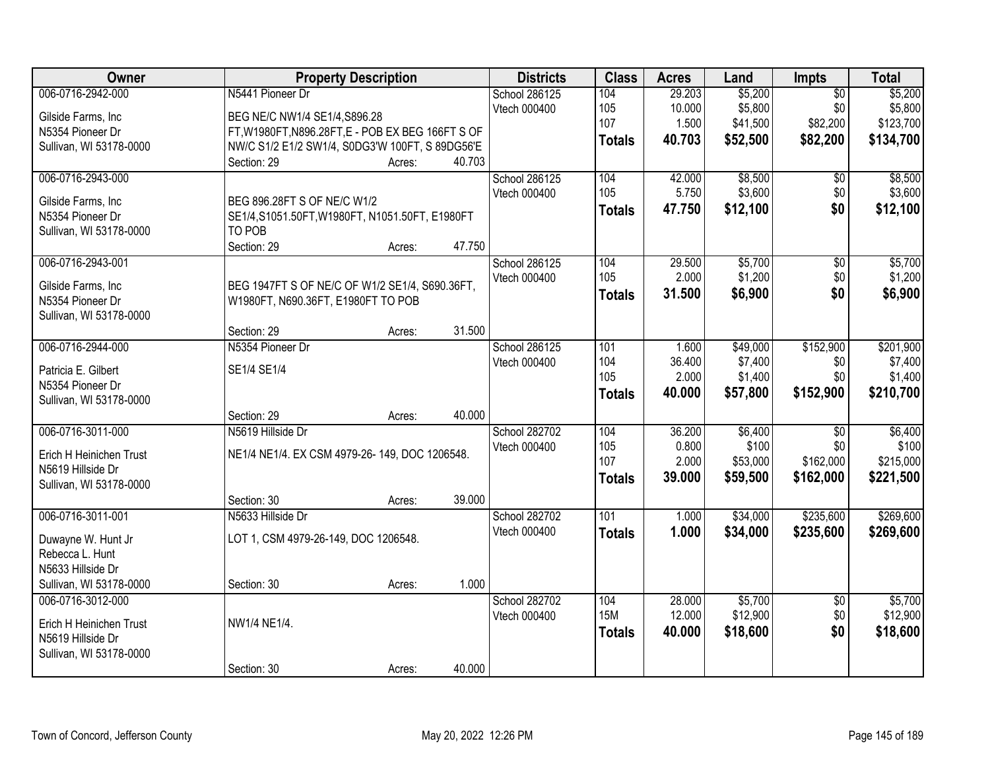| Owner                                   | <b>Property Description</b>                          | <b>Districts</b>     | <b>Class</b>  | <b>Acres</b> | Land     | Impts           | <b>Total</b> |
|-----------------------------------------|------------------------------------------------------|----------------------|---------------|--------------|----------|-----------------|--------------|
| 006-0716-2942-000                       | N5441 Pioneer Dr                                     | School 286125        | 104           | 29.203       | \$5,200  | $\overline{50}$ | \$5,200      |
| Gilside Farms, Inc.                     | BEG NE/C NW1/4 SE1/4, S896.28                        | Vtech 000400         | 105           | 10.000       | \$5,800  | \$0             | \$5,800      |
| N5354 Pioneer Dr                        | FT, W1980FT, N896.28FT, E - POB EX BEG 166FT S OF    |                      | 107           | 1.500        | \$41,500 | \$82,200        | \$123,700    |
| Sullivan, WI 53178-0000                 | NW/C S1/2 E1/2 SW1/4, S0DG3'W 100FT, S 89DG56'E      |                      | <b>Totals</b> | 40.703       | \$52,500 | \$82,200        | \$134,700    |
|                                         | 40.703<br>Section: 29<br>Acres:                      |                      |               |              |          |                 |              |
| 006-0716-2943-000                       |                                                      | <b>School 286125</b> | 104           | 42.000       | \$8,500  | \$0             | \$8,500      |
| Gilside Farms, Inc                      | BEG 896.28FT S OF NE/C W1/2                          | Vtech 000400         | 105           | 5.750        | \$3,600  | \$0             | \$3,600      |
| N5354 Pioneer Dr                        | SE1/4, S1051.50FT, W1980FT, N1051.50FT, E1980FT      |                      | <b>Totals</b> | 47.750       | \$12,100 | \$0             | \$12,100     |
| Sullivan, WI 53178-0000                 | TO POB                                               |                      |               |              |          |                 |              |
|                                         | Section: 29<br>47.750<br>Acres:                      |                      |               |              |          |                 |              |
| 006-0716-2943-001                       |                                                      | School 286125        | 104           | 29.500       | \$5,700  | $\overline{50}$ | \$5,700      |
| Gilside Farms, Inc                      | BEG 1947FT S OF NE/C OF W1/2 SE1/4, S690.36FT,       | Vtech 000400         | 105           | 2.000        | \$1,200  | \$0             | \$1,200      |
| N5354 Pioneer Dr                        | W1980FT, N690.36FT, E1980FT TO POB                   |                      | <b>Totals</b> | 31.500       | \$6,900  | \$0             | \$6,900      |
| Sullivan, WI 53178-0000                 |                                                      |                      |               |              |          |                 |              |
|                                         | 31.500<br>Section: 29<br>Acres:                      |                      |               |              |          |                 |              |
| 006-0716-2944-000                       | N5354 Pioneer Dr                                     | School 286125        | 101           | 1.600        | \$49,000 | \$152,900       | \$201,900    |
|                                         |                                                      | Vtech 000400         | 104           | 36.400       | \$7,400  | \$0             | \$7,400      |
| Patricia E. Gilbert<br>N5354 Pioneer Dr | SE1/4 SE1/4                                          |                      | 105           | 2.000        | \$1,400  | \$0             | \$1,400      |
| Sullivan, WI 53178-0000                 |                                                      |                      | <b>Totals</b> | 40.000       | \$57,800 | \$152,900       | \$210,700    |
|                                         | 40.000<br>Section: 29<br>Acres:                      |                      |               |              |          |                 |              |
| 006-0716-3011-000                       | N5619 Hillside Dr                                    | School 282702        | 104           | 36.200       | \$6,400  | $\overline{50}$ | \$6,400      |
|                                         |                                                      | Vtech 000400         | 105           | 0.800        | \$100    | \$0             | \$100        |
| Erich H Heinichen Trust                 | NE1/4 NE1/4. EX CSM 4979-26-149, DOC 1206548.        |                      | 107           | 2.000        | \$53,000 | \$162,000       | \$215,000    |
| N5619 Hillside Dr                       |                                                      |                      | <b>Totals</b> | 39.000       | \$59,500 | \$162,000       | \$221,500    |
| Sullivan, WI 53178-0000                 |                                                      |                      |               |              |          |                 |              |
| 006-0716-3011-001                       | 39.000<br>Section: 30<br>Acres:<br>N5633 Hillside Dr | School 282702        | 101           | 1.000        | \$34,000 | \$235,600       | \$269,600    |
|                                         |                                                      | Vtech 000400         | <b>Totals</b> | 1.000        | \$34,000 | \$235,600       | \$269,600    |
| Duwayne W. Hunt Jr                      | LOT 1, CSM 4979-26-149, DOC 1206548.                 |                      |               |              |          |                 |              |
| Rebecca L. Hunt                         |                                                      |                      |               |              |          |                 |              |
| N5633 Hillside Dr                       |                                                      |                      |               |              |          |                 |              |
| Sullivan, WI 53178-0000                 | 1.000<br>Section: 30<br>Acres:                       |                      |               |              |          |                 |              |
| 006-0716-3012-000                       |                                                      | School 282702        | 104           | 28.000       | \$5,700  | $\overline{50}$ | \$5,700      |
| Erich H Heinichen Trust                 | NW1/4 NE1/4.                                         | Vtech 000400         | <b>15M</b>    | 12.000       | \$12,900 | \$0             | \$12,900     |
| N5619 Hillside Dr                       |                                                      |                      | <b>Totals</b> | 40.000       | \$18,600 | \$0             | \$18,600     |
| Sullivan, WI 53178-0000                 |                                                      |                      |               |              |          |                 |              |
|                                         | 40.000<br>Section: 30<br>Acres:                      |                      |               |              |          |                 |              |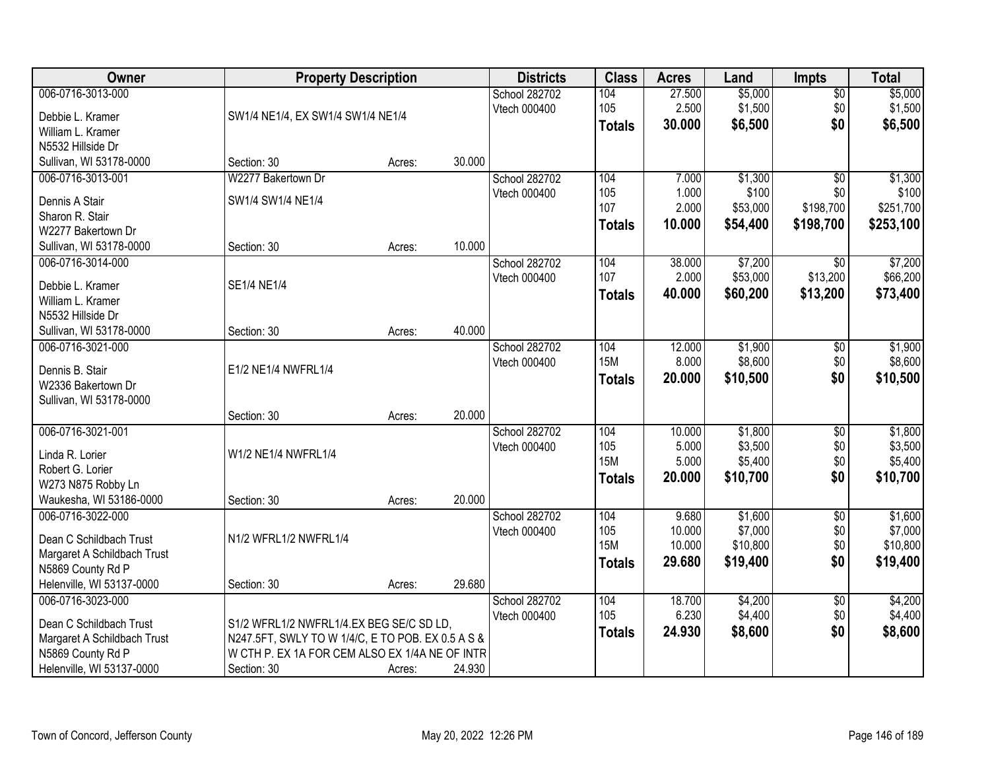| Owner                                  | <b>Property Description</b>                                                                         |        |        | <b>Districts</b>     | <b>Class</b>  | <b>Acres</b> | Land     | <b>Impts</b>    | <b>Total</b> |
|----------------------------------------|-----------------------------------------------------------------------------------------------------|--------|--------|----------------------|---------------|--------------|----------|-----------------|--------------|
| 006-0716-3013-000                      |                                                                                                     |        |        | School 282702        | 104           | 27.500       | \$5,000  | $\overline{$0}$ | \$5,000      |
| Debbie L. Kramer                       | SW1/4 NE1/4, EX SW1/4 SW1/4 NE1/4                                                                   |        |        | Vtech 000400         | 105           | 2.500        | \$1,500  | \$0             | \$1,500      |
| William L. Kramer                      |                                                                                                     |        |        |                      | <b>Totals</b> | 30.000       | \$6,500  | \$0             | \$6,500      |
| N5532 Hillside Dr                      |                                                                                                     |        |        |                      |               |              |          |                 |              |
| Sullivan, WI 53178-0000                | Section: 30                                                                                         | Acres: | 30.000 |                      |               |              |          |                 |              |
| 006-0716-3013-001                      | W2277 Bakertown Dr                                                                                  |        |        | School 282702        | 104           | 7.000        | \$1,300  | $\overline{50}$ | \$1,300      |
| Dennis A Stair                         | SW1/4 SW1/4 NE1/4                                                                                   |        |        | Vtech 000400         | 105           | 1.000        | \$100    | \$0             | \$100        |
| Sharon R. Stair                        |                                                                                                     |        |        |                      | 107           | 2.000        | \$53,000 | \$198,700       | \$251,700    |
| W2277 Bakertown Dr                     |                                                                                                     |        |        |                      | <b>Totals</b> | 10.000       | \$54,400 | \$198,700       | \$253,100    |
| Sullivan, WI 53178-0000                | Section: 30                                                                                         | Acres: | 10.000 |                      |               |              |          |                 |              |
| 006-0716-3014-000                      |                                                                                                     |        |        | School 282702        | 104           | 38.000       | \$7,200  | \$0             | \$7,200      |
|                                        |                                                                                                     |        |        | Vtech 000400         | 107           | 2.000        | \$53,000 | \$13,200        | \$66,200     |
| Debbie L. Kramer                       | SE1/4 NE1/4                                                                                         |        |        |                      | Totals        | 40.000       | \$60,200 | \$13,200        | \$73,400     |
| William L. Kramer<br>N5532 Hillside Dr |                                                                                                     |        |        |                      |               |              |          |                 |              |
| Sullivan, WI 53178-0000                | Section: 30                                                                                         | Acres: | 40.000 |                      |               |              |          |                 |              |
| 006-0716-3021-000                      |                                                                                                     |        |        | School 282702        | 104           | 12.000       | \$1,900  | \$0             | \$1,900      |
|                                        |                                                                                                     |        |        | Vtech 000400         | <b>15M</b>    | 8.000        | \$8,600  | \$0             | \$8,600      |
| Dennis B. Stair                        | E1/2 NE1/4 NWFRL1/4                                                                                 |        |        |                      | <b>Totals</b> | 20.000       | \$10,500 | \$0             | \$10,500     |
| W2336 Bakertown Dr                     |                                                                                                     |        |        |                      |               |              |          |                 |              |
| Sullivan, WI 53178-0000                |                                                                                                     |        |        |                      |               |              |          |                 |              |
|                                        | Section: 30                                                                                         | Acres: | 20.000 |                      |               |              |          |                 |              |
| 006-0716-3021-001                      |                                                                                                     |        |        | School 282702        | 104           | 10.000       | \$1,800  | $\overline{50}$ | \$1,800      |
| Linda R. Lorier                        | W1/2 NE1/4 NWFRL1/4                                                                                 |        |        | Vtech 000400         | 105           | 5.000        | \$3,500  | \$0             | \$3,500      |
| Robert G. Lorier                       |                                                                                                     |        |        |                      | <b>15M</b>    | 5.000        | \$5,400  | \$0             | \$5,400      |
| W273 N875 Robby Ln                     |                                                                                                     |        |        |                      | <b>Totals</b> | 20.000       | \$10,700 | \$0             | \$10,700     |
| Waukesha, WI 53186-0000                | Section: 30                                                                                         | Acres: | 20.000 |                      |               |              |          |                 |              |
| 006-0716-3022-000                      |                                                                                                     |        |        | <b>School 282702</b> | 104           | 9.680        | \$1,600  | $\overline{60}$ | \$1,600      |
| Dean C Schildbach Trust                | N1/2 WFRL1/2 NWFRL1/4                                                                               |        |        | Vtech 000400         | 105           | 10.000       | \$7,000  | \$0             | \$7,000      |
| Margaret A Schildbach Trust            |                                                                                                     |        |        |                      | <b>15M</b>    | 10.000       | \$10,800 | \$0             | \$10,800     |
| N5869 County Rd P                      |                                                                                                     |        |        |                      | <b>Totals</b> | 29.680       | \$19,400 | \$0             | \$19,400     |
| Helenville, WI 53137-0000              | Section: 30                                                                                         | Acres: | 29.680 |                      |               |              |          |                 |              |
| 006-0716-3023-000                      |                                                                                                     |        |        | School 282702        | 104           | 18.700       | \$4,200  | $\overline{60}$ | \$4,200      |
|                                        |                                                                                                     |        |        | Vtech 000400         | 105           | 6.230        | \$4,400  | \$0             | \$4,400      |
| Dean C Schildbach Trust                | S1/2 WFRL1/2 NWFRL1/4.EX BEG SE/C SD LD,                                                            |        |        |                      | <b>Totals</b> | 24.930       | \$8,600  | \$0             | \$8,600      |
| Margaret A Schildbach Trust            | N247.5FT, SWLY TO W 1/4/C, E TO POB. EX 0.5 A S &<br>W CTH P. EX 1A FOR CEM ALSO EX 1/4A NE OF INTR |        |        |                      |               |              |          |                 |              |
| N5869 County Rd P                      |                                                                                                     |        | 24.930 |                      |               |              |          |                 |              |
| Helenville, WI 53137-0000              | Section: 30                                                                                         | Acres: |        |                      |               |              |          |                 |              |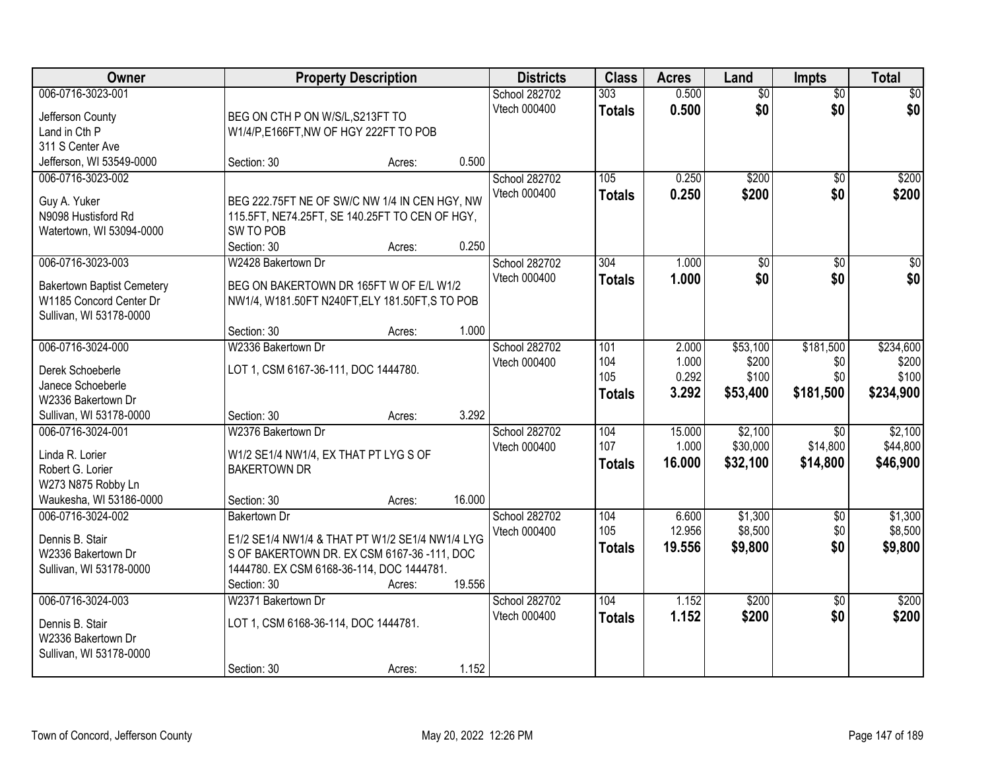| Owner                                 |                                                 | <b>Property Description</b> |        | <b>Districts</b>              | <b>Class</b>  | <b>Acres</b>   | Land                   | <b>Impts</b>           | <b>Total</b>    |
|---------------------------------------|-------------------------------------------------|-----------------------------|--------|-------------------------------|---------------|----------------|------------------------|------------------------|-----------------|
| 006-0716-3023-001                     |                                                 |                             |        | School 282702<br>Vtech 000400 | 303           | 0.500<br>0.500 | $\overline{50}$<br>\$0 | $\overline{50}$<br>\$0 | \$0<br>\$0      |
| Jefferson County                      | BEG ON CTH P ON W/S/L, S213FT TO                |                             |        |                               | <b>Totals</b> |                |                        |                        |                 |
| Land in Cth P                         | W1/4/P,E166FT,NW OF HGY 222FT TO POB            |                             |        |                               |               |                |                        |                        |                 |
| 311 S Center Ave                      |                                                 |                             |        |                               |               |                |                        |                        |                 |
| Jefferson, WI 53549-0000              | Section: 30                                     | Acres:                      | 0.500  |                               |               |                |                        |                        |                 |
| 006-0716-3023-002                     |                                                 |                             |        | School 282702                 | 105           | 0.250          | \$200                  | $\overline{50}$        | \$200           |
| Guy A. Yuker                          | BEG 222.75FT NE OF SW/C NW 1/4 IN CEN HGY, NW   |                             |        | Vtech 000400                  | <b>Totals</b> | 0.250          | \$200                  | \$0                    | \$200           |
| N9098 Hustisford Rd                   | 115.5FT, NE74.25FT, SE 140.25FT TO CEN OF HGY,  |                             |        |                               |               |                |                        |                        |                 |
| Watertown, WI 53094-0000              | SW TO POB                                       |                             |        |                               |               |                |                        |                        |                 |
|                                       | Section: 30                                     | Acres:                      | 0.250  |                               |               |                |                        |                        |                 |
| 006-0716-3023-003                     | W2428 Bakertown Dr                              |                             |        | School 282702                 | 304           | 1.000          | $\overline{50}$        | \$0                    | $\overline{50}$ |
| <b>Bakertown Baptist Cemetery</b>     | BEG ON BAKERTOWN DR 165FT W OF E/L W1/2         |                             |        | Vtech 000400                  | <b>Totals</b> | 1.000          | \$0                    | \$0                    | \$0             |
| W1185 Concord Center Dr               | NW1/4, W181.50FT N240FT, ELY 181.50FT, S TO POB |                             |        |                               |               |                |                        |                        |                 |
| Sullivan, WI 53178-0000               |                                                 |                             |        |                               |               |                |                        |                        |                 |
|                                       | Section: 30                                     | Acres:                      | 1.000  |                               |               |                |                        |                        |                 |
| 006-0716-3024-000                     | W2336 Bakertown Dr                              |                             |        | School 282702                 | 101           | 2.000          | \$53,100               | \$181,500              | \$234,600       |
|                                       |                                                 |                             |        | Vtech 000400                  | 104           | 1.000          | \$200                  | \$0                    | \$200           |
| Derek Schoeberle<br>Janece Schoeberle | LOT 1, CSM 6167-36-111, DOC 1444780.            |                             |        |                               | 105           | 0.292          | \$100                  | \$0                    | \$100           |
| W2336 Bakertown Dr                    |                                                 |                             |        |                               | <b>Totals</b> | 3.292          | \$53,400               | \$181,500              | \$234,900       |
| Sullivan, WI 53178-0000               | Section: 30                                     | Acres:                      | 3.292  |                               |               |                |                        |                        |                 |
| 006-0716-3024-001                     | W2376 Bakertown Dr                              |                             |        | School 282702                 | 104           | 15.000         | \$2,100                | \$0                    | \$2,100         |
|                                       |                                                 |                             |        | Vtech 000400                  | 107           | 1.000          | \$30,000               | \$14,800               | \$44,800        |
| Linda R. Lorier                       | W1/2 SE1/4 NW1/4, EX THAT PT LYG S OF           |                             |        |                               | <b>Totals</b> | 16.000         | \$32,100               | \$14,800               | \$46,900        |
| Robert G. Lorier                      | <b>BAKERTOWN DR</b>                             |                             |        |                               |               |                |                        |                        |                 |
| W273 N875 Robby Ln                    |                                                 |                             |        |                               |               |                |                        |                        |                 |
| Waukesha, WI 53186-0000               | Section: 30                                     | Acres:                      | 16.000 |                               |               |                |                        |                        |                 |
| 006-0716-3024-002                     | <b>Bakertown Dr</b>                             |                             |        | School 282702                 | 104           | 6.600          | \$1,300                | \$0                    | \$1,300         |
| Dennis B. Stair                       | E1/2 SE1/4 NW1/4 & THAT PT W1/2 SE1/4 NW1/4 LYG |                             |        | Vtech 000400                  | 105           | 12.956         | \$8,500                | \$0                    | \$8,500         |
| W2336 Bakertown Dr                    | S OF BAKERTOWN DR. EX CSM 6167-36-111, DOC      |                             |        |                               | <b>Totals</b> | 19.556         | \$9,800                | \$0                    | \$9,800         |
| Sullivan, WI 53178-0000               | 1444780. EX CSM 6168-36-114, DOC 1444781.       |                             |        |                               |               |                |                        |                        |                 |
|                                       | Section: 30                                     | Acres:                      | 19.556 |                               |               |                |                        |                        |                 |
| 006-0716-3024-003                     | W2371 Bakertown Dr                              |                             |        | School 282702                 | 104           | 1.152          | \$200                  | $\overline{50}$        | \$200           |
| Dennis B. Stair                       | LOT 1, CSM 6168-36-114, DOC 1444781.            |                             |        | Vtech 000400                  | <b>Totals</b> | 1.152          | \$200                  | \$0                    | \$200           |
| W2336 Bakertown Dr                    |                                                 |                             |        |                               |               |                |                        |                        |                 |
| Sullivan, WI 53178-0000               |                                                 |                             |        |                               |               |                |                        |                        |                 |
|                                       | Section: 30                                     | Acres:                      | 1.152  |                               |               |                |                        |                        |                 |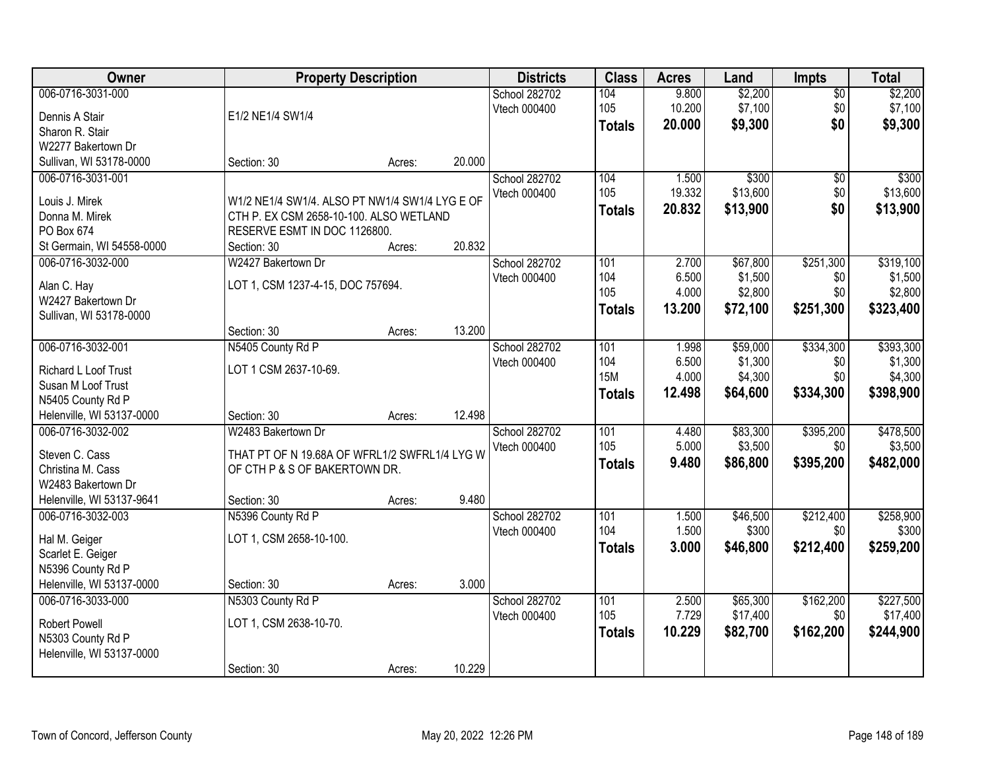| Owner                     |                                                | <b>Property Description</b> |        | <b>Districts</b> | <b>Class</b>  | <b>Acres</b> | Land     | <b>Impts</b>    | <b>Total</b> |
|---------------------------|------------------------------------------------|-----------------------------|--------|------------------|---------------|--------------|----------|-----------------|--------------|
| 006-0716-3031-000         |                                                |                             |        | School 282702    | 104           | 9.800        | \$2,200  | $\overline{50}$ | \$2,200      |
| Dennis A Stair            | E1/2 NE1/4 SW1/4                               |                             |        | Vtech 000400     | 105           | 10.200       | \$7,100  | \$0             | \$7,100      |
| Sharon R. Stair           |                                                |                             |        |                  | <b>Totals</b> | 20.000       | \$9,300  | \$0             | \$9,300      |
| W2277 Bakertown Dr        |                                                |                             |        |                  |               |              |          |                 |              |
| Sullivan, WI 53178-0000   | Section: 30                                    | Acres:                      | 20.000 |                  |               |              |          |                 |              |
| 006-0716-3031-001         |                                                |                             |        | School 282702    | 104           | 1.500        | \$300    | $\overline{50}$ | \$300        |
|                           |                                                |                             |        | Vtech 000400     | 105           | 19.332       | \$13,600 | \$0             | \$13,600     |
| Louis J. Mirek            | W1/2 NE1/4 SW1/4. ALSO PT NW1/4 SW1/4 LYG E OF |                             |        |                  | <b>Totals</b> | 20.832       | \$13,900 | \$0             | \$13,900     |
| Donna M. Mirek            | CTH P. EX CSM 2658-10-100. ALSO WETLAND        |                             |        |                  |               |              |          |                 |              |
| PO Box 674                | RESERVE ESMT IN DOC 1126800.                   |                             |        |                  |               |              |          |                 |              |
| St Germain, WI 54558-0000 | Section: 30                                    | Acres:                      | 20.832 |                  |               |              |          |                 |              |
| 006-0716-3032-000         | W2427 Bakertown Dr                             |                             |        | School 282702    | 101           | 2.700        | \$67,800 | \$251,300       | \$319,100    |
| Alan C. Hay               | LOT 1, CSM 1237-4-15, DOC 757694.              |                             |        | Vtech 000400     | 104           | 6.500        | \$1,500  | \$0             | \$1,500      |
| W2427 Bakertown Dr        |                                                |                             |        |                  | 105           | 4.000        | \$2,800  | \$0             | \$2,800      |
| Sullivan, WI 53178-0000   |                                                |                             |        |                  | <b>Totals</b> | 13.200       | \$72,100 | \$251,300       | \$323,400    |
|                           | Section: 30                                    | Acres:                      | 13.200 |                  |               |              |          |                 |              |
| 006-0716-3032-001         | N5405 County Rd P                              |                             |        | School 282702    | 101           | 1.998        | \$59,000 | \$334,300       | \$393,300    |
|                           |                                                |                             |        | Vtech 000400     | 104           | 6.500        | \$1,300  | \$0             | \$1,300      |
| Richard L Loof Trust      | LOT 1 CSM 2637-10-69.                          |                             |        |                  | <b>15M</b>    | 4.000        | \$4,300  | \$0             | \$4,300      |
| Susan M Loof Trust        |                                                |                             |        |                  |               | 12.498       | \$64,600 | \$334,300       | \$398,900    |
| N5405 County Rd P         |                                                |                             |        |                  | <b>Totals</b> |              |          |                 |              |
| Helenville, WI 53137-0000 | Section: 30                                    | Acres:                      | 12.498 |                  |               |              |          |                 |              |
| 006-0716-3032-002         | W2483 Bakertown Dr                             |                             |        | School 282702    | 101           | 4.480        | \$83,300 | \$395,200       | \$478,500    |
| Steven C. Cass            | THAT PT OF N 19.68A OF WFRL1/2 SWFRL1/4 LYG W  |                             |        | Vtech 000400     | 105           | 5.000        | \$3,500  | \$0             | \$3,500      |
| Christina M. Cass         | OF CTH P & S OF BAKERTOWN DR.                  |                             |        |                  | <b>Totals</b> | 9.480        | \$86,800 | \$395,200       | \$482,000    |
| W2483 Bakertown Dr        |                                                |                             |        |                  |               |              |          |                 |              |
| Helenville, WI 53137-9641 | Section: 30                                    | Acres:                      | 9.480  |                  |               |              |          |                 |              |
| 006-0716-3032-003         | N5396 County Rd P                              |                             |        | School 282702    | 101           | 1.500        | \$46,500 | \$212,400       | \$258,900    |
|                           |                                                |                             |        | Vtech 000400     | 104           | 1.500        | \$300    | \$0             | \$300        |
| Hal M. Geiger             | LOT 1, CSM 2658-10-100.                        |                             |        |                  |               |              |          |                 |              |
| Scarlet E. Geiger         |                                                |                             |        |                  | <b>Totals</b> | 3.000        | \$46,800 | \$212,400       | \$259,200    |
| N5396 County Rd P         |                                                |                             |        |                  |               |              |          |                 |              |
| Helenville, WI 53137-0000 | Section: 30                                    | Acres:                      | 3.000  |                  |               |              |          |                 |              |
| 006-0716-3033-000         | N5303 County Rd P                              |                             |        | School 282702    | 101           | 2.500        | \$65,300 | \$162,200       | \$227,500    |
| <b>Robert Powell</b>      | LOT 1, CSM 2638-10-70.                         |                             |        | Vtech 000400     | 105           | 7.729        | \$17,400 | \$0             | \$17,400     |
| N5303 County Rd P         |                                                |                             |        |                  | <b>Totals</b> | 10.229       | \$82,700 | \$162,200       | \$244,900    |
| Helenville, WI 53137-0000 |                                                |                             |        |                  |               |              |          |                 |              |
|                           | Section: 30                                    | Acres:                      | 10.229 |                  |               |              |          |                 |              |
|                           |                                                |                             |        |                  |               |              |          |                 |              |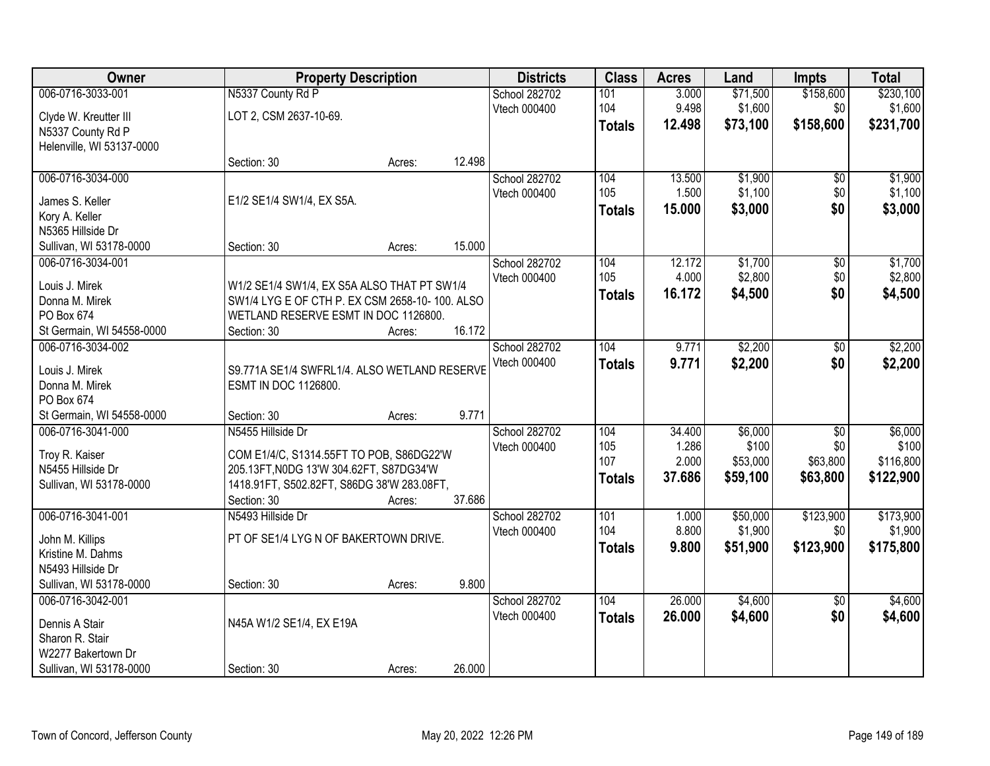| 006-0716-3033-001<br>N5337 County Rd P<br>\$230,100<br>School 282702<br>101<br>3.000<br>\$71,500<br>9.498<br>\$1,600<br>104<br>\$0<br>\$1,600<br>Vtech 000400<br>LOT 2, CSM 2637-10-69.<br>Clyde W. Kreutter III<br>\$158,600<br>12.498<br>\$73,100<br>\$231,700<br><b>Totals</b><br>N5337 County Rd P<br>Helenville, WI 53137-0000<br>12.498<br>Section: 30<br>Acres:<br>006-0716-3034-000<br>\$1,900<br>School 282702<br>104<br>13.500<br>\$0<br>\$1,100<br>105<br>1.500<br>\$0<br>Vtech 000400<br>E1/2 SE1/4 SW1/4, EX S5A.<br>James S. Keller<br>\$0<br>15.000<br>\$3,000<br><b>Totals</b><br>Kory A. Keller<br>N5365 Hillside Dr<br>15.000<br>Sullivan, WI 53178-0000<br>Section: 30<br>Acres:<br>\$1,700<br>006-0716-3034-001<br>School 282702<br>104<br>12.172<br>\$0<br>105<br>\$2,800<br>\$0<br>4.000<br>Vtech 000400<br>Louis J. Mirek<br>W1/2 SE1/4 SW1/4, EX S5A ALSO THAT PT SW1/4<br>16.172<br>\$4,500<br>\$0<br><b>Totals</b><br>SW1/4 LYG E OF CTH P. EX CSM 2658-10-100. ALSO<br>Donna M. Mirek<br>WETLAND RESERVE ESMT IN DOC 1126800.<br>PO Box 674<br>16.172<br>St Germain, WI 54558-0000<br>Section: 30<br>Acres:<br>\$2,200<br>104<br>9.771<br>006-0716-3034-002<br>School 282702<br>\$0<br>Vtech 000400<br>9.771<br>\$2,200<br>\$0<br><b>Totals</b><br>Louis J. Mirek<br>S9.771A SE1/4 SWFRL1/4. ALSO WETLAND RESERVE<br>Donna M. Mirek<br>ESMT IN DOC 1126800.<br>PO Box 674<br>9.771<br>St Germain, WI 54558-0000<br>Section: 30<br>Acres:<br>\$6,000<br>006-0716-3041-000<br>N5455 Hillside Dr<br>34.400<br>$\overline{50}$<br>School 282702<br>104<br>\$100<br>105<br>1.286<br>\$0<br>Vtech 000400<br>Troy R. Kaiser<br>COM E1/4/C, S1314.55FT TO POB, S86DG22'W<br>107<br>\$63,800<br>2.000<br>\$53,000<br>N5455 Hillside Dr<br>205.13FT, NODG 13'W 304.62FT, S87DG34'W<br>37.686<br>\$59,100<br>\$63,800<br><b>Totals</b><br>1418.91FT, S502.82FT, S86DG 38'W 283.08FT,<br>Sullivan, WI 53178-0000<br>Section: 30<br>37.686<br>Acres:<br>\$50,000<br>\$123,900<br>006-0716-3041-001<br>N5493 Hillside Dr<br>School 282702<br>101<br>1.000<br>104<br>8.800<br>\$1,900<br>\$0<br>Vtech 000400<br>PT OF SE1/4 LYG N OF BAKERTOWN DRIVE.<br>John M. Killips<br>\$123,900<br>9.800<br>\$51,900<br><b>Totals</b><br>Kristine M. Dahms<br>N5493 Hillside Dr<br>9.800<br>Sullivan, WI 53178-0000<br>Section: 30<br>Acres:<br>104<br>26,000<br>\$4,600<br>006-0716-3042-001<br>School 282702<br>$\overline{50}$<br>\$0<br>Vtech 000400<br>26.000<br>\$4,600<br><b>Totals</b><br>N45A W1/2 SE1/4, EX E19A<br>Dennis A Stair<br>Sharon R. Stair<br>W2277 Bakertown Dr | Owner | <b>Property Description</b> | <b>Districts</b> | <b>Class</b> | <b>Acres</b> | Land | <b>Impts</b> | <b>Total</b> |
|-----------------------------------------------------------------------------------------------------------------------------------------------------------------------------------------------------------------------------------------------------------------------------------------------------------------------------------------------------------------------------------------------------------------------------------------------------------------------------------------------------------------------------------------------------------------------------------------------------------------------------------------------------------------------------------------------------------------------------------------------------------------------------------------------------------------------------------------------------------------------------------------------------------------------------------------------------------------------------------------------------------------------------------------------------------------------------------------------------------------------------------------------------------------------------------------------------------------------------------------------------------------------------------------------------------------------------------------------------------------------------------------------------------------------------------------------------------------------------------------------------------------------------------------------------------------------------------------------------------------------------------------------------------------------------------------------------------------------------------------------------------------------------------------------------------------------------------------------------------------------------------------------------------------------------------------------------------------------------------------------------------------------------------------------------------------------------------------------------------------------------------------------------------------------------------------------------------------------------------------------------------------------------------------------------------------------------------------------------------------------------------------------------------------------------------------------------------------------------------------------------------------------------------------------------------------------------------------|-------|-----------------------------|------------------|--------------|--------------|------|--------------|--------------|
|                                                                                                                                                                                                                                                                                                                                                                                                                                                                                                                                                                                                                                                                                                                                                                                                                                                                                                                                                                                                                                                                                                                                                                                                                                                                                                                                                                                                                                                                                                                                                                                                                                                                                                                                                                                                                                                                                                                                                                                                                                                                                                                                                                                                                                                                                                                                                                                                                                                                                                                                                                                         |       |                             |                  |              |              |      | \$158,600    |              |
|                                                                                                                                                                                                                                                                                                                                                                                                                                                                                                                                                                                                                                                                                                                                                                                                                                                                                                                                                                                                                                                                                                                                                                                                                                                                                                                                                                                                                                                                                                                                                                                                                                                                                                                                                                                                                                                                                                                                                                                                                                                                                                                                                                                                                                                                                                                                                                                                                                                                                                                                                                                         |       |                             |                  |              |              |      |              |              |
| \$1,900<br>\$1,100<br>\$3,000<br>\$1,700<br>\$2,800<br>\$4,500<br>\$2,200<br>\$2,200<br>\$6,000<br>\$122,900<br>\$175,800<br>\$4,600                                                                                                                                                                                                                                                                                                                                                                                                                                                                                                                                                                                                                                                                                                                                                                                                                                                                                                                                                                                                                                                                                                                                                                                                                                                                                                                                                                                                                                                                                                                                                                                                                                                                                                                                                                                                                                                                                                                                                                                                                                                                                                                                                                                                                                                                                                                                                                                                                                                    |       |                             |                  |              |              |      |              |              |
|                                                                                                                                                                                                                                                                                                                                                                                                                                                                                                                                                                                                                                                                                                                                                                                                                                                                                                                                                                                                                                                                                                                                                                                                                                                                                                                                                                                                                                                                                                                                                                                                                                                                                                                                                                                                                                                                                                                                                                                                                                                                                                                                                                                                                                                                                                                                                                                                                                                                                                                                                                                         |       |                             |                  |              |              |      |              |              |
|                                                                                                                                                                                                                                                                                                                                                                                                                                                                                                                                                                                                                                                                                                                                                                                                                                                                                                                                                                                                                                                                                                                                                                                                                                                                                                                                                                                                                                                                                                                                                                                                                                                                                                                                                                                                                                                                                                                                                                                                                                                                                                                                                                                                                                                                                                                                                                                                                                                                                                                                                                                         |       |                             |                  |              |              |      |              |              |
|                                                                                                                                                                                                                                                                                                                                                                                                                                                                                                                                                                                                                                                                                                                                                                                                                                                                                                                                                                                                                                                                                                                                                                                                                                                                                                                                                                                                                                                                                                                                                                                                                                                                                                                                                                                                                                                                                                                                                                                                                                                                                                                                                                                                                                                                                                                                                                                                                                                                                                                                                                                         |       |                             |                  |              |              |      |              |              |
|                                                                                                                                                                                                                                                                                                                                                                                                                                                                                                                                                                                                                                                                                                                                                                                                                                                                                                                                                                                                                                                                                                                                                                                                                                                                                                                                                                                                                                                                                                                                                                                                                                                                                                                                                                                                                                                                                                                                                                                                                                                                                                                                                                                                                                                                                                                                                                                                                                                                                                                                                                                         |       |                             |                  |              |              |      |              |              |
|                                                                                                                                                                                                                                                                                                                                                                                                                                                                                                                                                                                                                                                                                                                                                                                                                                                                                                                                                                                                                                                                                                                                                                                                                                                                                                                                                                                                                                                                                                                                                                                                                                                                                                                                                                                                                                                                                                                                                                                                                                                                                                                                                                                                                                                                                                                                                                                                                                                                                                                                                                                         |       |                             |                  |              |              |      |              |              |
|                                                                                                                                                                                                                                                                                                                                                                                                                                                                                                                                                                                                                                                                                                                                                                                                                                                                                                                                                                                                                                                                                                                                                                                                                                                                                                                                                                                                                                                                                                                                                                                                                                                                                                                                                                                                                                                                                                                                                                                                                                                                                                                                                                                                                                                                                                                                                                                                                                                                                                                                                                                         |       |                             |                  |              |              |      |              |              |
|                                                                                                                                                                                                                                                                                                                                                                                                                                                                                                                                                                                                                                                                                                                                                                                                                                                                                                                                                                                                                                                                                                                                                                                                                                                                                                                                                                                                                                                                                                                                                                                                                                                                                                                                                                                                                                                                                                                                                                                                                                                                                                                                                                                                                                                                                                                                                                                                                                                                                                                                                                                         |       |                             |                  |              |              |      |              |              |
|                                                                                                                                                                                                                                                                                                                                                                                                                                                                                                                                                                                                                                                                                                                                                                                                                                                                                                                                                                                                                                                                                                                                                                                                                                                                                                                                                                                                                                                                                                                                                                                                                                                                                                                                                                                                                                                                                                                                                                                                                                                                                                                                                                                                                                                                                                                                                                                                                                                                                                                                                                                         |       |                             |                  |              |              |      |              |              |
|                                                                                                                                                                                                                                                                                                                                                                                                                                                                                                                                                                                                                                                                                                                                                                                                                                                                                                                                                                                                                                                                                                                                                                                                                                                                                                                                                                                                                                                                                                                                                                                                                                                                                                                                                                                                                                                                                                                                                                                                                                                                                                                                                                                                                                                                                                                                                                                                                                                                                                                                                                                         |       |                             |                  |              |              |      |              |              |
|                                                                                                                                                                                                                                                                                                                                                                                                                                                                                                                                                                                                                                                                                                                                                                                                                                                                                                                                                                                                                                                                                                                                                                                                                                                                                                                                                                                                                                                                                                                                                                                                                                                                                                                                                                                                                                                                                                                                                                                                                                                                                                                                                                                                                                                                                                                                                                                                                                                                                                                                                                                         |       |                             |                  |              |              |      |              |              |
|                                                                                                                                                                                                                                                                                                                                                                                                                                                                                                                                                                                                                                                                                                                                                                                                                                                                                                                                                                                                                                                                                                                                                                                                                                                                                                                                                                                                                                                                                                                                                                                                                                                                                                                                                                                                                                                                                                                                                                                                                                                                                                                                                                                                                                                                                                                                                                                                                                                                                                                                                                                         |       |                             |                  |              |              |      |              |              |
|                                                                                                                                                                                                                                                                                                                                                                                                                                                                                                                                                                                                                                                                                                                                                                                                                                                                                                                                                                                                                                                                                                                                                                                                                                                                                                                                                                                                                                                                                                                                                                                                                                                                                                                                                                                                                                                                                                                                                                                                                                                                                                                                                                                                                                                                                                                                                                                                                                                                                                                                                                                         |       |                             |                  |              |              |      |              |              |
| \$100<br>\$116,800<br>\$173,900<br>\$1,900<br>\$4,600                                                                                                                                                                                                                                                                                                                                                                                                                                                                                                                                                                                                                                                                                                                                                                                                                                                                                                                                                                                                                                                                                                                                                                                                                                                                                                                                                                                                                                                                                                                                                                                                                                                                                                                                                                                                                                                                                                                                                                                                                                                                                                                                                                                                                                                                                                                                                                                                                                                                                                                                   |       |                             |                  |              |              |      |              |              |
|                                                                                                                                                                                                                                                                                                                                                                                                                                                                                                                                                                                                                                                                                                                                                                                                                                                                                                                                                                                                                                                                                                                                                                                                                                                                                                                                                                                                                                                                                                                                                                                                                                                                                                                                                                                                                                                                                                                                                                                                                                                                                                                                                                                                                                                                                                                                                                                                                                                                                                                                                                                         |       |                             |                  |              |              |      |              |              |
|                                                                                                                                                                                                                                                                                                                                                                                                                                                                                                                                                                                                                                                                                                                                                                                                                                                                                                                                                                                                                                                                                                                                                                                                                                                                                                                                                                                                                                                                                                                                                                                                                                                                                                                                                                                                                                                                                                                                                                                                                                                                                                                                                                                                                                                                                                                                                                                                                                                                                                                                                                                         |       |                             |                  |              |              |      |              |              |
|                                                                                                                                                                                                                                                                                                                                                                                                                                                                                                                                                                                                                                                                                                                                                                                                                                                                                                                                                                                                                                                                                                                                                                                                                                                                                                                                                                                                                                                                                                                                                                                                                                                                                                                                                                                                                                                                                                                                                                                                                                                                                                                                                                                                                                                                                                                                                                                                                                                                                                                                                                                         |       |                             |                  |              |              |      |              |              |
|                                                                                                                                                                                                                                                                                                                                                                                                                                                                                                                                                                                                                                                                                                                                                                                                                                                                                                                                                                                                                                                                                                                                                                                                                                                                                                                                                                                                                                                                                                                                                                                                                                                                                                                                                                                                                                                                                                                                                                                                                                                                                                                                                                                                                                                                                                                                                                                                                                                                                                                                                                                         |       |                             |                  |              |              |      |              |              |
|                                                                                                                                                                                                                                                                                                                                                                                                                                                                                                                                                                                                                                                                                                                                                                                                                                                                                                                                                                                                                                                                                                                                                                                                                                                                                                                                                                                                                                                                                                                                                                                                                                                                                                                                                                                                                                                                                                                                                                                                                                                                                                                                                                                                                                                                                                                                                                                                                                                                                                                                                                                         |       |                             |                  |              |              |      |              |              |
|                                                                                                                                                                                                                                                                                                                                                                                                                                                                                                                                                                                                                                                                                                                                                                                                                                                                                                                                                                                                                                                                                                                                                                                                                                                                                                                                                                                                                                                                                                                                                                                                                                                                                                                                                                                                                                                                                                                                                                                                                                                                                                                                                                                                                                                                                                                                                                                                                                                                                                                                                                                         |       |                             |                  |              |              |      |              |              |
|                                                                                                                                                                                                                                                                                                                                                                                                                                                                                                                                                                                                                                                                                                                                                                                                                                                                                                                                                                                                                                                                                                                                                                                                                                                                                                                                                                                                                                                                                                                                                                                                                                                                                                                                                                                                                                                                                                                                                                                                                                                                                                                                                                                                                                                                                                                                                                                                                                                                                                                                                                                         |       |                             |                  |              |              |      |              |              |
|                                                                                                                                                                                                                                                                                                                                                                                                                                                                                                                                                                                                                                                                                                                                                                                                                                                                                                                                                                                                                                                                                                                                                                                                                                                                                                                                                                                                                                                                                                                                                                                                                                                                                                                                                                                                                                                                                                                                                                                                                                                                                                                                                                                                                                                                                                                                                                                                                                                                                                                                                                                         |       |                             |                  |              |              |      |              |              |
|                                                                                                                                                                                                                                                                                                                                                                                                                                                                                                                                                                                                                                                                                                                                                                                                                                                                                                                                                                                                                                                                                                                                                                                                                                                                                                                                                                                                                                                                                                                                                                                                                                                                                                                                                                                                                                                                                                                                                                                                                                                                                                                                                                                                                                                                                                                                                                                                                                                                                                                                                                                         |       |                             |                  |              |              |      |              |              |
|                                                                                                                                                                                                                                                                                                                                                                                                                                                                                                                                                                                                                                                                                                                                                                                                                                                                                                                                                                                                                                                                                                                                                                                                                                                                                                                                                                                                                                                                                                                                                                                                                                                                                                                                                                                                                                                                                                                                                                                                                                                                                                                                                                                                                                                                                                                                                                                                                                                                                                                                                                                         |       |                             |                  |              |              |      |              |              |
|                                                                                                                                                                                                                                                                                                                                                                                                                                                                                                                                                                                                                                                                                                                                                                                                                                                                                                                                                                                                                                                                                                                                                                                                                                                                                                                                                                                                                                                                                                                                                                                                                                                                                                                                                                                                                                                                                                                                                                                                                                                                                                                                                                                                                                                                                                                                                                                                                                                                                                                                                                                         |       |                             |                  |              |              |      |              |              |
|                                                                                                                                                                                                                                                                                                                                                                                                                                                                                                                                                                                                                                                                                                                                                                                                                                                                                                                                                                                                                                                                                                                                                                                                                                                                                                                                                                                                                                                                                                                                                                                                                                                                                                                                                                                                                                                                                                                                                                                                                                                                                                                                                                                                                                                                                                                                                                                                                                                                                                                                                                                         |       |                             |                  |              |              |      |              |              |
|                                                                                                                                                                                                                                                                                                                                                                                                                                                                                                                                                                                                                                                                                                                                                                                                                                                                                                                                                                                                                                                                                                                                                                                                                                                                                                                                                                                                                                                                                                                                                                                                                                                                                                                                                                                                                                                                                                                                                                                                                                                                                                                                                                                                                                                                                                                                                                                                                                                                                                                                                                                         |       |                             |                  |              |              |      |              |              |
|                                                                                                                                                                                                                                                                                                                                                                                                                                                                                                                                                                                                                                                                                                                                                                                                                                                                                                                                                                                                                                                                                                                                                                                                                                                                                                                                                                                                                                                                                                                                                                                                                                                                                                                                                                                                                                                                                                                                                                                                                                                                                                                                                                                                                                                                                                                                                                                                                                                                                                                                                                                         |       |                             |                  |              |              |      |              |              |
|                                                                                                                                                                                                                                                                                                                                                                                                                                                                                                                                                                                                                                                                                                                                                                                                                                                                                                                                                                                                                                                                                                                                                                                                                                                                                                                                                                                                                                                                                                                                                                                                                                                                                                                                                                                                                                                                                                                                                                                                                                                                                                                                                                                                                                                                                                                                                                                                                                                                                                                                                                                         |       |                             |                  |              |              |      |              |              |
|                                                                                                                                                                                                                                                                                                                                                                                                                                                                                                                                                                                                                                                                                                                                                                                                                                                                                                                                                                                                                                                                                                                                                                                                                                                                                                                                                                                                                                                                                                                                                                                                                                                                                                                                                                                                                                                                                                                                                                                                                                                                                                                                                                                                                                                                                                                                                                                                                                                                                                                                                                                         |       |                             |                  |              |              |      |              |              |
|                                                                                                                                                                                                                                                                                                                                                                                                                                                                                                                                                                                                                                                                                                                                                                                                                                                                                                                                                                                                                                                                                                                                                                                                                                                                                                                                                                                                                                                                                                                                                                                                                                                                                                                                                                                                                                                                                                                                                                                                                                                                                                                                                                                                                                                                                                                                                                                                                                                                                                                                                                                         |       |                             |                  |              |              |      |              |              |
|                                                                                                                                                                                                                                                                                                                                                                                                                                                                                                                                                                                                                                                                                                                                                                                                                                                                                                                                                                                                                                                                                                                                                                                                                                                                                                                                                                                                                                                                                                                                                                                                                                                                                                                                                                                                                                                                                                                                                                                                                                                                                                                                                                                                                                                                                                                                                                                                                                                                                                                                                                                         |       |                             |                  |              |              |      |              |              |
| 26.000<br>Sullivan, WI 53178-0000<br>Section: 30<br>Acres:                                                                                                                                                                                                                                                                                                                                                                                                                                                                                                                                                                                                                                                                                                                                                                                                                                                                                                                                                                                                                                                                                                                                                                                                                                                                                                                                                                                                                                                                                                                                                                                                                                                                                                                                                                                                                                                                                                                                                                                                                                                                                                                                                                                                                                                                                                                                                                                                                                                                                                                              |       |                             |                  |              |              |      |              |              |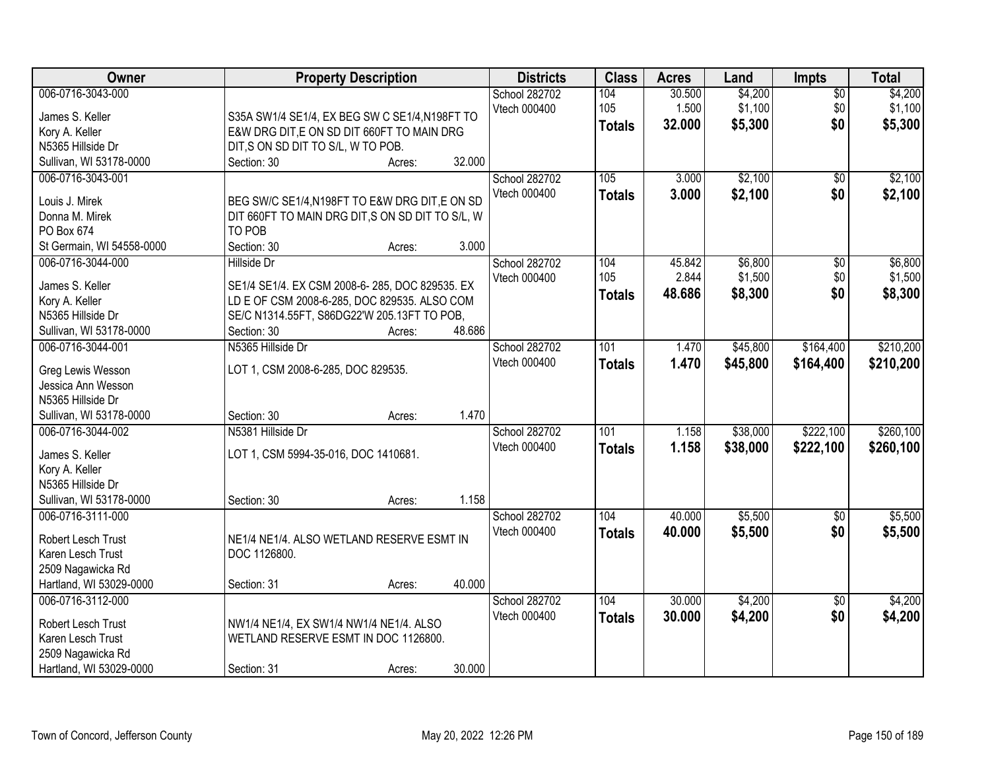| Owner                     | <b>Property Description</b>                      |                  | <b>Districts</b> | <b>Class</b>  | <b>Acres</b> | Land     | <b>Impts</b>    | <b>Total</b> |
|---------------------------|--------------------------------------------------|------------------|------------------|---------------|--------------|----------|-----------------|--------------|
| 006-0716-3043-000         |                                                  |                  | School 282702    | 104           | 30.500       | \$4,200  | $\overline{50}$ | \$4,200      |
| James S. Keller           | S35A SW1/4 SE1/4, EX BEG SW C SE1/4, N198FT TO   |                  | Vtech 000400     | 105           | 1.500        | \$1,100  | \$0             | \$1,100      |
| Kory A. Keller            | E&W DRG DIT,E ON SD DIT 660FT TO MAIN DRG        |                  |                  | <b>Totals</b> | 32.000       | \$5,300  | \$0             | \$5,300      |
| N5365 Hillside Dr         | DIT, S ON SD DIT TO S/L, W TO POB.               |                  |                  |               |              |          |                 |              |
| Sullivan, WI 53178-0000   | Section: 30                                      | 32.000<br>Acres: |                  |               |              |          |                 |              |
| 006-0716-3043-001         |                                                  |                  | School 282702    | 105           | 3.000        | \$2,100  | $\overline{50}$ | \$2,100      |
|                           |                                                  |                  | Vtech 000400     | <b>Totals</b> | 3.000        | \$2,100  | \$0             | \$2,100      |
| Louis J. Mirek            | BEG SW/C SE1/4, N198FT TO E&W DRG DIT, E ON SD   |                  |                  |               |              |          |                 |              |
| Donna M. Mirek            | DIT 660FT TO MAIN DRG DIT, S ON SD DIT TO S/L, W |                  |                  |               |              |          |                 |              |
| PO Box 674                | TO POB                                           |                  |                  |               |              |          |                 |              |
| St Germain, WI 54558-0000 | Section: 30                                      | 3.000<br>Acres:  |                  |               |              |          |                 |              |
| 006-0716-3044-000         | <b>Hillside Dr</b>                               |                  | School 282702    | 104           | 45.842       | \$6,800  | \$0             | \$6,800      |
| James S. Keller           | SE1/4 SE1/4. EX CSM 2008-6-285, DOC 829535. EX   |                  | Vtech 000400     | 105           | 2.844        | \$1,500  | \$0             | \$1,500      |
| Kory A. Keller            | LD E OF CSM 2008-6-285, DOC 829535. ALSO COM     |                  |                  | <b>Totals</b> | 48.686       | \$8,300  | \$0             | \$8,300      |
| N5365 Hillside Dr         | SE/C N1314.55FT, S86DG22'W 205.13FT TO POB,      |                  |                  |               |              |          |                 |              |
| Sullivan, WI 53178-0000   | Section: 30                                      | 48.686<br>Acres: |                  |               |              |          |                 |              |
| 006-0716-3044-001         | N5365 Hillside Dr                                |                  | School 282702    | 101           | 1.470        | \$45,800 | \$164,400       | \$210,200    |
|                           |                                                  |                  | Vtech 000400     | <b>Totals</b> | 1.470        | \$45,800 | \$164,400       | \$210,200    |
| Greg Lewis Wesson         | LOT 1, CSM 2008-6-285, DOC 829535.               |                  |                  |               |              |          |                 |              |
| Jessica Ann Wesson        |                                                  |                  |                  |               |              |          |                 |              |
| N5365 Hillside Dr         |                                                  |                  |                  |               |              |          |                 |              |
| Sullivan, WI 53178-0000   | Section: 30                                      | 1.470<br>Acres:  |                  |               |              |          |                 |              |
| 006-0716-3044-002         | N5381 Hillside Dr                                |                  | School 282702    | 101           | 1.158        | \$38,000 | \$222,100       | \$260,100    |
| James S. Keller           | LOT 1, CSM 5994-35-016, DOC 1410681.             |                  | Vtech 000400     | <b>Totals</b> | 1.158        | \$38,000 | \$222,100       | \$260,100    |
| Kory A. Keller            |                                                  |                  |                  |               |              |          |                 |              |
| N5365 Hillside Dr         |                                                  |                  |                  |               |              |          |                 |              |
| Sullivan, WI 53178-0000   | Section: 30                                      | 1.158<br>Acres:  |                  |               |              |          |                 |              |
| 006-0716-3111-000         |                                                  |                  | School 282702    | 104           | 40.000       | \$5,500  | $\sqrt{$0}$     | \$5,500      |
|                           |                                                  |                  | Vtech 000400     | <b>Totals</b> | 40.000       | \$5,500  | \$0             | \$5,500      |
| Robert Lesch Trust        | NE1/4 NE1/4. ALSO WETLAND RESERVE ESMT IN        |                  |                  |               |              |          |                 |              |
| Karen Lesch Trust         | DOC 1126800.                                     |                  |                  |               |              |          |                 |              |
| 2509 Nagawicka Rd         |                                                  |                  |                  |               |              |          |                 |              |
| Hartland, WI 53029-0000   | Section: 31                                      | 40.000<br>Acres: |                  |               |              |          |                 |              |
| 006-0716-3112-000         |                                                  |                  | School 282702    | 104           | 30.000       | \$4,200  | $\overline{50}$ | \$4,200      |
| Robert Lesch Trust        | NW1/4 NE1/4, EX SW1/4 NW1/4 NE1/4. ALSO          |                  | Vtech 000400     | <b>Totals</b> | 30.000       | \$4,200  | \$0             | \$4,200      |
| Karen Lesch Trust         | WETLAND RESERVE ESMT IN DOC 1126800.             |                  |                  |               |              |          |                 |              |
| 2509 Nagawicka Rd         |                                                  |                  |                  |               |              |          |                 |              |
| Hartland, WI 53029-0000   | Section: 31                                      | 30.000<br>Acres: |                  |               |              |          |                 |              |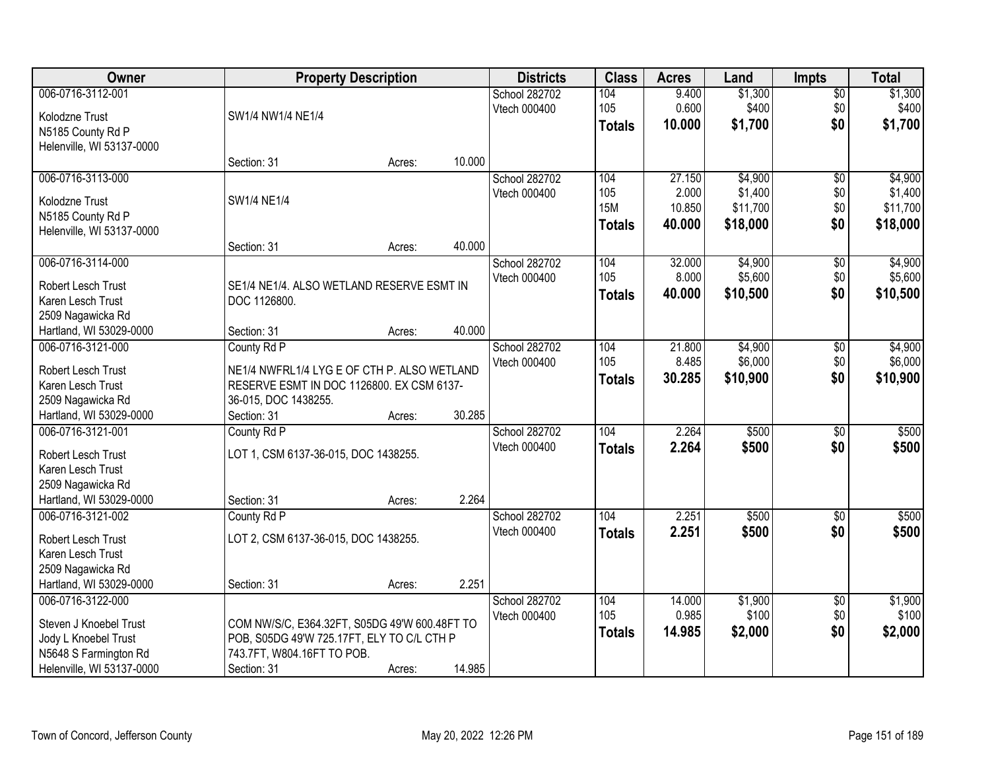| Owner                                              |                                                                          | <b>Property Description</b> |        | <b>Districts</b> | <b>Class</b>  | <b>Acres</b> | Land     | <b>Impts</b>    | <b>Total</b> |
|----------------------------------------------------|--------------------------------------------------------------------------|-----------------------------|--------|------------------|---------------|--------------|----------|-----------------|--------------|
| 006-0716-3112-001                                  |                                                                          |                             |        | School 282702    | 104           | 9.400        | \$1,300  | $\sqrt{$0}$     | \$1,300      |
| Kolodzne Trust                                     | SW1/4 NW1/4 NE1/4                                                        |                             |        | Vtech 000400     | 105           | 0.600        | \$400    | \$0             | \$400        |
| N5185 County Rd P                                  |                                                                          |                             |        |                  | <b>Totals</b> | 10.000       | \$1,700  | \$0             | \$1,700      |
| Helenville, WI 53137-0000                          |                                                                          |                             |        |                  |               |              |          |                 |              |
|                                                    | Section: 31                                                              | Acres:                      | 10.000 |                  |               |              |          |                 |              |
| 006-0716-3113-000                                  |                                                                          |                             |        | School 282702    | 104           | 27.150       | \$4,900  | $\overline{50}$ | \$4,900      |
| Kolodzne Trust                                     | SW1/4 NE1/4                                                              |                             |        | Vtech 000400     | 105           | 2.000        | \$1,400  | \$0             | \$1,400      |
| N5185 County Rd P                                  |                                                                          |                             |        |                  | <b>15M</b>    | 10.850       | \$11,700 | \$0             | \$11,700     |
| Helenville, WI 53137-0000                          |                                                                          |                             |        |                  | <b>Totals</b> | 40.000       | \$18,000 | \$0             | \$18,000     |
|                                                    | Section: 31                                                              | Acres:                      | 40.000 |                  |               |              |          |                 |              |
| 006-0716-3114-000                                  |                                                                          |                             |        | School 282702    | 104           | 32.000       | \$4,900  | $\overline{60}$ | \$4,900      |
| Robert Lesch Trust                                 | SE1/4 NE1/4. ALSO WETLAND RESERVE ESMT IN                                |                             |        | Vtech 000400     | 105           | 8.000        | \$5,600  | \$0             | \$5,600      |
| Karen Lesch Trust                                  | DOC 1126800.                                                             |                             |        |                  | <b>Totals</b> | 40.000       | \$10,500 | \$0             | \$10,500     |
| 2509 Nagawicka Rd                                  |                                                                          |                             |        |                  |               |              |          |                 |              |
| Hartland, WI 53029-0000                            | Section: 31                                                              | Acres:                      | 40.000 |                  |               |              |          |                 |              |
| 006-0716-3121-000                                  | County Rd P                                                              |                             |        | School 282702    | 104           | 21.800       | \$4,900  | \$0             | \$4,900      |
|                                                    |                                                                          |                             |        | Vtech 000400     | 105           | 8.485        | \$6,000  | \$0             | \$6,000      |
| Robert Lesch Trust                                 | NE1/4 NWFRL1/4 LYG E OF CTH P. ALSO WETLAND                              |                             |        |                  | <b>Totals</b> | 30.285       | \$10,900 | \$0             | \$10,900     |
| Karen Lesch Trust                                  | RESERVE ESMT IN DOC 1126800. EX CSM 6137-                                |                             |        |                  |               |              |          |                 |              |
| 2509 Nagawicka Rd                                  | 36-015, DOC 1438255.                                                     |                             |        |                  |               |              |          |                 |              |
| Hartland, WI 53029-0000                            | Section: 31                                                              | Acres:                      | 30.285 |                  |               |              |          |                 |              |
| 006-0716-3121-001                                  | County Rd P                                                              |                             |        | School 282702    | 104           | 2.264        | \$500    | $\overline{50}$ | \$500        |
| Robert Lesch Trust                                 | LOT 1, CSM 6137-36-015, DOC 1438255.                                     |                             |        | Vtech 000400     | <b>Totals</b> | 2.264        | \$500    | \$0             | \$500        |
| Karen Lesch Trust                                  |                                                                          |                             |        |                  |               |              |          |                 |              |
| 2509 Nagawicka Rd                                  |                                                                          |                             |        |                  |               |              |          |                 |              |
| Hartland, WI 53029-0000                            | Section: 31                                                              | Acres:                      | 2.264  |                  |               |              |          |                 |              |
| 006-0716-3121-002                                  | County Rd P                                                              |                             |        | School 282702    | 104           | 2.251        | \$500    | $\overline{50}$ | \$500        |
| Robert Lesch Trust                                 | LOT 2, CSM 6137-36-015, DOC 1438255.                                     |                             |        | Vtech 000400     | <b>Totals</b> | 2.251        | \$500    | \$0             | \$500        |
| Karen Lesch Trust                                  |                                                                          |                             |        |                  |               |              |          |                 |              |
| 2509 Nagawicka Rd                                  |                                                                          |                             |        |                  |               |              |          |                 |              |
| Hartland, WI 53029-0000                            | Section: 31                                                              | Acres:                      | 2.251  |                  |               |              |          |                 |              |
| 006-0716-3122-000                                  |                                                                          |                             |        | School 282702    | 104           | 14.000       | \$1,900  | $\overline{50}$ | \$1,900      |
|                                                    |                                                                          |                             |        | Vtech 000400     | 105           | 0.985        | \$100    | \$0             | \$100        |
| Steven J Knoebel Trust                             | COM NW/S/C, E364.32FT, S05DG 49'W 600.48FT TO                            |                             |        |                  | <b>Totals</b> | 14.985       | \$2,000  | \$0             | \$2,000      |
| Jody L Knoebel Trust                               | POB, S05DG 49'W 725.17FT, ELY TO C/L CTH P<br>743.7FT, W804.16FT TO POB. |                             |        |                  |               |              |          |                 |              |
| N5648 S Farmington Rd<br>Helenville, WI 53137-0000 | Section: 31                                                              |                             | 14.985 |                  |               |              |          |                 |              |
|                                                    |                                                                          | Acres:                      |        |                  |               |              |          |                 |              |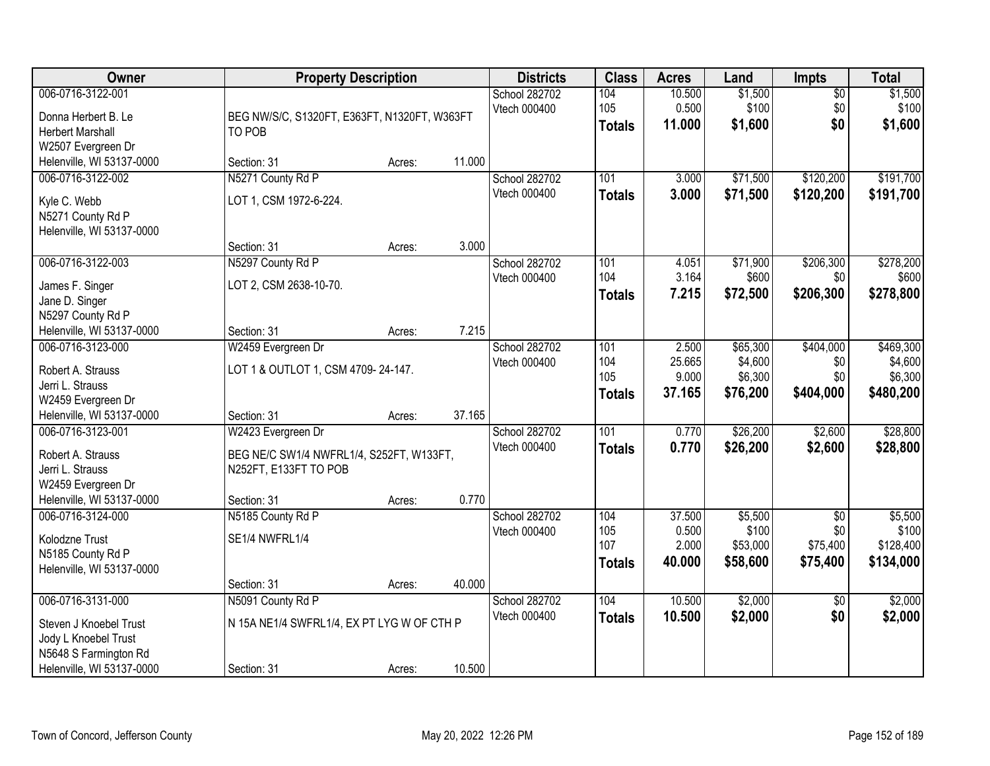| Owner                                                                                                                     | <b>Property Description</b>                                                                            |                  |                | <b>Districts</b>              | <b>Class</b>                       | <b>Acres</b>                       | Land                                       | <b>Impts</b>                                   | <b>Total</b>                                 |
|---------------------------------------------------------------------------------------------------------------------------|--------------------------------------------------------------------------------------------------------|------------------|----------------|-------------------------------|------------------------------------|------------------------------------|--------------------------------------------|------------------------------------------------|----------------------------------------------|
| 006-0716-3122-001<br>Donna Herbert B. Le<br><b>Herbert Marshall</b><br>W2507 Evergreen Dr                                 | BEG NW/S/C, S1320FT, E363FT, N1320FT, W363FT<br>TO POB                                                 |                  |                | School 282702<br>Vtech 000400 | 104<br>105<br><b>Totals</b>        | 10.500<br>0.500<br>11.000          | \$1,500<br>\$100<br>\$1,600                | \$0<br>\$0<br>\$0                              | \$1,500<br>\$100<br>\$1,600                  |
| Helenville, WI 53137-0000                                                                                                 | Section: 31                                                                                            | Acres:           | 11.000         |                               |                                    |                                    |                                            |                                                |                                              |
| 006-0716-3122-002<br>Kyle C. Webb<br>N5271 County Rd P<br>Helenville, WI 53137-0000                                       | N5271 County Rd P<br>LOT 1, CSM 1972-6-224.                                                            |                  |                | School 282702<br>Vtech 000400 | 101<br><b>Totals</b>               | 3.000<br>3.000                     | \$71,500<br>\$71,500                       | \$120,200<br>\$120,200                         | \$191,700<br>\$191,700                       |
| 006-0716-3122-003<br>James F. Singer<br>Jane D. Singer<br>N5297 County Rd P<br>Helenville, WI 53137-0000                  | Section: 31<br>N5297 County Rd P<br>LOT 2, CSM 2638-10-70.<br>Section: 31                              | Acres:<br>Acres: | 3.000<br>7.215 | School 282702<br>Vtech 000400 | 101<br>104<br><b>Totals</b>        | 4.051<br>3.164<br>7.215            | \$71,900<br>\$600<br>\$72,500              | \$206,300<br>\$0<br>\$206,300                  | \$278,200<br>\$600<br>\$278,800              |
| 006-0716-3123-000<br>Robert A. Strauss<br>Jerri L. Strauss<br>W2459 Evergreen Dr<br>Helenville, WI 53137-0000             | W2459 Evergreen Dr<br>LOT 1 & OUTLOT 1, CSM 4709-24-147.<br>Section: 31                                | Acres:           | 37.165         | School 282702<br>Vtech 000400 | 101<br>104<br>105<br><b>Totals</b> | 2.500<br>25.665<br>9.000<br>37.165 | \$65,300<br>\$4,600<br>\$6,300<br>\$76,200 | \$404,000<br>\$0<br>\$0<br>\$404,000           | \$469,300<br>\$4,600<br>\$6,300<br>\$480,200 |
| 006-0716-3123-001<br>Robert A. Strauss<br>Jerri L. Strauss<br>W2459 Evergreen Dr<br>Helenville, WI 53137-0000             | W2423 Evergreen Dr<br>BEG NE/C SW1/4 NWFRL1/4, S252FT, W133FT,<br>N252FT, E133FT TO POB<br>Section: 31 | Acres:           | 0.770          | School 282702<br>Vtech 000400 | 101<br><b>Totals</b>               | 0.770<br>0.770                     | \$26,200<br>\$26,200                       | \$2,600<br>\$2,600                             | \$28,800<br>\$28,800                         |
| 006-0716-3124-000<br>Kolodzne Trust<br>N5185 County Rd P<br>Helenville, WI 53137-0000                                     | N5185 County Rd P<br>SE1/4 NWFRL1/4<br>Section: 31                                                     | Acres:           | 40.000         | School 282702<br>Vtech 000400 | 104<br>105<br>107<br><b>Totals</b> | 37.500<br>0.500<br>2.000<br>40.000 | \$5,500<br>\$100<br>\$53,000<br>\$58,600   | $\overline{50}$<br>\$0<br>\$75,400<br>\$75,400 | \$5,500<br>\$100<br>\$128,400<br>\$134,000   |
| 006-0716-3131-000<br>Steven J Knoebel Trust<br>Jody L Knoebel Trust<br>N5648 S Farmington Rd<br>Helenville, WI 53137-0000 | N5091 County Rd P<br>N 15A NE1/4 SWFRL1/4, EX PT LYG W OF CTH P<br>Section: 31                         | Acres:           | 10.500         | School 282702<br>Vtech 000400 | 104<br><b>Totals</b>               | 10.500<br>10.500                   | \$2,000<br>\$2,000                         | $\overline{50}$<br>\$0                         | \$2,000<br>\$2,000                           |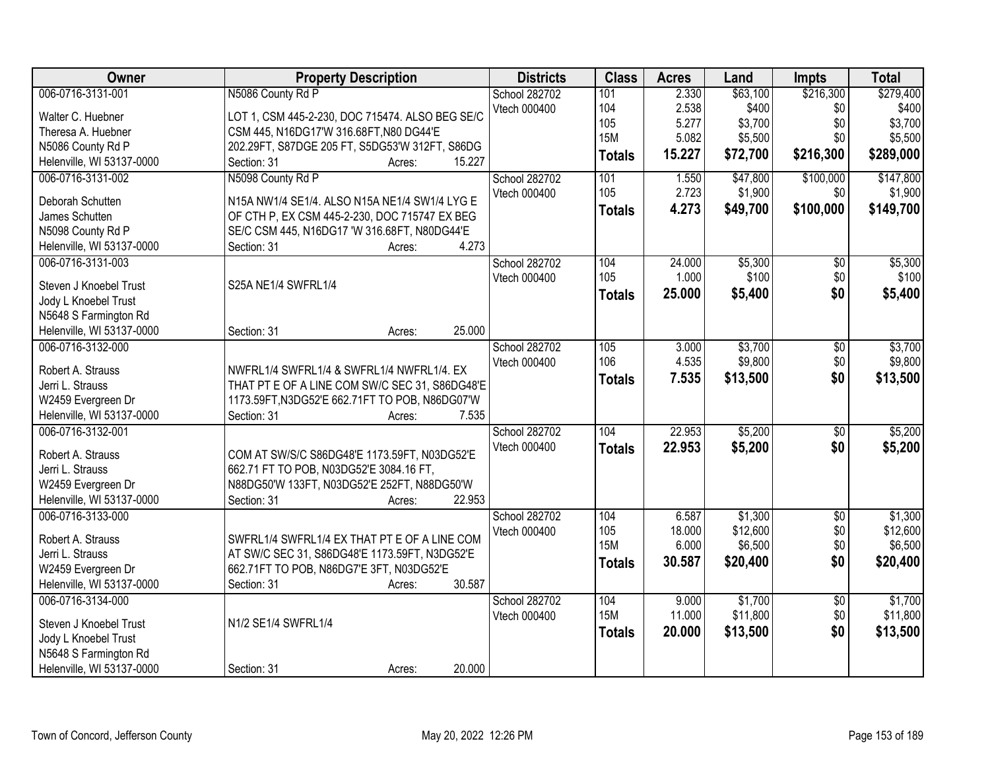| Owner                     | <b>Property Description</b>                     | <b>Districts</b> | <b>Class</b>  | <b>Acres</b> | Land     | <b>Impts</b>    | <b>Total</b> |
|---------------------------|-------------------------------------------------|------------------|---------------|--------------|----------|-----------------|--------------|
| 006-0716-3131-001         | N5086 County Rd P                               | School 282702    | 101           | 2.330        | \$63,100 | \$216,300       | \$279,400    |
| Walter C. Huebner         | LOT 1, CSM 445-2-230, DOC 715474. ALSO BEG SE/C | Vtech 000400     | 104           | 2.538        | \$400    | \$0             | \$400        |
| Theresa A. Huebner        | CSM 445, N16DG17'W 316.68FT, N80 DG44'E         |                  | 105           | 5.277        | \$3,700  | \$0             | \$3,700      |
| N5086 County Rd P         | 202.29FT, S87DGE 205 FT, S5DG53'W 312FT, S86DG  |                  | <b>15M</b>    | 5.082        | \$5,500  | \$0             | \$5,500      |
| Helenville, WI 53137-0000 | 15.227<br>Section: 31<br>Acres:                 |                  | <b>Totals</b> | 15.227       | \$72,700 | \$216,300       | \$289,000    |
| 006-0716-3131-002         | N5098 County Rd P                               | School 282702    | 101           | 1.550        | \$47,800 | \$100,000       | \$147,800    |
|                           |                                                 | Vtech 000400     | 105           | 2.723        | \$1,900  | \$0             | \$1,900      |
| Deborah Schutten          | N15A NW1/4 SE1/4. ALSO N15A NE1/4 SW1/4 LYG E   |                  | <b>Totals</b> | 4.273        | \$49,700 | \$100,000       | \$149,700    |
| James Schutten            | OF CTH P, EX CSM 445-2-230, DOC 715747 EX BEG   |                  |               |              |          |                 |              |
| N5098 County Rd P         | SE/C CSM 445, N16DG17 'W 316.68FT, N80DG44'E    |                  |               |              |          |                 |              |
| Helenville, WI 53137-0000 | 4.273<br>Section: 31<br>Acres:                  |                  |               |              |          |                 |              |
| 006-0716-3131-003         |                                                 | School 282702    | 104           | 24.000       | \$5,300  | \$0             | \$5,300      |
| Steven J Knoebel Trust    | S25A NE1/4 SWFRL1/4                             | Vtech 000400     | 105           | 1.000        | \$100    | \$0             | \$100        |
| Jody L Knoebel Trust      |                                                 |                  | <b>Totals</b> | 25.000       | \$5,400  | \$0             | \$5,400      |
| N5648 S Farmington Rd     |                                                 |                  |               |              |          |                 |              |
| Helenville, WI 53137-0000 | 25.000<br>Section: 31                           |                  |               |              |          |                 |              |
|                           | Acres:                                          |                  |               |              |          |                 |              |
| 006-0716-3132-000         |                                                 | School 282702    | 105           | 3.000        | \$3,700  | \$0             | \$3,700      |
| Robert A. Strauss         | NWFRL1/4 SWFRL1/4 & SWFRL1/4 NWFRL1/4. EX       | Vtech 000400     | 106           | 4.535        | \$9,800  | \$0             | \$9,800      |
| Jerri L. Strauss          | THAT PT E OF A LINE COM SW/C SEC 31, S86DG48'E  |                  | <b>Totals</b> | 7.535        | \$13,500 | \$0             | \$13,500     |
| W2459 Evergreen Dr        | 1173.59FT, N3DG52'E 662.71FT TO POB, N86DG07'W  |                  |               |              |          |                 |              |
| Helenville, WI 53137-0000 | 7.535<br>Section: 31<br>Acres:                  |                  |               |              |          |                 |              |
| 006-0716-3132-001         |                                                 | School 282702    | 104           | 22.953       | \$5,200  | $\overline{50}$ | \$5,200      |
|                           |                                                 | Vtech 000400     | <b>Totals</b> | 22.953       | \$5,200  | \$0             | \$5,200      |
| Robert A. Strauss         | COM AT SW/S/C S86DG48'E 1173.59FT, N03DG52'E    |                  |               |              |          |                 |              |
| Jerri L. Strauss          | 662.71 FT TO POB, N03DG52'E 3084.16 FT,         |                  |               |              |          |                 |              |
| W2459 Evergreen Dr        | N88DG50'W 133FT, N03DG52'E 252FT, N88DG50'W     |                  |               |              |          |                 |              |
| Helenville, WI 53137-0000 | Section: 31<br>22.953<br>Acres:                 |                  |               |              |          |                 |              |
| 006-0716-3133-000         |                                                 | School 282702    | 104           | 6.587        | \$1,300  | $\overline{50}$ | \$1,300      |
| Robert A. Strauss         | SWFRL1/4 SWFRL1/4 EX THAT PT E OF A LINE COM    | Vtech 000400     | 105           | 18.000       | \$12,600 | \$0             | \$12,600     |
| Jerri L. Strauss          | AT SW/C SEC 31, S86DG48'E 1173.59FT, N3DG52'E   |                  | <b>15M</b>    | 6.000        | \$6,500  | \$0             | \$6,500      |
| W2459 Evergreen Dr        | 662.71FT TO POB, N86DG7'E 3FT, N03DG52'E        |                  | <b>Totals</b> | 30.587       | \$20,400 | \$0             | \$20,400     |
| Helenville, WI 53137-0000 | 30.587<br>Section: 31<br>Acres:                 |                  |               |              |          |                 |              |
| 006-0716-3134-000         |                                                 | School 282702    | 104           | 9.000        | \$1,700  | $\overline{50}$ | \$1,700      |
|                           |                                                 |                  | <b>15M</b>    | 11.000       | \$11,800 | \$0             | \$11,800     |
| Steven J Knoebel Trust    | N1/2 SE1/4 SWFRL1/4                             | Vtech 000400     |               |              |          |                 |              |
| Jody L Knoebel Trust      |                                                 |                  | <b>Totals</b> | 20.000       | \$13,500 | \$0             | \$13,500     |
| N5648 S Farmington Rd     |                                                 |                  |               |              |          |                 |              |
| Helenville, WI 53137-0000 | 20.000<br>Section: 31<br>Acres:                 |                  |               |              |          |                 |              |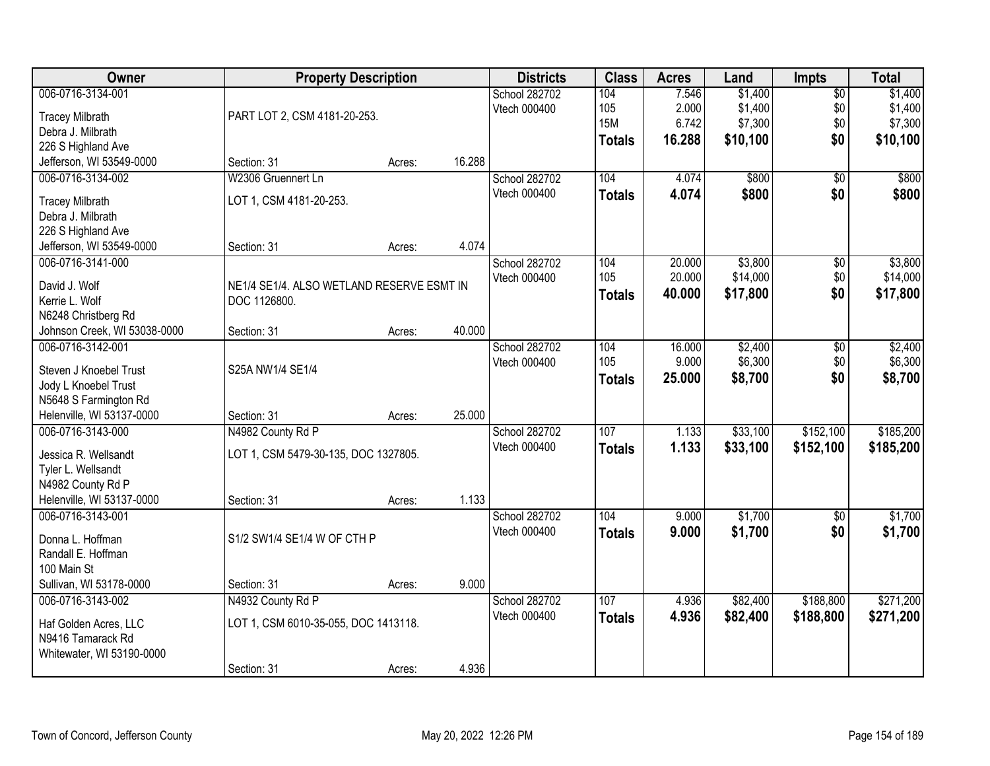| Owner                                             | <b>Property Description</b>               |        |        | <b>Districts</b>     | <b>Class</b>  | <b>Acres</b> | Land               | Impts           | <b>Total</b>       |
|---------------------------------------------------|-------------------------------------------|--------|--------|----------------------|---------------|--------------|--------------------|-----------------|--------------------|
| 006-0716-3134-001                                 |                                           |        |        | School 282702        | 104           | 7.546        | \$1,400            | $\overline{50}$ | \$1,400            |
| <b>Tracey Milbrath</b>                            | PART LOT 2, CSM 4181-20-253.              |        |        | Vtech 000400         | 105           | 2.000        | \$1,400            | \$0             | \$1,400            |
| Debra J. Milbrath                                 |                                           |        |        |                      | <b>15M</b>    | 6.742        | \$7,300            | \$0             | \$7,300            |
| 226 S Highland Ave                                |                                           |        |        |                      | <b>Totals</b> | 16.288       | \$10,100           | \$0             | \$10,100           |
| Jefferson, WI 53549-0000                          | Section: 31                               | Acres: | 16.288 |                      |               |              |                    |                 |                    |
| 006-0716-3134-002                                 | W2306 Gruennert Ln                        |        |        | School 282702        | 104           | 4.074        | \$800              | $\overline{30}$ | \$800              |
| <b>Tracey Milbrath</b>                            | LOT 1, CSM 4181-20-253.                   |        |        | Vtech 000400         | <b>Totals</b> | 4.074        | \$800              | \$0             | \$800              |
| Debra J. Milbrath                                 |                                           |        |        |                      |               |              |                    |                 |                    |
| 226 S Highland Ave                                |                                           |        |        |                      |               |              |                    |                 |                    |
| Jefferson, WI 53549-0000                          | Section: 31                               | Acres: | 4.074  |                      |               |              |                    |                 |                    |
| 006-0716-3141-000                                 |                                           |        |        | School 282702        | 104           | 20.000       | \$3,800            | \$0             | \$3,800            |
|                                                   |                                           |        |        | Vtech 000400         | 105           | 20.000       | \$14,000           | \$0             | \$14,000           |
| David J. Wolf                                     | NE1/4 SE1/4. ALSO WETLAND RESERVE ESMT IN |        |        |                      | <b>Totals</b> | 40.000       | \$17,800           | \$0             | \$17,800           |
| Kerrie L. Wolf                                    | DOC 1126800.                              |        |        |                      |               |              |                    |                 |                    |
| N6248 Christberg Rd                               |                                           |        | 40.000 |                      |               |              |                    |                 |                    |
| Johnson Creek, WI 53038-0000<br>006-0716-3142-001 | Section: 31                               | Acres: |        |                      | 104           | 16.000       |                    |                 |                    |
|                                                   |                                           |        |        | <b>School 282702</b> | 105           | 9.000        | \$2,400<br>\$6,300 | \$0<br>\$0      | \$2,400<br>\$6,300 |
| Steven J Knoebel Trust                            | S25A NW1/4 SE1/4                          |        |        | Vtech 000400         |               | 25.000       |                    | \$0             |                    |
| Jody L Knoebel Trust                              |                                           |        |        |                      | <b>Totals</b> |              | \$8,700            |                 | \$8,700            |
| N5648 S Farmington Rd                             |                                           |        |        |                      |               |              |                    |                 |                    |
| Helenville, WI 53137-0000                         | Section: 31                               | Acres: | 25.000 |                      |               |              |                    |                 |                    |
| 006-0716-3143-000                                 | N4982 County Rd P                         |        |        | School 282702        | 107           | 1.133        | \$33,100           | \$152,100       | \$185,200          |
| Jessica R. Wellsandt                              | LOT 1, CSM 5479-30-135, DOC 1327805.      |        |        | Vtech 000400         | <b>Totals</b> | 1.133        | \$33,100           | \$152,100       | \$185,200          |
| Tyler L. Wellsandt                                |                                           |        |        |                      |               |              |                    |                 |                    |
| N4982 County Rd P                                 |                                           |        |        |                      |               |              |                    |                 |                    |
| Helenville, WI 53137-0000                         | Section: 31                               | Acres: | 1.133  |                      |               |              |                    |                 |                    |
| 006-0716-3143-001                                 |                                           |        |        | School 282702        | 104           | 9.000        | \$1,700            | $\overline{50}$ | \$1,700            |
| Donna L. Hoffman                                  | S1/2 SW1/4 SE1/4 W OF CTH P               |        |        | Vtech 000400         | <b>Totals</b> | 9.000        | \$1,700            | \$0             | \$1,700            |
| Randall E. Hoffman                                |                                           |        |        |                      |               |              |                    |                 |                    |
| 100 Main St                                       |                                           |        |        |                      |               |              |                    |                 |                    |
| Sullivan, WI 53178-0000                           | Section: 31                               | Acres: | 9.000  |                      |               |              |                    |                 |                    |
| 006-0716-3143-002                                 | N4932 County Rd P                         |        |        | School 282702        | 107           | 4.936        | \$82,400           | \$188,800       | \$271,200          |
|                                                   |                                           |        |        | Vtech 000400         | <b>Totals</b> | 4.936        | \$82,400           | \$188,800       | \$271,200          |
| Haf Golden Acres, LLC                             | LOT 1, CSM 6010-35-055, DOC 1413118.      |        |        |                      |               |              |                    |                 |                    |
| N9416 Tamarack Rd                                 |                                           |        |        |                      |               |              |                    |                 |                    |
| Whitewater, WI 53190-0000                         |                                           |        |        |                      |               |              |                    |                 |                    |
|                                                   | Section: 31                               | Acres: | 4.936  |                      |               |              |                    |                 |                    |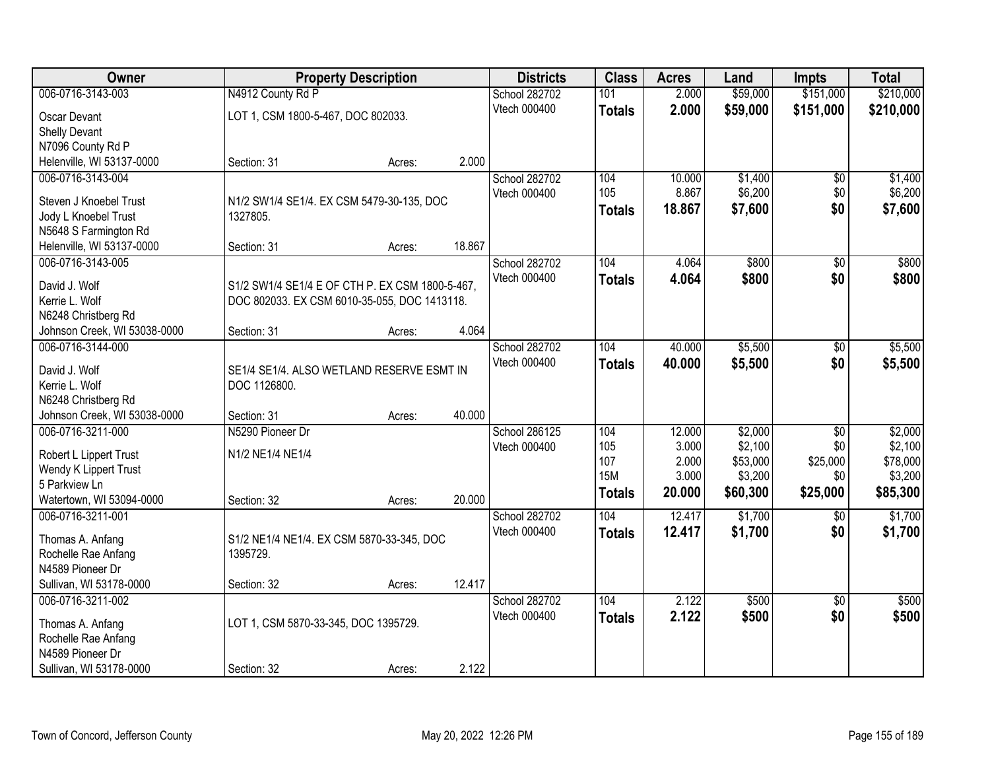| Owner                        |                                                 | <b>Property Description</b> |        | <b>Districts</b> | <b>Class</b>  | <b>Acres</b> | Land     | <b>Impts</b>    | <b>Total</b> |
|------------------------------|-------------------------------------------------|-----------------------------|--------|------------------|---------------|--------------|----------|-----------------|--------------|
| 006-0716-3143-003            | N4912 County Rd P                               |                             |        | School 282702    | 101           | 2.000        | \$59,000 | \$151,000       | \$210,000    |
| Oscar Devant                 | LOT 1, CSM 1800-5-467, DOC 802033.              |                             |        | Vtech 000400     | <b>Totals</b> | 2.000        | \$59,000 | \$151,000       | \$210,000    |
| <b>Shelly Devant</b>         |                                                 |                             |        |                  |               |              |          |                 |              |
| N7096 County Rd P            |                                                 |                             |        |                  |               |              |          |                 |              |
| Helenville, WI 53137-0000    | Section: 31                                     | Acres:                      | 2.000  |                  |               |              |          |                 |              |
| 006-0716-3143-004            |                                                 |                             |        | School 282702    | 104           | 10.000       | \$1,400  | $\overline{50}$ | \$1,400      |
|                              |                                                 |                             |        | Vtech 000400     | 105           | 8.867        | \$6,200  | \$0             | \$6,200      |
| Steven J Knoebel Trust       | N1/2 SW1/4 SE1/4. EX CSM 5479-30-135, DOC       |                             |        |                  | <b>Totals</b> | 18.867       | \$7,600  | \$0             | \$7,600      |
| Jody L Knoebel Trust         | 1327805.                                        |                             |        |                  |               |              |          |                 |              |
| N5648 S Farmington Rd        |                                                 |                             | 18.867 |                  |               |              |          |                 |              |
| Helenville, WI 53137-0000    | Section: 31                                     | Acres:                      |        |                  |               |              | \$800    |                 | \$800        |
| 006-0716-3143-005            |                                                 |                             |        | School 282702    | 104           | 4.064        |          | \$0             |              |
| David J. Wolf                | S1/2 SW1/4 SE1/4 E OF CTH P. EX CSM 1800-5-467, |                             |        | Vtech 000400     | <b>Totals</b> | 4.064        | \$800    | \$0             | \$800        |
| Kerrie L. Wolf               | DOC 802033. EX CSM 6010-35-055, DOC 1413118.    |                             |        |                  |               |              |          |                 |              |
| N6248 Christberg Rd          |                                                 |                             |        |                  |               |              |          |                 |              |
| Johnson Creek, WI 53038-0000 | Section: 31                                     | Acres:                      | 4.064  |                  |               |              |          |                 |              |
| 006-0716-3144-000            |                                                 |                             |        | School 282702    | 104           | 40.000       | \$5,500  | \$0             | \$5,500      |
| David J. Wolf                | SE1/4 SE1/4. ALSO WETLAND RESERVE ESMT IN       |                             |        | Vtech 000400     | <b>Totals</b> | 40.000       | \$5,500  | \$0             | \$5,500      |
| Kerrie L. Wolf               | DOC 1126800.                                    |                             |        |                  |               |              |          |                 |              |
| N6248 Christberg Rd          |                                                 |                             |        |                  |               |              |          |                 |              |
| Johnson Creek, WI 53038-0000 | Section: 31                                     | Acres:                      | 40.000 |                  |               |              |          |                 |              |
| 006-0716-3211-000            | N5290 Pioneer Dr                                |                             |        | School 286125    | 104           | 12.000       | \$2,000  | $\overline{30}$ | \$2,000      |
|                              |                                                 |                             |        | Vtech 000400     | 105           | 3.000        | \$2,100  | \$0             | \$2,100      |
| Robert L Lippert Trust       | N1/2 NE1/4 NE1/4                                |                             |        |                  | 107           | 2.000        | \$53,000 | \$25,000        | \$78,000     |
| Wendy K Lippert Trust        |                                                 |                             |        |                  | <b>15M</b>    | 3.000        | \$3,200  | \$0             | \$3,200      |
| 5 Parkview Ln                |                                                 |                             |        |                  | <b>Totals</b> | 20.000       | \$60,300 | \$25,000        | \$85,300     |
| Watertown, WI 53094-0000     | Section: 32                                     | Acres:                      | 20.000 |                  |               |              |          |                 |              |
| 006-0716-3211-001            |                                                 |                             |        | School 282702    | 104           | 12.417       | \$1,700  | \$0             | \$1,700      |
| Thomas A. Anfang             | S1/2 NE1/4 NE1/4. EX CSM 5870-33-345, DOC       |                             |        | Vtech 000400     | <b>Totals</b> | 12.417       | \$1,700  | \$0             | \$1,700      |
| Rochelle Rae Anfang          | 1395729.                                        |                             |        |                  |               |              |          |                 |              |
| N4589 Pioneer Dr             |                                                 |                             |        |                  |               |              |          |                 |              |
| Sullivan, WI 53178-0000      | Section: 32                                     | Acres:                      | 12.417 |                  |               |              |          |                 |              |
| 006-0716-3211-002            |                                                 |                             |        | School 282702    | 104           | 2.122        | \$500    | $\overline{30}$ | \$500        |
|                              |                                                 |                             |        | Vtech 000400     | <b>Totals</b> | 2.122        | \$500    | \$0             | \$500        |
| Thomas A. Anfang             | LOT 1, CSM 5870-33-345, DOC 1395729.            |                             |        |                  |               |              |          |                 |              |
| Rochelle Rae Anfang          |                                                 |                             |        |                  |               |              |          |                 |              |
| N4589 Pioneer Dr             |                                                 |                             |        |                  |               |              |          |                 |              |
| Sullivan, WI 53178-0000      | Section: 32                                     | Acres:                      | 2.122  |                  |               |              |          |                 |              |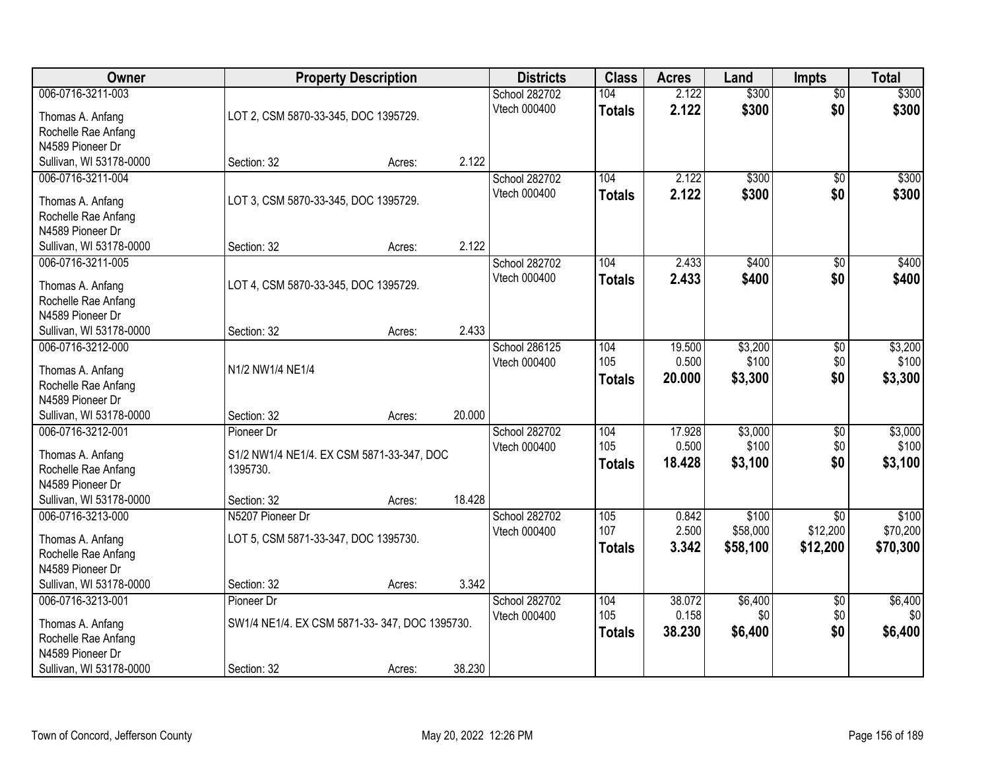| Owner                   |                                               | <b>Property Description</b> |        | <b>Districts</b> | <b>Class</b>  | <b>Acres</b> | Land     | <b>Impts</b>    | <b>Total</b> |
|-------------------------|-----------------------------------------------|-----------------------------|--------|------------------|---------------|--------------|----------|-----------------|--------------|
| 006-0716-3211-003       |                                               |                             |        | School 282702    | 104           | 2.122        | \$300    | $\overline{60}$ | \$300        |
| Thomas A. Anfang        | LOT 2, CSM 5870-33-345, DOC 1395729.          |                             |        | Vtech 000400     | <b>Totals</b> | 2.122        | \$300    | \$0             | \$300        |
| Rochelle Rae Anfang     |                                               |                             |        |                  |               |              |          |                 |              |
| N4589 Pioneer Dr        |                                               |                             |        |                  |               |              |          |                 |              |
| Sullivan, WI 53178-0000 | Section: 32                                   | Acres:                      | 2.122  |                  |               |              |          |                 |              |
| 006-0716-3211-004       |                                               |                             |        | School 282702    | 104           | 2.122        | \$300    | $\overline{50}$ | \$300        |
| Thomas A. Anfang        | LOT 3, CSM 5870-33-345, DOC 1395729.          |                             |        | Vtech 000400     | <b>Totals</b> | 2.122        | \$300    | \$0             | \$300        |
| Rochelle Rae Anfang     |                                               |                             |        |                  |               |              |          |                 |              |
| N4589 Pioneer Dr        |                                               |                             |        |                  |               |              |          |                 |              |
| Sullivan, WI 53178-0000 | Section: 32                                   | Acres:                      | 2.122  |                  |               |              |          |                 |              |
| 006-0716-3211-005       |                                               |                             |        | School 282702    | 104           | 2.433        | \$400    | \$0             | \$400        |
| Thomas A. Anfang        | LOT 4, CSM 5870-33-345, DOC 1395729.          |                             |        | Vtech 000400     | <b>Totals</b> | 2.433        | \$400    | \$0             | \$400        |
| Rochelle Rae Anfang     |                                               |                             |        |                  |               |              |          |                 |              |
| N4589 Pioneer Dr        |                                               |                             |        |                  |               |              |          |                 |              |
| Sullivan, WI 53178-0000 | Section: 32                                   | Acres:                      | 2.433  |                  |               |              |          |                 |              |
| 006-0716-3212-000       |                                               |                             |        | School 286125    | 104           | 19.500       | \$3,200  | \$0             | \$3,200      |
| Thomas A. Anfang        | N1/2 NW1/4 NE1/4                              |                             |        | Vtech 000400     | 105           | 0.500        | \$100    | \$0             | \$100        |
| Rochelle Rae Anfang     |                                               |                             |        |                  | <b>Totals</b> | 20.000       | \$3,300  | \$0             | \$3,300      |
| N4589 Pioneer Dr        |                                               |                             |        |                  |               |              |          |                 |              |
| Sullivan, WI 53178-0000 | Section: 32                                   | Acres:                      | 20.000 |                  |               |              |          |                 |              |
| 006-0716-3212-001       | Pioneer Dr                                    |                             |        | School 282702    | 104           | 17.928       | \$3,000  | $\overline{50}$ | \$3,000      |
| Thomas A. Anfang        | S1/2 NW1/4 NE1/4. EX CSM 5871-33-347, DOC     |                             |        | Vtech 000400     | 105           | 0.500        | \$100    | \$0             | \$100        |
| Rochelle Rae Anfang     | 1395730.                                      |                             |        |                  | <b>Totals</b> | 18.428       | \$3,100  | \$0             | \$3,100      |
| N4589 Pioneer Dr        |                                               |                             |        |                  |               |              |          |                 |              |
| Sullivan, WI 53178-0000 | Section: 32                                   | Acres:                      | 18.428 |                  |               |              |          |                 |              |
| 006-0716-3213-000       | N5207 Pioneer Dr                              |                             |        | School 282702    | 105           | 0.842        | \$100    | $\overline{50}$ | \$100        |
| Thomas A. Anfang        | LOT 5, CSM 5871-33-347, DOC 1395730.          |                             |        | Vtech 000400     | 107           | 2.500        | \$58,000 | \$12,200        | \$70,200     |
| Rochelle Rae Anfang     |                                               |                             |        |                  | <b>Totals</b> | 3.342        | \$58,100 | \$12,200        | \$70,300     |
| N4589 Pioneer Dr        |                                               |                             |        |                  |               |              |          |                 |              |
| Sullivan, WI 53178-0000 | Section: 32                                   | Acres:                      | 3.342  |                  |               |              |          |                 |              |
| 006-0716-3213-001       | Pioneer Dr                                    |                             |        | School 282702    | 104           | 38.072       | \$6,400  | $\overline{50}$ | \$6,400      |
| Thomas A. Anfang        | SW1/4 NE1/4. EX CSM 5871-33-347, DOC 1395730. |                             |        | Vtech 000400     | 105           | 0.158        | \$0      | \$0             | \$0          |
| Rochelle Rae Anfang     |                                               |                             |        |                  | <b>Totals</b> | 38.230       | \$6,400  | \$0             | \$6,400      |
| N4589 Pioneer Dr        |                                               |                             |        |                  |               |              |          |                 |              |
| Sullivan, WI 53178-0000 | Section: 32                                   | Acres:                      | 38.230 |                  |               |              |          |                 |              |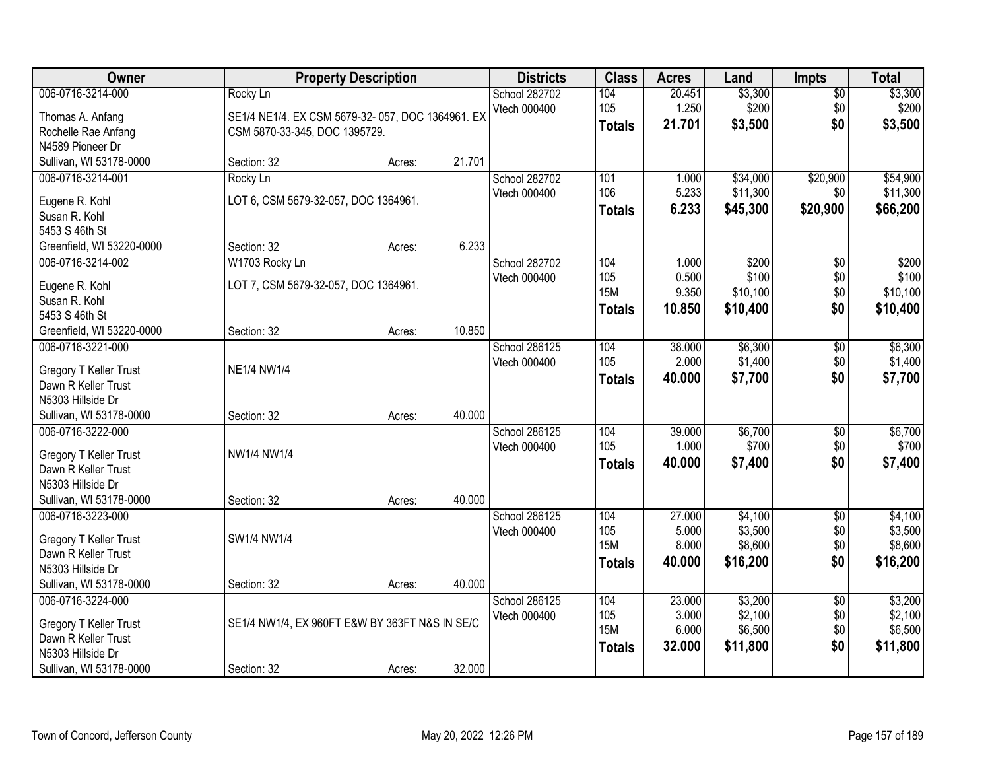| Owner                                         |                                                  | <b>Property Description</b> |        | <b>Districts</b> | <b>Class</b>  | <b>Acres</b> | Land     | <b>Impts</b>           | <b>Total</b> |
|-----------------------------------------------|--------------------------------------------------|-----------------------------|--------|------------------|---------------|--------------|----------|------------------------|--------------|
| 006-0716-3214-000                             | Rocky Ln                                         |                             |        | School 282702    | 104           | 20.451       | \$3,300  | \$0                    | \$3,300      |
| Thomas A. Anfang                              | SE1/4 NE1/4. EX CSM 5679-32-057, DOC 1364961. EX |                             |        | Vtech 000400     | 105           | 1.250        | \$200    | \$0                    | \$200        |
| Rochelle Rae Anfang                           | CSM 5870-33-345, DOC 1395729.                    |                             |        |                  | <b>Totals</b> | 21.701       | \$3,500  | \$0                    | \$3,500      |
| N4589 Pioneer Dr                              |                                                  |                             |        |                  |               |              |          |                        |              |
| Sullivan, WI 53178-0000                       | Section: 32                                      | Acres:                      | 21.701 |                  |               |              |          |                        |              |
| 006-0716-3214-001                             | Rocky Ln                                         |                             |        | School 282702    | 101           | 1.000        | \$34,000 | \$20,900               | \$54,900     |
| Eugene R. Kohl                                | LOT 6, CSM 5679-32-057, DOC 1364961.             |                             |        | Vtech 000400     | 106           | 5.233        | \$11,300 | \$0                    | \$11,300     |
| Susan R. Kohl                                 |                                                  |                             |        |                  | <b>Totals</b> | 6.233        | \$45,300 | \$20,900               | \$66,200     |
| 5453 S 46th St                                |                                                  |                             |        |                  |               |              |          |                        |              |
| Greenfield, WI 53220-0000                     | Section: 32                                      | Acres:                      | 6.233  |                  |               |              |          |                        |              |
| 006-0716-3214-002                             | W1703 Rocky Ln                                   |                             |        | School 282702    | 104           | 1.000        | \$200    | \$0                    | \$200        |
| Eugene R. Kohl                                | LOT 7, CSM 5679-32-057, DOC 1364961.             |                             |        | Vtech 000400     | 105           | 0.500        | \$100    | \$0                    | \$100        |
| Susan R. Kohl                                 |                                                  |                             |        |                  | <b>15M</b>    | 9.350        | \$10,100 | \$0                    | \$10,100     |
| 5453 S 46th St                                |                                                  |                             |        |                  | <b>Totals</b> | 10.850       | \$10,400 | \$0                    | \$10,400     |
| Greenfield, WI 53220-0000                     | Section: 32                                      | Acres:                      | 10.850 |                  |               |              |          |                        |              |
| 006-0716-3221-000                             |                                                  |                             |        | School 286125    | 104           | 38.000       | \$6,300  | \$0                    | \$6,300      |
|                                               | <b>NE1/4 NW1/4</b>                               |                             |        | Vtech 000400     | 105           | 2.000        | \$1,400  | \$0                    | \$1,400      |
| Gregory T Keller Trust<br>Dawn R Keller Trust |                                                  |                             |        |                  | <b>Totals</b> | 40.000       | \$7,700  | \$0                    | \$7,700      |
| N5303 Hillside Dr                             |                                                  |                             |        |                  |               |              |          |                        |              |
| Sullivan, WI 53178-0000                       | Section: 32                                      | Acres:                      | 40.000 |                  |               |              |          |                        |              |
| 006-0716-3222-000                             |                                                  |                             |        | School 286125    | 104           | 39.000       | \$6,700  | $\overline{50}$        | \$6,700      |
|                                               |                                                  |                             |        | Vtech 000400     | 105           | 1.000        | \$700    | \$0                    | \$700        |
| Gregory T Keller Trust                        | NW1/4 NW1/4                                      |                             |        |                  | <b>Totals</b> | 40.000       | \$7,400  | \$0                    | \$7,400      |
| Dawn R Keller Trust<br>N5303 Hillside Dr      |                                                  |                             |        |                  |               |              |          |                        |              |
| Sullivan, WI 53178-0000                       | Section: 32                                      | Acres:                      | 40.000 |                  |               |              |          |                        |              |
| 006-0716-3223-000                             |                                                  |                             |        | School 286125    | 104           | 27.000       | \$4,100  | $\sqrt{6}$             | \$4,100      |
|                                               |                                                  |                             |        | Vtech 000400     | 105           | 5.000        | \$3,500  | \$0                    | \$3,500      |
| Gregory T Keller Trust                        | SW1/4 NW1/4                                      |                             |        |                  | <b>15M</b>    | 8.000        | \$8,600  | \$0                    | \$8,600      |
| Dawn R Keller Trust                           |                                                  |                             |        |                  | <b>Totals</b> | 40.000       | \$16,200 | \$0                    | \$16,200     |
| N5303 Hillside Dr                             |                                                  |                             |        |                  |               |              |          |                        |              |
| Sullivan, WI 53178-0000<br>006-0716-3224-000  | Section: 32                                      | Acres:                      | 40.000 | School 286125    | 104           | 23.000       | \$3,200  |                        | \$3,200      |
|                                               |                                                  |                             |        | Vtech 000400     | 105           | 3.000        | \$2,100  | $\overline{50}$<br>\$0 | \$2,100      |
| Gregory T Keller Trust                        | SE1/4 NW1/4, EX 960FT E&W BY 363FT N&S IN SE/C   |                             |        |                  | <b>15M</b>    | 6.000        | \$6,500  | \$0                    | \$6,500      |
| Dawn R Keller Trust                           |                                                  |                             |        |                  | <b>Totals</b> | 32.000       | \$11,800 | \$0                    | \$11,800     |
| N5303 Hillside Dr                             |                                                  |                             |        |                  |               |              |          |                        |              |
| Sullivan, WI 53178-0000                       | Section: 32                                      | Acres:                      | 32.000 |                  |               |              |          |                        |              |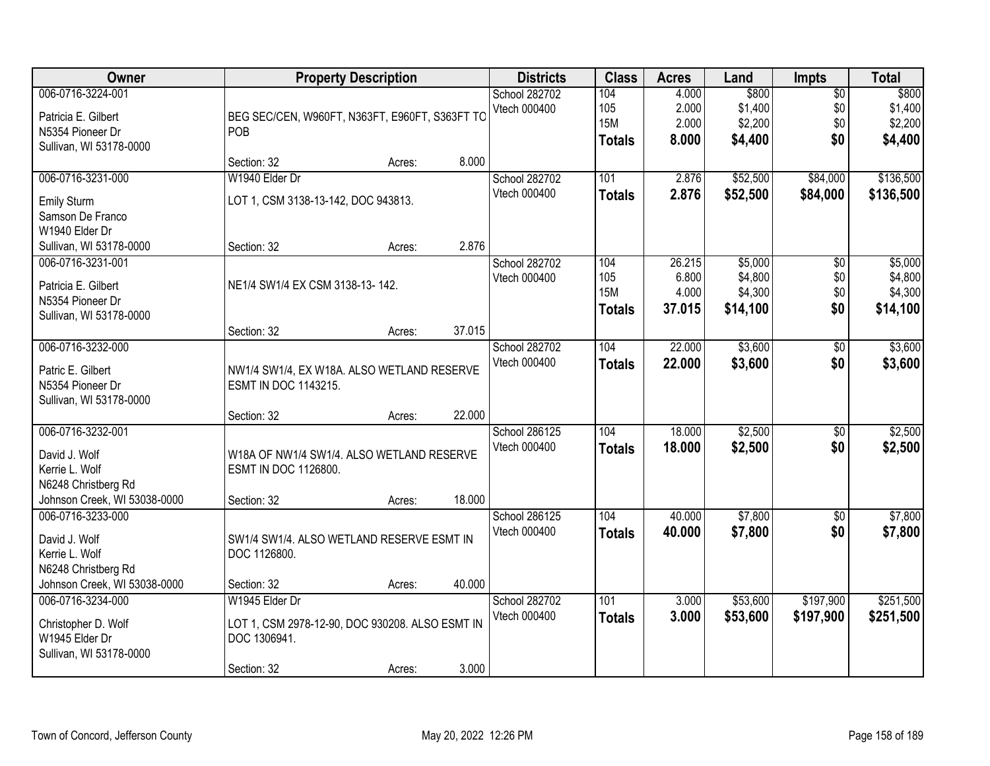| <b>Owner</b>                                                                                                |                                                                                                  | <b>Property Description</b> |        | <b>Districts</b>                     | <b>Class</b>                              | <b>Acres</b>                       | Land                                      | <b>Impts</b>                         | <b>Total</b>                              |
|-------------------------------------------------------------------------------------------------------------|--------------------------------------------------------------------------------------------------|-----------------------------|--------|--------------------------------------|-------------------------------------------|------------------------------------|-------------------------------------------|--------------------------------------|-------------------------------------------|
| 006-0716-3224-001<br>Patricia E. Gilbert<br>N5354 Pioneer Dr<br>Sullivan, WI 53178-0000                     | BEG SEC/CEN, W960FT, N363FT, E960FT, S363FT TO<br>POB                                            |                             |        | <b>School 282702</b><br>Vtech 000400 | 104<br>105<br><b>15M</b><br><b>Totals</b> | 4.000<br>2.000<br>2.000<br>8.000   | \$800<br>\$1,400<br>\$2,200<br>\$4,400    | $\overline{50}$<br>\$0<br>\$0<br>\$0 | \$800<br>\$1,400<br>\$2,200<br>\$4,400    |
|                                                                                                             | Section: 32                                                                                      | Acres:                      | 8.000  |                                      |                                           |                                    |                                           |                                      |                                           |
| 006-0716-3231-000                                                                                           | W1940 Elder Dr                                                                                   |                             |        | School 282702                        | 101                                       | 2.876                              | \$52,500                                  | \$84,000                             | \$136,500                                 |
| Emily Sturm<br>Samson De Franco<br>W1940 Elder Dr                                                           | LOT 1, CSM 3138-13-142, DOC 943813.                                                              |                             |        | Vtech 000400                         | <b>Totals</b>                             | 2.876                              | \$52,500                                  | \$84,000                             | \$136,500                                 |
| Sullivan, WI 53178-0000                                                                                     | Section: 32                                                                                      | Acres:                      | 2.876  |                                      |                                           |                                    |                                           |                                      |                                           |
| 006-0716-3231-001<br>Patricia E. Gilbert<br>N5354 Pioneer Dr<br>Sullivan, WI 53178-0000                     | NE1/4 SW1/4 EX CSM 3138-13-142.                                                                  |                             |        | School 282702<br>Vtech 000400        | 104<br>105<br><b>15M</b><br><b>Totals</b> | 26.215<br>6.800<br>4.000<br>37.015 | \$5,000<br>\$4,800<br>\$4,300<br>\$14,100 | \$0<br>\$0<br>\$0<br>\$0             | \$5,000<br>\$4,800<br>\$4,300<br>\$14,100 |
|                                                                                                             | Section: 32                                                                                      | Acres:                      | 37.015 |                                      |                                           |                                    |                                           |                                      |                                           |
| 006-0716-3232-000<br>Patric E. Gilbert<br>N5354 Pioneer Dr                                                  | NW1/4 SW1/4, EX W18A. ALSO WETLAND RESERVE<br>ESMT IN DOC 1143215.                               |                             |        | School 282702<br>Vtech 000400        | 104<br><b>Totals</b>                      | 22.000<br>22.000                   | \$3,600<br>\$3,600                        | \$0<br>\$0                           | \$3,600<br>\$3,600                        |
| Sullivan, WI 53178-0000                                                                                     | Section: 32                                                                                      | Acres:                      | 22.000 |                                      |                                           |                                    |                                           |                                      |                                           |
| 006-0716-3232-001<br>David J. Wolf<br>Kerrie L. Wolf<br>N6248 Christberg Rd<br>Johnson Creek, WI 53038-0000 | W18A OF NW1/4 SW1/4. ALSO WETLAND RESERVE<br>ESMT IN DOC 1126800.<br>Section: 32                 | Acres:                      | 18.000 | School 286125<br>Vtech 000400        | 104<br><b>Totals</b>                      | 18.000<br>18.000                   | \$2,500<br>\$2,500                        | $\overline{50}$<br>\$0               | \$2,500<br>\$2,500                        |
| 006-0716-3233-000                                                                                           |                                                                                                  |                             |        | School 286125                        | 104                                       | 40.000                             | \$7,800                                   | $\overline{50}$                      | \$7,800                                   |
| David J. Wolf<br>Kerrie L. Wolf<br>N6248 Christberg Rd                                                      | SW1/4 SW1/4. ALSO WETLAND RESERVE ESMT IN<br>DOC 1126800.                                        |                             |        | Vtech 000400                         | <b>Totals</b>                             | 40.000                             | \$7,800                                   | \$0                                  | \$7,800                                   |
| Johnson Creek, WI 53038-0000                                                                                | Section: 32                                                                                      | Acres:                      | 40.000 |                                      |                                           |                                    |                                           |                                      |                                           |
| 006-0716-3234-000<br>Christopher D. Wolf<br>W1945 Elder Dr<br>Sullivan, WI 53178-0000                       | W1945 Elder Dr<br>LOT 1, CSM 2978-12-90, DOC 930208. ALSO ESMT IN<br>DOC 1306941.<br>Section: 32 | Acres:                      | 3.000  | School 282702<br>Vtech 000400        | 101<br><b>Totals</b>                      | 3.000<br>3.000                     | \$53,600<br>\$53,600                      | \$197,900<br>\$197,900               | \$251,500<br>\$251,500                    |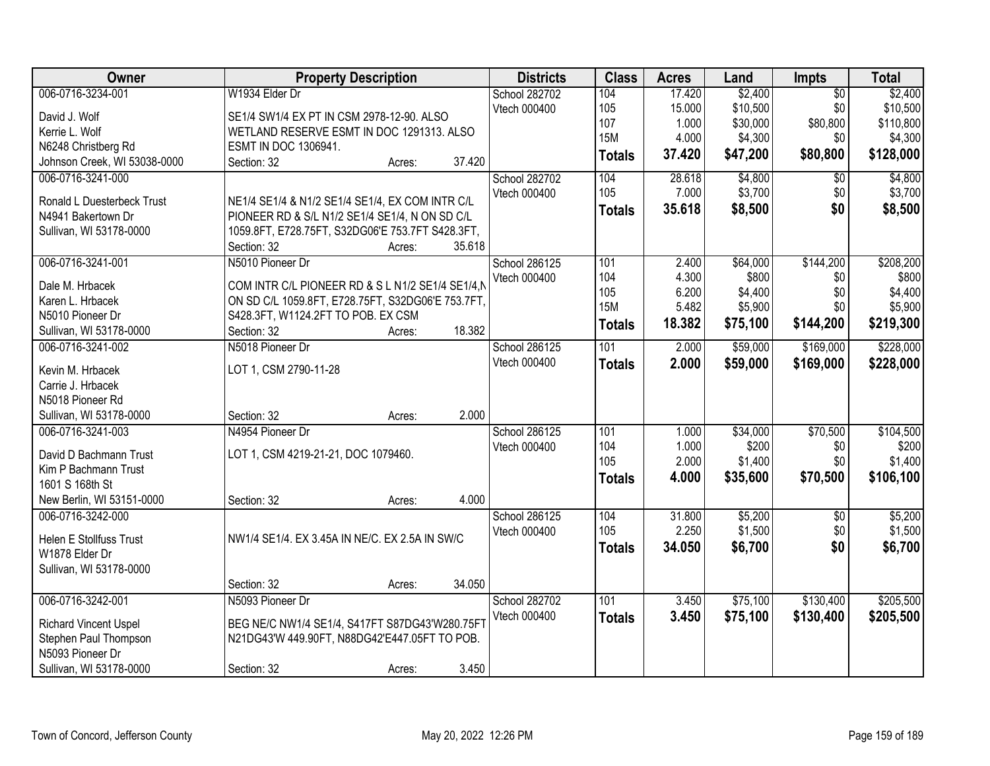| Owner                        | <b>Property Description</b>                       | <b>Districts</b> | <b>Class</b>  | <b>Acres</b> | Land     | Impts           | <b>Total</b> |
|------------------------------|---------------------------------------------------|------------------|---------------|--------------|----------|-----------------|--------------|
| 006-0716-3234-001            | W1934 Elder Dr                                    | School 282702    | 104           | 17.420       | \$2,400  | $\overline{50}$ | \$2,400      |
| David J. Wolf                | SE1/4 SW1/4 EX PT IN CSM 2978-12-90. ALSO         | Vtech 000400     | 105           | 15.000       | \$10,500 | \$0             | \$10,500     |
| Kerrie L. Wolf               | WETLAND RESERVE ESMT IN DOC 1291313. ALSO         |                  | 107           | 1.000        | \$30,000 | \$80,800        | \$110,800    |
| N6248 Christberg Rd          | ESMT IN DOC 1306941.                              |                  | <b>15M</b>    | 4.000        | \$4,300  | \$0             | \$4,300      |
| Johnson Creek, WI 53038-0000 | 37.420<br>Section: 32<br>Acres:                   |                  | <b>Totals</b> | 37.420       | \$47,200 | \$80,800        | \$128,000    |
| 006-0716-3241-000            |                                                   | School 282702    | 104           | 28.618       | \$4,800  | $\overline{30}$ | \$4,800      |
|                              |                                                   | Vtech 000400     | 105           | 7.000        | \$3,700  | \$0             | \$3,700      |
| Ronald L Duesterbeck Trust   | NE1/4 SE1/4 & N1/2 SE1/4 SE1/4, EX COM INTR C/L   |                  | <b>Totals</b> | 35.618       | \$8,500  | \$0             | \$8,500      |
| N4941 Bakertown Dr           | PIONEER RD & S/L N1/2 SE1/4 SE1/4, N ON SD C/L    |                  |               |              |          |                 |              |
| Sullivan, WI 53178-0000      | 1059.8FT, E728.75FT, S32DG06'E 753.7FT S428.3FT,  |                  |               |              |          |                 |              |
|                              | Section: 32<br>35.618<br>Acres:                   |                  |               |              |          |                 |              |
| 006-0716-3241-001            | N5010 Pioneer Dr                                  | School 286125    | 101           | 2.400        | \$64,000 | \$144,200       | \$208,200    |
| Dale M. Hrbacek              | COM INTR C/L PIONEER RD & S L N1/2 SE1/4 SE1/4,N  | Vtech 000400     | 104           | 4.300        | \$800    | \$0             | \$800        |
| Karen L. Hrbacek             | ON SD C/L 1059.8FT, E728.75FT, S32DG06'E 753.7FT, |                  | 105           | 6.200        | \$4,400  | \$0             | \$4,400      |
| N5010 Pioneer Dr             | S428.3FT, W1124.2FT TO POB. EX CSM                |                  | <b>15M</b>    | 5.482        | \$5,900  | \$0             | \$5,900      |
| Sullivan, WI 53178-0000      | 18.382<br>Section: 32<br>Acres:                   |                  | <b>Totals</b> | 18.382       | \$75,100 | \$144,200       | \$219,300    |
| 006-0716-3241-002            | N5018 Pioneer Dr                                  | School 286125    | 101           | 2.000        | \$59,000 | \$169,000       | \$228,000    |
|                              |                                                   | Vtech 000400     | <b>Totals</b> | 2.000        | \$59,000 | \$169,000       | \$228,000    |
| Kevin M. Hrbacek             | LOT 1, CSM 2790-11-28                             |                  |               |              |          |                 |              |
| Carrie J. Hrbacek            |                                                   |                  |               |              |          |                 |              |
| N5018 Pioneer Rd             |                                                   |                  |               |              |          |                 |              |
| Sullivan, WI 53178-0000      | 2.000<br>Section: 32<br>Acres:                    |                  |               |              |          |                 |              |
| 006-0716-3241-003            | N4954 Pioneer Dr                                  | School 286125    | 101           | 1.000        | \$34,000 | \$70,500        | \$104,500    |
| David D Bachmann Trust       | LOT 1, CSM 4219-21-21, DOC 1079460.               | Vtech 000400     | 104           | 1.000        | \$200    | \$0             | \$200        |
| Kim P Bachmann Trust         |                                                   |                  | 105           | 2.000        | \$1,400  | \$0             | \$1,400      |
| 1601 S 168th St              |                                                   |                  | <b>Totals</b> | 4.000        | \$35,600 | \$70,500        | \$106,100    |
| New Berlin, WI 53151-0000    | 4.000<br>Section: 32<br>Acres:                    |                  |               |              |          |                 |              |
| 006-0716-3242-000            |                                                   | School 286125    | 104           | 31.800       | \$5,200  | $\sqrt{6}$      | \$5,200      |
|                              |                                                   | Vtech 000400     | 105           | 2.250        | \$1,500  | \$0             | \$1,500      |
| Helen E Stollfuss Trust      | NW1/4 SE1/4. EX 3.45A IN NE/C. EX 2.5A IN SW/C    |                  | <b>Totals</b> | 34.050       | \$6,700  | \$0             | \$6,700      |
| W1878 Elder Dr               |                                                   |                  |               |              |          |                 |              |
| Sullivan, WI 53178-0000      |                                                   |                  |               |              |          |                 |              |
|                              | 34.050<br>Section: 32<br>Acres:                   |                  |               |              |          |                 |              |
| 006-0716-3242-001            | N5093 Pioneer Dr                                  | School 282702    | 101           | 3.450        | \$75,100 | \$130,400       | \$205,500    |
| <b>Richard Vincent Uspel</b> | BEG NE/C NW1/4 SE1/4, S417FT S87DG43'W280.75FT    | Vtech 000400     | <b>Totals</b> | 3.450        | \$75,100 | \$130,400       | \$205,500    |
| Stephen Paul Thompson        | N21DG43'W 449.90FT, N88DG42'E447.05FT TO POB.     |                  |               |              |          |                 |              |
| N5093 Pioneer Dr             |                                                   |                  |               |              |          |                 |              |
| Sullivan, WI 53178-0000      | 3.450<br>Section: 32<br>Acres:                    |                  |               |              |          |                 |              |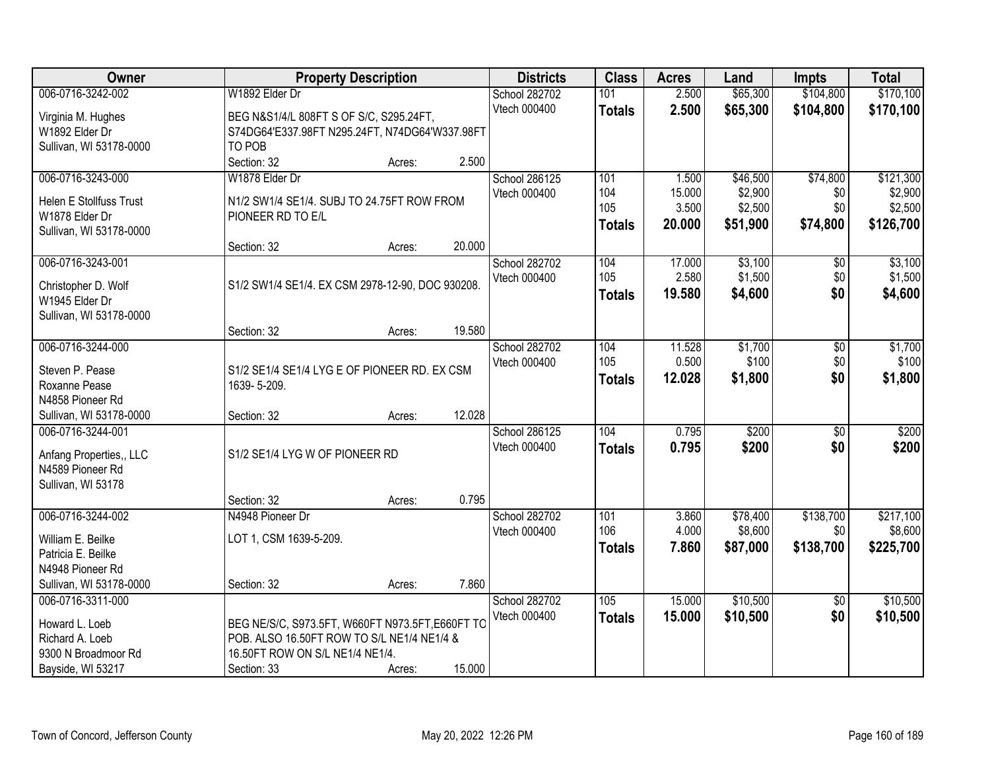| Owner                                     | <b>Property Description</b>                      |        | <b>Districts</b> | <b>Class</b>  | <b>Acres</b> | Land     | <b>Impts</b>    | <b>Total</b> |
|-------------------------------------------|--------------------------------------------------|--------|------------------|---------------|--------------|----------|-----------------|--------------|
| 006-0716-3242-002                         | W1892 Elder Dr                                   |        | School 282702    | 101           | 2.500        | \$65,300 | \$104,800       | \$170,100    |
| Virginia M. Hughes                        | BEG N&S1/4/L 808FT S OF S/C, S295.24FT,          |        | Vtech 000400     | <b>Totals</b> | 2.500        | \$65,300 | \$104,800       | \$170,100    |
| W1892 Elder Dr                            | S74DG64'E337.98FT N295.24FT, N74DG64'W337.98FT   |        |                  |               |              |          |                 |              |
| Sullivan, WI 53178-0000                   | TO POB                                           |        |                  |               |              |          |                 |              |
|                                           | Section: 32<br>Acres:                            | 2.500  |                  |               |              |          |                 |              |
| 006-0716-3243-000                         | W1878 Elder Dr                                   |        | School 286125    | 101           | 1.500        | \$46,500 | \$74,800        | \$121,300    |
|                                           |                                                  |        | Vtech 000400     | 104           | 15.000       | \$2,900  | \$0             | \$2,900      |
| <b>Helen E Stollfuss Trust</b>            | N1/2 SW1/4 SE1/4. SUBJ TO 24.75FT ROW FROM       |        |                  | 105           | 3.500        | \$2,500  | \$0             | \$2,500      |
| W1878 Elder Dr<br>Sullivan, WI 53178-0000 | PIONEER RD TO E/L                                |        |                  | <b>Totals</b> | 20.000       | \$51,900 | \$74,800        | \$126,700    |
|                                           | Section: 32<br>Acres:                            | 20.000 |                  |               |              |          |                 |              |
| 006-0716-3243-001                         |                                                  |        | School 282702    | 104           | 17.000       | \$3,100  | \$0             | \$3,100      |
|                                           |                                                  |        | Vtech 000400     | 105           | 2.580        | \$1,500  | \$0             | \$1,500      |
| Christopher D. Wolf                       | S1/2 SW1/4 SE1/4. EX CSM 2978-12-90, DOC 930208. |        |                  | <b>Totals</b> | 19.580       | \$4,600  | \$0             | \$4,600      |
| W1945 Elder Dr                            |                                                  |        |                  |               |              |          |                 |              |
| Sullivan, WI 53178-0000                   |                                                  | 19.580 |                  |               |              |          |                 |              |
| 006-0716-3244-000                         | Section: 32<br>Acres:                            |        | School 282702    | 104           | 11.528       | \$1,700  |                 | \$1,700      |
|                                           |                                                  |        | Vtech 000400     | 105           | 0.500        | \$100    | \$0<br>\$0      | \$100        |
| Steven P. Pease                           | S1/2 SE1/4 SE1/4 LYG E OF PIONEER RD. EX CSM     |        |                  |               | 12.028       | \$1,800  | \$0             | \$1,800      |
| Roxanne Pease                             | 1639-5-209.                                      |        |                  | <b>Totals</b> |              |          |                 |              |
| N4858 Pioneer Rd                          |                                                  |        |                  |               |              |          |                 |              |
| Sullivan, WI 53178-0000                   | Section: 32<br>Acres:                            | 12.028 |                  |               |              |          |                 |              |
| 006-0716-3244-001                         |                                                  |        | School 286125    | 104           | 0.795        | \$200    | $\overline{30}$ | \$200        |
| Anfang Properties,, LLC                   | S1/2 SE1/4 LYG W OF PIONEER RD                   |        | Vtech 000400     | <b>Totals</b> | 0.795        | \$200    | \$0             | \$200        |
| N4589 Pioneer Rd                          |                                                  |        |                  |               |              |          |                 |              |
| Sullivan, WI 53178                        |                                                  |        |                  |               |              |          |                 |              |
|                                           | Section: 32<br>Acres:                            | 0.795  |                  |               |              |          |                 |              |
| 006-0716-3244-002                         | N4948 Pioneer Dr                                 |        | School 282702    | 101           | 3.860        | \$78,400 | \$138,700       | \$217,100    |
| William E. Beilke                         | LOT 1, CSM 1639-5-209.                           |        | Vtech 000400     | 106           | 4.000        | \$8,600  | \$0             | \$8,600      |
| Patricia E. Beilke                        |                                                  |        |                  | <b>Totals</b> | 7.860        | \$87,000 | \$138,700       | \$225,700    |
| N4948 Pioneer Rd                          |                                                  |        |                  |               |              |          |                 |              |
| Sullivan, WI 53178-0000                   | Section: 32<br>Acres:                            | 7.860  |                  |               |              |          |                 |              |
| 006-0716-3311-000                         |                                                  |        | School 282702    | 105           | 15.000       | \$10,500 | $\overline{30}$ | \$10,500     |
| Howard L. Loeb                            | BEG NE/S/C, S973.5FT, W660FT N973.5FT, E660FT TO |        | Vtech 000400     | <b>Totals</b> | 15.000       | \$10,500 | \$0             | \$10,500     |
| Richard A. Loeb                           | POB. ALSO 16.50FT ROW TO S/L NE1/4 NE1/4 &       |        |                  |               |              |          |                 |              |
| 9300 N Broadmoor Rd                       | 16.50FT ROW ON S/L NE1/4 NE1/4.                  |        |                  |               |              |          |                 |              |
| Bayside, WI 53217                         | Section: 33<br>Acres:                            | 15.000 |                  |               |              |          |                 |              |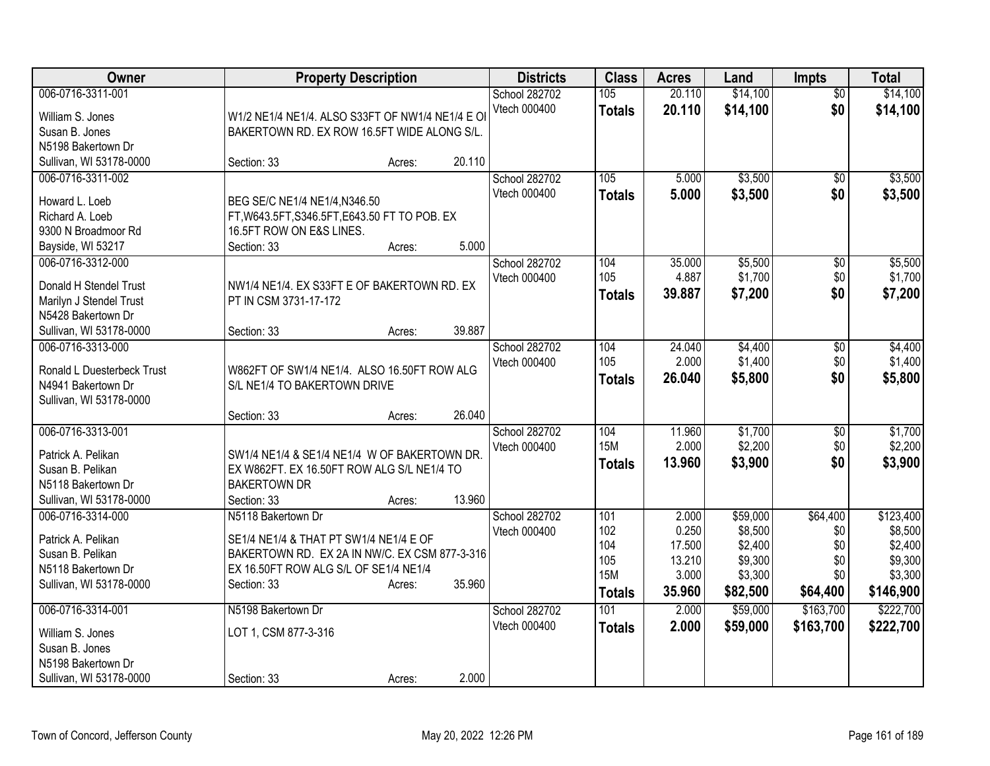| Owner                             | <b>Property Description</b>                                                    |        |        | <b>Districts</b> | <b>Class</b>  | <b>Acres</b> | Land     | <b>Impts</b>    | <b>Total</b> |
|-----------------------------------|--------------------------------------------------------------------------------|--------|--------|------------------|---------------|--------------|----------|-----------------|--------------|
| 006-0716-3311-001                 |                                                                                |        |        | School 282702    | 105           | 20.110       | \$14,100 | $\overline{50}$ | \$14,100     |
| William S. Jones                  | W1/2 NE1/4 NE1/4, ALSO S33FT OF NW1/4 NE1/4 E OI                               |        |        | Vtech 000400     | <b>Totals</b> | 20.110       | \$14,100 | \$0             | \$14,100     |
| Susan B. Jones                    | BAKERTOWN RD. EX ROW 16.5FT WIDE ALONG S/L.                                    |        |        |                  |               |              |          |                 |              |
| N5198 Bakertown Dr                |                                                                                |        |        |                  |               |              |          |                 |              |
| Sullivan, WI 53178-0000           | Section: 33                                                                    | Acres: | 20.110 |                  |               |              |          |                 |              |
| 006-0716-3311-002                 |                                                                                |        |        | School 282702    | 105           | 5.000        | \$3,500  | $\overline{50}$ | \$3,500      |
|                                   |                                                                                |        |        | Vtech 000400     | <b>Totals</b> | 5.000        | \$3,500  | \$0             | \$3,500      |
| Howard L. Loeb<br>Richard A. Loeb | BEG SE/C NE1/4 NE1/4, N346.50<br>FT, W643.5FT, S346.5FT, E643.50 FT TO POB. EX |        |        |                  |               |              |          |                 |              |
| 9300 N Broadmoor Rd               | 16.5FT ROW ON E&S LINES.                                                       |        |        |                  |               |              |          |                 |              |
| Bayside, WI 53217                 | Section: 33                                                                    | Acres: | 5.000  |                  |               |              |          |                 |              |
| 006-0716-3312-000                 |                                                                                |        |        | School 282702    | 104           | 35.000       | \$5,500  | \$0             | \$5,500      |
|                                   |                                                                                |        |        | Vtech 000400     | 105           | 4.887        | \$1,700  | \$0             | \$1,700      |
| Donald H Stendel Trust            | NW1/4 NE1/4. EX S33FT E OF BAKERTOWN RD. EX                                    |        |        |                  | <b>Totals</b> | 39.887       | \$7,200  | \$0             | \$7,200      |
| Marilyn J Stendel Trust           | PT IN CSM 3731-17-172                                                          |        |        |                  |               |              |          |                 |              |
| N5428 Bakertown Dr                |                                                                                |        |        |                  |               |              |          |                 |              |
| Sullivan, WI 53178-0000           | Section: 33                                                                    | Acres: | 39.887 |                  |               |              |          |                 |              |
| 006-0716-3313-000                 |                                                                                |        |        | School 282702    | 104           | 24.040       | \$4,400  | \$0             | \$4,400      |
| Ronald L Duesterbeck Trust        | W862FT OF SW1/4 NE1/4. ALSO 16.50FT ROW ALG                                    |        |        | Vtech 000400     | 105           | 2.000        | \$1,400  | \$0             | \$1,400      |
| N4941 Bakertown Dr                | S/L NE1/4 TO BAKERTOWN DRIVE                                                   |        |        |                  | <b>Totals</b> | 26.040       | \$5,800  | \$0             | \$5,800      |
| Sullivan, WI 53178-0000           |                                                                                |        |        |                  |               |              |          |                 |              |
|                                   | Section: 33                                                                    | Acres: | 26.040 |                  |               |              |          |                 |              |
| 006-0716-3313-001                 |                                                                                |        |        | School 282702    | 104           | 11.960       | \$1,700  | \$0             | \$1,700      |
| Patrick A. Pelikan                | SW1/4 NE1/4 & SE1/4 NE1/4 W OF BAKERTOWN DR.                                   |        |        | Vtech 000400     | <b>15M</b>    | 2.000        | \$2,200  | \$0             | \$2,200      |
| Susan B. Pelikan                  | EX W862FT. EX 16.50FT ROW ALG S/L NE1/4 TO                                     |        |        |                  | <b>Totals</b> | 13.960       | \$3,900  | \$0             | \$3,900      |
| N5118 Bakertown Dr                | <b>BAKERTOWN DR</b>                                                            |        |        |                  |               |              |          |                 |              |
| Sullivan, WI 53178-0000           | Section: 33                                                                    | Acres: | 13.960 |                  |               |              |          |                 |              |
| 006-0716-3314-000                 | N5118 Bakertown Dr                                                             |        |        | School 282702    | 101           | 2.000        | \$59,000 | \$64,400        | \$123,400    |
|                                   |                                                                                |        |        | Vtech 000400     | 102           | 0.250        | \$8,500  | \$0             | \$8,500      |
| Patrick A. Pelikan                | SE1/4 NE1/4 & THAT PT SW1/4 NE1/4 E OF                                         |        |        |                  | 104           | 17.500       | \$2,400  | \$0             | \$2,400      |
| Susan B. Pelikan                  | BAKERTOWN RD. EX 2A IN NW/C. EX CSM 877-3-316                                  |        |        |                  | 105           | 13.210       | \$9,300  | \$0             | \$9,300      |
| N5118 Bakertown Dr                | EX 16.50FT ROW ALG S/L OF SE1/4 NE1/4                                          |        |        |                  | <b>15M</b>    | 3.000        | \$3,300  | \$0             | \$3,300      |
| Sullivan, WI 53178-0000           | Section: 33                                                                    | Acres: | 35.960 |                  | <b>Totals</b> | 35.960       | \$82,500 | \$64,400        | \$146,900    |
| 006-0716-3314-001                 | N5198 Bakertown Dr                                                             |        |        | School 282702    | 101           | 2.000        | \$59,000 | \$163,700       | \$222,700    |
|                                   |                                                                                |        |        | Vtech 000400     | <b>Totals</b> | 2.000        | \$59,000 | \$163,700       | \$222,700    |
| William S. Jones                  | LOT 1, CSM 877-3-316                                                           |        |        |                  |               |              |          |                 |              |
| Susan B. Jones                    |                                                                                |        |        |                  |               |              |          |                 |              |
| N5198 Bakertown Dr                |                                                                                |        |        |                  |               |              |          |                 |              |
| Sullivan, WI 53178-0000           | Section: 33                                                                    | Acres: | 2.000  |                  |               |              |          |                 |              |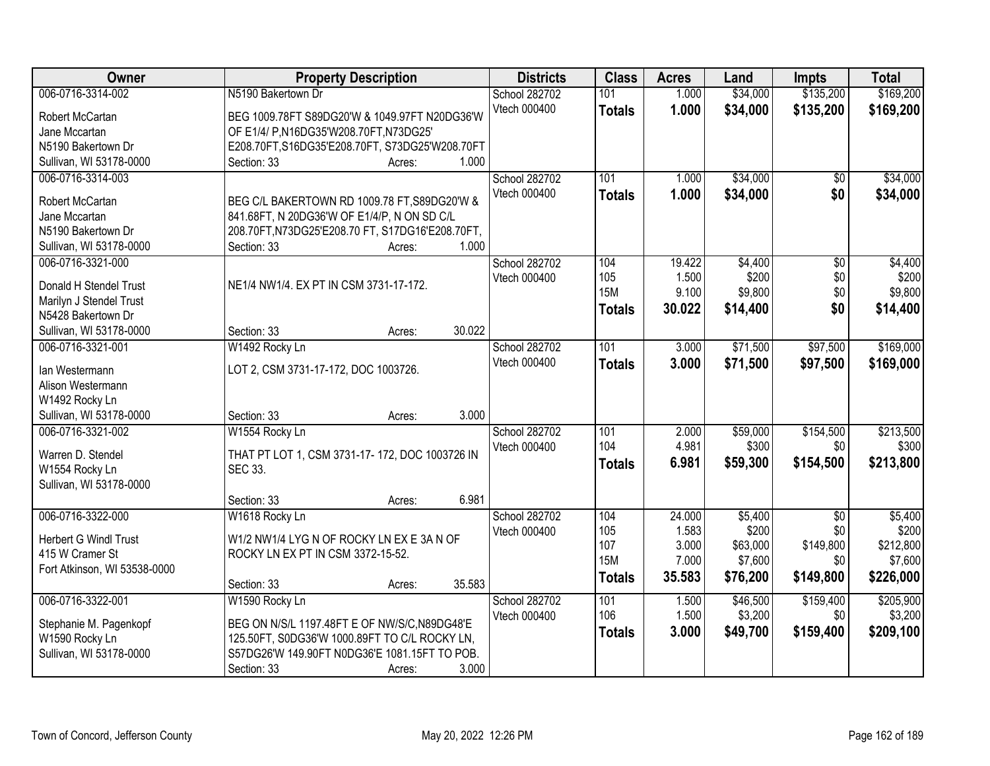| Owner                                     | <b>Property Description</b>                      | <b>Districts</b> | <b>Class</b>      | <b>Acres</b>   | Land     | <b>Impts</b>    | <b>Total</b>     |
|-------------------------------------------|--------------------------------------------------|------------------|-------------------|----------------|----------|-----------------|------------------|
| 006-0716-3314-002                         | N5190 Bakertown Dr                               | School 282702    | 101               | 1.000          | \$34,000 | \$135,200       | \$169,200        |
| Robert McCartan                           | BEG 1009.78FT S89DG20'W & 1049.97FT N20DG36'W    | Vtech 000400     | <b>Totals</b>     | 1.000          | \$34,000 | \$135,200       | \$169,200        |
| Jane Mccartan                             | OF E1/4/ P, N16DG35'W208.70FT, N73DG25'          |                  |                   |                |          |                 |                  |
| N5190 Bakertown Dr                        | E208.70FT,S16DG35'E208.70FT, S73DG25'W208.70FT   |                  |                   |                |          |                 |                  |
| Sullivan, WI 53178-0000                   | 1.000<br>Section: 33<br>Acres:                   |                  |                   |                |          |                 |                  |
| 006-0716-3314-003                         |                                                  | School 282702    | 101               | 1.000          | \$34,000 | $\overline{50}$ | \$34,000         |
|                                           |                                                  | Vtech 000400     | <b>Totals</b>     | 1.000          | \$34,000 | \$0             | \$34,000         |
| <b>Robert McCartan</b>                    | BEG C/L BAKERTOWN RD 1009.78 FT, S89DG20'W &     |                  |                   |                |          |                 |                  |
| Jane Mccartan                             | 841.68FT, N 20DG36'W OF E1/4/P, N ON SD C/L      |                  |                   |                |          |                 |                  |
| N5190 Bakertown Dr                        | 208.70FT, N73DG25'E208.70 FT, S17DG16'E208.70FT, |                  |                   |                |          |                 |                  |
| Sullivan, WI 53178-0000                   | 1.000<br>Section: 33<br>Acres:                   |                  |                   |                |          |                 |                  |
| 006-0716-3321-000                         |                                                  | School 282702    | 104               | 19.422         | \$4,400  | $\overline{50}$ | \$4,400          |
| Donald H Stendel Trust                    | NE1/4 NW1/4. EX PT IN CSM 3731-17-172.           | Vtech 000400     | 105<br><b>15M</b> | 1.500<br>9.100 | \$200    | \$0<br>\$0      | \$200<br>\$9,800 |
| Marilyn J Stendel Trust                   |                                                  |                  |                   |                | \$9,800  |                 |                  |
| N5428 Bakertown Dr                        |                                                  |                  | <b>Totals</b>     | 30.022         | \$14,400 | \$0             | \$14,400         |
| Sullivan, WI 53178-0000                   | 30.022<br>Section: 33<br>Acres:                  |                  |                   |                |          |                 |                  |
| 006-0716-3321-001                         | W1492 Rocky Ln                                   | School 282702    | 101               | 3.000          | \$71,500 | \$97,500        | \$169,000        |
|                                           |                                                  | Vtech 000400     | <b>Totals</b>     | 3.000          | \$71,500 | \$97,500        | \$169,000        |
| lan Westermann                            | LOT 2, CSM 3731-17-172, DOC 1003726.             |                  |                   |                |          |                 |                  |
| Alison Westermann                         |                                                  |                  |                   |                |          |                 |                  |
| W1492 Rocky Ln<br>Sullivan, WI 53178-0000 | 3.000<br>Section: 33                             |                  |                   |                |          |                 |                  |
| 006-0716-3321-002                         | Acres:<br>W1554 Rocky Ln                         | School 282702    | 101               | 2.000          | \$59,000 | \$154,500       | \$213,500        |
|                                           |                                                  | Vtech 000400     | 104               | 4.981          | \$300    | \$0             | \$300            |
| Warren D. Stendel                         | THAT PT LOT 1, CSM 3731-17-172, DOC 1003726 IN   |                  |                   |                |          |                 |                  |
| W1554 Rocky Ln                            | SEC 33.                                          |                  | <b>Totals</b>     | 6.981          | \$59,300 | \$154,500       | \$213,800        |
| Sullivan, WI 53178-0000                   |                                                  |                  |                   |                |          |                 |                  |
|                                           | 6.981<br>Section: 33<br>Acres:                   |                  |                   |                |          |                 |                  |
| 006-0716-3322-000                         | W1618 Rocky Ln                                   | School 282702    | 104               | 24.000         | \$5,400  | $\overline{50}$ | \$5,400          |
| <b>Herbert G Windl Trust</b>              | W1/2 NW1/4 LYG N OF ROCKY LN EX E 3A N OF        | Vtech 000400     | 105               | 1.583          | \$200    | \$0             | \$200            |
| 415 W Cramer St                           | ROCKY LN EX PT IN CSM 3372-15-52.                |                  | 107               | 3.000          | \$63,000 | \$149,800       | \$212,800        |
| Fort Atkinson, WI 53538-0000              |                                                  |                  | <b>15M</b>        | 7.000          | \$7,600  | \$0             | \$7,600          |
|                                           | 35.583<br>Section: 33<br>Acres:                  |                  | <b>Totals</b>     | 35.583         | \$76,200 | \$149,800       | \$226,000        |
| 006-0716-3322-001                         | W1590 Rocky Ln                                   | School 282702    | 101               | 1.500          | \$46,500 | \$159,400       | \$205,900        |
|                                           |                                                  | Vtech 000400     | 106               | 1.500          | \$3,200  | \$0             | \$3,200          |
| Stephanie M. Pagenkopf                    | BEG ON N/S/L 1197.48FT E OF NW/S/C, N89DG48'E    |                  | <b>Totals</b>     | 3.000          | \$49,700 | \$159,400       | \$209,100        |
| W1590 Rocky Ln                            | 125.50FT, S0DG36'W 1000.89FT TO C/L ROCKY LN,    |                  |                   |                |          |                 |                  |
| Sullivan, WI 53178-0000                   | S57DG26'W 149.90FT N0DG36'E 1081.15FT TO POB.    |                  |                   |                |          |                 |                  |
|                                           | 3.000<br>Section: 33<br>Acres:                   |                  |                   |                |          |                 |                  |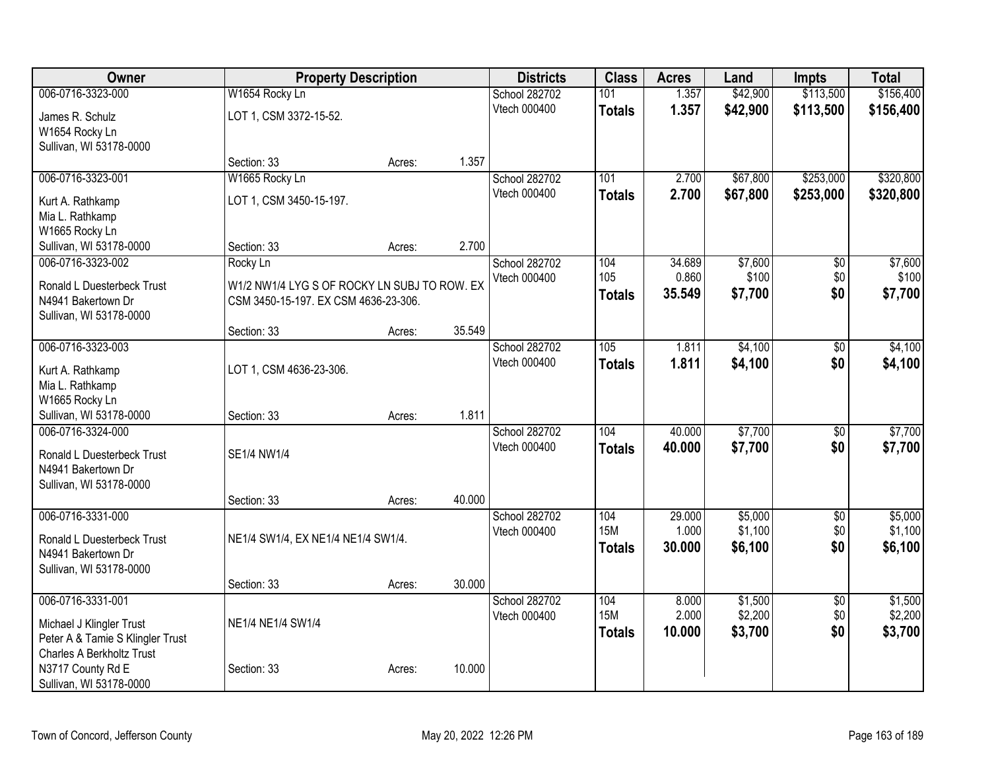| Owner                            | <b>Property Description</b>                  |        | <b>Districts</b> | <b>Class</b>  | <b>Acres</b>      | Land   | <b>Impts</b> | <b>Total</b>    |           |
|----------------------------------|----------------------------------------------|--------|------------------|---------------|-------------------|--------|--------------|-----------------|-----------|
| 006-0716-3323-000                | W1654 Rocky Ln                               |        |                  | School 282702 | 101               | 1.357  | \$42,900     | \$113,500       | \$156,400 |
| James R. Schulz                  | LOT 1, CSM 3372-15-52.                       |        |                  | Vtech 000400  | <b>Totals</b>     | 1.357  | \$42,900     | \$113,500       | \$156,400 |
| W1654 Rocky Ln                   |                                              |        |                  |               |                   |        |              |                 |           |
| Sullivan, WI 53178-0000          |                                              |        |                  |               |                   |        |              |                 |           |
|                                  | Section: 33                                  | Acres: | 1.357            |               |                   |        |              |                 |           |
| 006-0716-3323-001                | W1665 Rocky Ln                               |        |                  | School 282702 | 101               | 2.700  | \$67,800     | \$253,000       | \$320,800 |
| Kurt A. Rathkamp                 | LOT 1, CSM 3450-15-197.                      |        |                  | Vtech 000400  | <b>Totals</b>     | 2.700  | \$67,800     | \$253,000       | \$320,800 |
| Mia L. Rathkamp                  |                                              |        |                  |               |                   |        |              |                 |           |
| W1665 Rocky Ln                   |                                              |        |                  |               |                   |        |              |                 |           |
| Sullivan, WI 53178-0000          | Section: 33                                  | Acres: | 2.700            |               |                   |        |              |                 |           |
| 006-0716-3323-002                | Rocky Ln                                     |        |                  | School 282702 | 104               | 34.689 | \$7,600      | \$0             | \$7,600   |
| Ronald L Duesterbeck Trust       | W1/2 NW1/4 LYG S OF ROCKY LN SUBJ TO ROW. EX |        |                  | Vtech 000400  | 105               | 0.860  | \$100        | \$0             | \$100     |
| N4941 Bakertown Dr               | CSM 3450-15-197. EX CSM 4636-23-306.         |        |                  |               | <b>Totals</b>     | 35.549 | \$7,700      | \$0             | \$7,700   |
| Sullivan, WI 53178-0000          |                                              |        |                  |               |                   |        |              |                 |           |
|                                  | Section: 33                                  | Acres: | 35.549           |               |                   |        |              |                 |           |
| 006-0716-3323-003                |                                              |        |                  | School 282702 | 105               | 1.811  | \$4,100      | $\sqrt{6}$      | \$4,100   |
| Kurt A. Rathkamp                 | LOT 1, CSM 4636-23-306.                      |        |                  | Vtech 000400  | <b>Totals</b>     | 1.811  | \$4,100      | \$0             | \$4,100   |
| Mia L. Rathkamp                  |                                              |        |                  |               |                   |        |              |                 |           |
| W1665 Rocky Ln                   |                                              |        |                  |               |                   |        |              |                 |           |
| Sullivan, WI 53178-0000          | Section: 33                                  | Acres: | 1.811            |               |                   |        |              |                 |           |
| 006-0716-3324-000                |                                              |        |                  | School 282702 | 104               | 40.000 | \$7,700      | $\overline{30}$ | \$7,700   |
| Ronald L Duesterbeck Trust       | SE1/4 NW1/4                                  |        |                  | Vtech 000400  | <b>Totals</b>     | 40.000 | \$7,700      | \$0             | \$7,700   |
| N4941 Bakertown Dr               |                                              |        |                  |               |                   |        |              |                 |           |
| Sullivan, WI 53178-0000          |                                              |        |                  |               |                   |        |              |                 |           |
|                                  | Section: 33                                  | Acres: | 40.000           |               |                   |        |              |                 |           |
| 006-0716-3331-000                |                                              |        |                  | School 282702 | 104               | 29.000 | \$5,000      | $\overline{50}$ | \$5,000   |
| Ronald L Duesterbeck Trust       | NE1/4 SW1/4, EX NE1/4 NE1/4 SW1/4.           |        |                  | Vtech 000400  | <b>15M</b>        | 1.000  | \$1,100      | \$0             | \$1,100   |
| N4941 Bakertown Dr               |                                              |        |                  |               | <b>Totals</b>     | 30.000 | \$6,100      | \$0             | \$6,100   |
| Sullivan, WI 53178-0000          |                                              |        |                  |               |                   |        |              |                 |           |
|                                  | Section: 33                                  | Acres: | 30.000           |               |                   |        |              |                 |           |
| 006-0716-3331-001                |                                              |        |                  | School 282702 | 104<br><b>15M</b> | 8.000  | \$1,500      | $\overline{50}$ | \$1,500   |
| Michael J Klingler Trust         | NE1/4 NE1/4 SW1/4                            |        |                  | Vtech 000400  |                   | 2.000  | \$2,200      | \$0             | \$2,200   |
| Peter A & Tamie S Klingler Trust |                                              |        |                  |               | <b>Totals</b>     | 10.000 | \$3,700      | \$0             | \$3,700   |
| Charles A Berkholtz Trust        |                                              |        |                  |               |                   |        |              |                 |           |
| N3717 County Rd E                | Section: 33                                  | Acres: | 10.000           |               |                   |        |              |                 |           |
| Sullivan, WI 53178-0000          |                                              |        |                  |               |                   |        |              |                 |           |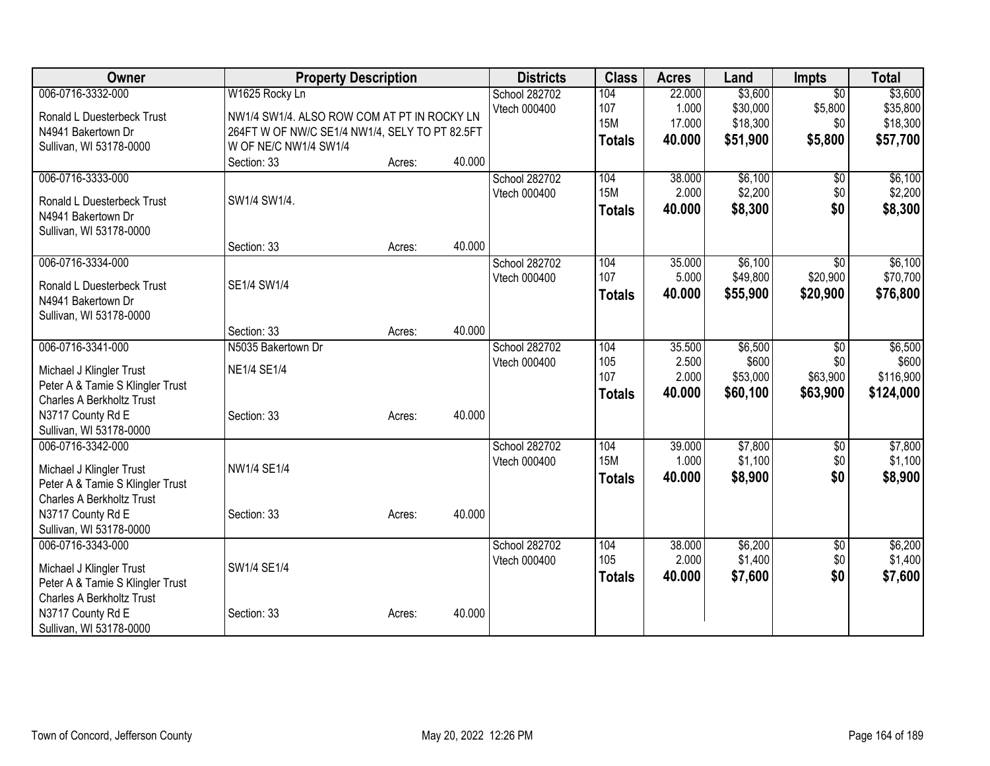| Owner                            |                                                | <b>Property Description</b> |        | <b>Districts</b> | <b>Class</b>  | <b>Acres</b> | Land     | <b>Impts</b>    | <b>Total</b> |
|----------------------------------|------------------------------------------------|-----------------------------|--------|------------------|---------------|--------------|----------|-----------------|--------------|
| 006-0716-3332-000                | W1625 Rocky Ln                                 |                             |        | School 282702    | 104           | 22.000       | \$3,600  | $\overline{30}$ | \$3,600      |
| Ronald L Duesterbeck Trust       | NW1/4 SW1/4. ALSO ROW COM AT PT IN ROCKY LN    |                             |        | Vtech 000400     | 107           | 1.000        | \$30,000 | \$5,800         | \$35,800     |
| N4941 Bakertown Dr               | 264FT W OF NW/C SE1/4 NW1/4, SELY TO PT 82.5FT |                             |        |                  | <b>15M</b>    | 17.000       | \$18,300 | \$0             | \$18,300     |
| Sullivan, WI 53178-0000          | W OF NE/C NW1/4 SW1/4                          |                             |        |                  | <b>Totals</b> | 40.000       | \$51,900 | \$5,800         | \$57,700     |
|                                  | Section: 33                                    | Acres:                      | 40.000 |                  |               |              |          |                 |              |
| 006-0716-3333-000                |                                                |                             |        | School 282702    | 104           | 38.000       | \$6,100  | $\overline{50}$ | \$6,100      |
| Ronald L Duesterbeck Trust       | SW1/4 SW1/4.                                   |                             |        | Vtech 000400     | <b>15M</b>    | 2.000        | \$2,200  | \$0             | \$2,200      |
| N4941 Bakertown Dr               |                                                |                             |        |                  | <b>Totals</b> | 40.000       | \$8,300  | \$0             | \$8,300      |
| Sullivan, WI 53178-0000          |                                                |                             |        |                  |               |              |          |                 |              |
|                                  | Section: 33                                    | Acres:                      | 40.000 |                  |               |              |          |                 |              |
| 006-0716-3334-000                |                                                |                             |        | School 282702    | 104           | 35.000       | \$6,100  | $\overline{50}$ | \$6,100      |
|                                  |                                                |                             |        | Vtech 000400     | 107           | 5.000        | \$49,800 | \$20,900        | \$70,700     |
| Ronald L Duesterbeck Trust       | SE1/4 SW1/4                                    |                             |        |                  | <b>Totals</b> | 40.000       | \$55,900 | \$20,900        | \$76,800     |
| N4941 Bakertown Dr               |                                                |                             |        |                  |               |              |          |                 |              |
| Sullivan, WI 53178-0000          | Section: 33                                    | Acres:                      | 40.000 |                  |               |              |          |                 |              |
| 006-0716-3341-000                | N5035 Bakertown Dr                             |                             |        | School 282702    | 104           | 35.500       | \$6,500  | \$0             | \$6,500      |
|                                  |                                                |                             |        | Vtech 000400     | 105           | 2.500        | \$600    | \$0             | \$600        |
| Michael J Klingler Trust         | <b>NE1/4 SE1/4</b>                             |                             |        |                  | 107           | 2.000        | \$53,000 | \$63,900        | \$116,900    |
| Peter A & Tamie S Klingler Trust |                                                |                             |        |                  | <b>Totals</b> | 40.000       | \$60,100 | \$63,900        | \$124,000    |
| <b>Charles A Berkholtz Trust</b> |                                                |                             |        |                  |               |              |          |                 |              |
| N3717 County Rd E                | Section: 33                                    | Acres:                      | 40.000 |                  |               |              |          |                 |              |
| Sullivan, WI 53178-0000          |                                                |                             |        |                  |               |              |          |                 |              |
| 006-0716-3342-000                |                                                |                             |        | School 282702    | 104           | 39.000       | \$7,800  | \$0             | \$7,800      |
| Michael J Klingler Trust         | NW1/4 SE1/4                                    |                             |        | Vtech 000400     | <b>15M</b>    | 1.000        | \$1,100  | \$0             | \$1,100      |
| Peter A & Tamie S Klingler Trust |                                                |                             |        |                  | <b>Totals</b> | 40.000       | \$8,900  | \$0             | \$8,900      |
| <b>Charles A Berkholtz Trust</b> |                                                |                             |        |                  |               |              |          |                 |              |
| N3717 County Rd E                | Section: 33                                    | Acres:                      | 40.000 |                  |               |              |          |                 |              |
| Sullivan, WI 53178-0000          |                                                |                             |        |                  |               |              |          |                 |              |
| 006-0716-3343-000                |                                                |                             |        | School 282702    | 104           | 38.000       | \$6,200  | $\overline{50}$ | \$6,200      |
| Michael J Klingler Trust         | SW1/4 SE1/4                                    |                             |        | Vtech 000400     | 105           | 2.000        | \$1,400  | \$0             | \$1,400      |
| Peter A & Tamie S Klingler Trust |                                                |                             |        |                  | <b>Totals</b> | 40.000       | \$7,600  | \$0             | \$7,600      |
| <b>Charles A Berkholtz Trust</b> |                                                |                             |        |                  |               |              |          |                 |              |
| N3717 County Rd E                | Section: 33                                    | Acres:                      | 40.000 |                  |               |              |          |                 |              |
| Sullivan, WI 53178-0000          |                                                |                             |        |                  |               |              |          |                 |              |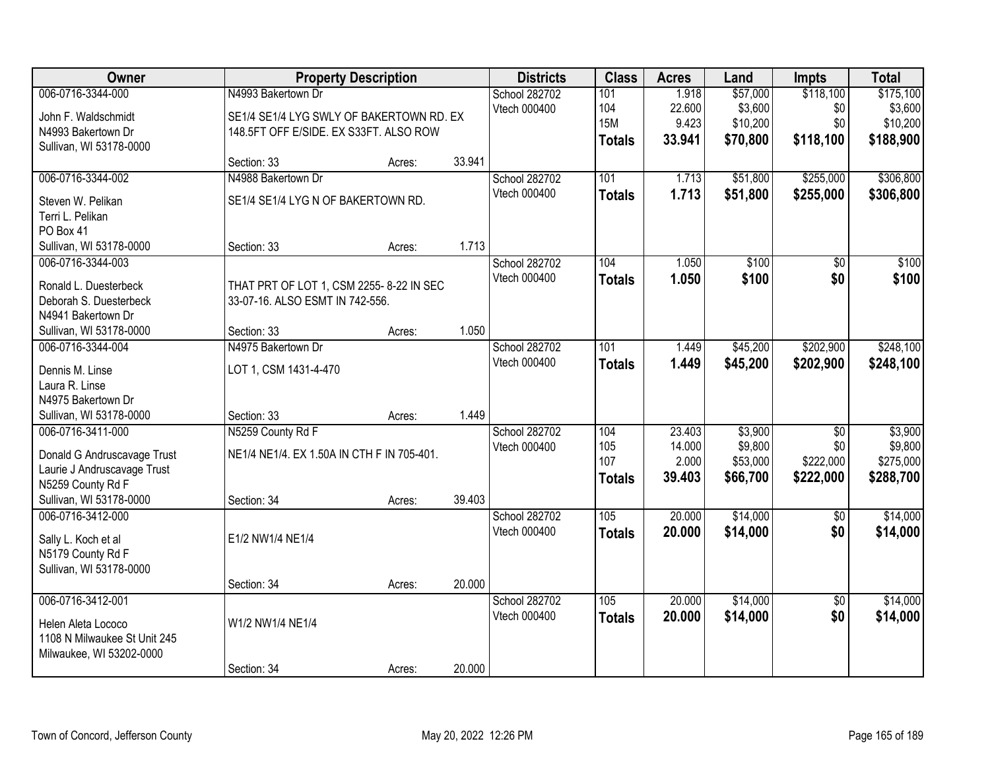| Owner                             | <b>Property Description</b>                |        |        | <b>Districts</b>                     | <b>Class</b>  | <b>Acres</b> | Land     | <b>Impts</b>    | <b>Total</b> |
|-----------------------------------|--------------------------------------------|--------|--------|--------------------------------------|---------------|--------------|----------|-----------------|--------------|
| 006-0716-3344-000                 | N4993 Bakertown Dr                         |        |        | School 282702                        | 101           | 1.918        | \$57,000 | \$118,100       | \$175,100    |
| John F. Waldschmidt               | SE1/4 SE1/4 LYG SWLY OF BAKERTOWN RD. EX   |        |        | Vtech 000400                         | 104           | 22.600       | \$3,600  | \$0             | \$3,600      |
| N4993 Bakertown Dr                | 148.5FT OFF E/SIDE. EX S33FT. ALSO ROW     |        |        |                                      | <b>15M</b>    | 9.423        | \$10,200 | \$0             | \$10,200     |
| Sullivan, WI 53178-0000           |                                            |        |        |                                      | <b>Totals</b> | 33.941       | \$70,800 | \$118,100       | \$188,900    |
|                                   | Section: 33                                | Acres: | 33.941 |                                      |               |              |          |                 |              |
| 006-0716-3344-002                 | N4988 Bakertown Dr                         |        |        | School 282702                        | 101           | 1.713        | \$51,800 | \$255,000       | \$306,800    |
| Steven W. Pelikan                 | SE1/4 SE1/4 LYG N OF BAKERTOWN RD.         |        |        | Vtech 000400                         | <b>Totals</b> | 1.713        | \$51,800 | \$255,000       | \$306,800    |
| Terri L. Pelikan                  |                                            |        |        |                                      |               |              |          |                 |              |
| PO Box 41                         |                                            |        |        |                                      |               |              |          |                 |              |
| Sullivan, WI 53178-0000           | Section: 33                                | Acres: | 1.713  |                                      |               |              |          |                 |              |
| 006-0716-3344-003                 |                                            |        |        | School 282702                        | 104           | 1.050        | \$100    | \$0             | \$100        |
| Ronald L. Duesterbeck             | THAT PRT OF LOT 1, CSM 2255- 8-22 IN SEC   |        |        | Vtech 000400                         | <b>Totals</b> | 1.050        | \$100    | \$0             | \$100        |
| Deborah S. Duesterbeck            | 33-07-16. ALSO ESMT IN 742-556.            |        |        |                                      |               |              |          |                 |              |
| N4941 Bakertown Dr                |                                            |        |        |                                      |               |              |          |                 |              |
| Sullivan, WI 53178-0000           | Section: 33                                | Acres: | 1.050  |                                      |               |              |          |                 |              |
| 006-0716-3344-004                 | N4975 Bakertown Dr                         |        |        | School 282702                        | 101           | 1.449        | \$45,200 | \$202,900       | \$248,100    |
|                                   |                                            |        |        | Vtech 000400                         | <b>Totals</b> | 1.449        | \$45,200 | \$202,900       | \$248,100    |
| Dennis M. Linse<br>Laura R. Linse | LOT 1, CSM 1431-4-470                      |        |        |                                      |               |              |          |                 |              |
| N4975 Bakertown Dr                |                                            |        |        |                                      |               |              |          |                 |              |
| Sullivan, WI 53178-0000           | Section: 33                                | Acres: | 1.449  |                                      |               |              |          |                 |              |
| 006-0716-3411-000                 | N5259 County Rd F                          |        |        | School 282702                        | 104           | 23.403       | \$3,900  | $\overline{50}$ | \$3,900      |
|                                   |                                            |        |        | Vtech 000400                         | 105           | 14.000       | \$9,800  | \$0             | \$9,800      |
| Donald G Andruscavage Trust       | NE1/4 NE1/4. EX 1.50A IN CTH F IN 705-401. |        |        |                                      | 107           | 2.000        | \$53,000 | \$222,000       | \$275,000    |
| Laurie J Andruscavage Trust       |                                            |        |        |                                      | <b>Totals</b> | 39.403       | \$66,700 | \$222,000       | \$288,700    |
| N5259 County Rd F                 |                                            |        |        |                                      |               |              |          |                 |              |
| Sullivan, WI 53178-0000           | Section: 34                                | Acres: | 39.403 |                                      |               |              |          |                 |              |
| 006-0716-3412-000                 |                                            |        |        | <b>School 282702</b><br>Vtech 000400 | 105           | 20.000       | \$14,000 | $\overline{50}$ | \$14,000     |
| Sally L. Koch et al               | E1/2 NW1/4 NE1/4                           |        |        |                                      | <b>Totals</b> | 20.000       | \$14,000 | \$0             | \$14,000     |
| N5179 County Rd F                 |                                            |        |        |                                      |               |              |          |                 |              |
| Sullivan, WI 53178-0000           |                                            |        |        |                                      |               |              |          |                 |              |
|                                   | Section: 34                                | Acres: | 20.000 |                                      |               |              |          |                 |              |
| 006-0716-3412-001                 |                                            |        |        | School 282702                        | 105           | 20.000       | \$14,000 | $\overline{50}$ | \$14,000     |
| Helen Aleta Lococo                | W1/2 NW1/4 NE1/4                           |        |        | Vtech 000400                         | <b>Totals</b> | 20.000       | \$14,000 | \$0             | \$14,000     |
| 1108 N Milwaukee St Unit 245      |                                            |        |        |                                      |               |              |          |                 |              |
| Milwaukee, WI 53202-0000          |                                            |        |        |                                      |               |              |          |                 |              |
|                                   | Section: 34                                | Acres: | 20.000 |                                      |               |              |          |                 |              |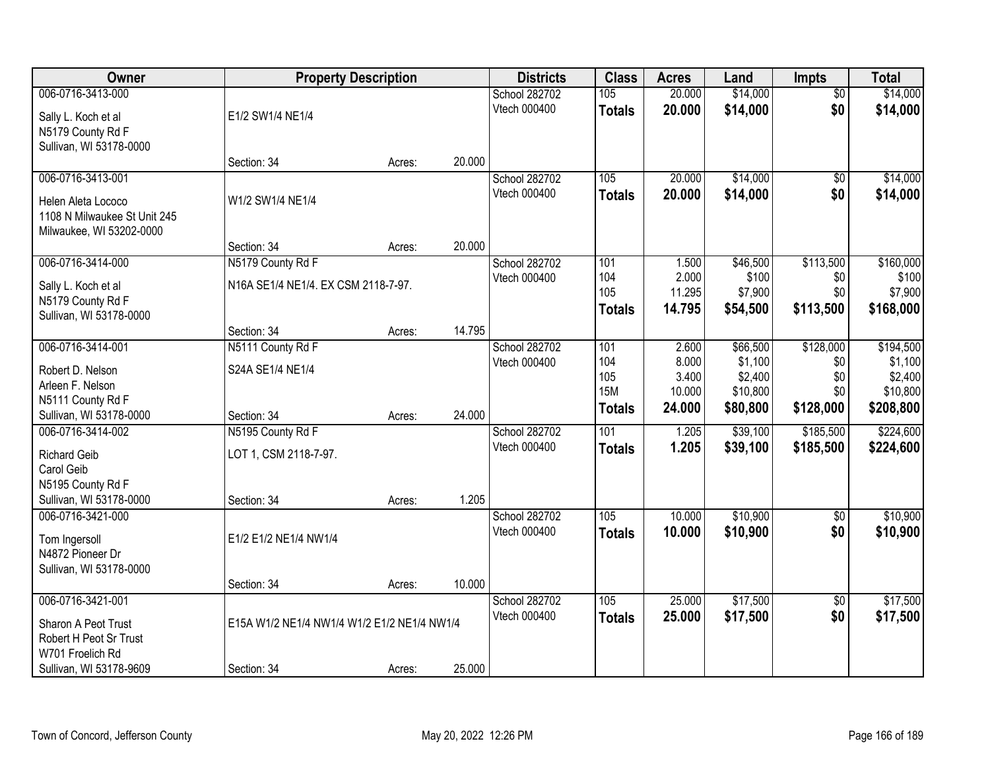| Owner                        | <b>Property Description</b>                 |        |        | <b>Districts</b>     | <b>Class</b>  | <b>Acres</b> | Land     | <b>Impts</b>    | <b>Total</b> |
|------------------------------|---------------------------------------------|--------|--------|----------------------|---------------|--------------|----------|-----------------|--------------|
| 006-0716-3413-000            |                                             |        |        | <b>School 282702</b> | 105           | 20.000       | \$14,000 | $\overline{50}$ | \$14,000     |
| Sally L. Koch et al          | E1/2 SW1/4 NE1/4                            |        |        | Vtech 000400         | <b>Totals</b> | 20.000       | \$14,000 | \$0             | \$14,000     |
| N5179 County Rd F            |                                             |        |        |                      |               |              |          |                 |              |
| Sullivan, WI 53178-0000      |                                             |        |        |                      |               |              |          |                 |              |
|                              | Section: 34                                 | Acres: | 20.000 |                      |               |              |          |                 |              |
| 006-0716-3413-001            |                                             |        |        | School 282702        | 105           | 20.000       | \$14,000 | \$0             | \$14,000     |
| Helen Aleta Lococo           | W1/2 SW1/4 NE1/4                            |        |        | Vtech 000400         | <b>Totals</b> | 20.000       | \$14,000 | \$0             | \$14,000     |
| 1108 N Milwaukee St Unit 245 |                                             |        |        |                      |               |              |          |                 |              |
| Milwaukee, WI 53202-0000     |                                             |        |        |                      |               |              |          |                 |              |
|                              | Section: 34                                 | Acres: | 20.000 |                      |               |              |          |                 |              |
| 006-0716-3414-000            | N5179 County Rd F                           |        |        | School 282702        | 101           | 1.500        | \$46,500 | \$113,500       | \$160,000    |
| Sally L. Koch et al          | N16A SE1/4 NE1/4. EX CSM 2118-7-97.         |        |        | Vtech 000400         | 104           | 2.000        | \$100    | \$0             | \$100        |
| N5179 County Rd F            |                                             |        |        |                      | 105           | 11.295       | \$7,900  | \$0             | \$7,900      |
| Sullivan, WI 53178-0000      |                                             |        |        |                      | <b>Totals</b> | 14.795       | \$54,500 | \$113,500       | \$168,000    |
|                              | Section: 34                                 | Acres: | 14.795 |                      |               |              |          |                 |              |
| 006-0716-3414-001            | N5111 County Rd F                           |        |        | School 282702        | 101           | 2.600        | \$66,500 | \$128,000       | \$194,500    |
| Robert D. Nelson             | S24A SE1/4 NE1/4                            |        |        | Vtech 000400         | 104           | 8.000        | \$1,100  | \$0             | \$1,100      |
| Arleen F. Nelson             |                                             |        |        |                      | 105           | 3.400        | \$2,400  | \$0             | \$2,400      |
| N5111 County Rd F            |                                             |        |        |                      | <b>15M</b>    | 10.000       | \$10,800 | \$0             | \$10,800     |
| Sullivan, WI 53178-0000      | Section: 34                                 | Acres: | 24.000 |                      | <b>Totals</b> | 24.000       | \$80,800 | \$128,000       | \$208,800    |
| 006-0716-3414-002            | N5195 County Rd F                           |        |        | School 282702        | 101           | 1.205        | \$39,100 | \$185,500       | \$224,600    |
| <b>Richard Geib</b>          | LOT 1, CSM 2118-7-97.                       |        |        | Vtech 000400         | <b>Totals</b> | 1.205        | \$39,100 | \$185,500       | \$224,600    |
| Carol Geib                   |                                             |        |        |                      |               |              |          |                 |              |
| N5195 County Rd F            |                                             |        |        |                      |               |              |          |                 |              |
| Sullivan, WI 53178-0000      | Section: 34                                 | Acres: | 1.205  |                      |               |              |          |                 |              |
| 006-0716-3421-000            |                                             |        |        | School 282702        | 105           | 10.000       | \$10,900 | $\sqrt{$0}$     | \$10,900     |
| Tom Ingersoll                | E1/2 E1/2 NE1/4 NW1/4                       |        |        | Vtech 000400         | <b>Totals</b> | 10.000       | \$10,900 | \$0             | \$10,900     |
| N4872 Pioneer Dr             |                                             |        |        |                      |               |              |          |                 |              |
| Sullivan, WI 53178-0000      |                                             |        |        |                      |               |              |          |                 |              |
|                              | Section: 34                                 | Acres: | 10.000 |                      |               |              |          |                 |              |
| 006-0716-3421-001            |                                             |        |        | School 282702        | 105           | 25,000       | \$17,500 | $\overline{30}$ | \$17,500     |
| Sharon A Peot Trust          | E15A W1/2 NE1/4 NW1/4 W1/2 E1/2 NE1/4 NW1/4 |        |        | Vtech 000400         | <b>Totals</b> | 25.000       | \$17,500 | \$0             | \$17,500     |
| Robert H Peot Sr Trust       |                                             |        |        |                      |               |              |          |                 |              |
| W701 Froelich Rd             |                                             |        |        |                      |               |              |          |                 |              |
| Sullivan, WI 53178-9609      | Section: 34                                 | Acres: | 25.000 |                      |               |              |          |                 |              |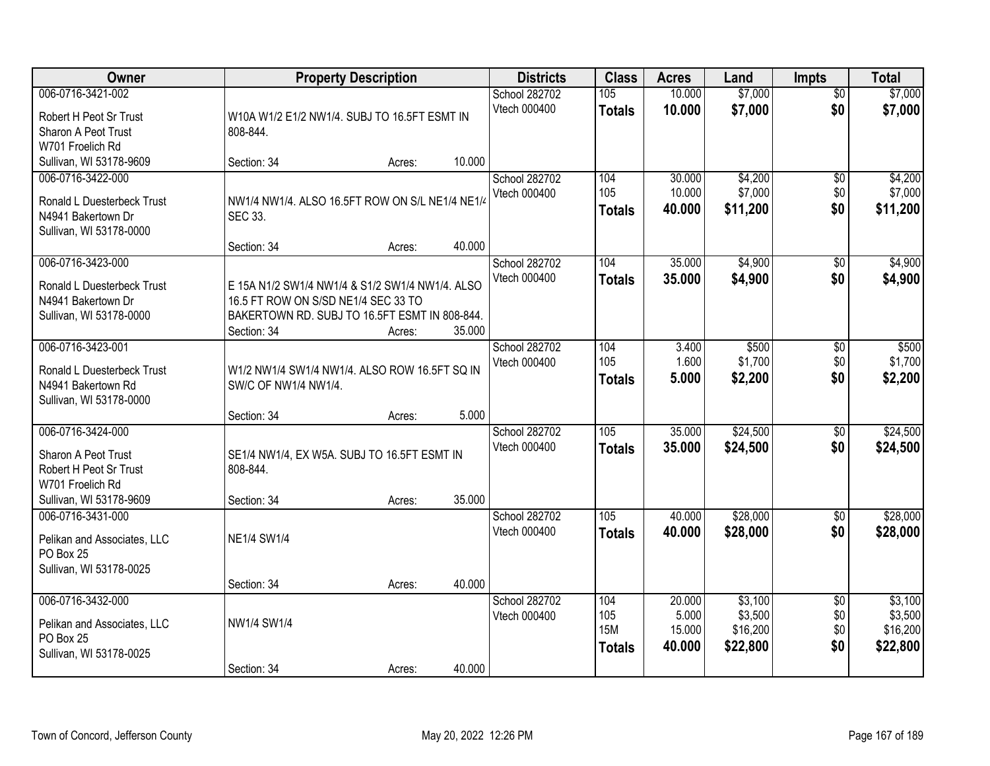| Owner                                                                                                             |                                                                                        | <b>Property Description</b> |        | <b>Districts</b>              | <b>Class</b>                              | <b>Acres</b>                        | Land                                       | <b>Impts</b>                         | <b>Total</b>                               |
|-------------------------------------------------------------------------------------------------------------------|----------------------------------------------------------------------------------------|-----------------------------|--------|-------------------------------|-------------------------------------------|-------------------------------------|--------------------------------------------|--------------------------------------|--------------------------------------------|
| 006-0716-3421-002<br>Robert H Peot Sr Trust<br>Sharon A Peot Trust<br>W701 Froelich Rd                            | W10A W1/2 E1/2 NW1/4. SUBJ TO 16.5FT ESMT IN<br>808-844.                               |                             |        | School 282702<br>Vtech 000400 | 105<br><b>Totals</b>                      | 10.000<br>10.000                    | \$7,000<br>\$7,000                         | $\overline{50}$<br>\$0               | \$7,000<br>\$7,000                         |
| Sullivan, WI 53178-9609                                                                                           | Section: 34                                                                            | Acres:                      | 10.000 |                               |                                           |                                     |                                            |                                      |                                            |
| 006-0716-3422-000<br>Ronald L Duesterbeck Trust<br>N4941 Bakertown Dr<br>Sullivan, WI 53178-0000                  | NW1/4 NW1/4. ALSO 16.5FT ROW ON S/L NE1/4 NE1/4<br>SEC 33.<br>Section: 34              | Acres:                      | 40.000 | School 282702<br>Vtech 000400 | 104<br>105<br><b>Totals</b>               | 30.000<br>10.000<br>40.000          | \$4,200<br>\$7,000<br>\$11,200             | \$0<br>\$0<br>\$0                    | \$4,200<br>\$7,000<br>\$11,200             |
| 006-0716-3423-000<br>Ronald L Duesterbeck Trust<br>N4941 Bakertown Dr                                             | E 15A N1/2 SW1/4 NW1/4 & S1/2 SW1/4 NW1/4. ALSO<br>16.5 FT ROW ON S/SD NE1/4 SEC 33 TO |                             |        | School 282702<br>Vtech 000400 | 104<br><b>Totals</b>                      | 35.000<br>35.000                    | \$4,900<br>\$4,900                         | $\sqrt[6]{3}$<br>\$0                 | \$4,900<br>\$4,900                         |
| Sullivan, WI 53178-0000<br>006-0716-3423-001                                                                      | BAKERTOWN RD. SUBJ TO 16.5FT ESMT IN 808-844.<br>Section: 34                           | Acres:                      | 35.000 | School 282702                 | 104                                       | 3.400                               | \$500                                      | $\sqrt[6]{3}$                        | \$500                                      |
| Ronald L Duesterbeck Trust<br>N4941 Bakertown Rd<br>Sullivan, WI 53178-0000                                       | W1/2 NW1/4 SW1/4 NW1/4. ALSO ROW 16.5FT SQ IN<br>SW/C OF NW1/4 NW1/4.                  |                             |        | Vtech 000400                  | 105<br><b>Totals</b>                      | 1.600<br>5.000                      | \$1,700<br>\$2,200                         | \$0<br>\$0                           | \$1,700<br>\$2,200                         |
|                                                                                                                   | Section: 34                                                                            | Acres:                      | 5.000  |                               |                                           |                                     |                                            |                                      |                                            |
| 006-0716-3424-000<br>Sharon A Peot Trust<br>Robert H Peot Sr Trust<br>W701 Froelich Rd<br>Sullivan, WI 53178-9609 | SE1/4 NW1/4, EX W5A. SUBJ TO 16.5FT ESMT IN<br>808-844.<br>Section: 34                 | Acres:                      | 35.000 | School 282702<br>Vtech 000400 | 105<br><b>Totals</b>                      | 35.000<br>35.000                    | \$24,500<br>\$24,500                       | \$0<br>\$0                           | \$24,500<br>\$24,500                       |
| 006-0716-3431-000<br>Pelikan and Associates, LLC<br>PO Box 25<br>Sullivan, WI 53178-0025                          | <b>NE1/4 SW1/4</b>                                                                     |                             |        | School 282702<br>Vtech 000400 | 105<br><b>Totals</b>                      | 40.000<br>40.000                    | \$28,000<br>\$28,000                       | \$0<br>\$0                           | \$28,000<br>\$28,000                       |
|                                                                                                                   | Section: 34                                                                            | Acres:                      | 40.000 |                               |                                           |                                     |                                            |                                      |                                            |
| 006-0716-3432-000<br>Pelikan and Associates, LLC<br>PO Box 25<br>Sullivan, WI 53178-0025                          | NW1/4 SW1/4                                                                            |                             |        | School 282702<br>Vtech 000400 | 104<br>105<br><b>15M</b><br><b>Totals</b> | 20.000<br>5.000<br>15.000<br>40.000 | \$3,100<br>\$3,500<br>\$16,200<br>\$22,800 | $\overline{50}$<br>\$0<br>\$0<br>\$0 | \$3,100<br>\$3,500<br>\$16,200<br>\$22,800 |
|                                                                                                                   | Section: 34                                                                            | Acres:                      | 40.000 |                               |                                           |                                     |                                            |                                      |                                            |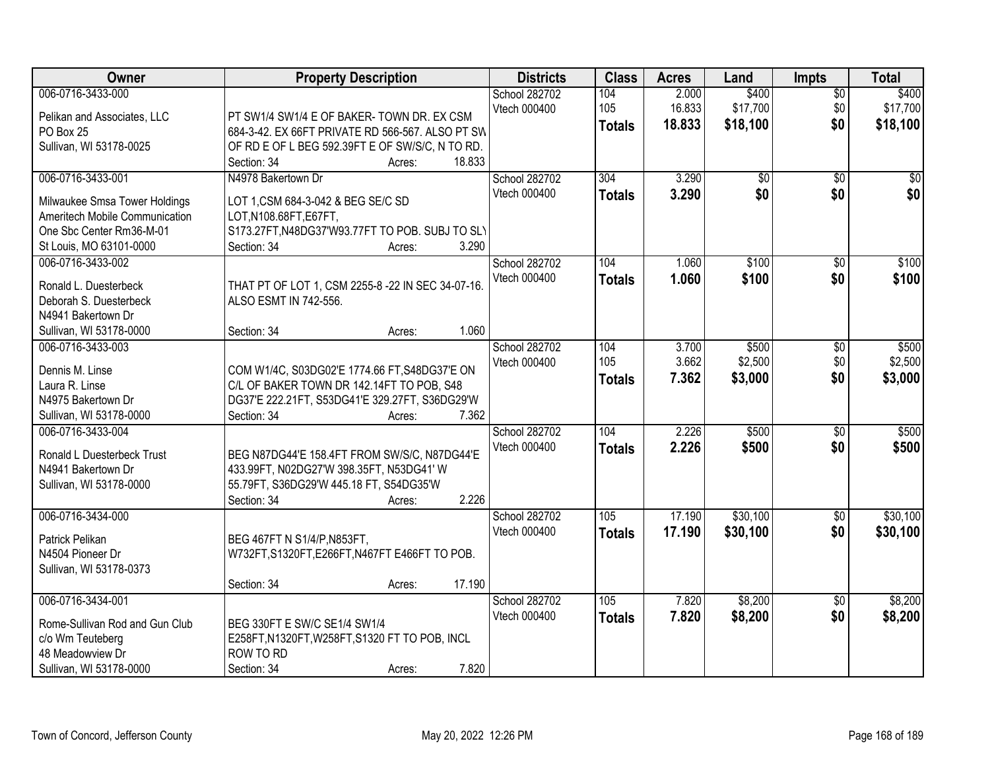| Owner                                        | <b>Property Description</b>                       | <b>Districts</b>              | <b>Class</b>  | <b>Acres</b>    | Land              | <b>Impts</b>           | <b>Total</b>      |
|----------------------------------------------|---------------------------------------------------|-------------------------------|---------------|-----------------|-------------------|------------------------|-------------------|
| 006-0716-3433-000                            |                                                   | School 282702<br>Vtech 000400 | 104<br>105    | 2.000<br>16.833 | \$400<br>\$17,700 | $\overline{50}$<br>\$0 | \$400<br>\$17,700 |
| Pelikan and Associates, LLC                  | PT SW1/4 SW1/4 E OF BAKER-TOWN DR. EX CSM         |                               | <b>Totals</b> | 18.833          | \$18,100          | \$0                    | \$18,100          |
| PO Box 25                                    | 684-3-42. EX 66FT PRIVATE RD 566-567. ALSO PT SW  |                               |               |                 |                   |                        |                   |
| Sullivan, WI 53178-0025                      | OF RD E OF L BEG 592.39FT E OF SW/S/C, N TO RD.   |                               |               |                 |                   |                        |                   |
|                                              | 18.833<br>Section: 34<br>Acres:                   |                               |               |                 |                   |                        |                   |
| 006-0716-3433-001                            | N4978 Bakertown Dr                                | School 282702                 | 304           | 3.290           | $\overline{50}$   | $\overline{50}$        | $\sqrt{50}$       |
| Milwaukee Smsa Tower Holdings                | LOT 1, CSM 684-3-042 & BEG SE/C SD                | <b>Vtech 000400</b>           | <b>Totals</b> | 3.290           | \$0               | \$0                    | \$0               |
| Ameritech Mobile Communication               | LOT, N108.68FT, E67FT,                            |                               |               |                 |                   |                        |                   |
| One Sbc Center Rm36-M-01                     | S173.27FT, N48DG37'W93.77FT TO POB. SUBJ TO SLY   |                               |               |                 |                   |                        |                   |
| St Louis, MO 63101-0000                      | 3.290<br>Section: 34<br>Acres:                    |                               |               |                 |                   |                        |                   |
| 006-0716-3433-002                            |                                                   | School 282702                 | 104           | 1.060           | \$100             | $\overline{50}$        | \$100             |
|                                              |                                                   | Vtech 000400                  | <b>Totals</b> | 1.060           | \$100             | \$0                    | \$100             |
| Ronald L. Duesterbeck                        | THAT PT OF LOT 1, CSM 2255-8 -22 IN SEC 34-07-16. |                               |               |                 |                   |                        |                   |
| Deborah S. Duesterbeck<br>N4941 Bakertown Dr | ALSO ESMT IN 742-556.                             |                               |               |                 |                   |                        |                   |
|                                              | 1.060<br>Section: 34                              |                               |               |                 |                   |                        |                   |
| Sullivan, WI 53178-0000<br>006-0716-3433-003 | Acres:                                            | School 282702                 | 104           | 3.700           | \$500             |                        |                   |
|                                              |                                                   | Vtech 000400                  | 105           | 3.662           | \$2,500           | \$0<br>\$0             | \$500<br>\$2,500  |
| Dennis M. Linse                              | COM W1/4C, S03DG02'E 1774.66 FT, S48DG37'E ON     |                               |               |                 |                   | \$0                    |                   |
| Laura R. Linse                               | C/L OF BAKER TOWN DR 142.14FT TO POB, S48         |                               | <b>Totals</b> | 7.362           | \$3,000           |                        | \$3,000           |
| N4975 Bakertown Dr                           | DG37'E 222.21FT, S53DG41'E 329.27FT, S36DG29'W    |                               |               |                 |                   |                        |                   |
| Sullivan, WI 53178-0000                      | 7.362<br>Section: 34<br>Acres:                    |                               |               |                 |                   |                        |                   |
| 006-0716-3433-004                            |                                                   | School 282702                 | 104           | 2.226           | \$500             | $\overline{30}$        | \$500             |
| Ronald L Duesterbeck Trust                   | BEG N87DG44'E 158.4FT FROM SW/S/C, N87DG44'E      | Vtech 000400                  | <b>Totals</b> | 2.226           | \$500             | \$0                    | \$500             |
| N4941 Bakertown Dr                           | 433.99FT, N02DG27'W 398.35FT, N53DG41' W          |                               |               |                 |                   |                        |                   |
| Sullivan, WI 53178-0000                      | 55.79FT, S36DG29'W 445.18 FT, S54DG35'W           |                               |               |                 |                   |                        |                   |
|                                              | 2.226<br>Section: 34<br>Acres:                    |                               |               |                 |                   |                        |                   |
| 006-0716-3434-000                            |                                                   | School 282702                 | 105           | 17.190          | \$30,100          | $\sqrt{$0}$            | \$30,100          |
|                                              |                                                   | Vtech 000400                  | <b>Totals</b> | 17.190          | \$30,100          | \$0                    | \$30,100          |
| Patrick Pelikan                              | BEG 467FT N S1/4/P, N853FT,                       |                               |               |                 |                   |                        |                   |
| N4504 Pioneer Dr                             | W732FT, S1320FT, E266FT, N467FT E466FT TO POB.    |                               |               |                 |                   |                        |                   |
| Sullivan, WI 53178-0373                      |                                                   |                               |               |                 |                   |                        |                   |
|                                              | 17.190<br>Section: 34<br>Acres:                   |                               |               |                 |                   |                        |                   |
| 006-0716-3434-001                            |                                                   | School 282702                 | 105           | 7.820           | \$8,200           | $\overline{50}$        | \$8,200           |
| Rome-Sullivan Rod and Gun Club               | BEG 330FT E SW/C SE1/4 SW1/4                      | Vtech 000400                  | <b>Totals</b> | 7.820           | \$8,200           | \$0                    | \$8,200           |
| c/o Wm Teuteberg                             | E258FT, N1320FT, W258FT, S1320 FT TO POB, INCL    |                               |               |                 |                   |                        |                   |
| 48 Meadowview Dr                             | ROW TO RD                                         |                               |               |                 |                   |                        |                   |
| Sullivan, WI 53178-0000                      | 7.820<br>Section: 34<br>Acres:                    |                               |               |                 |                   |                        |                   |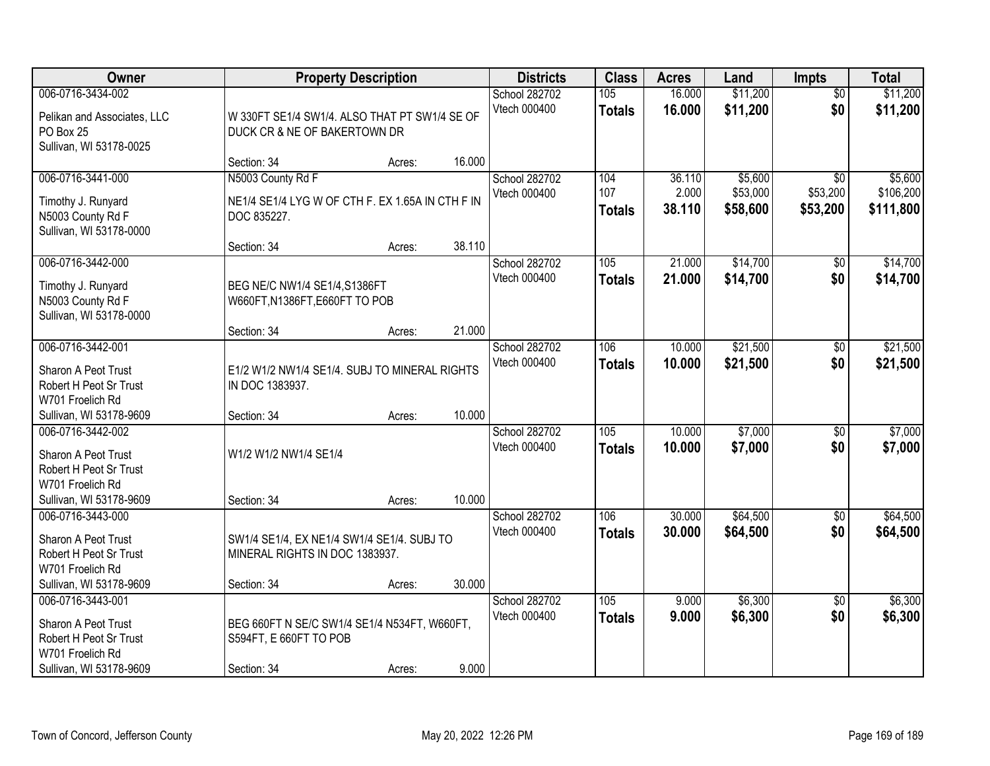| Owner                                                                                                             | <b>Property Description</b>                                                           |        | <b>Districts</b> | <b>Class</b>                                          | <b>Acres</b>                | Land                      | <b>Impts</b>                    | <b>Total</b>                            |                                   |
|-------------------------------------------------------------------------------------------------------------------|---------------------------------------------------------------------------------------|--------|------------------|-------------------------------------------------------|-----------------------------|---------------------------|---------------------------------|-----------------------------------------|-----------------------------------|
| 006-0716-3434-002<br>Pelikan and Associates, LLC<br>PO Box 25<br>Sullivan, WI 53178-0025                          | W 330FT SE1/4 SW1/4. ALSO THAT PT SW1/4 SE OF<br>DUCK CR & NE OF BAKERTOWN DR         |        |                  | School 282702<br>105<br>Vtech 000400<br><b>Totals</b> |                             | 16.000<br>16.000          | \$11,200<br>\$11,200            | $\overline{50}$<br>\$0                  | \$11,200<br>\$11,200              |
|                                                                                                                   | Section: 34                                                                           | Acres: | 16.000           |                                                       |                             |                           |                                 |                                         |                                   |
| 006-0716-3441-000<br>Timothy J. Runyard<br>N5003 County Rd F<br>Sullivan, WI 53178-0000                           | N5003 County Rd F<br>NE1/4 SE1/4 LYG W OF CTH F. EX 1.65A IN CTH F IN<br>DOC 835227.  |        |                  | School 282702<br>Vtech 000400                         | 104<br>107<br><b>Totals</b> | 36.110<br>2.000<br>38.110 | \$5,600<br>\$53,000<br>\$58,600 | $\overline{30}$<br>\$53,200<br>\$53,200 | \$5,600<br>\$106,200<br>\$111,800 |
|                                                                                                                   | Section: 34                                                                           | Acres: | 38.110           |                                                       |                             |                           |                                 |                                         |                                   |
| 006-0716-3442-000<br>Timothy J. Runyard<br>N5003 County Rd F<br>Sullivan, WI 53178-0000                           | BEG NE/C NW1/4 SE1/4, S1386FT<br>W660FT, N1386FT, E660FT TO POB                       |        |                  | School 282702<br>Vtech 000400                         | 105<br><b>Totals</b>        | 21.000<br>21.000          | \$14,700<br>\$14,700            | \$0<br>\$0                              | \$14,700<br>\$14,700              |
|                                                                                                                   | Section: 34                                                                           | Acres: | 21.000           |                                                       |                             |                           |                                 |                                         |                                   |
| 006-0716-3442-001<br>Sharon A Peot Trust<br>Robert H Peot Sr Trust<br>W701 Froelich Rd                            | E1/2 W1/2 NW1/4 SE1/4. SUBJ TO MINERAL RIGHTS<br>IN DOC 1383937.                      |        |                  | School 282702<br>Vtech 000400                         | 106<br><b>Totals</b>        | 10.000<br>10.000          | \$21,500<br>\$21,500            | \$0<br>\$0                              | \$21,500<br>\$21,500              |
| Sullivan, WI 53178-9609                                                                                           | Section: 34                                                                           | Acres: | 10.000           |                                                       |                             |                           |                                 |                                         |                                   |
| 006-0716-3442-002<br>Sharon A Peot Trust<br>Robert H Peot Sr Trust<br>W701 Froelich Rd<br>Sullivan, WI 53178-9609 | W1/2 W1/2 NW1/4 SE1/4<br>Section: 34                                                  | Acres: | 10.000           | School 282702<br>Vtech 000400                         | 105<br><b>Totals</b>        | 10.000<br>10.000          | \$7,000<br>\$7,000              | \$0<br>\$0                              | \$7,000<br>\$7,000                |
| 006-0716-3443-000                                                                                                 |                                                                                       |        |                  | School 282702                                         | 106                         | 30.000                    | \$64,500                        | $\sqrt{$0}$                             | \$64,500                          |
| Sharon A Peot Trust<br>Robert H Peot Sr Trust<br>W701 Froelich Rd                                                 | SW1/4 SE1/4, EX NE1/4 SW1/4 SE1/4. SUBJ TO<br>MINERAL RIGHTS IN DOC 1383937.          |        |                  | Vtech 000400                                          | <b>Totals</b>               | 30.000                    | \$64,500                        | \$0                                     | \$64,500                          |
| Sullivan, WI 53178-9609                                                                                           | Section: 34                                                                           | Acres: | 30.000           |                                                       |                             |                           |                                 |                                         |                                   |
| 006-0716-3443-001<br>Sharon A Peot Trust<br>Robert H Peot Sr Trust<br>W701 Froelich Rd<br>Sullivan, WI 53178-9609 | BEG 660FT N SE/C SW1/4 SE1/4 N534FT, W660FT,<br>S594FT, E 660FT TO POB<br>Section: 34 | Acres: | 9.000            | School 282702<br>Vtech 000400                         | 105<br><b>Totals</b>        | 9.000<br>9.000            | \$6,300<br>\$6,300              | $\overline{50}$<br>\$0                  | \$6,300<br>\$6,300                |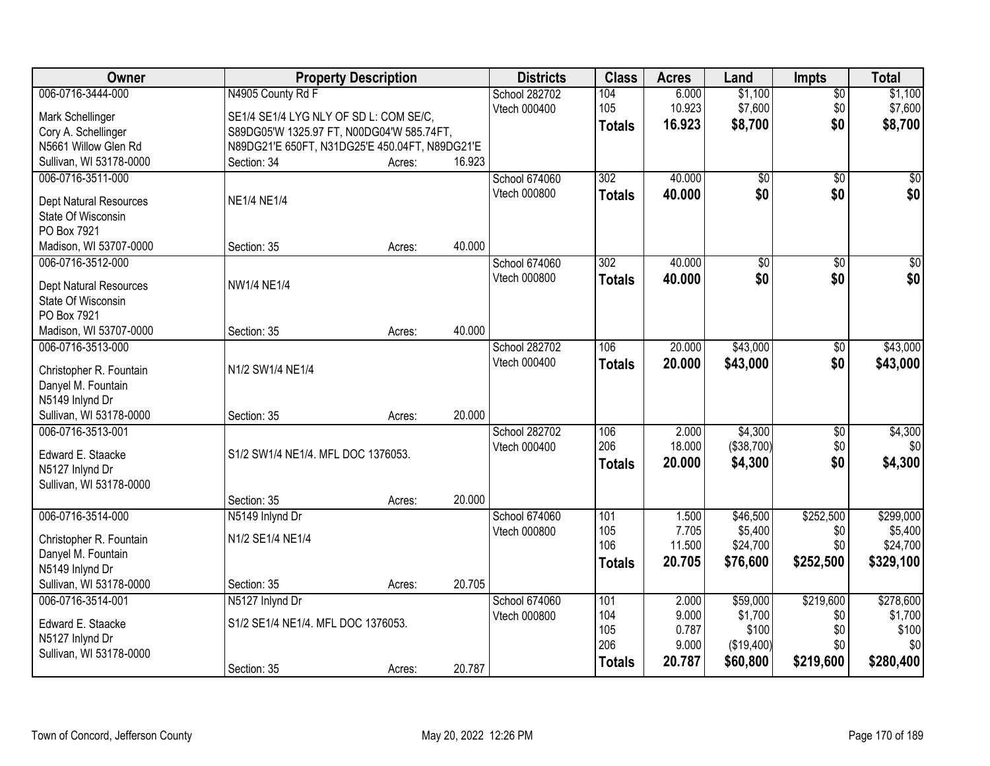| Owner                                 |                                                | <b>Property Description</b> |        | <b>Districts</b>     | <b>Class</b>     | <b>Acres</b>   | Land                | Impts            | <b>Total</b>         |
|---------------------------------------|------------------------------------------------|-----------------------------|--------|----------------------|------------------|----------------|---------------------|------------------|----------------------|
| 006-0716-3444-000                     | N4905 County Rd F                              |                             |        | School 282702        | 104              | 6.000          | \$1,100             | $\overline{50}$  | \$1,100              |
| Mark Schellinger                      | SE1/4 SE1/4 LYG NLY OF SD L: COM SE/C,         |                             |        | Vtech 000400         | 105              | 10.923         | \$7,600             | \$0              | \$7,600              |
| Cory A. Schellinger                   | S89DG05'W 1325.97 FT, N00DG04'W 585.74FT,      |                             |        |                      | <b>Totals</b>    | 16.923         | \$8,700             | \$0              | \$8,700              |
| N5661 Willow Glen Rd                  | N89DG21'E 650FT, N31DG25'E 450.04FT, N89DG21'E |                             |        |                      |                  |                |                     |                  |                      |
| Sullivan, WI 53178-0000               | Section: 34                                    | Acres:                      | 16.923 |                      |                  |                |                     |                  |                      |
| 006-0716-3511-000                     |                                                |                             |        | School 674060        | $\overline{302}$ | 40.000         | $\overline{50}$     | $\overline{50}$  | $\sqrt{50}$          |
|                                       |                                                |                             |        | Vtech 000800         | <b>Totals</b>    | 40.000         | \$0                 | \$0              | \$0                  |
| Dept Natural Resources                | <b>NE1/4 NE1/4</b>                             |                             |        |                      |                  |                |                     |                  |                      |
| State Of Wisconsin                    |                                                |                             |        |                      |                  |                |                     |                  |                      |
| PO Box 7921                           |                                                |                             |        |                      |                  |                |                     |                  |                      |
| Madison, WI 53707-0000                | Section: 35                                    | Acres:                      | 40.000 |                      |                  |                |                     |                  |                      |
| 006-0716-3512-000                     |                                                |                             |        | <b>School 674060</b> | 302              | 40.000         | $\overline{50}$     | \$0              | $\overline{\$0}$     |
| <b>Dept Natural Resources</b>         | <b>NW1/4 NE1/4</b>                             |                             |        | Vtech 000800         | <b>Totals</b>    | 40.000         | \$0                 | \$0              | \$0                  |
| State Of Wisconsin                    |                                                |                             |        |                      |                  |                |                     |                  |                      |
| PO Box 7921                           |                                                |                             |        |                      |                  |                |                     |                  |                      |
| Madison, WI 53707-0000                | Section: 35                                    | Acres:                      | 40.000 |                      |                  |                |                     |                  |                      |
| 006-0716-3513-000                     |                                                |                             |        | School 282702        | 106              | 20.000         | \$43,000            | \$0              | \$43,000             |
|                                       |                                                |                             |        | Vtech 000400         | <b>Totals</b>    | 20.000         | \$43,000            | \$0              | \$43,000             |
| Christopher R. Fountain               | N1/2 SW1/4 NE1/4                               |                             |        |                      |                  |                |                     |                  |                      |
| Danyel M. Fountain                    |                                                |                             |        |                      |                  |                |                     |                  |                      |
| N5149 Inlynd Dr                       |                                                |                             |        |                      |                  |                |                     |                  |                      |
| Sullivan, WI 53178-0000               | Section: 35                                    | Acres:                      | 20.000 |                      |                  |                |                     |                  |                      |
| 006-0716-3513-001                     |                                                |                             |        | School 282702        | 106              | 2.000          | \$4,300             | \$0              | \$4,300              |
| Edward E. Staacke                     | S1/2 SW1/4 NE1/4. MFL DOC 1376053.             |                             |        | Vtech 000400         | 206              | 18.000         | (\$38,700)          | \$0              | \$0                  |
| N5127 Inlynd Dr                       |                                                |                             |        |                      | <b>Totals</b>    | 20.000         | \$4,300             | \$0              | \$4,300              |
| Sullivan, WI 53178-0000               |                                                |                             |        |                      |                  |                |                     |                  |                      |
|                                       | Section: 35                                    | Acres:                      | 20.000 |                      |                  |                |                     |                  |                      |
| 006-0716-3514-000                     | N5149 Inlynd Dr                                |                             |        | School 674060        | 101              | 1.500          | \$46,500            | \$252,500        | \$299,000            |
|                                       | N1/2 SE1/4 NE1/4                               |                             |        | Vtech 000800         | 105              | 7.705          | \$5,400             | \$0              | \$5,400              |
| Christopher R. Fountain               |                                                |                             |        |                      | 106              | 11.500         | \$24,700            | \$0              | \$24,700             |
| Danyel M. Fountain<br>N5149 Inlynd Dr |                                                |                             |        |                      | Totals           | 20.705         | \$76,600            | \$252,500        | \$329,100            |
| Sullivan, WI 53178-0000               | Section: 35                                    |                             | 20.705 |                      |                  |                |                     |                  |                      |
|                                       |                                                | Acres:                      |        |                      |                  |                |                     |                  |                      |
| 006-0716-3514-001                     | N5127 Inlynd Dr                                |                             |        | School 674060        | 101<br>104       | 2.000<br>9.000 | \$59,000<br>\$1,700 | \$219,600<br>\$0 | \$278,600<br>\$1,700 |
| Edward E. Staacke                     | S1/2 SE1/4 NE1/4. MFL DOC 1376053.             |                             |        | Vtech 000800         | 105              | 0.787          | \$100               | \$0              | \$100                |
| N5127 Inlynd Dr                       |                                                |                             |        |                      | 206              | 9.000          | (\$19,400)          | \$0              | \$0                  |
| Sullivan, WI 53178-0000               |                                                |                             |        |                      |                  | 20.787         |                     |                  | \$280,400            |
|                                       | Section: 35                                    | Acres:                      | 20.787 |                      | <b>Totals</b>    |                | \$60,800            | \$219,600        |                      |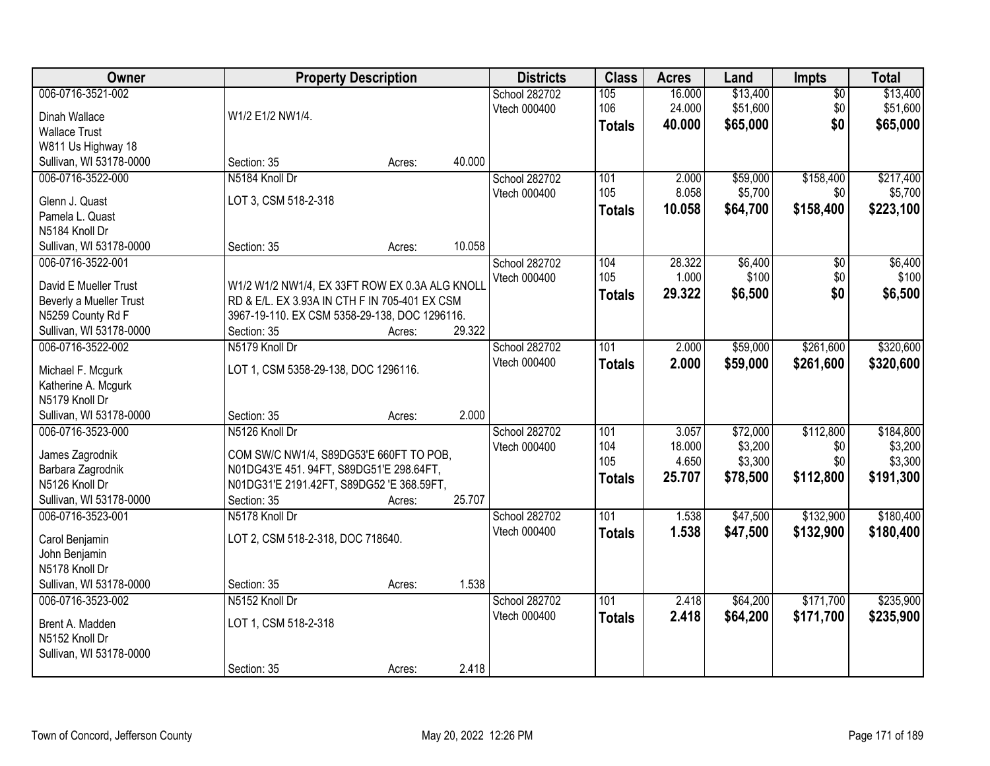| Owner                                 |                                                | <b>Property Description</b> |        | <b>Districts</b>     | <b>Class</b>  | <b>Acres</b> | Land     | Impts           | <b>Total</b> |
|---------------------------------------|------------------------------------------------|-----------------------------|--------|----------------------|---------------|--------------|----------|-----------------|--------------|
| 006-0716-3521-002                     |                                                |                             |        | School 282702        | 105           | 16.000       | \$13,400 | $\overline{50}$ | \$13,400     |
| Dinah Wallace                         | W1/2 E1/2 NW1/4.                               |                             |        | Vtech 000400         | 106           | 24.000       | \$51,600 | \$0             | \$51,600     |
| <b>Wallace Trust</b>                  |                                                |                             |        |                      | <b>Totals</b> | 40.000       | \$65,000 | \$0             | \$65,000     |
| W811 Us Highway 18                    |                                                |                             |        |                      |               |              |          |                 |              |
| Sullivan, WI 53178-0000               | Section: 35                                    | Acres:                      | 40.000 |                      |               |              |          |                 |              |
| 006-0716-3522-000                     | N5184 Knoll Dr                                 |                             |        | <b>School 282702</b> | 101           | 2.000        | \$59,000 | \$158,400       | \$217,400    |
|                                       |                                                |                             |        | Vtech 000400         | 105           | 8.058        | \$5,700  | \$0             | \$5,700      |
| Glenn J. Quast                        | LOT 3, CSM 518-2-318                           |                             |        |                      | <b>Totals</b> | 10.058       | \$64,700 | \$158,400       | \$223,100    |
| Pamela L. Quast                       |                                                |                             |        |                      |               |              |          |                 |              |
| N5184 Knoll Dr                        | Section: 35                                    | Acres:                      | 10.058 |                      |               |              |          |                 |              |
| Sullivan, WI 53178-0000               |                                                |                             |        |                      | 104           | 28.322       | \$6,400  |                 |              |
| 006-0716-3522-001                     |                                                |                             |        | School 282702        | 105           |              | \$100    | $\overline{50}$ | \$6,400      |
| David E Mueller Trust                 | W1/2 W1/2 NW1/4, EX 33FT ROW EX 0.3A ALG KNOLL |                             |        | Vtech 000400         |               | 1.000        |          | \$0             | \$100        |
| Beverly a Mueller Trust               | RD & E/L. EX 3.93A IN CTH F IN 705-401 EX CSM  |                             |        |                      | <b>Totals</b> | 29.322       | \$6,500  | \$0             | \$6,500      |
| N5259 County Rd F                     | 3967-19-110. EX CSM 5358-29-138, DOC 1296116.  |                             |        |                      |               |              |          |                 |              |
| Sullivan, WI 53178-0000               | Section: 35                                    | Acres:                      | 29.322 |                      |               |              |          |                 |              |
| 006-0716-3522-002                     | N5179 Knoll Dr                                 |                             |        | <b>School 282702</b> | 101           | 2.000        | \$59,000 | \$261,600       | \$320,600    |
|                                       |                                                |                             |        | Vtech 000400         | <b>Totals</b> | 2.000        | \$59,000 | \$261,600       | \$320,600    |
| Michael F. Mcgurk                     | LOT 1, CSM 5358-29-138, DOC 1296116.           |                             |        |                      |               |              |          |                 |              |
| Katherine A. Mcgurk<br>N5179 Knoll Dr |                                                |                             |        |                      |               |              |          |                 |              |
| Sullivan, WI 53178-0000               | Section: 35                                    | Acres:                      | 2.000  |                      |               |              |          |                 |              |
| 006-0716-3523-000                     | N5126 Knoll Dr                                 |                             |        |                      | 101           | 3.057        | \$72,000 | \$112,800       | \$184,800    |
|                                       |                                                |                             |        | School 282702        | 104           | 18.000       | \$3,200  | \$0             | \$3,200      |
| James Zagrodnik                       | COM SW/C NW1/4, S89DG53'E 660FT TO POB,        |                             |        | Vtech 000400         | 105           | 4.650        | \$3,300  | \$0             | \$3,300      |
| Barbara Zagrodnik                     | N01DG43'E 451. 94FT, S89DG51'E 298.64FT,       |                             |        |                      |               | 25.707       |          | \$112,800       | \$191,300    |
| N5126 Knoll Dr                        | N01DG31'E 2191.42FT, S89DG52 'E 368.59FT,      |                             |        |                      | <b>Totals</b> |              | \$78,500 |                 |              |
| Sullivan, WI 53178-0000               | Section: 35                                    | Acres:                      | 25.707 |                      |               |              |          |                 |              |
| 006-0716-3523-001                     | N5178 Knoll Dr                                 |                             |        | School 282702        | 101           | 1.538        | \$47,500 | \$132,900       | \$180,400    |
| Carol Benjamin                        | LOT 2, CSM 518-2-318, DOC 718640.              |                             |        | Vtech 000400         | <b>Totals</b> | 1.538        | \$47,500 | \$132,900       | \$180,400    |
| John Benjamin                         |                                                |                             |        |                      |               |              |          |                 |              |
| N5178 Knoll Dr                        |                                                |                             |        |                      |               |              |          |                 |              |
| Sullivan, WI 53178-0000               | Section: 35                                    | Acres:                      | 1.538  |                      |               |              |          |                 |              |
| 006-0716-3523-002                     | N5152 Knoll Dr                                 |                             |        | School 282702        | 101           | 2.418        | \$64,200 | \$171,700       | \$235,900    |
|                                       |                                                |                             |        | Vtech 000400         |               | 2.418        |          |                 |              |
| Brent A. Madden                       | LOT 1, CSM 518-2-318                           |                             |        |                      | <b>Totals</b> |              | \$64,200 | \$171,700       | \$235,900    |
| N5152 Knoll Dr                        |                                                |                             |        |                      |               |              |          |                 |              |
| Sullivan, WI 53178-0000               |                                                |                             |        |                      |               |              |          |                 |              |
|                                       | Section: 35                                    | Acres:                      | 2.418  |                      |               |              |          |                 |              |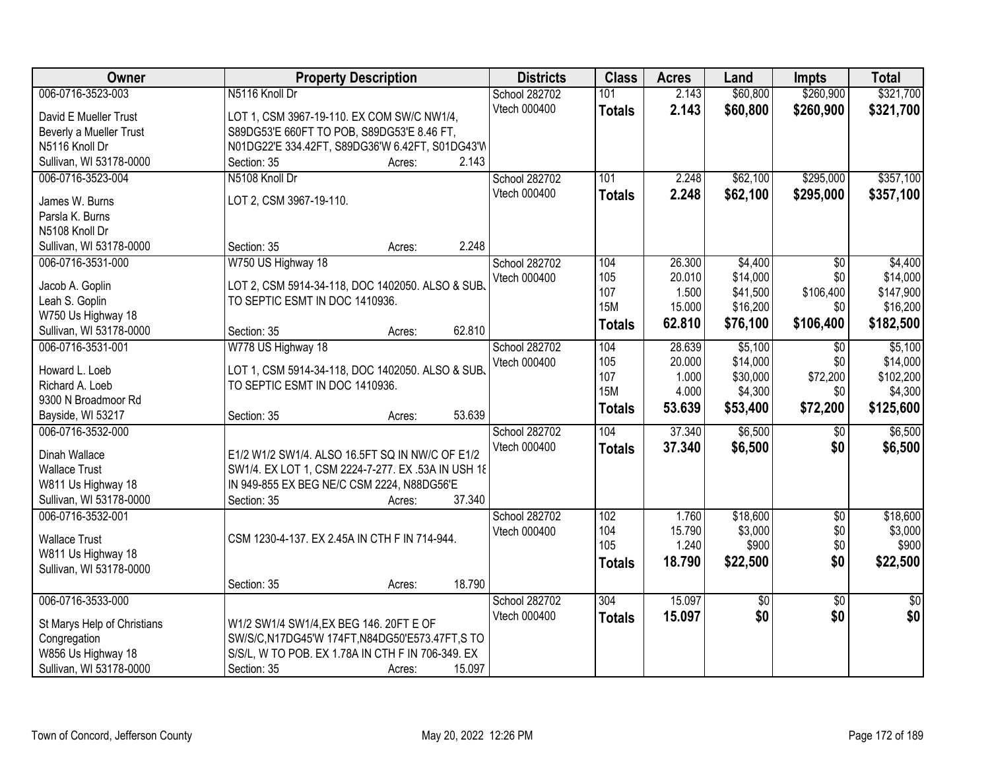| <b>Owner</b>                      | <b>Property Description</b>                        | <b>Districts</b> | <b>Class</b>      | <b>Acres</b>   | Land                   | <b>Impts</b>           | <b>Total</b>         |
|-----------------------------------|----------------------------------------------------|------------------|-------------------|----------------|------------------------|------------------------|----------------------|
| 006-0716-3523-003                 | N5116 Knoll Dr                                     | School 282702    | 101               | 2.143          | \$60,800               | \$260,900              | \$321,700            |
| David E Mueller Trust             | LOT 1, CSM 3967-19-110. EX COM SW/C NW1/4,         | Vtech 000400     | <b>Totals</b>     | 2.143          | \$60,800               | \$260,900              | \$321,700            |
| Beverly a Mueller Trust           | S89DG53'E 660FT TO POB, S89DG53'E 8.46 FT,         |                  |                   |                |                        |                        |                      |
| N5116 Knoll Dr                    | N01DG22'E 334.42FT, S89DG36'W 6.42FT, S01DG43'W    |                  |                   |                |                        |                        |                      |
| Sullivan, WI 53178-0000           | 2.143<br>Section: 35<br>Acres:                     |                  |                   |                |                        |                        |                      |
| 006-0716-3523-004                 | N5108 Knoll Dr                                     | School 282702    | 101               | 2.248          | \$62,100               | \$295,000              | \$357,100            |
|                                   |                                                    | Vtech 000400     | <b>Totals</b>     | 2.248          | \$62,100               | \$295,000              | \$357,100            |
| James W. Burns                    | LOT 2, CSM 3967-19-110.                            |                  |                   |                |                        |                        |                      |
| Parsla K. Burns<br>N5108 Knoll Dr |                                                    |                  |                   |                |                        |                        |                      |
| Sullivan, WI 53178-0000           | 2.248<br>Section: 35<br>Acres:                     |                  |                   |                |                        |                        |                      |
| 006-0716-3531-000                 | W750 US Highway 18                                 | School 282702    | 104               | 26.300         | \$4,400                | \$0                    | \$4,400              |
|                                   |                                                    | Vtech 000400     | 105               | 20.010         | \$14,000               | \$0                    | \$14,000             |
| Jacob A. Goplin                   | LOT 2, CSM 5914-34-118, DOC 1402050. ALSO & SUB.   |                  | 107               | 1.500          | \$41,500               | \$106,400              | \$147,900            |
| Leah S. Goplin                    | TO SEPTIC ESMT IN DOC 1410936.                     |                  | <b>15M</b>        | 15.000         | \$16,200               | \$0                    | \$16,200             |
| W750 Us Highway 18                |                                                    |                  | <b>Totals</b>     | 62.810         | \$76,100               | \$106,400              | \$182,500            |
| Sullivan, WI 53178-0000           | 62.810<br>Section: 35<br>Acres:                    |                  |                   |                |                        |                        |                      |
| 006-0716-3531-001                 | W778 US Highway 18                                 | School 282702    | 104               | 28.639         | \$5,100                | $\sqrt[6]{3}$          | \$5,100              |
| Howard L. Loeb                    | LOT 1, CSM 5914-34-118, DOC 1402050. ALSO & SUB.   | Vtech 000400     | 105               | 20.000         | \$14,000               | \$0                    | \$14,000             |
| Richard A. Loeb                   | TO SEPTIC ESMT IN DOC 1410936.                     |                  | 107<br><b>15M</b> | 1.000<br>4.000 | \$30,000               | \$72,200<br>\$0        | \$102,200<br>\$4,300 |
| 9300 N Broadmoor Rd               |                                                    |                  |                   |                | \$4,300                |                        |                      |
| Bayside, WI 53217                 | 53.639<br>Section: 35<br>Acres:                    |                  | <b>Totals</b>     | 53.639         | \$53,400               | \$72,200               | \$125,600            |
| 006-0716-3532-000                 |                                                    | School 282702    | 104               | 37.340         | \$6,500                | $\overline{50}$        | \$6,500              |
| Dinah Wallace                     | E1/2 W1/2 SW1/4. ALSO 16.5FT SQ IN NW/C OF E1/2    | Vtech 000400     | <b>Totals</b>     | 37,340         | \$6,500                | \$0                    | \$6,500              |
| <b>Wallace Trust</b>              | SW1/4. EX LOT 1, CSM 2224-7-277. EX .53A IN USH 18 |                  |                   |                |                        |                        |                      |
| W811 Us Highway 18                | IN 949-855 EX BEG NE/C CSM 2224, N88DG56'E         |                  |                   |                |                        |                        |                      |
| Sullivan, WI 53178-0000           | 37.340<br>Section: 35<br>Acres:                    |                  |                   |                |                        |                        |                      |
| 006-0716-3532-001                 |                                                    | School 282702    | 102               | 1.760          | \$18,600               | $\overline{50}$        | \$18,600             |
|                                   |                                                    | Vtech 000400     | 104               | 15.790         | \$3,000                | \$0                    | \$3,000              |
| <b>Wallace Trust</b>              | CSM 1230-4-137. EX 2.45A IN CTH F IN 714-944.      |                  | 105               | 1.240          | \$900                  | \$0                    | \$900                |
| W811 Us Highway 18                |                                                    |                  | <b>Totals</b>     | 18.790         | \$22,500               | \$0                    | \$22,500             |
| Sullivan, WI 53178-0000           | 18.790                                             |                  |                   |                |                        |                        |                      |
| 006-0716-3533-000                 | Section: 35<br>Acres:                              | School 282702    | 304               | 15.097         |                        |                        | $\overline{30}$      |
|                                   |                                                    | Vtech 000400     |                   |                | $\overline{60}$<br>\$0 | $\overline{50}$<br>\$0 | \$0                  |
| St Marys Help of Christians       | W1/2 SW1/4 SW1/4, EX BEG 146. 20FT E OF            |                  | <b>Totals</b>     | 15.097         |                        |                        |                      |
| Congregation                      | SW/S/C,N17DG45'W 174FT,N84DG50'E573.47FT,S TO      |                  |                   |                |                        |                        |                      |
| W856 Us Highway 18                | S/S/L, W TO POB. EX 1.78A IN CTH F IN 706-349. EX  |                  |                   |                |                        |                        |                      |
| Sullivan, WI 53178-0000           | 15.097<br>Section: 35<br>Acres:                    |                  |                   |                |                        |                        |                      |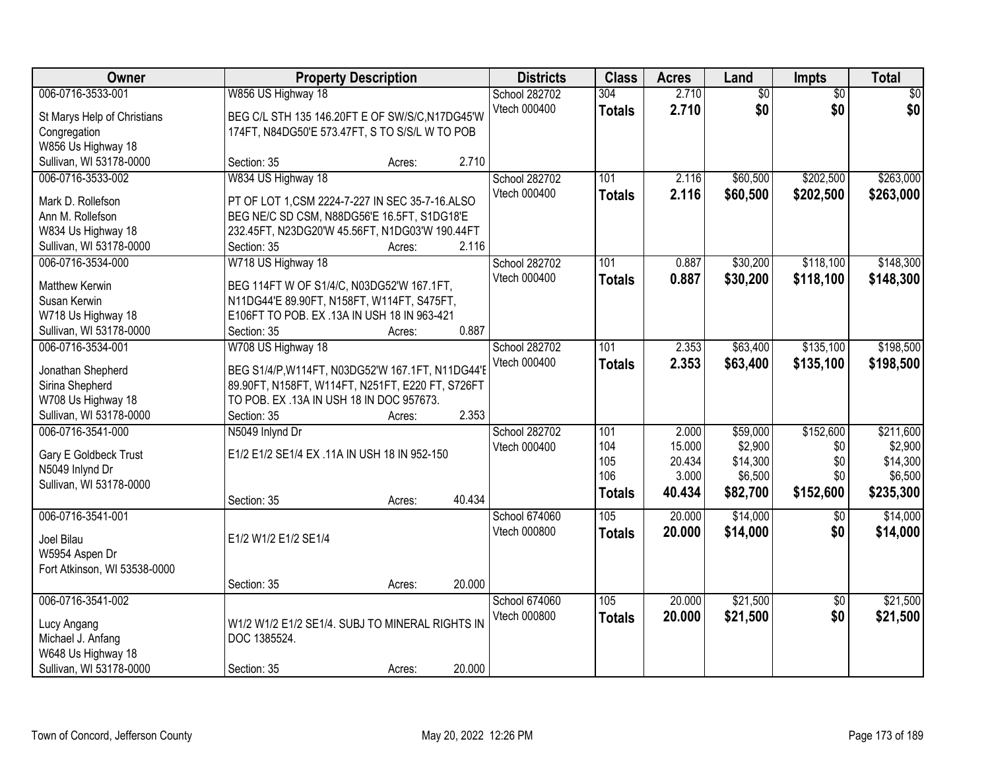| Owner                        | <b>Property Description</b>                      | <b>Districts</b>    | <b>Class</b>  | <b>Acres</b> | Land            | Impts           | <b>Total</b>    |
|------------------------------|--------------------------------------------------|---------------------|---------------|--------------|-----------------|-----------------|-----------------|
| 006-0716-3533-001            | W856 US Highway 18                               | School 282702       | 304           | 2.710        | $\overline{60}$ | $\overline{50}$ | $\overline{50}$ |
| St Marys Help of Christians  | BEG C/L STH 135 146.20FT E OF SW/S/C, N17DG45'W  | Vtech 000400        | <b>Totals</b> | 2.710        | \$0             | \$0             | \$0             |
| Congregation                 | 174FT, N84DG50'E 573.47FT, S TO S/S/L W TO POB   |                     |               |              |                 |                 |                 |
| W856 Us Highway 18           |                                                  |                     |               |              |                 |                 |                 |
| Sullivan, WI 53178-0000      | Section: 35<br>Acres:                            | 2.710               |               |              |                 |                 |                 |
| 006-0716-3533-002            | W834 US Highway 18                               | School 282702       | 101           | 2.116        | \$60,500        | \$202,500       | \$263,000       |
| Mark D. Rollefson            | PT OF LOT 1, CSM 2224-7-227 IN SEC 35-7-16. ALSO | Vtech 000400        | <b>Totals</b> | 2.116        | \$60,500        | \$202,500       | \$263,000       |
| Ann M. Rollefson             | BEG NE/C SD CSM, N88DG56'E 16.5FT, S1DG18'E      |                     |               |              |                 |                 |                 |
| W834 Us Highway 18           | 232.45FT, N23DG20'W 45.56FT, N1DG03'W 190.44FT   |                     |               |              |                 |                 |                 |
| Sullivan, WI 53178-0000      | Section: 35<br>Acres:                            | 2.116               |               |              |                 |                 |                 |
| 006-0716-3534-000            | W718 US Highway 18                               | School 282702       | 101           | 0.887        | \$30,200        | \$118,100       | \$148,300       |
|                              |                                                  | Vtech 000400        | <b>Totals</b> | 0.887        | \$30,200        | \$118,100       | \$148,300       |
| <b>Matthew Kerwin</b>        | BEG 114FT W OF S1/4/C, N03DG52'W 167.1FT,        |                     |               |              |                 |                 |                 |
| Susan Kerwin                 | N11DG44'E 89.90FT, N158FT, W114FT, S475FT,       |                     |               |              |                 |                 |                 |
| W718 Us Highway 18           | E106FT TO POB. EX .13A IN USH 18 IN 963-421      |                     |               |              |                 |                 |                 |
| Sullivan, WI 53178-0000      | Section: 35<br>Acres:                            | 0.887               |               |              |                 |                 |                 |
| 006-0716-3534-001            | W708 US Highway 18                               | School 282702       | 101           | 2.353        | \$63,400        | \$135,100       | \$198,500       |
| Jonathan Shepherd            | BEG S1/4/P, W114FT, N03DG52'W 167.1FT, N11DG44'E | Vtech 000400        | <b>Totals</b> | 2.353        | \$63,400        | \$135,100       | \$198,500       |
| Sirina Shepherd              | 89.90FT, N158FT, W114FT, N251FT, E220 FT, S726FT |                     |               |              |                 |                 |                 |
| W708 Us Highway 18           | TO POB. EX .13A IN USH 18 IN DOC 957673.         |                     |               |              |                 |                 |                 |
| Sullivan, WI 53178-0000      | Section: 35<br>Acres:                            | 2.353               |               |              |                 |                 |                 |
| 006-0716-3541-000            | N5049 Inlynd Dr                                  | School 282702       | 101           | 2.000        | \$59,000        | \$152,600       | \$211,600       |
| Gary E Goldbeck Trust        | E1/2 E1/2 SE1/4 EX .11A IN USH 18 IN 952-150     | <b>Vtech 000400</b> | 104           | 15.000       | \$2,900         | \$0             | \$2,900         |
| N5049 Inlynd Dr              |                                                  |                     | 105           | 20.434       | \$14,300        | \$0             | \$14,300        |
| Sullivan, WI 53178-0000      |                                                  |                     | 106           | 3.000        | \$6,500         | \$0             | \$6,500         |
|                              | Section: 35<br>Acres:                            | 40.434              | <b>Totals</b> | 40.434       | \$82,700        | \$152,600       | \$235,300       |
| 006-0716-3541-001            |                                                  | School 674060       | 105           | 20.000       | \$14,000        | $\overline{50}$ | \$14,000        |
|                              |                                                  | Vtech 000800        | <b>Totals</b> | 20.000       | \$14,000        | \$0             | \$14,000        |
| Joel Bilau                   | E1/2 W1/2 E1/2 SE1/4                             |                     |               |              |                 |                 |                 |
| W5954 Aspen Dr               |                                                  |                     |               |              |                 |                 |                 |
| Fort Atkinson, WI 53538-0000 |                                                  |                     |               |              |                 |                 |                 |
|                              | Section: 35<br>Acres:                            | 20.000              |               |              |                 |                 |                 |
| 006-0716-3541-002            |                                                  | School 674060       | 105           | 20.000       | \$21,500        | $\overline{50}$ | \$21,500        |
| Lucy Angang                  | W1/2 W1/2 E1/2 SE1/4. SUBJ TO MINERAL RIGHTS IN  | Vtech 000800        | <b>Totals</b> | 20.000       | \$21,500        | \$0             | \$21,500        |
| Michael J. Anfang            | DOC 1385524.                                     |                     |               |              |                 |                 |                 |
| W648 Us Highway 18           |                                                  |                     |               |              |                 |                 |                 |
| Sullivan, WI 53178-0000      | Section: 35<br>Acres:                            | 20.000              |               |              |                 |                 |                 |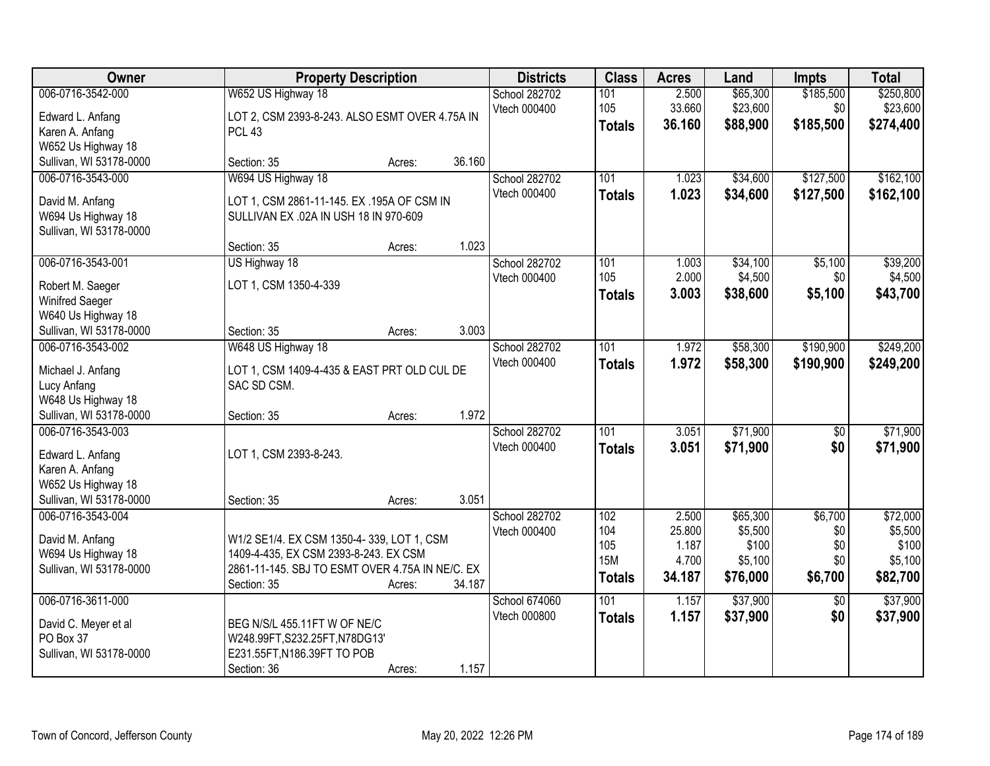| Owner                                                                                                            | <b>Property Description</b>                                                                                                                                              | <b>Districts</b>              | <b>Class</b>                                     | <b>Acres</b>                                | Land                                                | <b>Impts</b>                            | <b>Total</b>                                        |
|------------------------------------------------------------------------------------------------------------------|--------------------------------------------------------------------------------------------------------------------------------------------------------------------------|-------------------------------|--------------------------------------------------|---------------------------------------------|-----------------------------------------------------|-----------------------------------------|-----------------------------------------------------|
| 006-0716-3542-000<br>Edward L. Anfang<br>Karen A. Anfang                                                         | W652 US Highway 18<br>LOT 2, CSM 2393-8-243. ALSO ESMT OVER 4.75A IN<br>PCL <sub>43</sub>                                                                                | School 282702<br>Vtech 000400 | 101<br>105<br><b>Totals</b>                      | 2.500<br>33.660<br>36.160                   | \$65,300<br>\$23,600<br>\$88,900                    | \$185,500<br>\$0<br>\$185,500           | \$250,800<br>\$23,600<br>\$274,400                  |
| W652 Us Highway 18<br>Sullivan, WI 53178-0000                                                                    | 36.160<br>Section: 35<br>Acres:                                                                                                                                          |                               |                                                  |                                             |                                                     |                                         |                                                     |
| 006-0716-3543-000<br>David M. Anfang<br>W694 Us Highway 18<br>Sullivan, WI 53178-0000                            | W694 US Highway 18<br>LOT 1, CSM 2861-11-145. EX .195A OF CSM IN<br>SULLIVAN EX .02A IN USH 18 IN 970-609                                                                | School 282702<br>Vtech 000400 | 101<br><b>Totals</b>                             | 1.023<br>1.023                              | \$34,600<br>\$34,600                                | \$127,500<br>\$127,500                  | \$162,100<br>\$162,100                              |
| 006-0716-3543-001<br>Robert M. Saeger<br><b>Winifred Saeger</b><br>W640 Us Highway 18<br>Sullivan, WI 53178-0000 | 1.023<br>Section: 35<br>Acres:<br>US Highway 18<br>LOT 1, CSM 1350-4-339<br>3.003<br>Section: 35<br>Acres:                                                               | School 282702<br>Vtech 000400 | 101<br>105<br><b>Totals</b>                      | 1.003<br>2.000<br>3.003                     | \$34,100<br>\$4,500<br>\$38,600                     | \$5,100<br>\$0<br>\$5,100               | \$39,200<br>\$4,500<br>\$43,700                     |
| 006-0716-3543-002<br>Michael J. Anfang<br>Lucy Anfang<br>W648 Us Highway 18<br>Sullivan, WI 53178-0000           | W648 US Highway 18<br>LOT 1, CSM 1409-4-435 & EAST PRT OLD CUL DE<br>SAC SD CSM.<br>1.972<br>Section: 35<br>Acres:                                                       | School 282702<br>Vtech 000400 | 101<br><b>Totals</b>                             | 1.972<br>1.972                              | \$58,300<br>\$58,300                                | \$190,900<br>\$190,900                  | \$249,200<br>\$249,200                              |
| 006-0716-3543-003<br>Edward L. Anfang<br>Karen A. Anfang<br>W652 Us Highway 18<br>Sullivan, WI 53178-0000        | LOT 1, CSM 2393-8-243.<br>3.051<br>Section: 35<br>Acres:                                                                                                                 | School 282702<br>Vtech 000400 | 101<br><b>Totals</b>                             | 3.051<br>3.051                              | \$71,900<br>\$71,900                                | $\overline{50}$<br>\$0                  | \$71,900<br>\$71,900                                |
| 006-0716-3543-004<br>David M. Anfang<br>W694 Us Highway 18<br>Sullivan, WI 53178-0000                            | W1/2 SE1/4. EX CSM 1350-4-339, LOT 1, CSM<br>1409-4-435, EX CSM 2393-8-243. EX CSM<br>2861-11-145. SBJ TO ESMT OVER 4.75A IN NE/C. EX<br>34.187<br>Section: 35<br>Acres: | School 282702<br>Vtech 000400 | 102<br>104<br>105<br><b>15M</b><br><b>Totals</b> | 2.500<br>25.800<br>1.187<br>4.700<br>34.187 | \$65,300<br>\$5,500<br>\$100<br>\$5,100<br>\$76,000 | \$6,700<br>\$0<br>\$0<br>\$0<br>\$6,700 | \$72,000<br>\$5,500<br>\$100<br>\$5,100<br>\$82,700 |
| 006-0716-3611-000<br>David C. Meyer et al<br>PO Box 37<br>Sullivan, WI 53178-0000                                | BEG N/S/L 455.11FT W OF NE/C<br>W248.99FT, S232.25FT, N78DG13'<br>E231.55FT, N186.39FT TO POB<br>1.157<br>Section: 36<br>Acres:                                          | School 674060<br>Vtech 000800 | 101<br><b>Totals</b>                             | 1.157<br>1.157                              | \$37,900<br>\$37,900                                | $\overline{50}$<br>\$0                  | \$37,900<br>\$37,900                                |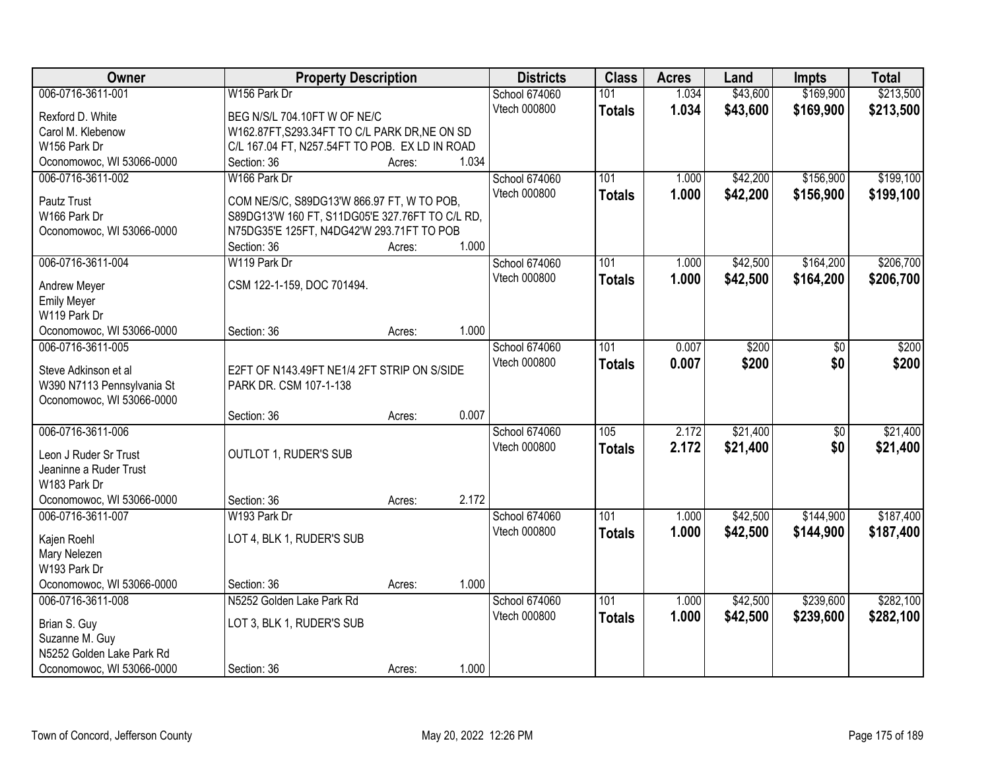| \$169,900<br>006-0716-3611-001<br>W156 Park Dr<br>\$43,600<br><b>School 674060</b><br>101<br>1.034<br>Vtech 000800<br>1.034<br>\$43,600<br>\$169,900<br><b>Totals</b><br>Rexford D. White<br>BEG N/S/L 704.10FT W OF NE/C | \$213,500<br>\$213,500 |
|---------------------------------------------------------------------------------------------------------------------------------------------------------------------------------------------------------------------------|------------------------|
|                                                                                                                                                                                                                           |                        |
|                                                                                                                                                                                                                           |                        |
| Carol M. Klebenow<br>W162.87FT, S293.34FT TO C/L PARK DR, NE ON SD                                                                                                                                                        |                        |
| W156 Park Dr<br>C/L 167.04 FT, N257.54FT TO POB. EX LD IN ROAD                                                                                                                                                            |                        |
| Oconomowoc, WI 53066-0000<br>1.034<br>Section: 36<br>Acres:                                                                                                                                                               |                        |
| 006-0716-3611-002<br>101<br>\$42,200<br>\$156,900<br>W166 Park Dr<br>School 674060<br>1.000                                                                                                                               | \$199,100              |
| Vtech 000800<br>1.000<br>\$42,200<br>\$156,900<br><b>Totals</b>                                                                                                                                                           | \$199,100              |
| Pautz Trust<br>COM NE/S/C, S89DG13'W 866.97 FT, W TO POB,                                                                                                                                                                 |                        |
| W166 Park Dr<br>S89DG13'W 160 FT, S11DG05'E 327.76FT TO C/L RD,                                                                                                                                                           |                        |
| Oconomowoc, WI 53066-0000<br>N75DG35'E 125FT, N4DG42'W 293.71FT TO POB<br>1.000                                                                                                                                           |                        |
| Section: 36<br>Acres:                                                                                                                                                                                                     |                        |
| 006-0716-3611-004<br>\$164,200<br>W119 Park Dr<br>School 674060<br>101<br>\$42,500<br>1.000                                                                                                                               | \$206,700              |
| Vtech 000800<br>\$164,200<br>1.000<br>\$42,500<br><b>Totals</b><br>CSM 122-1-159, DOC 701494.<br>Andrew Meyer                                                                                                             | \$206,700              |
| <b>Emily Meyer</b>                                                                                                                                                                                                        |                        |
| W119 Park Dr                                                                                                                                                                                                              |                        |
| 1.000<br>Oconomowoc, WI 53066-0000<br>Section: 36<br>Acres:                                                                                                                                                               |                        |
| 006-0716-3611-005<br>\$200<br>School 674060<br>101<br>0.007<br>\$0                                                                                                                                                        | \$200                  |
| 0.007<br>Vtech 000800<br>\$200<br>\$0<br><b>Totals</b><br>Steve Adkinson et al<br>E2FT OF N143.49FT NE1/4 2FT STRIP ON S/SIDE                                                                                             | \$200                  |
| W390 N7113 Pennsylvania St<br>PARK DR. CSM 107-1-138                                                                                                                                                                      |                        |
| Oconomowoc, WI 53066-0000                                                                                                                                                                                                 |                        |
| 0.007<br>Section: 36<br>Acres:                                                                                                                                                                                            |                        |
| \$21,400<br>006-0716-3611-006<br>105<br>2.172<br>$\overline{50}$<br>School 674060                                                                                                                                         | \$21,400               |
| 2.172<br>Vtech 000800<br>\$21,400<br>\$0<br><b>Totals</b>                                                                                                                                                                 | \$21,400               |
| OUTLOT 1, RUDER'S SUB<br>Leon J Ruder Sr Trust                                                                                                                                                                            |                        |
| Jeaninne a Ruder Trust                                                                                                                                                                                                    |                        |
| W183 Park Dr                                                                                                                                                                                                              |                        |
| 2.172<br>Oconomowoc, WI 53066-0000<br>Section: 36<br>Acres:                                                                                                                                                               |                        |
| $\overline{101}$<br>\$42,500<br>\$144,900<br>006-0716-3611-007<br>School 674060<br>1.000<br>W193 Park Dr                                                                                                                  | \$187,400              |
| Vtech 000800<br>1.000<br>\$42,500<br>\$144,900<br><b>Totals</b><br>LOT 4, BLK 1, RUDER'S SUB<br>Kajen Roehl                                                                                                               | \$187,400              |
| Mary Nelezen                                                                                                                                                                                                              |                        |
| W193 Park Dr                                                                                                                                                                                                              |                        |
| Oconomowoc, WI 53066-0000<br>1.000<br>Section: 36<br>Acres:                                                                                                                                                               |                        |
| 006-0716-3611-008<br>101<br>\$42,500<br>\$239,600<br>N5252 Golden Lake Park Rd<br>School 674060<br>1.000                                                                                                                  | \$282,100              |
| Vtech 000800<br>1.000<br>\$42,500<br>\$239,600<br><b>Totals</b><br>Brian S. Guy<br>LOT 3, BLK 1, RUDER'S SUB                                                                                                              | \$282,100              |
| Suzanne M. Guy                                                                                                                                                                                                            |                        |
| N5252 Golden Lake Park Rd                                                                                                                                                                                                 |                        |
| 1.000<br>Oconomowoc, WI 53066-0000<br>Section: 36<br>Acres:                                                                                                                                                               |                        |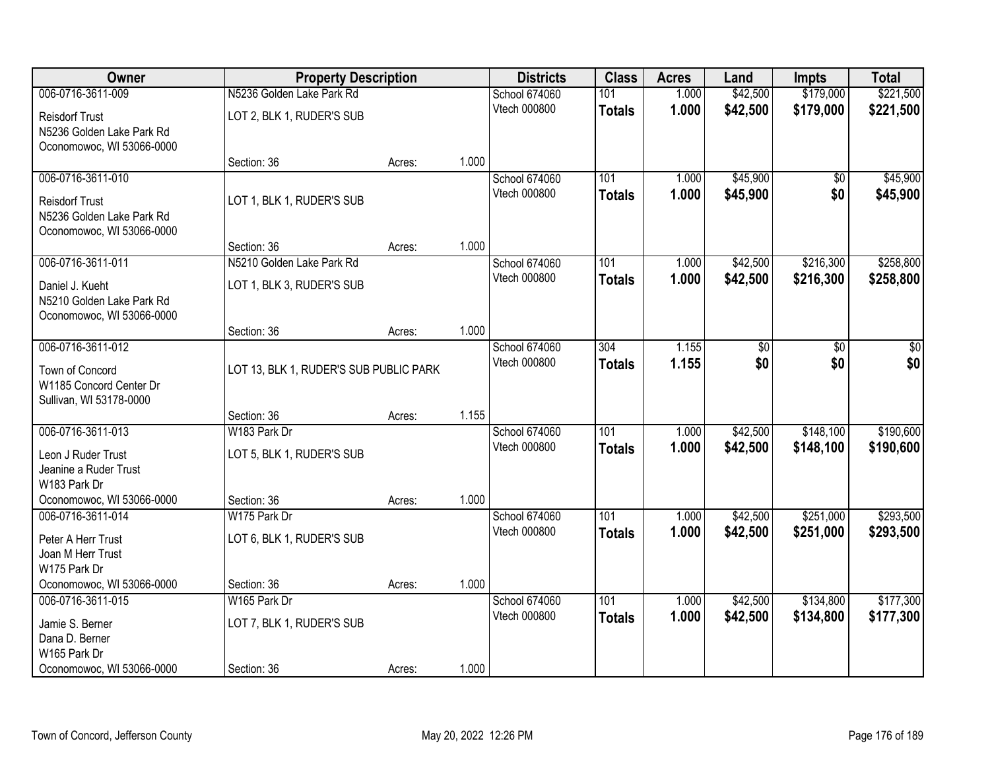| Owner                                              | <b>Property Description</b>            |        |       | <b>Districts</b>              | <b>Class</b>  | <b>Acres</b>   | Land                 | <b>Impts</b> | <b>Total</b> |
|----------------------------------------------------|----------------------------------------|--------|-------|-------------------------------|---------------|----------------|----------------------|--------------|--------------|
| 006-0716-3611-009                                  | N5236 Golden Lake Park Rd              |        |       | <b>School 674060</b>          | 101           | 1.000          | \$42,500             | \$179,000    | \$221,500    |
| <b>Reisdorf Trust</b>                              | LOT 2, BLK 1, RUDER'S SUB              |        |       | Vtech 000800                  | <b>Totals</b> | 1.000          | \$42,500             | \$179,000    | \$221,500    |
| N5236 Golden Lake Park Rd                          |                                        |        |       |                               |               |                |                      |              |              |
| Oconomowoc, WI 53066-0000                          |                                        |        |       |                               |               |                |                      |              |              |
|                                                    | Section: 36                            | Acres: | 1.000 |                               |               |                |                      |              |              |
| 006-0716-3611-010                                  |                                        |        |       | School 674060                 | 101           | 1.000          | \$45,900             | \$0          | \$45,900     |
| <b>Reisdorf Trust</b>                              | LOT 1, BLK 1, RUDER'S SUB              |        |       | Vtech 000800                  | <b>Totals</b> | 1.000          | \$45,900             | \$0          | \$45,900     |
| N5236 Golden Lake Park Rd                          |                                        |        |       |                               |               |                |                      |              |              |
| Oconomowoc, WI 53066-0000                          |                                        |        |       |                               |               |                |                      |              |              |
| 006-0716-3611-011                                  | Section: 36                            | Acres: | 1.000 |                               | 101           |                |                      | \$216,300    | \$258,800    |
|                                                    | N5210 Golden Lake Park Rd              |        |       | School 674060<br>Vtech 000800 |               | 1.000<br>1.000 | \$42,500<br>\$42,500 |              |              |
| Daniel J. Kueht                                    | LOT 1, BLK 3, RUDER'S SUB              |        |       |                               | <b>Totals</b> |                |                      | \$216,300    | \$258,800    |
| N5210 Golden Lake Park Rd                          |                                        |        |       |                               |               |                |                      |              |              |
| Oconomowoc, WI 53066-0000                          | Section: 36                            | Acres: | 1.000 |                               |               |                |                      |              |              |
| 006-0716-3611-012                                  |                                        |        |       | School 674060                 | 304           | 1.155          | \$0                  | \$0          | \$0          |
|                                                    |                                        |        |       | Vtech 000800                  | <b>Totals</b> | 1.155          | \$0                  | \$0          | \$0          |
| Town of Concord                                    | LOT 13, BLK 1, RUDER'S SUB PUBLIC PARK |        |       |                               |               |                |                      |              |              |
| W1185 Concord Center Dr<br>Sullivan, WI 53178-0000 |                                        |        |       |                               |               |                |                      |              |              |
|                                                    | Section: 36                            | Acres: | 1.155 |                               |               |                |                      |              |              |
| 006-0716-3611-013                                  | W183 Park Dr                           |        |       | School 674060                 | 101           | 1.000          | \$42,500             | \$148,100    | \$190,600    |
|                                                    |                                        |        |       | Vtech 000800                  | <b>Totals</b> | 1.000          | \$42,500             | \$148,100    | \$190,600    |
| Leon J Ruder Trust<br>Jeanine a Ruder Trust        | LOT 5, BLK 1, RUDER'S SUB              |        |       |                               |               |                |                      |              |              |
| W183 Park Dr                                       |                                        |        |       |                               |               |                |                      |              |              |
| Oconomowoc, WI 53066-0000                          | Section: 36                            | Acres: | 1.000 |                               |               |                |                      |              |              |
| 006-0716-3611-014                                  | W175 Park Dr                           |        |       | School 674060                 | 101           | 1.000          | \$42,500             | \$251,000    | \$293,500    |
| Peter A Herr Trust                                 | LOT 6, BLK 1, RUDER'S SUB              |        |       | Vtech 000800                  | <b>Totals</b> | 1.000          | \$42,500             | \$251,000    | \$293,500    |
| Joan M Herr Trust                                  |                                        |        |       |                               |               |                |                      |              |              |
| W175 Park Dr                                       |                                        |        |       |                               |               |                |                      |              |              |
| Oconomowoc, WI 53066-0000                          | Section: 36                            | Acres: | 1.000 |                               |               |                |                      |              |              |
| 006-0716-3611-015                                  | W165 Park Dr                           |        |       | School 674060                 | 101           | 1.000          | \$42,500             | \$134,800    | \$177,300    |
| Jamie S. Berner                                    | LOT 7, BLK 1, RUDER'S SUB              |        |       | Vtech 000800                  | <b>Totals</b> | 1.000          | \$42,500             | \$134,800    | \$177,300    |
| Dana D. Berner                                     |                                        |        |       |                               |               |                |                      |              |              |
| W165 Park Dr                                       |                                        |        |       |                               |               |                |                      |              |              |
| Oconomowoc, WI 53066-0000                          | Section: 36                            | Acres: | 1.000 |                               |               |                |                      |              |              |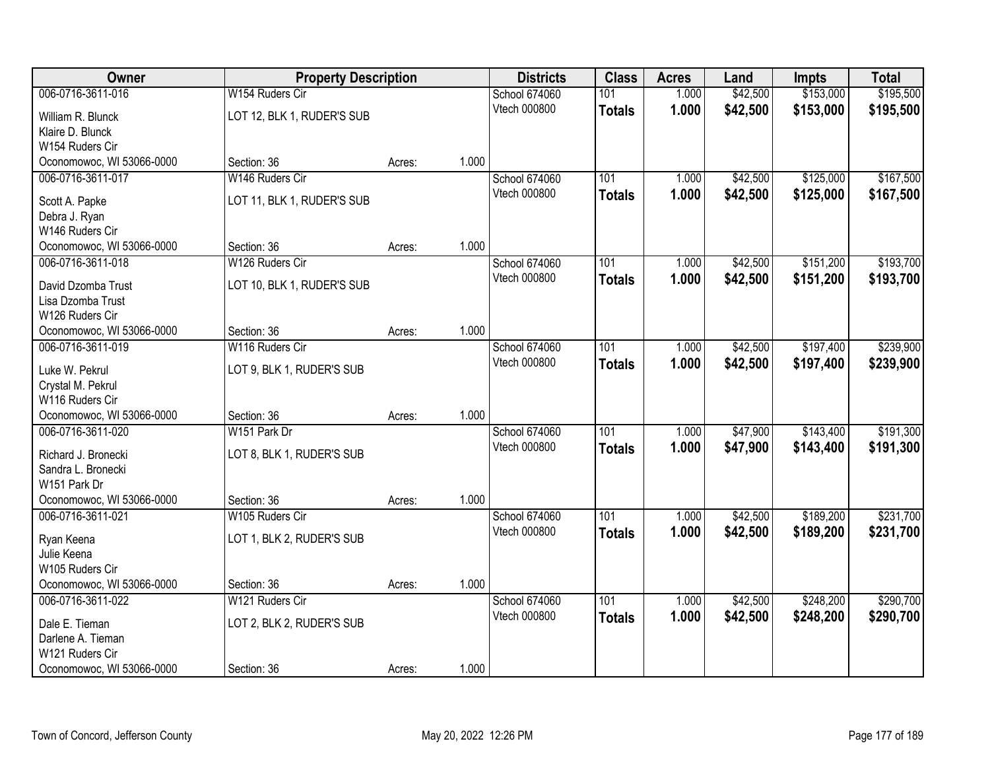| <b>Owner</b>                        | <b>Property Description</b> |        |       | <b>Districts</b> | <b>Class</b>     | <b>Acres</b> | Land     | <b>Impts</b> | <b>Total</b> |
|-------------------------------------|-----------------------------|--------|-------|------------------|------------------|--------------|----------|--------------|--------------|
| 006-0716-3611-016                   | W154 Ruders Cir             |        |       | School 674060    | 101              | 1.000        | \$42,500 | \$153,000    | \$195,500    |
| William R. Blunck                   | LOT 12, BLK 1, RUDER'S SUB  |        |       | Vtech 000800     | <b>Totals</b>    | 1.000        | \$42,500 | \$153,000    | \$195,500    |
| Klaire D. Blunck                    |                             |        |       |                  |                  |              |          |              |              |
| W154 Ruders Cir                     |                             |        |       |                  |                  |              |          |              |              |
| Oconomowoc, WI 53066-0000           | Section: 36                 | Acres: | 1.000 |                  |                  |              |          |              |              |
| 006-0716-3611-017                   | W146 Ruders Cir             |        |       | School 674060    | 101              | 1.000        | \$42,500 | \$125,000    | \$167,500    |
| Scott A. Papke                      | LOT 11, BLK 1, RUDER'S SUB  |        |       | Vtech 000800     | <b>Totals</b>    | 1.000        | \$42,500 | \$125,000    | \$167,500    |
| Debra J. Ryan                       |                             |        |       |                  |                  |              |          |              |              |
| W146 Ruders Cir                     |                             |        |       |                  |                  |              |          |              |              |
| Oconomowoc, WI 53066-0000           | Section: 36                 | Acres: | 1.000 |                  |                  |              |          |              |              |
| 006-0716-3611-018                   | W126 Ruders Cir             |        |       | School 674060    | 101              | 1.000        | \$42,500 | \$151,200    | \$193,700    |
| David Dzomba Trust                  | LOT 10, BLK 1, RUDER'S SUB  |        |       | Vtech 000800     | <b>Totals</b>    | 1.000        | \$42,500 | \$151,200    | \$193,700    |
| Lisa Dzomba Trust                   |                             |        |       |                  |                  |              |          |              |              |
| W126 Ruders Cir                     |                             |        |       |                  |                  |              |          |              |              |
| Oconomowoc, WI 53066-0000           | Section: 36                 | Acres: | 1.000 |                  |                  |              |          |              |              |
| 006-0716-3611-019                   | W116 Ruders Cir             |        |       | School 674060    | 101              | 1.000        | \$42,500 | \$197,400    | \$239,900    |
| Luke W. Pekrul                      | LOT 9, BLK 1, RUDER'S SUB   |        |       | Vtech 000800     | <b>Totals</b>    | 1.000        | \$42,500 | \$197,400    | \$239,900    |
| Crystal M. Pekrul                   |                             |        |       |                  |                  |              |          |              |              |
| W116 Ruders Cir                     |                             |        |       |                  |                  |              |          |              |              |
| Oconomowoc, WI 53066-0000           | Section: 36                 | Acres: | 1.000 |                  |                  |              |          |              |              |
| 006-0716-3611-020                   | W151 Park Dr                |        |       | School 674060    | $\overline{101}$ | 1.000        | \$47,900 | \$143,400    | \$191,300    |
| Richard J. Bronecki                 | LOT 8, BLK 1, RUDER'S SUB   |        |       | Vtech 000800     | <b>Totals</b>    | 1.000        | \$47,900 | \$143,400    | \$191,300    |
| Sandra L. Bronecki                  |                             |        |       |                  |                  |              |          |              |              |
| W151 Park Dr                        |                             |        |       |                  |                  |              |          |              |              |
| Oconomowoc, WI 53066-0000           | Section: 36                 | Acres: | 1.000 |                  |                  |              |          |              |              |
| 006-0716-3611-021                   | W105 Ruders Cir             |        |       | School 674060    | 101              | 1.000        | \$42,500 | \$189,200    | \$231,700    |
|                                     | LOT 1, BLK 2, RUDER'S SUB   |        |       | Vtech 000800     | <b>Totals</b>    | 1.000        | \$42,500 | \$189,200    | \$231,700    |
| Ryan Keena<br>Julie Keena           |                             |        |       |                  |                  |              |          |              |              |
| W105 Ruders Cir                     |                             |        |       |                  |                  |              |          |              |              |
| Oconomowoc, WI 53066-0000           | Section: 36                 | Acres: | 1.000 |                  |                  |              |          |              |              |
| 006-0716-3611-022                   | W121 Ruders Cir             |        |       | School 674060    | 101              | 1.000        | \$42,500 | \$248,200    | \$290,700    |
|                                     |                             |        |       | Vtech 000800     | <b>Totals</b>    | 1.000        | \$42,500 | \$248,200    | \$290,700    |
| Dale E. Tieman<br>Darlene A. Tieman | LOT 2, BLK 2, RUDER'S SUB   |        |       |                  |                  |              |          |              |              |
| W121 Ruders Cir                     |                             |        |       |                  |                  |              |          |              |              |
| Oconomowoc, WI 53066-0000           | Section: 36                 | Acres: | 1.000 |                  |                  |              |          |              |              |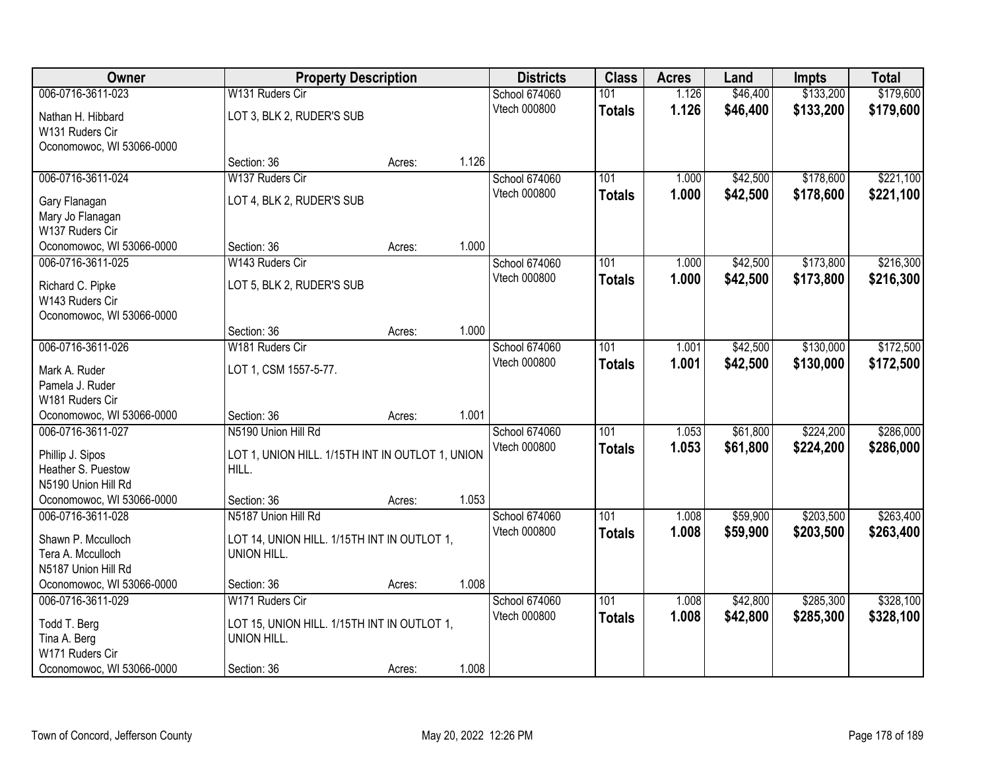| 006-0716-3611-023<br>\$133,200<br>\$179,600<br>W131 Ruders Cir<br>School 674060<br>101<br>1.126<br>\$46,400<br>1.126<br>Vtech 000800<br>\$46,400<br>\$133,200<br>\$179,600<br><b>Totals</b><br>LOT 3, BLK 2, RUDER'S SUB<br>Nathan H. Hibbard<br>W131 Ruders Cir<br>Oconomowoc, WI 53066-0000<br>1.126<br>Section: 36<br>Acres:<br>006-0716-3611-024<br>\$178,600<br>\$221,100<br>W137 Ruders Cir<br>School 674060<br>101<br>\$42,500<br>1.000<br>Vtech 000800<br>1.000<br>\$42,500<br>\$178,600<br>\$221,100<br><b>Totals</b><br>LOT 4, BLK 2, RUDER'S SUB<br>Gary Flanagan<br>Mary Jo Flanagan<br>W137 Ruders Cir<br>1.000<br>Oconomowoc, WI 53066-0000<br>Section: 36<br>Acres:<br>\$173,800<br>\$216,300<br>006-0716-3611-025<br>W143 Ruders Cir<br>School 674060<br>101<br>\$42,500<br>1.000<br>Vtech 000800<br>1.000<br>\$42,500<br>\$173,800<br>\$216,300<br><b>Totals</b><br>LOT 5, BLK 2, RUDER'S SUB<br>Richard C. Pipke<br>W143 Ruders Cir<br>Oconomowoc, WI 53066-0000<br>1.000<br>Section: 36<br>Acres:<br>006-0716-3611-026<br>\$130,000<br>W181 Ruders Cir<br>School 674060<br>101<br>\$42,500<br>1.001<br>Vtech 000800<br>1.001<br>\$42,500<br>\$130,000<br>\$172,500<br><b>Totals</b><br>LOT 1, CSM 1557-5-77.<br>Mark A. Ruder<br>Pamela J. Ruder<br>W181 Ruders Cir<br>1.001<br>Oconomowoc, WI 53066-0000<br>Section: 36<br>Acres:<br>\$224,200<br>\$286,000<br>006-0716-3611-027<br>N5190 Union Hill Rd<br>101<br>\$61,800<br>1.053<br>School 674060<br>Vtech 000800<br>1.053<br>\$286,000<br>\$61,800<br>\$224,200<br><b>Totals</b><br>LOT 1, UNION HILL. 1/15TH INT IN OUTLOT 1, UNION<br>Phillip J. Sipos<br>HILL.<br>Heather S. Puestow<br>N5190 Union Hill Rd<br>1.053<br>Oconomowoc, WI 53066-0000<br>Section: 36<br>Acres:<br>$\overline{101}$<br>\$203,500<br>006-0716-3611-028<br>N5187 Union Hill Rd<br>School 674060<br>\$59,900<br>1.008<br>Vtech 000800<br>1.008<br>\$59,900<br>\$203,500<br><b>Totals</b><br>LOT 14, UNION HILL. 1/15TH INT IN OUTLOT 1,<br>Shawn P. Mcculloch<br>UNION HILL.<br>Tera A. Mcculloch<br>N5187 Union Hill Rd<br>1.008<br>Oconomowoc, WI 53066-0000<br>Section: 36<br>Acres: | Owner             |                 | <b>Property Description</b> | <b>Districts</b> | <b>Class</b> | <b>Acres</b> | Land     | <b>Impts</b> | <b>Total</b> |
|--------------------------------------------------------------------------------------------------------------------------------------------------------------------------------------------------------------------------------------------------------------------------------------------------------------------------------------------------------------------------------------------------------------------------------------------------------------------------------------------------------------------------------------------------------------------------------------------------------------------------------------------------------------------------------------------------------------------------------------------------------------------------------------------------------------------------------------------------------------------------------------------------------------------------------------------------------------------------------------------------------------------------------------------------------------------------------------------------------------------------------------------------------------------------------------------------------------------------------------------------------------------------------------------------------------------------------------------------------------------------------------------------------------------------------------------------------------------------------------------------------------------------------------------------------------------------------------------------------------------------------------------------------------------------------------------------------------------------------------------------------------------------------------------------------------------------------------------------------------------------------------------------------------------------------------------------------------------------------------------------------------------------------------------------------------------------------------------------------------------------------------------|-------------------|-----------------|-----------------------------|------------------|--------------|--------------|----------|--------------|--------------|
|                                                                                                                                                                                                                                                                                                                                                                                                                                                                                                                                                                                                                                                                                                                                                                                                                                                                                                                                                                                                                                                                                                                                                                                                                                                                                                                                                                                                                                                                                                                                                                                                                                                                                                                                                                                                                                                                                                                                                                                                                                                                                                                                            |                   |                 |                             |                  |              |              |          |              |              |
|                                                                                                                                                                                                                                                                                                                                                                                                                                                                                                                                                                                                                                                                                                                                                                                                                                                                                                                                                                                                                                                                                                                                                                                                                                                                                                                                                                                                                                                                                                                                                                                                                                                                                                                                                                                                                                                                                                                                                                                                                                                                                                                                            |                   |                 |                             |                  |              |              |          |              |              |
|                                                                                                                                                                                                                                                                                                                                                                                                                                                                                                                                                                                                                                                                                                                                                                                                                                                                                                                                                                                                                                                                                                                                                                                                                                                                                                                                                                                                                                                                                                                                                                                                                                                                                                                                                                                                                                                                                                                                                                                                                                                                                                                                            |                   |                 |                             |                  |              |              |          |              |              |
|                                                                                                                                                                                                                                                                                                                                                                                                                                                                                                                                                                                                                                                                                                                                                                                                                                                                                                                                                                                                                                                                                                                                                                                                                                                                                                                                                                                                                                                                                                                                                                                                                                                                                                                                                                                                                                                                                                                                                                                                                                                                                                                                            |                   |                 |                             |                  |              |              |          |              |              |
|                                                                                                                                                                                                                                                                                                                                                                                                                                                                                                                                                                                                                                                                                                                                                                                                                                                                                                                                                                                                                                                                                                                                                                                                                                                                                                                                                                                                                                                                                                                                                                                                                                                                                                                                                                                                                                                                                                                                                                                                                                                                                                                                            |                   |                 |                             |                  |              |              |          |              |              |
|                                                                                                                                                                                                                                                                                                                                                                                                                                                                                                                                                                                                                                                                                                                                                                                                                                                                                                                                                                                                                                                                                                                                                                                                                                                                                                                                                                                                                                                                                                                                                                                                                                                                                                                                                                                                                                                                                                                                                                                                                                                                                                                                            |                   |                 |                             |                  |              |              |          |              |              |
|                                                                                                                                                                                                                                                                                                                                                                                                                                                                                                                                                                                                                                                                                                                                                                                                                                                                                                                                                                                                                                                                                                                                                                                                                                                                                                                                                                                                                                                                                                                                                                                                                                                                                                                                                                                                                                                                                                                                                                                                                                                                                                                                            |                   |                 |                             |                  |              |              |          |              |              |
|                                                                                                                                                                                                                                                                                                                                                                                                                                                                                                                                                                                                                                                                                                                                                                                                                                                                                                                                                                                                                                                                                                                                                                                                                                                                                                                                                                                                                                                                                                                                                                                                                                                                                                                                                                                                                                                                                                                                                                                                                                                                                                                                            |                   |                 |                             |                  |              |              |          |              |              |
|                                                                                                                                                                                                                                                                                                                                                                                                                                                                                                                                                                                                                                                                                                                                                                                                                                                                                                                                                                                                                                                                                                                                                                                                                                                                                                                                                                                                                                                                                                                                                                                                                                                                                                                                                                                                                                                                                                                                                                                                                                                                                                                                            |                   |                 |                             |                  |              |              |          |              |              |
|                                                                                                                                                                                                                                                                                                                                                                                                                                                                                                                                                                                                                                                                                                                                                                                                                                                                                                                                                                                                                                                                                                                                                                                                                                                                                                                                                                                                                                                                                                                                                                                                                                                                                                                                                                                                                                                                                                                                                                                                                                                                                                                                            |                   |                 |                             |                  |              |              |          |              |              |
|                                                                                                                                                                                                                                                                                                                                                                                                                                                                                                                                                                                                                                                                                                                                                                                                                                                                                                                                                                                                                                                                                                                                                                                                                                                                                                                                                                                                                                                                                                                                                                                                                                                                                                                                                                                                                                                                                                                                                                                                                                                                                                                                            |                   |                 |                             |                  |              |              |          |              |              |
|                                                                                                                                                                                                                                                                                                                                                                                                                                                                                                                                                                                                                                                                                                                                                                                                                                                                                                                                                                                                                                                                                                                                                                                                                                                                                                                                                                                                                                                                                                                                                                                                                                                                                                                                                                                                                                                                                                                                                                                                                                                                                                                                            |                   |                 |                             |                  |              |              |          |              |              |
|                                                                                                                                                                                                                                                                                                                                                                                                                                                                                                                                                                                                                                                                                                                                                                                                                                                                                                                                                                                                                                                                                                                                                                                                                                                                                                                                                                                                                                                                                                                                                                                                                                                                                                                                                                                                                                                                                                                                                                                                                                                                                                                                            |                   |                 |                             |                  |              |              |          |              |              |
|                                                                                                                                                                                                                                                                                                                                                                                                                                                                                                                                                                                                                                                                                                                                                                                                                                                                                                                                                                                                                                                                                                                                                                                                                                                                                                                                                                                                                                                                                                                                                                                                                                                                                                                                                                                                                                                                                                                                                                                                                                                                                                                                            |                   |                 |                             |                  |              |              |          |              |              |
| \$172,500<br>\$263,400<br>\$263,400                                                                                                                                                                                                                                                                                                                                                                                                                                                                                                                                                                                                                                                                                                                                                                                                                                                                                                                                                                                                                                                                                                                                                                                                                                                                                                                                                                                                                                                                                                                                                                                                                                                                                                                                                                                                                                                                                                                                                                                                                                                                                                        |                   |                 |                             |                  |              |              |          |              |              |
|                                                                                                                                                                                                                                                                                                                                                                                                                                                                                                                                                                                                                                                                                                                                                                                                                                                                                                                                                                                                                                                                                                                                                                                                                                                                                                                                                                                                                                                                                                                                                                                                                                                                                                                                                                                                                                                                                                                                                                                                                                                                                                                                            |                   |                 |                             |                  |              |              |          |              |              |
|                                                                                                                                                                                                                                                                                                                                                                                                                                                                                                                                                                                                                                                                                                                                                                                                                                                                                                                                                                                                                                                                                                                                                                                                                                                                                                                                                                                                                                                                                                                                                                                                                                                                                                                                                                                                                                                                                                                                                                                                                                                                                                                                            |                   |                 |                             |                  |              |              |          |              |              |
|                                                                                                                                                                                                                                                                                                                                                                                                                                                                                                                                                                                                                                                                                                                                                                                                                                                                                                                                                                                                                                                                                                                                                                                                                                                                                                                                                                                                                                                                                                                                                                                                                                                                                                                                                                                                                                                                                                                                                                                                                                                                                                                                            |                   |                 |                             |                  |              |              |          |              |              |
|                                                                                                                                                                                                                                                                                                                                                                                                                                                                                                                                                                                                                                                                                                                                                                                                                                                                                                                                                                                                                                                                                                                                                                                                                                                                                                                                                                                                                                                                                                                                                                                                                                                                                                                                                                                                                                                                                                                                                                                                                                                                                                                                            |                   |                 |                             |                  |              |              |          |              |              |
|                                                                                                                                                                                                                                                                                                                                                                                                                                                                                                                                                                                                                                                                                                                                                                                                                                                                                                                                                                                                                                                                                                                                                                                                                                                                                                                                                                                                                                                                                                                                                                                                                                                                                                                                                                                                                                                                                                                                                                                                                                                                                                                                            |                   |                 |                             |                  |              |              |          |              |              |
|                                                                                                                                                                                                                                                                                                                                                                                                                                                                                                                                                                                                                                                                                                                                                                                                                                                                                                                                                                                                                                                                                                                                                                                                                                                                                                                                                                                                                                                                                                                                                                                                                                                                                                                                                                                                                                                                                                                                                                                                                                                                                                                                            |                   |                 |                             |                  |              |              |          |              |              |
|                                                                                                                                                                                                                                                                                                                                                                                                                                                                                                                                                                                                                                                                                                                                                                                                                                                                                                                                                                                                                                                                                                                                                                                                                                                                                                                                                                                                                                                                                                                                                                                                                                                                                                                                                                                                                                                                                                                                                                                                                                                                                                                                            |                   |                 |                             |                  |              |              |          |              |              |
|                                                                                                                                                                                                                                                                                                                                                                                                                                                                                                                                                                                                                                                                                                                                                                                                                                                                                                                                                                                                                                                                                                                                                                                                                                                                                                                                                                                                                                                                                                                                                                                                                                                                                                                                                                                                                                                                                                                                                                                                                                                                                                                                            |                   |                 |                             |                  |              |              |          |              |              |
|                                                                                                                                                                                                                                                                                                                                                                                                                                                                                                                                                                                                                                                                                                                                                                                                                                                                                                                                                                                                                                                                                                                                                                                                                                                                                                                                                                                                                                                                                                                                                                                                                                                                                                                                                                                                                                                                                                                                                                                                                                                                                                                                            |                   |                 |                             |                  |              |              |          |              |              |
|                                                                                                                                                                                                                                                                                                                                                                                                                                                                                                                                                                                                                                                                                                                                                                                                                                                                                                                                                                                                                                                                                                                                                                                                                                                                                                                                                                                                                                                                                                                                                                                                                                                                                                                                                                                                                                                                                                                                                                                                                                                                                                                                            |                   |                 |                             |                  |              |              |          |              |              |
|                                                                                                                                                                                                                                                                                                                                                                                                                                                                                                                                                                                                                                                                                                                                                                                                                                                                                                                                                                                                                                                                                                                                                                                                                                                                                                                                                                                                                                                                                                                                                                                                                                                                                                                                                                                                                                                                                                                                                                                                                                                                                                                                            |                   |                 |                             |                  |              |              |          |              |              |
|                                                                                                                                                                                                                                                                                                                                                                                                                                                                                                                                                                                                                                                                                                                                                                                                                                                                                                                                                                                                                                                                                                                                                                                                                                                                                                                                                                                                                                                                                                                                                                                                                                                                                                                                                                                                                                                                                                                                                                                                                                                                                                                                            |                   |                 |                             |                  |              |              |          |              |              |
|                                                                                                                                                                                                                                                                                                                                                                                                                                                                                                                                                                                                                                                                                                                                                                                                                                                                                                                                                                                                                                                                                                                                                                                                                                                                                                                                                                                                                                                                                                                                                                                                                                                                                                                                                                                                                                                                                                                                                                                                                                                                                                                                            |                   |                 |                             |                  |              |              |          |              |              |
|                                                                                                                                                                                                                                                                                                                                                                                                                                                                                                                                                                                                                                                                                                                                                                                                                                                                                                                                                                                                                                                                                                                                                                                                                                                                                                                                                                                                                                                                                                                                                                                                                                                                                                                                                                                                                                                                                                                                                                                                                                                                                                                                            |                   |                 |                             |                  |              |              |          |              |              |
|                                                                                                                                                                                                                                                                                                                                                                                                                                                                                                                                                                                                                                                                                                                                                                                                                                                                                                                                                                                                                                                                                                                                                                                                                                                                                                                                                                                                                                                                                                                                                                                                                                                                                                                                                                                                                                                                                                                                                                                                                                                                                                                                            |                   |                 |                             |                  |              |              |          |              |              |
|                                                                                                                                                                                                                                                                                                                                                                                                                                                                                                                                                                                                                                                                                                                                                                                                                                                                                                                                                                                                                                                                                                                                                                                                                                                                                                                                                                                                                                                                                                                                                                                                                                                                                                                                                                                                                                                                                                                                                                                                                                                                                                                                            | 006-0716-3611-029 | W171 Ruders Cir |                             | School 674060    | 101          | 1.008        | \$42,800 | \$285,300    | \$328,100    |
| 1.008<br>\$42,800<br>\$328,100<br>Vtech 000800<br>\$285,300<br><b>Totals</b>                                                                                                                                                                                                                                                                                                                                                                                                                                                                                                                                                                                                                                                                                                                                                                                                                                                                                                                                                                                                                                                                                                                                                                                                                                                                                                                                                                                                                                                                                                                                                                                                                                                                                                                                                                                                                                                                                                                                                                                                                                                               |                   |                 |                             |                  |              |              |          |              |              |
| Todd T. Berg<br>LOT 15, UNION HILL. 1/15TH INT IN OUTLOT 1,                                                                                                                                                                                                                                                                                                                                                                                                                                                                                                                                                                                                                                                                                                                                                                                                                                                                                                                                                                                                                                                                                                                                                                                                                                                                                                                                                                                                                                                                                                                                                                                                                                                                                                                                                                                                                                                                                                                                                                                                                                                                                |                   |                 |                             |                  |              |              |          |              |              |
| UNION HILL.<br>Tina A. Berg<br>W171 Ruders Cir                                                                                                                                                                                                                                                                                                                                                                                                                                                                                                                                                                                                                                                                                                                                                                                                                                                                                                                                                                                                                                                                                                                                                                                                                                                                                                                                                                                                                                                                                                                                                                                                                                                                                                                                                                                                                                                                                                                                                                                                                                                                                             |                   |                 |                             |                  |              |              |          |              |              |
| 1.008<br>Oconomowoc, WI 53066-0000<br>Section: 36<br>Acres:                                                                                                                                                                                                                                                                                                                                                                                                                                                                                                                                                                                                                                                                                                                                                                                                                                                                                                                                                                                                                                                                                                                                                                                                                                                                                                                                                                                                                                                                                                                                                                                                                                                                                                                                                                                                                                                                                                                                                                                                                                                                                |                   |                 |                             |                  |              |              |          |              |              |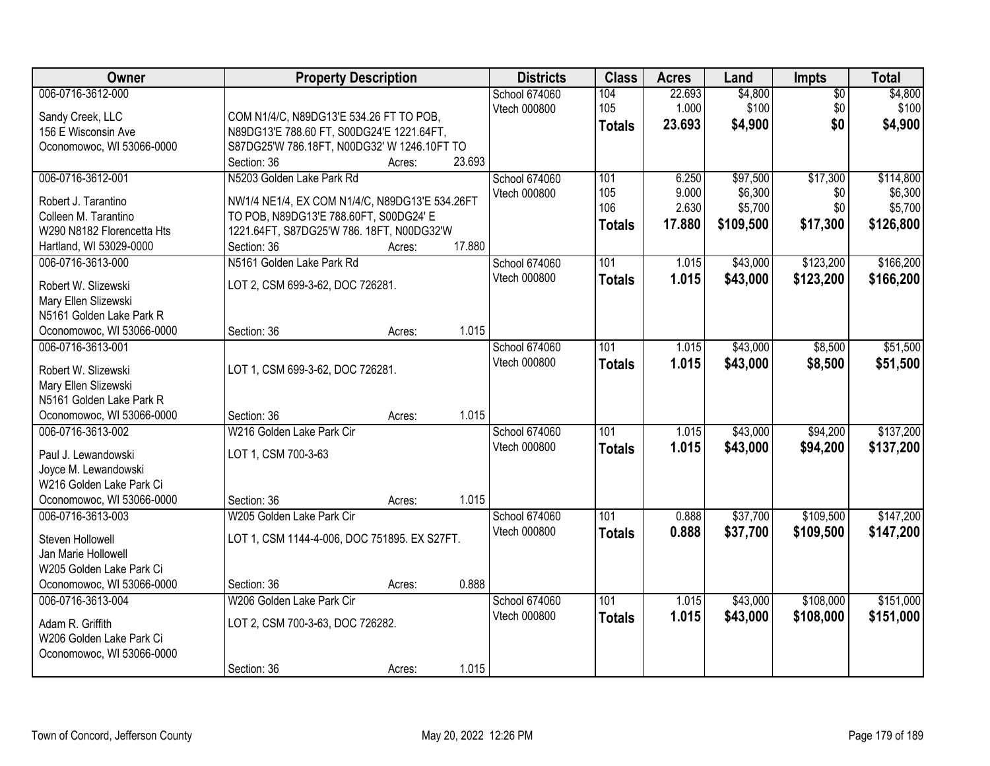| Owner                      |                                                | <b>Property Description</b> |        | <b>Districts</b>     | <b>Class</b>  | <b>Acres</b> | Land      | <b>Impts</b>    | <b>Total</b> |
|----------------------------|------------------------------------------------|-----------------------------|--------|----------------------|---------------|--------------|-----------|-----------------|--------------|
| 006-0716-3612-000          |                                                |                             |        | School 674060        | 104           | 22.693       | \$4,800   | $\overline{50}$ | \$4,800      |
| Sandy Creek, LLC           | COM N1/4/C, N89DG13'E 534.26 FT TO POB,        |                             |        | Vtech 000800         | 105           | 1.000        | \$100     | \$0             | \$100        |
| 156 E Wisconsin Ave        | N89DG13'E 788.60 FT, S00DG24'E 1221.64FT,      |                             |        |                      | <b>Totals</b> | 23.693       | \$4,900   | \$0             | \$4,900      |
| Oconomowoc, WI 53066-0000  | S87DG25'W 786.18FT, N00DG32' W 1246.10FT TO    |                             |        |                      |               |              |           |                 |              |
|                            | Section: 36                                    | Acres:                      | 23.693 |                      |               |              |           |                 |              |
| 006-0716-3612-001          | N5203 Golden Lake Park Rd                      |                             |        | <b>School 674060</b> | 101           | 6.250        | \$97,500  | \$17,300        | \$114,800    |
|                            |                                                |                             |        | Vtech 000800         | 105           | 9.000        | \$6,300   | \$0             | \$6,300      |
| Robert J. Tarantino        | NW1/4 NE1/4, EX COM N1/4/C, N89DG13'E 534.26FT |                             |        |                      | 106           | 2.630        | \$5,700   | \$0             | \$5,700      |
| Colleen M. Tarantino       | TO POB, N89DG13'E 788.60FT, S00DG24' E         |                             |        |                      | <b>Totals</b> | 17.880       | \$109,500 | \$17,300        | \$126,800    |
| W290 N8182 Florencetta Hts | 1221.64FT, S87DG25'W 786. 18FT, N00DG32'W      |                             |        |                      |               |              |           |                 |              |
| Hartland, WI 53029-0000    | Section: 36                                    | Acres:                      | 17.880 |                      |               |              |           |                 |              |
| 006-0716-3613-000          | N5161 Golden Lake Park Rd                      |                             |        | School 674060        | 101           | 1.015        | \$43,000  | \$123,200       | \$166,200    |
| Robert W. Slizewski        | LOT 2, CSM 699-3-62, DOC 726281.               |                             |        | Vtech 000800         | <b>Totals</b> | 1.015        | \$43,000  | \$123,200       | \$166,200    |
| Mary Ellen Slizewski       |                                                |                             |        |                      |               |              |           |                 |              |
| N5161 Golden Lake Park R   |                                                |                             |        |                      |               |              |           |                 |              |
| Oconomowoc, WI 53066-0000  | Section: 36                                    | Acres:                      | 1.015  |                      |               |              |           |                 |              |
| 006-0716-3613-001          |                                                |                             |        | School 674060        | 101           | 1.015        | \$43,000  | \$8,500         | \$51,500     |
|                            |                                                |                             |        | Vtech 000800         | <b>Totals</b> | 1.015        | \$43,000  | \$8,500         | \$51,500     |
| Robert W. Slizewski        | LOT 1, CSM 699-3-62, DOC 726281.               |                             |        |                      |               |              |           |                 |              |
| Mary Ellen Slizewski       |                                                |                             |        |                      |               |              |           |                 |              |
| N5161 Golden Lake Park R   |                                                |                             |        |                      |               |              |           |                 |              |
| Oconomowoc, WI 53066-0000  | Section: 36                                    | Acres:                      | 1.015  |                      |               |              |           |                 |              |
| 006-0716-3613-002          | W216 Golden Lake Park Cir                      |                             |        | School 674060        | 101           | 1.015        | \$43,000  | \$94,200        | \$137,200    |
| Paul J. Lewandowski        | LOT 1, CSM 700-3-63                            |                             |        | Vtech 000800         | <b>Totals</b> | 1.015        | \$43,000  | \$94,200        | \$137,200    |
| Joyce M. Lewandowski       |                                                |                             |        |                      |               |              |           |                 |              |
| W216 Golden Lake Park Ci   |                                                |                             |        |                      |               |              |           |                 |              |
| Oconomowoc, WI 53066-0000  | Section: 36                                    | Acres:                      | 1.015  |                      |               |              |           |                 |              |
| 006-0716-3613-003          | W205 Golden Lake Park Cir                      |                             |        | School 674060        | 101           | 0.888        | \$37,700  | \$109,500       | \$147,200    |
|                            |                                                |                             |        | Vtech 000800         | <b>Totals</b> | 0.888        | \$37,700  | \$109,500       | \$147,200    |
| Steven Hollowell           | LOT 1, CSM 1144-4-006, DOC 751895. EX S27FT.   |                             |        |                      |               |              |           |                 |              |
| Jan Marie Hollowell        |                                                |                             |        |                      |               |              |           |                 |              |
| W205 Golden Lake Park Ci   |                                                |                             |        |                      |               |              |           |                 |              |
| Oconomowoc, WI 53066-0000  | Section: 36                                    | Acres:                      | 0.888  |                      |               |              |           |                 |              |
| 006-0716-3613-004          | W206 Golden Lake Park Cir                      |                             |        | School 674060        | 101           | 1.015        | \$43,000  | \$108,000       | \$151,000    |
| Adam R. Griffith           | LOT 2, CSM 700-3-63, DOC 726282.               |                             |        | Vtech 000800         | <b>Totals</b> | 1.015        | \$43,000  | \$108,000       | \$151,000    |
| W206 Golden Lake Park Ci   |                                                |                             |        |                      |               |              |           |                 |              |
| Oconomowoc, WI 53066-0000  |                                                |                             |        |                      |               |              |           |                 |              |
|                            | Section: 36                                    | Acres:                      | 1.015  |                      |               |              |           |                 |              |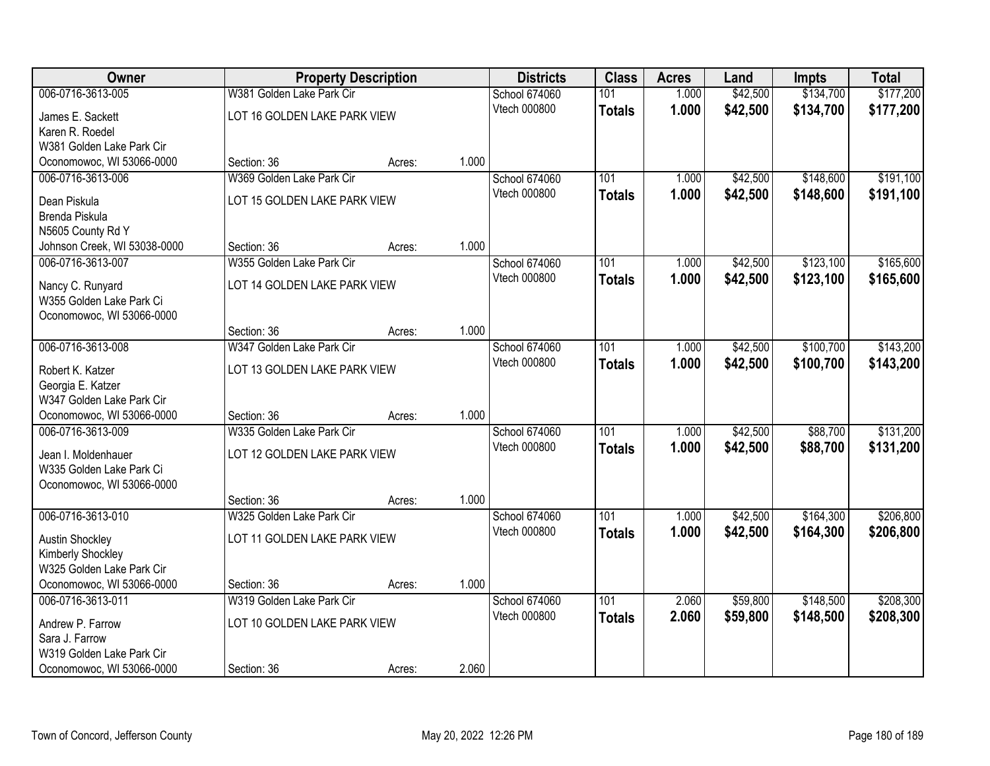| Owner                        |                              | <b>Property Description</b> |       | <b>Districts</b>     | <b>Class</b>     | <b>Acres</b> | Land     | <b>Impts</b> | <b>Total</b> |
|------------------------------|------------------------------|-----------------------------|-------|----------------------|------------------|--------------|----------|--------------|--------------|
| 006-0716-3613-005            | W381 Golden Lake Park Cir    |                             |       | <b>School 674060</b> | 101              | 1.000        | \$42,500 | \$134,700    | \$177,200    |
| James E. Sackett             | LOT 16 GOLDEN LAKE PARK VIEW |                             |       | Vtech 000800         | <b>Totals</b>    | 1.000        | \$42,500 | \$134,700    | \$177,200    |
| Karen R. Roedel              |                              |                             |       |                      |                  |              |          |              |              |
| W381 Golden Lake Park Cir    |                              |                             |       |                      |                  |              |          |              |              |
| Oconomowoc, WI 53066-0000    | Section: 36                  | Acres:                      | 1.000 |                      |                  |              |          |              |              |
| 006-0716-3613-006            | W369 Golden Lake Park Cir    |                             |       | School 674060        | 101              | 1.000        | \$42,500 | \$148,600    | \$191,100    |
| Dean Piskula                 | LOT 15 GOLDEN LAKE PARK VIEW |                             |       | Vtech 000800         | <b>Totals</b>    | 1.000        | \$42,500 | \$148,600    | \$191,100    |
| Brenda Piskula               |                              |                             |       |                      |                  |              |          |              |              |
| N5605 County Rd Y            |                              |                             |       |                      |                  |              |          |              |              |
| Johnson Creek, WI 53038-0000 | Section: 36                  | Acres:                      | 1.000 |                      |                  |              |          |              |              |
| 006-0716-3613-007            | W355 Golden Lake Park Cir    |                             |       | School 674060        | 101              | 1.000        | \$42,500 | \$123,100    | \$165,600    |
| Nancy C. Runyard             | LOT 14 GOLDEN LAKE PARK VIEW |                             |       | Vtech 000800         | <b>Totals</b>    | 1.000        | \$42,500 | \$123,100    | \$165,600    |
| W355 Golden Lake Park Ci     |                              |                             |       |                      |                  |              |          |              |              |
| Oconomowoc, WI 53066-0000    |                              |                             |       |                      |                  |              |          |              |              |
|                              | Section: 36                  | Acres:                      | 1.000 |                      |                  |              |          |              |              |
| 006-0716-3613-008            | W347 Golden Lake Park Cir    |                             |       | School 674060        | 101              | 1.000        | \$42,500 | \$100,700    | \$143,200    |
| Robert K. Katzer             | LOT 13 GOLDEN LAKE PARK VIEW |                             |       | Vtech 000800         | <b>Totals</b>    | 1.000        | \$42,500 | \$100,700    | \$143,200    |
| Georgia E. Katzer            |                              |                             |       |                      |                  |              |          |              |              |
| W347 Golden Lake Park Cir    |                              |                             |       |                      |                  |              |          |              |              |
| Oconomowoc, WI 53066-0000    | Section: 36                  | Acres:                      | 1.000 |                      |                  |              |          |              |              |
| 006-0716-3613-009            | W335 Golden Lake Park Cir    |                             |       | School 674060        | 101              | 1.000        | \$42,500 | \$88,700     | \$131,200    |
| Jean I. Moldenhauer          | LOT 12 GOLDEN LAKE PARK VIEW |                             |       | Vtech 000800         | <b>Totals</b>    | 1.000        | \$42,500 | \$88,700     | \$131,200    |
| W335 Golden Lake Park Ci     |                              |                             |       |                      |                  |              |          |              |              |
| Oconomowoc, WI 53066-0000    |                              |                             |       |                      |                  |              |          |              |              |
|                              | Section: 36                  | Acres:                      | 1.000 |                      |                  |              |          |              |              |
| 006-0716-3613-010            | W325 Golden Lake Park Cir    |                             |       | School 674060        | 101              | 1.000        | \$42,500 | \$164,300    | \$206,800    |
| <b>Austin Shockley</b>       | LOT 11 GOLDEN LAKE PARK VIEW |                             |       | Vtech 000800         | <b>Totals</b>    | 1.000        | \$42,500 | \$164,300    | \$206,800    |
| Kimberly Shockley            |                              |                             |       |                      |                  |              |          |              |              |
| W325 Golden Lake Park Cir    |                              |                             |       |                      |                  |              |          |              |              |
| Oconomowoc, WI 53066-0000    | Section: 36                  | Acres:                      | 1.000 |                      |                  |              |          |              |              |
| 006-0716-3613-011            | W319 Golden Lake Park Cir    |                             |       | School 674060        | $\overline{101}$ | 2.060        | \$59,800 | \$148,500    | \$208,300    |
| Andrew P. Farrow             | LOT 10 GOLDEN LAKE PARK VIEW |                             |       | Vtech 000800         | <b>Totals</b>    | 2.060        | \$59,800 | \$148,500    | \$208,300    |
| Sara J. Farrow               |                              |                             |       |                      |                  |              |          |              |              |
| W319 Golden Lake Park Cir    |                              |                             |       |                      |                  |              |          |              |              |
| Oconomowoc, WI 53066-0000    | Section: 36                  | Acres:                      | 2.060 |                      |                  |              |          |              |              |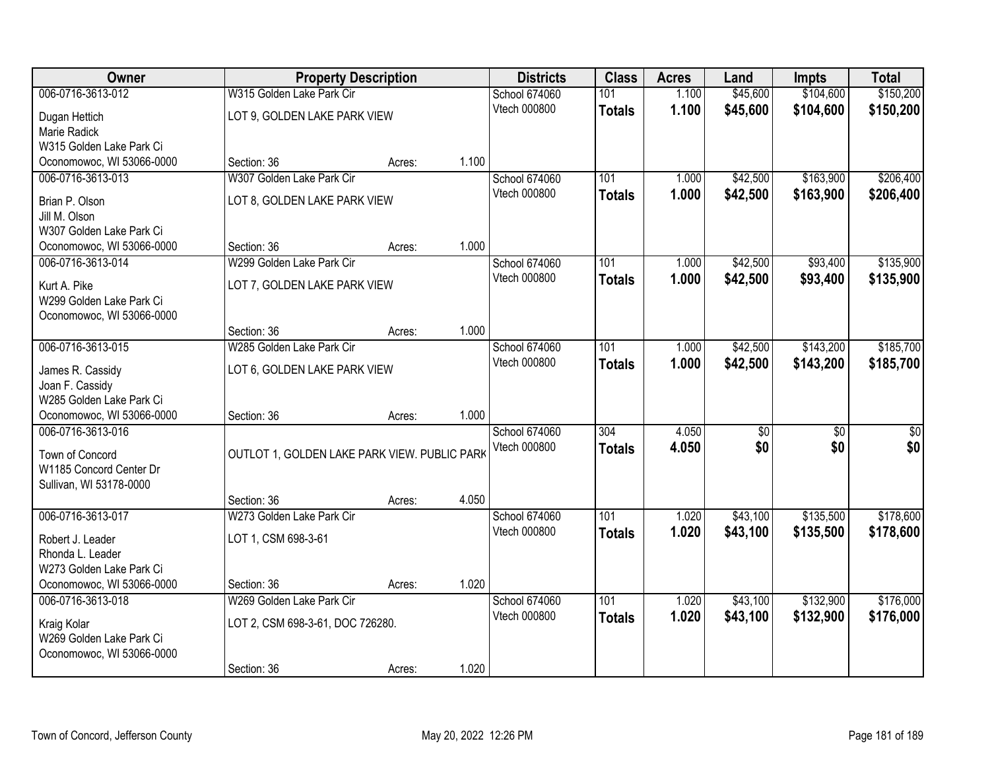| Owner                     |                                              | <b>Property Description</b> |       | <b>Districts</b>    | <b>Class</b>     | <b>Acres</b> | Land            | <b>Impts</b>    | <b>Total</b>    |
|---------------------------|----------------------------------------------|-----------------------------|-------|---------------------|------------------|--------------|-----------------|-----------------|-----------------|
| 006-0716-3613-012         | W315 Golden Lake Park Cir                    |                             |       | School 674060       | 101              | 1.100        | \$45,600        | \$104,600       | \$150,200       |
| Dugan Hettich             | LOT 9, GOLDEN LAKE PARK VIEW                 |                             |       | Vtech 000800        | <b>Totals</b>    | 1.100        | \$45,600        | \$104,600       | \$150,200       |
| Marie Radick              |                                              |                             |       |                     |                  |              |                 |                 |                 |
| W315 Golden Lake Park Ci  |                                              |                             |       |                     |                  |              |                 |                 |                 |
| Oconomowoc, WI 53066-0000 | Section: 36                                  | Acres:                      | 1.100 |                     |                  |              |                 |                 |                 |
| 006-0716-3613-013         | W307 Golden Lake Park Cir                    |                             |       | School 674060       | 101              | 1.000        | \$42,500        | \$163,900       | \$206,400       |
| Brian P. Olson            | LOT 8, GOLDEN LAKE PARK VIEW                 |                             |       | Vtech 000800        | <b>Totals</b>    | 1.000        | \$42,500        | \$163,900       | \$206,400       |
| Jill M. Olson             |                                              |                             |       |                     |                  |              |                 |                 |                 |
| W307 Golden Lake Park Ci  |                                              |                             |       |                     |                  |              |                 |                 |                 |
| Oconomowoc, WI 53066-0000 | Section: 36                                  | Acres:                      | 1.000 |                     |                  |              |                 |                 |                 |
| 006-0716-3613-014         | W299 Golden Lake Park Cir                    |                             |       | School 674060       | 101              | 1.000        | \$42,500        | \$93,400        | \$135,900       |
| Kurt A. Pike              | LOT 7, GOLDEN LAKE PARK VIEW                 |                             |       | Vtech 000800        | <b>Totals</b>    | 1.000        | \$42,500        | \$93,400        | \$135,900       |
| W299 Golden Lake Park Ci  |                                              |                             |       |                     |                  |              |                 |                 |                 |
| Oconomowoc, WI 53066-0000 |                                              |                             |       |                     |                  |              |                 |                 |                 |
|                           | Section: 36                                  | Acres:                      | 1.000 |                     |                  |              |                 |                 |                 |
| 006-0716-3613-015         | W285 Golden Lake Park Cir                    |                             |       | School 674060       | 101              | 1.000        | \$42,500        | \$143,200       | \$185,700       |
| James R. Cassidy          | LOT 6, GOLDEN LAKE PARK VIEW                 |                             |       | <b>Vtech 000800</b> | <b>Totals</b>    | 1.000        | \$42,500        | \$143,200       | \$185,700       |
| Joan F. Cassidy           |                                              |                             |       |                     |                  |              |                 |                 |                 |
| W285 Golden Lake Park Ci  |                                              |                             |       |                     |                  |              |                 |                 |                 |
| Oconomowoc, WI 53066-0000 | Section: 36                                  | Acres:                      | 1.000 |                     |                  |              |                 |                 |                 |
| 006-0716-3613-016         |                                              |                             |       | School 674060       | $\overline{304}$ | 4.050        | $\overline{50}$ | $\overline{50}$ | $\overline{50}$ |
| Town of Concord           | OUTLOT 1, GOLDEN LAKE PARK VIEW. PUBLIC PARK |                             |       | Vtech 000800        | <b>Totals</b>    | 4.050        | \$0             | \$0             | \$0             |
| W1185 Concord Center Dr   |                                              |                             |       |                     |                  |              |                 |                 |                 |
| Sullivan, WI 53178-0000   |                                              |                             |       |                     |                  |              |                 |                 |                 |
|                           | Section: 36                                  | Acres:                      | 4.050 |                     |                  |              |                 |                 |                 |
| 006-0716-3613-017         | W273 Golden Lake Park Cir                    |                             |       | School 674060       | 101              | 1.020        | \$43,100        | \$135,500       | \$178,600       |
| Robert J. Leader          | LOT 1, CSM 698-3-61                          |                             |       | Vtech 000800        | <b>Totals</b>    | 1.020        | \$43,100        | \$135,500       | \$178,600       |
| Rhonda L. Leader          |                                              |                             |       |                     |                  |              |                 |                 |                 |
| W273 Golden Lake Park Ci  |                                              |                             |       |                     |                  |              |                 |                 |                 |
| Oconomowoc, WI 53066-0000 | Section: 36                                  | Acres:                      | 1.020 |                     |                  |              |                 |                 |                 |
| 006-0716-3613-018         | W269 Golden Lake Park Cir                    |                             |       | School 674060       | 101              | 1.020        | \$43,100        | \$132,900       | \$176,000       |
| Kraig Kolar               | LOT 2, CSM 698-3-61, DOC 726280.             |                             |       | Vtech 000800        | <b>Totals</b>    | 1.020        | \$43,100        | \$132,900       | \$176,000       |
| W269 Golden Lake Park Ci  |                                              |                             |       |                     |                  |              |                 |                 |                 |
| Oconomowoc, WI 53066-0000 |                                              |                             |       |                     |                  |              |                 |                 |                 |
|                           | Section: 36                                  | Acres:                      | 1.020 |                     |                  |              |                 |                 |                 |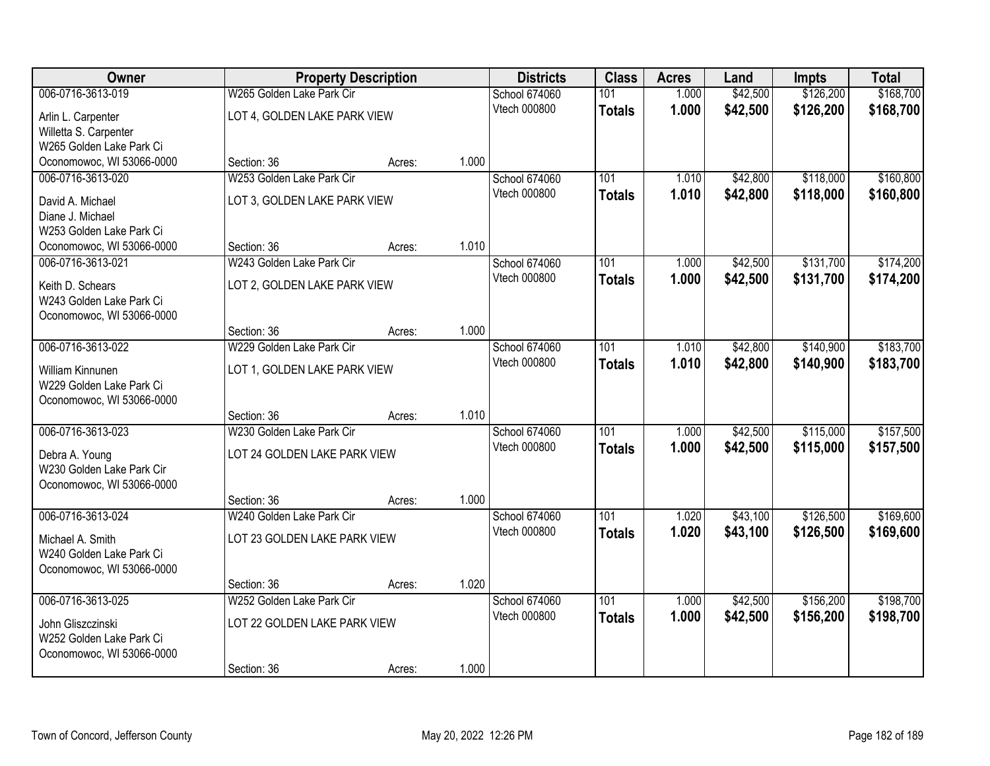| Owner                     |                              | <b>Property Description</b>  |       | <b>Districts</b> | <b>Class</b>     | <b>Acres</b> | Land     | <b>Impts</b> | <b>Total</b> |
|---------------------------|------------------------------|------------------------------|-------|------------------|------------------|--------------|----------|--------------|--------------|
| 006-0716-3613-019         | W265 Golden Lake Park Cir    |                              |       | School 674060    | 101              | 1.000        | \$42,500 | \$126,200    | \$168,700    |
| Arlin L. Carpenter        | LOT 4, GOLDEN LAKE PARK VIEW |                              |       | Vtech 000800     | <b>Totals</b>    | 1.000        | \$42,500 | \$126,200    | \$168,700    |
| Willetta S. Carpenter     |                              |                              |       |                  |                  |              |          |              |              |
| W265 Golden Lake Park Ci  |                              |                              |       |                  |                  |              |          |              |              |
| Oconomowoc, WI 53066-0000 | Section: 36                  | Acres:                       | 1.000 |                  |                  |              |          |              |              |
| 006-0716-3613-020         | W253 Golden Lake Park Cir    |                              |       | School 674060    | 101              | 1.010        | \$42,800 | \$118,000    | \$160,800    |
| David A. Michael          | LOT 3, GOLDEN LAKE PARK VIEW |                              |       | Vtech 000800     | <b>Totals</b>    | 1.010        | \$42,800 | \$118,000    | \$160,800    |
| Diane J. Michael          |                              |                              |       |                  |                  |              |          |              |              |
| W253 Golden Lake Park Ci  |                              |                              |       |                  |                  |              |          |              |              |
| Oconomowoc, WI 53066-0000 | Section: 36                  | Acres:                       | 1.010 |                  |                  |              |          |              |              |
| 006-0716-3613-021         | W243 Golden Lake Park Cir    |                              |       | School 674060    | 101              | 1.000        | \$42,500 | \$131,700    | \$174,200    |
| Keith D. Schears          | LOT 2, GOLDEN LAKE PARK VIEW |                              |       | Vtech 000800     | <b>Totals</b>    | 1.000        | \$42,500 | \$131,700    | \$174,200    |
| W243 Golden Lake Park Ci  |                              |                              |       |                  |                  |              |          |              |              |
| Oconomowoc, WI 53066-0000 |                              |                              |       |                  |                  |              |          |              |              |
|                           | Section: 36                  | Acres:                       | 1.000 |                  |                  |              |          |              |              |
| 006-0716-3613-022         | W229 Golden Lake Park Cir    |                              |       | School 674060    | 101              | 1.010        | \$42,800 | \$140,900    | \$183,700    |
| William Kinnunen          |                              | LOT 1, GOLDEN LAKE PARK VIEW |       | Vtech 000800     | <b>Totals</b>    | 1.010        | \$42,800 | \$140,900    | \$183,700    |
| W229 Golden Lake Park Ci  |                              |                              |       |                  |                  |              |          |              |              |
| Oconomowoc, WI 53066-0000 |                              |                              |       |                  |                  |              |          |              |              |
|                           | Section: 36                  | Acres:                       | 1.010 |                  |                  |              |          |              |              |
| 006-0716-3613-023         | W230 Golden Lake Park Cir    |                              |       | School 674060    | 101              | 1.000        | \$42,500 | \$115,000    | \$157,500    |
| Debra A. Young            | LOT 24 GOLDEN LAKE PARK VIEW |                              |       | Vtech 000800     | <b>Totals</b>    | 1.000        | \$42,500 | \$115,000    | \$157,500    |
| W230 Golden Lake Park Cir |                              |                              |       |                  |                  |              |          |              |              |
| Oconomowoc, WI 53066-0000 |                              |                              |       |                  |                  |              |          |              |              |
|                           | Section: 36                  | Acres:                       | 1.000 |                  |                  |              |          |              |              |
| 006-0716-3613-024         | W240 Golden Lake Park Cir    |                              |       | School 674060    | 101              | 1.020        | \$43,100 | \$126,500    | \$169,600    |
| Michael A. Smith          | LOT 23 GOLDEN LAKE PARK VIEW |                              |       | Vtech 000800     | <b>Totals</b>    | 1.020        | \$43,100 | \$126,500    | \$169,600    |
| W240 Golden Lake Park Ci  |                              |                              |       |                  |                  |              |          |              |              |
| Oconomowoc, WI 53066-0000 |                              |                              |       |                  |                  |              |          |              |              |
|                           | Section: 36                  | Acres:                       | 1.020 |                  |                  |              |          |              |              |
| 006-0716-3613-025         | W252 Golden Lake Park Cir    |                              |       | School 674060    | $\overline{101}$ | 1.000        | \$42,500 | \$156,200    | \$198,700    |
| John Gliszczinski         | LOT 22 GOLDEN LAKE PARK VIEW |                              |       | Vtech 000800     | <b>Totals</b>    | 1.000        | \$42,500 | \$156,200    | \$198,700    |
| W252 Golden Lake Park Ci  |                              |                              |       |                  |                  |              |          |              |              |
| Oconomowoc, WI 53066-0000 |                              |                              |       |                  |                  |              |          |              |              |
|                           | Section: 36                  | Acres:                       | 1.000 |                  |                  |              |          |              |              |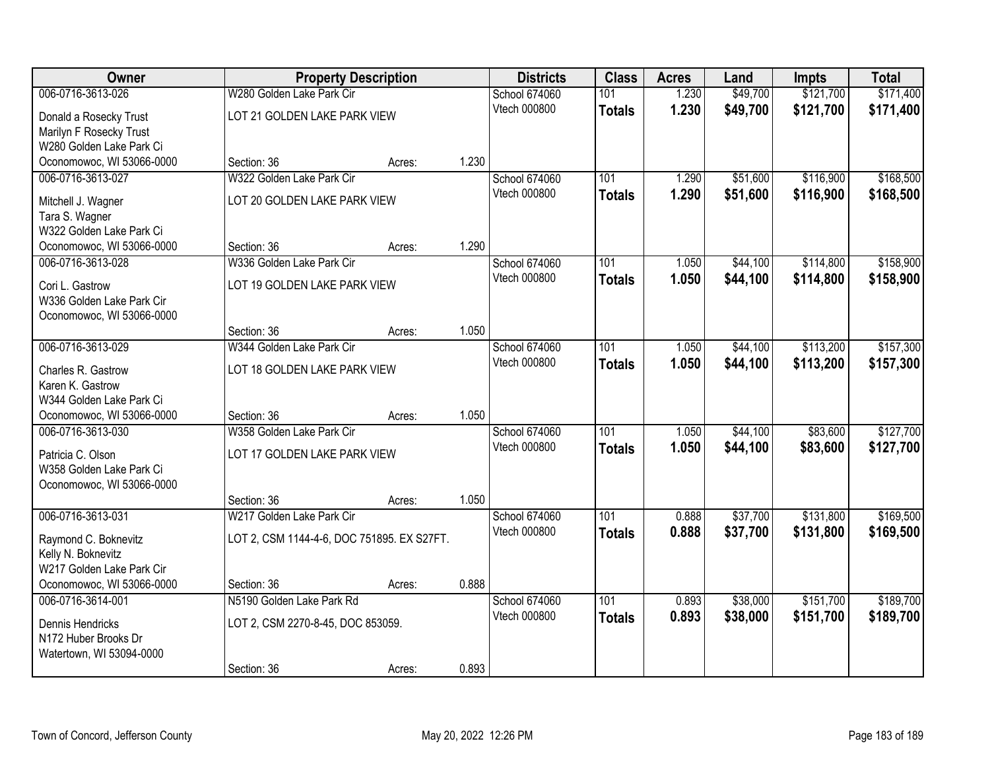| Owner                     |                                            | <b>Property Description</b> |       | <b>Districts</b> | <b>Class</b>  | <b>Acres</b> | Land     | <b>Impts</b> | <b>Total</b> |
|---------------------------|--------------------------------------------|-----------------------------|-------|------------------|---------------|--------------|----------|--------------|--------------|
| 006-0716-3613-026         | W280 Golden Lake Park Cir                  |                             |       | School 674060    | 101           | 1.230        | \$49,700 | \$121,700    | \$171,400    |
| Donald a Rosecky Trust    | LOT 21 GOLDEN LAKE PARK VIEW               |                             |       | Vtech 000800     | <b>Totals</b> | 1.230        | \$49,700 | \$121,700    | \$171,400    |
| Marilyn F Rosecky Trust   |                                            |                             |       |                  |               |              |          |              |              |
| W280 Golden Lake Park Ci  |                                            |                             |       |                  |               |              |          |              |              |
| Oconomowoc, WI 53066-0000 | Section: 36                                | Acres:                      | 1.230 |                  |               |              |          |              |              |
| 006-0716-3613-027         | W322 Golden Lake Park Cir                  |                             |       | School 674060    | 101           | 1.290        | \$51,600 | \$116,900    | \$168,500    |
| Mitchell J. Wagner        | LOT 20 GOLDEN LAKE PARK VIEW               |                             |       | Vtech 000800     | <b>Totals</b> | 1.290        | \$51,600 | \$116,900    | \$168,500    |
| Tara S. Wagner            |                                            |                             |       |                  |               |              |          |              |              |
| W322 Golden Lake Park Ci  |                                            |                             |       |                  |               |              |          |              |              |
| Oconomowoc, WI 53066-0000 | Section: 36                                | Acres:                      | 1.290 |                  |               |              |          |              |              |
| 006-0716-3613-028         | W336 Golden Lake Park Cir                  |                             |       | School 674060    | 101           | 1.050        | \$44,100 | \$114,800    | \$158,900    |
| Cori L. Gastrow           | LOT 19 GOLDEN LAKE PARK VIEW               |                             |       | Vtech 000800     | <b>Totals</b> | 1.050        | \$44,100 | \$114,800    | \$158,900    |
| W336 Golden Lake Park Cir |                                            |                             |       |                  |               |              |          |              |              |
| Oconomowoc, WI 53066-0000 |                                            |                             |       |                  |               |              |          |              |              |
|                           | Section: 36                                | Acres:                      | 1.050 |                  |               |              |          |              |              |
| 006-0716-3613-029         | W344 Golden Lake Park Cir                  |                             |       | School 674060    | 101           | 1.050        | \$44,100 | \$113,200    | \$157,300    |
| Charles R. Gastrow        | LOT 18 GOLDEN LAKE PARK VIEW               |                             |       | Vtech 000800     | <b>Totals</b> | 1.050        | \$44,100 | \$113,200    | \$157,300    |
| Karen K. Gastrow          |                                            |                             |       |                  |               |              |          |              |              |
| W344 Golden Lake Park Ci  |                                            |                             |       |                  |               |              |          |              |              |
| Oconomowoc, WI 53066-0000 | Section: 36                                | Acres:                      | 1.050 |                  |               |              |          |              |              |
| 006-0716-3613-030         | W358 Golden Lake Park Cir                  |                             |       | School 674060    | 101           | 1.050        | \$44,100 | \$83,600     | \$127,700    |
| Patricia C. Olson         | LOT 17 GOLDEN LAKE PARK VIEW               |                             |       | Vtech 000800     | <b>Totals</b> | 1.050        | \$44,100 | \$83,600     | \$127,700    |
| W358 Golden Lake Park Ci  |                                            |                             |       |                  |               |              |          |              |              |
| Oconomowoc, WI 53066-0000 |                                            |                             |       |                  |               |              |          |              |              |
|                           | Section: 36                                | Acres:                      | 1.050 |                  |               |              |          |              |              |
| 006-0716-3613-031         | W217 Golden Lake Park Cir                  |                             |       | School 674060    | 101           | 0.888        | \$37,700 | \$131,800    | \$169,500    |
| Raymond C. Boknevitz      | LOT 2, CSM 1144-4-6, DOC 751895. EX S27FT. |                             |       | Vtech 000800     | <b>Totals</b> | 0.888        | \$37,700 | \$131,800    | \$169,500    |
| Kelly N. Boknevitz        |                                            |                             |       |                  |               |              |          |              |              |
| W217 Golden Lake Park Cir |                                            |                             |       |                  |               |              |          |              |              |
| Oconomowoc, WI 53066-0000 | Section: 36                                | Acres:                      | 0.888 |                  |               |              |          |              |              |
| 006-0716-3614-001         | N5190 Golden Lake Park Rd                  |                             |       | School 674060    | 101           | 0.893        | \$38,000 | \$151,700    | \$189,700    |
| Dennis Hendricks          | LOT 2, CSM 2270-8-45, DOC 853059.          |                             |       | Vtech 000800     | <b>Totals</b> | 0.893        | \$38,000 | \$151,700    | \$189,700    |
| N172 Huber Brooks Dr      |                                            |                             |       |                  |               |              |          |              |              |
| Watertown, WI 53094-0000  |                                            |                             |       |                  |               |              |          |              |              |
|                           | Section: 36                                | Acres:                      | 0.893 |                  |               |              |          |              |              |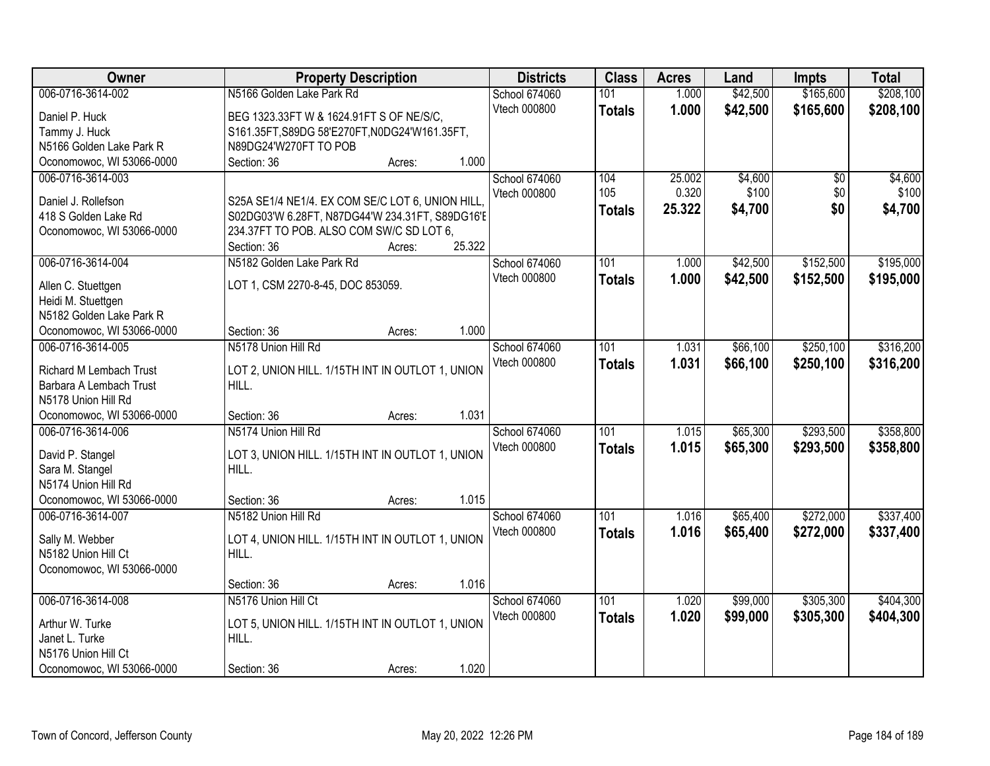| Owner                     | <b>Property Description</b>                                                                 | <b>Districts</b> | <b>Class</b>  | <b>Acres</b> | Land     | <b>Impts</b> | <b>Total</b> |
|---------------------------|---------------------------------------------------------------------------------------------|------------------|---------------|--------------|----------|--------------|--------------|
| 006-0716-3614-002         | N5166 Golden Lake Park Rd                                                                   | School 674060    | 101           | 1.000        | \$42,500 | \$165,600    | \$208,100    |
| Daniel P. Huck            | BEG 1323.33FT W & 1624.91FT S OF NE/S/C,                                                    | Vtech 000800     | <b>Totals</b> | 1.000        | \$42,500 | \$165,600    | \$208,100    |
| Tammy J. Huck             | S161.35FT, S89DG 58'E270FT, N0DG24'W161.35FT,                                               |                  |               |              |          |              |              |
| N5166 Golden Lake Park R  | N89DG24'W270FT TO POB                                                                       |                  |               |              |          |              |              |
| Oconomowoc, WI 53066-0000 | 1.000<br>Section: 36<br>Acres:                                                              |                  |               |              |          |              |              |
| 006-0716-3614-003         |                                                                                             | School 674060    | 104           | 25.002       | \$4,600  | \$0          | \$4,600      |
|                           |                                                                                             | Vtech 000800     | 105           | 0.320        | \$100    | \$0          | \$100        |
| Daniel J. Rollefson       | S25A SE1/4 NE1/4. EX COM SE/C LOT 6, UNION HILL                                             |                  | <b>Totals</b> | 25.322       | \$4,700  | \$0          | \$4,700      |
| 418 S Golden Lake Rd      | S02DG03'W 6.28FT, N87DG44'W 234.31FT, S89DG16'E<br>234.37FT TO POB. ALSO COM SW/C SD LOT 6, |                  |               |              |          |              |              |
| Oconomowoc, WI 53066-0000 | 25.322<br>Section: 36<br>Acres:                                                             |                  |               |              |          |              |              |
| 006-0716-3614-004         | N5182 Golden Lake Park Rd                                                                   | School 674060    | 101           | 1.000        | \$42,500 | \$152,500    | \$195,000    |
|                           |                                                                                             | Vtech 000800     |               |              |          |              |              |
| Allen C. Stuettgen        | LOT 1, CSM 2270-8-45, DOC 853059.                                                           |                  | <b>Totals</b> | 1.000        | \$42,500 | \$152,500    | \$195,000    |
| Heidi M. Stuettgen        |                                                                                             |                  |               |              |          |              |              |
| N5182 Golden Lake Park R  |                                                                                             |                  |               |              |          |              |              |
| Oconomowoc, WI 53066-0000 | 1.000<br>Section: 36<br>Acres:                                                              |                  |               |              |          |              |              |
| 006-0716-3614-005         | N5178 Union Hill Rd                                                                         | School 674060    | 101           | 1.031        | \$66,100 | \$250,100    | \$316,200    |
| Richard M Lembach Trust   | LOT 2, UNION HILL. 1/15TH INT IN OUTLOT 1, UNION                                            | Vtech 000800     | <b>Totals</b> | 1.031        | \$66,100 | \$250,100    | \$316,200    |
| Barbara A Lembach Trust   | HILL.                                                                                       |                  |               |              |          |              |              |
| N5178 Union Hill Rd       |                                                                                             |                  |               |              |          |              |              |
| Oconomowoc, WI 53066-0000 | 1.031<br>Section: 36<br>Acres:                                                              |                  |               |              |          |              |              |
| 006-0716-3614-006         | N5174 Union Hill Rd                                                                         | School 674060    | 101           | 1.015        | \$65,300 | \$293,500    | \$358,800    |
|                           |                                                                                             | Vtech 000800     | <b>Totals</b> | 1.015        | \$65,300 | \$293,500    | \$358,800    |
| David P. Stangel          | LOT 3, UNION HILL. 1/15TH INT IN OUTLOT 1, UNION                                            |                  |               |              |          |              |              |
| Sara M. Stangel           | HILL.                                                                                       |                  |               |              |          |              |              |
| N5174 Union Hill Rd       |                                                                                             |                  |               |              |          |              |              |
| Oconomowoc, WI 53066-0000 | 1.015<br>Section: 36<br>Acres:                                                              |                  |               |              |          |              |              |
| 006-0716-3614-007         | N5182 Union Hill Rd                                                                         | School 674060    | 101           | 1.016        | \$65,400 | \$272,000    | \$337,400    |
| Sally M. Webber           | LOT 4, UNION HILL. 1/15TH INT IN OUTLOT 1, UNION                                            | Vtech 000800     | <b>Totals</b> | 1.016        | \$65,400 | \$272,000    | \$337,400    |
| N5182 Union Hill Ct       | HILL.                                                                                       |                  |               |              |          |              |              |
| Oconomowoc, WI 53066-0000 |                                                                                             |                  |               |              |          |              |              |
|                           | 1.016<br>Section: 36<br>Acres:                                                              |                  |               |              |          |              |              |
| 006-0716-3614-008         | N5176 Union Hill Ct                                                                         | School 674060    | 101           | 1.020        | \$99,000 | \$305,300    | \$404,300    |
| Arthur W. Turke           | LOT 5, UNION HILL. 1/15TH INT IN OUTLOT 1, UNION                                            | Vtech 000800     | <b>Totals</b> | 1.020        | \$99,000 | \$305,300    | \$404,300    |
| Janet L. Turke            | HILL.                                                                                       |                  |               |              |          |              |              |
| N5176 Union Hill Ct       |                                                                                             |                  |               |              |          |              |              |
| Oconomowoc, WI 53066-0000 | 1.020<br>Section: 36<br>Acres:                                                              |                  |               |              |          |              |              |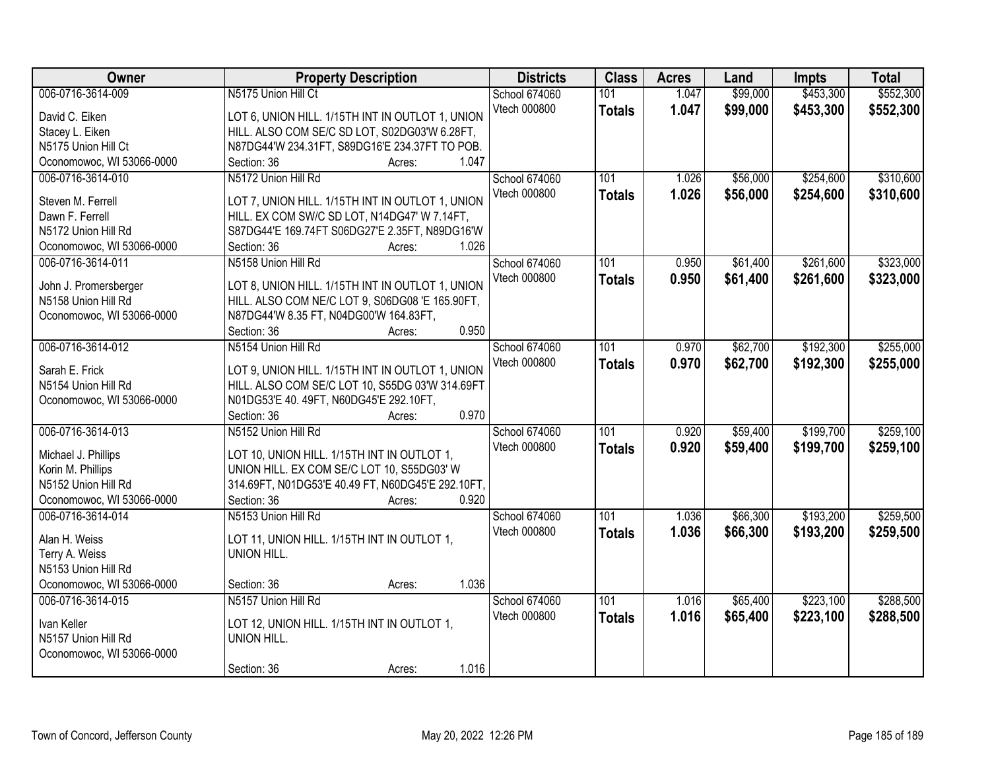| Owner                     | <b>Property Description</b>                       | <b>Districts</b> | <b>Class</b>  | <b>Acres</b> | Land     | <b>Impts</b> | <b>Total</b> |
|---------------------------|---------------------------------------------------|------------------|---------------|--------------|----------|--------------|--------------|
| 006-0716-3614-009         | N5175 Union Hill Ct                               | School 674060    | 101           | 1.047        | \$99,000 | \$453,300    | \$552,300    |
| David C. Eiken            | LOT 6, UNION HILL. 1/15TH INT IN OUTLOT 1, UNION  | Vtech 000800     | <b>Totals</b> | 1.047        | \$99,000 | \$453,300    | \$552,300    |
| Stacey L. Eiken           | HILL. ALSO COM SE/C SD LOT, S02DG03'W 6.28FT,     |                  |               |              |          |              |              |
| N5175 Union Hill Ct       | N87DG44'W 234.31FT, S89DG16'E 234.37FT TO POB.    |                  |               |              |          |              |              |
| Oconomowoc, WI 53066-0000 | 1.047<br>Section: 36<br>Acres:                    |                  |               |              |          |              |              |
| 006-0716-3614-010         | N5172 Union Hill Rd                               | School 674060    | 101           | 1.026        | \$56,000 | \$254,600    | \$310,600    |
|                           |                                                   | Vtech 000800     | <b>Totals</b> | 1.026        | \$56,000 | \$254,600    | \$310,600    |
| Steven M. Ferrell         | LOT 7, UNION HILL. 1/15TH INT IN OUTLOT 1, UNION  |                  |               |              |          |              |              |
| Dawn F. Ferrell           | HILL. EX COM SW/C SD LOT, N14DG47' W 7.14FT,      |                  |               |              |          |              |              |
| N5172 Union Hill Rd       | S87DG44'E 169.74FT S06DG27'E 2.35FT, N89DG16'W    |                  |               |              |          |              |              |
| Oconomowoc, WI 53066-0000 | 1.026<br>Section: 36<br>Acres:                    |                  |               |              |          |              |              |
| 006-0716-3614-011         | N5158 Union Hill Rd                               | School 674060    | 101           | 0.950        | \$61,400 | \$261,600    | \$323,000    |
| John J. Promersberger     | LOT 8, UNION HILL. 1/15TH INT IN OUTLOT 1, UNION  | Vtech 000800     | <b>Totals</b> | 0.950        | \$61,400 | \$261,600    | \$323,000    |
| N5158 Union Hill Rd       | HILL. ALSO COM NE/C LOT 9, S06DG08 'E 165.90FT,   |                  |               |              |          |              |              |
| Oconomowoc, WI 53066-0000 | N87DG44'W 8.35 FT, N04DG00'W 164.83FT,            |                  |               |              |          |              |              |
|                           | 0.950<br>Section: 36<br>Acres:                    |                  |               |              |          |              |              |
| 006-0716-3614-012         | N5154 Union Hill Rd                               | School 674060    | 101           | 0.970        | \$62,700 | \$192,300    | \$255,000    |
|                           |                                                   | Vtech 000800     | <b>Totals</b> | 0.970        | \$62,700 | \$192,300    | \$255,000    |
| Sarah E. Frick            | LOT 9, UNION HILL. 1/15TH INT IN OUTLOT 1, UNION  |                  |               |              |          |              |              |
| N5154 Union Hill Rd       | HILL. ALSO COM SE/C LOT 10, S55DG 03'W 314.69FT   |                  |               |              |          |              |              |
| Oconomowoc, WI 53066-0000 | N01DG53'E 40. 49FT, N60DG45'E 292.10FT,           |                  |               |              |          |              |              |
|                           | 0.970<br>Section: 36<br>Acres:                    |                  |               |              |          |              |              |
| 006-0716-3614-013         | N5152 Union Hill Rd                               | School 674060    | 101           | 0.920        | \$59,400 | \$199,700    | \$259,100    |
| Michael J. Phillips       | LOT 10, UNION HILL. 1/15TH INT IN OUTLOT 1,       | Vtech 000800     | <b>Totals</b> | 0.920        | \$59,400 | \$199,700    | \$259,100    |
| Korin M. Phillips         | UNION HILL. EX COM SE/C LOT 10, S55DG03' W        |                  |               |              |          |              |              |
| N5152 Union Hill Rd       | 314.69FT, N01DG53'E 40.49 FT, N60DG45'E 292.10FT, |                  |               |              |          |              |              |
| Oconomowoc, WI 53066-0000 | Section: 36<br>0.920<br>Acres:                    |                  |               |              |          |              |              |
| 006-0716-3614-014         | N5153 Union Hill Rd                               | School 674060    | 101           | 1.036        | \$66,300 | \$193,200    | \$259,500    |
|                           |                                                   | Vtech 000800     | <b>Totals</b> | 1.036        | \$66,300 | \$193,200    | \$259,500    |
| Alan H. Weiss             | LOT 11, UNION HILL. 1/15TH INT IN OUTLOT 1,       |                  |               |              |          |              |              |
| Terry A. Weiss            | UNION HILL.                                       |                  |               |              |          |              |              |
| N5153 Union Hill Rd       |                                                   |                  |               |              |          |              |              |
| Oconomowoc, WI 53066-0000 | 1.036<br>Section: 36<br>Acres:                    |                  |               |              |          |              |              |
| 006-0716-3614-015         | N5157 Union Hill Rd                               | School 674060    | 101           | 1.016        | \$65,400 | \$223,100    | \$288,500    |
| Ivan Keller               | LOT 12, UNION HILL. 1/15TH INT IN OUTLOT 1,       | Vtech 000800     | <b>Totals</b> | 1.016        | \$65,400 | \$223,100    | \$288,500    |
| N5157 Union Hill Rd       | UNION HILL.                                       |                  |               |              |          |              |              |
| Oconomowoc, WI 53066-0000 |                                                   |                  |               |              |          |              |              |
|                           | 1.016<br>Section: 36<br>Acres:                    |                  |               |              |          |              |              |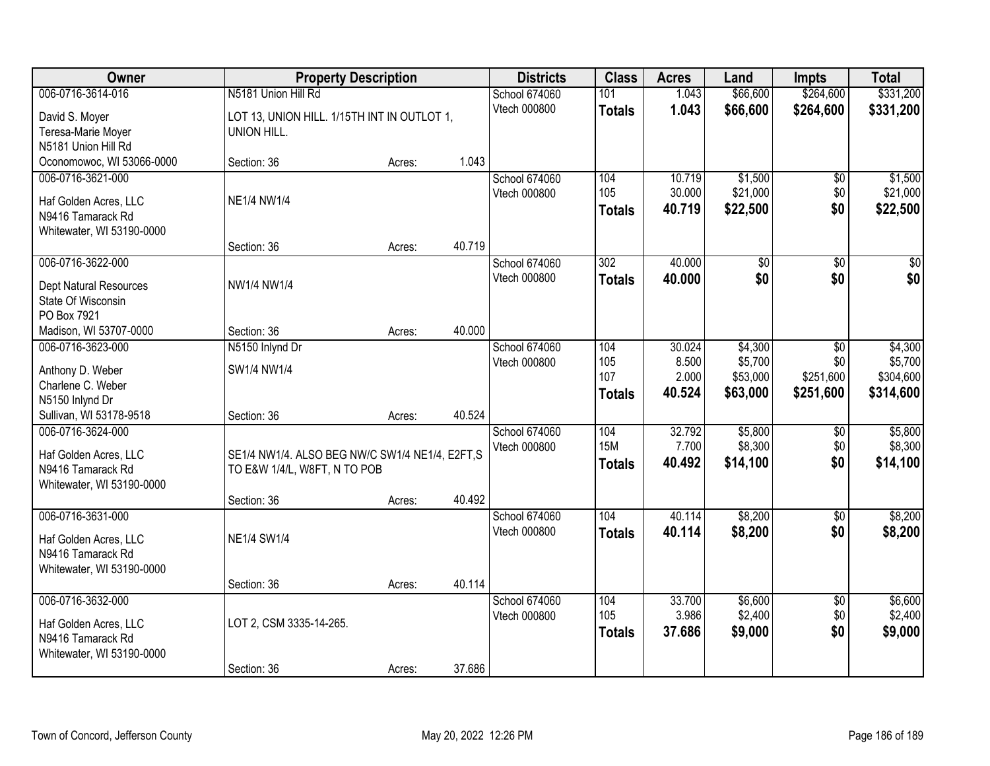| Owner                     | <b>Property Description</b>                    |        |        | <b>Districts</b>              | <b>Class</b>      | <b>Acres</b>    | Land                | <b>Impts</b>           | <b>Total</b>         |
|---------------------------|------------------------------------------------|--------|--------|-------------------------------|-------------------|-----------------|---------------------|------------------------|----------------------|
| 006-0716-3614-016         | N5181 Union Hill Rd                            |        |        | School 674060                 | 101               | 1.043           | \$66,600            | \$264,600              | \$331,200            |
| David S. Moyer            | LOT 13, UNION HILL. 1/15TH INT IN OUTLOT 1,    |        |        | Vtech 000800                  | <b>Totals</b>     | 1.043           | \$66,600            | \$264,600              | \$331,200            |
| Teresa-Marie Moyer        | UNION HILL.                                    |        |        |                               |                   |                 |                     |                        |                      |
| N5181 Union Hill Rd       |                                                |        |        |                               |                   |                 |                     |                        |                      |
| Oconomowoc, WI 53066-0000 | Section: 36                                    | Acres: | 1.043  |                               |                   |                 |                     |                        |                      |
| 006-0716-3621-000         |                                                |        |        | School 674060                 | 104               | 10.719          | \$1,500             | \$0                    | \$1,500              |
| Haf Golden Acres, LLC     | <b>NE1/4 NW1/4</b>                             |        |        | Vtech 000800                  | 105               | 30.000          | \$21,000            | \$0                    | \$21,000             |
| N9416 Tamarack Rd         |                                                |        |        |                               | <b>Totals</b>     | 40.719          | \$22,500            | \$0                    | \$22,500             |
| Whitewater, WI 53190-0000 |                                                |        |        |                               |                   |                 |                     |                        |                      |
|                           | Section: 36                                    | Acres: | 40.719 |                               |                   |                 |                     |                        |                      |
| 006-0716-3622-000         |                                                |        |        | School 674060                 | 302               | 40.000          | \$0                 | \$0                    | \$0                  |
| Dept Natural Resources    | NW1/4 NW1/4                                    |        |        | Vtech 000800                  | <b>Totals</b>     | 40.000          | \$0                 | \$0                    | \$0                  |
| State Of Wisconsin        |                                                |        |        |                               |                   |                 |                     |                        |                      |
| PO Box 7921               |                                                |        |        |                               |                   |                 |                     |                        |                      |
| Madison, WI 53707-0000    | Section: 36                                    | Acres: | 40.000 |                               |                   |                 |                     |                        |                      |
| 006-0716-3623-000         | N5150 Inlynd Dr                                |        |        | School 674060                 | 104               | 30.024          | \$4,300             | \$0                    | \$4,300              |
| Anthony D. Weber          | SW1/4 NW1/4                                    |        |        | Vtech 000800                  | 105<br>107        | 8.500<br>2.000  | \$5,700<br>\$53,000 | \$0<br>\$251,600       | \$5,700<br>\$304,600 |
| Charlene C. Weber         |                                                |        |        |                               | <b>Totals</b>     | 40.524          | \$63,000            | \$251,600              | \$314,600            |
| N5150 Inlynd Dr           |                                                |        |        |                               |                   |                 |                     |                        |                      |
| Sullivan, WI 53178-9518   | Section: 36                                    | Acres: | 40.524 |                               |                   |                 |                     |                        |                      |
| 006-0716-3624-000         |                                                |        |        | School 674060                 | 104<br><b>15M</b> | 32.792<br>7.700 | \$5,800             | \$0                    | \$5,800              |
| Haf Golden Acres, LLC     | SE1/4 NW1/4. ALSO BEG NW/C SW1/4 NE1/4, E2FT,S |        |        | Vtech 000800                  |                   | 40.492          | \$8,300<br>\$14,100 | \$0<br>\$0             | \$8,300<br>\$14,100  |
| N9416 Tamarack Rd         | TO E&W 1/4/L, W8FT, N TO POB                   |        |        |                               | <b>Totals</b>     |                 |                     |                        |                      |
| Whitewater, WI 53190-0000 |                                                |        |        |                               |                   |                 |                     |                        |                      |
|                           | Section: 36                                    | Acres: | 40.492 |                               |                   |                 |                     |                        |                      |
| 006-0716-3631-000         |                                                |        |        | School 674060                 | 104               | 40.114          | \$8,200             | \$0                    | \$8,200              |
| Haf Golden Acres, LLC     | <b>NE1/4 SW1/4</b>                             |        |        | Vtech 000800                  | <b>Totals</b>     | 40.114          | \$8,200             | \$0                    | \$8,200              |
| N9416 Tamarack Rd         |                                                |        |        |                               |                   |                 |                     |                        |                      |
| Whitewater, WI 53190-0000 |                                                |        |        |                               |                   |                 |                     |                        |                      |
|                           | Section: 36                                    | Acres: | 40.114 |                               |                   |                 |                     |                        |                      |
| 006-0716-3632-000         |                                                |        |        | School 674060<br>Vtech 000800 | 104<br>105        | 33.700<br>3.986 | \$6,600<br>\$2,400  | $\overline{50}$<br>\$0 | \$6,600<br>\$2,400   |
| Haf Golden Acres, LLC     | LOT 2, CSM 3335-14-265.                        |        |        |                               | <b>Totals</b>     | 37.686          | \$9,000             | \$0                    | \$9,000              |
| N9416 Tamarack Rd         |                                                |        |        |                               |                   |                 |                     |                        |                      |
| Whitewater, WI 53190-0000 |                                                |        |        |                               |                   |                 |                     |                        |                      |
|                           | Section: 36                                    | Acres: | 37.686 |                               |                   |                 |                     |                        |                      |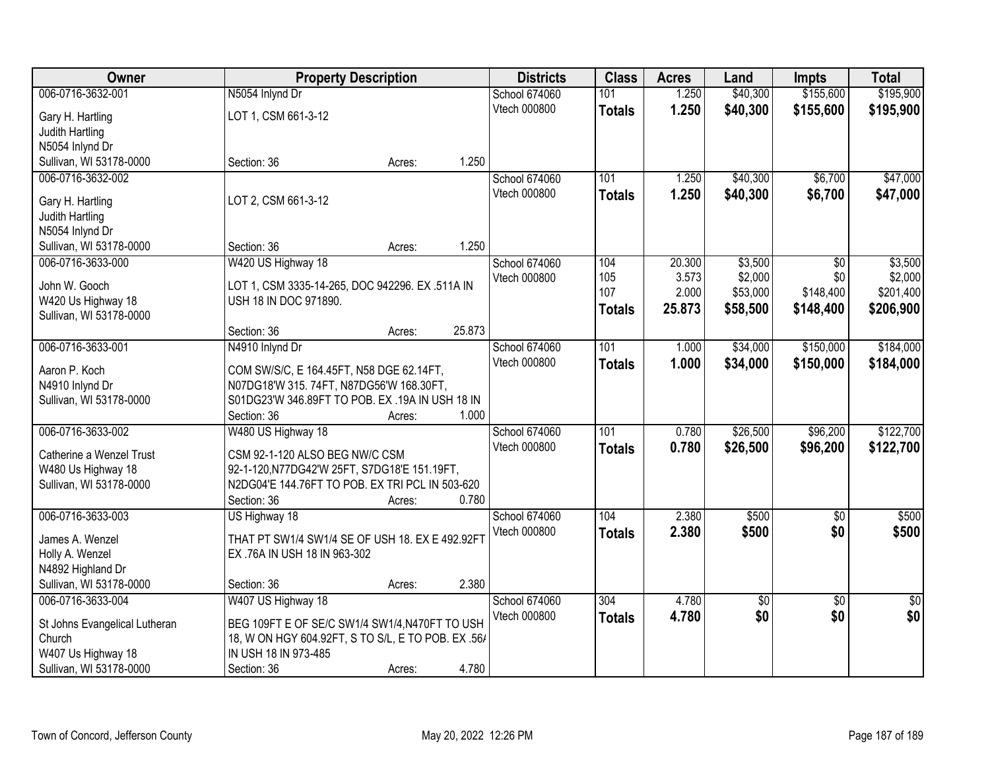| Owner                                         |                                                                                                 | <b>Property Description</b> |        | <b>Districts</b>     | <b>Class</b>  | <b>Acres</b> | Land     | <b>Impts</b>    | <b>Total</b>    |
|-----------------------------------------------|-------------------------------------------------------------------------------------------------|-----------------------------|--------|----------------------|---------------|--------------|----------|-----------------|-----------------|
| 006-0716-3632-001                             | N5054 Inlynd Dr                                                                                 |                             |        | School 674060        | 101           | 1.250        | \$40,300 | \$155,600       | \$195,900       |
| Gary H. Hartling                              | LOT 1, CSM 661-3-12                                                                             |                             |        | Vtech 000800         | <b>Totals</b> | 1.250        | \$40,300 | \$155,600       | \$195,900       |
| Judith Hartling                               |                                                                                                 |                             |        |                      |               |              |          |                 |                 |
| N5054 Inlynd Dr                               |                                                                                                 |                             |        |                      |               |              |          |                 |                 |
| Sullivan, WI 53178-0000                       | Section: 36                                                                                     | Acres:                      | 1.250  |                      |               |              |          |                 |                 |
| 006-0716-3632-002                             |                                                                                                 |                             |        | School 674060        | 101           | 1.250        | \$40,300 | \$6,700         | \$47,000        |
|                                               | LOT 2, CSM 661-3-12                                                                             |                             |        | Vtech 000800         | <b>Totals</b> | 1.250        | \$40,300 | \$6,700         | \$47,000        |
| Gary H. Hartling<br>Judith Hartling           |                                                                                                 |                             |        |                      |               |              |          |                 |                 |
| N5054 Inlynd Dr                               |                                                                                                 |                             |        |                      |               |              |          |                 |                 |
| Sullivan, WI 53178-0000                       | Section: 36                                                                                     | Acres:                      | 1.250  |                      |               |              |          |                 |                 |
| 006-0716-3633-000                             | W420 US Highway 18                                                                              |                             |        | <b>School 674060</b> | 104           | 20.300       | \$3,500  | $\overline{50}$ | \$3,500         |
|                                               |                                                                                                 |                             |        | Vtech 000800         | 105           | 3.573        | \$2,000  | \$0             | \$2,000         |
| John W. Gooch                                 | LOT 1, CSM 3335-14-265, DOC 942296. EX .511A IN                                                 |                             |        |                      | 107           | 2.000        | \$53,000 | \$148,400       | \$201,400       |
| W420 Us Highway 18                            | USH 18 IN DOC 971890.                                                                           |                             |        |                      | <b>Totals</b> | 25.873       | \$58,500 | \$148,400       | \$206,900       |
| Sullivan, WI 53178-0000                       |                                                                                                 |                             |        |                      |               |              |          |                 |                 |
|                                               | Section: 36                                                                                     | Acres:                      | 25.873 |                      |               |              |          |                 |                 |
| 006-0716-3633-001                             | N4910 Inlynd Dr                                                                                 |                             |        | School 674060        | 101           | 1.000        | \$34,000 | \$150,000       | \$184,000       |
| Aaron P. Koch                                 | COM SW/S/C, E 164.45FT, N58 DGE 62.14FT,                                                        |                             |        | Vtech 000800         | <b>Totals</b> | 1.000        | \$34,000 | \$150,000       | \$184,000       |
| N4910 Inlynd Dr                               | N07DG18'W 315.74FT, N87DG56'W 168.30FT,                                                         |                             |        |                      |               |              |          |                 |                 |
| Sullivan, WI 53178-0000                       | S01DG23'W 346.89FT TO POB. EX .19A IN USH 18 IN                                                 |                             |        |                      |               |              |          |                 |                 |
|                                               | Section: 36                                                                                     | Acres:                      | 1.000  |                      |               |              |          |                 |                 |
| 006-0716-3633-002                             | W480 US Highway 18                                                                              |                             |        | School 674060        | 101           | 0.780        | \$26,500 | \$96,200        | \$122,700       |
|                                               |                                                                                                 |                             |        | Vtech 000800         | <b>Totals</b> | 0.780        | \$26,500 | \$96,200        | \$122,700       |
| Catherine a Wenzel Trust                      | CSM 92-1-120 ALSO BEG NW/C CSM                                                                  |                             |        |                      |               |              |          |                 |                 |
| W480 Us Highway 18<br>Sullivan, WI 53178-0000 | 92-1-120, N77DG42'W 25FT, S7DG18'E 151.19FT,<br>N2DG04'E 144.76FT TO POB. EX TRI PCL IN 503-620 |                             |        |                      |               |              |          |                 |                 |
|                                               | Section: 36                                                                                     | Acres:                      | 0.780  |                      |               |              |          |                 |                 |
| 006-0716-3633-003                             | US Highway 18                                                                                   |                             |        | School 674060        | 104           | 2.380        | \$500    | $\overline{50}$ | \$500           |
|                                               |                                                                                                 |                             |        | Vtech 000800         |               | 2.380        | \$500    | \$0             | \$500           |
| James A. Wenzel                               | THAT PT SW1/4 SW1/4 SE OF USH 18. EX E 492.92FT                                                 |                             |        |                      | <b>Totals</b> |              |          |                 |                 |
| Holly A. Wenzel                               | EX .76A IN USH 18 IN 963-302                                                                    |                             |        |                      |               |              |          |                 |                 |
| N4892 Highland Dr                             |                                                                                                 |                             |        |                      |               |              |          |                 |                 |
| Sullivan, WI 53178-0000                       | Section: 36                                                                                     | Acres:                      | 2.380  |                      |               |              |          |                 |                 |
| 006-0716-3633-004                             | W407 US Highway 18                                                                              |                             |        | School 674060        | 304           | 4.780        | \$0      | $\overline{50}$ | $\overline{50}$ |
| St Johns Evangelical Lutheran                 | BEG 109FT E OF SE/C SW1/4 SW1/4, N470FT TO USH                                                  |                             |        | Vtech 000800         | <b>Totals</b> | 4.780        | \$0      | \$0             | \$0             |
| Church                                        | 18, W ON HGY 604.92FT, S TO S/L, E TO POB. EX .56/                                              |                             |        |                      |               |              |          |                 |                 |
| W407 Us Highway 18                            | IN USH 18 IN 973-485                                                                            |                             |        |                      |               |              |          |                 |                 |
| Sullivan, WI 53178-0000                       | Section: 36                                                                                     | Acres:                      | 4.780  |                      |               |              |          |                 |                 |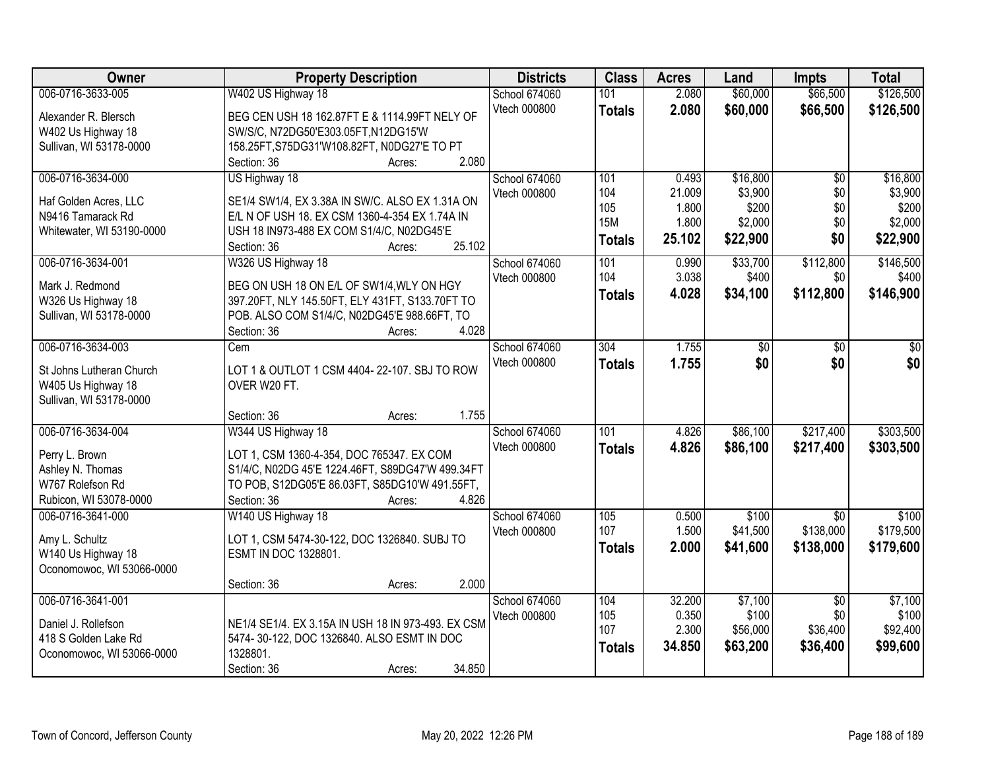| Owner                                             | <b>Property Description</b>                            | <b>Districts</b> | <b>Class</b>  | <b>Acres</b> | Land     | <b>Impts</b>    | <b>Total</b> |
|---------------------------------------------------|--------------------------------------------------------|------------------|---------------|--------------|----------|-----------------|--------------|
| 006-0716-3633-005                                 | W402 US Highway 18                                     | School 674060    | 101           | 2.080        | \$60,000 | \$66,500        | \$126,500    |
| Alexander R. Blersch                              | BEG CEN USH 18 162.87FT E & 1114.99FT NELY OF          | Vtech 000800     | <b>Totals</b> | 2.080        | \$60,000 | \$66,500        | \$126,500    |
| W402 Us Highway 18                                | SW/S/C, N72DG50'E303.05FT, N12DG15'W                   |                  |               |              |          |                 |              |
| Sullivan, WI 53178-0000                           | 158.25FT, S75DG31'W108.82FT, N0DG27'E TO PT            |                  |               |              |          |                 |              |
|                                                   | 2.080<br>Section: 36<br>Acres:                         |                  |               |              |          |                 |              |
| 006-0716-3634-000                                 | US Highway 18                                          | School 674060    | 101           | 0.493        | \$16,800 | $\overline{50}$ | \$16,800     |
| Haf Golden Acres, LLC                             | SE1/4 SW1/4, EX 3.38A IN SW/C. ALSO EX 1.31A ON        | Vtech 000800     | 104           | 21.009       | \$3,900  | \$0             | \$3,900      |
| N9416 Tamarack Rd                                 | E/L N OF USH 18. EX CSM 1360-4-354 EX 1.74A IN         |                  | 105           | 1.800        | \$200    | \$0             | \$200        |
| Whitewater, WI 53190-0000                         | USH 18 IN973-488 EX COM S1/4/C, N02DG45'E              |                  | <b>15M</b>    | 1.800        | \$2,000  | \$0             | \$2,000      |
|                                                   | 25.102<br>Section: 36<br>Acres:                        |                  | <b>Totals</b> | 25.102       | \$22,900 | \$0             | \$22,900     |
| 006-0716-3634-001                                 | W326 US Highway 18                                     | School 674060    | 101           | 0.990        | \$33,700 | \$112,800       | \$146,500    |
| Mark J. Redmond                                   | BEG ON USH 18 ON E/L OF SW1/4, WLY ON HGY              | Vtech 000800     | 104           | 3.038        | \$400    | \$0             | \$400        |
| W326 Us Highway 18                                | 397.20FT, NLY 145.50FT, ELY 431FT, S133.70FT TO        |                  | <b>Totals</b> | 4.028        | \$34,100 | \$112,800       | \$146,900    |
| Sullivan, WI 53178-0000                           | POB. ALSO COM S1/4/C, N02DG45'E 988.66FT, TO           |                  |               |              |          |                 |              |
|                                                   | 4.028<br>Section: 36<br>Acres:                         |                  |               |              |          |                 |              |
| 006-0716-3634-003                                 | Cem                                                    | School 674060    | 304           | 1.755        | \$0      | $\sqrt{6}$      | \$0          |
|                                                   |                                                        | Vtech 000800     | <b>Totals</b> | 1.755        | \$0      | \$0             | \$0          |
| St Johns Lutheran Church                          | LOT 1 & OUTLOT 1 CSM 4404-22-107. SBJ TO ROW           |                  |               |              |          |                 |              |
| W405 Us Highway 18                                | OVER W20 FT.                                           |                  |               |              |          |                 |              |
| Sullivan, WI 53178-0000                           |                                                        |                  |               |              |          |                 |              |
|                                                   | 1.755<br>Section: 36<br>Acres:                         |                  |               |              |          |                 |              |
| 006-0716-3634-004                                 | W344 US Highway 18                                     | School 674060    | 101           | 4.826        | \$86,100 | \$217,400       | \$303,500    |
| Perry L. Brown                                    | LOT 1, CSM 1360-4-354, DOC 765347. EX COM              | Vtech 000800     | <b>Totals</b> | 4.826        | \$86,100 | \$217,400       | \$303,500    |
| Ashley N. Thomas                                  | S1/4/C, N02DG 45'E 1224.46FT, S89DG47'W 499.34FT       |                  |               |              |          |                 |              |
| W767 Rolefson Rd                                  | TO POB, S12DG05'E 86.03FT, S85DG10'W 491.55FT,         |                  |               |              |          |                 |              |
| Rubicon, WI 53078-0000                            | 4.826<br>Section: 36<br>Acres:                         |                  |               |              |          |                 |              |
| 006-0716-3641-000                                 | W140 US Highway 18                                     | School 674060    | 105           | 0.500        | \$100    | $\overline{50}$ | \$100        |
| Amy L. Schultz                                    | LOT 1, CSM 5474-30-122, DOC 1326840. SUBJ TO           | Vtech 000800     | 107           | 1.500        | \$41,500 | \$138,000       | \$179,500    |
| W140 Us Highway 18                                | ESMT IN DOC 1328801.                                   |                  | <b>Totals</b> | 2.000        | \$41,600 | \$138,000       | \$179,600    |
| Oconomowoc, WI 53066-0000                         |                                                        |                  |               |              |          |                 |              |
|                                                   | 2.000<br>Section: 36<br>Acres:                         |                  |               |              |          |                 |              |
| 006-0716-3641-001                                 |                                                        | School 674060    | 104           | 32.200       | \$7,100  | $\overline{30}$ | \$7,100      |
|                                                   |                                                        | Vtech 000800     | 105           | 0.350        | \$100    | \$0             | \$100        |
| Daniel J. Rollefson                               | NE1/4 SE1/4. EX 3.15A IN USH 18 IN 973-493. EX CSM     |                  | 107           | 2.300        | \$56,000 | \$36,400        | \$92,400     |
| 418 S Golden Lake Rd<br>Oconomowoc, WI 53066-0000 | 5474-30-122, DOC 1326840. ALSO ESMT IN DOC<br>1328801. |                  | <b>Totals</b> | 34.850       | \$63,200 | \$36,400        | \$99,600     |
|                                                   | 34.850<br>Section: 36<br>Acres:                        |                  |               |              |          |                 |              |
|                                                   |                                                        |                  |               |              |          |                 |              |